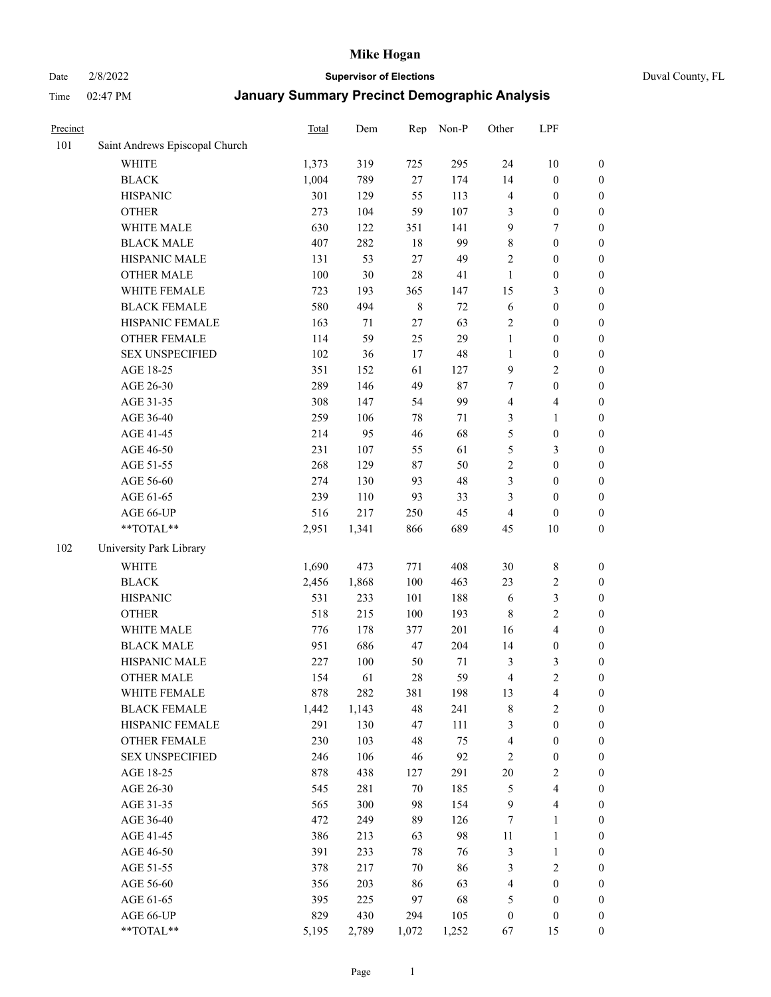# Date 2/8/2022 **Supervisor of Elections** Duval County, FL

| Precinct |                                | Total | Dem   | Rep         | Non-P | Other            | LPF                     |                  |
|----------|--------------------------------|-------|-------|-------------|-------|------------------|-------------------------|------------------|
| 101      | Saint Andrews Episcopal Church |       |       |             |       |                  |                         |                  |
|          | <b>WHITE</b>                   | 1,373 | 319   | 725         | 295   | 24               | $10\,$                  | 0                |
|          | <b>BLACK</b>                   | 1,004 | 789   | 27          | 174   | 14               | $\boldsymbol{0}$        | $\boldsymbol{0}$ |
|          | <b>HISPANIC</b>                | 301   | 129   | 55          | 113   | 4                | $\boldsymbol{0}$        | $\boldsymbol{0}$ |
|          | <b>OTHER</b>                   | 273   | 104   | 59          | 107   | 3                | $\boldsymbol{0}$        | $\boldsymbol{0}$ |
|          | WHITE MALE                     | 630   | 122   | 351         | 141   | 9                | 7                       | $\boldsymbol{0}$ |
|          | <b>BLACK MALE</b>              | 407   | 282   | 18          | 99    | 8                | $\boldsymbol{0}$        | $\boldsymbol{0}$ |
|          | HISPANIC MALE                  | 131   | 53    | $27\,$      | 49    | $\overline{c}$   | $\boldsymbol{0}$        | $\boldsymbol{0}$ |
|          | <b>OTHER MALE</b>              | 100   | 30    | 28          | 41    | $\mathbf{1}$     | $\boldsymbol{0}$        | $\boldsymbol{0}$ |
|          | WHITE FEMALE                   | 723   | 193   | 365         | 147   | 15               | $\mathfrak{Z}$          | $\boldsymbol{0}$ |
|          | <b>BLACK FEMALE</b>            | 580   | 494   | $\,$ 8 $\,$ | 72    | 6                | $\boldsymbol{0}$        | $\boldsymbol{0}$ |
|          | HISPANIC FEMALE                | 163   | 71    | 27          | 63    | $\overline{c}$   | $\boldsymbol{0}$        | $\boldsymbol{0}$ |
|          | <b>OTHER FEMALE</b>            | 114   | 59    | 25          | 29    | $\mathbf{1}$     | $\boldsymbol{0}$        | $\boldsymbol{0}$ |
|          | <b>SEX UNSPECIFIED</b>         | 102   | 36    | 17          | 48    | $\mathbf{1}$     | $\boldsymbol{0}$        | $\boldsymbol{0}$ |
|          | AGE 18-25                      | 351   | 152   | 61          | 127   | 9                | $\sqrt{2}$              | $\boldsymbol{0}$ |
|          | AGE 26-30                      | 289   | 146   | 49          | 87    | 7                | $\boldsymbol{0}$        | $\boldsymbol{0}$ |
|          | AGE 31-35                      | 308   | 147   | 54          | 99    | 4                | $\overline{\mathbf{4}}$ | $\boldsymbol{0}$ |
|          | AGE 36-40                      | 259   | 106   | $78\,$      | 71    | 3                | $\mathbf{1}$            | $\boldsymbol{0}$ |
|          | AGE 41-45                      | 214   | 95    | 46          | 68    | 5                | $\boldsymbol{0}$        | $\boldsymbol{0}$ |
|          | AGE 46-50                      | 231   | 107   | 55          | 61    | 5                | $\mathfrak{Z}$          | $\boldsymbol{0}$ |
|          | AGE 51-55                      | 268   | 129   | $87\,$      | 50    | $\sqrt{2}$       | $\boldsymbol{0}$        | $\boldsymbol{0}$ |
|          | AGE 56-60                      | 274   | 130   | 93          | 48    | 3                | $\boldsymbol{0}$        | 0                |
|          | AGE 61-65                      | 239   | 110   | 93          | 33    | 3                | $\boldsymbol{0}$        | $\boldsymbol{0}$ |
|          | AGE 66-UP                      | 516   | 217   | 250         | 45    | $\overline{4}$   | $\boldsymbol{0}$        | $\boldsymbol{0}$ |
|          | $**TOTAL**$                    | 2,951 | 1,341 | 866         | 689   | 45               | $10\,$                  | $\boldsymbol{0}$ |
| 102      | University Park Library        |       |       |             |       |                  |                         |                  |
|          | <b>WHITE</b>                   | 1,690 | 473   | 771         | 408   | 30               | $\,$ 8 $\,$             | $\boldsymbol{0}$ |
|          | <b>BLACK</b>                   | 2,456 | 1,868 | 100         | 463   | 23               | $\sqrt{2}$              | $\boldsymbol{0}$ |
|          | <b>HISPANIC</b>                | 531   | 233   | 101         | 188   | 6                | $\mathfrak{Z}$          | $\boldsymbol{0}$ |
|          | <b>OTHER</b>                   | 518   | 215   | 100         | 193   | $\,$ 8 $\,$      | $\sqrt{2}$              | $\boldsymbol{0}$ |
|          | WHITE MALE                     | 776   | 178   | 377         | 201   | 16               | $\overline{4}$          | $\boldsymbol{0}$ |
|          | <b>BLACK MALE</b>              | 951   | 686   | 47          | 204   | 14               | $\boldsymbol{0}$        | $\boldsymbol{0}$ |
|          | HISPANIC MALE                  | 227   | 100   | 50          | 71    | 3                | $\mathfrak{Z}$          | $\boldsymbol{0}$ |
|          | <b>OTHER MALE</b>              | 154   | 61    | 28          | 59    | $\overline{4}$   | $\overline{c}$          | $\boldsymbol{0}$ |
|          | WHITE FEMALE                   | 878   | 282   | 381         | 198   | 13               | 4                       | 0                |
|          | <b>BLACK FEMALE</b>            | 1,442 | 1,143 | 48          | 241   | 8                | $\overline{2}$          | $\boldsymbol{0}$ |
|          | HISPANIC FEMALE                | 291   | 130   | 47          | 111   | 3                | $\boldsymbol{0}$        | $\overline{0}$   |
|          | <b>OTHER FEMALE</b>            | 230   | 103   | 48          | 75    | $\overline{4}$   | $\boldsymbol{0}$        | $\overline{0}$   |
|          | <b>SEX UNSPECIFIED</b>         | 246   | 106   | 46          | 92    | $\overline{c}$   | $\boldsymbol{0}$        | 0                |
|          | AGE 18-25                      | 878   | 438   | 127         | 291   | 20               | $\sqrt{2}$              | 0                |
|          | AGE 26-30                      | 545   | 281   | 70          | 185   | 5                | $\overline{\mathbf{4}}$ | 0                |
|          | AGE 31-35                      | 565   | 300   | 98          | 154   | $\overline{9}$   | $\overline{\mathbf{4}}$ | 0                |
|          | AGE 36-40                      | 472   | 249   | 89          | 126   | 7                | $\mathbf{1}$            | 0                |
|          | AGE 41-45                      | 386   | 213   | 63          | 98    | 11               | $\mathbf{1}$            | 0                |
|          | AGE 46-50                      | 391   | 233   | $78\,$      | 76    | 3                | $\mathbf{1}$            | 0                |
|          | AGE 51-55                      | 378   | 217   | 70          | 86    | 3                | $\mathfrak{2}$          | 0                |
|          | AGE 56-60                      | 356   | 203   | 86          | 63    | 4                | $\boldsymbol{0}$        | $\overline{0}$   |
|          | AGE 61-65                      | 395   | 225   | 97          | 68    | 5                | $\boldsymbol{0}$        | $\overline{0}$   |
|          | AGE 66-UP                      | 829   | 430   | 294         | 105   | $\boldsymbol{0}$ | $\boldsymbol{0}$        | 0                |
|          | **TOTAL**                      | 5,195 | 2,789 | 1,072       | 1,252 | 67               | 15                      | $\boldsymbol{0}$ |
|          |                                |       |       |             |       |                  |                         |                  |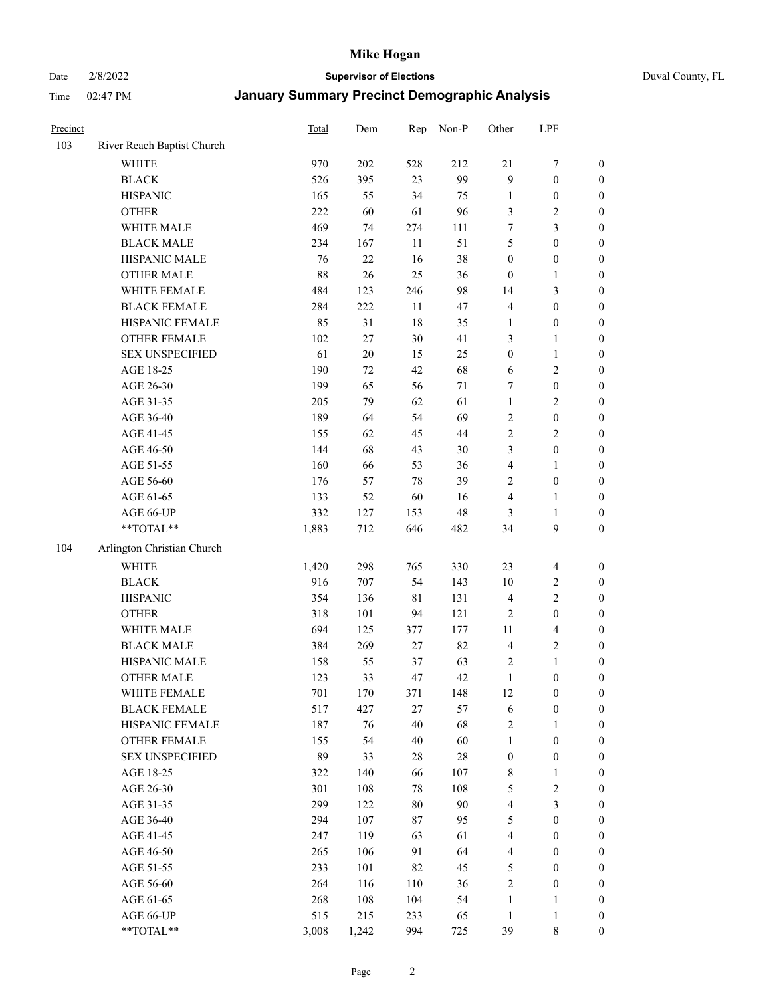# Date 2/8/2022 **Supervisor of Elections** Duval County, FL

| Precinct |                            | <b>Total</b> | Dem     | Rep         | Non-P  | Other                   | LPF              |                  |
|----------|----------------------------|--------------|---------|-------------|--------|-------------------------|------------------|------------------|
| 103      | River Reach Baptist Church |              |         |             |        |                         |                  |                  |
|          | <b>WHITE</b>               | 970          | 202     | 528         | 212    | 21                      | $\boldsymbol{7}$ | 0                |
|          | <b>BLACK</b>               | 526          | 395     | 23          | 99     | 9                       | $\boldsymbol{0}$ | 0                |
|          | <b>HISPANIC</b>            | 165          | 55      | 34          | 75     | $\mathbf{1}$            | $\boldsymbol{0}$ | $\boldsymbol{0}$ |
|          | <b>OTHER</b>               | 222          | 60      | 61          | 96     | 3                       | $\mathbf{2}$     | $\boldsymbol{0}$ |
|          | WHITE MALE                 | 469          | 74      | 274         | 111    | 7                       | 3                | $\boldsymbol{0}$ |
|          | <b>BLACK MALE</b>          | 234          | 167     | $11\,$      | 51     | 5                       | $\boldsymbol{0}$ | $\boldsymbol{0}$ |
|          | HISPANIC MALE              | 76           | 22      | 16          | 38     | $\boldsymbol{0}$        | $\boldsymbol{0}$ | $\boldsymbol{0}$ |
|          | <b>OTHER MALE</b>          | $88\,$       | 26      | 25          | 36     | $\boldsymbol{0}$        | $\mathbf{1}$     | $\boldsymbol{0}$ |
|          | WHITE FEMALE               | 484          | 123     | 246         | 98     | 14                      | 3                | $\boldsymbol{0}$ |
|          | <b>BLACK FEMALE</b>        | 284          | $222\,$ | 11          | 47     | $\overline{4}$          | $\boldsymbol{0}$ | 0                |
|          | HISPANIC FEMALE            | 85           | 31      | $18\,$      | 35     | 1                       | $\boldsymbol{0}$ | 0                |
|          | OTHER FEMALE               | 102          | $27\,$  | 30          | 41     | 3                       | 1                | 0                |
|          | <b>SEX UNSPECIFIED</b>     | 61           | $20\,$  | 15          | 25     | $\boldsymbol{0}$        | $\mathbf{1}$     | $\boldsymbol{0}$ |
|          | AGE 18-25                  | 190          | 72      | 42          | 68     | 6                       | $\sqrt{2}$       | $\boldsymbol{0}$ |
|          | AGE 26-30                  | 199          | 65      | 56          | $71\,$ | 7                       | $\boldsymbol{0}$ | $\boldsymbol{0}$ |
|          | AGE 31-35                  | 205          | 79      | 62          | 61     | $\mathbf{1}$            | $\sqrt{2}$       | $\boldsymbol{0}$ |
|          | AGE 36-40                  | 189          | 64      | 54          | 69     | $\sqrt{2}$              | $\boldsymbol{0}$ | $\boldsymbol{0}$ |
|          | AGE 41-45                  | 155          | 62      | 45          | $44\,$ | $\sqrt{2}$              | $\overline{c}$   | $\boldsymbol{0}$ |
|          | AGE 46-50                  | 144          | 68      | 43          | $30\,$ | 3                       | $\boldsymbol{0}$ | $\boldsymbol{0}$ |
|          | AGE 51-55                  | 160          | 66      | 53          | 36     | $\overline{\mathbf{4}}$ | 1                | 0                |
|          | AGE 56-60                  | 176          | 57      | $78\,$      | 39     | $\sqrt{2}$              | $\boldsymbol{0}$ | 0                |
|          | AGE 61-65                  | 133          | 52      | 60          | 16     | 4                       | 1                | 0                |
|          | AGE 66-UP                  | 332          | 127     | 153         | $48\,$ | 3                       | $\mathbf{1}$     | $\boldsymbol{0}$ |
|          | $**TOTAL**$                | 1,883        | 712     | 646         | 482    | 34                      | 9                | $\boldsymbol{0}$ |
| 104      | Arlington Christian Church |              |         |             |        |                         |                  |                  |
|          | <b>WHITE</b>               | 1,420        | 298     | 765         | 330    | 23                      | $\overline{4}$   | 0                |
|          | <b>BLACK</b>               | 916          | 707     | 54          | 143    | $10\,$                  | $\overline{c}$   | $\boldsymbol{0}$ |
|          | <b>HISPANIC</b>            | 354          | 136     | $8\sqrt{1}$ | 131    | 4                       | $\sqrt{2}$       | $\boldsymbol{0}$ |
|          | <b>OTHER</b>               | 318          | 101     | 94          | 121    | $\overline{c}$          | $\boldsymbol{0}$ | $\boldsymbol{0}$ |
|          | WHITE MALE                 | 694          | 125     | 377         | 177    | 11                      | $\overline{4}$   | $\boldsymbol{0}$ |
|          | <b>BLACK MALE</b>          | 384          | 269     | 27          | 82     | 4                       | $\overline{c}$   | $\boldsymbol{0}$ |
|          | HISPANIC MALE              | 158          | 55      | 37          | 63     | $\overline{c}$          | $\mathbf{1}$     | $\boldsymbol{0}$ |
|          | <b>OTHER MALE</b>          | 123          | 33      | 47          | 42     | $\mathbf{1}$            | $\boldsymbol{0}$ | $\boldsymbol{0}$ |
|          | WHITE FEMALE               | 701          | 170     | 371         | 148    | 12                      | $\boldsymbol{0}$ | 0                |
|          | <b>BLACK FEMALE</b>        | 517          | 427     | 27          | 57     | 6                       | $\boldsymbol{0}$ | 0                |
|          | HISPANIC FEMALE            | 187          | 76      | 40          | 68     | $\overline{c}$          | 1                | 0                |
|          | <b>OTHER FEMALE</b>        | 155          | 54      | 40          | 60     | $\mathbf{1}$            | $\boldsymbol{0}$ | 0                |
|          | <b>SEX UNSPECIFIED</b>     | 89           | 33      | 28          | 28     | $\boldsymbol{0}$        | $\boldsymbol{0}$ | 0                |
|          | AGE 18-25                  | 322          | 140     | 66          | 107    | $\,$ $\,$               | $\mathbf{1}$     | 0                |
|          | AGE 26-30                  | 301          | 108     | 78          | 108    | 5                       | $\sqrt{2}$       | 0                |
|          | AGE 31-35                  | 299          | 122     | $80\,$      | $90\,$ | 4                       | $\mathfrak{Z}$   | 0                |
|          | AGE 36-40                  | 294          | 107     | $87\,$      | 95     | 5                       | $\boldsymbol{0}$ | 0                |
|          | AGE 41-45                  | 247          | 119     | 63          | 61     | 4                       | $\boldsymbol{0}$ | 0                |
|          | AGE 46-50                  | 265          | 106     | 91          | 64     | 4                       | $\boldsymbol{0}$ | 0                |
|          | AGE 51-55                  | 233          | 101     | 82          | 45     | 5                       | $\boldsymbol{0}$ | $\overline{0}$   |
|          | AGE 56-60                  | 264          | 116     | 110         | 36     | $\sqrt{2}$              | $\boldsymbol{0}$ | $\overline{0}$   |
|          | AGE 61-65                  | 268          | 108     | 104         | 54     | $\mathbf{1}$            | $\mathbf{1}$     | 0                |
|          | AGE 66-UP                  | 515          | 215     | 233         | 65     | $\mathbf{1}$            | $\mathbf{1}$     | 0                |
|          | **TOTAL**                  | 3,008        | 1,242   | 994         | 725    | 39                      | $\,$ 8 $\,$      | $\overline{0}$   |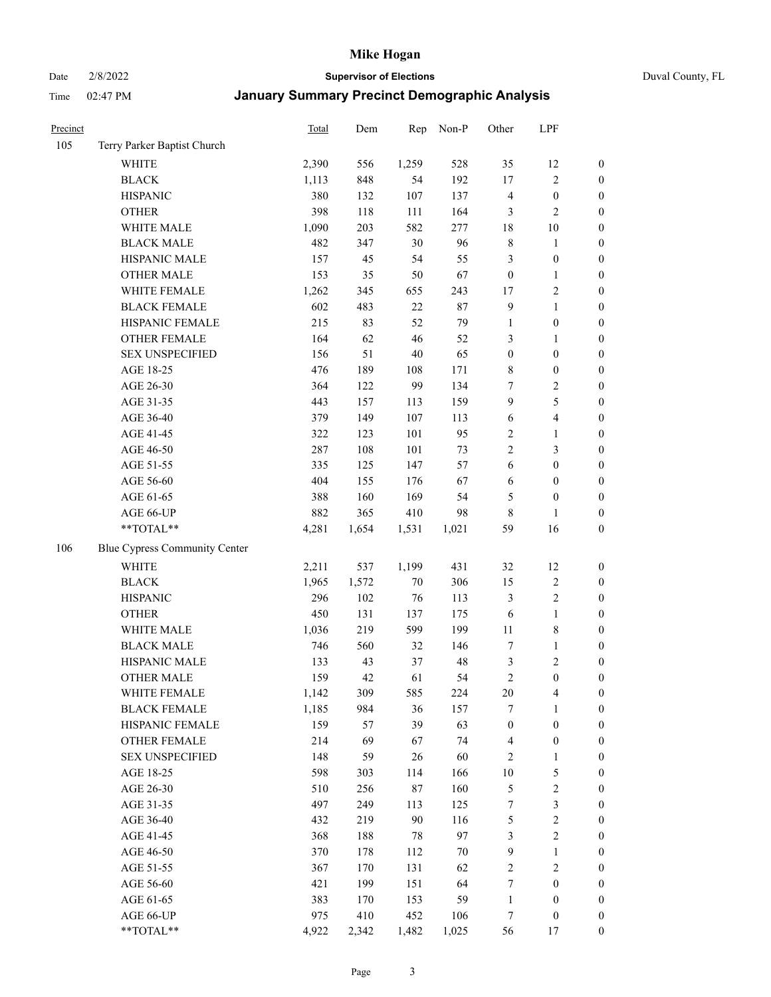Date 2/8/2022 **Supervisor of Elections** Duval County, FL

| Precinct |                               | Total | Dem   | Rep    | Non-P  | Other            | LPF                     |                  |
|----------|-------------------------------|-------|-------|--------|--------|------------------|-------------------------|------------------|
| 105      | Terry Parker Baptist Church   |       |       |        |        |                  |                         |                  |
|          | <b>WHITE</b>                  | 2,390 | 556   | 1,259  | 528    | 35               | 12                      | 0                |
|          | <b>BLACK</b>                  | 1,113 | 848   | 54     | 192    | $17\,$           | $\sqrt{2}$              | $\boldsymbol{0}$ |
|          | <b>HISPANIC</b>               | 380   | 132   | 107    | 137    | 4                | $\boldsymbol{0}$        | $\boldsymbol{0}$ |
|          | <b>OTHER</b>                  | 398   | 118   | 111    | 164    | 3                | $\mathbf{2}$            | $\boldsymbol{0}$ |
|          | WHITE MALE                    | 1,090 | 203   | 582    | 277    | 18               | $10\,$                  | $\boldsymbol{0}$ |
|          | <b>BLACK MALE</b>             | 482   | 347   | 30     | 96     | $\,$ 8 $\,$      | $\mathbf{1}$            | $\boldsymbol{0}$ |
|          | HISPANIC MALE                 | 157   | 45    | 54     | 55     | 3                | $\boldsymbol{0}$        | $\boldsymbol{0}$ |
|          | <b>OTHER MALE</b>             | 153   | 35    | 50     | 67     | $\boldsymbol{0}$ | $\mathbf{1}$            | $\boldsymbol{0}$ |
|          | WHITE FEMALE                  | 1,262 | 345   | 655    | 243    | 17               | $\sqrt{2}$              | $\boldsymbol{0}$ |
|          | <b>BLACK FEMALE</b>           | 602   | 483   | $22\,$ | 87     | $\overline{9}$   | $\mathbf{1}$            | $\boldsymbol{0}$ |
|          | HISPANIC FEMALE               | 215   | 83    | 52     | 79     | $\mathbf{1}$     | $\boldsymbol{0}$        | 0                |
|          | OTHER FEMALE                  | 164   | 62    | 46     | 52     | 3                | $\mathbf{1}$            | $\boldsymbol{0}$ |
|          | <b>SEX UNSPECIFIED</b>        | 156   | 51    | $40\,$ | 65     | $\boldsymbol{0}$ | $\boldsymbol{0}$        | $\boldsymbol{0}$ |
|          | AGE 18-25                     | 476   | 189   | 108    | 171    | 8                | $\boldsymbol{0}$        | $\boldsymbol{0}$ |
|          | AGE 26-30                     | 364   | 122   | 99     | 134    | 7                | $\sqrt{2}$              | $\boldsymbol{0}$ |
|          | AGE 31-35                     | 443   | 157   | 113    | 159    | 9                | $\mathfrak s$           | $\boldsymbol{0}$ |
|          | AGE 36-40                     | 379   | 149   | 107    | 113    | 6                | $\overline{\mathbf{4}}$ | $\boldsymbol{0}$ |
|          | AGE 41-45                     | 322   | 123   | 101    | 95     | $\sqrt{2}$       | $\mathbf{1}$            | $\boldsymbol{0}$ |
|          | AGE 46-50                     | 287   | 108   | 101    | 73     | $\overline{c}$   | $\mathfrak{Z}$          | $\boldsymbol{0}$ |
|          | AGE 51-55                     | 335   | 125   | 147    | 57     | 6                | $\boldsymbol{0}$        | $\boldsymbol{0}$ |
|          | AGE 56-60                     | 404   | 155   | 176    | 67     | 6                | $\boldsymbol{0}$        | 0                |
|          | AGE 61-65                     | 388   | 160   | 169    | 54     | 5                | $\boldsymbol{0}$        | $\boldsymbol{0}$ |
|          | AGE 66-UP                     | 882   | 365   | 410    | 98     | 8                | $\mathbf{1}$            | $\boldsymbol{0}$ |
|          | $**TOTAL**$                   | 4,281 | 1,654 | 1,531  | 1,021  | 59               | 16                      | $\boldsymbol{0}$ |
| 106      | Blue Cypress Community Center |       |       |        |        |                  |                         |                  |
|          | <b>WHITE</b>                  | 2,211 | 537   | 1,199  | 431    | 32               | 12                      | $\boldsymbol{0}$ |
|          | <b>BLACK</b>                  | 1,965 | 1,572 | 70     | 306    | 15               | $\sqrt{2}$              | $\boldsymbol{0}$ |
|          | <b>HISPANIC</b>               | 296   | 102   | 76     | 113    | 3                | $\sqrt{2}$              | $\boldsymbol{0}$ |
|          | <b>OTHER</b>                  | 450   | 131   | 137    | 175    | 6                | $\mathbf{1}$            | $\boldsymbol{0}$ |
|          | WHITE MALE                    | 1,036 | 219   | 599    | 199    | $11\,$           | $\,$ 8 $\,$             | $\boldsymbol{0}$ |
|          | <b>BLACK MALE</b>             | 746   | 560   | 32     | 146    | 7                | $\mathbf{1}$            | $\boldsymbol{0}$ |
|          | HISPANIC MALE                 | 133   | 43    | 37     | 48     | $\mathfrak{Z}$   | $\sqrt{2}$              | $\boldsymbol{0}$ |
|          | <b>OTHER MALE</b>             | 159   | 42    | 61     | 54     | $\sqrt{2}$       | $\boldsymbol{0}$        | $\boldsymbol{0}$ |
|          | WHITE FEMALE                  | 1,142 | 309   | 585    | 224    | 20               | 4                       | 0                |
|          | <b>BLACK FEMALE</b>           | 1,185 | 984   | 36     | 157    | 7                | $\mathbf{1}$            | $\boldsymbol{0}$ |
|          | HISPANIC FEMALE               | 159   | 57    | 39     | 63     | $\boldsymbol{0}$ | $\boldsymbol{0}$        | $\overline{0}$   |
|          | OTHER FEMALE                  | 214   | 69    | 67     | 74     | $\overline{4}$   | $\boldsymbol{0}$        | $\overline{0}$   |
|          | <b>SEX UNSPECIFIED</b>        | 148   | 59    | 26     | 60     | 2                | $\mathbf{1}$            | 0                |
|          | AGE 18-25                     | 598   | 303   | 114    | 166    | $10\,$           | $\mathfrak s$           | 0                |
|          | AGE 26-30                     | 510   | 256   | 87     | 160    | 5                | $\sqrt{2}$              | 0                |
|          | AGE 31-35                     | 497   | 249   | 113    | 125    | 7                | $\mathfrak{Z}$          | 0                |
|          | AGE 36-40                     | 432   | 219   | $90\,$ | 116    | 5                | $\sqrt{2}$              | 0                |
|          | AGE 41-45                     | 368   | 188   | 78     | 97     | 3                | $\sqrt{2}$              | 0                |
|          | AGE 46-50                     | 370   | 178   | 112    | $70\,$ | 9                | $\mathbf{1}$            | 0                |
|          | AGE 51-55                     | 367   | 170   | 131    | 62     | $\overline{c}$   | $\sqrt{2}$              | 0                |
|          | AGE 56-60                     | 421   | 199   | 151    | 64     | 7                | $\boldsymbol{0}$        | $\boldsymbol{0}$ |
|          | AGE 61-65                     | 383   | 170   | 153    | 59     | $\mathbf{1}$     | $\boldsymbol{0}$        | $\boldsymbol{0}$ |
|          | AGE 66-UP                     | 975   | 410   | 452    | 106    | 7                | $\boldsymbol{0}$        | 0                |
|          | **TOTAL**                     | 4,922 | 2,342 | 1,482  | 1,025  | 56               | 17                      | $\boldsymbol{0}$ |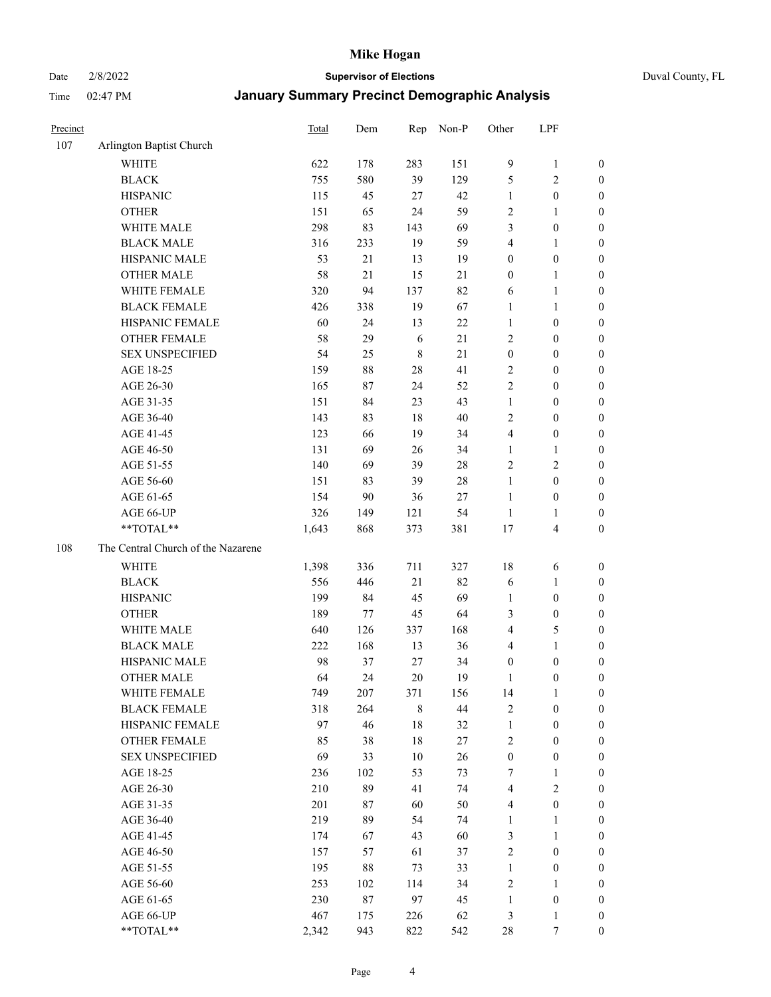Date 2/8/2022 **Supervisor of Elections** Duval County, FL

| Precinct |                                    | <b>Total</b> | Dem | Rep         | Non-P  | Other                   | LPF                     |                  |
|----------|------------------------------------|--------------|-----|-------------|--------|-------------------------|-------------------------|------------------|
| 107      | Arlington Baptist Church           |              |     |             |        |                         |                         |                  |
|          | <b>WHITE</b>                       | 622          | 178 | 283         | 151    | 9                       | $\mathbf{1}$            | 0                |
|          | <b>BLACK</b>                       | 755          | 580 | 39          | 129    | 5                       | $\mathbf{2}$            | 0                |
|          | <b>HISPANIC</b>                    | 115          | 45  | 27          | 42     | $\mathbf{1}$            | $\boldsymbol{0}$        | $\boldsymbol{0}$ |
|          | <b>OTHER</b>                       | 151          | 65  | 24          | 59     | $\overline{c}$          | $\mathbf{1}$            | $\boldsymbol{0}$ |
|          | WHITE MALE                         | 298          | 83  | 143         | 69     | 3                       | $\boldsymbol{0}$        | $\boldsymbol{0}$ |
|          | <b>BLACK MALE</b>                  | 316          | 233 | 19          | 59     | 4                       | $\mathbf{1}$            | $\boldsymbol{0}$ |
|          | HISPANIC MALE                      | 53           | 21  | 13          | 19     | $\boldsymbol{0}$        | $\boldsymbol{0}$        | $\boldsymbol{0}$ |
|          | <b>OTHER MALE</b>                  | 58           | 21  | 15          | 21     | $\boldsymbol{0}$        | $\mathbf{1}$            | $\boldsymbol{0}$ |
|          | WHITE FEMALE                       | 320          | 94  | 137         | 82     | 6                       | $\mathbf{1}$            | $\boldsymbol{0}$ |
|          | <b>BLACK FEMALE</b>                | 426          | 338 | 19          | 67     | 1                       | $\mathbf{1}$            | 0                |
|          | HISPANIC FEMALE                    | 60           | 24  | 13          | 22     | $\mathbf{1}$            | $\boldsymbol{0}$        | 0                |
|          | <b>OTHER FEMALE</b>                | 58           | 29  | 6           | 21     | $\mathbf{2}$            | $\boldsymbol{0}$        | 0                |
|          | <b>SEX UNSPECIFIED</b>             | 54           | 25  | $\,$ 8 $\,$ | 21     | $\boldsymbol{0}$        | $\boldsymbol{0}$        | $\boldsymbol{0}$ |
|          | AGE 18-25                          | 159          | 88  | $28\,$      | 41     | $\sqrt{2}$              | $\boldsymbol{0}$        | $\boldsymbol{0}$ |
|          | AGE 26-30                          | 165          | 87  | 24          | 52     | $\overline{c}$          | $\boldsymbol{0}$        | $\boldsymbol{0}$ |
|          | AGE 31-35                          | 151          | 84  | 23          | 43     | $\mathbf{1}$            | $\boldsymbol{0}$        | $\boldsymbol{0}$ |
|          | AGE 36-40                          | 143          | 83  | $18\,$      | 40     | $\overline{c}$          | $\boldsymbol{0}$        | $\boldsymbol{0}$ |
|          | AGE 41-45                          | 123          | 66  | 19          | 34     | 4                       | $\boldsymbol{0}$        | $\boldsymbol{0}$ |
|          | AGE 46-50                          | 131          | 69  | 26          | 34     | $\mathbf{1}$            | $\mathbf{1}$            | $\boldsymbol{0}$ |
|          | AGE 51-55                          | 140          | 69  | 39          | $28\,$ | $\overline{c}$          | $\sqrt{2}$              | $\boldsymbol{0}$ |
|          | AGE 56-60                          | 151          | 83  | 39          | 28     | $\mathbf{1}$            | $\boldsymbol{0}$        | 0                |
|          | AGE 61-65                          | 154          | 90  | 36          | 27     | $\mathbf{1}$            | $\boldsymbol{0}$        | 0                |
|          | AGE 66-UP                          | 326          | 149 | 121         | 54     | $\mathbf{1}$            | $\mathbf{1}$            | $\boldsymbol{0}$ |
|          | **TOTAL**                          | 1,643        | 868 | 373         | 381    | 17                      | $\overline{\mathbf{4}}$ | $\boldsymbol{0}$ |
| 108      | The Central Church of the Nazarene |              |     |             |        |                         |                         |                  |
|          | <b>WHITE</b>                       | 1,398        | 336 | 711         | 327    | 18                      | 6                       | $\boldsymbol{0}$ |
|          | <b>BLACK</b>                       | 556          | 446 | 21          | 82     | 6                       | $\mathbf{1}$            | $\boldsymbol{0}$ |
|          | <b>HISPANIC</b>                    | 199          | 84  | 45          | 69     | $\mathbf{1}$            | $\boldsymbol{0}$        | $\boldsymbol{0}$ |
|          | <b>OTHER</b>                       | 189          | 77  | 45          | 64     | 3                       | $\boldsymbol{0}$        | $\boldsymbol{0}$ |
|          | WHITE MALE                         | 640          | 126 | 337         | 168    | 4                       | $\mathfrak{S}$          | $\boldsymbol{0}$ |
|          | <b>BLACK MALE</b>                  | 222          | 168 | 13          | 36     | 4                       | $\mathbf{1}$            | $\boldsymbol{0}$ |
|          | HISPANIC MALE                      | 98           | 37  | 27          | 34     | $\boldsymbol{0}$        | $\boldsymbol{0}$        | 0                |
|          | <b>OTHER MALE</b>                  | 64           | 24  | 20          | 19     | 1                       | $\boldsymbol{0}$        | $\boldsymbol{0}$ |
|          | WHITE FEMALE                       | 749          | 207 | 371         | 156    | 14                      | 1                       | 0                |
|          | <b>BLACK FEMALE</b>                | 318          | 264 | $\,$ 8 $\,$ | 44     | $\sqrt{2}$              | $\boldsymbol{0}$        | $\boldsymbol{0}$ |
|          | HISPANIC FEMALE                    | 97           | 46  | $18\,$      | 32     | $\mathbf{1}$            | $\boldsymbol{0}$        | $\overline{0}$   |
|          | OTHER FEMALE                       | 85           | 38  | $18\,$      | 27     | $\overline{c}$          | $\boldsymbol{0}$        | $\overline{0}$   |
|          | <b>SEX UNSPECIFIED</b>             | 69           | 33  | $10\,$      | 26     | $\boldsymbol{0}$        | $\boldsymbol{0}$        | 0                |
|          | AGE 18-25                          | 236          | 102 | 53          | 73     | 7                       | $\mathbf{1}$            | 0                |
|          | AGE 26-30                          | 210          | 89  | 41          | 74     | $\overline{\mathbf{4}}$ | $\overline{2}$          | 0                |
|          | AGE 31-35                          | 201          | 87  | 60          | 50     | 4                       | $\boldsymbol{0}$        | 0                |
|          | AGE 36-40                          | 219          | 89  | 54          | 74     | $\mathbf{1}$            | $\mathbf{1}$            | 0                |
|          | AGE 41-45                          | 174          | 67  | 43          | 60     | 3                       | $\mathbf{1}$            | 0                |
|          | AGE 46-50                          | 157          | 57  | 61          | 37     | $\sqrt{2}$              | $\boldsymbol{0}$        | 0                |
|          | AGE 51-55                          | 195          | 88  | 73          | 33     | $\mathbf{1}$            | $\boldsymbol{0}$        | 0                |
|          | AGE 56-60                          | 253          | 102 | 114         | 34     | 2                       | $\mathbf{1}$            | $\overline{0}$   |
|          | AGE 61-65                          | 230          | 87  | 97          | 45     | $\mathbf{1}$            | $\boldsymbol{0}$        | $\overline{0}$   |
|          | AGE 66-UP                          | 467          | 175 | 226         | 62     | 3                       | $\mathbf{1}$            | $\boldsymbol{0}$ |
|          | **TOTAL**                          | 2,342        | 943 | 822         | 542    | 28                      | 7                       | $\boldsymbol{0}$ |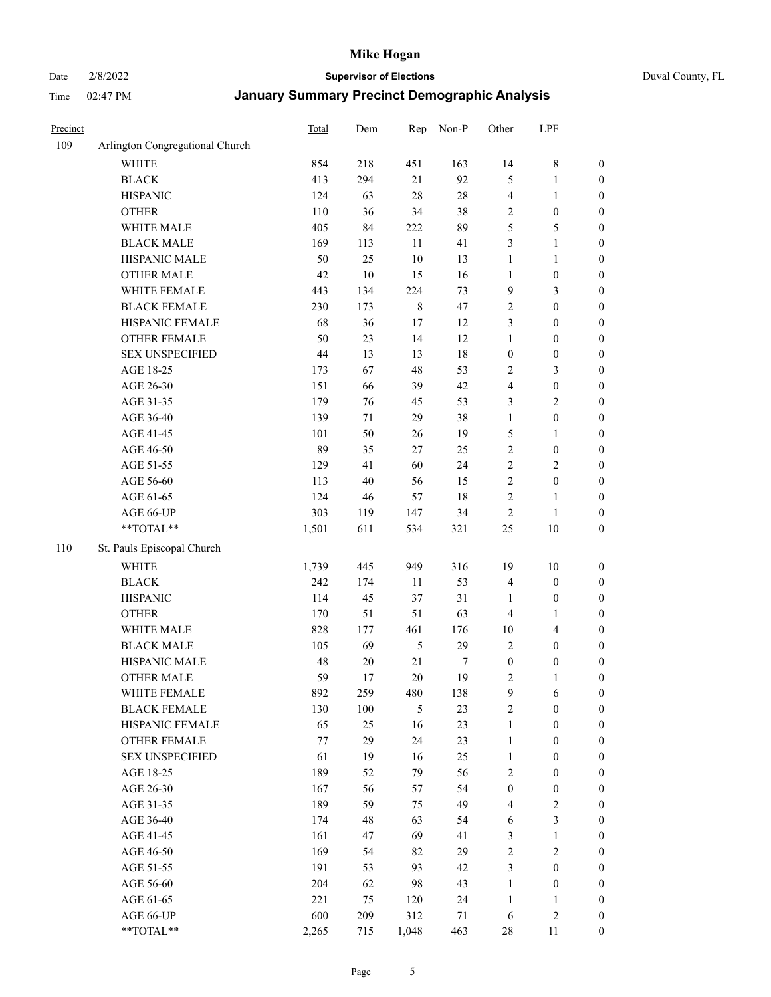# Date 2/8/2022 **Supervisor of Elections** Duval County, FL

| Precinct |                                 | Total | Dem    | Rep            | Non-P  | Other            | LPF                     |                  |
|----------|---------------------------------|-------|--------|----------------|--------|------------------|-------------------------|------------------|
| 109      | Arlington Congregational Church |       |        |                |        |                  |                         |                  |
|          | <b>WHITE</b>                    | 854   | 218    | 451            | 163    | 14               | $\,$ 8 $\,$             | 0                |
|          | <b>BLACK</b>                    | 413   | 294    | 21             | 92     | 5                | $\mathbf{1}$            | $\boldsymbol{0}$ |
|          | <b>HISPANIC</b>                 | 124   | 63     | $28\,$         | $28\,$ | 4                | $\mathbf{1}$            | $\boldsymbol{0}$ |
|          | <b>OTHER</b>                    | 110   | 36     | 34             | 38     | 2                | $\boldsymbol{0}$        | $\boldsymbol{0}$ |
|          | WHITE MALE                      | 405   | 84     | 222            | 89     | 5                | $\mathfrak{S}$          | $\boldsymbol{0}$ |
|          | <b>BLACK MALE</b>               | 169   | 113    | 11             | 41     | 3                | $\mathbf{1}$            | $\boldsymbol{0}$ |
|          | HISPANIC MALE                   | 50    | 25     | $10\,$         | 13     | $\mathbf{1}$     | $\mathbf{1}$            | $\boldsymbol{0}$ |
|          | <b>OTHER MALE</b>               | 42    | $10\,$ | 15             | 16     | $\mathbf{1}$     | $\boldsymbol{0}$        | $\boldsymbol{0}$ |
|          | WHITE FEMALE                    | 443   | 134    | 224            | 73     | 9                | $\mathfrak{Z}$          | $\boldsymbol{0}$ |
|          | <b>BLACK FEMALE</b>             | 230   | 173    | $\,$ 8 $\,$    | 47     | $\sqrt{2}$       | $\boldsymbol{0}$        | $\boldsymbol{0}$ |
|          | HISPANIC FEMALE                 | 68    | 36     | 17             | 12     | 3                | $\boldsymbol{0}$        | $\boldsymbol{0}$ |
|          | <b>OTHER FEMALE</b>             | 50    | 23     | 14             | 12     | $\mathbf{1}$     | $\boldsymbol{0}$        | $\boldsymbol{0}$ |
|          | <b>SEX UNSPECIFIED</b>          | 44    | 13     | 13             | $18\,$ | $\boldsymbol{0}$ | $\boldsymbol{0}$        | $\boldsymbol{0}$ |
|          | AGE 18-25                       | 173   | 67     | 48             | 53     | $\sqrt{2}$       | $\mathfrak{Z}$          | $\boldsymbol{0}$ |
|          | AGE 26-30                       | 151   | 66     | 39             | 42     | 4                | $\boldsymbol{0}$        | $\boldsymbol{0}$ |
|          | AGE 31-35                       | 179   | 76     | 45             | 53     | 3                | $\sqrt{2}$              | $\boldsymbol{0}$ |
|          | AGE 36-40                       | 139   | 71     | 29             | 38     | $\mathbf{1}$     | $\boldsymbol{0}$        | $\boldsymbol{0}$ |
|          | AGE 41-45                       | 101   | 50     | 26             | 19     | 5                | $\mathbf{1}$            | $\boldsymbol{0}$ |
|          | AGE 46-50                       | 89    | 35     | $27\,$         | 25     | $\sqrt{2}$       | $\boldsymbol{0}$        | $\boldsymbol{0}$ |
|          | AGE 51-55                       | 129   | 41     | 60             | 24     | $\sqrt{2}$       | $\sqrt{2}$              | $\boldsymbol{0}$ |
|          | AGE 56-60                       | 113   | 40     | 56             | 15     | $\sqrt{2}$       | $\boldsymbol{0}$        |                  |
|          | AGE 61-65                       | 124   | 46     | 57             | $18\,$ | $\sqrt{2}$       | $\mathbf{1}$            | 0<br>0           |
|          | AGE 66-UP                       | 303   | 119    | 147            | 34     | $\sqrt{2}$       | $\mathbf{1}$            | $\boldsymbol{0}$ |
|          | $**TOTAL**$                     | 1,501 | 611    | 534            | 321    | $25\,$           | $10\,$                  | $\boldsymbol{0}$ |
|          |                                 |       |        |                |        |                  |                         |                  |
| 110      | St. Pauls Episcopal Church      |       |        |                |        |                  |                         |                  |
|          | <b>WHITE</b>                    | 1,739 | 445    | 949            | 316    | 19               | $10\,$                  | $\boldsymbol{0}$ |
|          | <b>BLACK</b>                    | 242   | 174    | 11             | 53     | 4                | $\boldsymbol{0}$        | $\boldsymbol{0}$ |
|          | <b>HISPANIC</b>                 | 114   | 45     | 37             | 31     | $\mathbf{1}$     | $\boldsymbol{0}$        | $\boldsymbol{0}$ |
|          | <b>OTHER</b>                    | 170   | 51     | 51             | 63     | 4                | $\mathbf{1}$            | $\boldsymbol{0}$ |
|          | WHITE MALE                      | 828   | 177    | 461            | 176    | $10\,$           | $\overline{\mathbf{4}}$ | $\boldsymbol{0}$ |
|          | <b>BLACK MALE</b>               | 105   | 69     | $\mathfrak s$  | 29     | $\overline{2}$   | $\boldsymbol{0}$        | $\boldsymbol{0}$ |
|          | HISPANIC MALE                   | 48    | $20\,$ | 21             | 7      | $\boldsymbol{0}$ | $\boldsymbol{0}$        | $\boldsymbol{0}$ |
|          | <b>OTHER MALE</b>               | 59    | 17     | $20\,$         | 19     | $\overline{c}$   | $\mathbf{1}$            | $\boldsymbol{0}$ |
|          | WHITE FEMALE                    | 892   | 259    | 480            | 138    | 9                | 6                       | 0                |
|          | <b>BLACK FEMALE</b>             | 130   | 100    | $\mathfrak{H}$ | 23     | $\sqrt{2}$       | $\boldsymbol{0}$        | $\boldsymbol{0}$ |
|          | HISPANIC FEMALE                 | 65    | 25     | 16             | 23     | $\mathbf{1}$     | $\boldsymbol{0}$        | $\overline{0}$   |
|          | OTHER FEMALE                    | 77    | 29     | 24             | 23     | $\mathbf{1}$     | $\boldsymbol{0}$        | $\overline{0}$   |
|          | <b>SEX UNSPECIFIED</b>          | 61    | 19     | 16             | 25     | $\mathbf{1}$     | $\boldsymbol{0}$        | 0                |
|          | AGE 18-25                       | 189   | 52     | 79             | 56     | $\overline{c}$   | $\boldsymbol{0}$        | $\overline{0}$   |
|          | AGE 26-30                       | 167   | 56     | 57             | 54     | $\boldsymbol{0}$ | $\boldsymbol{0}$        | 0                |
|          | AGE 31-35                       | 189   | 59     | 75             | 49     | 4                | $\sqrt{2}$              | 0                |
|          | AGE 36-40                       | 174   | 48     | 63             | 54     | 6                | $\mathfrak{Z}$          | 0                |
|          | AGE 41-45                       | 161   | 47     | 69             | 41     | 3                | $\mathbf{1}$            | 0                |
|          | AGE 46-50                       | 169   | 54     | 82             | 29     | $\sqrt{2}$       | $\sqrt{2}$              | 0                |
|          | AGE 51-55                       | 191   | 53     | 93             | 42     | 3                | $\boldsymbol{0}$        | $\overline{0}$   |
|          | AGE 56-60                       | 204   | 62     | 98             | 43     | $\mathbf{1}$     | $\boldsymbol{0}$        | $\boldsymbol{0}$ |
|          | AGE 61-65                       | 221   | 75     | 120            | 24     | $\mathbf{1}$     | $\mathbf{1}$            | $\overline{0}$   |
|          | AGE 66-UP                       | 600   | 209    | 312            | 71     | 6                | $\sqrt{2}$              | $\boldsymbol{0}$ |
|          | **TOTAL**                       | 2,265 | 715    | 1,048          | 463    | 28               | 11                      | $\boldsymbol{0}$ |
|          |                                 |       |        |                |        |                  |                         |                  |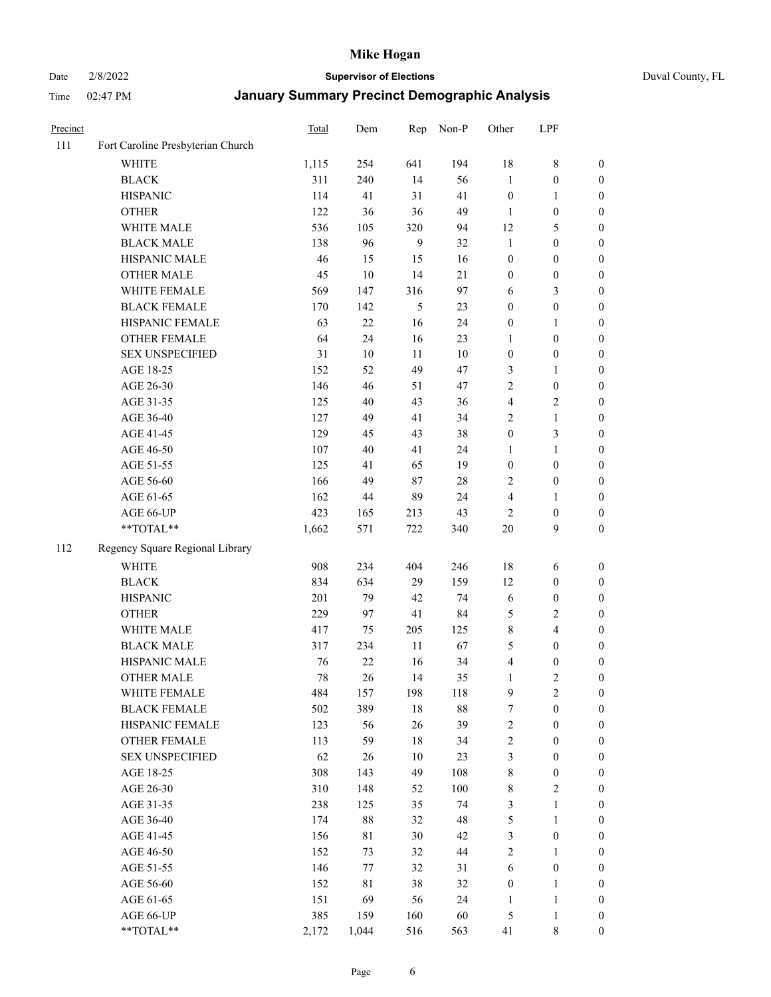Date 2/8/2022 **Supervisor of Elections** Duval County, FL

| Precinct |                                   | Total | Dem         | Rep          | Non-P  | Other            | LPF              |                  |
|----------|-----------------------------------|-------|-------------|--------------|--------|------------------|------------------|------------------|
| 111      | Fort Caroline Presbyterian Church |       |             |              |        |                  |                  |                  |
|          | <b>WHITE</b>                      | 1,115 | 254         | 641          | 194    | 18               | $8\,$            | 0                |
|          | <b>BLACK</b>                      | 311   | 240         | 14           | 56     | $\mathbf{1}$     | $\boldsymbol{0}$ | 0                |
|          | <b>HISPANIC</b>                   | 114   | 41          | 31           | 41     | $\boldsymbol{0}$ | $\mathbf{1}$     | $\boldsymbol{0}$ |
|          | <b>OTHER</b>                      | 122   | 36          | 36           | 49     | 1                | $\boldsymbol{0}$ | $\boldsymbol{0}$ |
|          | WHITE MALE                        | 536   | 105         | 320          | 94     | 12               | 5                | $\boldsymbol{0}$ |
|          | <b>BLACK MALE</b>                 | 138   | 96          | $\mathbf{9}$ | 32     | $\mathbf{1}$     | $\boldsymbol{0}$ | $\boldsymbol{0}$ |
|          | HISPANIC MALE                     | 46    | 15          | 15           | 16     | $\boldsymbol{0}$ | $\boldsymbol{0}$ | $\boldsymbol{0}$ |
|          | <b>OTHER MALE</b>                 | 45    | 10          | 14           | 21     | $\boldsymbol{0}$ | $\boldsymbol{0}$ | $\boldsymbol{0}$ |
|          | WHITE FEMALE                      | 569   | 147         | 316          | 97     | 6                | $\mathfrak{Z}$   | $\boldsymbol{0}$ |
|          | <b>BLACK FEMALE</b>               | 170   | 142         | 5            | 23     | $\boldsymbol{0}$ | $\boldsymbol{0}$ | 0                |
|          | HISPANIC FEMALE                   | 63    | $22\,$      | 16           | 24     | $\boldsymbol{0}$ | $\mathbf{1}$     | 0                |
|          | OTHER FEMALE                      | 64    | 24          | 16           | 23     | $\mathbf{1}$     | $\boldsymbol{0}$ | $\boldsymbol{0}$ |
|          | <b>SEX UNSPECIFIED</b>            | 31    | $10\,$      | 11           | 10     | $\boldsymbol{0}$ | $\boldsymbol{0}$ | $\boldsymbol{0}$ |
|          | AGE 18-25                         | 152   | 52          | 49           | 47     | 3                | 1                | $\boldsymbol{0}$ |
|          | AGE 26-30                         | 146   | 46          | 51           | 47     | 2                | $\boldsymbol{0}$ | $\boldsymbol{0}$ |
|          | AGE 31-35                         | 125   | 40          | 43           | 36     | 4                | $\sqrt{2}$       | $\boldsymbol{0}$ |
|          | AGE 36-40                         | 127   | 49          | 41           | 34     | 2                | $\mathbf{1}$     | $\boldsymbol{0}$ |
|          | AGE 41-45                         | 129   | 45          | 43           | 38     | $\boldsymbol{0}$ | 3                | $\boldsymbol{0}$ |
|          | AGE 46-50                         | 107   | $40\,$      | 41           | 24     | 1                | $\mathbf{1}$     | $\boldsymbol{0}$ |
|          | AGE 51-55                         | 125   | 41          | 65           | 19     | $\boldsymbol{0}$ | $\boldsymbol{0}$ | 0                |
|          | AGE 56-60                         | 166   | 49          | 87           | 28     | 2                | $\boldsymbol{0}$ | 0                |
|          | AGE 61-65                         | 162   | 44          | 89           | 24     | 4                | $\mathbf{1}$     | 0                |
|          | AGE 66-UP                         | 423   | 165         | 213          | 43     | $\overline{c}$   | $\boldsymbol{0}$ | $\boldsymbol{0}$ |
|          | **TOTAL**                         | 1,662 | 571         | 722          | 340    | 20               | 9                | $\boldsymbol{0}$ |
| 112      | Regency Square Regional Library   |       |             |              |        |                  |                  |                  |
|          | <b>WHITE</b>                      | 908   | 234         | 404          | 246    | 18               | 6                | $\boldsymbol{0}$ |
|          | <b>BLACK</b>                      | 834   | 634         | 29           | 159    | 12               | $\boldsymbol{0}$ | $\boldsymbol{0}$ |
|          | <b>HISPANIC</b>                   | 201   | 79          | 42           | 74     | 6                | $\boldsymbol{0}$ | $\boldsymbol{0}$ |
|          | <b>OTHER</b>                      | 229   | 97          | 41           | 84     | 5                | $\sqrt{2}$       | $\boldsymbol{0}$ |
|          | WHITE MALE                        | 417   | 75          | 205          | 125    | 8                | $\overline{4}$   | $\boldsymbol{0}$ |
|          | <b>BLACK MALE</b>                 | 317   | 234         | 11           | 67     | 5                | $\boldsymbol{0}$ | $\boldsymbol{0}$ |
|          | HISPANIC MALE                     | 76    | 22          | 16           | 34     | 4                | $\boldsymbol{0}$ | $\boldsymbol{0}$ |
|          | <b>OTHER MALE</b>                 | 78    | 26          | 14           | 35     | $\mathbf{1}$     | $\mathbf{2}$     | $\boldsymbol{0}$ |
|          | WHITE FEMALE                      | 484   | 157         | 198          | 118    | 9                | 2                | 0                |
|          | <b>BLACK FEMALE</b>               | 502   | 389         | 18           | $88\,$ | 7                | $\boldsymbol{0}$ | $\boldsymbol{0}$ |
|          | HISPANIC FEMALE                   | 123   | 56          | 26           | 39     | $\overline{c}$   | $\boldsymbol{0}$ | $\overline{0}$   |
|          | OTHER FEMALE                      | 113   | 59          | 18           | 34     | 2                | $\boldsymbol{0}$ | $\overline{0}$   |
|          | <b>SEX UNSPECIFIED</b>            | 62    | 26          | 10           | 23     | 3                | $\boldsymbol{0}$ | 0                |
|          | AGE 18-25                         | 308   | 143         | 49           | 108    | $\,$ 8 $\,$      | $\boldsymbol{0}$ | 0                |
|          | AGE 26-30                         | 310   | 148         | 52           | 100    | 8                | $\overline{2}$   | 0                |
|          | AGE 31-35                         | 238   | 125         | 35           | 74     | 3                | $\mathbf{1}$     | 0                |
|          | AGE 36-40                         | 174   | $88\,$      | 32           | 48     | 5                | $\mathbf{1}$     | 0                |
|          | AGE 41-45                         | 156   | 81          | 30           | 42     | 3                | $\boldsymbol{0}$ | 0                |
|          | AGE 46-50                         | 152   | 73          | 32           | 44     | 2                | $\mathbf{1}$     | 0                |
|          | AGE 51-55                         | 146   | 77          | 32           | 31     | 6                | $\boldsymbol{0}$ | 0                |
|          | AGE 56-60                         | 152   | $8\sqrt{1}$ | 38           | 32     | $\boldsymbol{0}$ | $\mathbf{1}$     | $\overline{0}$   |
|          | AGE 61-65                         | 151   | 69          | 56           | 24     | 1                | $\mathbf{1}$     | $\overline{0}$   |
|          | AGE 66-UP                         | 385   | 159         | 160          | 60     | 5                | $\mathbf{1}$     | $\boldsymbol{0}$ |
|          | **TOTAL**                         | 2,172 | 1,044       | 516          | 563    | 41               | 8                | $\boldsymbol{0}$ |
|          |                                   |       |             |              |        |                  |                  |                  |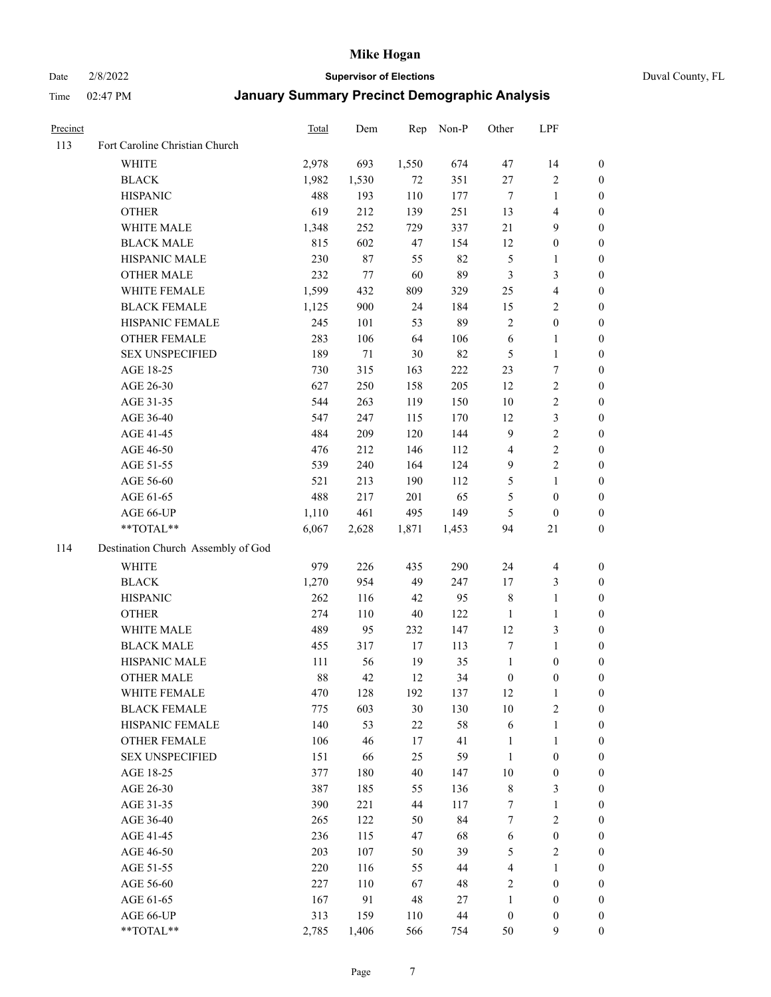Date 2/8/2022 **Supervisor of Elections** Duval County, FL

| Precinct |                                    | Total | Dem    | Rep    | Non-P | Other            | LPF                     |                  |
|----------|------------------------------------|-------|--------|--------|-------|------------------|-------------------------|------------------|
| 113      | Fort Caroline Christian Church     |       |        |        |       |                  |                         |                  |
|          | <b>WHITE</b>                       | 2,978 | 693    | 1,550  | 674   | 47               | 14                      | 0                |
|          | <b>BLACK</b>                       | 1,982 | 1,530  | 72     | 351   | 27               | $\sqrt{2}$              | 0                |
|          | <b>HISPANIC</b>                    | 488   | 193    | 110    | 177   | $\tau$           | $\mathbf{1}$            | $\boldsymbol{0}$ |
|          | <b>OTHER</b>                       | 619   | 212    | 139    | 251   | 13               | $\overline{\mathbf{4}}$ | $\boldsymbol{0}$ |
|          | WHITE MALE                         | 1,348 | 252    | 729    | 337   | 21               | 9                       | $\boldsymbol{0}$ |
|          | <b>BLACK MALE</b>                  | 815   | 602    | 47     | 154   | 12               | $\boldsymbol{0}$        | $\boldsymbol{0}$ |
|          | HISPANIC MALE                      | 230   | 87     | 55     | 82    | $\mathfrak{S}$   | $\mathbf{1}$            | $\boldsymbol{0}$ |
|          | <b>OTHER MALE</b>                  | 232   | 77     | 60     | 89    | $\mathfrak{Z}$   | $\mathfrak{Z}$          | $\boldsymbol{0}$ |
|          | WHITE FEMALE                       | 1,599 | 432    | 809    | 329   | 25               | $\overline{4}$          | $\boldsymbol{0}$ |
|          | <b>BLACK FEMALE</b>                | 1,125 | 900    | 24     | 184   | 15               | $\sqrt{2}$              | 0                |
|          | HISPANIC FEMALE                    | 245   | 101    | 53     | 89    | $\overline{c}$   | $\boldsymbol{0}$        | 0                |
|          | OTHER FEMALE                       | 283   | 106    | 64     | 106   | $\sqrt{6}$       | $\mathbf{1}$            | 0                |
|          | <b>SEX UNSPECIFIED</b>             | 189   | $71\,$ | $30\,$ | 82    | $\mathfrak{S}$   | $\mathbf{1}$            | $\boldsymbol{0}$ |
|          | AGE 18-25                          | 730   | 315    | 163    | 222   | 23               | $\boldsymbol{7}$        | $\boldsymbol{0}$ |
|          | AGE 26-30                          | 627   | 250    | 158    | 205   | 12               | $\sqrt{2}$              | $\boldsymbol{0}$ |
|          | AGE 31-35                          | 544   | 263    | 119    | 150   | $10\,$           | $\sqrt{2}$              | $\boldsymbol{0}$ |
|          | AGE 36-40                          | 547   | 247    | 115    | 170   | 12               | $\mathfrak{Z}$          | $\boldsymbol{0}$ |
|          | AGE 41-45                          | 484   | 209    | 120    | 144   | $\overline{9}$   | $\sqrt{2}$              | $\boldsymbol{0}$ |
|          | AGE 46-50                          | 476   | 212    | 146    | 112   | $\overline{4}$   | $\sqrt{2}$              | $\boldsymbol{0}$ |
|          | AGE 51-55                          | 539   | 240    | 164    | 124   | $\overline{9}$   | $\sqrt{2}$              | 0                |
|          | AGE 56-60                          | 521   | 213    | 190    | 112   | 5                | $\mathbf{1}$            | 0                |
|          | AGE 61-65                          | 488   | 217    | 201    | 65    | $\mathfrak s$    | $\boldsymbol{0}$        | 0                |
|          | AGE 66-UP                          | 1,110 | 461    | 495    | 149   | $\mathfrak{S}$   | $\boldsymbol{0}$        | $\boldsymbol{0}$ |
|          | $**TOTAL**$                        | 6,067 | 2,628  | 1,871  | 1,453 | 94               | 21                      | $\boldsymbol{0}$ |
| 114      | Destination Church Assembly of God |       |        |        |       |                  |                         |                  |
|          | <b>WHITE</b>                       | 979   | 226    | 435    | 290   | 24               | $\overline{\mathbf{4}}$ | $\boldsymbol{0}$ |
|          | <b>BLACK</b>                       | 1,270 | 954    | 49     | 247   | 17               | $\mathfrak{Z}$          | $\boldsymbol{0}$ |
|          | <b>HISPANIC</b>                    | 262   | 116    | $42\,$ | 95    | 8                | $\mathbf{1}$            | $\boldsymbol{0}$ |
|          | <b>OTHER</b>                       | 274   | 110    | $40\,$ | 122   | $\mathbf{1}$     | $\mathbf{1}$            | $\boldsymbol{0}$ |
|          | WHITE MALE                         | 489   | 95     | 232    | 147   | 12               | $\mathfrak{Z}$          | $\boldsymbol{0}$ |
|          | <b>BLACK MALE</b>                  | 455   | 317    | 17     | 113   | 7                | $\mathbf{1}$            | $\boldsymbol{0}$ |
|          | HISPANIC MALE                      | 111   | 56     | 19     | 35    | $\mathbf{1}$     | $\boldsymbol{0}$        | 0                |
|          | <b>OTHER MALE</b>                  | 88    | 42     | 12     | 34    | $\boldsymbol{0}$ | $\boldsymbol{0}$        | 0                |
|          | WHITE FEMALE                       | 470   | 128    | 192    | 137   | 12               | 1                       | 0                |
|          | <b>BLACK FEMALE</b>                | 775   | 603    | $30\,$ | 130   | 10               | $\sqrt{2}$              | $\overline{0}$   |
|          | HISPANIC FEMALE                    | 140   | 53     | $22\,$ | 58    | 6                | $\mathbf{1}$            | $\overline{0}$   |
|          | OTHER FEMALE                       | 106   | 46     | 17     | 41    | $\mathbf{1}$     | $\mathbf{1}$            | $\overline{0}$   |
|          | <b>SEX UNSPECIFIED</b>             | 151   | 66     | 25     | 59    | $\mathbf{1}$     | $\boldsymbol{0}$        | 0                |
|          | AGE 18-25                          | 377   | 180    | $40\,$ | 147   | 10               | $\boldsymbol{0}$        | 0                |
|          | AGE 26-30                          | 387   | 185    | 55     | 136   | $\,$ 8 $\,$      | $\mathfrak{Z}$          | 0                |
|          | AGE 31-35                          | 390   | 221    | 44     | 117   | 7                | $\mathbf{1}$            | 0                |
|          | AGE 36-40                          | 265   | 122    | 50     | 84    | 7                | $\sqrt{2}$              | 0                |
|          | AGE 41-45                          | 236   | 115    | 47     | 68    | 6                | $\boldsymbol{0}$        | 0                |
|          | AGE 46-50                          | 203   | 107    | 50     | 39    | 5                | $\sqrt{2}$              | 0                |
|          | AGE 51-55                          | 220   | 116    | 55     | 44    | 4                | $\mathbf{1}$            | 0                |
|          | AGE 56-60                          | 227   | 110    | 67     | 48    | 2                | $\boldsymbol{0}$        | $\overline{0}$   |
|          | AGE 61-65                          | 167   | 91     | 48     | 27    | $\mathbf{1}$     | $\boldsymbol{0}$        | $\overline{0}$   |
|          | AGE 66-UP                          | 313   | 159    | 110    | 44    | $\boldsymbol{0}$ | $\boldsymbol{0}$        | 0                |
|          | **TOTAL**                          | 2,785 | 1,406  | 566    | 754   | 50               | $\mathbf{9}$            | $\boldsymbol{0}$ |
|          |                                    |       |        |        |       |                  |                         |                  |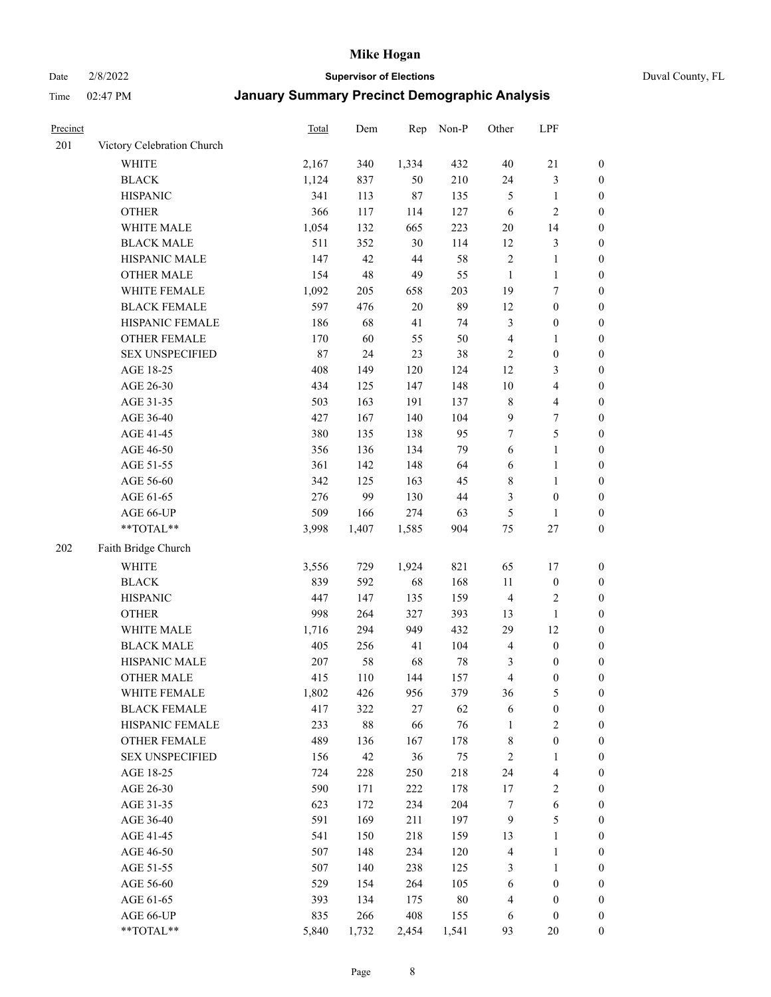Date 2/8/2022 **Supervisor of Elections** Duval County, FL

| Precinct |                            | Total | Dem    | Rep    | Non-P  | Other          | LPF                     |                  |
|----------|----------------------------|-------|--------|--------|--------|----------------|-------------------------|------------------|
| 201      | Victory Celebration Church |       |        |        |        |                |                         |                  |
|          | <b>WHITE</b>               | 2,167 | 340    | 1,334  | 432    | $40\,$         | $21\,$                  | 0                |
|          | <b>BLACK</b>               | 1,124 | 837    | 50     | 210    | 24             | $\mathfrak{Z}$          | $\boldsymbol{0}$ |
|          | <b>HISPANIC</b>            | 341   | 113    | $87\,$ | 135    | $\mathfrak{S}$ | $\mathbf{1}$            | $\boldsymbol{0}$ |
|          | <b>OTHER</b>               | 366   | 117    | 114    | 127    | 6              | $\sqrt{2}$              | $\boldsymbol{0}$ |
|          | WHITE MALE                 | 1,054 | 132    | 665    | 223    | $20\,$         | 14                      | $\boldsymbol{0}$ |
|          | <b>BLACK MALE</b>          | 511   | 352    | 30     | 114    | 12             | $\mathfrak{Z}$          | $\boldsymbol{0}$ |
|          | HISPANIC MALE              | 147   | 42     | $44\,$ | 58     | $\sqrt{2}$     | $\mathbf{1}$            | $\boldsymbol{0}$ |
|          | <b>OTHER MALE</b>          | 154   | 48     | 49     | 55     | $\mathbf{1}$   | $\mathbf{1}$            | $\boldsymbol{0}$ |
|          | WHITE FEMALE               | 1,092 | 205    | 658    | 203    | 19             | $\boldsymbol{7}$        | $\boldsymbol{0}$ |
|          | <b>BLACK FEMALE</b>        | 597   | 476    | $20\,$ | 89     | 12             | $\boldsymbol{0}$        | $\boldsymbol{0}$ |
|          | HISPANIC FEMALE            | 186   | 68     | 41     | 74     | 3              | $\boldsymbol{0}$        | 0                |
|          | OTHER FEMALE               | 170   | 60     | 55     | 50     | $\overline{4}$ | $\mathbf{1}$            | $\boldsymbol{0}$ |
|          | <b>SEX UNSPECIFIED</b>     | 87    | 24     | 23     | 38     | $\sqrt{2}$     | $\boldsymbol{0}$        | $\boldsymbol{0}$ |
|          | AGE 18-25                  | 408   | 149    | 120    | 124    | 12             | $\mathfrak{Z}$          | $\boldsymbol{0}$ |
|          | AGE 26-30                  | 434   | 125    | 147    | 148    | 10             | $\overline{\mathbf{4}}$ | $\boldsymbol{0}$ |
|          | AGE 31-35                  | 503   | 163    | 191    | 137    | $\,8\,$        | $\overline{\mathbf{4}}$ | $\boldsymbol{0}$ |
|          | AGE 36-40                  | 427   | 167    | 140    | 104    | 9              | $\boldsymbol{7}$        | $\boldsymbol{0}$ |
|          | AGE 41-45                  | 380   | 135    | 138    | 95     | $\tau$         | $\mathfrak s$           | $\boldsymbol{0}$ |
|          | AGE 46-50                  | 356   | 136    | 134    | 79     | 6              | $\mathbf{1}$            | $\boldsymbol{0}$ |
|          | AGE 51-55                  | 361   | 142    | 148    | 64     | 6              | $\mathbf{1}$            | 0                |
|          | AGE 56-60                  | 342   | 125    | 163    | 45     | 8              | $\mathbf{1}$            | 0                |
|          | AGE 61-65                  | 276   | 99     | 130    | $44\,$ | 3              | $\boldsymbol{0}$        | 0                |
|          | AGE 66-UP                  | 509   | 166    | 274    | 63     | 5              | $\mathbf{1}$            | $\boldsymbol{0}$ |
|          | $**TOTAL**$                | 3,998 | 1,407  | 1,585  | 904    | $75\,$         | $27\,$                  | $\boldsymbol{0}$ |
| 202      | Faith Bridge Church        |       |        |        |        |                |                         |                  |
|          | <b>WHITE</b>               | 3,556 | 729    | 1,924  | 821    | 65             | 17                      | $\boldsymbol{0}$ |
|          | <b>BLACK</b>               | 839   | 592    | 68     | 168    | 11             | $\boldsymbol{0}$        | $\boldsymbol{0}$ |
|          | <b>HISPANIC</b>            | 447   | 147    | 135    | 159    | $\overline{4}$ | $\sqrt{2}$              | $\boldsymbol{0}$ |
|          | <b>OTHER</b>               | 998   | 264    | 327    | 393    | 13             | $\mathbf{1}$            | $\boldsymbol{0}$ |
|          | WHITE MALE                 | 1,716 | 294    | 949    | 432    | 29             | 12                      | $\boldsymbol{0}$ |
|          | <b>BLACK MALE</b>          | 405   | 256    | 41     | 104    | $\overline{4}$ | $\boldsymbol{0}$        | $\boldsymbol{0}$ |
|          | HISPANIC MALE              | 207   | 58     | 68     | $78\,$ | 3              | $\boldsymbol{0}$        | 0                |
|          | <b>OTHER MALE</b>          | 415   | 110    | 144    | 157    | 4              | $\boldsymbol{0}$        | $\boldsymbol{0}$ |
|          | WHITE FEMALE               | 1,802 | 426    | 956    | 379    | 36             | 5                       | 0                |
|          | <b>BLACK FEMALE</b>        | 417   | 322    | $27\,$ | 62     | 6              | $\boldsymbol{0}$        | $\boldsymbol{0}$ |
|          | HISPANIC FEMALE            | 233   | $88\,$ | 66     | 76     | $\mathbf{1}$   | $\sqrt{2}$              | $\overline{0}$   |
|          | <b>OTHER FEMALE</b>        | 489   | 136    | 167    | 178    | 8              | $\boldsymbol{0}$        | $\overline{0}$   |
|          | <b>SEX UNSPECIFIED</b>     | 156   | 42     | 36     | 75     | $\overline{c}$ | $\mathbf{1}$            | 0                |
|          | AGE 18-25                  | 724   | 228    | 250    | 218    | 24             | $\overline{\mathbf{4}}$ | 0                |
|          | AGE 26-30                  | 590   | 171    | 222    | 178    | 17             | $\sqrt{2}$              | 0                |
|          | AGE 31-35                  | 623   | 172    | 234    | 204    | 7              | $\sqrt{6}$              | 0                |
|          | AGE 36-40                  | 591   | 169    | 211    | 197    | $\overline{9}$ | $\mathfrak s$           | 0                |
|          | AGE 41-45                  | 541   | 150    | 218    | 159    | 13             | $\mathbf{1}$            | 0                |
|          | AGE 46-50                  | 507   | 148    | 234    | 120    | $\overline{4}$ | $\mathbf{1}$            | 0                |
|          | AGE 51-55                  | 507   | 140    | 238    | 125    | 3              | $\mathbf{1}$            | 0                |
|          | AGE 56-60                  | 529   | 154    | 264    | 105    | 6              | $\boldsymbol{0}$        | $\boldsymbol{0}$ |
|          | AGE 61-65                  | 393   | 134    | 175    | $80\,$ | 4              | $\boldsymbol{0}$        | $\boldsymbol{0}$ |
|          | AGE 66-UP                  | 835   | 266    | 408    | 155    | 6              | $\boldsymbol{0}$        | 0                |
|          | **TOTAL**                  | 5,840 | 1,732  | 2,454  | 1,541  | 93             | 20                      | $\boldsymbol{0}$ |
|          |                            |       |        |        |        |                |                         |                  |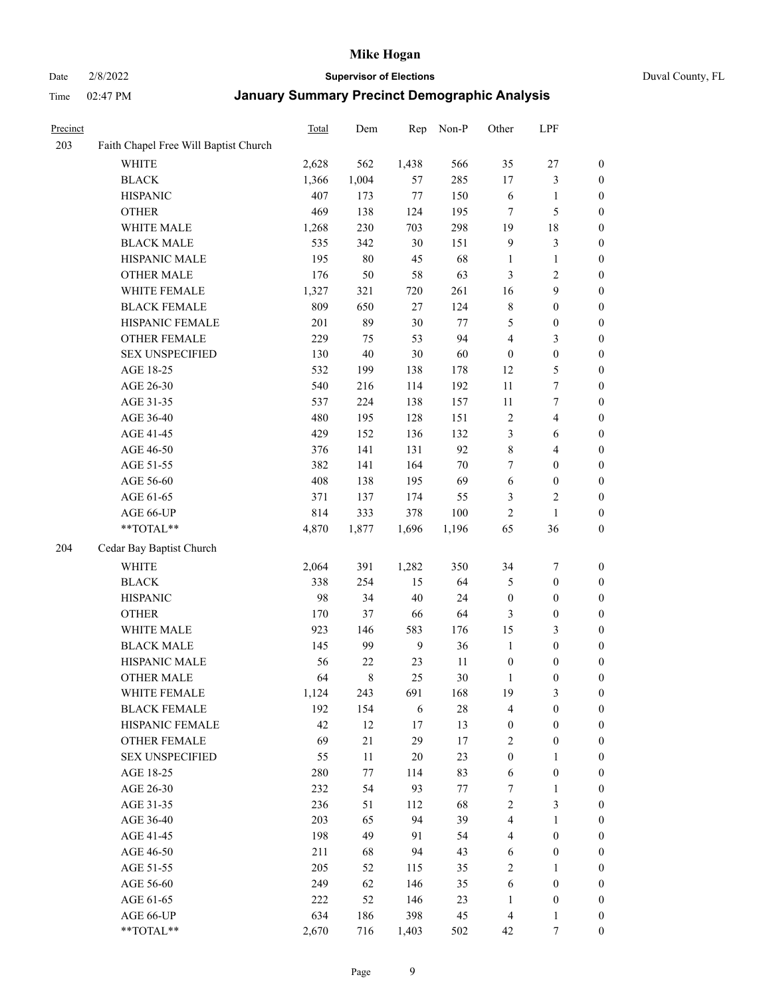#### Date 2/8/2022 **Supervisor of Elections** Duval County, FL

| Precinct |                                       | Total | Dem    | Rep            | Non-P  | Other                   | LPF                     |                  |
|----------|---------------------------------------|-------|--------|----------------|--------|-------------------------|-------------------------|------------------|
| 203      | Faith Chapel Free Will Baptist Church |       |        |                |        |                         |                         |                  |
|          | <b>WHITE</b>                          | 2,628 | 562    | 1,438          | 566    | 35                      | $27\,$                  | $\boldsymbol{0}$ |
|          | <b>BLACK</b>                          | 1,366 | 1,004  | 57             | 285    | $17$                    | $\mathfrak{Z}$          | $\boldsymbol{0}$ |
|          | <b>HISPANIC</b>                       | 407   | 173    | $77 \,$        | 150    | 6                       | 1                       | $\boldsymbol{0}$ |
|          | <b>OTHER</b>                          | 469   | 138    | 124            | 195    | 7                       | $\mathfrak{S}$          | $\boldsymbol{0}$ |
|          | WHITE MALE                            | 1,268 | 230    | 703            | 298    | 19                      | 18                      | $\boldsymbol{0}$ |
|          | <b>BLACK MALE</b>                     | 535   | 342    | 30             | 151    | $\overline{9}$          | $\mathfrak{Z}$          | $\boldsymbol{0}$ |
|          | HISPANIC MALE                         | 195   | $80\,$ | 45             | 68     | $\mathbf{1}$            | $\mathbf{1}$            | $\boldsymbol{0}$ |
|          | <b>OTHER MALE</b>                     | 176   | 50     | 58             | 63     | 3                       | $\sqrt{2}$              | $\boldsymbol{0}$ |
|          | WHITE FEMALE                          | 1,327 | 321    | 720            | 261    | 16                      | $\boldsymbol{9}$        | $\boldsymbol{0}$ |
|          | <b>BLACK FEMALE</b>                   | 809   | 650    | 27             | 124    | 8                       | $\boldsymbol{0}$        | 0                |
|          | HISPANIC FEMALE                       | 201   | 89     | $30\,$         | 77     | 5                       | $\boldsymbol{0}$        | $\boldsymbol{0}$ |
|          | OTHER FEMALE                          | 229   | 75     | 53             | 94     | 4                       | $\mathfrak{Z}$          | $\boldsymbol{0}$ |
|          | <b>SEX UNSPECIFIED</b>                | 130   | 40     | $30\,$         | 60     | $\boldsymbol{0}$        | $\boldsymbol{0}$        | $\boldsymbol{0}$ |
|          | AGE 18-25                             | 532   | 199    | 138            | 178    | 12                      | $\mathfrak{S}$          | $\boldsymbol{0}$ |
|          | AGE 26-30                             | 540   | 216    | 114            | 192    | 11                      | $\boldsymbol{7}$        | $\boldsymbol{0}$ |
|          | AGE 31-35                             | 537   | 224    | 138            | 157    | 11                      | $\boldsymbol{7}$        | $\boldsymbol{0}$ |
|          | AGE 36-40                             | 480   | 195    | 128            | 151    | $\overline{c}$          | $\overline{\mathbf{4}}$ | $\boldsymbol{0}$ |
|          | AGE 41-45                             | 429   | 152    | 136            | 132    | 3                       | 6                       | $\boldsymbol{0}$ |
|          | AGE 46-50                             | 376   | 141    | 131            | 92     | $\,$ $\,$               | $\overline{4}$          | $\boldsymbol{0}$ |
|          | AGE 51-55                             | 382   | 141    | 164            | 70     | 7                       | $\boldsymbol{0}$        | 0                |
|          | AGE 56-60                             | 408   | 138    | 195            | 69     | $\sqrt{6}$              | $\boldsymbol{0}$        | $\boldsymbol{0}$ |
|          | AGE 61-65                             | 371   | 137    | 174            | 55     | 3                       | $\sqrt{2}$              | $\boldsymbol{0}$ |
|          | AGE 66-UP                             | 814   | 333    | 378            | 100    | $\overline{c}$          | $\mathbf{1}$            | $\boldsymbol{0}$ |
|          | $**TOTAL**$                           | 4,870 | 1,877  | 1,696          | 1,196  | 65                      | 36                      | $\boldsymbol{0}$ |
| 204      | Cedar Bay Baptist Church              |       |        |                |        |                         |                         |                  |
|          | <b>WHITE</b>                          | 2,064 | 391    | 1,282          | 350    | 34                      | $\boldsymbol{7}$        | $\boldsymbol{0}$ |
|          | <b>BLACK</b>                          | 338   | 254    | 15             | 64     | 5                       | $\boldsymbol{0}$        | $\boldsymbol{0}$ |
|          | <b>HISPANIC</b>                       | 98    | 34     | $40\,$         | 24     | $\boldsymbol{0}$        | $\boldsymbol{0}$        | $\boldsymbol{0}$ |
|          | <b>OTHER</b>                          | 170   | 37     | 66             | 64     | 3                       | $\boldsymbol{0}$        | $\boldsymbol{0}$ |
|          | WHITE MALE                            | 923   | 146    | 583            | 176    | 15                      | $\mathfrak{Z}$          | $\boldsymbol{0}$ |
|          | <b>BLACK MALE</b>                     | 145   | 99     | $\overline{9}$ | 36     | $\mathbf{1}$            | $\boldsymbol{0}$        | $\boldsymbol{0}$ |
|          | HISPANIC MALE                         | 56    | 22     | 23             | 11     | $\boldsymbol{0}$        | $\boldsymbol{0}$        | 0                |
|          | <b>OTHER MALE</b>                     | 64    | 8      | 25             | 30     | $\mathbf{1}$            | $\boldsymbol{0}$        | $\boldsymbol{0}$ |
|          | WHITE FEMALE                          | 1,124 | 243    | 691            | 168    | 19                      | 3                       | $\overline{0}$   |
|          | <b>BLACK FEMALE</b>                   | 192   | 154    | 6              | $28\,$ | 4                       | $\boldsymbol{0}$        | $\overline{0}$   |
|          | HISPANIC FEMALE                       | 42    | 12     | $17\,$         | 13     | $\boldsymbol{0}$        | $\boldsymbol{0}$        | $\overline{0}$   |
|          | <b>OTHER FEMALE</b>                   | 69    | 21     | 29             | 17     | $\overline{c}$          | $\boldsymbol{0}$        | 0                |
|          | <b>SEX UNSPECIFIED</b>                | 55    | 11     | 20             | 23     | $\boldsymbol{0}$        | $\mathbf{1}$            | 0                |
|          | AGE 18-25                             | 280   | 77     | 114            | 83     | 6                       | $\boldsymbol{0}$        | 0                |
|          | AGE 26-30                             | 232   | 54     | 93             | $77\,$ | 7                       | $\mathbf{1}$            | 0                |
|          | AGE 31-35                             | 236   | 51     | 112            | 68     | $\sqrt{2}$              | $\mathfrak{Z}$          | 0                |
|          | AGE 36-40                             | 203   | 65     | 94             | 39     | $\overline{\mathbf{4}}$ | $\mathbf{1}$            | 0                |
|          | AGE 41-45                             | 198   | 49     | 91             | 54     | 4                       | $\boldsymbol{0}$        | 0                |
|          | AGE 46-50                             | 211   | 68     | 94             | 43     | 6                       | $\boldsymbol{0}$        | 0                |
|          | AGE 51-55                             | 205   | 52     | 115            | 35     | $\mathfrak{2}$          | $\mathbf{1}$            | $\boldsymbol{0}$ |
|          | AGE 56-60                             | 249   | 62     | 146            | 35     | 6                       | $\boldsymbol{0}$        | $\boldsymbol{0}$ |
|          | AGE 61-65                             | 222   | 52     | 146            | 23     | $\mathbf{1}$            | $\boldsymbol{0}$        | 0                |
|          | AGE 66-UP                             | 634   | 186    | 398            | 45     | $\overline{4}$          | $\mathbf{1}$            | 0                |
|          | **TOTAL**                             | 2,670 | 716    | 1,403          | 502    | 42                      | 7                       | $\boldsymbol{0}$ |
|          |                                       |       |        |                |        |                         |                         |                  |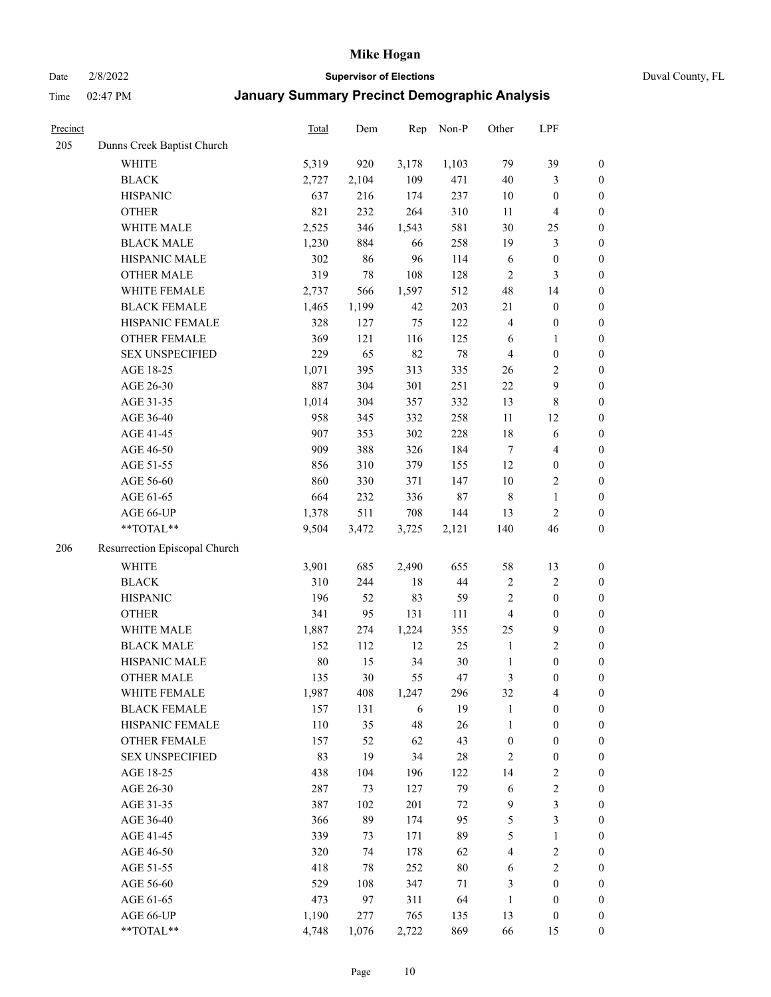Date 2/8/2022 **Supervisor of Elections** Duval County, FL

| Precinct |                               | <b>Total</b> | Dem    | Rep    | Non-P  | Other                   | LPF                     |                  |
|----------|-------------------------------|--------------|--------|--------|--------|-------------------------|-------------------------|------------------|
| 205      | Dunns Creek Baptist Church    |              |        |        |        |                         |                         |                  |
|          | <b>WHITE</b>                  | 5,319        | 920    | 3,178  | 1,103  | 79                      | 39                      | $\boldsymbol{0}$ |
|          | <b>BLACK</b>                  | 2,727        | 2,104  | 109    | 471    | $40\,$                  | 3                       | $\boldsymbol{0}$ |
|          | <b>HISPANIC</b>               | 637          | 216    | 174    | 237    | 10                      | $\boldsymbol{0}$        | $\boldsymbol{0}$ |
|          | <b>OTHER</b>                  | 821          | 232    | 264    | 310    | 11                      | $\overline{\mathbf{4}}$ | $\boldsymbol{0}$ |
|          | WHITE MALE                    | 2,525        | 346    | 1,543  | 581    | 30                      | 25                      | $\boldsymbol{0}$ |
|          | <b>BLACK MALE</b>             | 1,230        | 884    | 66     | 258    | 19                      | $\mathfrak{Z}$          | $\boldsymbol{0}$ |
|          | HISPANIC MALE                 | 302          | 86     | 96     | 114    | 6                       | $\boldsymbol{0}$        | $\boldsymbol{0}$ |
|          | <b>OTHER MALE</b>             | 319          | $78\,$ | 108    | 128    | $\mathbf{2}$            | 3                       | $\boldsymbol{0}$ |
|          | WHITE FEMALE                  | 2,737        | 566    | 1,597  | 512    | 48                      | 14                      | $\boldsymbol{0}$ |
|          | <b>BLACK FEMALE</b>           | 1,465        | 1,199  | 42     | 203    | 21                      | $\boldsymbol{0}$        | $\boldsymbol{0}$ |
|          | HISPANIC FEMALE               | 328          | 127    | 75     | 122    | $\overline{\mathbf{4}}$ | $\boldsymbol{0}$        | 0                |
|          | OTHER FEMALE                  | 369          | 121    | 116    | 125    | 6                       | $\mathbf{1}$            | $\boldsymbol{0}$ |
|          | <b>SEX UNSPECIFIED</b>        | 229          | 65     | 82     | $78\,$ | $\overline{4}$          | $\boldsymbol{0}$        | $\boldsymbol{0}$ |
|          | AGE 18-25                     | 1,071        | 395    | 313    | 335    | $26\,$                  | $\sqrt{2}$              | $\boldsymbol{0}$ |
|          | AGE 26-30                     | 887          | 304    | 301    | 251    | $22\,$                  | 9                       | $\boldsymbol{0}$ |
|          | AGE 31-35                     | 1,014        | 304    | 357    | 332    | 13                      | $\,8\,$                 | $\boldsymbol{0}$ |
|          | AGE 36-40                     | 958          | 345    | 332    | 258    | 11                      | 12                      | $\boldsymbol{0}$ |
|          | AGE 41-45                     | 907          | 353    | 302    | 228    | 18                      | $\sqrt{6}$              | $\boldsymbol{0}$ |
|          | AGE 46-50                     | 909          | 388    | 326    | 184    | $\tau$                  | $\overline{4}$          | $\boldsymbol{0}$ |
|          | AGE 51-55                     | 856          | 310    | 379    | 155    | 12                      | $\boldsymbol{0}$        | $\boldsymbol{0}$ |
|          | AGE 56-60                     | 860          | 330    | 371    | 147    | $10\,$                  | $\sqrt{2}$              | 0                |
|          | AGE 61-65                     | 664          | 232    | 336    | $87\,$ | $\,$ 8 $\,$             | $\mathbf{1}$            | $\boldsymbol{0}$ |
|          | AGE 66-UP                     | 1,378        | 511    | 708    | 144    | 13                      | $\mathbf{2}$            | $\boldsymbol{0}$ |
|          | **TOTAL**                     | 9,504        | 3,472  | 3,725  | 2,121  | 140                     | 46                      | $\boldsymbol{0}$ |
| 206      | Resurrection Episcopal Church |              |        |        |        |                         |                         |                  |
|          | <b>WHITE</b>                  | 3,901        | 685    | 2,490  | 655    | 58                      | 13                      | $\boldsymbol{0}$ |
|          | <b>BLACK</b>                  | 310          | 244    | $18\,$ | $44\,$ | $\sqrt{2}$              | $\sqrt{2}$              | $\boldsymbol{0}$ |
|          | <b>HISPANIC</b>               | 196          | 52     | 83     | 59     | 2                       | $\boldsymbol{0}$        | $\boldsymbol{0}$ |
|          | <b>OTHER</b>                  | 341          | 95     | 131    | 111    | 4                       | $\boldsymbol{0}$        | $\boldsymbol{0}$ |
|          | WHITE MALE                    | 1,887        | 274    | 1,224  | 355    | 25                      | $\mathbf{9}$            | $\boldsymbol{0}$ |
|          | <b>BLACK MALE</b>             | 152          | 112    | 12     | 25     | $\mathbf{1}$            | $\overline{2}$          | $\boldsymbol{0}$ |
|          | HISPANIC MALE                 | 80           | 15     | 34     | $30\,$ | $\mathbf{1}$            | $\boldsymbol{0}$        | $\boldsymbol{0}$ |
|          | <b>OTHER MALE</b>             | 135          | 30     | 55     | 47     | 3                       | $\boldsymbol{0}$        | $\boldsymbol{0}$ |
|          | WHITE FEMALE                  | 1,987        | 408    | 1,247  | 296    | 32                      | 4                       | 0                |
|          | <b>BLACK FEMALE</b>           | 157          | 131    | 6      | 19     | $\mathbf{1}$            | $\boldsymbol{0}$        | 0                |
|          | HISPANIC FEMALE               | 110          | 35     | 48     | 26     | $\mathbf{1}$            | $\boldsymbol{0}$        | 0                |
|          | OTHER FEMALE                  | 157          | 52     | 62     | 43     | $\boldsymbol{0}$        | $\boldsymbol{0}$        | 0                |
|          | <b>SEX UNSPECIFIED</b>        | 83           | 19     | 34     | $28\,$ | 2                       | $\boldsymbol{0}$        | 0                |
|          | AGE 18-25                     | 438          | 104    | 196    | 122    | 14                      | $\sqrt{2}$              | 0                |
|          | AGE 26-30                     | 287          | 73     | 127    | 79     | 6                       | $\sqrt{2}$              | 0                |
|          | AGE 31-35                     | 387          | 102    | 201    | $72\,$ | 9                       | $\mathfrak{Z}$          | 0                |
|          | AGE 36-40                     | 366          | 89     | 174    | 95     | 5                       | $\mathfrak{Z}$          | 0                |
|          | AGE 41-45                     | 339          | 73     | 171    | 89     | 5                       | $\mathbf{1}$            | 0                |
|          | AGE 46-50                     | 320          | 74     | 178    | 62     | 4                       | $\sqrt{2}$              | 0                |
|          | AGE 51-55                     | 418          | 78     | 252    | $80\,$ | 6                       | $\sqrt{2}$              | 0                |
|          | AGE 56-60                     | 529          | 108    | 347    | 71     | 3                       | $\boldsymbol{0}$        | 0                |
|          | AGE 61-65                     | 473          | 97     | 311    | 64     | $\mathbf{1}$            | $\boldsymbol{0}$        | 0                |
|          | AGE 66-UP                     | 1,190        | 277    | 765    | 135    | 13                      | $\boldsymbol{0}$        | 0                |
|          | **TOTAL**                     | 4,748        | 1,076  | 2,722  | 869    | 66                      | 15                      | $\boldsymbol{0}$ |
|          |                               |              |        |        |        |                         |                         |                  |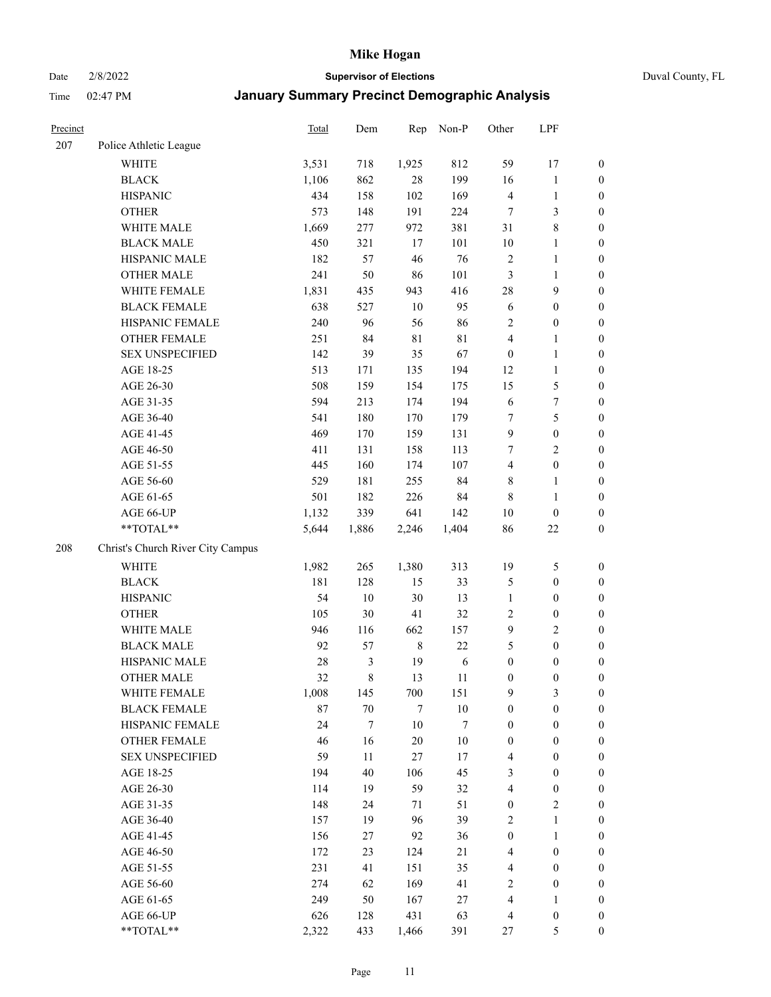Date 2/8/2022 **Supervisor of Elections** Duval County, FL

| Precinct |                                   | Total  | Dem              | Rep         | Non-P      | Other                   | LPF              |                  |
|----------|-----------------------------------|--------|------------------|-------------|------------|-------------------------|------------------|------------------|
| 207      | Police Athletic League            |        |                  |             |            |                         |                  |                  |
|          | <b>WHITE</b>                      | 3,531  | 718              | 1,925       | 812        | 59                      | 17               | 0                |
|          | <b>BLACK</b>                      | 1,106  | 862              | $28\,$      | 199        | 16                      | $\mathbf{1}$     | $\boldsymbol{0}$ |
|          | <b>HISPANIC</b>                   | 434    | 158              | 102         | 169        | 4                       | $\mathbf{1}$     | $\boldsymbol{0}$ |
|          | <b>OTHER</b>                      | 573    | 148              | 191         | 224        | 7                       | $\mathfrak{Z}$   | $\boldsymbol{0}$ |
|          | WHITE MALE                        | 1,669  | 277              | 972         | 381        | 31                      | $\,$ 8 $\,$      | $\boldsymbol{0}$ |
|          | <b>BLACK MALE</b>                 | 450    | 321              | 17          | 101        | $10\,$                  | $\mathbf{1}$     | $\boldsymbol{0}$ |
|          | HISPANIC MALE                     | 182    | 57               | 46          | 76         | 2                       | $\mathbf{1}$     | $\boldsymbol{0}$ |
|          | <b>OTHER MALE</b>                 | 241    | 50               | 86          | 101        | 3                       | $\mathbf{1}$     | $\boldsymbol{0}$ |
|          | WHITE FEMALE                      | 1,831  | 435              | 943         | 416        | 28                      | $\mathbf{9}$     | $\boldsymbol{0}$ |
|          | <b>BLACK FEMALE</b>               | 638    | 527              | 10          | 95         | 6                       | $\boldsymbol{0}$ | $\boldsymbol{0}$ |
|          | HISPANIC FEMALE                   | 240    | 96               | 56          | 86         | $\mathbf{2}$            | $\boldsymbol{0}$ | 0                |
|          | <b>OTHER FEMALE</b>               | 251    | 84               | $8\sqrt{1}$ | 81         | 4                       | $\mathbf{1}$     | $\boldsymbol{0}$ |
|          | <b>SEX UNSPECIFIED</b>            | 142    | 39               | 35          | 67         | $\boldsymbol{0}$        | $\mathbf{1}$     | $\boldsymbol{0}$ |
|          | AGE 18-25                         | 513    | 171              | 135         | 194        | 12                      | $\mathbf{1}$     | $\boldsymbol{0}$ |
|          | AGE 26-30                         | 508    | 159              | 154         | 175        | 15                      | $\mathfrak{S}$   | $\boldsymbol{0}$ |
|          | AGE 31-35                         | 594    | 213              | 174         | 194        | 6                       | $\boldsymbol{7}$ | $\boldsymbol{0}$ |
|          | AGE 36-40                         | 541    | 180              | 170         | 179        | 7                       | $\mathfrak s$    | $\boldsymbol{0}$ |
|          | AGE 41-45                         | 469    | 170              | 159         | 131        | $\boldsymbol{9}$        | $\boldsymbol{0}$ | $\boldsymbol{0}$ |
|          | AGE 46-50                         | 411    | 131              | 158         | 113        | 7                       | $\overline{2}$   | $\boldsymbol{0}$ |
|          | AGE 51-55                         | 445    | 160              | 174         | 107        | $\overline{4}$          | $\boldsymbol{0}$ | $\boldsymbol{0}$ |
|          | AGE 56-60                         | 529    | 181              | 255         | 84         | 8                       | $\mathbf{1}$     | 0                |
|          | AGE 61-65                         | 501    | 182              | 226         | 84         | $\,$ 8 $\,$             | $\mathbf{1}$     | $\boldsymbol{0}$ |
|          | AGE 66-UP                         | 1,132  | 339              | 641         | 142        | $10\,$                  | $\boldsymbol{0}$ | $\boldsymbol{0}$ |
|          | **TOTAL**                         | 5,644  | 1,886            | 2,246       | 1,404      | 86                      | $22\,$           | $\boldsymbol{0}$ |
| 208      | Christ's Church River City Campus |        |                  |             |            |                         |                  |                  |
|          | <b>WHITE</b>                      | 1,982  | 265              | 1,380       | 313        | 19                      | $\mathfrak{S}$   | $\boldsymbol{0}$ |
|          | <b>BLACK</b>                      | 181    | 128              | 15          | 33         | 5                       | $\boldsymbol{0}$ | $\boldsymbol{0}$ |
|          | <b>HISPANIC</b>                   | 54     | 10               | 30          | 13         | $\mathbf{1}$            | $\boldsymbol{0}$ | $\boldsymbol{0}$ |
|          | <b>OTHER</b>                      | 105    | 30               | 41          | 32         | $\sqrt{2}$              | $\boldsymbol{0}$ | $\boldsymbol{0}$ |
|          | WHITE MALE                        | 946    | 116              | 662         | 157        | $\mathbf{9}$            | $\overline{2}$   | $\boldsymbol{0}$ |
|          | <b>BLACK MALE</b>                 | 92     | 57               | $\,$ 8 $\,$ | 22         | 5                       | $\boldsymbol{0}$ | $\boldsymbol{0}$ |
|          | HISPANIC MALE                     | $28\,$ | 3                | 19          | $\sqrt{6}$ | $\boldsymbol{0}$        | $\boldsymbol{0}$ | $\boldsymbol{0}$ |
|          | <b>OTHER MALE</b>                 | 32     | 8                | 13          | 11         | $\boldsymbol{0}$        | $\boldsymbol{0}$ | $\boldsymbol{0}$ |
|          | WHITE FEMALE                      | 1,008  | 145              | 700         | 151        | 9                       | 3                | 0                |
|          | <b>BLACK FEMALE</b>               | 87     | 70               | 7           | $10\,$     | $\boldsymbol{0}$        | $\boldsymbol{0}$ | $\boldsymbol{0}$ |
|          | HISPANIC FEMALE                   | 24     | $\boldsymbol{7}$ | 10          | $\tau$     | $\boldsymbol{0}$        | $\boldsymbol{0}$ | $\overline{0}$   |
|          | OTHER FEMALE                      | 46     | 16               | 20          | $10\,$     | $\boldsymbol{0}$        | $\boldsymbol{0}$ | $\overline{0}$   |
|          | <b>SEX UNSPECIFIED</b>            | 59     | 11               | 27          | 17         | 4                       | $\boldsymbol{0}$ | 0                |
|          | AGE 18-25                         | 194    | 40               | 106         | 45         | 3                       | $\boldsymbol{0}$ | $\theta$         |
|          | AGE 26-30                         | 114    | 19               | 59          | 32         | $\overline{\mathbf{4}}$ | $\boldsymbol{0}$ | 0                |
|          | AGE 31-35                         | 148    | 24               | 71          | 51         | $\boldsymbol{0}$        | $\overline{2}$   | 0                |
|          | AGE 36-40                         | 157    | 19               | 96          | 39         | 2                       | $\mathbf{1}$     | 0                |
|          | AGE 41-45                         | 156    | 27               | 92          | 36         | $\boldsymbol{0}$        | $\mathbf{1}$     | 0                |
|          | AGE 46-50                         | 172    | 23               | 124         | 21         | 4                       | $\boldsymbol{0}$ | 0                |
|          | AGE 51-55                         | 231    | 41               | 151         | 35         | $\overline{4}$          | $\boldsymbol{0}$ | 0                |
|          | AGE 56-60                         | 274    | 62               | 169         | 41         | 2                       | $\boldsymbol{0}$ | $\boldsymbol{0}$ |
|          | AGE 61-65                         | 249    | 50               | 167         | 27         | 4                       | $\mathbf{1}$     | $\boldsymbol{0}$ |
|          | AGE 66-UP                         | 626    | 128              | 431         | 63         | $\overline{\mathbf{4}}$ | $\boldsymbol{0}$ | 0                |
|          | **TOTAL**                         | 2,322  | 433              | 1,466       | 391        | 27                      | 5                | $\boldsymbol{0}$ |
|          |                                   |        |                  |             |            |                         |                  |                  |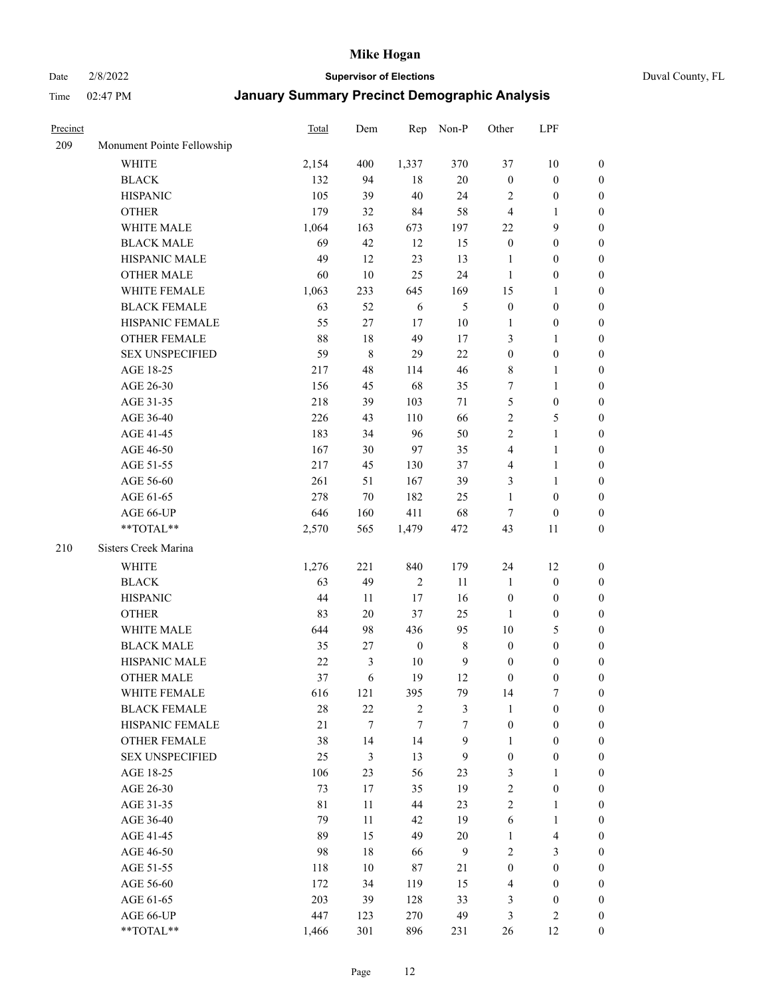Date 2/8/2022 **Supervisor of Elections** Duval County, FL

| Precinct |                                                             | Total       | Dem              | Rep              | Non-P            | Other            | LPF                     |                                      |
|----------|-------------------------------------------------------------|-------------|------------------|------------------|------------------|------------------|-------------------------|--------------------------------------|
| 209      | Monument Pointe Fellowship                                  |             |                  |                  |                  |                  |                         |                                      |
|          | <b>WHITE</b>                                                | 2,154       | 400              | 1,337            | 370              | 37               | $10\,$                  | 0                                    |
|          | <b>BLACK</b>                                                | 132         | 94               | 18               | $20\,$           | $\boldsymbol{0}$ | $\boldsymbol{0}$        | 0                                    |
|          | <b>HISPANIC</b>                                             | 105         | 39               | 40               | 24               | $\overline{c}$   | $\boldsymbol{0}$        | $\boldsymbol{0}$                     |
|          | <b>OTHER</b>                                                | 179         | 32               | 84               | 58               | 4                | $\mathbf{1}$            | $\boldsymbol{0}$                     |
|          | WHITE MALE                                                  | 1,064       | 163              | 673              | 197              | 22               | 9                       | $\boldsymbol{0}$                     |
|          | <b>BLACK MALE</b>                                           | 69          | 42               | 12               | 15               | $\boldsymbol{0}$ | $\boldsymbol{0}$        | $\boldsymbol{0}$                     |
|          | HISPANIC MALE                                               | 49          | 12               | 23               | 13               | $\mathbf{1}$     | $\boldsymbol{0}$        | $\boldsymbol{0}$                     |
|          | <b>OTHER MALE</b>                                           | 60          | 10               | 25               | 24               | $\mathbf{1}$     | $\boldsymbol{0}$        | $\boldsymbol{0}$                     |
|          | WHITE FEMALE                                                | 1,063       | 233              | 645              | 169              | 15               | $\mathbf{1}$            | $\boldsymbol{0}$                     |
|          | <b>BLACK FEMALE</b>                                         | 63          | 52               | 6                | $\mathfrak{S}$   | $\boldsymbol{0}$ | $\boldsymbol{0}$        | 0                                    |
|          | HISPANIC FEMALE                                             | 55          | $27\,$           | 17               | $10\,$           | 1                | $\boldsymbol{0}$        | 0                                    |
|          | OTHER FEMALE                                                | $88\,$      | $18\,$           | 49               | 17               | 3                | $\mathbf{1}$            | 0                                    |
|          | <b>SEX UNSPECIFIED</b>                                      | 59          | 8                | 29               | 22               | $\boldsymbol{0}$ | $\boldsymbol{0}$        | $\boldsymbol{0}$                     |
|          | AGE 18-25                                                   | 217         | 48               | 114              | 46               | 8                | $\mathbf{1}$            | $\boldsymbol{0}$                     |
|          | AGE 26-30                                                   | 156         | 45               | 68               | 35               | 7                | $\mathbf{1}$            | $\boldsymbol{0}$                     |
|          | AGE 31-35                                                   | 218         | 39               | 103              | 71               | 5                | $\boldsymbol{0}$        | $\boldsymbol{0}$                     |
|          | AGE 36-40                                                   | 226         | 43               | 110              | 66               | 2                | $\mathfrak{S}$          | $\boldsymbol{0}$                     |
|          | AGE 41-45                                                   | 183         | 34               | 96               | 50               | 2                | $\mathbf{1}$            | $\boldsymbol{0}$                     |
|          | AGE 46-50                                                   | 167         | 30               | 97               | 35               | 4                | $\mathbf{1}$            | $\boldsymbol{0}$                     |
|          | AGE 51-55                                                   | 217         | 45               | 130              | 37               | 4                | $\mathbf{1}$            | 0                                    |
|          | AGE 56-60                                                   | 261         | 51               | 167              | 39               | 3                | $\mathbf{1}$            |                                      |
|          | AGE 61-65                                                   | 278         | 70               | 182              | 25               | 1                | $\boldsymbol{0}$        | 0<br>0                               |
|          | AGE 66-UP                                                   | 646         | 160              | 411              | 68               | $\tau$           |                         |                                      |
|          | $\mathrm{*}\mathrm{*} \mathrm{TOTAL} \mathrm{*} \mathrm{*}$ | 2,570       | 565              | 1,479            | 472              | 43               | $\boldsymbol{0}$        | $\boldsymbol{0}$<br>$\boldsymbol{0}$ |
|          |                                                             |             |                  |                  |                  |                  | 11                      |                                      |
| 210      | Sisters Creek Marina                                        |             |                  |                  |                  |                  |                         |                                      |
|          | <b>WHITE</b>                                                | 1,276       | 221              | 840              | 179              | 24               | 12                      | $\boldsymbol{0}$                     |
|          | <b>BLACK</b>                                                | 63          | 49               | $\sqrt{2}$       | 11               | $\mathbf{1}$     | $\boldsymbol{0}$        | $\boldsymbol{0}$                     |
|          | <b>HISPANIC</b>                                             | 44          | 11               | 17               | 16               | $\boldsymbol{0}$ | $\boldsymbol{0}$        | $\boldsymbol{0}$                     |
|          | <b>OTHER</b>                                                | 83          | $20\,$           | 37               | 25               | $\mathbf{1}$     | $\boldsymbol{0}$        | $\boldsymbol{0}$                     |
|          | WHITE MALE                                                  | 644         | 98               | 436              | 95               | $10\,$           | $\mathfrak{S}$          | $\boldsymbol{0}$                     |
|          | <b>BLACK MALE</b>                                           | 35          | 27               | $\boldsymbol{0}$ | $\,$ 8 $\,$      | $\boldsymbol{0}$ | $\boldsymbol{0}$        | $\boldsymbol{0}$                     |
|          | HISPANIC MALE                                               | $22\,$      | $\mathfrak{Z}$   | 10               | $\mathbf{9}$     | $\boldsymbol{0}$ | $\boldsymbol{0}$        | 0                                    |
|          | <b>OTHER MALE</b>                                           | 37          | 6                | 19               | 12               | $\boldsymbol{0}$ | $\boldsymbol{0}$        | $\boldsymbol{0}$                     |
|          | WHITE FEMALE                                                | 616         | 121              | 395              | 79               | 14               | 7                       | 0                                    |
|          | <b>BLACK FEMALE</b>                                         | 28          | 22               | $\sqrt{2}$       | $\mathfrak{Z}$   | $\mathbf{1}$     | $\boldsymbol{0}$        | $\overline{0}$                       |
|          | HISPANIC FEMALE                                             | 21          | $\boldsymbol{7}$ | $\tau$           | $\tau$           | $\boldsymbol{0}$ | $\boldsymbol{0}$        | $\overline{0}$                       |
|          | OTHER FEMALE                                                | 38          | 14               | 14               | $\boldsymbol{9}$ | $\mathbf{1}$     | $\boldsymbol{0}$        | $\overline{0}$                       |
|          | <b>SEX UNSPECIFIED</b>                                      | 25          | 3                | 13               | 9                | $\boldsymbol{0}$ | $\boldsymbol{0}$        | 0                                    |
|          | AGE 18-25                                                   | 106         | 23               | 56               | 23               | 3                | $\mathbf{1}$            | $\theta$                             |
|          | AGE 26-30                                                   | 73          | 17               | 35               | 19               | 2                | $\boldsymbol{0}$        | 0                                    |
|          | AGE 31-35                                                   | $8\sqrt{1}$ | 11               | 44               | 23               | $\overline{c}$   | $\mathbf{1}$            | 0                                    |
|          | AGE 36-40                                                   | 79          | 11               | 42               | 19               | 6                | $\mathbf{1}$            | 0                                    |
|          | AGE 41-45                                                   | 89          | 15               | 49               | $20\,$           | $\mathbf{1}$     | $\overline{\mathbf{4}}$ | 0                                    |
|          | AGE 46-50                                                   | 98          | 18               | 66               | 9                | $\mathbf{2}$     | 3                       | 0                                    |
|          | AGE 51-55                                                   | 118         | 10               | $87\,$           | 21               | $\boldsymbol{0}$ | $\boldsymbol{0}$        | $\overline{0}$                       |
|          | AGE 56-60                                                   | 172         | 34               | 119              | 15               | 4                | $\boldsymbol{0}$        | $\overline{0}$                       |
|          | AGE 61-65                                                   | 203         | 39               | 128              | 33               | 3                | $\boldsymbol{0}$        | $\overline{0}$                       |
|          | AGE 66-UP                                                   | 447         | 123              | 270              | 49               | 3                | $\mathbf{2}$            | $\boldsymbol{0}$                     |
|          | **TOTAL**                                                   | 1,466       | 301              | 896              | 231              | 26               | 12                      | $\boldsymbol{0}$                     |
|          |                                                             |             |                  |                  |                  |                  |                         |                                      |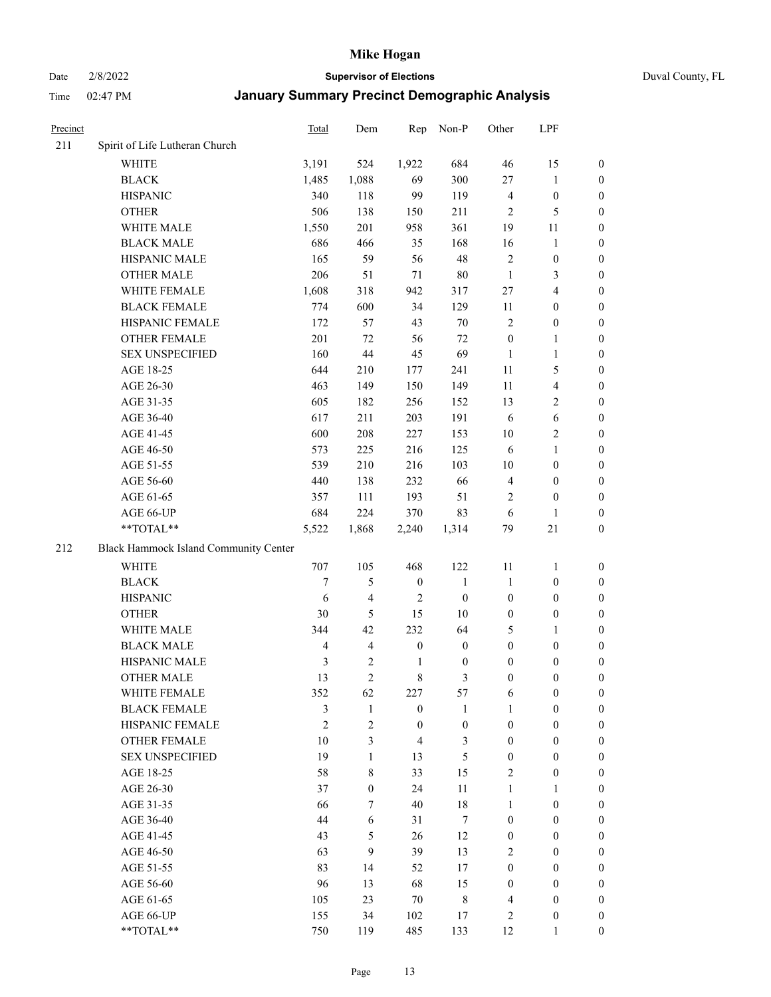Date 2/8/2022 **Supervisor of Elections** Duval County, FL

| Precinct |                                       | Total          | Dem                     | Rep              | Non-P            | Other            | LPF                     |                  |
|----------|---------------------------------------|----------------|-------------------------|------------------|------------------|------------------|-------------------------|------------------|
| 211      | Spirit of Life Lutheran Church        |                |                         |                  |                  |                  |                         |                  |
|          | <b>WHITE</b>                          | 3,191          | 524                     | 1,922            | 684              | 46               | 15                      | 0                |
|          | <b>BLACK</b>                          | 1,485          | 1,088                   | 69               | 300              | $27\,$           | $\mathbf{1}$            | 0                |
|          | <b>HISPANIC</b>                       | 340            | 118                     | 99               | 119              | $\overline{4}$   | $\boldsymbol{0}$        | $\boldsymbol{0}$ |
|          | <b>OTHER</b>                          | 506            | 138                     | 150              | 211              | $\overline{2}$   | 5                       | $\boldsymbol{0}$ |
|          | WHITE MALE                            | 1,550          | 201                     | 958              | 361              | 19               | 11                      | $\boldsymbol{0}$ |
|          | <b>BLACK MALE</b>                     | 686            | 466                     | 35               | 168              | 16               | $\mathbf{1}$            | $\boldsymbol{0}$ |
|          | HISPANIC MALE                         | 165            | 59                      | 56               | 48               | $\overline{c}$   | $\boldsymbol{0}$        | $\boldsymbol{0}$ |
|          | <b>OTHER MALE</b>                     | 206            | 51                      | 71               | $80\,$           | $\mathbf{1}$     | $\mathfrak{Z}$          | $\boldsymbol{0}$ |
|          | WHITE FEMALE                          | 1,608          | 318                     | 942              | 317              | 27               | $\overline{4}$          | $\boldsymbol{0}$ |
|          | <b>BLACK FEMALE</b>                   | 774            | 600                     | 34               | 129              | 11               | $\boldsymbol{0}$        | 0                |
|          | HISPANIC FEMALE                       | 172            | 57                      | 43               | 70               | $\overline{c}$   | $\boldsymbol{0}$        | 0                |
|          | OTHER FEMALE                          | 201            | 72                      | 56               | 72               | $\boldsymbol{0}$ | $\mathbf{1}$            | 0                |
|          | <b>SEX UNSPECIFIED</b>                | 160            | 44                      | 45               | 69               | $\mathbf{1}$     | $\mathbf{1}$            | $\boldsymbol{0}$ |
|          | AGE 18-25                             | 644            | 210                     | 177              | 241              | $11\,$           | $\mathfrak{S}$          | $\boldsymbol{0}$ |
|          | AGE 26-30                             | 463            | 149                     | 150              | 149              | 11               | $\overline{\mathbf{4}}$ | $\boldsymbol{0}$ |
|          | AGE 31-35                             | 605            | 182                     | 256              | 152              | 13               | $\sqrt{2}$              | $\boldsymbol{0}$ |
|          | AGE 36-40                             | 617            | 211                     | 203              | 191              | 6                | 6                       | $\boldsymbol{0}$ |
|          | AGE 41-45                             | 600            | 208                     | 227              | 153              | 10               | $\overline{2}$          | $\boldsymbol{0}$ |
|          | AGE 46-50                             | 573            | 225                     | 216              | 125              | 6                | $\mathbf{1}$            | $\boldsymbol{0}$ |
|          | AGE 51-55                             | 539            | 210                     | 216              | 103              | 10               | $\boldsymbol{0}$        | 0                |
|          | AGE 56-60                             | 440            | 138                     | 232              | 66               | $\overline{4}$   | $\boldsymbol{0}$        | 0                |
|          | AGE 61-65                             | 357            | 111                     | 193              | 51               | 2                | $\boldsymbol{0}$        | 0                |
|          | AGE 66-UP                             | 684            | 224                     | 370              | 83               | 6                | $\mathbf{1}$            | $\boldsymbol{0}$ |
|          | $**TOTAL**$                           | 5,522          | 1,868                   | 2,240            | 1,314            | 79               | $21\,$                  | $\boldsymbol{0}$ |
| 212      | Black Hammock Island Community Center |                |                         |                  |                  |                  |                         |                  |
|          | <b>WHITE</b>                          | 707            | 105                     | 468              | 122              | 11               | $\mathbf{1}$            | $\boldsymbol{0}$ |
|          | <b>BLACK</b>                          | $\tau$         | 5                       | $\boldsymbol{0}$ | $\mathbf{1}$     | $\mathbf{1}$     | $\boldsymbol{0}$        | $\boldsymbol{0}$ |
|          | <b>HISPANIC</b>                       | 6              | 4                       | $\overline{2}$   | $\boldsymbol{0}$ | $\boldsymbol{0}$ | $\boldsymbol{0}$        | $\boldsymbol{0}$ |
|          | <b>OTHER</b>                          | 30             | 5                       | 15               | 10               | $\boldsymbol{0}$ | $\boldsymbol{0}$        | $\boldsymbol{0}$ |
|          | WHITE MALE                            | 344            | 42                      | 232              | 64               | 5                | $\mathbf{1}$            | $\boldsymbol{0}$ |
|          | <b>BLACK MALE</b>                     | $\overline{4}$ | $\overline{\mathbf{4}}$ | $\boldsymbol{0}$ | $\boldsymbol{0}$ | $\boldsymbol{0}$ | $\boldsymbol{0}$        | $\boldsymbol{0}$ |
|          | HISPANIC MALE                         | $\mathfrak{Z}$ | $\mathbf{2}$            | $\mathbf{1}$     | $\boldsymbol{0}$ | $\boldsymbol{0}$ | $\boldsymbol{0}$        | 0                |
|          | <b>OTHER MALE</b>                     | 13             | $\overline{c}$          | $\,8\,$          | 3                | $\boldsymbol{0}$ | $\boldsymbol{0}$        | $\boldsymbol{0}$ |
|          | WHITE FEMALE                          | 352            | 62                      | 227              | 57               | 6                | $\boldsymbol{0}$        | 0                |
|          | <b>BLACK FEMALE</b>                   | 3              | $\mathbf{1}$            | $\boldsymbol{0}$ | $\mathbf{1}$     | $\mathbf{1}$     | $\boldsymbol{0}$        | $\overline{0}$   |
|          | HISPANIC FEMALE                       | $\overline{2}$ | $\overline{c}$          | $\boldsymbol{0}$ | $\boldsymbol{0}$ | $\boldsymbol{0}$ | $\boldsymbol{0}$        | $\overline{0}$   |
|          | <b>OTHER FEMALE</b>                   | 10             | 3                       | $\overline{4}$   | 3                | $\boldsymbol{0}$ | $\boldsymbol{0}$        | $\overline{0}$   |
|          | <b>SEX UNSPECIFIED</b>                | 19             | $\mathbf{1}$            | 13               | 5                | $\boldsymbol{0}$ | $\boldsymbol{0}$        | $\overline{0}$   |
|          | AGE 18-25                             | 58             | 8                       | 33               | 15               | $\overline{c}$   | $\boldsymbol{0}$        | $\theta$         |
|          | AGE 26-30                             | 37             | $\boldsymbol{0}$        | 24               | 11               | $\mathbf{1}$     | $\mathbf{1}$            | $\overline{0}$   |
|          | AGE 31-35                             | 66             | 7                       | 40               | 18               | $\mathbf{1}$     | $\boldsymbol{0}$        | 0                |
|          | AGE 36-40                             | 44             | 6                       | 31               | $\tau$           | $\boldsymbol{0}$ | $\boldsymbol{0}$        | 0                |
|          | AGE 41-45                             | 43             | 5                       | 26               | 12               | $\boldsymbol{0}$ | $\boldsymbol{0}$        | 0                |
|          | AGE 46-50                             | 63             | 9                       | 39               | 13               | 2                | $\boldsymbol{0}$        | 0                |
|          | AGE 51-55                             | 83             | 14                      | 52               | 17               | $\boldsymbol{0}$ | $\boldsymbol{0}$        | $\overline{0}$   |
|          | AGE 56-60                             | 96             | 13                      | 68               | 15               | $\boldsymbol{0}$ | $\boldsymbol{0}$        | $\overline{0}$   |
|          | AGE 61-65                             | 105            | 23                      | $70\,$           | $\,$ 8 $\,$      | 4                | $\boldsymbol{0}$        | $\overline{0}$   |
|          | AGE 66-UP                             | 155            | 34                      | 102              | 17               | $\overline{c}$   | $\boldsymbol{0}$        | $\boldsymbol{0}$ |
|          | **TOTAL**                             | 750            | 119                     | 485              | 133              | 12               | $\mathbf{1}$            | $\boldsymbol{0}$ |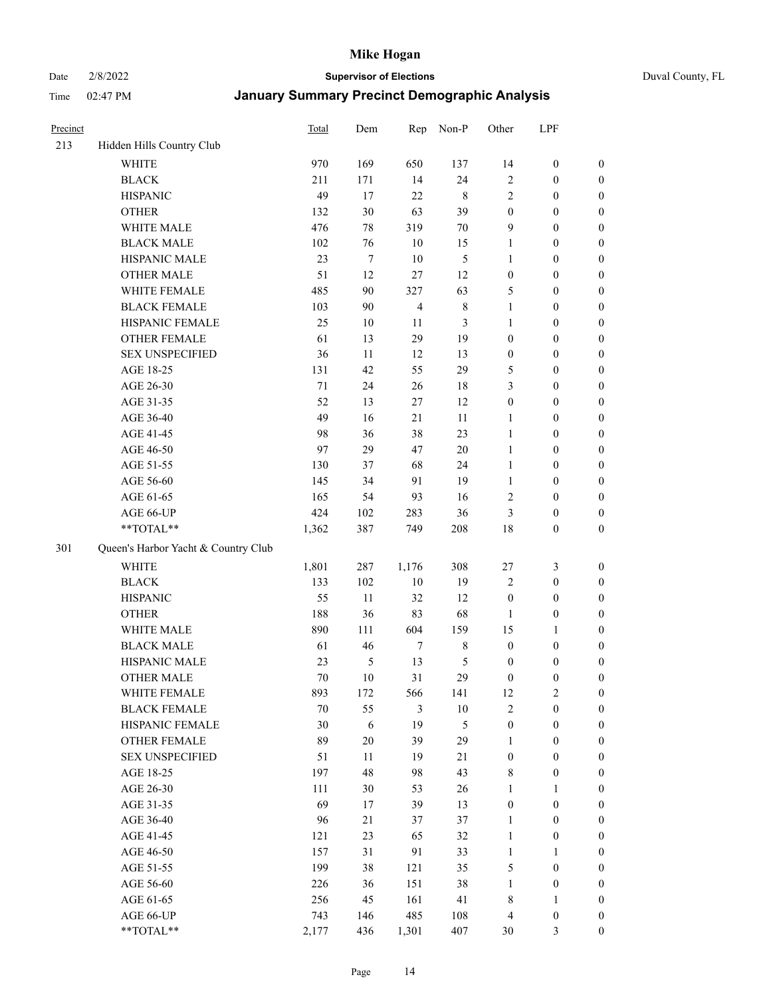Date 2/8/2022 **Supervisor of Elections** Duval County, FL

| Precinct |                                     | <b>Total</b> | Dem              | Rep            | Non-P       | Other                 | LPF              |                  |
|----------|-------------------------------------|--------------|------------------|----------------|-------------|-----------------------|------------------|------------------|
| 213      | Hidden Hills Country Club           |              |                  |                |             |                       |                  |                  |
|          | <b>WHITE</b>                        | 970          | 169              | 650            | 137         | 14                    | $\boldsymbol{0}$ | 0                |
|          | <b>BLACK</b>                        | 211          | 171              | 14             | 24          | $\sqrt{2}$            | $\boldsymbol{0}$ | $\boldsymbol{0}$ |
|          | <b>HISPANIC</b>                     | 49           | 17               | 22             | $\,$ 8 $\,$ | $\mathfrak{2}$        | $\boldsymbol{0}$ | $\boldsymbol{0}$ |
|          | <b>OTHER</b>                        | 132          | 30               | 63             | 39          | $\boldsymbol{0}$      | $\boldsymbol{0}$ | $\boldsymbol{0}$ |
|          | WHITE MALE                          | 476          | 78               | 319            | 70          | 9                     | $\boldsymbol{0}$ | $\boldsymbol{0}$ |
|          | <b>BLACK MALE</b>                   | 102          | 76               | 10             | 15          | $\mathbf{1}$          | $\boldsymbol{0}$ | $\boldsymbol{0}$ |
|          | HISPANIC MALE                       | 23           | $\boldsymbol{7}$ | $10\,$         | 5           | $\mathbf{1}$          | $\boldsymbol{0}$ | $\boldsymbol{0}$ |
|          | <b>OTHER MALE</b>                   | 51           | 12               | 27             | 12          | $\boldsymbol{0}$      | $\boldsymbol{0}$ | $\boldsymbol{0}$ |
|          | WHITE FEMALE                        | 485          | 90               | 327            | 63          | 5                     | $\boldsymbol{0}$ | $\boldsymbol{0}$ |
|          | <b>BLACK FEMALE</b>                 | 103          | 90               | $\overline{4}$ | $\,$ 8 $\,$ | $\mathbf{1}$          | $\boldsymbol{0}$ | $\boldsymbol{0}$ |
|          | HISPANIC FEMALE                     | 25           | 10               | 11             | 3           | $\mathbf{1}$          | $\boldsymbol{0}$ | 0                |
|          | <b>OTHER FEMALE</b>                 | 61           | 13               | 29             | 19          | $\boldsymbol{0}$      | $\boldsymbol{0}$ | $\boldsymbol{0}$ |
|          | <b>SEX UNSPECIFIED</b>              | 36           | 11               | 12             | 13          | $\boldsymbol{0}$      | $\boldsymbol{0}$ | $\boldsymbol{0}$ |
|          | AGE 18-25                           | 131          | 42               | 55             | 29          | 5                     | $\boldsymbol{0}$ | $\boldsymbol{0}$ |
|          | AGE 26-30                           | $71\,$       | 24               | 26             | 18          | 3                     | $\boldsymbol{0}$ | $\boldsymbol{0}$ |
|          | AGE 31-35                           | 52           | 13               | $27\,$         | 12          | $\boldsymbol{0}$      | $\boldsymbol{0}$ | $\boldsymbol{0}$ |
|          | AGE 36-40                           | 49           | 16               | 21             | 11          | $\mathbf{1}$          | $\boldsymbol{0}$ | $\boldsymbol{0}$ |
|          | AGE 41-45                           | 98           | 36               | 38             | 23          | $\mathbf{1}$          | $\boldsymbol{0}$ | $\boldsymbol{0}$ |
|          | AGE 46-50                           | 97           | 29               | 47             | $20\,$      | $\mathbf{1}$          | $\boldsymbol{0}$ | $\boldsymbol{0}$ |
|          | AGE 51-55                           | 130          | 37               | 68             | 24          | $\mathbf{1}$          | $\boldsymbol{0}$ | $\boldsymbol{0}$ |
|          | AGE 56-60                           | 145          | 34               | 91             | 19          | $\mathbf{1}$          | $\boldsymbol{0}$ | 0                |
|          | AGE 61-65                           | 165          | 54               | 93             | 16          | $\overline{c}$        | $\boldsymbol{0}$ | 0                |
|          | AGE 66-UP                           | 424          | 102              | 283            | 36          | 3                     | $\boldsymbol{0}$ | $\boldsymbol{0}$ |
|          | $**TOTAL**$                         | 1,362        | 387              | 749            | 208         | 18                    | $\boldsymbol{0}$ | $\boldsymbol{0}$ |
| 301      | Queen's Harbor Yacht & Country Club |              |                  |                |             |                       |                  |                  |
|          | <b>WHITE</b>                        | 1,801        | 287              | 1,176          | 308         | 27                    | $\mathfrak{Z}$   | $\boldsymbol{0}$ |
|          | <b>BLACK</b>                        | 133          | 102              | $10\,$         | 19          |                       | $\boldsymbol{0}$ | $\boldsymbol{0}$ |
|          | <b>HISPANIC</b>                     | 55           | 11               | 32             | 12          | 2<br>$\boldsymbol{0}$ | $\boldsymbol{0}$ | $\boldsymbol{0}$ |
|          | <b>OTHER</b>                        | 188          | 36               | 83             | 68          | $\mathbf{1}$          | $\boldsymbol{0}$ | $\boldsymbol{0}$ |
|          | WHITE MALE                          | 890          | 111              | 604            | 159         | 15                    | $\mathbf{1}$     | $\boldsymbol{0}$ |
|          | <b>BLACK MALE</b>                   | 61           | 46               | $\tau$         | $\,$ 8 $\,$ | $\boldsymbol{0}$      | $\boldsymbol{0}$ | $\boldsymbol{0}$ |
|          | HISPANIC MALE                       | 23           | $\mathfrak s$    | 13             | 5           | $\boldsymbol{0}$      | $\boldsymbol{0}$ | $\boldsymbol{0}$ |
|          | <b>OTHER MALE</b>                   | 70           | 10               | 31             | 29          | $\boldsymbol{0}$      | $\boldsymbol{0}$ | $\boldsymbol{0}$ |
|          | WHITE FEMALE                        | 893          | 172              | 566            | 141         | 12                    | 2                | 0                |
|          | <b>BLACK FEMALE</b>                 | 70           | 55               | 3              | $10\,$      | $\mathfrak{2}$        | $\boldsymbol{0}$ | $\overline{0}$   |
|          | HISPANIC FEMALE                     | 30           | 6                | 19             | 5           | $\boldsymbol{0}$      | $\boldsymbol{0}$ | $\overline{0}$   |
|          | OTHER FEMALE                        | 89           | $20\,$           | 39             | 29          | $\mathbf{1}$          | $\boldsymbol{0}$ | $\overline{0}$   |
|          | <b>SEX UNSPECIFIED</b>              | 51           | 11               | 19             | 21          | $\boldsymbol{0}$      | $\boldsymbol{0}$ | 0                |
|          | AGE 18-25                           | 197          | 48               | 98             | 43          | 8                     | $\boldsymbol{0}$ | $\theta$         |
|          | AGE 26-30                           | 111          | 30               | 53             | 26          | $\mathbf{1}$          | $\mathbf{1}$     | 0                |
|          | AGE 31-35                           | 69           | 17               | 39             | 13          | $\boldsymbol{0}$      | $\boldsymbol{0}$ | 0                |
|          | AGE 36-40                           | 96           | 21               | 37             | 37          | $\mathbf{1}$          | $\boldsymbol{0}$ | 0                |
|          | AGE 41-45                           | 121          | 23               | 65             | 32          | $\mathbf{1}$          | $\boldsymbol{0}$ | 0                |
|          | AGE 46-50                           | 157          | 31               | 91             | 33          | $\mathbf{1}$          | $\mathbf{1}$     | 0                |
|          | AGE 51-55                           | 199          | 38               | 121            | 35          | 5                     | $\boldsymbol{0}$ | 0                |
|          | AGE 56-60                           | 226          | 36               | 151            | 38          | $\mathbf{1}$          | $\boldsymbol{0}$ | $\overline{0}$   |
|          | AGE 61-65                           | 256          | 45               | 161            | 41          | 8                     | $\mathbf{1}$     | $\overline{0}$   |
|          | AGE 66-UP                           | 743          | 146              | 485            | 108         | $\overline{4}$        | $\boldsymbol{0}$ | $\boldsymbol{0}$ |
|          | **TOTAL**                           | 2,177        | 436              | 1,301          | 407         | 30                    | $\mathfrak{Z}$   | $\boldsymbol{0}$ |
|          |                                     |              |                  |                |             |                       |                  |                  |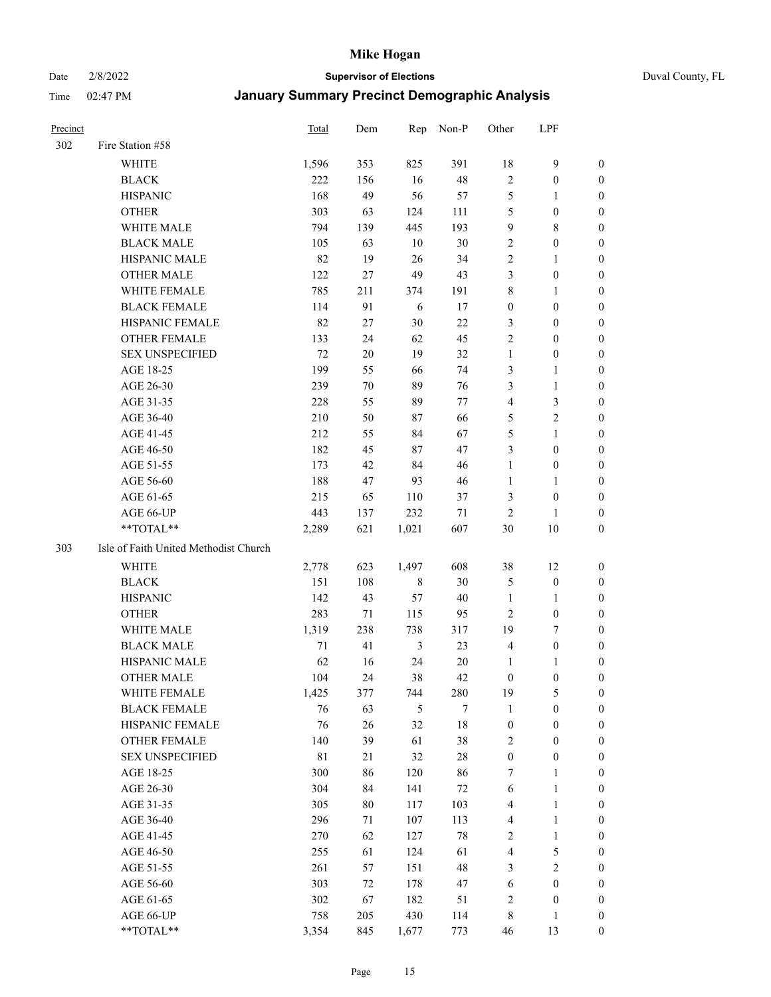#### Date 2/8/2022 **Supervisor of Elections** Duval County, FL

| Precinct |                                       | Total | Dem    | Rep        | Non-P   | Other                   | LPF              |                  |
|----------|---------------------------------------|-------|--------|------------|---------|-------------------------|------------------|------------------|
| 302      | Fire Station #58                      |       |        |            |         |                         |                  |                  |
|          | <b>WHITE</b>                          | 1,596 | 353    | 825        | 391     | 18                      | $\boldsymbol{9}$ | $\boldsymbol{0}$ |
|          | <b>BLACK</b>                          | 222   | 156    | 16         | $48\,$  | $\mathbf{2}$            | $\boldsymbol{0}$ | 0                |
|          | <b>HISPANIC</b>                       | 168   | 49     | 56         | 57      | $\mathfrak s$           | 1                | 0                |
|          | <b>OTHER</b>                          | 303   | 63     | 124        | 111     | 5                       | $\boldsymbol{0}$ | 0                |
|          | WHITE MALE                            | 794   | 139    | 445        | 193     | 9                       | $\,$ 8 $\,$      | $\boldsymbol{0}$ |
|          | <b>BLACK MALE</b>                     | 105   | 63     | $10\,$     | 30      | $\boldsymbol{2}$        | $\boldsymbol{0}$ | $\boldsymbol{0}$ |
|          | HISPANIC MALE                         | 82    | 19     | $26\,$     | 34      | $\mathbf{2}$            | $\mathbf{1}$     | $\boldsymbol{0}$ |
|          | <b>OTHER MALE</b>                     | 122   | 27     | 49         | 43      | 3                       | $\boldsymbol{0}$ | $\boldsymbol{0}$ |
|          | WHITE FEMALE                          | 785   | 211    | 374        | 191     | 8                       | $\mathbf{1}$     | $\boldsymbol{0}$ |
|          | <b>BLACK FEMALE</b>                   | 114   | 91     | $\sqrt{6}$ | 17      | $\boldsymbol{0}$        | $\boldsymbol{0}$ | $\boldsymbol{0}$ |
|          | HISPANIC FEMALE                       | 82    | 27     | 30         | $22\,$  | 3                       | $\boldsymbol{0}$ | 0                |
|          | OTHER FEMALE                          | 133   | 24     | 62         | 45      | $\mathbf{2}$            | $\boldsymbol{0}$ | 0                |
|          | <b>SEX UNSPECIFIED</b>                | 72    | 20     | 19         | 32      | $\mathbf{1}$            | $\boldsymbol{0}$ | 0                |
|          | AGE 18-25                             | 199   | 55     | 66         | 74      | 3                       | $\mathbf{1}$     | 0                |
|          | AGE 26-30                             | 239   | $70\,$ | 89         | 76      | 3                       | $\mathbf{1}$     | $\boldsymbol{0}$ |
|          | AGE 31-35                             | 228   | 55     | 89         | $77 \,$ | 4                       | $\mathfrak{Z}$   | $\boldsymbol{0}$ |
|          | AGE 36-40                             | 210   | 50     | 87         | 66      | 5                       | $\mathbf{2}$     | 0                |
|          | AGE 41-45                             | 212   | 55     | 84         | 67      | 5                       | $\mathbf{1}$     | $\boldsymbol{0}$ |
|          | AGE 46-50                             | 182   | 45     | 87         | $47\,$  | 3                       | $\boldsymbol{0}$ | $\boldsymbol{0}$ |
|          | AGE 51-55                             | 173   | 42     | 84         | $46\,$  | $\mathbf{1}$            | $\boldsymbol{0}$ | 0                |
|          | AGE 56-60                             | 188   | 47     | 93         | 46      | $\mathbf{1}$            | 1                | 0                |
|          | AGE 61-65                             | 215   | 65     | 110        | 37      | 3                       | $\boldsymbol{0}$ | 0                |
|          | AGE 66-UP                             | 443   | 137    | 232        | $71\,$  | $\mathbf{2}$            | 1                | 0                |
|          | **TOTAL**                             | 2,289 | 621    | 1,021      | 607     | 30                      | 10               | $\boldsymbol{0}$ |
| 303      | Isle of Faith United Methodist Church |       |        |            |         |                         |                  |                  |
|          | WHITE                                 | 2,778 | 623    | 1,497      | 608     | 38                      | 12               | 0                |
|          | <b>BLACK</b>                          | 151   | 108    | 8          | $30\,$  | 5                       | $\boldsymbol{0}$ | 0                |
|          | <b>HISPANIC</b>                       | 142   | 43     | 57         | 40      | $\mathbf{1}$            | 1                | $\boldsymbol{0}$ |
|          | <b>OTHER</b>                          | 283   | 71     | 115        | 95      | $\overline{c}$          | $\boldsymbol{0}$ | 0                |
|          | WHITE MALE                            | 1,319 | 238    | 738        | 317     | 19                      | 7                | $\boldsymbol{0}$ |
|          | <b>BLACK MALE</b>                     | 71    | 41     | 3          | 23      | 4                       | $\boldsymbol{0}$ | $\boldsymbol{0}$ |
|          | HISPANIC MALE                         | 62    | 16     | 24         | $20\,$  | $\mathbf{1}$            | 1                | 0                |
|          | <b>OTHER MALE</b>                     | 104   | 24     | 38         | 42      | $\boldsymbol{0}$        | $\boldsymbol{0}$ | $\boldsymbol{0}$ |
|          | WHITE FEMALE                          | 1,425 | 377    | 744        | 280     | 19                      | $\mathfrak s$    | 0                |
|          | <b>BLACK FEMALE</b>                   | 76    | 63     | 5          | 7       | $\mathbf{1}$            | $\boldsymbol{0}$ | 0                |
|          | HISPANIC FEMALE                       | 76    | 26     | 32         | 18      | $\boldsymbol{0}$        | $\boldsymbol{0}$ | 0                |
|          | OTHER FEMALE                          | 140   | 39     | 61         | $38\,$  | 2                       | $\boldsymbol{0}$ | 0                |
|          | <b>SEX UNSPECIFIED</b>                | 81    | 21     | 32         | $28\,$  | $\boldsymbol{0}$        | $\boldsymbol{0}$ | $\overline{0}$   |
|          | AGE 18-25                             | 300   | 86     | 120        | 86      | 7                       | $\mathbf{1}$     | 0                |
|          | AGE 26-30                             | 304   | 84     | 141        | 72      | 6                       | $\mathbf{1}$     | 0                |
|          | AGE 31-35                             | 305   | 80     | 117        | 103     | 4                       | $\mathbf{1}$     | 0                |
|          | AGE 36-40                             | 296   | 71     | 107        | 113     | 4                       | $\mathbf{1}$     | 0                |
|          | AGE 41-45                             | 270   | 62     | 127        | $78\,$  | $\sqrt{2}$              | $\mathbf{1}$     | 0                |
|          | AGE 46-50                             | 255   | 61     | 124        | 61      | $\overline{\mathbf{4}}$ | 5                | 0                |
|          | AGE 51-55                             | 261   | 57     | 151        | $48\,$  | 3                       | $\sqrt{2}$       | 0                |
|          | AGE 56-60                             | 303   | 72     | 178        | 47      | $\sqrt{6}$              | $\boldsymbol{0}$ | 0                |
|          | AGE 61-65                             | 302   | 67     | 182        | 51      | 2                       | $\boldsymbol{0}$ | 0                |
|          | AGE 66-UP                             | 758   | 205    | 430        | 114     | 8                       | $\mathbf{1}$     | $\boldsymbol{0}$ |
|          | **TOTAL**                             | 3,354 | 845    | 1,677      | 773     | 46                      | 13               | $\boldsymbol{0}$ |
|          |                                       |       |        |            |         |                         |                  |                  |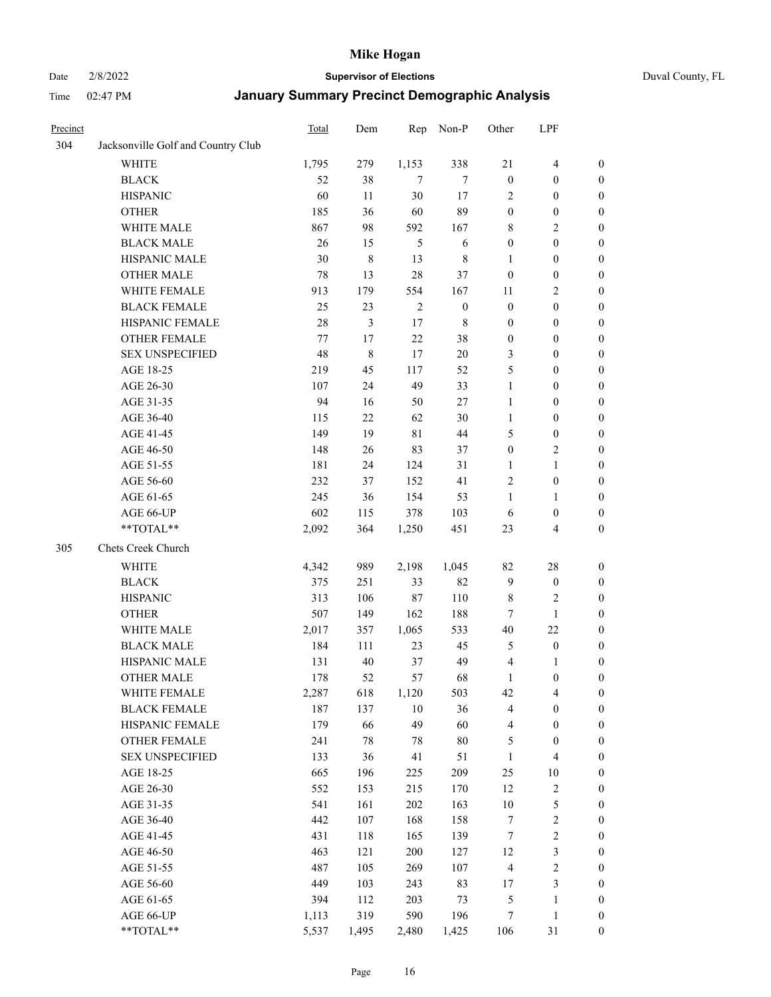#### Date 2/8/2022 **Supervisor of Elections** Duval County, FL

| Precinct |                                    | Total   | Dem   | Rep         | Non-P            | Other            | LPF                     |                  |
|----------|------------------------------------|---------|-------|-------------|------------------|------------------|-------------------------|------------------|
| 304      | Jacksonville Golf and Country Club |         |       |             |                  |                  |                         |                  |
|          | <b>WHITE</b>                       | 1,795   | 279   | 1,153       | 338              | 21               | $\overline{4}$          | 0                |
|          | <b>BLACK</b>                       | 52      | 38    | $\tau$      | 7                | $\boldsymbol{0}$ | $\boldsymbol{0}$        | 0                |
|          | <b>HISPANIC</b>                    | 60      | 11    | 30          | 17               | 2                | $\boldsymbol{0}$        | $\boldsymbol{0}$ |
|          | <b>OTHER</b>                       | 185     | 36    | 60          | 89               | $\boldsymbol{0}$ | $\boldsymbol{0}$        | $\boldsymbol{0}$ |
|          | WHITE MALE                         | 867     | 98    | 592         | 167              | 8                | $\sqrt{2}$              | $\boldsymbol{0}$ |
|          | <b>BLACK MALE</b>                  | 26      | 15    | 5           | 6                | $\boldsymbol{0}$ | $\boldsymbol{0}$        | $\boldsymbol{0}$ |
|          | HISPANIC MALE                      | 30      | 8     | 13          | $\,$ 8 $\,$      | $\mathbf{1}$     | $\boldsymbol{0}$        | $\boldsymbol{0}$ |
|          | <b>OTHER MALE</b>                  | 78      | 13    | 28          | 37               | $\boldsymbol{0}$ | $\boldsymbol{0}$        | $\boldsymbol{0}$ |
|          | WHITE FEMALE                       | 913     | 179   | 554         | 167              | 11               | $\mathfrak{2}$          | $\boldsymbol{0}$ |
|          | <b>BLACK FEMALE</b>                | 25      | 23    | $\sqrt{2}$  | $\boldsymbol{0}$ | $\boldsymbol{0}$ | $\boldsymbol{0}$        | $\boldsymbol{0}$ |
|          | HISPANIC FEMALE                    | 28      | 3     | 17          | $\,$ 8 $\,$      | $\boldsymbol{0}$ | $\boldsymbol{0}$        | 0                |
|          | <b>OTHER FEMALE</b>                | $77 \,$ | 17    | 22          | 38               | $\boldsymbol{0}$ | $\boldsymbol{0}$        | 0                |
|          | <b>SEX UNSPECIFIED</b>             | 48      | 8     | 17          | $20\,$           | 3                | $\boldsymbol{0}$        | $\boldsymbol{0}$ |
|          | AGE 18-25                          | 219     | 45    | 117         | 52               | 5                | $\boldsymbol{0}$        | $\boldsymbol{0}$ |
|          | AGE 26-30                          | 107     | 24    | 49          | 33               | $\mathbf{1}$     | $\boldsymbol{0}$        | $\boldsymbol{0}$ |
|          | AGE 31-35                          | 94      | 16    | 50          | 27               | $\mathbf{1}$     | $\boldsymbol{0}$        | $\boldsymbol{0}$ |
|          | AGE 36-40                          | 115     | 22    | 62          | 30               | $\mathbf{1}$     | $\boldsymbol{0}$        | $\boldsymbol{0}$ |
|          | AGE 41-45                          | 149     | 19    | $8\sqrt{1}$ | $44\,$           | 5                | $\boldsymbol{0}$        | $\boldsymbol{0}$ |
|          | AGE 46-50                          | 148     | 26    | 83          | 37               | $\boldsymbol{0}$ | $\mathfrak{2}$          | $\boldsymbol{0}$ |
|          | AGE 51-55                          | 181     | 24    | 124         | 31               | 1                | $\mathbf{1}$            | $\boldsymbol{0}$ |
|          | AGE 56-60                          | 232     | 37    | 152         | 41               | $\overline{c}$   | $\boldsymbol{0}$        | 0                |
|          | AGE 61-65                          | 245     | 36    | 154         | 53               | 1                | $\mathbf{1}$            | 0                |
|          | AGE 66-UP                          | 602     | 115   | 378         | 103              | 6                | $\boldsymbol{0}$        | 0                |
|          | **TOTAL**                          | 2,092   | 364   | 1,250       | 451              | 23               | $\overline{\mathbf{4}}$ | $\boldsymbol{0}$ |
| 305      | Chets Creek Church                 |         |       |             |                  |                  |                         |                  |
|          | <b>WHITE</b>                       | 4,342   | 989   | 2,198       | 1,045            | 82               | $28\,$                  | $\boldsymbol{0}$ |
|          | <b>BLACK</b>                       | 375     | 251   | 33          | 82               | $\overline{9}$   | $\boldsymbol{0}$        | $\boldsymbol{0}$ |
|          | <b>HISPANIC</b>                    | 313     | 106   | $87\,$      | 110              | 8                | $\mathfrak{2}$          | $\boldsymbol{0}$ |
|          | <b>OTHER</b>                       | 507     | 149   | 162         | 188              | 7                | $\mathbf{1}$            | $\boldsymbol{0}$ |
|          | WHITE MALE                         | 2,017   | 357   | 1,065       | 533              | $40\,$           | 22                      | $\boldsymbol{0}$ |
|          | <b>BLACK MALE</b>                  | 184     | 111   | 23          | 45               | 5                | $\boldsymbol{0}$        | $\boldsymbol{0}$ |
|          | HISPANIC MALE                      | 131     | 40    | 37          | 49               | $\overline{4}$   | 1                       | 0                |
|          | <b>OTHER MALE</b>                  | 178     | 52    | 57          | 68               | $\mathbf{1}$     | $\boldsymbol{0}$        | $\boldsymbol{0}$ |
|          | WHITE FEMALE                       | 2,287   | 618   | 1,120       | 503              | 42               | 4                       | 0                |
|          | <b>BLACK FEMALE</b>                | 187     | 137   | 10          | 36               | 4                | $\boldsymbol{0}$        | $\boldsymbol{0}$ |
|          | HISPANIC FEMALE                    | 179     | 66    | 49          | 60               | 4                | $\boldsymbol{0}$        | $\overline{0}$   |
|          | OTHER FEMALE                       | 241     | 78    | 78          | $80\,$           | 5                | $\boldsymbol{0}$        | $\overline{0}$   |
|          | <b>SEX UNSPECIFIED</b>             | 133     | 36    | 41          | 51               | $\mathbf{1}$     | $\overline{\mathbf{4}}$ | 0                |
|          | AGE 18-25                          | 665     | 196   | 225         | 209              | $25\,$           | $10\,$                  | 0                |
|          | AGE 26-30                          | 552     | 153   | 215         | 170              | 12               | $\sqrt{2}$              | 0                |
|          | AGE 31-35                          | 541     | 161   | 202         | 163              | $10\,$           | $\mathfrak s$           | 0                |
|          | AGE 36-40                          | 442     | 107   | 168         | 158              | 7                | $\sqrt{2}$              | 0                |
|          | AGE 41-45                          | 431     | 118   | 165         | 139              | 7                | $\sqrt{2}$              | 0                |
|          | AGE 46-50                          | 463     | 121   | 200         | 127              | 12               | $\mathfrak{Z}$          | 0                |
|          | AGE 51-55                          | 487     | 105   | 269         | 107              | $\overline{4}$   | $\sqrt{2}$              | 0                |
|          | AGE 56-60                          | 449     | 103   | 243         | 83               | 17               | $\mathfrak{Z}$          | $\boldsymbol{0}$ |
|          | AGE 61-65                          | 394     | 112   | 203         | 73               | 5                | $\mathbf{1}$            | $\boldsymbol{0}$ |
|          | AGE 66-UP                          | 1,113   | 319   | 590         | 196              | 7                | $\mathbf{1}$            | $\boldsymbol{0}$ |
|          | **TOTAL**                          | 5,537   | 1,495 | 2,480       | 1,425            | 106              | 31                      | $\boldsymbol{0}$ |
|          |                                    |         |       |             |                  |                  |                         |                  |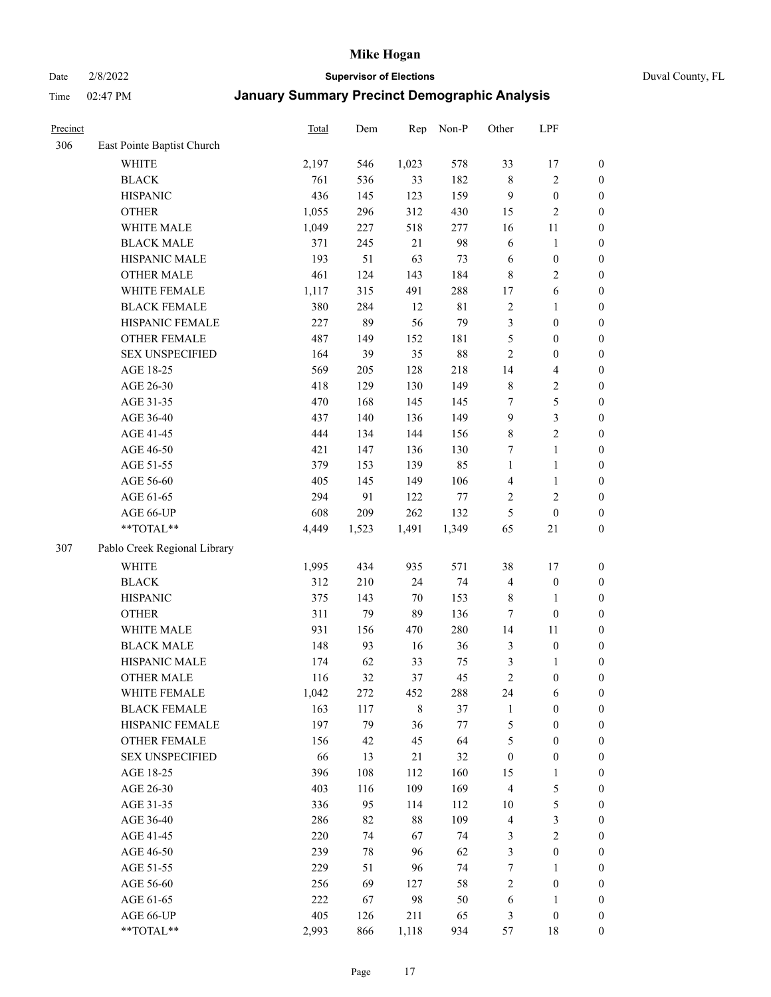Date 2/8/2022 **Supervisor of Elections** Duval County, FL

| Precinct |                              | Total | Dem   | Rep         | Non-P  | Other            | LPF                     |                  |
|----------|------------------------------|-------|-------|-------------|--------|------------------|-------------------------|------------------|
| 306      | East Pointe Baptist Church   |       |       |             |        |                  |                         |                  |
|          | <b>WHITE</b>                 | 2,197 | 546   | 1,023       | 578    | 33               | 17                      | 0                |
|          | <b>BLACK</b>                 | 761   | 536   | 33          | 182    | $\,$ 8 $\,$      | $\sqrt{2}$              | $\boldsymbol{0}$ |
|          | <b>HISPANIC</b>              | 436   | 145   | 123         | 159    | 9                | $\boldsymbol{0}$        | $\boldsymbol{0}$ |
|          | <b>OTHER</b>                 | 1,055 | 296   | 312         | 430    | 15               | $\mathfrak{2}$          | $\boldsymbol{0}$ |
|          | WHITE MALE                   | 1,049 | 227   | 518         | 277    | 16               | 11                      | $\boldsymbol{0}$ |
|          | <b>BLACK MALE</b>            | 371   | 245   | 21          | 98     | 6                | $\mathbf{1}$            | $\boldsymbol{0}$ |
|          | HISPANIC MALE                | 193   | 51    | 63          | 73     | 6                | $\boldsymbol{0}$        | $\boldsymbol{0}$ |
|          | <b>OTHER MALE</b>            | 461   | 124   | 143         | 184    | 8                | $\overline{2}$          | $\boldsymbol{0}$ |
|          | WHITE FEMALE                 | 1,117 | 315   | 491         | 288    | 17               | $\sqrt{6}$              | $\boldsymbol{0}$ |
|          | <b>BLACK FEMALE</b>          | 380   | 284   | 12          | 81     | $\overline{c}$   | $\mathbf{1}$            | $\boldsymbol{0}$ |
|          | HISPANIC FEMALE              | 227   | 89    | 56          | 79     | 3                | $\boldsymbol{0}$        | $\boldsymbol{0}$ |
|          | OTHER FEMALE                 | 487   | 149   | 152         | 181    | 5                | $\boldsymbol{0}$        | $\boldsymbol{0}$ |
|          | <b>SEX UNSPECIFIED</b>       | 164   | 39    | 35          | $88\,$ | $\sqrt{2}$       | $\boldsymbol{0}$        | $\boldsymbol{0}$ |
|          | AGE 18-25                    | 569   | 205   | 128         | 218    | 14               | $\overline{\mathbf{4}}$ | $\boldsymbol{0}$ |
|          | AGE 26-30                    | 418   | 129   | 130         | 149    | 8                | $\sqrt{2}$              | $\boldsymbol{0}$ |
|          | AGE 31-35                    | 470   | 168   | 145         | 145    | 7                | $\mathfrak s$           | $\boldsymbol{0}$ |
|          | AGE 36-40                    | 437   | 140   | 136         | 149    | 9                | $\mathfrak{Z}$          | $\boldsymbol{0}$ |
|          | AGE 41-45                    | 444   | 134   | 144         | 156    | $\,$ $\,$        | $\overline{2}$          | $\boldsymbol{0}$ |
|          | AGE 46-50                    | 421   | 147   | 136         | 130    | 7                | $\mathbf{1}$            | $\boldsymbol{0}$ |
|          | AGE 51-55                    | 379   | 153   | 139         | 85     | $\mathbf{1}$     | $\mathbf{1}$            | $\boldsymbol{0}$ |
|          | AGE 56-60                    | 405   | 145   | 149         | 106    | $\overline{4}$   | $\mathbf{1}$            | 0                |
|          | AGE 61-65                    | 294   | 91    | 122         | $77\,$ | $\overline{2}$   | $\mathfrak{2}$          | $\boldsymbol{0}$ |
|          | AGE 66-UP                    | 608   | 209   | 262         | 132    | 5                | $\boldsymbol{0}$        | $\boldsymbol{0}$ |
|          | $**TOTAL**$                  | 4,449 | 1,523 | 1,491       | 1,349  | 65               | 21                      | $\boldsymbol{0}$ |
| 307      | Pablo Creek Regional Library |       |       |             |        |                  |                         |                  |
|          | <b>WHITE</b>                 | 1,995 | 434   | 935         | 571    | 38               | 17                      | $\boldsymbol{0}$ |
|          | <b>BLACK</b>                 | 312   | 210   | 24          | 74     | 4                | $\boldsymbol{0}$        | $\boldsymbol{0}$ |
|          | <b>HISPANIC</b>              | 375   | 143   | $70\,$      | 153    | 8                | $\mathbf{1}$            | $\boldsymbol{0}$ |
|          | <b>OTHER</b>                 | 311   | 79    | 89          | 136    | 7                | $\boldsymbol{0}$        | $\boldsymbol{0}$ |
|          | WHITE MALE                   | 931   | 156   | 470         | 280    | 14               | 11                      | $\boldsymbol{0}$ |
|          | <b>BLACK MALE</b>            | 148   | 93    | 16          | 36     | 3                | $\boldsymbol{0}$        | $\boldsymbol{0}$ |
|          | HISPANIC MALE                | 174   | 62    | 33          | 75     | 3                | 1                       | $\boldsymbol{0}$ |
|          | <b>OTHER MALE</b>            | 116   | 32    | 37          | 45     | $\mathfrak{2}$   | $\boldsymbol{0}$        | $\boldsymbol{0}$ |
|          | WHITE FEMALE                 | 1,042 | 272   | 452         | 288    | 24               | 6                       | 0                |
|          | <b>BLACK FEMALE</b>          | 163   | 117   | $\,$ 8 $\,$ | 37     | $\mathbf{1}$     | $\boldsymbol{0}$        | $\overline{0}$   |
|          | HISPANIC FEMALE              | 197   | 79    | 36          | $77\,$ | 5                | $\boldsymbol{0}$        | $\overline{0}$   |
|          | OTHER FEMALE                 | 156   | 42    | 45          | 64     | 5                | $\boldsymbol{0}$        | $\overline{0}$   |
|          | <b>SEX UNSPECIFIED</b>       | 66    | 13    | 21          | 32     | $\boldsymbol{0}$ | $\boldsymbol{0}$        | 0                |
|          | AGE 18-25                    | 396   | 108   | 112         | 160    | 15               | $\mathbf{1}$            | 0                |
|          | AGE 26-30                    | 403   | 116   | 109         | 169    | $\overline{4}$   | $\mathfrak{S}$          | 0                |
|          | AGE 31-35                    | 336   | 95    | 114         | 112    | $10\,$           | $\mathfrak s$           | 0                |
|          | AGE 36-40                    | 286   | 82    | $88\,$      | 109    | $\overline{4}$   | $\mathfrak{Z}$          | 0                |
|          | AGE 41-45                    | 220   | 74    | 67          | 74     | 3                | $\overline{2}$          | 0                |
|          | AGE 46-50                    | 239   | 78    | 96          | 62     | 3                | $\boldsymbol{0}$        | 0                |
|          | AGE 51-55                    | 229   | 51    | 96          | 74     | $\tau$           | $\mathbf{1}$            | 0                |
|          | AGE 56-60                    | 256   | 69    | 127         | 58     | $\overline{c}$   | $\boldsymbol{0}$        | 0                |
|          | AGE 61-65                    | 222   | 67    | 98          | 50     | 6                | $\mathbf{1}$            | 0                |
|          | AGE 66-UP                    | 405   | 126   | 211         | 65     | 3                | $\boldsymbol{0}$        | 0                |
|          | **TOTAL**                    | 2,993 | 866   | 1,118       | 934    | 57               | 18                      | $\boldsymbol{0}$ |
|          |                              |       |       |             |        |                  |                         |                  |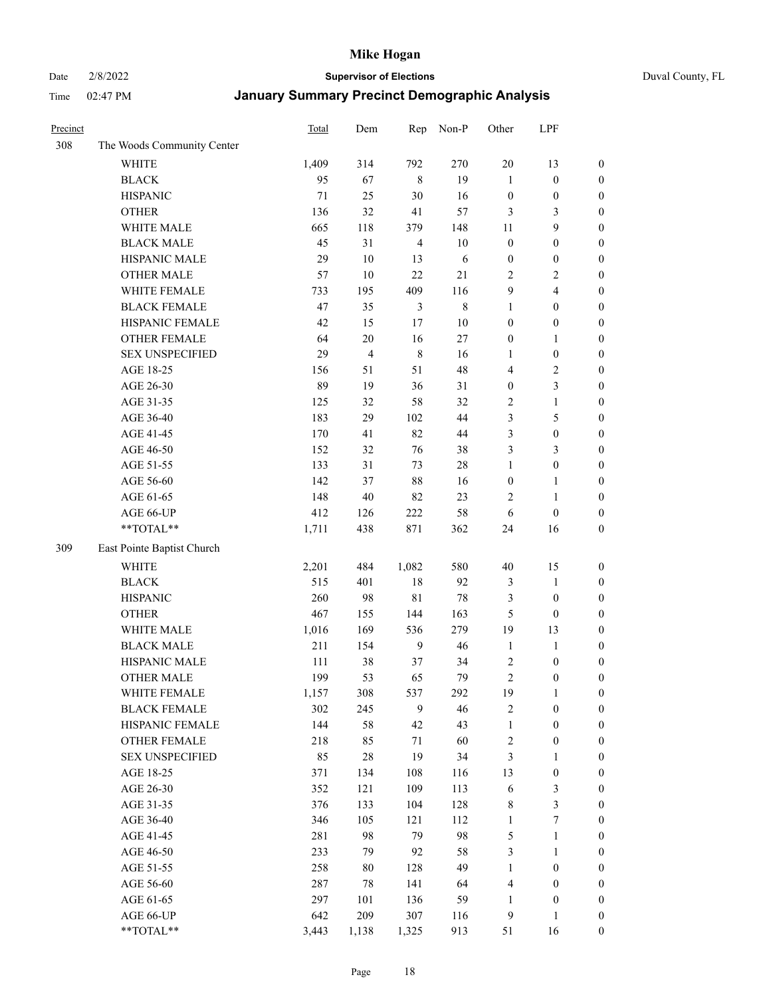## Date 2/8/2022 **Supervisor of Elections** Duval County, FL

| Precinct |                            | Total | Dem            | Rep            | Non-P       | Other            | LPF                     |                  |
|----------|----------------------------|-------|----------------|----------------|-------------|------------------|-------------------------|------------------|
| 308      | The Woods Community Center |       |                |                |             |                  |                         |                  |
|          | <b>WHITE</b>               | 1,409 | 314            | 792            | 270         | 20               | 13                      | 0                |
|          | <b>BLACK</b>               | 95    | 67             | $\,8\,$        | 19          | $\mathbf{1}$     | $\boldsymbol{0}$        | $\boldsymbol{0}$ |
|          | <b>HISPANIC</b>            | 71    | 25             | $30\,$         | 16          | $\boldsymbol{0}$ | $\boldsymbol{0}$        | $\boldsymbol{0}$ |
|          | <b>OTHER</b>               | 136   | 32             | 41             | 57          | 3                | 3                       | $\boldsymbol{0}$ |
|          | WHITE MALE                 | 665   | 118            | 379            | 148         | 11               | 9                       | $\boldsymbol{0}$ |
|          | <b>BLACK MALE</b>          | 45    | 31             | $\overline{4}$ | 10          | $\boldsymbol{0}$ | $\boldsymbol{0}$        | $\boldsymbol{0}$ |
|          | HISPANIC MALE              | 29    | $10\,$         | 13             | 6           | $\boldsymbol{0}$ | $\boldsymbol{0}$        | $\boldsymbol{0}$ |
|          | <b>OTHER MALE</b>          | 57    | 10             | 22             | 21          | $\mathfrak{2}$   | $\overline{2}$          | $\boldsymbol{0}$ |
|          | WHITE FEMALE               | 733   | 195            | 409            | 116         | 9                | $\overline{\mathbf{4}}$ | $\boldsymbol{0}$ |
|          | <b>BLACK FEMALE</b>        | 47    | 35             | $\mathfrak{Z}$ | $\,$ 8 $\,$ | $\mathbf{1}$     | $\boldsymbol{0}$        | $\boldsymbol{0}$ |
|          | HISPANIC FEMALE            | 42    | 15             | 17             | $10\,$      | $\boldsymbol{0}$ | $\boldsymbol{0}$        | 0                |
|          | <b>OTHER FEMALE</b>        | 64    | $20\,$         | 16             | 27          | $\boldsymbol{0}$ | $\mathbf{1}$            | $\boldsymbol{0}$ |
|          | <b>SEX UNSPECIFIED</b>     | 29    | $\overline{4}$ | $\,8\,$        | 16          | $\mathbf{1}$     | $\boldsymbol{0}$        | $\boldsymbol{0}$ |
|          | AGE 18-25                  | 156   | 51             | 51             | 48          | 4                | $\sqrt{2}$              | $\boldsymbol{0}$ |
|          | AGE 26-30                  | 89    | 19             | 36             | 31          | $\boldsymbol{0}$ | $\mathfrak{Z}$          | $\boldsymbol{0}$ |
|          | AGE 31-35                  | 125   | 32             | 58             | 32          | 2                | $\mathbf{1}$            | $\boldsymbol{0}$ |
|          | AGE 36-40                  | 183   | 29             | 102            | 44          | 3                | $\mathfrak{S}$          | $\boldsymbol{0}$ |
|          | AGE 41-45                  | 170   | 41             | 82             | $44\,$      | 3                | $\boldsymbol{0}$        | $\boldsymbol{0}$ |
|          | AGE 46-50                  | 152   | 32             | 76             | 38          | 3                | $\mathfrak{Z}$          | $\boldsymbol{0}$ |
|          | AGE 51-55                  | 133   | 31             | 73             | $28\,$      | $\mathbf{1}$     | $\boldsymbol{0}$        | $\boldsymbol{0}$ |
|          | AGE 56-60                  | 142   | 37             | $88\,$         | 16          | $\boldsymbol{0}$ | $\mathbf{1}$            | 0                |
|          | AGE 61-65                  | 148   | 40             | 82             | 23          | 2                | $\mathbf{1}$            | 0                |
|          | AGE 66-UP                  | 412   | 126            | 222            | 58          | 6                | $\boldsymbol{0}$        | $\boldsymbol{0}$ |
|          | $**TOTAL**$                | 1,711 | 438            | 871            | 362         | 24               | 16                      | $\boldsymbol{0}$ |
| 309      | East Pointe Baptist Church |       |                |                |             |                  |                         |                  |
|          | <b>WHITE</b>               | 2,201 | 484            | 1,082          | 580         | 40               | 15                      | $\boldsymbol{0}$ |
|          | <b>BLACK</b>               | 515   | 401            | $18\,$         | 92          | $\mathfrak{Z}$   | $\mathbf{1}$            | $\boldsymbol{0}$ |
|          | <b>HISPANIC</b>            | 260   | 98             | $8\sqrt{1}$    | 78          | 3                | $\boldsymbol{0}$        | $\boldsymbol{0}$ |
|          | <b>OTHER</b>               | 467   | 155            | 144            | 163         | 5                | $\boldsymbol{0}$        | $\boldsymbol{0}$ |
|          | WHITE MALE                 | 1,016 | 169            | 536            | 279         | 19               | 13                      | $\boldsymbol{0}$ |
|          | <b>BLACK MALE</b>          | 211   | 154            | 9              | 46          | $\mathbf{1}$     | $\mathbf{1}$            | $\boldsymbol{0}$ |
|          | HISPANIC MALE              | 111   | 38             | 37             | 34          | $\overline{c}$   | $\boldsymbol{0}$        | 0                |
|          | <b>OTHER MALE</b>          | 199   | 53             | 65             | 79          | $\overline{c}$   | $\boldsymbol{0}$        | $\boldsymbol{0}$ |
|          | WHITE FEMALE               | 1,157 | 308            | 537            | 292         | 19               | 1                       | 0                |
|          | <b>BLACK FEMALE</b>        | 302   | 245            | 9              | 46          | $\sqrt{2}$       | $\boldsymbol{0}$        | $\boldsymbol{0}$ |
|          | HISPANIC FEMALE            | 144   | 58             | 42             | 43          | $\mathbf{1}$     | $\boldsymbol{0}$        | $\overline{0}$   |
|          | OTHER FEMALE               | 218   | 85             | $71\,$         | 60          | $\sqrt{2}$       | $\boldsymbol{0}$        | $\overline{0}$   |
|          | <b>SEX UNSPECIFIED</b>     | 85    | 28             | 19             | 34          | 3                | $\mathbf{1}$            | 0                |
|          | AGE 18-25                  | 371   | 134            | 108            | 116         | 13               | $\boldsymbol{0}$        | 0                |
|          | AGE 26-30                  | 352   | 121            | 109            | 113         | 6                | $\mathfrak{Z}$          | 0                |
|          | AGE 31-35                  | 376   | 133            | 104            | 128         | 8                | $\mathfrak{Z}$          | 0                |
|          | AGE 36-40                  | 346   | 105            | 121            | 112         | $\mathbf{1}$     | $\boldsymbol{7}$        | 0                |
|          | AGE 41-45                  | 281   | 98             | 79             | 98          | $\mathfrak{S}$   | $\mathbf{1}$            | 0                |
|          | AGE 46-50                  | 233   | 79             | 92             | 58          | 3                | $\mathbf{1}$            | 0                |
|          | AGE 51-55                  | 258   | 80             | 128            | 49          | $\mathbf{1}$     | $\boldsymbol{0}$        | 0                |
|          | AGE 56-60                  | 287   | 78             | 141            | 64          | 4                | $\boldsymbol{0}$        | $\boldsymbol{0}$ |
|          | AGE 61-65                  | 297   | 101            | 136            | 59          | $\mathbf{1}$     | $\boldsymbol{0}$        | $\boldsymbol{0}$ |
|          | AGE 66-UP                  | 642   | 209            | 307            | 116         | $\overline{9}$   | $\mathbf{1}$            | $\boldsymbol{0}$ |
|          | **TOTAL**                  | 3,443 | 1,138          | 1,325          | 913         | 51               | 16                      | $\boldsymbol{0}$ |
|          |                            |       |                |                |             |                  |                         |                  |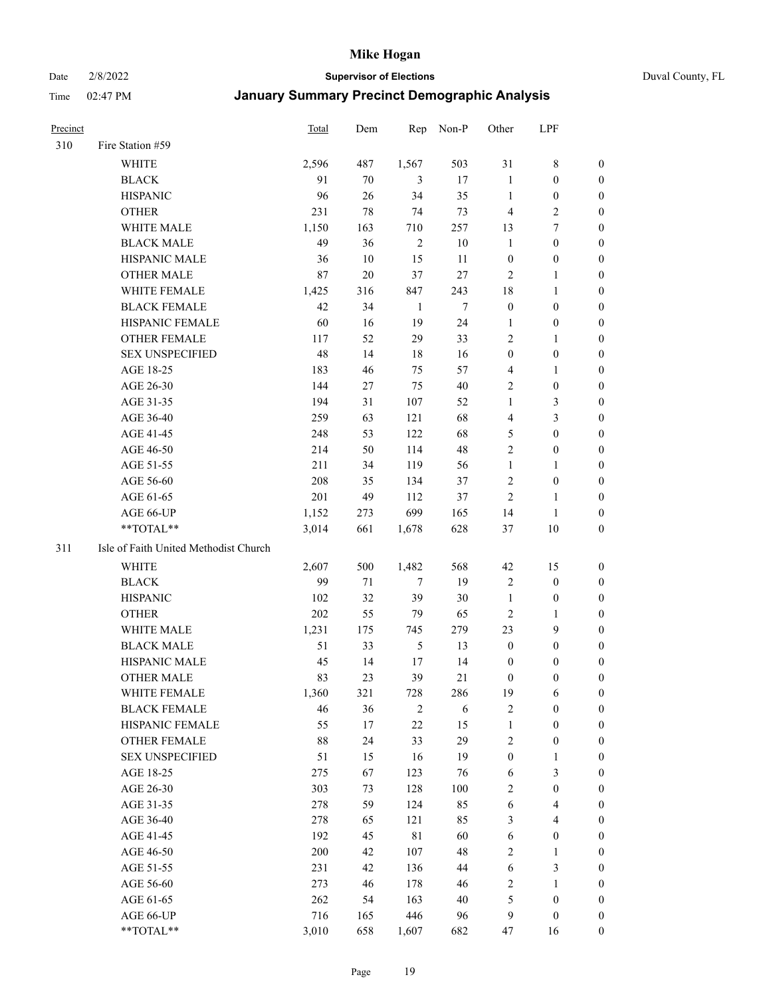#### Date 2/8/2022 **Supervisor of Elections** Duval County, FL

| Precinct |                                       | <b>Total</b> | Dem    | Rep            | Non-P      | Other            | LPF                              |                  |
|----------|---------------------------------------|--------------|--------|----------------|------------|------------------|----------------------------------|------------------|
| 310      | Fire Station #59                      |              |        |                |            |                  |                                  |                  |
|          | WHITE                                 | 2,596        | 487    | 1,567          | 503        | 31               | $\,$ 8 $\,$                      | 0                |
|          | <b>BLACK</b>                          | 91           | 70     | 3              | 17         | $\mathbf{1}$     | $\boldsymbol{0}$                 | 0                |
|          | <b>HISPANIC</b>                       | 96           | 26     | 34             | 35         | $\mathbf{1}$     | $\boldsymbol{0}$                 | 0                |
|          | <b>OTHER</b>                          | 231          | $78\,$ | 74             | 73         | 4                | $\sqrt{2}$                       | $\boldsymbol{0}$ |
|          | WHITE MALE                            | 1,150        | 163    | 710            | 257        | 13               | 7                                | $\boldsymbol{0}$ |
|          | <b>BLACK MALE</b>                     | 49           | 36     | $\sqrt{2}$     | $10\,$     | $\mathbf{1}$     | $\boldsymbol{0}$                 | $\boldsymbol{0}$ |
|          | HISPANIC MALE                         | 36           | 10     | 15             | 11         | $\boldsymbol{0}$ | $\boldsymbol{0}$                 | $\boldsymbol{0}$ |
|          | <b>OTHER MALE</b>                     | 87           | $20\,$ | 37             | $27\,$     | $\mathfrak{2}$   | $\mathbf{1}$                     | $\boldsymbol{0}$ |
|          | WHITE FEMALE                          | 1,425        | 316    | 847            | 243        | 18               | $\mathbf{1}$                     | $\boldsymbol{0}$ |
|          | <b>BLACK FEMALE</b>                   | 42           | 34     | $\mathbf{1}$   | $\tau$     | $\boldsymbol{0}$ | $\boldsymbol{0}$                 | 0                |
|          | HISPANIC FEMALE                       | 60           | 16     | 19             | 24         | 1                | $\boldsymbol{0}$                 | 0                |
|          | OTHER FEMALE                          | 117          | 52     | 29             | 33         | $\overline{2}$   | 1                                | 0                |
|          | <b>SEX UNSPECIFIED</b>                | 48           | 14     | 18             | 16         | $\boldsymbol{0}$ | $\boldsymbol{0}$                 | $\boldsymbol{0}$ |
|          | AGE 18-25                             | 183          | 46     | 75             | 57         | 4                | 1                                | $\boldsymbol{0}$ |
|          | AGE 26-30                             | 144          | 27     | 75             | $40\,$     | 2                | $\boldsymbol{0}$                 | $\boldsymbol{0}$ |
|          | AGE 31-35                             | 194          | 31     | 107            | 52         | $\mathbf{1}$     | 3                                | 0                |
|          | AGE 36-40                             | 259          | 63     | 121            | 68         | 4                | 3                                | $\boldsymbol{0}$ |
|          | AGE 41-45                             | 248          | 53     | 122            | 68         | 5                | $\boldsymbol{0}$                 | $\boldsymbol{0}$ |
|          | AGE 46-50                             | 214          | 50     | 114            | $48\,$     | $\mathfrak{2}$   | $\boldsymbol{0}$                 | 0                |
|          | AGE 51-55                             | 211          | 34     | 119            | 56         | $\mathbf{1}$     | 1                                | 0                |
|          | AGE 56-60                             | 208          | 35     | 134            | 37         | $\sqrt{2}$       | $\boldsymbol{0}$                 | 0                |
|          | AGE 61-65                             | 201          | 49     | 112            | 37         | $\mathfrak{2}$   | 1                                | 0                |
|          | AGE 66-UP                             | 1,152        | 273    | 699            | 165        | 14               | $\mathbf{1}$                     | 0                |
|          | **TOTAL**                             | 3,014        | 661    | 1,678          | 628        | 37               | 10                               | $\boldsymbol{0}$ |
| 311      | Isle of Faith United Methodist Church |              |        |                |            |                  |                                  |                  |
|          | <b>WHITE</b>                          | 2,607        | 500    | 1,482          | 568        | 42               | 15                               | $\boldsymbol{0}$ |
|          | <b>BLACK</b>                          | 99           | 71     | 7              | 19         | $\overline{c}$   | $\boldsymbol{0}$                 | $\boldsymbol{0}$ |
|          | <b>HISPANIC</b>                       | 102          | 32     | 39             | $30\,$     | $\mathbf{1}$     | $\boldsymbol{0}$                 | 0                |
|          | <b>OTHER</b>                          | 202          | 55     | 79             | 65         | $\overline{c}$   | $\mathbf{1}$                     | $\boldsymbol{0}$ |
|          | WHITE MALE                            | 1,231        | 175    | 745            | 279        | 23               | $\boldsymbol{9}$                 | $\boldsymbol{0}$ |
|          | <b>BLACK MALE</b>                     | 51           | 33     | $\mathfrak{S}$ | 13         | $\boldsymbol{0}$ | $\boldsymbol{0}$                 | 0                |
|          | HISPANIC MALE                         | 45           | 14     | 17             | 14         | 0                | 0                                | 0                |
|          | <b>OTHER MALE</b>                     | 83           | 23     | 39             | 21         | $\boldsymbol{0}$ | $\boldsymbol{0}$                 | $\boldsymbol{0}$ |
|          | WHITE FEMALE                          | 1,360        | 321    | 728            | 286        | 19               | 6                                | 0                |
|          | <b>BLACK FEMALE</b>                   | 46           | 36     | $\sqrt{2}$     | $\sqrt{6}$ | $\sqrt{2}$       | $\boldsymbol{0}$                 | 0                |
|          | HISPANIC FEMALE                       | 55           | 17     | 22             | 15         | $\mathbf{1}$     | $\boldsymbol{0}$                 | 0                |
|          | <b>OTHER FEMALE</b>                   | 88           |        | 33             | 29         |                  |                                  | 0                |
|          |                                       |              | 24     |                | 19         | $\overline{c}$   | $\boldsymbol{0}$<br>$\mathbf{1}$ | 0                |
|          | <b>SEX UNSPECIFIED</b>                | 51           | 15     | 16             |            | $\boldsymbol{0}$ |                                  | 0                |
|          | AGE 18-25                             | 275          | 67     | 123            | 76         | 6                | 3                                |                  |
|          | AGE 26-30                             | 303          | 73     | 128            | 100        | 2                | $\boldsymbol{0}$                 | 0                |
|          | AGE 31-35                             | 278          | 59     | 124            | 85         | 6                | $\overline{4}$                   | 0                |
|          | AGE 36-40                             | 278          | 65     | 121            | 85         | 3                | $\overline{4}$                   | 0                |
|          | AGE 41-45                             | 192          | 45     | $8\sqrt{1}$    | 60         | $\sqrt{6}$       | $\boldsymbol{0}$                 | 0                |
|          | AGE 46-50                             | 200          | 42     | 107            | $48\,$     | $\sqrt{2}$       | $\mathbf{1}$                     | 0                |
|          | AGE 51-55                             | 231          | 42     | 136            | 44         | $\sqrt{6}$       | 3                                | 0                |
|          | AGE 56-60                             | 273          | 46     | 178            | 46         | $\sqrt{2}$       | $\mathbf{1}$                     | 0                |
|          | AGE 61-65                             | 262          | 54     | 163            | 40         | 5                | $\boldsymbol{0}$                 | 0                |
|          | AGE 66-UP                             | 716          | 165    | 446            | 96         | 9                | $\boldsymbol{0}$                 | 0                |
|          | **TOTAL**                             | 3,010        | 658    | 1,607          | 682        | 47               | 16                               | $\overline{0}$   |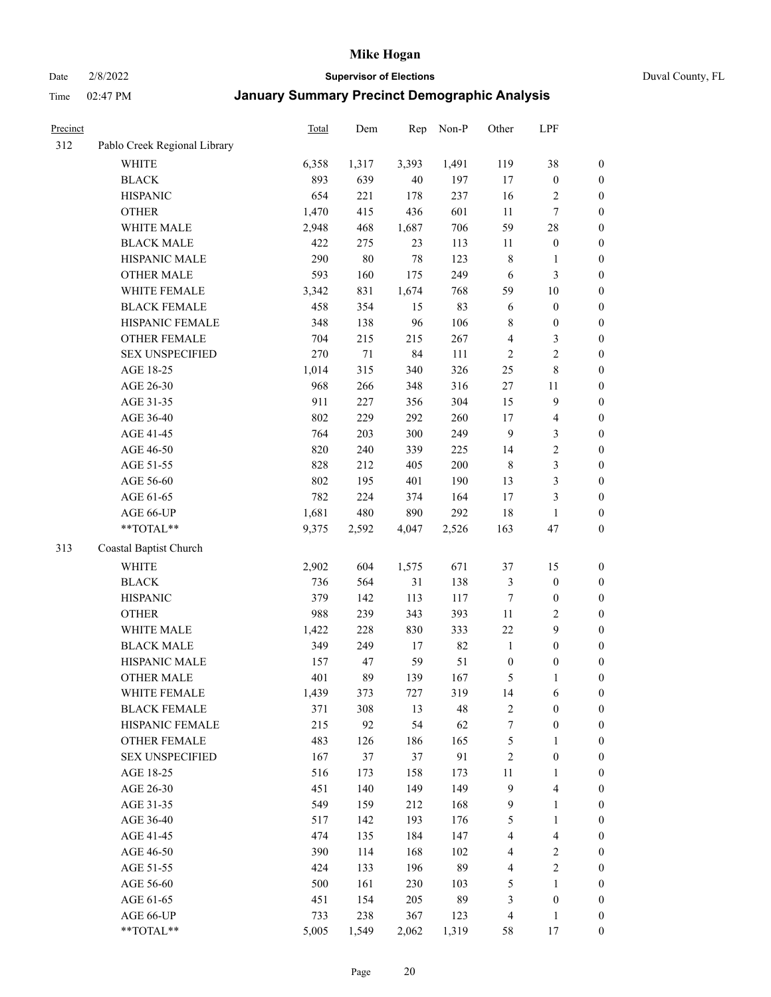Date 2/8/2022 **Supervisor of Elections** Duval County, FL

| Precinct |                              | Total | Dem    | Rep    | Non-P | Other                   | LPF                     |                  |
|----------|------------------------------|-------|--------|--------|-------|-------------------------|-------------------------|------------------|
| 312      | Pablo Creek Regional Library |       |        |        |       |                         |                         |                  |
|          | <b>WHITE</b>                 | 6,358 | 1,317  | 3,393  | 1,491 | 119                     | 38                      | 0                |
|          | <b>BLACK</b>                 | 893   | 639    | $40\,$ | 197   | $17\,$                  | $\boldsymbol{0}$        | $\boldsymbol{0}$ |
|          | <b>HISPANIC</b>              | 654   | 221    | 178    | 237   | 16                      | $\sqrt{2}$              | $\boldsymbol{0}$ |
|          | <b>OTHER</b>                 | 1,470 | 415    | 436    | 601   | $11\,$                  | $\tau$                  | $\boldsymbol{0}$ |
|          | WHITE MALE                   | 2,948 | 468    | 1,687  | 706   | 59                      | $28\,$                  | $\boldsymbol{0}$ |
|          | <b>BLACK MALE</b>            | 422   | 275    | 23     | 113   | 11                      | $\boldsymbol{0}$        | $\boldsymbol{0}$ |
|          | HISPANIC MALE                | 290   | $80\,$ | 78     | 123   | $\,$ 8 $\,$             | $\mathbf{1}$            | $\boldsymbol{0}$ |
|          | <b>OTHER MALE</b>            | 593   | 160    | 175    | 249   | 6                       | $\mathfrak{Z}$          | $\boldsymbol{0}$ |
|          | WHITE FEMALE                 | 3,342 | 831    | 1,674  | 768   | 59                      | $10\,$                  | $\boldsymbol{0}$ |
|          | <b>BLACK FEMALE</b>          | 458   | 354    | 15     | 83    | 6                       | $\boldsymbol{0}$        | $\boldsymbol{0}$ |
|          | HISPANIC FEMALE              | 348   | 138    | 96     | 106   | 8                       | $\boldsymbol{0}$        | 0                |
|          | OTHER FEMALE                 | 704   | 215    | 215    | 267   | 4                       | $\mathfrak{Z}$          | $\boldsymbol{0}$ |
|          | <b>SEX UNSPECIFIED</b>       | 270   | $71\,$ | 84     | 111   | $\sqrt{2}$              | $\sqrt{2}$              | $\boldsymbol{0}$ |
|          | AGE 18-25                    | 1,014 | 315    | 340    | 326   | 25                      | $\,$ 8 $\,$             | $\boldsymbol{0}$ |
|          | AGE 26-30                    | 968   | 266    | 348    | 316   | 27                      | 11                      | $\boldsymbol{0}$ |
|          | AGE 31-35                    | 911   | 227    | 356    | 304   | 15                      | $\boldsymbol{9}$        | $\boldsymbol{0}$ |
|          | AGE 36-40                    | 802   | 229    | 292    | 260   | 17                      | $\overline{\mathbf{4}}$ | $\boldsymbol{0}$ |
|          | AGE 41-45                    | 764   | 203    | 300    | 249   | $\overline{9}$          | $\mathfrak{Z}$          | $\boldsymbol{0}$ |
|          | AGE 46-50                    | 820   | 240    | 339    | 225   | 14                      | $\sqrt{2}$              | $\boldsymbol{0}$ |
|          | AGE 51-55                    | 828   | 212    | 405    | 200   | $\,$ 8 $\,$             | $\mathfrak{Z}$          | $\boldsymbol{0}$ |
|          | AGE 56-60                    | 802   | 195    | 401    | 190   | 13                      | $\mathfrak{Z}$          | 0                |
|          | AGE 61-65                    | 782   | 224    | 374    | 164   | $17\,$                  | $\mathfrak{Z}$          | $\boldsymbol{0}$ |
|          | AGE 66-UP                    | 1,681 | 480    | 890    | 292   | 18                      | $\mathbf{1}$            | $\boldsymbol{0}$ |
|          | **TOTAL**                    | 9,375 | 2,592  | 4,047  | 2,526 | 163                     | 47                      | $\boldsymbol{0}$ |
| 313      | Coastal Baptist Church       |       |        |        |       |                         |                         |                  |
|          | <b>WHITE</b>                 | 2,902 | 604    | 1,575  | 671   | 37                      | 15                      | $\boldsymbol{0}$ |
|          | <b>BLACK</b>                 | 736   | 564    | 31     | 138   | 3                       | $\boldsymbol{0}$        | $\boldsymbol{0}$ |
|          | <b>HISPANIC</b>              | 379   | 142    | 113    | 117   | 7                       | $\boldsymbol{0}$        | $\boldsymbol{0}$ |
|          | <b>OTHER</b>                 | 988   | 239    | 343    | 393   | $11\,$                  | $\sqrt{2}$              | $\boldsymbol{0}$ |
|          | WHITE MALE                   | 1,422 | 228    | 830    | 333   | 22                      | 9                       | $\boldsymbol{0}$ |
|          | <b>BLACK MALE</b>            | 349   | 249    | 17     | 82    | $\mathbf{1}$            | $\boldsymbol{0}$        | $\boldsymbol{0}$ |
|          | HISPANIC MALE                | 157   | 47     | 59     | 51    | $\boldsymbol{0}$        | $\boldsymbol{0}$        | $\boldsymbol{0}$ |
|          | <b>OTHER MALE</b>            | 401   | 89     | 139    | 167   | 5                       | $\mathbf{1}$            | $\boldsymbol{0}$ |
|          | WHITE FEMALE                 | 1,439 | 373    | 727    | 319   | 14                      | 6                       | 0                |
|          | <b>BLACK FEMALE</b>          | 371   | 308    | 13     | 48    | 2                       | $\boldsymbol{0}$        | $\boldsymbol{0}$ |
|          | HISPANIC FEMALE              | 215   | 92     | 54     | 62    | 7                       | $\boldsymbol{0}$        | $\boldsymbol{0}$ |
|          | OTHER FEMALE                 | 483   | 126    | 186    | 165   | 5                       | $\mathbf{1}$            | $\overline{0}$   |
|          | <b>SEX UNSPECIFIED</b>       | 167   | 37     | 37     | 91    | $\overline{c}$          | $\boldsymbol{0}$        | 0                |
|          | AGE 18-25                    | 516   | 173    | 158    | 173   | $11\,$                  | $\mathbf{1}$            | 0                |
|          | AGE 26-30                    | 451   | 140    | 149    | 149   | $\overline{9}$          | $\overline{\mathbf{4}}$ | 0                |
|          | AGE 31-35                    | 549   | 159    | 212    | 168   | 9                       | $\mathbf{1}$            | 0                |
|          | AGE 36-40                    | 517   | 142    | 193    | 176   | 5                       | $\mathbf{1}$            | 0                |
|          | AGE 41-45                    | 474   | 135    | 184    | 147   | $\overline{\mathbf{4}}$ | $\overline{\mathbf{4}}$ | 0                |
|          | AGE 46-50                    | 390   | 114    | 168    | 102   | 4                       | $\overline{c}$          | 0                |
|          | AGE 51-55                    | 424   | 133    | 196    | 89    | 4                       | $\sqrt{2}$              | $\boldsymbol{0}$ |
|          | AGE 56-60                    | 500   | 161    | 230    | 103   | 5                       | 1                       | $\boldsymbol{0}$ |
|          | AGE 61-65                    | 451   | 154    | 205    | 89    | 3                       | $\boldsymbol{0}$        | $\boldsymbol{0}$ |
|          | AGE 66-UP                    | 733   | 238    | 367    | 123   | 4                       | $\mathbf{1}$            | 0                |
|          | **TOTAL**                    | 5,005 | 1,549  | 2,062  | 1,319 | 58                      | 17                      | $\boldsymbol{0}$ |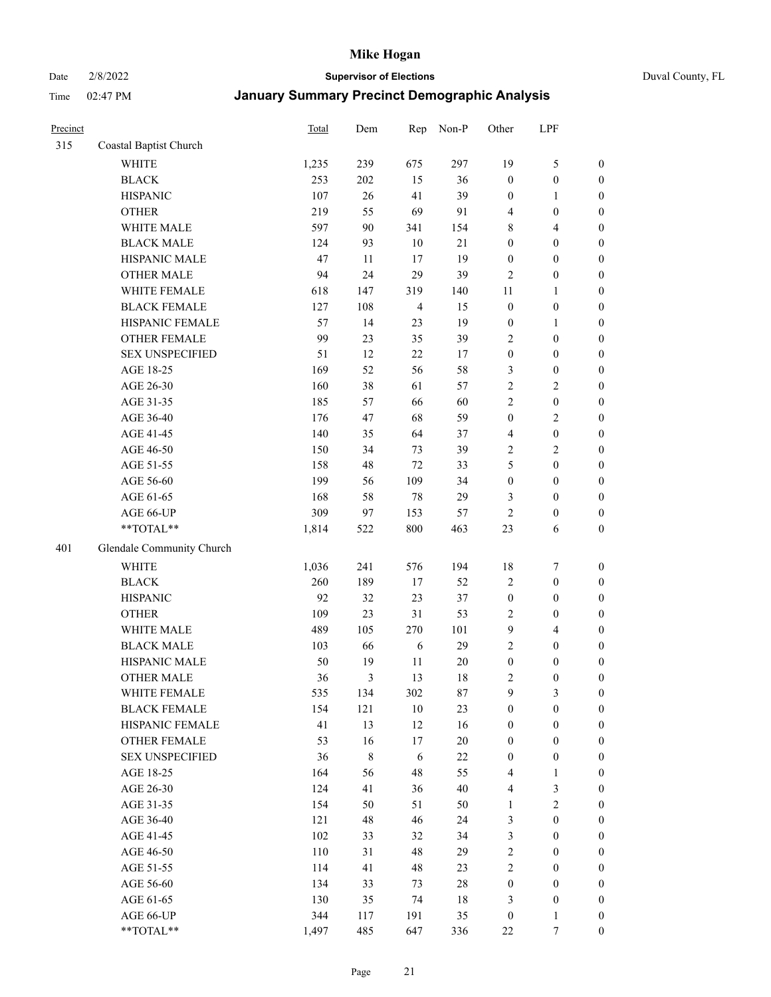Date 2/8/2022 **Supervisor of Elections** Duval County, FL

| Precinct |                           | Total | Dem         | Rep            | Non-P  | Other            | LPF              |                  |
|----------|---------------------------|-------|-------------|----------------|--------|------------------|------------------|------------------|
| 315      | Coastal Baptist Church    |       |             |                |        |                  |                  |                  |
|          | <b>WHITE</b>              | 1,235 | 239         | 675            | 297    | 19               | $\mathfrak{S}$   | 0                |
|          | <b>BLACK</b>              | 253   | 202         | 15             | 36     | $\boldsymbol{0}$ | $\boldsymbol{0}$ | 0                |
|          | <b>HISPANIC</b>           | 107   | 26          | 41             | 39     | $\boldsymbol{0}$ | $\mathbf{1}$     | $\boldsymbol{0}$ |
|          | <b>OTHER</b>              | 219   | 55          | 69             | 91     | 4                | $\boldsymbol{0}$ | $\boldsymbol{0}$ |
|          | WHITE MALE                | 597   | 90          | 341            | 154    | 8                | $\overline{4}$   | $\boldsymbol{0}$ |
|          | <b>BLACK MALE</b>         | 124   | 93          | 10             | 21     | $\boldsymbol{0}$ | $\boldsymbol{0}$ | $\boldsymbol{0}$ |
|          | HISPANIC MALE             | 47    | 11          | 17             | 19     | $\boldsymbol{0}$ | $\boldsymbol{0}$ | $\boldsymbol{0}$ |
|          | <b>OTHER MALE</b>         | 94    | 24          | 29             | 39     | $\mathfrak{2}$   | $\boldsymbol{0}$ | $\boldsymbol{0}$ |
|          | WHITE FEMALE              | 618   | 147         | 319            | 140    | 11               | $\mathbf{1}$     | $\boldsymbol{0}$ |
|          | <b>BLACK FEMALE</b>       | 127   | 108         | $\overline{4}$ | 15     | $\boldsymbol{0}$ | $\boldsymbol{0}$ | $\boldsymbol{0}$ |
|          | HISPANIC FEMALE           | 57    | 14          | 23             | 19     | $\boldsymbol{0}$ | $\mathbf{1}$     | $\boldsymbol{0}$ |
|          | OTHER FEMALE              | 99    | 23          | 35             | 39     | $\mathfrak{2}$   | $\boldsymbol{0}$ | $\boldsymbol{0}$ |
|          | <b>SEX UNSPECIFIED</b>    | 51    | 12          | 22             | 17     | $\boldsymbol{0}$ | $\boldsymbol{0}$ | $\boldsymbol{0}$ |
|          | AGE 18-25                 | 169   | 52          | 56             | 58     | 3                | $\boldsymbol{0}$ | $\boldsymbol{0}$ |
|          | AGE 26-30                 | 160   | 38          | 61             | 57     | $\overline{c}$   | $\sqrt{2}$       | $\boldsymbol{0}$ |
|          | AGE 31-35                 | 185   | 57          | 66             | 60     | $\sqrt{2}$       | $\boldsymbol{0}$ | $\boldsymbol{0}$ |
|          | AGE 36-40                 | 176   | 47          | 68             | 59     | $\boldsymbol{0}$ | $\sqrt{2}$       | $\boldsymbol{0}$ |
|          | AGE 41-45                 | 140   | 35          | 64             | 37     | $\overline{4}$   | $\boldsymbol{0}$ | $\boldsymbol{0}$ |
|          | AGE 46-50                 | 150   | 34          | 73             | 39     | 2                | $\overline{2}$   | $\boldsymbol{0}$ |
|          | AGE 51-55                 | 158   | 48          | $72\,$         | 33     | 5                | $\boldsymbol{0}$ | $\boldsymbol{0}$ |
|          | AGE 56-60                 | 199   | 56          | 109            | 34     | $\boldsymbol{0}$ | $\boldsymbol{0}$ | 0                |
|          | AGE 61-65                 | 168   | 58          | 78             | 29     | 3                | $\boldsymbol{0}$ | $\boldsymbol{0}$ |
|          | AGE 66-UP                 | 309   | 97          | 153            | 57     | $\sqrt{2}$       | $\boldsymbol{0}$ | $\boldsymbol{0}$ |
|          | **TOTAL**                 | 1,814 | 522         | 800            | 463    | 23               | 6                | $\boldsymbol{0}$ |
| 401      | Glendale Community Church |       |             |                |        |                  |                  |                  |
|          |                           |       |             |                |        |                  |                  |                  |
|          | <b>WHITE</b>              | 1,036 | 241         | 576            | 194    | 18               | $\boldsymbol{7}$ | $\boldsymbol{0}$ |
|          | <b>BLACK</b>              | 260   | 189         | 17             | 52     | $\overline{c}$   | $\boldsymbol{0}$ | $\boldsymbol{0}$ |
|          | <b>HISPANIC</b>           | 92    | 32          | 23             | 37     | $\boldsymbol{0}$ | $\boldsymbol{0}$ | $\boldsymbol{0}$ |
|          | <b>OTHER</b>              | 109   | 23          | 31             | 53     | $\mathbf{2}$     | $\boldsymbol{0}$ | $\boldsymbol{0}$ |
|          | WHITE MALE                | 489   | 105         | 270            | 101    | 9                | $\overline{4}$   | $\boldsymbol{0}$ |
|          | <b>BLACK MALE</b>         | 103   | 66          | 6              | 29     | $\overline{c}$   | $\boldsymbol{0}$ | $\boldsymbol{0}$ |
|          | HISPANIC MALE             | 50    | 19          | $11\,$         | $20\,$ | $\boldsymbol{0}$ | $\boldsymbol{0}$ | $\boldsymbol{0}$ |
|          | <b>OTHER MALE</b>         | 36    | 3           | 13             | 18     | 2                | $\boldsymbol{0}$ | $\boldsymbol{0}$ |
|          | WHITE FEMALE              | 535   | 134         | 302            | 87     | 9                | 3                | 0                |
|          | <b>BLACK FEMALE</b>       | 154   | 121         | 10             | 23     | $\boldsymbol{0}$ | $\boldsymbol{0}$ | $\boldsymbol{0}$ |
|          | HISPANIC FEMALE           | 41    | 13          | 12             | 16     | $\boldsymbol{0}$ | $\boldsymbol{0}$ | $\overline{0}$   |
|          | OTHER FEMALE              | 53    | 16          | $17$           | $20\,$ | $\boldsymbol{0}$ | $\boldsymbol{0}$ | $\overline{0}$   |
|          | <b>SEX UNSPECIFIED</b>    | 36    | $\,$ 8 $\,$ | 6              | $22\,$ | $\boldsymbol{0}$ | $\boldsymbol{0}$ | 0                |
|          | AGE 18-25                 | 164   | 56          | 48             | 55     | 4                | $\mathbf{1}$     | $\theta$         |
|          | AGE 26-30                 | 124   | 41          | 36             | 40     | 4                | $\mathfrak{Z}$   | 0                |
|          | AGE 31-35                 | 154   | 50          | 51             | 50     | $\mathbf{1}$     | $\sqrt{2}$       | 0                |
|          | AGE 36-40                 | 121   | 48          | 46             | 24     | 3                | $\boldsymbol{0}$ | 0                |
|          | AGE 41-45                 | 102   | 33          | 32             | 34     | 3                | $\boldsymbol{0}$ | 0                |
|          | AGE 46-50                 | 110   | 31          | 48             | 29     | 2                | $\boldsymbol{0}$ | 0                |
|          | AGE 51-55                 | 114   | 41          | 48             | 23     | 2                | $\boldsymbol{0}$ | $\overline{0}$   |
|          | AGE 56-60                 | 134   | 33          | 73             | $28\,$ | $\boldsymbol{0}$ | $\boldsymbol{0}$ | $\overline{0}$   |
|          | AGE 61-65                 | 130   | 35          | 74             | $18\,$ | 3                | $\boldsymbol{0}$ | $\overline{0}$   |
|          | AGE 66-UP                 | 344   | 117         | 191            | 35     | $\boldsymbol{0}$ | $\mathbf{1}$     | $\boldsymbol{0}$ |
|          | **TOTAL**                 | 1,497 | 485         | 647            | 336    | $22\,$           | 7                | $\boldsymbol{0}$ |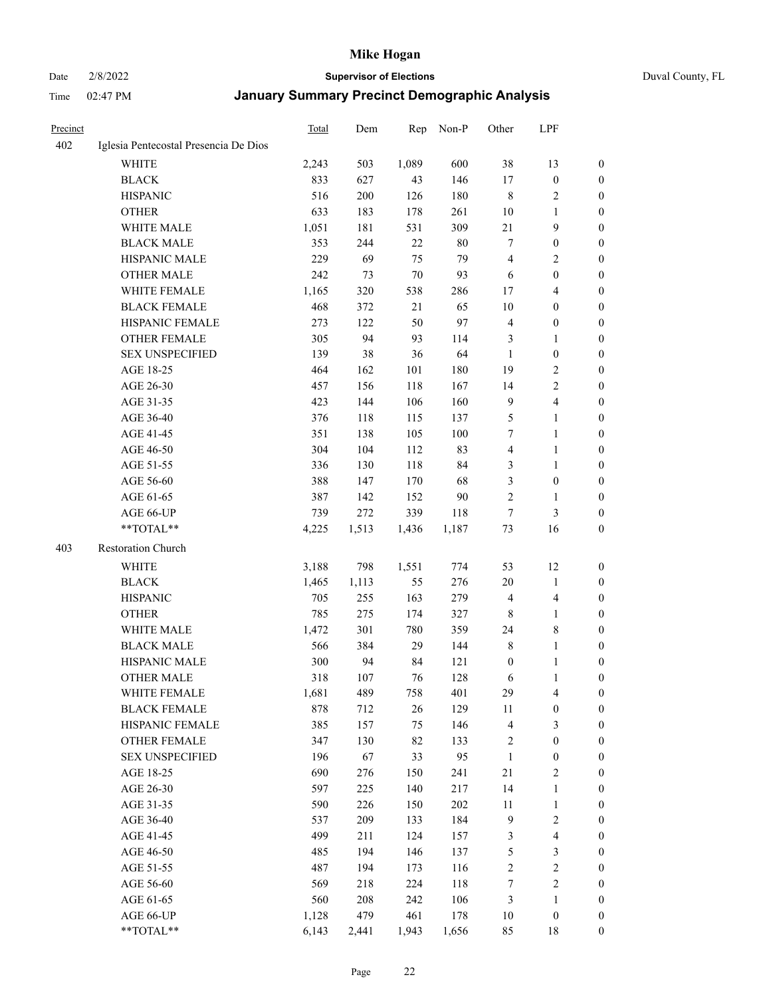#### Date 2/8/2022 **Supervisor of Elections** Duval County, FL

| Precinct |                                       | <b>Total</b> | Dem   | Rep    | Non-P | Other            | LPF                     |                  |
|----------|---------------------------------------|--------------|-------|--------|-------|------------------|-------------------------|------------------|
| 402      | Iglesia Pentecostal Presencia De Dios |              |       |        |       |                  |                         |                  |
|          | <b>WHITE</b>                          | 2,243        | 503   | 1,089  | 600   | 38               | 13                      | $\boldsymbol{0}$ |
|          | <b>BLACK</b>                          | 833          | 627   | 43     | 146   | 17               | $\boldsymbol{0}$        | $\boldsymbol{0}$ |
|          | <b>HISPANIC</b>                       | 516          | 200   | 126    | 180   | 8                | $\sqrt{2}$              | $\boldsymbol{0}$ |
|          | <b>OTHER</b>                          | 633          | 183   | 178    | 261   | 10               | $\mathbf{1}$            | $\boldsymbol{0}$ |
|          | WHITE MALE                            | 1,051        | 181   | 531    | 309   | $21\,$           | 9                       | $\boldsymbol{0}$ |
|          | <b>BLACK MALE</b>                     | 353          | 244   | 22     | 80    | 7                | $\boldsymbol{0}$        | $\boldsymbol{0}$ |
|          | HISPANIC MALE                         | 229          | 69    | 75     | 79    | $\overline{4}$   | $\overline{2}$          | $\boldsymbol{0}$ |
|          | <b>OTHER MALE</b>                     | 242          | 73    | $70\,$ | 93    | 6                | $\boldsymbol{0}$        | 0                |
|          | WHITE FEMALE                          | 1,165        | 320   | 538    | 286   | 17               | $\overline{4}$          | 0                |
|          | <b>BLACK FEMALE</b>                   | 468          | 372   | 21     | 65    | 10               | $\boldsymbol{0}$        | 0                |
|          | HISPANIC FEMALE                       | 273          | 122   | 50     | 97    | 4                | $\boldsymbol{0}$        | $\boldsymbol{0}$ |
|          | OTHER FEMALE                          | 305          | 94    | 93     | 114   | 3                | $\mathbf{1}$            | $\boldsymbol{0}$ |
|          | <b>SEX UNSPECIFIED</b>                | 139          | 38    | 36     | 64    | $\mathbf{1}$     | $\boldsymbol{0}$        | $\boldsymbol{0}$ |
|          | AGE 18-25                             | 464          | 162   | 101    | 180   | 19               | $\sqrt{2}$              | $\boldsymbol{0}$ |
|          | AGE 26-30                             | 457          | 156   | 118    | 167   | 14               | $\sqrt{2}$              | $\boldsymbol{0}$ |
|          | AGE 31-35                             | 423          | 144   | 106    | 160   | $\overline{9}$   | $\overline{\mathbf{4}}$ | $\boldsymbol{0}$ |
|          | AGE 36-40                             | 376          | 118   | 115    | 137   | 5                | $\mathbf{1}$            | $\boldsymbol{0}$ |
|          | AGE 41-45                             | 351          | 138   | 105    | 100   | 7                | $\mathbf{1}$            | 0                |
|          | AGE 46-50                             | 304          | 104   | 112    | 83    | $\overline{4}$   | $\mathbf{1}$            | 0                |
|          | AGE 51-55                             | 336          | 130   | 118    | 84    | 3                | $\mathbf{1}$            | 0                |
|          | AGE 56-60                             | 388          | 147   | 170    | 68    | 3                | $\boldsymbol{0}$        | 0                |
|          | AGE 61-65                             | 387          | 142   | 152    | 90    | $\mathbf{2}$     | $\mathbf{1}$            | 0                |
|          | AGE 66-UP                             | 739          | 272   | 339    | 118   | 7                | 3                       | $\boldsymbol{0}$ |
|          | $**TOTAL**$                           | 4,225        | 1,513 | 1,436  | 1,187 | 73               | 16                      | $\boldsymbol{0}$ |
| 403      | Restoration Church                    |              |       |        |       |                  |                         |                  |
|          |                                       |              |       |        |       |                  |                         |                  |
|          | WHITE                                 | 3,188        | 798   | 1,551  | 774   | 53               | 12                      | $\boldsymbol{0}$ |
|          | <b>BLACK</b>                          | 1,465        | 1,113 | 55     | 276   | 20               | $\mathbf{1}$            | $\boldsymbol{0}$ |
|          | <b>HISPANIC</b>                       | 705          | 255   | 163    | 279   | $\overline{4}$   | $\overline{4}$          | $\boldsymbol{0}$ |
|          | <b>OTHER</b>                          | 785          | 275   | 174    | 327   | $\,$ 8 $\,$      | $\mathbf{1}$            | $\boldsymbol{0}$ |
|          | WHITE MALE                            | 1,472        | 301   | 780    | 359   | 24               | $\,$ 8 $\,$             | 0                |
|          | <b>BLACK MALE</b>                     | 566          | 384   | 29     | 144   | $\,$ 8 $\,$      | $\mathbf{1}$            | 0                |
|          | HISPANIC MALE                         | 300          | 94    | 84     | 121   | $\boldsymbol{0}$ | 1                       | 0                |
|          | <b>OTHER MALE</b>                     | 318          | 107   | 76     | 128   | 6                | $\mathbf{1}$            | $\boldsymbol{0}$ |
|          | WHITE FEMALE                          | 1,681        | 489   | 758    | 401   | 29               | $\overline{4}$          | 0                |
|          | <b>BLACK FEMALE</b>                   | 878          | 712   | 26     | 129   | 11               | $\boldsymbol{0}$        | $\overline{0}$   |
|          | HISPANIC FEMALE                       | 385          | 157   | 75     | 146   | 4                | $\mathfrak{Z}$          | $\overline{0}$   |
|          | <b>OTHER FEMALE</b>                   | 347          | 130   | 82     | 133   | $\boldsymbol{2}$ | $\boldsymbol{0}$        | $\overline{0}$   |
|          | <b>SEX UNSPECIFIED</b>                | 196          | 67    | 33     | 95    | $\mathbf{1}$     | $\boldsymbol{0}$        | 0                |
|          | AGE 18-25                             | 690          | 276   | 150    | 241   | $21\,$           | $\sqrt{2}$              | 0                |
|          | AGE 26-30                             | 597          | 225   | 140    | 217   | 14               | $\mathbf{1}$            | 0                |
|          | AGE 31-35                             | 590          | 226   | 150    | 202   | $11\,$           | $\mathbf{1}$            | 0                |
|          | AGE 36-40                             | 537          | 209   | 133    | 184   | $\overline{9}$   | $\sqrt{2}$              | 0                |
|          | AGE 41-45                             | 499          | 211   | 124    | 157   | 3                | $\overline{\mathbf{4}}$ | 0                |
|          | AGE 46-50                             | 485          | 194   | 146    | 137   | 5                | 3                       | $\boldsymbol{0}$ |
|          | AGE 51-55                             | 487          | 194   | 173    | 116   | 2                | $\sqrt{2}$              | $\boldsymbol{0}$ |
|          | AGE 56-60                             | 569          | 218   | 224    | 118   | 7                | $\sqrt{2}$              | $\overline{0}$   |
|          | AGE 61-65                             | 560          | 208   | 242    | 106   | 3                | $\mathbf{1}$            | $\boldsymbol{0}$ |
|          | AGE 66-UP                             | 1,128        | 479   | 461    | 178   | 10               | $\boldsymbol{0}$        | $\boldsymbol{0}$ |
|          | **TOTAL**                             | 6,143        | 2,441 | 1,943  | 1,656 | 85               | 18                      | $\boldsymbol{0}$ |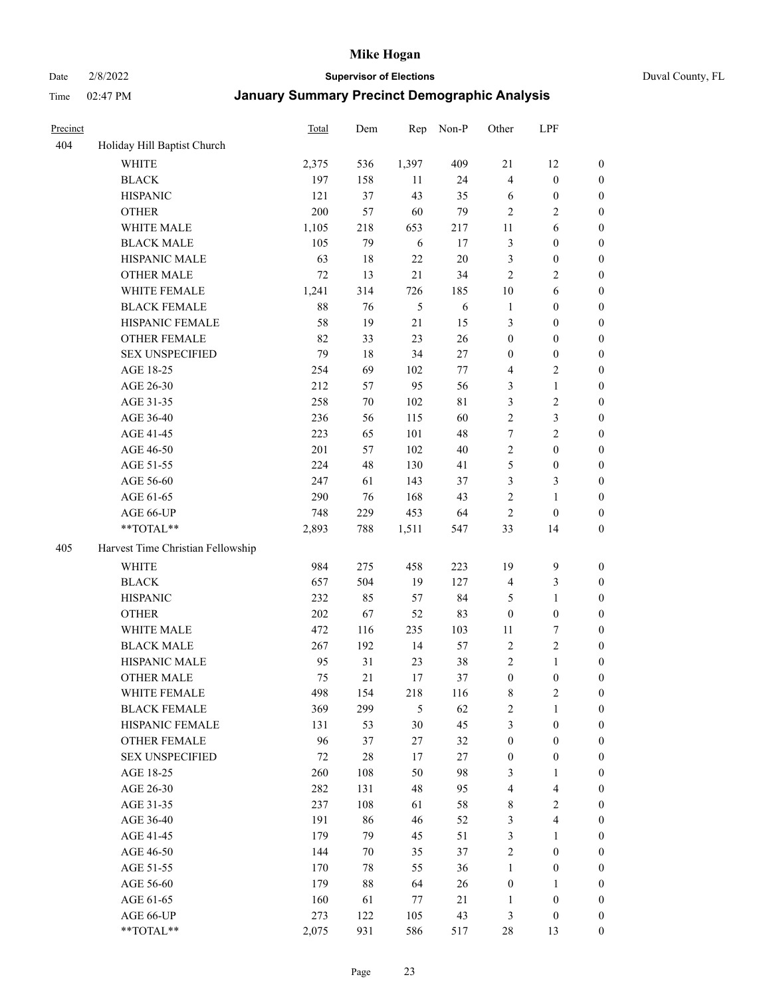Date 2/8/2022 **Supervisor of Elections** Duval County, FL

| Precinct |                                   | Total | Dem | Rep    | Non-P      | Other            | LPF                     |                  |
|----------|-----------------------------------|-------|-----|--------|------------|------------------|-------------------------|------------------|
| 404      | Holiday Hill Baptist Church       |       |     |        |            |                  |                         |                  |
|          | <b>WHITE</b>                      | 2,375 | 536 | 1,397  | 409        | 21               | 12                      | 0                |
|          | <b>BLACK</b>                      | 197   | 158 | 11     | 24         | $\overline{4}$   | $\boldsymbol{0}$        | $\boldsymbol{0}$ |
|          | <b>HISPANIC</b>                   | 121   | 37  | 43     | 35         | 6                | $\boldsymbol{0}$        | $\boldsymbol{0}$ |
|          | <b>OTHER</b>                      | 200   | 57  | 60     | 79         | $\overline{2}$   | $\mathbf{2}$            | $\boldsymbol{0}$ |
|          | WHITE MALE                        | 1,105 | 218 | 653    | 217        | 11               | 6                       | $\boldsymbol{0}$ |
|          | <b>BLACK MALE</b>                 | 105   | 79  | 6      | 17         | 3                | $\boldsymbol{0}$        | $\boldsymbol{0}$ |
|          | HISPANIC MALE                     | 63    | 18  | 22     | $20\,$     | 3                | $\boldsymbol{0}$        | $\boldsymbol{0}$ |
|          | <b>OTHER MALE</b>                 | 72    | 13  | 21     | 34         | $\mathbf{2}$     | $\overline{2}$          | $\boldsymbol{0}$ |
|          | WHITE FEMALE                      | 1,241 | 314 | 726    | 185        | 10               | 6                       | $\boldsymbol{0}$ |
|          | <b>BLACK FEMALE</b>               | 88    | 76  | 5      | $\sqrt{6}$ | $\mathbf{1}$     | $\boldsymbol{0}$        | $\boldsymbol{0}$ |
|          | HISPANIC FEMALE                   | 58    | 19  | 21     | 15         | 3                | $\boldsymbol{0}$        | 0                |
|          | <b>OTHER FEMALE</b>               | 82    | 33  | 23     | 26         | $\boldsymbol{0}$ | $\boldsymbol{0}$        | $\boldsymbol{0}$ |
|          | <b>SEX UNSPECIFIED</b>            | 79    | 18  | 34     | 27         | $\boldsymbol{0}$ | $\boldsymbol{0}$        | $\boldsymbol{0}$ |
|          | AGE 18-25                         | 254   | 69  | 102    | 77         | 4                | $\sqrt{2}$              | $\boldsymbol{0}$ |
|          | AGE 26-30                         | 212   | 57  | 95     | 56         | 3                | $\mathbf{1}$            | $\boldsymbol{0}$ |
|          | AGE 31-35                         | 258   | 70  | 102    | 81         | 3                | $\sqrt{2}$              | $\boldsymbol{0}$ |
|          | AGE 36-40                         | 236   | 56  | 115    | 60         | $\overline{c}$   | $\mathfrak{Z}$          | $\boldsymbol{0}$ |
|          | AGE 41-45                         | 223   | 65  | 101    | 48         | $\tau$           | $\overline{2}$          | $\boldsymbol{0}$ |
|          | AGE 46-50                         | 201   | 57  | 102    | $40\,$     | $\overline{c}$   | $\boldsymbol{0}$        | $\boldsymbol{0}$ |
|          | AGE 51-55                         | 224   | 48  | 130    | 41         | 5                | $\boldsymbol{0}$        | $\boldsymbol{0}$ |
|          | AGE 56-60                         | 247   | 61  | 143    | 37         | 3                | $\mathfrak{Z}$          | 0                |
|          | AGE 61-65                         | 290   | 76  | 168    | 43         | $\mathfrak{2}$   | $\mathbf{1}$            | 0                |
|          | AGE 66-UP                         | 748   | 229 | 453    | 64         | $\sqrt{2}$       | $\boldsymbol{0}$        | $\boldsymbol{0}$ |
|          | $**TOTAL**$                       | 2,893 | 788 | 1,511  | 547        | 33               | 14                      | $\boldsymbol{0}$ |
| 405      | Harvest Time Christian Fellowship |       |     |        |            |                  |                         |                  |
|          | <b>WHITE</b>                      | 984   | 275 | 458    | 223        | 19               | $\mathbf{9}$            | $\boldsymbol{0}$ |
|          | <b>BLACK</b>                      | 657   | 504 | 19     | 127        | 4                | $\mathfrak{Z}$          | $\boldsymbol{0}$ |
|          | <b>HISPANIC</b>                   | 232   | 85  | 57     | 84         | 5                | $\mathbf{1}$            | $\boldsymbol{0}$ |
|          | <b>OTHER</b>                      | 202   | 67  | 52     | 83         | $\boldsymbol{0}$ | $\boldsymbol{0}$        | $\boldsymbol{0}$ |
|          | WHITE MALE                        | 472   | 116 | 235    | 103        | 11               | $\boldsymbol{7}$        | $\boldsymbol{0}$ |
|          | <b>BLACK MALE</b>                 | 267   | 192 | 14     | 57         | $\mathfrak{2}$   | $\sqrt{2}$              | $\boldsymbol{0}$ |
|          | HISPANIC MALE                     | 95    | 31  | 23     | $38\,$     | 2                | $\mathbf{1}$            | $\boldsymbol{0}$ |
|          | <b>OTHER MALE</b>                 | 75    | 21  | 17     | 37         | $\boldsymbol{0}$ | $\boldsymbol{0}$        | $\boldsymbol{0}$ |
|          | WHITE FEMALE                      | 498   | 154 | 218    | 116        | 8                | 2                       | 0                |
|          | <b>BLACK FEMALE</b>               | 369   | 299 | 5      | 62         | $\sqrt{2}$       | $\mathbf{1}$            | $\boldsymbol{0}$ |
|          | HISPANIC FEMALE                   | 131   | 53  | 30     | 45         | 3                | $\boldsymbol{0}$        | $\overline{0}$   |
|          | OTHER FEMALE                      | 96    | 37  | $27\,$ | 32         | $\boldsymbol{0}$ | $\boldsymbol{0}$        | $\overline{0}$   |
|          | <b>SEX UNSPECIFIED</b>            | 72    | 28  | 17     | 27         | $\boldsymbol{0}$ | $\boldsymbol{0}$        | 0                |
|          | AGE 18-25                         | 260   | 108 | 50     | 98         | 3                | $\mathbf{1}$            | 0                |
|          | AGE 26-30                         | 282   | 131 | 48     | 95         | 4                | $\overline{\mathbf{4}}$ | 0                |
|          | AGE 31-35                         | 237   | 108 | 61     | 58         | 8                | $\sqrt{2}$              | 0                |
|          | AGE 36-40                         | 191   | 86  | 46     | 52         | 3                | $\overline{\mathbf{4}}$ | 0                |
|          | AGE 41-45                         | 179   | 79  | 45     | 51         | 3                | $\mathbf{1}$            | 0                |
|          | AGE 46-50                         | 144   | 70  | 35     | 37         | $\sqrt{2}$       | $\boldsymbol{0}$        | 0                |
|          | AGE 51-55                         | 170   | 78  | 55     | 36         | $\mathbf{1}$     | $\boldsymbol{0}$        | 0                |
|          | AGE 56-60                         | 179   | 88  | 64     | 26         | $\boldsymbol{0}$ | $\mathbf{1}$            | 0                |
|          | AGE 61-65                         | 160   | 61  | 77     | 21         | 1                | $\boldsymbol{0}$        | $\overline{0}$   |
|          | AGE 66-UP                         | 273   | 122 | 105    | 43         | 3                | $\boldsymbol{0}$        | 0                |
|          | **TOTAL**                         | 2,075 | 931 | 586    | 517        | 28               | 13                      | $\boldsymbol{0}$ |
|          |                                   |       |     |        |            |                  |                         |                  |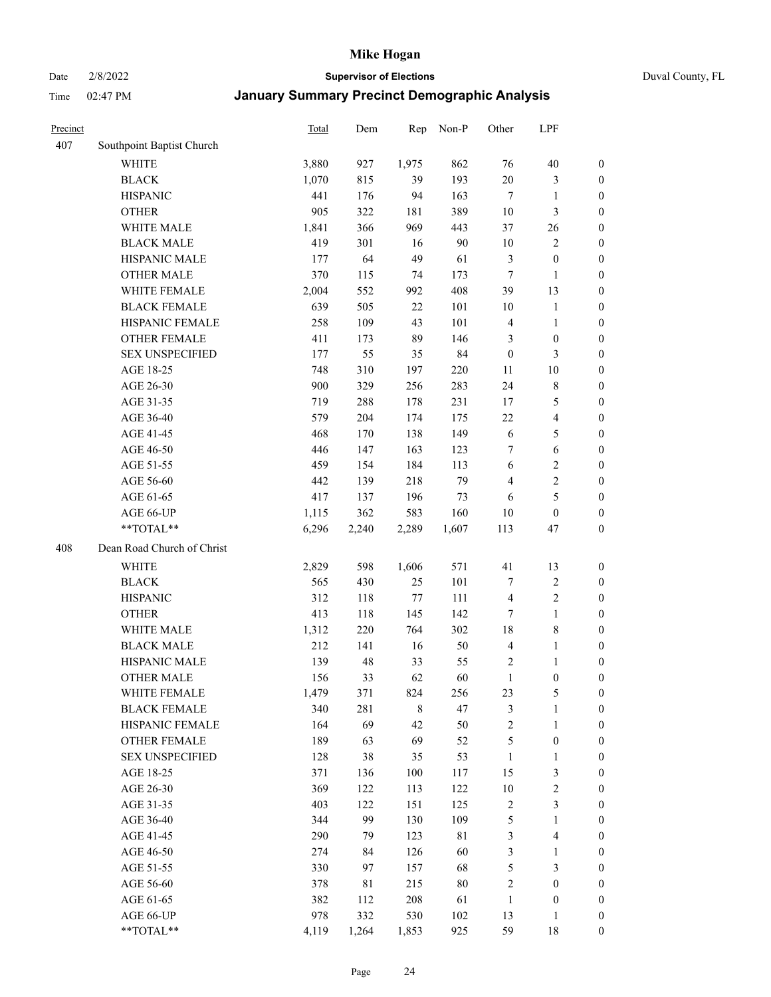Date 2/8/2022 **Supervisor of Elections** Duval County, FL

| Precinct |                            | Total | Dem   | Rep         | Non-P       | Other            | LPF                     |                  |
|----------|----------------------------|-------|-------|-------------|-------------|------------------|-------------------------|------------------|
| 407      | Southpoint Baptist Church  |       |       |             |             |                  |                         |                  |
|          | <b>WHITE</b>               | 3,880 | 927   | 1,975       | 862         | 76               | $40\,$                  | 0                |
|          | <b>BLACK</b>               | 1,070 | 815   | 39          | 193         | 20               | $\mathfrak{Z}$          | 0                |
|          | <b>HISPANIC</b>            | 441   | 176   | 94          | 163         | $\tau$           | $\mathbf{1}$            | $\boldsymbol{0}$ |
|          | <b>OTHER</b>               | 905   | 322   | 181         | 389         | $10\,$           | 3                       | $\boldsymbol{0}$ |
|          | WHITE MALE                 | 1,841 | 366   | 969         | 443         | 37               | 26                      | $\boldsymbol{0}$ |
|          | <b>BLACK MALE</b>          | 419   | 301   | 16          | 90          | 10               | $\sqrt{2}$              | $\boldsymbol{0}$ |
|          | HISPANIC MALE              | 177   | 64    | 49          | 61          | 3                | $\boldsymbol{0}$        | $\boldsymbol{0}$ |
|          | <b>OTHER MALE</b>          | 370   | 115   | 74          | 173         | $\tau$           | $\mathbf{1}$            | $\boldsymbol{0}$ |
|          | WHITE FEMALE               | 2,004 | 552   | 992         | 408         | 39               | 13                      | $\boldsymbol{0}$ |
|          | <b>BLACK FEMALE</b>        | 639   | 505   | $22\,$      | 101         | 10               | $\mathbf{1}$            | 0                |
|          | HISPANIC FEMALE            | 258   | 109   | 43          | 101         | $\overline{4}$   | $\mathbf{1}$            | 0                |
|          | OTHER FEMALE               | 411   | 173   | 89          | 146         | 3                | $\boldsymbol{0}$        | $\boldsymbol{0}$ |
|          | <b>SEX UNSPECIFIED</b>     | 177   | 55    | 35          | 84          | $\boldsymbol{0}$ | $\mathfrak{Z}$          | $\boldsymbol{0}$ |
|          | AGE 18-25                  | 748   | 310   | 197         | 220         | $11\,$           | $10\,$                  | $\boldsymbol{0}$ |
|          | AGE 26-30                  | 900   | 329   | 256         | 283         | 24               | $\,$ 8 $\,$             | $\boldsymbol{0}$ |
|          | AGE 31-35                  | 719   | 288   | 178         | 231         | 17               | $\mathfrak{S}$          | $\boldsymbol{0}$ |
|          | AGE 36-40                  | 579   | 204   | 174         | 175         | 22               | $\overline{\mathbf{4}}$ | $\boldsymbol{0}$ |
|          | AGE 41-45                  | 468   | 170   | 138         | 149         | 6                | 5                       | $\boldsymbol{0}$ |
|          | AGE 46-50                  | 446   | 147   | 163         | 123         | 7                | $\sqrt{6}$              | $\boldsymbol{0}$ |
|          | AGE 51-55                  | 459   | 154   | 184         | 113         | 6                | $\sqrt{2}$              | $\boldsymbol{0}$ |
|          | AGE 56-60                  | 442   | 139   | 218         | 79          | $\overline{4}$   | $\sqrt{2}$              | 0                |
|          | AGE 61-65                  | 417   | 137   | 196         | 73          | 6                | $\mathfrak s$           | $\boldsymbol{0}$ |
|          | AGE 66-UP                  | 1,115 | 362   | 583         | 160         | 10               | $\boldsymbol{0}$        | $\boldsymbol{0}$ |
|          | **TOTAL**                  | 6,296 | 2,240 | 2,289       | 1,607       | 113              | 47                      | $\boldsymbol{0}$ |
| 408      | Dean Road Church of Christ |       |       |             |             |                  |                         |                  |
|          | <b>WHITE</b>               | 2,829 | 598   | 1,606       | 571         | 41               | 13                      | $\boldsymbol{0}$ |
|          | <b>BLACK</b>               | 565   | 430   | 25          | 101         | 7                | $\sqrt{2}$              | $\boldsymbol{0}$ |
|          | <b>HISPANIC</b>            | 312   | 118   | 77          | 111         | $\overline{4}$   | $\sqrt{2}$              | $\boldsymbol{0}$ |
|          | <b>OTHER</b>               | 413   | 118   | 145         | 142         | 7                | $\mathbf{1}$            | $\boldsymbol{0}$ |
|          | WHITE MALE                 | 1,312 | 220   | 764         | 302         | 18               | $8\,$                   | $\boldsymbol{0}$ |
|          | <b>BLACK MALE</b>          | 212   | 141   | 16          | 50          | $\overline{4}$   | $\mathbf{1}$            | $\boldsymbol{0}$ |
|          | HISPANIC MALE              | 139   | 48    | 33          | 55          | $\overline{c}$   | 1                       | 0                |
|          | <b>OTHER MALE</b>          | 156   | 33    | 62          | 60          | $\mathbf{1}$     | $\boldsymbol{0}$        | $\boldsymbol{0}$ |
|          | WHITE FEMALE               | 1,479 | 371   | 824         | 256         | 23               | 5                       | 0                |
|          | <b>BLACK FEMALE</b>        | 340   | 281   | $\,$ 8 $\,$ | 47          | 3                | $\mathbf{1}$            | $\boldsymbol{0}$ |
|          | HISPANIC FEMALE            | 164   | 69    | 42          | 50          | $\sqrt{2}$       | $\mathbf{1}$            | $\boldsymbol{0}$ |
|          | OTHER FEMALE               | 189   | 63    | 69          | 52          | 5                | $\boldsymbol{0}$        | $\overline{0}$   |
|          | <b>SEX UNSPECIFIED</b>     | 128   | 38    | 35          | 53          | $\mathbf{1}$     | $\mathbf{1}$            | 0                |
|          | AGE 18-25                  | 371   | 136   | 100         | 117         | 15               | $\mathfrak{Z}$          | 0                |
|          | AGE 26-30                  | 369   | 122   | 113         | 122         | $10\,$           | $\sqrt{2}$              | 0                |
|          | AGE 31-35                  | 403   | 122   | 151         | 125         | $\sqrt{2}$       | $\mathfrak{Z}$          | 0                |
|          | AGE 36-40                  | 344   | 99    | 130         | 109         | 5                | $\mathbf{1}$            | 0                |
|          | AGE 41-45                  | 290   | 79    | 123         | $8\sqrt{1}$ | 3                | $\overline{\mathbf{4}}$ | 0                |
|          | AGE 46-50                  | 274   | 84    | 126         | 60          | 3                | $\mathbf{1}$            | 0                |
|          | AGE 51-55                  | 330   | 97    | 157         | 68          | 5                | $\mathfrak{Z}$          | $\boldsymbol{0}$ |
|          | AGE 56-60                  | 378   | 81    | 215         | $80\,$      | $\overline{c}$   | $\boldsymbol{0}$        | $\boldsymbol{0}$ |
|          | AGE 61-65                  | 382   | 112   | 208         | 61          | $\mathbf{1}$     | $\boldsymbol{0}$        | $\boldsymbol{0}$ |
|          | AGE 66-UP                  | 978   | 332   | 530         | 102         | 13               | $\mathbf{1}$            | $\boldsymbol{0}$ |
|          | **TOTAL**                  | 4,119 | 1,264 | 1,853       | 925         | 59               | 18                      | $\boldsymbol{0}$ |
|          |                            |       |       |             |             |                  |                         |                  |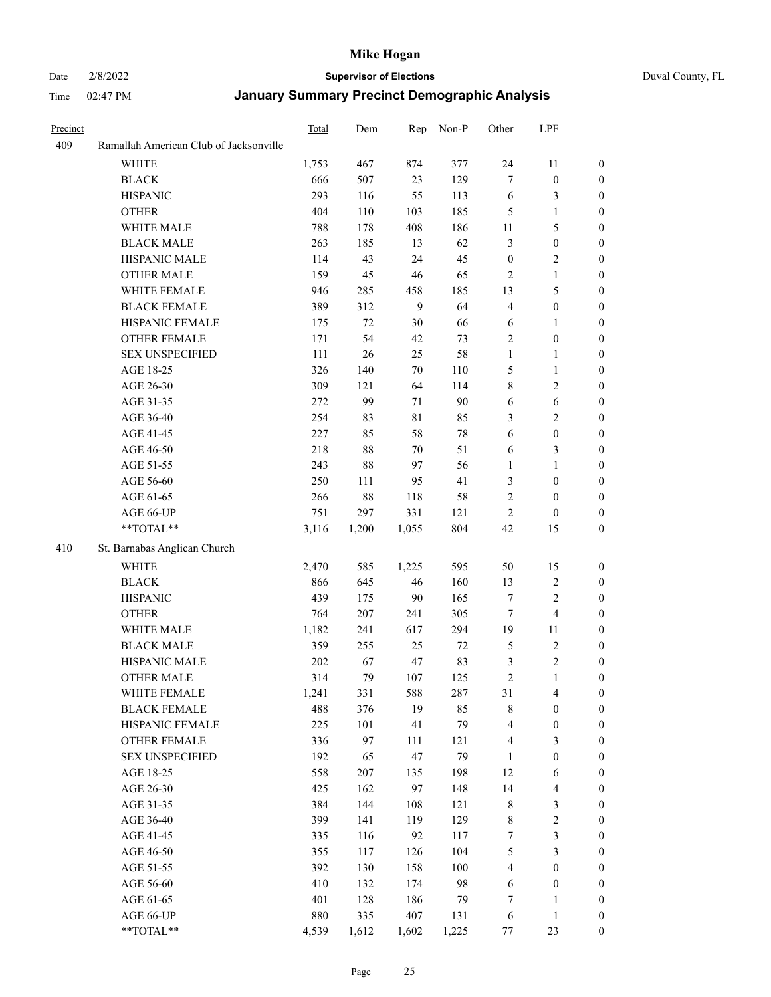#### Date 2/8/2022 **Supervisor of Elections** Duval County, FL

| Precinct |                                               | Total        | Dem        | Rep         | Non-P         | Other                           | LPF                                       |                                      |
|----------|-----------------------------------------------|--------------|------------|-------------|---------------|---------------------------------|-------------------------------------------|--------------------------------------|
| 409      | Ramallah American Club of Jacksonville        |              |            |             |               |                                 |                                           |                                      |
|          | <b>WHITE</b>                                  | 1,753        | 467        | 874         | 377           | 24                              | 11                                        | $\boldsymbol{0}$                     |
|          | <b>BLACK</b>                                  | 666          | 507        | 23          | 129           | 7                               | $\boldsymbol{0}$                          | $\boldsymbol{0}$                     |
|          | <b>HISPANIC</b>                               | 293          | 116        | 55          | 113           | 6                               | $\mathfrak{Z}$                            | $\boldsymbol{0}$                     |
|          | <b>OTHER</b>                                  | 404          | 110        | 103         | 185           | 5                               | $\mathbf{1}$                              | $\boldsymbol{0}$                     |
|          | WHITE MALE                                    | 788          | 178        | 408         | 186           | 11                              | $\mathfrak{S}$                            | $\boldsymbol{0}$                     |
|          | <b>BLACK MALE</b>                             | 263          | 185        | 13          | 62            | 3                               | $\boldsymbol{0}$                          | $\boldsymbol{0}$                     |
|          | HISPANIC MALE                                 | 114          | 43         | 24          | 45            | $\boldsymbol{0}$                | $\sqrt{2}$                                | 0                                    |
|          | <b>OTHER MALE</b>                             | 159          | 45         | 46          | 65            | $\overline{2}$                  | $\mathbf{1}$                              | 0                                    |
|          | WHITE FEMALE                                  | 946          | 285        | 458         | 185           | 13                              | $\mathfrak{S}$                            | 0                                    |
|          | <b>BLACK FEMALE</b>                           | 389          | 312        | 9           | 64            | 4                               | $\boldsymbol{0}$                          | $\boldsymbol{0}$                     |
|          | HISPANIC FEMALE                               | 175          | 72         | 30          | 66            | 6                               | $\mathbf{1}$                              | $\boldsymbol{0}$                     |
|          | OTHER FEMALE                                  | 171          | 54         | 42          | 73            | 2                               | $\boldsymbol{0}$                          | $\boldsymbol{0}$                     |
|          | <b>SEX UNSPECIFIED</b>                        | 111          | $26\,$     | 25          | 58            | $\mathbf{1}$                    | $\mathbf{1}$                              | $\boldsymbol{0}$                     |
|          | AGE 18-25                                     | 326          | 140        | 70          | 110           | 5                               | $\mathbf{1}$                              | $\boldsymbol{0}$                     |
|          | AGE 26-30                                     | 309          | 121        | 64          | 114           | 8                               | $\sqrt{2}$                                | $\boldsymbol{0}$                     |
|          | AGE 31-35                                     | 272          | 99         | 71          | 90            | 6                               | $\sqrt{6}$                                | $\boldsymbol{0}$                     |
|          | AGE 36-40                                     | 254          | 83         | $8\sqrt{1}$ | 85            | 3                               | $\sqrt{2}$                                | 0                                    |
|          | AGE 41-45                                     | 227          | 85         | 58          | $78\,$        | 6                               | $\boldsymbol{0}$                          | 0                                    |
|          | AGE 46-50                                     | 218          | $88\,$     | 70          | 51            | 6                               | 3                                         | 0                                    |
|          | AGE 51-55                                     | 243          | $88\,$     | 97          | 56            | 1                               | $\mathbf{1}$                              | $\boldsymbol{0}$                     |
|          | AGE 56-60                                     | 250          | 111        | 95          | 41            | 3                               | $\boldsymbol{0}$                          | $\boldsymbol{0}$                     |
|          | AGE 61-65                                     | 266          | $88\,$     | 118         | 58            | 2                               | $\boldsymbol{0}$                          | $\boldsymbol{0}$                     |
|          | AGE 66-UP                                     | 751          | 297        | 331         | 121           | $\overline{c}$                  | $\boldsymbol{0}$                          | 0                                    |
|          | **TOTAL**                                     | 3,116        | 1,200      | 1,055       | 804           | 42                              | 15                                        | $\boldsymbol{0}$                     |
| 410      | St. Barnabas Anglican Church                  |              |            |             |               |                                 |                                           |                                      |
|          | WHITE                                         |              |            | 1,225       | 595           | 50                              |                                           |                                      |
|          |                                               | 2,470        | 585        |             |               |                                 | 15                                        | $\boldsymbol{0}$                     |
|          | <b>BLACK</b>                                  | 866<br>439   | 645        | 46<br>90    | 160<br>165    | 13<br>$\boldsymbol{7}$          | $\sqrt{2}$<br>$\overline{2}$              | $\overline{0}$<br>$\overline{0}$     |
|          | <b>HISPANIC</b>                               |              | 175        |             |               |                                 |                                           |                                      |
|          | <b>OTHER</b><br>WHITE MALE                    | 764          | 207        | 241         | 305           | $\tau$                          | $\overline{4}$                            | $\boldsymbol{0}$                     |
|          | <b>BLACK MALE</b>                             | 1,182<br>359 | 241<br>255 | 617         | 294<br>$72\,$ | 19                              | 11<br>$\sqrt{2}$                          | 0                                    |
|          | HISPANIC MALE                                 | 202          |            | 25<br>47    | 83            | 5                               | $\sqrt{2}$                                | 0                                    |
|          | <b>OTHER MALE</b>                             | 314          | 67<br>79   |             |               | 3<br>$\overline{c}$             |                                           | 0<br>$\boldsymbol{0}$                |
|          |                                               |              |            | 107         | 125           |                                 | $\mathbf{1}$                              |                                      |
|          | WHITE FEMALE<br><b>BLACK FEMALE</b>           | 1,241<br>488 | 331        | 588         | 287           | 31                              | $\overline{4}$                            | $\boldsymbol{0}$                     |
|          | HISPANIC FEMALE                               | 225          | 376<br>101 | 19<br>41    | 85<br>79      | 8                               | $\boldsymbol{0}$<br>$\boldsymbol{0}$      | $\overline{0}$                       |
|          |                                               |              |            |             |               | 4                               |                                           | $\overline{0}$                       |
|          | <b>OTHER FEMALE</b><br><b>SEX UNSPECIFIED</b> | 336<br>192   | 97<br>65   | 111<br>47   | 121<br>79     | 4<br>$\mathbf{1}$               | $\mathfrak{Z}$<br>$\boldsymbol{0}$        | $\overline{0}$<br>$\overline{0}$     |
|          | AGE 18-25                                     | 558          | 207        |             | 198           | 12                              |                                           | 0                                    |
|          | AGE 26-30                                     | 425          | 162        | 135<br>97   | 148           | 14                              | 6                                         |                                      |
|          |                                               | 384          |            |             | 121           |                                 | $\overline{\mathbf{4}}$<br>$\mathfrak{Z}$ | 0                                    |
|          | AGE 31-35<br>AGE 36-40                        | 399          | 144        | 108<br>119  | 129           | 8                               | $\sqrt{2}$                                | 0                                    |
|          |                                               |              | 141<br>116 | 92          | 117           | $\,$ 8 $\,$<br>$\boldsymbol{7}$ | $\mathfrak{Z}$                            | $\boldsymbol{0}$<br>$\boldsymbol{0}$ |
|          | AGE 41-45                                     | 335          |            |             |               |                                 | $\mathfrak{Z}$                            |                                      |
|          | AGE 46-50                                     | 355          | 117        | 126         | 104           | 5                               |                                           | $\boldsymbol{0}$                     |
|          | AGE 51-55                                     | 392          | 130        | 158         | 100           | 4                               | $\boldsymbol{0}$                          | $\boldsymbol{0}$                     |
|          | AGE 56-60                                     | 410          | 132        | 174         | 98            | 6                               | $\boldsymbol{0}$                          | $\boldsymbol{0}$                     |
|          | AGE 61-65                                     | 401          | 128        | 186         | 79            | 7                               | $\mathbf{1}$                              | $\overline{0}$                       |
|          | AGE 66-UP<br>**TOTAL**                        | 880          | 335        | 407         | 131           | 6                               | $\mathbf{1}$                              | $\boldsymbol{0}$                     |
|          |                                               | 4,539        | 1,612      | 1,602       | 1,225         | 77                              | 23                                        | $\boldsymbol{0}$                     |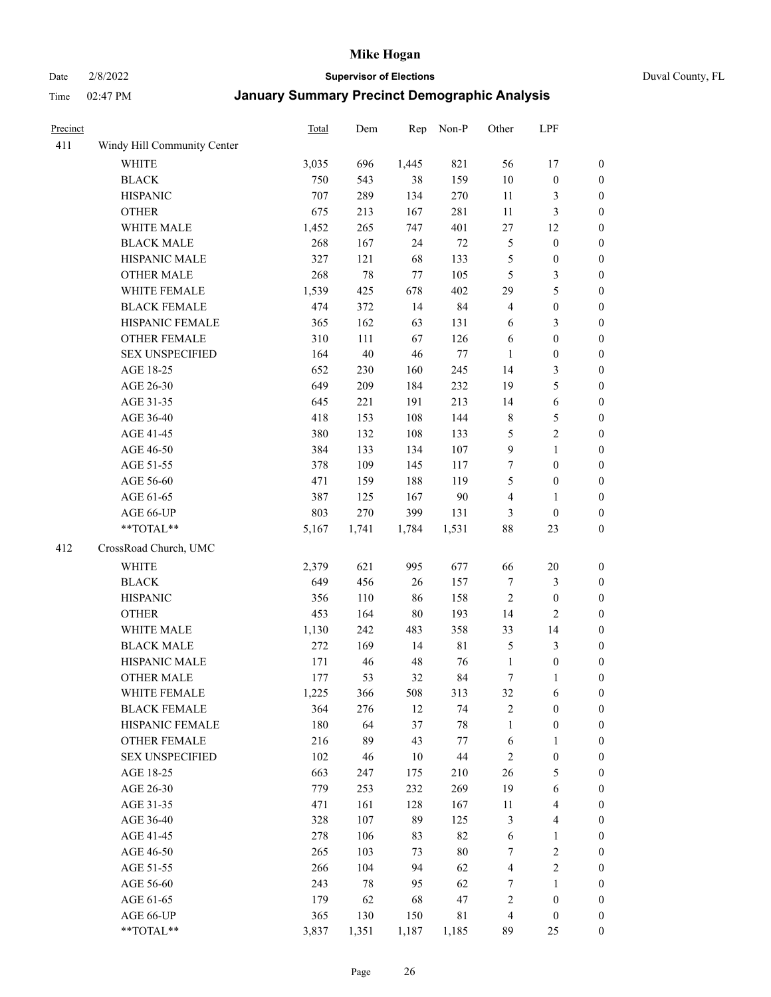Date 2/8/2022 **Supervisor of Elections** Duval County, FL

| Precinct |                             | <b>Total</b> | Dem    | Rep    | Non-P  | Other            | LPF                     |                  |
|----------|-----------------------------|--------------|--------|--------|--------|------------------|-------------------------|------------------|
| 411      | Windy Hill Community Center |              |        |        |        |                  |                         |                  |
|          | <b>WHITE</b>                | 3,035        | 696    | 1,445  | 821    | 56               | 17                      | 0                |
|          | <b>BLACK</b>                | 750          | 543    | 38     | 159    | $10\,$           | $\boldsymbol{0}$        | 0                |
|          | <b>HISPANIC</b>             | 707          | 289    | 134    | 270    | 11               | 3                       | $\boldsymbol{0}$ |
|          | <b>OTHER</b>                | 675          | 213    | 167    | 281    | $11\,$           | $\mathfrak{Z}$          | $\boldsymbol{0}$ |
|          | WHITE MALE                  | 1,452        | 265    | 747    | 401    | $27\,$           | 12                      | $\boldsymbol{0}$ |
|          | <b>BLACK MALE</b>           | 268          | 167    | 24     | $72\,$ | 5                | $\boldsymbol{0}$        | $\boldsymbol{0}$ |
|          | HISPANIC MALE               | 327          | 121    | 68     | 133    | 5                | $\boldsymbol{0}$        | $\boldsymbol{0}$ |
|          | <b>OTHER MALE</b>           | 268          | 78     | 77     | 105    | 5                | $\mathfrak{Z}$          | $\boldsymbol{0}$ |
|          | WHITE FEMALE                | 1,539        | 425    | 678    | 402    | 29               | $\mathfrak s$           | $\boldsymbol{0}$ |
|          | <b>BLACK FEMALE</b>         | 474          | 372    | 14     | 84     | $\overline{4}$   | $\boldsymbol{0}$        | $\boldsymbol{0}$ |
|          | HISPANIC FEMALE             | 365          | 162    | 63     | 131    | 6                | $\mathfrak{Z}$          | $\boldsymbol{0}$ |
|          | OTHER FEMALE                | 310          | 111    | 67     | 126    | 6                | $\boldsymbol{0}$        | $\boldsymbol{0}$ |
|          | <b>SEX UNSPECIFIED</b>      | 164          | $40\,$ | 46     | $77\,$ | $\mathbf{1}$     | $\boldsymbol{0}$        | $\boldsymbol{0}$ |
|          | AGE 18-25                   | 652          | 230    | 160    | 245    | 14               | $\mathfrak{Z}$          | $\boldsymbol{0}$ |
|          | AGE 26-30                   | 649          | 209    | 184    | 232    | 19               | $\mathfrak{S}$          | $\boldsymbol{0}$ |
|          | AGE 31-35                   | 645          | 221    | 191    | 213    | 14               | $\sqrt{6}$              | $\boldsymbol{0}$ |
|          | AGE 36-40                   | 418          | 153    | 108    | 144    | $\,$ 8 $\,$      | $\mathfrak{S}$          | $\boldsymbol{0}$ |
|          | AGE 41-45                   | 380          | 132    | 108    | 133    | 5                | $\sqrt{2}$              | $\boldsymbol{0}$ |
|          | AGE 46-50                   | 384          | 133    | 134    | 107    | $\boldsymbol{9}$ | $\mathbf{1}$            | $\boldsymbol{0}$ |
|          | AGE 51-55                   | 378          | 109    | 145    | 117    | 7                | $\boldsymbol{0}$        | $\boldsymbol{0}$ |
|          | AGE 56-60                   | 471          | 159    | 188    | 119    | 5                | $\boldsymbol{0}$        | 0                |
|          | AGE 61-65                   | 387          | 125    | 167    | 90     | 4                | $\mathbf{1}$            | $\boldsymbol{0}$ |
|          | AGE 66-UP                   | 803          | 270    | 399    | 131    | 3                | $\boldsymbol{0}$        | $\boldsymbol{0}$ |
|          | **TOTAL**                   | 5,167        | 1,741  | 1,784  | 1,531  | 88               | 23                      | $\boldsymbol{0}$ |
| 412      | CrossRoad Church, UMC       |              |        |        |        |                  |                         |                  |
|          | WHITE                       | 2,379        | 621    | 995    | 677    | 66               | $20\,$                  | $\boldsymbol{0}$ |
|          | <b>BLACK</b>                | 649          | 456    | 26     | 157    | 7                | $\mathfrak{Z}$          | $\boldsymbol{0}$ |
|          | <b>HISPANIC</b>             | 356          | 110    | 86     | 158    | $\sqrt{2}$       | $\boldsymbol{0}$        | $\boldsymbol{0}$ |
|          | <b>OTHER</b>                | 453          | 164    | $80\,$ | 193    | 14               | $\overline{c}$          | $\boldsymbol{0}$ |
|          | WHITE MALE                  | 1,130        | 242    | 483    | 358    | 33               | 14                      | $\boldsymbol{0}$ |
|          | <b>BLACK MALE</b>           | 272          | 169    | 14     | 81     | 5                | $\mathfrak{Z}$          | $\boldsymbol{0}$ |
|          | HISPANIC MALE               | 171          | 46     | 48     | 76     | $\mathbf{1}$     | $\boldsymbol{0}$        | 0                |
|          | OTHER MALE                  | 177          | 53     | 32     | 84     | $\boldsymbol{7}$ | $\mathbf{1}$            | $\boldsymbol{0}$ |
|          | WHITE FEMALE                | 1,225        | 366    | 508    | 313    | 32               | 6                       | 0                |
|          | <b>BLACK FEMALE</b>         | 364          | 276    | 12     | 74     | 2                | $\boldsymbol{0}$        | $\boldsymbol{0}$ |
|          | HISPANIC FEMALE             | 180          | 64     | 37     | $78\,$ | $\mathbf{1}$     | $\boldsymbol{0}$        | $\overline{0}$   |
|          | <b>OTHER FEMALE</b>         | 216          | 89     | 43     | 77     | 6                | $\mathbf{1}$            | $\overline{0}$   |
|          | <b>SEX UNSPECIFIED</b>      | 102          | 46     | 10     | $44\,$ | 2                | $\boldsymbol{0}$        | 0                |
|          | AGE 18-25                   | 663          | 247    | 175    | 210    | 26               | $\mathfrak{S}$          | 0                |
|          | AGE 26-30                   | 779          | 253    | 232    | 269    | 19               | $\sqrt{6}$              | 0                |
|          | AGE 31-35                   | 471          | 161    | 128    | 167    | 11               | $\overline{\mathbf{4}}$ | 0                |
|          | AGE 36-40                   | 328          | 107    | 89     | 125    | 3                | $\overline{\mathbf{4}}$ | 0                |
|          | AGE 41-45                   | 278          | 106    | 83     | 82     | 6                | $\mathbf{1}$            | 0                |
|          | AGE 46-50                   | 265          | 103    | 73     | $80\,$ | 7                | $\sqrt{2}$              | 0                |
|          | AGE 51-55                   | 266          | 104    | 94     | 62     | $\overline{4}$   | $\overline{2}$          | 0                |
|          | AGE 56-60                   | 243          | 78     | 95     | 62     | 7                | 1                       | 0                |
|          | AGE 61-65                   | 179          | 62     | 68     | 47     | 2                | $\boldsymbol{0}$        | $\overline{0}$   |
|          | AGE 66-UP                   | 365          | 130    | 150    | 81     | 4                | $\boldsymbol{0}$        | 0                |
|          | **TOTAL**                   | 3,837        | 1,351  | 1,187  | 1,185  | 89               | 25                      | $\boldsymbol{0}$ |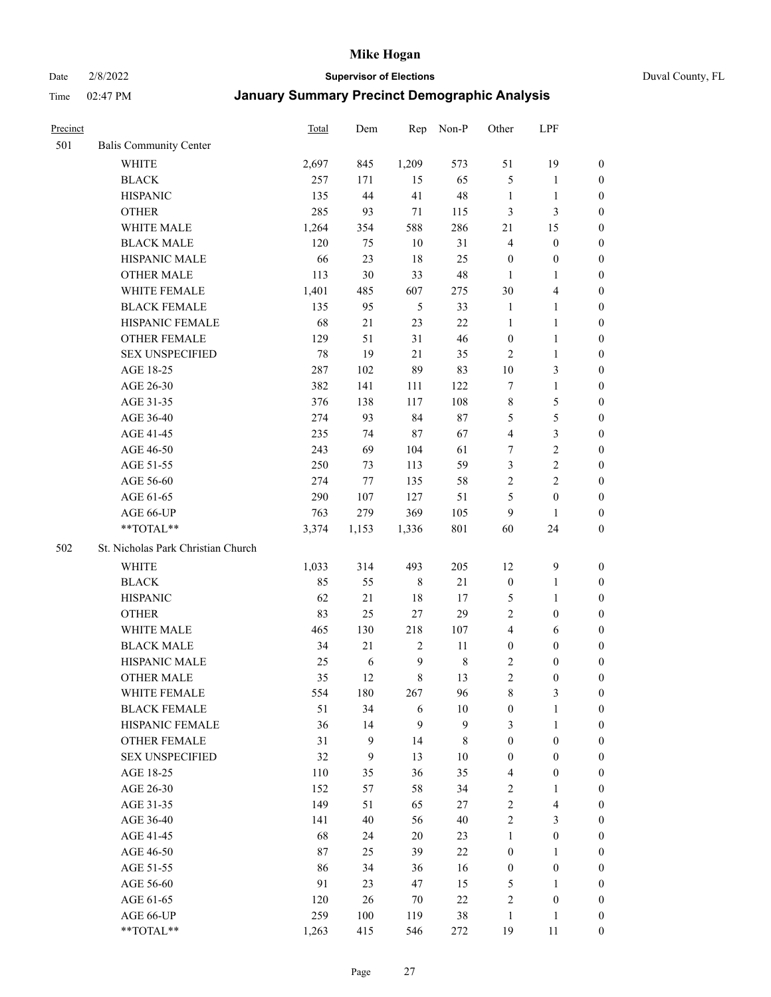Date 2/8/2022 **Supervisor of Elections** Duval County, FL

| Precinct |                                    | Total | Dem   | Rep            | Non-P            | Other            | LPF                     |                  |
|----------|------------------------------------|-------|-------|----------------|------------------|------------------|-------------------------|------------------|
| 501      | <b>Balis Community Center</b>      |       |       |                |                  |                  |                         |                  |
|          | <b>WHITE</b>                       | 2,697 | 845   | 1,209          | 573              | 51               | 19                      | 0                |
|          | <b>BLACK</b>                       | 257   | 171   | 15             | 65               | 5                | $\mathbf{1}$            | 0                |
|          | <b>HISPANIC</b>                    | 135   | 44    | 41             | 48               | $\mathbf{1}$     | $\mathbf{1}$            | $\boldsymbol{0}$ |
|          | <b>OTHER</b>                       | 285   | 93    | $71\,$         | 115              | 3                | $\mathfrak{Z}$          | $\boldsymbol{0}$ |
|          | WHITE MALE                         | 1,264 | 354   | 588            | 286              | 21               | 15                      | $\boldsymbol{0}$ |
|          | <b>BLACK MALE</b>                  | 120   | 75    | 10             | 31               | $\overline{4}$   | $\boldsymbol{0}$        | $\boldsymbol{0}$ |
|          | HISPANIC MALE                      | 66    | 23    | $18\,$         | 25               | $\boldsymbol{0}$ | $\boldsymbol{0}$        | $\boldsymbol{0}$ |
|          | <b>OTHER MALE</b>                  | 113   | 30    | 33             | 48               | $\mathbf{1}$     | $\mathbf{1}$            | $\boldsymbol{0}$ |
|          | WHITE FEMALE                       | 1,401 | 485   | 607            | 275              | 30               | $\overline{\mathbf{4}}$ | $\boldsymbol{0}$ |
|          | <b>BLACK FEMALE</b>                | 135   | 95    | 5              | 33               | $\mathbf{1}$     | $\mathbf{1}$            | 0                |
|          | HISPANIC FEMALE                    | 68    | 21    | 23             | 22               | $\mathbf{1}$     | $\mathbf{1}$            | 0                |
|          | <b>OTHER FEMALE</b>                | 129   | 51    | 31             | 46               | $\boldsymbol{0}$ | $\mathbf{1}$            | 0                |
|          | <b>SEX UNSPECIFIED</b>             | 78    | 19    | 21             | 35               | $\mathbf{2}$     | $\mathbf{1}$            | $\boldsymbol{0}$ |
|          | AGE 18-25                          | 287   | 102   | 89             | 83               | $10\,$           | $\mathfrak{Z}$          | $\boldsymbol{0}$ |
|          | AGE 26-30                          | 382   | 141   | 111            | 122              | 7                | $\mathbf{1}$            | $\boldsymbol{0}$ |
|          | AGE 31-35                          | 376   | 138   | 117            | 108              | $\,$ $\,$        | $\mathfrak s$           | $\boldsymbol{0}$ |
|          | AGE 36-40                          | 274   | 93    | 84             | $87\,$           | 5                | $\mathfrak s$           | $\boldsymbol{0}$ |
|          | AGE 41-45                          | 235   | 74    | $87\,$         | 67               | $\overline{4}$   | $\mathfrak{Z}$          | $\boldsymbol{0}$ |
|          | AGE 46-50                          | 243   | 69    | 104            | 61               | 7                | $\sqrt{2}$              | $\boldsymbol{0}$ |
|          | AGE 51-55                          | 250   | 73    | 113            | 59               | 3                | $\sqrt{2}$              | $\boldsymbol{0}$ |
|          | AGE 56-60                          | 274   | 77    | 135            | 58               | $\sqrt{2}$       | $\overline{2}$          | 0                |
|          | AGE 61-65                          | 290   | 107   | 127            | 51               | 5                | $\boldsymbol{0}$        | 0                |
|          | AGE 66-UP                          | 763   | 279   | 369            | 105              | 9                | $\mathbf{1}$            | $\boldsymbol{0}$ |
|          | $**TOTAL**$                        | 3,374 | 1,153 | 1,336          | 801              | 60               | 24                      | $\boldsymbol{0}$ |
| 502      | St. Nicholas Park Christian Church |       |       |                |                  |                  |                         |                  |
|          | <b>WHITE</b>                       | 1,033 | 314   | 493            | 205              | 12               | $\mathbf{9}$            | $\boldsymbol{0}$ |
|          | <b>BLACK</b>                       | 85    | 55    | $\,$ 8 $\,$    | $21\,$           | $\boldsymbol{0}$ | $\mathbf{1}$            | $\boldsymbol{0}$ |
|          | <b>HISPANIC</b>                    | 62    | 21    | 18             | 17               | 5                | $\mathbf{1}$            | $\boldsymbol{0}$ |
|          | <b>OTHER</b>                       | 83    | 25    | $27\,$         | 29               | $\overline{c}$   | $\boldsymbol{0}$        | $\boldsymbol{0}$ |
|          | WHITE MALE                         | 465   | 130   | 218            | 107              | $\overline{4}$   | 6                       | $\boldsymbol{0}$ |
|          | <b>BLACK MALE</b>                  | 34    | 21    | $\sqrt{2}$     | 11               | $\boldsymbol{0}$ | $\boldsymbol{0}$        | $\boldsymbol{0}$ |
|          | HISPANIC MALE                      | 25    | 6     | $\overline{9}$ | $\,$ $\,$        | $\overline{c}$   | $\boldsymbol{0}$        | 0                |
|          | <b>OTHER MALE</b>                  | 35    | 12    | $\,8\,$        | 13               | $\overline{c}$   | $\boldsymbol{0}$        | $\boldsymbol{0}$ |
|          | WHITE FEMALE                       | 554   | 180   | 267            | 96               | 8                | 3                       | 0                |
|          | <b>BLACK FEMALE</b>                | 51    | 34    | 6              | $10\,$           | $\boldsymbol{0}$ | $\mathbf{1}$            | $\boldsymbol{0}$ |
|          | HISPANIC FEMALE                    | 36    | 14    | $\mathbf{9}$   | $\boldsymbol{9}$ | 3                | $\mathbf{1}$            | $\overline{0}$   |
|          | <b>OTHER FEMALE</b>                | 31    | 9     | 14             | 8                | $\boldsymbol{0}$ | $\boldsymbol{0}$        | $\overline{0}$   |
|          | <b>SEX UNSPECIFIED</b>             | 32    | 9     | 13             | $10\,$           | $\boldsymbol{0}$ | $\boldsymbol{0}$        | 0                |
|          | AGE 18-25                          | 110   | 35    | 36             | 35               | 4                | $\boldsymbol{0}$        | $\theta$         |
|          | AGE 26-30                          | 152   | 57    | 58             | 34               | $\sqrt{2}$       | $\mathbf{1}$            | 0                |
|          | AGE 31-35                          | 149   | 51    | 65             | 27               | $\sqrt{2}$       | $\overline{\mathbf{4}}$ | 0                |
|          | AGE 36-40                          | 141   | 40    | 56             | 40               | $\sqrt{2}$       | $\mathfrak{Z}$          | 0                |
|          | AGE 41-45                          | 68    | 24    | 20             | 23               | $\mathbf{1}$     | $\boldsymbol{0}$        | 0                |
|          | AGE 46-50                          | 87    | 25    | 39             | 22               | $\boldsymbol{0}$ | $\mathbf{1}$            | 0                |
|          | AGE 51-55                          | 86    | 34    | 36             | 16               | $\boldsymbol{0}$ | $\boldsymbol{0}$        | $\overline{0}$   |
|          | AGE 56-60                          | 91    | 23    | 47             | 15               | 5                | $\mathbf{1}$            | $\overline{0}$   |
|          | AGE 61-65                          | 120   | 26    | 70             | 22               | 2                | $\boldsymbol{0}$        | $\overline{0}$   |
|          | AGE 66-UP                          | 259   | 100   | 119            | 38               | $\mathbf{1}$     | $\mathbf{1}$            | $\boldsymbol{0}$ |
|          | **TOTAL**                          | 1,263 | 415   | 546            | 272              | 19               | 11                      | $\boldsymbol{0}$ |
|          |                                    |       |       |                |                  |                  |                         |                  |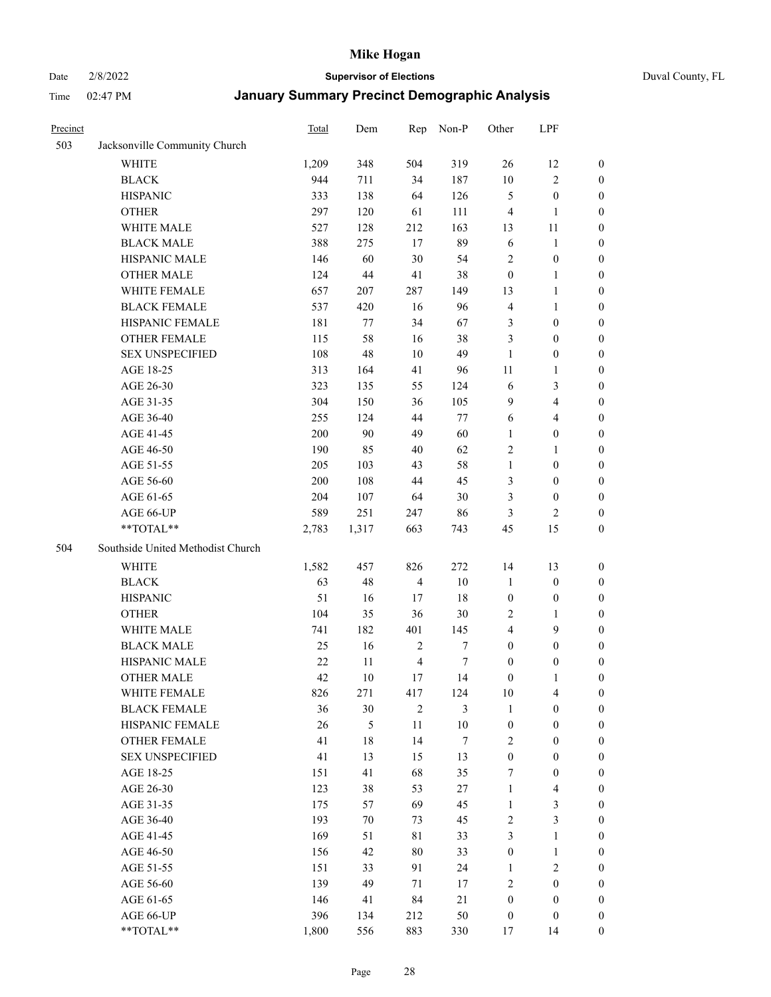## Date 2/8/2022 **Supervisor of Elections** Duval County, FL

| Precinct |                                   | Total  | Dem     | Rep            | Non-P            | Other            | LPF                     |                  |
|----------|-----------------------------------|--------|---------|----------------|------------------|------------------|-------------------------|------------------|
| 503      | Jacksonville Community Church     |        |         |                |                  |                  |                         |                  |
|          | <b>WHITE</b>                      | 1,209  | 348     | 504            | 319              | 26               | 12                      | 0                |
|          | <b>BLACK</b>                      | 944    | 711     | 34             | 187              | $10\,$           | $\sqrt{2}$              | 0                |
|          | <b>HISPANIC</b>                   | 333    | 138     | 64             | 126              | 5                | $\boldsymbol{0}$        | $\boldsymbol{0}$ |
|          | <b>OTHER</b>                      | 297    | 120     | 61             | 111              | 4                | $\mathbf{1}$            | $\boldsymbol{0}$ |
|          | WHITE MALE                        | 527    | 128     | 212            | 163              | 13               | 11                      | $\boldsymbol{0}$ |
|          | <b>BLACK MALE</b>                 | 388    | 275     | 17             | 89               | 6                | $\mathbf{1}$            | $\boldsymbol{0}$ |
|          | HISPANIC MALE                     | 146    | 60      | $30\,$         | 54               | $\overline{c}$   | $\boldsymbol{0}$        | $\boldsymbol{0}$ |
|          | <b>OTHER MALE</b>                 | 124    | $44\,$  | 41             | 38               | $\boldsymbol{0}$ | $\mathbf{1}$            | $\boldsymbol{0}$ |
|          | WHITE FEMALE                      | 657    | $207\,$ | 287            | 149              | 13               | $\mathbf{1}$            | $\boldsymbol{0}$ |
|          | <b>BLACK FEMALE</b>               | 537    | 420     | 16             | 96               | $\overline{4}$   | $\mathbf{1}$            | 0                |
|          | HISPANIC FEMALE                   | 181    | 77      | 34             | 67               | 3                | $\boldsymbol{0}$        | 0                |
|          | OTHER FEMALE                      | 115    | 58      | 16             | 38               | 3                | $\boldsymbol{0}$        | 0                |
|          | <b>SEX UNSPECIFIED</b>            | 108    | 48      | 10             | 49               | $\mathbf{1}$     | $\boldsymbol{0}$        | $\boldsymbol{0}$ |
|          | AGE 18-25                         | 313    | 164     | 41             | 96               | 11               | $\mathbf{1}$            | $\boldsymbol{0}$ |
|          | AGE 26-30                         | 323    | 135     | 55             | 124              | 6                | $\mathfrak{Z}$          | $\boldsymbol{0}$ |
|          | AGE 31-35                         | 304    | 150     | 36             | 105              | 9                | $\overline{\mathbf{4}}$ | $\boldsymbol{0}$ |
|          | AGE 36-40                         | 255    | 124     | 44             | 77               | 6                | $\overline{\mathbf{4}}$ | $\boldsymbol{0}$ |
|          | AGE 41-45                         | 200    | 90      | 49             | 60               | $\mathbf{1}$     | $\boldsymbol{0}$        | $\boldsymbol{0}$ |
|          | AGE 46-50                         | 190    | 85      | 40             | 62               | $\overline{c}$   | $\mathbf{1}$            | $\boldsymbol{0}$ |
|          | AGE 51-55                         | 205    | 103     | 43             | 58               | $\mathbf{1}$     | $\boldsymbol{0}$        | 0                |
|          | AGE 56-60                         | 200    | 108     | 44             | 45               | 3                | $\boldsymbol{0}$        | 0                |
|          | AGE 61-65                         | 204    | 107     | 64             | 30               | 3                | $\boldsymbol{0}$        | 0                |
|          | AGE 66-UP                         | 589    | 251     | 247            | 86               | 3                | 2                       | $\boldsymbol{0}$ |
|          | **TOTAL**                         | 2,783  | 1,317   | 663            | 743              | 45               | 15                      | $\boldsymbol{0}$ |
| 504      | Southside United Methodist Church |        |         |                |                  |                  |                         |                  |
|          | <b>WHITE</b>                      | 1,582  | 457     | 826            | 272              | 14               | 13                      | $\boldsymbol{0}$ |
|          | <b>BLACK</b>                      | 63     | 48      | $\overline{4}$ | 10               | $\mathbf{1}$     | $\boldsymbol{0}$        | $\boldsymbol{0}$ |
|          | <b>HISPANIC</b>                   | 51     | 16      | 17             | 18               | $\boldsymbol{0}$ | $\boldsymbol{0}$        | $\boldsymbol{0}$ |
|          | <b>OTHER</b>                      | 104    | 35      | 36             | 30               | $\overline{c}$   | $\mathbf{1}$            | $\boldsymbol{0}$ |
|          | WHITE MALE                        | 741    | 182     | 401            | 145              | $\overline{4}$   | 9                       | $\overline{0}$   |
|          | <b>BLACK MALE</b>                 | 25     | 16      | $\sqrt{2}$     | $\boldsymbol{7}$ | $\boldsymbol{0}$ | $\boldsymbol{0}$        | $\boldsymbol{0}$ |
|          | HISPANIC MALE                     | $22\,$ | $11\,$  | $\overline{4}$ | 7                | $\boldsymbol{0}$ | $\boldsymbol{0}$        | 0                |
|          | <b>OTHER MALE</b>                 | 42     | 10      | 17             | 14               | $\boldsymbol{0}$ | $\mathbf{1}$            | 0                |
|          | WHITE FEMALE                      | 826    | 271     | 417            | 124              | 10               | 4                       | 0                |
|          | <b>BLACK FEMALE</b>               | 36     | 30      | $\overline{2}$ | 3                | $\mathbf{1}$     | $\boldsymbol{0}$        | $\boldsymbol{0}$ |
|          | HISPANIC FEMALE                   | 26     | 5       | $11\,$         | $10\,$           | $\boldsymbol{0}$ | $\boldsymbol{0}$        | $\overline{0}$   |
|          | OTHER FEMALE                      | 41     | 18      | 14             | 7                | $\overline{c}$   | $\boldsymbol{0}$        | $\overline{0}$   |
|          | <b>SEX UNSPECIFIED</b>            | 41     | 13      | 15             | 13               | $\boldsymbol{0}$ | $\boldsymbol{0}$        | 0                |
|          | AGE 18-25                         | 151    | 41      | 68             | 35               | 7                | $\boldsymbol{0}$        | $\theta$         |
|          | AGE 26-30                         | 123    | 38      | 53             | 27               | $\mathbf{1}$     | $\overline{\mathbf{4}}$ | 0                |
|          | AGE 31-35                         | 175    | 57      | 69             | 45               | $\mathbf{1}$     | $\mathfrak{Z}$          | 0                |
|          | AGE 36-40                         | 193    | 70      | 73             | 45               | $\overline{c}$   | $\mathfrak{Z}$          | 0                |
|          | AGE 41-45                         | 169    | 51      | 81             | 33               | 3                | $\mathbf{1}$            | 0                |
|          | AGE 46-50                         | 156    | 42      | 80             | 33               | $\boldsymbol{0}$ | $\mathbf{1}$            | 0                |
|          | AGE 51-55                         | 151    | 33      | 91             | 24               | $\mathbf{1}$     | $\mathbf{2}$            | 0                |
|          | AGE 56-60                         | 139    | 49      | 71             | 17               | $\overline{c}$   | $\boldsymbol{0}$        | $\overline{0}$   |
|          | AGE 61-65                         | 146    | 41      | 84             | 21               | $\boldsymbol{0}$ | $\boldsymbol{0}$        | $\overline{0}$   |
|          | AGE 66-UP                         | 396    | 134     | 212            | 50               | $\boldsymbol{0}$ | $\boldsymbol{0}$        | $\boldsymbol{0}$ |
|          | **TOTAL**                         | 1,800  | 556     | 883            | 330              | 17               | 14                      | $\boldsymbol{0}$ |
|          |                                   |        |         |                |                  |                  |                         |                  |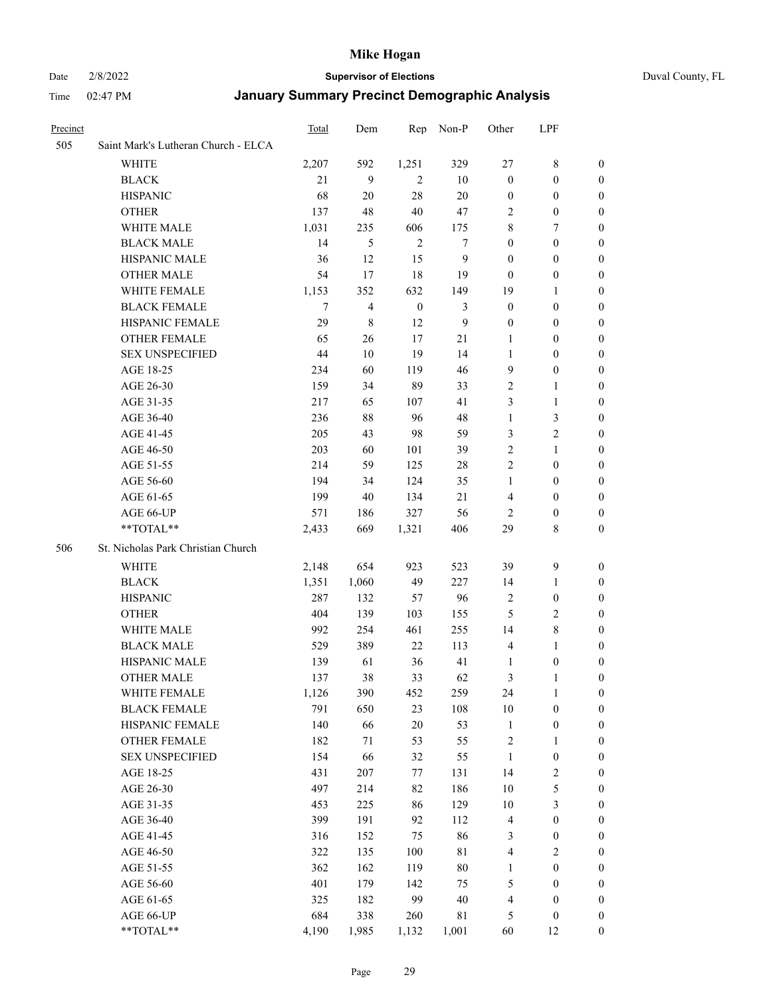#### Date 2/8/2022 **Supervisor of Elections** Duval County, FL

| Precinct |                                     | Total | Dem                      | Rep              | Non-P            | Other            | LPF              |                  |
|----------|-------------------------------------|-------|--------------------------|------------------|------------------|------------------|------------------|------------------|
| 505      | Saint Mark's Lutheran Church - ELCA |       |                          |                  |                  |                  |                  |                  |
|          | <b>WHITE</b>                        | 2,207 | 592                      | 1,251            | 329              | 27               | 8                | 0                |
|          | <b>BLACK</b>                        | 21    | 9                        | $\overline{2}$   | 10               | $\boldsymbol{0}$ | $\boldsymbol{0}$ | $\boldsymbol{0}$ |
|          | <b>HISPANIC</b>                     | 68    | 20                       | 28               | $20\,$           | $\boldsymbol{0}$ | $\boldsymbol{0}$ | $\boldsymbol{0}$ |
|          | <b>OTHER</b>                        | 137   | 48                       | 40               | 47               | 2                | $\boldsymbol{0}$ | $\boldsymbol{0}$ |
|          | WHITE MALE                          | 1,031 | 235                      | 606              | 175              | 8                | 7                | $\boldsymbol{0}$ |
|          | <b>BLACK MALE</b>                   | 14    | 5                        | $\mathfrak{2}$   | 7                | $\boldsymbol{0}$ | $\boldsymbol{0}$ | $\boldsymbol{0}$ |
|          | HISPANIC MALE                       | 36    | 12                       | 15               | $\boldsymbol{9}$ | $\boldsymbol{0}$ | $\boldsymbol{0}$ | $\boldsymbol{0}$ |
|          | <b>OTHER MALE</b>                   | 54    | 17                       | 18               | 19               | $\boldsymbol{0}$ | $\boldsymbol{0}$ | 0                |
|          | WHITE FEMALE                        | 1,153 | 352                      | 632              | 149              | 19               | $\mathbf{1}$     | 0                |
|          | <b>BLACK FEMALE</b>                 | 7     | $\overline{\mathcal{L}}$ | $\boldsymbol{0}$ | 3                | $\boldsymbol{0}$ | $\boldsymbol{0}$ | 0                |
|          | HISPANIC FEMALE                     | 29    | 8                        | 12               | 9                | $\boldsymbol{0}$ | $\boldsymbol{0}$ | 0                |
|          | OTHER FEMALE                        | 65    | 26                       | 17               | 21               | 1                | $\boldsymbol{0}$ | 0                |
|          | <b>SEX UNSPECIFIED</b>              | 44    | 10                       | 19               | 14               | $\mathbf{1}$     | $\boldsymbol{0}$ | $\boldsymbol{0}$ |
|          | AGE 18-25                           | 234   | 60                       | 119              | 46               | 9                | $\boldsymbol{0}$ | $\boldsymbol{0}$ |
|          | AGE 26-30                           | 159   | 34                       | 89               | 33               | $\overline{c}$   | $\mathbf{1}$     | $\boldsymbol{0}$ |
|          | AGE 31-35                           | 217   | 65                       | 107              | 41               | 3                | $\mathbf{1}$     | $\boldsymbol{0}$ |
|          | AGE 36-40                           | 236   | $88\,$                   | 96               | 48               | $\mathbf{1}$     | $\mathfrak{Z}$   | $\overline{0}$   |
|          | AGE 41-45                           | 205   | 43                       | 98               | 59               | 3                | $\overline{c}$   | 0                |
|          | AGE 46-50                           | 203   | 60                       | 101              | 39               | $\overline{c}$   | $\mathbf{1}$     | 0                |
|          | AGE 51-55                           | 214   | 59                       | 125              | 28               | $\mathfrak{2}$   | $\boldsymbol{0}$ | 0                |
|          | AGE 56-60                           | 194   | 34                       | 124              | 35               | 1                | $\boldsymbol{0}$ | 0                |
|          | AGE 61-65                           | 199   | 40                       | 134              | 21               | 4                | $\boldsymbol{0}$ | 0                |
|          | AGE 66-UP                           | 571   | 186                      | 327              | 56               | 2                | $\boldsymbol{0}$ | 0                |
|          | **TOTAL**                           | 2,433 | 669                      | 1,321            | 406              | 29               | 8                | $\boldsymbol{0}$ |
| 506      | St. Nicholas Park Christian Church  |       |                          |                  |                  |                  |                  |                  |
|          | WHITE                               | 2,148 | 654                      | 923              | 523              | 39               | $\mathbf{9}$     | $\boldsymbol{0}$ |
|          | <b>BLACK</b>                        | 1,351 | 1,060                    | 49               | 227              | 14               | $\mathbf{1}$     | $\boldsymbol{0}$ |
|          | <b>HISPANIC</b>                     | 287   | 132                      | 57               | 96               | $\overline{c}$   | $\boldsymbol{0}$ | 0                |
|          | <b>OTHER</b>                        | 404   | 139                      | 103              | 155              | 5                | $\sqrt{2}$       | $\boldsymbol{0}$ |
|          | WHITE MALE                          | 992   | 254                      | 461              | 255              | 14               | $\,8\,$          | 0                |
|          | <b>BLACK MALE</b>                   | 529   | 389                      | 22               | 113              | $\overline{4}$   | $\mathbf{1}$     | 0                |
|          | HISPANIC MALE                       | 139   | 61                       | 36               | 41               | 1                | $\boldsymbol{0}$ | 0                |
|          | <b>OTHER MALE</b>                   | 137   | 38                       | 33               | 62               | 3                | 1                | 0                |
|          | WHITE FEMALE                        | 1,126 | 390                      | 452              | 259              | 24               | $\mathbf{1}$     | $\boldsymbol{0}$ |
|          | <b>BLACK FEMALE</b>                 | 791   | 650                      | 23               | 108              | $10\,$           | $\boldsymbol{0}$ | $\boldsymbol{0}$ |
|          | HISPANIC FEMALE                     | 140   | 66                       | $20\,$           | 53               | $\mathbf{1}$     | $\boldsymbol{0}$ | $\boldsymbol{0}$ |
|          | <b>OTHER FEMALE</b>                 | 182   | 71                       | 53               | 55               | $\sqrt{2}$       | $\mathbf{1}$     | $\boldsymbol{0}$ |
|          | <b>SEX UNSPECIFIED</b>              | 154   | 66                       | 32               | 55               | $\mathbf{1}$     | $\boldsymbol{0}$ | 0                |
|          | AGE 18-25                           | 431   | $207\,$                  | 77               | 131              | 14               | $\sqrt{2}$       | 0                |
|          | AGE 26-30                           | 497   | 214                      | 82               | 186              | $10\,$           | $\mathfrak s$    | 0                |
|          | AGE 31-35                           | 453   | 225                      | 86               | 129              | $10\,$           | $\mathfrak{Z}$   | 0                |
|          | AGE 36-40                           | 399   | 191                      | 92               | 112              | $\overline{4}$   | $\boldsymbol{0}$ | 0                |
|          | AGE 41-45                           | 316   | 152                      | 75               | 86               | 3                | $\boldsymbol{0}$ | 0                |
|          | AGE 46-50                           | 322   | 135                      | 100              | $8\sqrt{1}$      | 4                | $\sqrt{2}$       | 0                |
|          | AGE 51-55                           | 362   | 162                      | 119              | $80\,$           | 1                | $\boldsymbol{0}$ | $\boldsymbol{0}$ |
|          | AGE 56-60                           | 401   | 179                      | 142              | 75               | 5                | $\boldsymbol{0}$ | $\boldsymbol{0}$ |
|          | AGE 61-65                           | 325   | 182                      | 99               | 40               | $\overline{4}$   | $\boldsymbol{0}$ | $\boldsymbol{0}$ |
|          | AGE 66-UP                           | 684   | 338                      | 260              | $8\sqrt{1}$      | 5                | $\boldsymbol{0}$ | 0                |
|          | **TOTAL**                           | 4,190 | 1,985                    | 1,132            | 1,001            | 60               | 12               | $\boldsymbol{0}$ |
|          |                                     |       |                          |                  |                  |                  |                  |                  |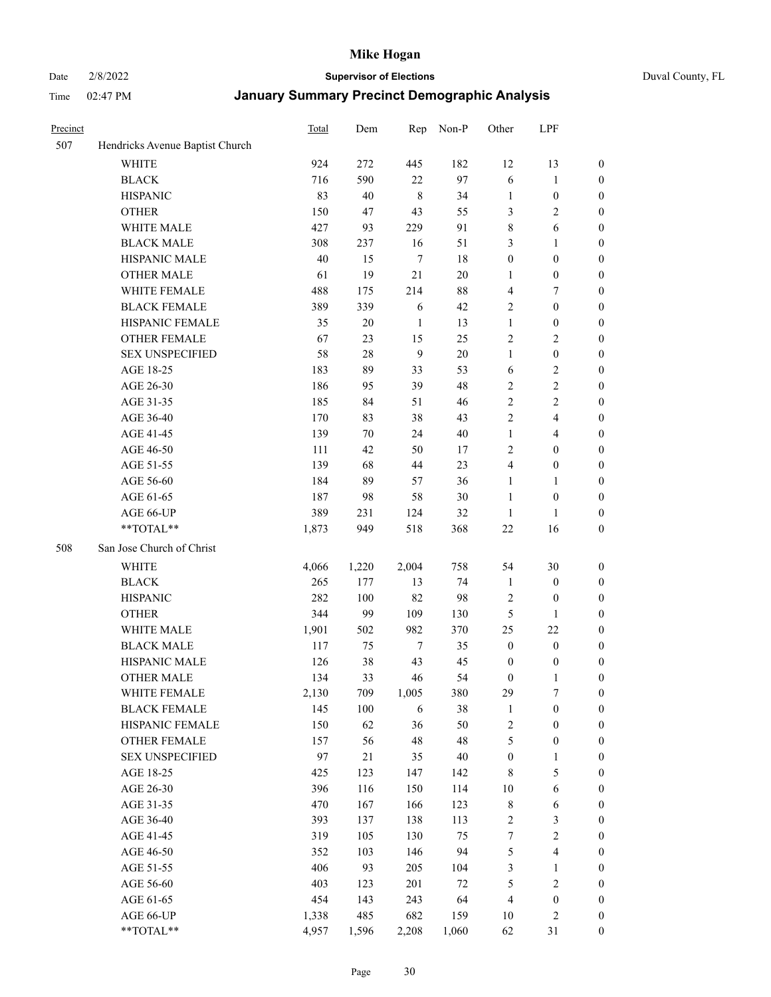# Date 2/8/2022 **Supervisor of Elections** Duval County, FL

| Precinct |                                 | Total | Dem    | Rep     | Non-P  | Other            | LPF                     |                  |
|----------|---------------------------------|-------|--------|---------|--------|------------------|-------------------------|------------------|
| 507      | Hendricks Avenue Baptist Church |       |        |         |        |                  |                         |                  |
|          | <b>WHITE</b>                    | 924   | 272    | 445     | 182    | 12               | 13                      | 0                |
|          | <b>BLACK</b>                    | 716   | 590    | 22      | 97     | 6                | $\mathbf{1}$            | 0                |
|          | <b>HISPANIC</b>                 | 83    | 40     | $\,8\,$ | 34     | $\mathbf{1}$     | $\boldsymbol{0}$        | $\boldsymbol{0}$ |
|          | <b>OTHER</b>                    | 150   | 47     | 43      | 55     | 3                | $\mathbf{2}$            | $\boldsymbol{0}$ |
|          | WHITE MALE                      | 427   | 93     | 229     | 91     | 8                | 6                       | $\boldsymbol{0}$ |
|          | <b>BLACK MALE</b>               | 308   | 237    | 16      | 51     | 3                | $\mathbf{1}$            | $\boldsymbol{0}$ |
|          | HISPANIC MALE                   | 40    | 15     | $\tau$  | 18     | $\boldsymbol{0}$ | $\boldsymbol{0}$        | $\boldsymbol{0}$ |
|          | <b>OTHER MALE</b>               | 61    | 19     | 21      | $20\,$ | $\mathbf{1}$     | $\boldsymbol{0}$        | $\boldsymbol{0}$ |
|          | WHITE FEMALE                    | 488   | 175    | 214     | 88     | 4                | $\tau$                  | $\boldsymbol{0}$ |
|          | <b>BLACK FEMALE</b>             | 389   | 339    | 6       | 42     | $\overline{c}$   | $\boldsymbol{0}$        | $\boldsymbol{0}$ |
|          | HISPANIC FEMALE                 | 35    | $20\,$ | 1       | 13     | $\mathbf{1}$     | $\boldsymbol{0}$        | 0                |
|          | <b>OTHER FEMALE</b>             | 67    | 23     | 15      | 25     | $\mathbf{2}$     | $\sqrt{2}$              | $\boldsymbol{0}$ |
|          | <b>SEX UNSPECIFIED</b>          | 58    | 28     | 9       | 20     | $\mathbf{1}$     | $\boldsymbol{0}$        | $\boldsymbol{0}$ |
|          | AGE 18-25                       | 183   | 89     | 33      | 53     | 6                | $\sqrt{2}$              | $\boldsymbol{0}$ |
|          | AGE 26-30                       | 186   | 95     | 39      | 48     | $\overline{c}$   | $\sqrt{2}$              | $\boldsymbol{0}$ |
|          | AGE 31-35                       | 185   | 84     | 51      | 46     | $\sqrt{2}$       | $\sqrt{2}$              | $\boldsymbol{0}$ |
|          | AGE 36-40                       | 170   | 83     | 38      | 43     | $\mathfrak{2}$   | $\overline{\mathbf{4}}$ | $\boldsymbol{0}$ |
|          | AGE 41-45                       | 139   | $70\,$ | 24      | $40\,$ | $\mathbf{1}$     | $\overline{4}$          | $\boldsymbol{0}$ |
|          | AGE 46-50                       | 111   | 42     | 50      | 17     | $\mathbf{2}$     | $\boldsymbol{0}$        | $\boldsymbol{0}$ |
|          | AGE 51-55                       | 139   | 68     | 44      | 23     | 4                | $\boldsymbol{0}$        | $\boldsymbol{0}$ |
|          | AGE 56-60                       | 184   | 89     | 57      | 36     | $\mathbf{1}$     | $\mathbf{1}$            | 0                |
|          | AGE 61-65                       | 187   | 98     | 58      | 30     | $\mathbf{1}$     | $\boldsymbol{0}$        | 0                |
|          | AGE 66-UP                       | 389   | 231    | 124     | 32     | $\mathbf{1}$     | $\mathbf{1}$            | $\boldsymbol{0}$ |
|          | $**TOTAL**$                     | 1,873 | 949    | 518     | 368    | $22\,$           | 16                      | $\boldsymbol{0}$ |
| 508      | San Jose Church of Christ       |       |        |         |        |                  |                         |                  |
|          | <b>WHITE</b>                    | 4,066 | 1,220  | 2,004   | 758    | 54               | $30\,$                  | $\boldsymbol{0}$ |
|          | <b>BLACK</b>                    | 265   | 177    | 13      | 74     | $\mathbf{1}$     | $\boldsymbol{0}$        | $\boldsymbol{0}$ |
|          | <b>HISPANIC</b>                 | 282   | 100    | 82      | 98     | $\overline{c}$   | $\boldsymbol{0}$        | $\boldsymbol{0}$ |
|          | <b>OTHER</b>                    | 344   | 99     | 109     | 130    | 5                | $\mathbf{1}$            | $\boldsymbol{0}$ |
|          | WHITE MALE                      | 1,901 | 502    | 982     | 370    | 25               | 22                      | $\boldsymbol{0}$ |
|          | <b>BLACK MALE</b>               | 117   | 75     | $\tau$  | 35     | $\boldsymbol{0}$ | $\boldsymbol{0}$        | $\boldsymbol{0}$ |
|          | HISPANIC MALE                   | 126   | 38     | 43      | 45     | $\boldsymbol{0}$ | $\boldsymbol{0}$        | 0                |
|          | <b>OTHER MALE</b>               | 134   | 33     | 46      | 54     | $\boldsymbol{0}$ | $\mathbf{1}$            | $\boldsymbol{0}$ |
|          | WHITE FEMALE                    | 2,130 | 709    | 1,005   | 380    | 29               | 7                       | 0                |
|          | <b>BLACK FEMALE</b>             | 145   | 100    | 6       | 38     | $\mathbf{1}$     | $\boldsymbol{0}$        | $\boldsymbol{0}$ |
|          | HISPANIC FEMALE                 | 150   | 62     | 36      | 50     | $\overline{c}$   | $\boldsymbol{0}$        | $\overline{0}$   |
|          | OTHER FEMALE                    | 157   | 56     | 48      | 48     | 5                | $\boldsymbol{0}$        | $\overline{0}$   |
|          | <b>SEX UNSPECIFIED</b>          | 97    | 21     | 35      | 40     | $\boldsymbol{0}$ | $\mathbf{1}$            | 0                |
|          | AGE 18-25                       | 425   | 123    | 147     | 142    | $\,$ 8 $\,$      | $\mathfrak s$           | $\overline{0}$   |
|          | AGE 26-30                       | 396   | 116    | 150     | 114    | $10\,$           | $\sqrt{6}$              | 0                |
|          | AGE 31-35                       | 470   | 167    | 166     | 123    | $\,$ $\,$        | 6                       | 0                |
|          | AGE 36-40                       | 393   | 137    | 138     | 113    | 2                | $\mathfrak{Z}$          | 0                |
|          | AGE 41-45                       | 319   | 105    | 130     | 75     | $\boldsymbol{7}$ | $\sqrt{2}$              | 0                |
|          | AGE 46-50                       | 352   | 103    | 146     | 94     | 5                | $\overline{\mathbf{4}}$ | 0                |
|          | AGE 51-55                       | 406   | 93     | 205     | 104    | $\mathfrak{Z}$   | $\mathbf{1}$            | $\boldsymbol{0}$ |
|          | AGE 56-60                       | 403   | 123    | 201     | $72\,$ | 5                | $\sqrt{2}$              | $\boldsymbol{0}$ |
|          | AGE 61-65                       | 454   | 143    | 243     | 64     | $\overline{4}$   | $\boldsymbol{0}$        | $\boldsymbol{0}$ |
|          | AGE 66-UP                       | 1,338 | 485    | 682     | 159    | 10               | $\sqrt{2}$              | $\boldsymbol{0}$ |
|          | **TOTAL**                       | 4,957 | 1,596  | 2,208   | 1,060  | 62               | 31                      | $\boldsymbol{0}$ |
|          |                                 |       |        |         |        |                  |                         |                  |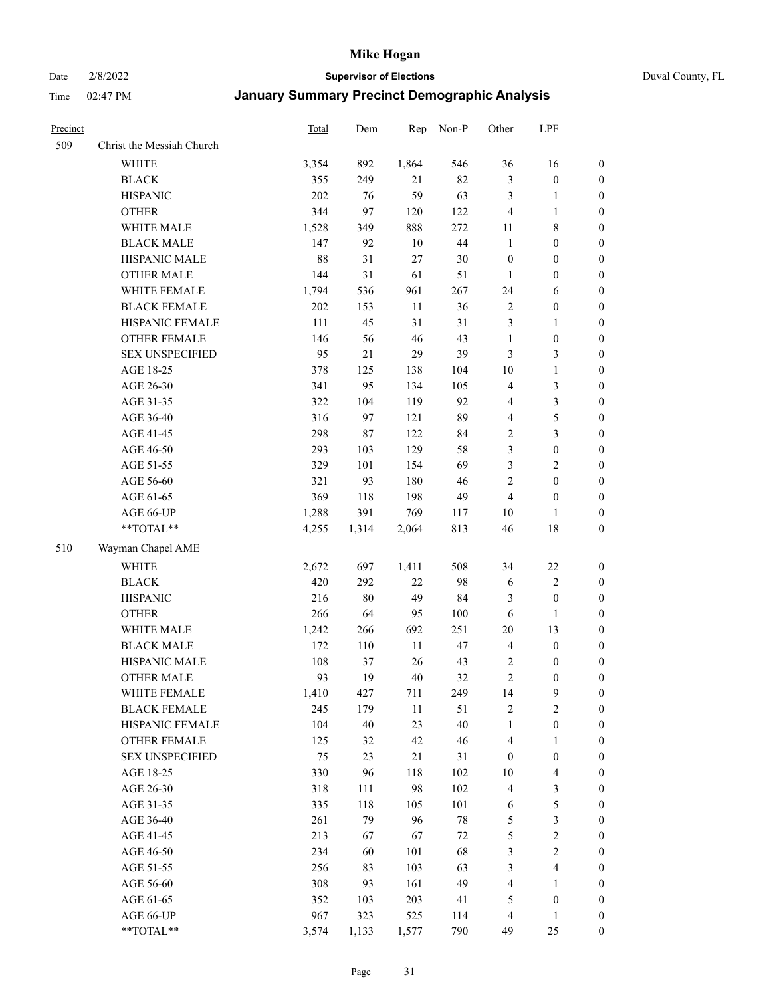Date 2/8/2022 **Supervisor of Elections** Duval County, FL

| Precinct |                           | Total   | Dem   | Rep    | Non-P  | Other            | LPF                     |                  |
|----------|---------------------------|---------|-------|--------|--------|------------------|-------------------------|------------------|
| 509      | Christ the Messiah Church |         |       |        |        |                  |                         |                  |
|          | <b>WHITE</b>              | 3,354   | 892   | 1,864  | 546    | 36               | 16                      | 0                |
|          | <b>BLACK</b>              | 355     | 249   | 21     | 82     | 3                | $\boldsymbol{0}$        | 0                |
|          | <b>HISPANIC</b>           | 202     | 76    | 59     | 63     | 3                | $\mathbf{1}$            | $\boldsymbol{0}$ |
|          | <b>OTHER</b>              | 344     | 97    | 120    | 122    | $\overline{4}$   | $\mathbf{1}$            | $\boldsymbol{0}$ |
|          | WHITE MALE                | 1,528   | 349   | 888    | 272    | 11               | $\,$ 8 $\,$             | $\boldsymbol{0}$ |
|          | <b>BLACK MALE</b>         | 147     | 92    | 10     | $44\,$ | $\mathbf{1}$     | $\boldsymbol{0}$        | $\boldsymbol{0}$ |
|          | HISPANIC MALE             | 88      | 31    | 27     | 30     | $\boldsymbol{0}$ | $\boldsymbol{0}$        | $\boldsymbol{0}$ |
|          | <b>OTHER MALE</b>         | 144     | 31    | 61     | 51     | $\mathbf{1}$     | $\boldsymbol{0}$        | $\boldsymbol{0}$ |
|          | WHITE FEMALE              | 1,794   | 536   | 961    | 267    | 24               | 6                       | $\boldsymbol{0}$ |
|          | <b>BLACK FEMALE</b>       | $202\,$ | 153   | 11     | 36     | 2                | $\boldsymbol{0}$        | 0                |
|          | HISPANIC FEMALE           | 111     | 45    | 31     | 31     | 3                | $\mathbf{1}$            | 0                |
|          | OTHER FEMALE              | 146     | 56    | $46\,$ | 43     | $\mathbf{1}$     | $\boldsymbol{0}$        | $\boldsymbol{0}$ |
|          | <b>SEX UNSPECIFIED</b>    | 95      | 21    | 29     | 39     | 3                | $\mathfrak{Z}$          | $\boldsymbol{0}$ |
|          | AGE 18-25                 | 378     | 125   | 138    | 104    | $10\,$           | $\mathbf{1}$            | $\boldsymbol{0}$ |
|          | AGE 26-30                 | 341     | 95    | 134    | 105    | 4                | $\mathfrak{Z}$          | $\boldsymbol{0}$ |
|          | AGE 31-35                 | 322     | 104   | 119    | 92     | 4                | $\mathfrak{Z}$          | $\boldsymbol{0}$ |
|          | AGE 36-40                 | 316     | 97    | 121    | 89     | 4                | $\mathfrak s$           | $\boldsymbol{0}$ |
|          | AGE 41-45                 | 298     | 87    | 122    | 84     | $\sqrt{2}$       | $\mathfrak{Z}$          | $\boldsymbol{0}$ |
|          | AGE 46-50                 | 293     | 103   | 129    | 58     | 3                | $\boldsymbol{0}$        | $\boldsymbol{0}$ |
|          | AGE 51-55                 | 329     | 101   | 154    | 69     | 3                | $\sqrt{2}$              | $\boldsymbol{0}$ |
|          | AGE 56-60                 | 321     | 93    | 180    | 46     | $\sqrt{2}$       | $\boldsymbol{0}$        | 0                |
|          | AGE 61-65                 | 369     | 118   | 198    | 49     | $\overline{4}$   | $\boldsymbol{0}$        | 0                |
|          | AGE 66-UP                 | 1,288   | 391   | 769    | 117    | 10               | $\mathbf{1}$            | $\boldsymbol{0}$ |
|          | $**TOTAL**$               | 4,255   | 1,314 | 2,064  | 813    | 46               | $18\,$                  | $\boldsymbol{0}$ |
| 510      | Wayman Chapel AME         |         |       |        |        |                  |                         |                  |
|          | <b>WHITE</b>              | 2,672   | 697   | 1,411  | 508    | 34               | $22\,$                  | $\boldsymbol{0}$ |
|          | <b>BLACK</b>              | 420     | 292   | $22\,$ | 98     | 6                | $\sqrt{2}$              | $\boldsymbol{0}$ |
|          | <b>HISPANIC</b>           | 216     | 80    | 49     | 84     | 3                | $\boldsymbol{0}$        | $\boldsymbol{0}$ |
|          | <b>OTHER</b>              | 266     | 64    | 95     | 100    | 6                | $\mathbf{1}$            | $\boldsymbol{0}$ |
|          | WHITE MALE                | 1,242   | 266   | 692    | 251    | $20\,$           | 13                      | $\boldsymbol{0}$ |
|          | <b>BLACK MALE</b>         | 172     | 110   | $11\,$ | 47     | $\overline{4}$   | $\boldsymbol{0}$        | $\boldsymbol{0}$ |
|          | HISPANIC MALE             | 108     | 37    | 26     | 43     | 2                | $\boldsymbol{0}$        | 0                |
|          | <b>OTHER MALE</b>         | 93      | 19    | $40\,$ | 32     | $\overline{c}$   | $\boldsymbol{0}$        | $\boldsymbol{0}$ |
|          | WHITE FEMALE              | 1,410   | 427   | 711    | 249    | 14               | 9                       | 0                |
|          | <b>BLACK FEMALE</b>       | 245     | 179   | $11\,$ | 51     | $\sqrt{2}$       | $\sqrt{2}$              | $\boldsymbol{0}$ |
|          | HISPANIC FEMALE           | 104     | 40    | 23     | 40     | $\mathbf{1}$     | $\boldsymbol{0}$        | $\overline{0}$   |
|          | OTHER FEMALE              | 125     | 32    | 42     | 46     | 4                | $\mathbf{1}$            | $\overline{0}$   |
|          | <b>SEX UNSPECIFIED</b>    | 75      | 23    | 21     | 31     | $\boldsymbol{0}$ | $\boldsymbol{0}$        | 0                |
|          | AGE 18-25                 | 330     | 96    | 118    | 102    | 10               | $\overline{\mathbf{4}}$ | 0                |
|          | AGE 26-30                 | 318     | 111   | 98     | 102    | 4                | $\mathfrak{Z}$          | 0                |
|          | AGE 31-35                 | 335     | 118   | 105    | 101    | 6                | $\mathfrak s$           | 0                |
|          | AGE 36-40                 | 261     | 79    | 96     | $78\,$ | 5                | $\mathfrak{Z}$          | 0                |
|          | AGE 41-45                 | 213     | 67    | 67     | $72\,$ | 5                | $\sqrt{2}$              | 0                |
|          | AGE 46-50                 | 234     | 60    | 101    | 68     | 3                | $\sqrt{2}$              | 0                |
|          | AGE 51-55                 | 256     | 83    | 103    | 63     | 3                | $\overline{\mathbf{4}}$ | $\boldsymbol{0}$ |
|          | AGE 56-60                 | 308     | 93    | 161    | 49     | 4                | $\mathbf{1}$            | $\boldsymbol{0}$ |
|          | AGE 61-65                 | 352     | 103   | 203    | 41     | 5                | $\boldsymbol{0}$        | $\boldsymbol{0}$ |
|          | AGE 66-UP                 | 967     | 323   | 525    | 114    | $\overline{4}$   | $\mathbf{1}$            | $\boldsymbol{0}$ |
|          | **TOTAL**                 | 3,574   | 1,133 | 1,577  | 790    | 49               | 25                      | $\boldsymbol{0}$ |
|          |                           |         |       |        |        |                  |                         |                  |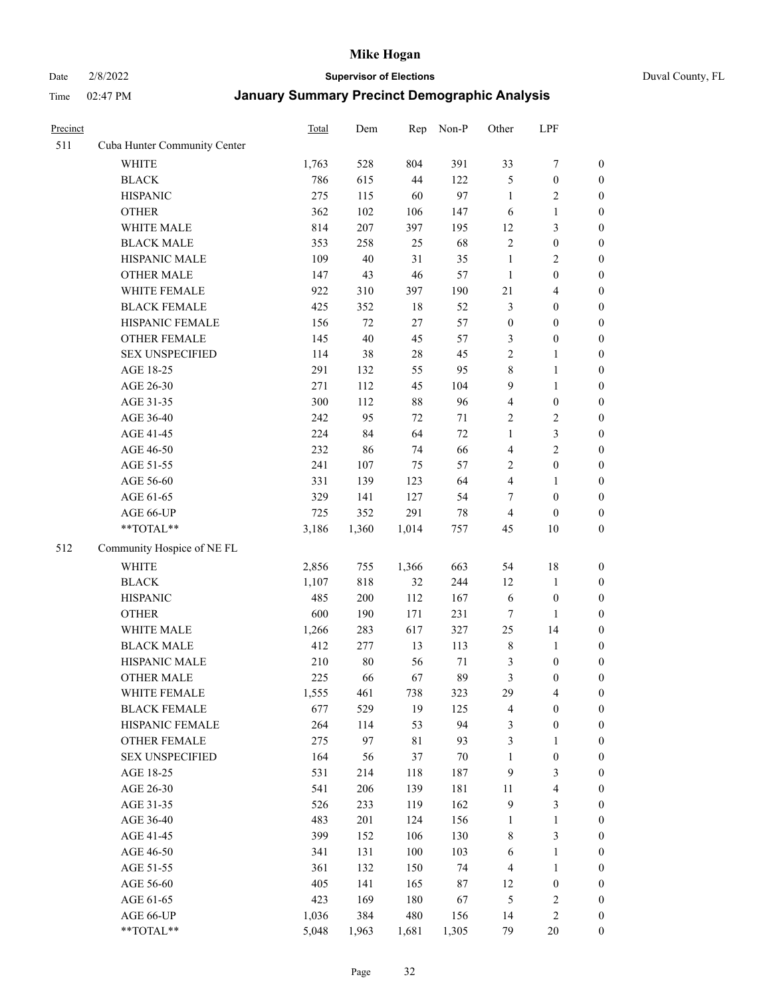# Date 2/8/2022 **Supervisor of Elections** Duval County, FL

| Precinct |                              | Total | Dem    | Rep   | Non-P  | Other            | LPF              |                  |
|----------|------------------------------|-------|--------|-------|--------|------------------|------------------|------------------|
| 511      | Cuba Hunter Community Center |       |        |       |        |                  |                  |                  |
|          | <b>WHITE</b>                 | 1,763 | 528    | 804   | 391    | 33               | $\boldsymbol{7}$ | 0                |
|          | <b>BLACK</b>                 | 786   | 615    | 44    | 122    | 5                | $\boldsymbol{0}$ | $\boldsymbol{0}$ |
|          | <b>HISPANIC</b>              | 275   | 115    | 60    | 97     | $\mathbf{1}$     | $\overline{c}$   | $\boldsymbol{0}$ |
|          | <b>OTHER</b>                 | 362   | 102    | 106   | 147    | 6                | $\mathbf{1}$     | $\boldsymbol{0}$ |
|          | WHITE MALE                   | 814   | 207    | 397   | 195    | 12               | $\mathfrak{Z}$   | $\boldsymbol{0}$ |
|          | <b>BLACK MALE</b>            | 353   | 258    | 25    | 68     | $\overline{c}$   | $\boldsymbol{0}$ | $\boldsymbol{0}$ |
|          | HISPANIC MALE                | 109   | $40\,$ | 31    | 35     | $\mathbf{1}$     | $\sqrt{2}$       | $\boldsymbol{0}$ |
|          | <b>OTHER MALE</b>            | 147   | 43     | 46    | 57     | $\mathbf{1}$     | $\boldsymbol{0}$ | $\boldsymbol{0}$ |
|          | WHITE FEMALE                 | 922   | 310    | 397   | 190    | 21               | $\overline{4}$   | $\boldsymbol{0}$ |
|          | <b>BLACK FEMALE</b>          | 425   | 352    | 18    | 52     | 3                | $\boldsymbol{0}$ | $\boldsymbol{0}$ |
|          | HISPANIC FEMALE              | 156   | 72     | 27    | 57     | $\boldsymbol{0}$ | $\boldsymbol{0}$ | $\boldsymbol{0}$ |
|          | OTHER FEMALE                 | 145   | 40     | 45    | 57     | 3                | $\boldsymbol{0}$ | $\boldsymbol{0}$ |
|          | <b>SEX UNSPECIFIED</b>       | 114   | 38     | 28    | 45     | $\mathbf{2}$     | $\mathbf{1}$     | $\boldsymbol{0}$ |
|          | AGE 18-25                    | 291   | 132    | 55    | 95     | 8                | $\mathbf{1}$     | $\boldsymbol{0}$ |
|          | AGE 26-30                    | 271   | 112    | 45    | 104    | 9                | $\mathbf{1}$     | $\boldsymbol{0}$ |
|          | AGE 31-35                    | 300   | 112    | 88    | 96     | 4                | $\boldsymbol{0}$ | $\boldsymbol{0}$ |
|          | AGE 36-40                    | 242   | 95     | 72    | $71\,$ | 2                | $\sqrt{2}$       | $\boldsymbol{0}$ |
|          | AGE 41-45                    | 224   | 84     | 64    | 72     | $\mathbf{1}$     | $\mathfrak{Z}$   | $\boldsymbol{0}$ |
|          | AGE 46-50                    | 232   | 86     | 74    | 66     | 4                | $\overline{c}$   | $\boldsymbol{0}$ |
|          | AGE 51-55                    | 241   | 107    | 75    | 57     | 2                | $\boldsymbol{0}$ | $\boldsymbol{0}$ |
|          | AGE 56-60                    | 331   | 139    | 123   | 64     | 4                | 1                | 0                |
|          | AGE 61-65                    | 329   | 141    | 127   | 54     | 7                | $\boldsymbol{0}$ | $\boldsymbol{0}$ |
|          | AGE 66-UP                    | 725   | 352    | 291   | $78\,$ | 4                | $\boldsymbol{0}$ | $\boldsymbol{0}$ |
|          | $**TOTAL**$                  | 3,186 | 1,360  | 1,014 | 757    | 45               | 10               | $\boldsymbol{0}$ |
| 512      | Community Hospice of NE FL   |       |        |       |        |                  |                  |                  |
|          | <b>WHITE</b>                 | 2,856 | 755    | 1,366 | 663    | 54               | 18               | $\boldsymbol{0}$ |
|          | <b>BLACK</b>                 | 1,107 | 818    | 32    | 244    | 12               | $\mathbf{1}$     | $\boldsymbol{0}$ |
|          | <b>HISPANIC</b>              | 485   | 200    | 112   | 167    | 6                | $\boldsymbol{0}$ | $\boldsymbol{0}$ |
|          | <b>OTHER</b>                 | 600   | 190    | 171   | 231    | 7                | 1                | $\boldsymbol{0}$ |
|          | WHITE MALE                   | 1,266 | 283    | 617   | 327    | 25               | 14               | $\boldsymbol{0}$ |
|          | <b>BLACK MALE</b>            | 412   | 277    | 13    | 113    | $\,$ $\,$        | $\mathbf{1}$     | $\boldsymbol{0}$ |
|          | HISPANIC MALE                | 210   | 80     | 56    | $71\,$ | 3                | $\boldsymbol{0}$ | 0                |
|          | <b>OTHER MALE</b>            | 225   | 66     | 67    | 89     | 3                | $\boldsymbol{0}$ | $\boldsymbol{0}$ |
|          | WHITE FEMALE                 | 1,555 | 461    | 738   | 323    | 29               | 4                | 0                |
|          | <b>BLACK FEMALE</b>          | 677   | 529    | 19    | 125    | 4                | $\boldsymbol{0}$ | $\overline{0}$   |
|          | HISPANIC FEMALE              | 264   | 114    | 53    | 94     | 3                | $\boldsymbol{0}$ | $\overline{0}$   |
|          | OTHER FEMALE                 | 275   | 97     | 81    | 93     | 3                | $\mathbf{1}$     | $\overline{0}$   |
|          | <b>SEX UNSPECIFIED</b>       | 164   | 56     | 37    | 70     | 1                | $\boldsymbol{0}$ | 0                |
|          | AGE 18-25                    | 531   | 214    | 118   | 187    | 9                | $\mathfrak{Z}$   | 0                |
|          | AGE 26-30                    | 541   | 206    | 139   | 181    | 11               | $\overline{4}$   | 0                |
|          | AGE 31-35                    | 526   | 233    | 119   | 162    | 9                | $\mathfrak{Z}$   | 0                |
|          | AGE 36-40                    | 483   | 201    | 124   | 156    | 1                | $\mathbf{1}$     | 0                |
|          | AGE 41-45                    | 399   | 152    | 106   | 130    | 8                | $\mathfrak{Z}$   | 0                |
|          | AGE 46-50                    | 341   | 131    | 100   | 103    | 6                | $\mathbf{1}$     | 0                |
|          | AGE 51-55                    | 361   | 132    | 150   | 74     | 4                | $\mathbf{1}$     | 0                |
|          | AGE 56-60                    | 405   | 141    | 165   | 87     | 12               | $\boldsymbol{0}$ | 0                |
|          | AGE 61-65                    | 423   | 169    | 180   | 67     | 5                | $\sqrt{2}$       | 0                |
|          | AGE 66-UP                    | 1,036 | 384    | 480   | 156    | 14               | $\sqrt{2}$       | 0                |
|          | **TOTAL**                    | 5,048 | 1,963  | 1,681 | 1,305  | 79               | 20               | $\boldsymbol{0}$ |
|          |                              |       |        |       |        |                  |                  |                  |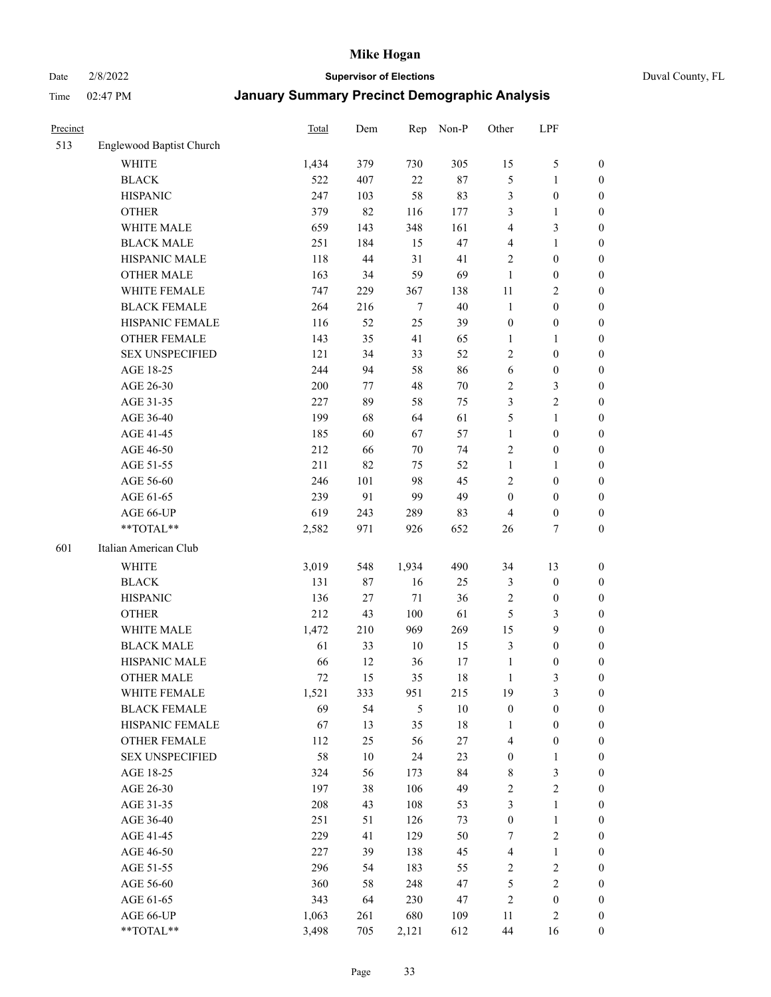# Date 2/8/2022 **Supervisor of Elections** Duval County, FL

| Precinct |                          | <b>Total</b> | Dem    | Rep            | Non-P  | Other            | LPF              |                  |
|----------|--------------------------|--------------|--------|----------------|--------|------------------|------------------|------------------|
| 513      | Englewood Baptist Church |              |        |                |        |                  |                  |                  |
|          | <b>WHITE</b>             | 1,434        | 379    | 730            | 305    | 15               | $\mathfrak{S}$   | 0                |
|          | <b>BLACK</b>             | 522          | 407    | 22             | $87\,$ | 5                | $\mathbf{1}$     | 0                |
|          | <b>HISPANIC</b>          | 247          | 103    | 58             | 83     | 3                | $\boldsymbol{0}$ | $\boldsymbol{0}$ |
|          | <b>OTHER</b>             | 379          | 82     | 116            | 177    | 3                | $\mathbf{1}$     | $\boldsymbol{0}$ |
|          | WHITE MALE               | 659          | 143    | 348            | 161    | 4                | $\mathfrak{Z}$   | $\boldsymbol{0}$ |
|          | <b>BLACK MALE</b>        | 251          | 184    | 15             | 47     | 4                | $\mathbf{1}$     | $\boldsymbol{0}$ |
|          | HISPANIC MALE            | 118          | 44     | 31             | 41     | $\overline{c}$   | $\boldsymbol{0}$ | $\boldsymbol{0}$ |
|          | <b>OTHER MALE</b>        | 163          | 34     | 59             | 69     | $\mathbf{1}$     | $\boldsymbol{0}$ | $\boldsymbol{0}$ |
|          | WHITE FEMALE             | 747          | 229    | 367            | 138    | $11\,$           | $\overline{2}$   | $\boldsymbol{0}$ |
|          | <b>BLACK FEMALE</b>      | 264          | 216    | $\tau$         | 40     | $\mathbf{1}$     | $\boldsymbol{0}$ | 0                |
|          | HISPANIC FEMALE          | 116          | 52     | 25             | 39     | $\boldsymbol{0}$ | $\boldsymbol{0}$ | 0                |
|          | <b>OTHER FEMALE</b>      | 143          | 35     | 41             | 65     | $\mathbf{1}$     | $\mathbf{1}$     | $\boldsymbol{0}$ |
|          | <b>SEX UNSPECIFIED</b>   | 121          | 34     | 33             | 52     | $\mathbf{2}$     | $\boldsymbol{0}$ | $\boldsymbol{0}$ |
|          | AGE 18-25                | 244          | 94     | 58             | 86     | 6                | $\boldsymbol{0}$ | $\boldsymbol{0}$ |
|          | AGE 26-30                | 200          | 77     | 48             | $70\,$ | $\overline{c}$   | $\mathfrak{Z}$   | $\boldsymbol{0}$ |
|          | AGE 31-35                | 227          | 89     | 58             | 75     | 3                | $\sqrt{2}$       | $\boldsymbol{0}$ |
|          | AGE 36-40                | 199          | 68     | 64             | 61     | 5                | $\mathbf{1}$     | $\boldsymbol{0}$ |
|          | AGE 41-45                | 185          | 60     | 67             | 57     | $\mathbf{1}$     | $\boldsymbol{0}$ | $\boldsymbol{0}$ |
|          | AGE 46-50                | 212          | 66     | 70             | 74     | $\overline{c}$   | $\boldsymbol{0}$ | $\boldsymbol{0}$ |
|          | AGE 51-55                | 211          | 82     | 75             | 52     | $\mathbf{1}$     | $\mathbf{1}$     | $\boldsymbol{0}$ |
|          | AGE 56-60                | 246          | 101    | 98             | 45     | $\overline{c}$   | $\boldsymbol{0}$ | 0                |
|          | AGE 61-65                | 239          | 91     | 99             | 49     | $\boldsymbol{0}$ | $\boldsymbol{0}$ | 0                |
|          | AGE 66-UP                | 619          | 243    | 289            | 83     | $\overline{4}$   | $\boldsymbol{0}$ | $\boldsymbol{0}$ |
|          | **TOTAL**                | 2,582        | 971    | 926            | 652    | 26               | $\tau$           | $\boldsymbol{0}$ |
| 601      | Italian American Club    |              |        |                |        |                  |                  |                  |
|          | <b>WHITE</b>             | 3,019        | 548    | 1,934          | 490    | 34               | 13               | $\boldsymbol{0}$ |
|          | <b>BLACK</b>             | 131          | 87     | 16             | 25     | 3                | $\boldsymbol{0}$ | $\boldsymbol{0}$ |
|          | <b>HISPANIC</b>          | 136          | 27     | $71\,$         | 36     | $\overline{c}$   | $\boldsymbol{0}$ | $\boldsymbol{0}$ |
|          | <b>OTHER</b>             | 212          | 43     | 100            | 61     | 5                | $\mathfrak{Z}$   | $\boldsymbol{0}$ |
|          | WHITE MALE               | 1,472        | 210    | 969            | 269    | 15               | 9                | $\boldsymbol{0}$ |
|          | <b>BLACK MALE</b>        | 61           | 33     | $10\,$         | 15     | 3                | $\boldsymbol{0}$ | $\boldsymbol{0}$ |
|          | HISPANIC MALE            | 66           | 12     | 36             | 17     | $\mathbf{1}$     | $\boldsymbol{0}$ | 0                |
|          | <b>OTHER MALE</b>        | 72           | 15     | 35             | 18     | $\mathbf{1}$     | 3                | $\boldsymbol{0}$ |
|          | WHITE FEMALE             | 1,521        | 333    | 951            | 215    | 19               | 3                | 0                |
|          | <b>BLACK FEMALE</b>      | 69           | 54     | $\mathfrak{S}$ | $10\,$ | $\boldsymbol{0}$ | $\boldsymbol{0}$ | $\boldsymbol{0}$ |
|          | HISPANIC FEMALE          | 67           | 13     | 35             | $18\,$ | 1                | $\boldsymbol{0}$ | $\overline{0}$   |
|          | OTHER FEMALE             | 112          | 25     | 56             | 27     | 4                | $\boldsymbol{0}$ | $\overline{0}$   |
|          | <b>SEX UNSPECIFIED</b>   | 58           | $10\,$ | 24             | 23     | $\boldsymbol{0}$ | $\mathbf{1}$     | 0                |
|          | AGE 18-25                | 324          | 56     | 173            | 84     | $\,$ 8 $\,$      | $\mathfrak{Z}$   | 0                |
|          | AGE 26-30                | 197          | 38     | 106            | 49     | 2                | $\overline{2}$   | 0                |
|          | AGE 31-35                | 208          | 43     | 108            | 53     | 3                | $\mathbf{1}$     | 0                |
|          | AGE 36-40                | 251          | 51     | 126            | 73     | $\boldsymbol{0}$ | $\mathbf{1}$     | 0                |
|          | AGE 41-45                | 229          | 41     | 129            | 50     | 7                | $\sqrt{2}$       | 0                |
|          | AGE 46-50                | 227          | 39     | 138            | 45     | 4                | $\mathbf{1}$     | 0                |
|          | AGE 51-55                | 296          | 54     | 183            | 55     | $\overline{c}$   | $\sqrt{2}$       | 0                |
|          | AGE 56-60                | 360          | 58     | 248            | 47     | 5                | $\sqrt{2}$       | $\overline{0}$   |
|          | AGE 61-65                | 343          | 64     | 230            | 47     | $\overline{c}$   | $\boldsymbol{0}$ | $\overline{0}$   |
|          | AGE 66-UP                | 1,063        | 261    | 680            | 109    | 11               | $\mathfrak{2}$   | $\boldsymbol{0}$ |
|          | **TOTAL**                | 3,498        | 705    | 2,121          | 612    | $44\,$           | 16               | $\boldsymbol{0}$ |
|          |                          |              |        |                |        |                  |                  |                  |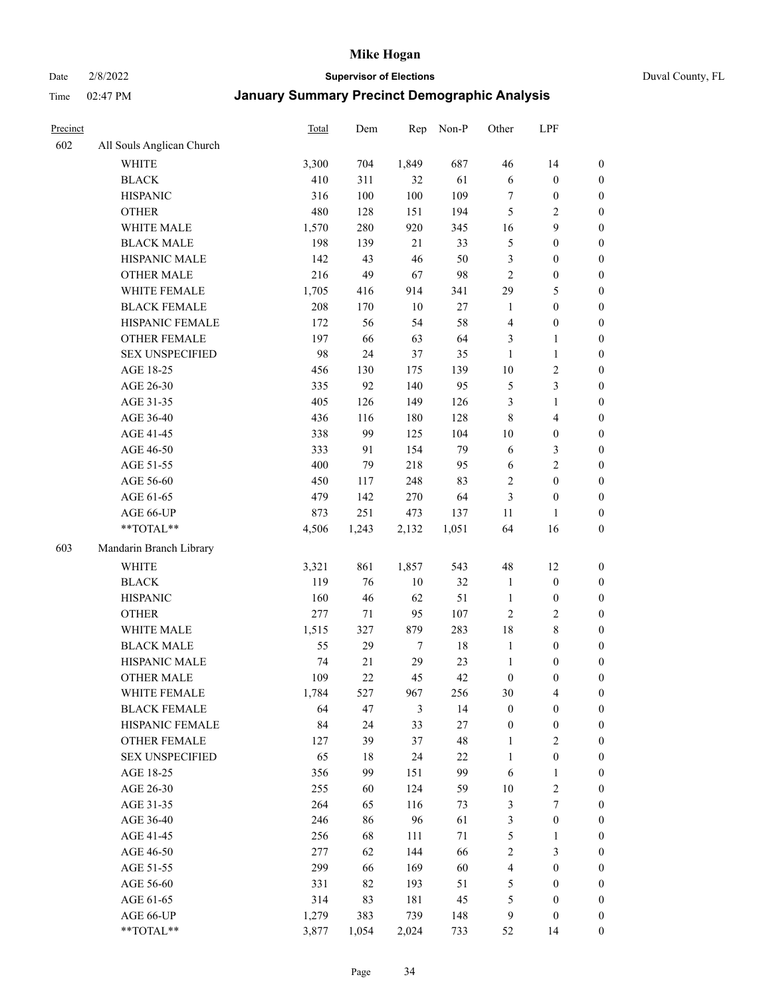Date 2/8/2022 **Supervisor of Elections** Duval County, FL

| Precinct |                           | Total | Dem   | Rep    | Non-P  | Other            | LPF                     |                  |
|----------|---------------------------|-------|-------|--------|--------|------------------|-------------------------|------------------|
| 602      | All Souls Anglican Church |       |       |        |        |                  |                         |                  |
|          | <b>WHITE</b>              | 3,300 | 704   | 1,849  | 687    | 46               | 14                      | 0                |
|          | <b>BLACK</b>              | 410   | 311   | 32     | 61     | 6                | $\boldsymbol{0}$        | $\boldsymbol{0}$ |
|          | <b>HISPANIC</b>           | 316   | 100   | 100    | 109    | $\tau$           | $\boldsymbol{0}$        | $\boldsymbol{0}$ |
|          | <b>OTHER</b>              | 480   | 128   | 151    | 194    | 5                | $\mathfrak{2}$          | $\boldsymbol{0}$ |
|          | WHITE MALE                | 1,570 | 280   | 920    | 345    | 16               | 9                       | $\boldsymbol{0}$ |
|          | <b>BLACK MALE</b>         | 198   | 139   | 21     | 33     | 5                | $\boldsymbol{0}$        | $\boldsymbol{0}$ |
|          | HISPANIC MALE             | 142   | 43    | 46     | 50     | 3                | $\boldsymbol{0}$        | $\boldsymbol{0}$ |
|          | <b>OTHER MALE</b>         | 216   | 49    | 67     | 98     | $\mathfrak{2}$   | $\boldsymbol{0}$        | $\boldsymbol{0}$ |
|          | WHITE FEMALE              | 1,705 | 416   | 914    | 341    | 29               | $\mathfrak{S}$          | $\boldsymbol{0}$ |
|          | <b>BLACK FEMALE</b>       | 208   | 170   | $10\,$ | 27     | $\mathbf{1}$     | $\boldsymbol{0}$        | $\boldsymbol{0}$ |
|          | HISPANIC FEMALE           | 172   | 56    | 54     | 58     | $\overline{4}$   | $\boldsymbol{0}$        | 0                |
|          | <b>OTHER FEMALE</b>       | 197   | 66    | 63     | 64     | 3                | $\mathbf{1}$            | $\boldsymbol{0}$ |
|          | <b>SEX UNSPECIFIED</b>    | 98    | 24    | 37     | 35     | $\mathbf{1}$     | $\mathbf{1}$            | $\boldsymbol{0}$ |
|          | AGE 18-25                 | 456   | 130   | 175    | 139    | $10\,$           | $\sqrt{2}$              | $\boldsymbol{0}$ |
|          | AGE 26-30                 | 335   | 92    | 140    | 95     | 5                | $\mathfrak{Z}$          | $\boldsymbol{0}$ |
|          | AGE 31-35                 | 405   | 126   | 149    | 126    | 3                | $\mathbf{1}$            | $\boldsymbol{0}$ |
|          | AGE 36-40                 | 436   | 116   | 180    | 128    | $\,$ 8 $\,$      | $\overline{\mathbf{4}}$ | $\boldsymbol{0}$ |
|          | AGE 41-45                 | 338   | 99    | 125    | 104    | 10               | $\boldsymbol{0}$        | $\boldsymbol{0}$ |
|          | AGE 46-50                 | 333   | 91    | 154    | 79     | 6                | $\mathfrak{Z}$          | $\boldsymbol{0}$ |
|          | AGE 51-55                 | 400   | 79    | 218    | 95     | 6                | $\sqrt{2}$              | $\boldsymbol{0}$ |
|          | AGE 56-60                 | 450   | 117   | 248    | 83     | $\overline{c}$   | $\boldsymbol{0}$        | 0                |
|          | AGE 61-65                 | 479   | 142   | 270    | 64     | $\mathfrak{Z}$   | $\boldsymbol{0}$        | $\boldsymbol{0}$ |
|          | AGE 66-UP                 | 873   | 251   | 473    | 137    | 11               | $\mathbf{1}$            | $\boldsymbol{0}$ |
|          | $**TOTAL**$               | 4,506 | 1,243 | 2,132  | 1,051  | 64               | 16                      | $\boldsymbol{0}$ |
| 603      | Mandarin Branch Library   |       |       |        |        |                  |                         |                  |
|          | WHITE                     | 3,321 | 861   | 1,857  | 543    | 48               | 12                      | $\boldsymbol{0}$ |
|          | <b>BLACK</b>              | 119   | 76    | $10\,$ | 32     | $\mathbf{1}$     | $\boldsymbol{0}$        | $\boldsymbol{0}$ |
|          | <b>HISPANIC</b>           | 160   | 46    | 62     | 51     | $\mathbf{1}$     | $\boldsymbol{0}$        | $\boldsymbol{0}$ |
|          | <b>OTHER</b>              | 277   | 71    | 95     | 107    | $\mathfrak{2}$   | $\sqrt{2}$              | $\boldsymbol{0}$ |
|          | WHITE MALE                | 1,515 | 327   | 879    | 283    | 18               | $\,$ 8 $\,$             | $\boldsymbol{0}$ |
|          | <b>BLACK MALE</b>         | 55    | 29    | $\tau$ | $18\,$ | $\mathbf{1}$     | $\boldsymbol{0}$        | $\boldsymbol{0}$ |
|          | HISPANIC MALE             | 74    | 21    | 29     | 23     | $\mathbf{1}$     | $\boldsymbol{0}$        | $\boldsymbol{0}$ |
|          | <b>OTHER MALE</b>         | 109   | 22    | 45     | 42     | $\boldsymbol{0}$ | $\boldsymbol{0}$        | $\boldsymbol{0}$ |
|          | WHITE FEMALE              | 1,784 | 527   | 967    | 256    | 30               | 4                       | 0                |
|          | <b>BLACK FEMALE</b>       | 64    | 47    | 3      | 14     | $\boldsymbol{0}$ | $\boldsymbol{0}$        | $\boldsymbol{0}$ |
|          | HISPANIC FEMALE           | 84    | 24    | 33     | 27     | $\boldsymbol{0}$ | $\boldsymbol{0}$        | $\overline{0}$   |
|          | <b>OTHER FEMALE</b>       | 127   | 39    | 37     | 48     | $\mathbf{1}$     | $\sqrt{2}$              | $\overline{0}$   |
|          | <b>SEX UNSPECIFIED</b>    | 65    | 18    | 24     | 22     | $\mathbf{1}$     | $\boldsymbol{0}$        | 0                |
|          | AGE 18-25                 | 356   | 99    | 151    | 99     | 6                | $\mathbf{1}$            | 0                |
|          | AGE 26-30                 | 255   | 60    | 124    | 59     | $10\,$           | $\sqrt{2}$              | 0                |
|          | AGE 31-35                 | 264   | 65    | 116    | 73     | 3                | $\boldsymbol{7}$        | 0                |
|          | AGE 36-40                 | 246   | 86    | 96     | 61     | 3                | $\boldsymbol{0}$        | 0                |
|          | AGE 41-45                 | 256   | 68    | 111    | 71     | $\mathfrak{S}$   | $\mathbf{1}$            | 0                |
|          | AGE 46-50                 | 277   | 62    | 144    | 66     | $\overline{c}$   | $\mathfrak{Z}$          | 0                |
|          | AGE 51-55                 | 299   | 66    | 169    | 60     | 4                | $\boldsymbol{0}$        | $\boldsymbol{0}$ |
|          | AGE 56-60                 | 331   | 82    | 193    | 51     | 5                | $\boldsymbol{0}$        | $\boldsymbol{0}$ |
|          | AGE 61-65                 | 314   | 83    | 181    | 45     | 5                | $\boldsymbol{0}$        | $\boldsymbol{0}$ |
|          | AGE 66-UP                 | 1,279 | 383   | 739    | 148    | 9                | $\boldsymbol{0}$        | $\boldsymbol{0}$ |
|          | **TOTAL**                 | 3,877 | 1,054 | 2,024  | 733    | 52               | 14                      | $\boldsymbol{0}$ |
|          |                           |       |       |        |        |                  |                         |                  |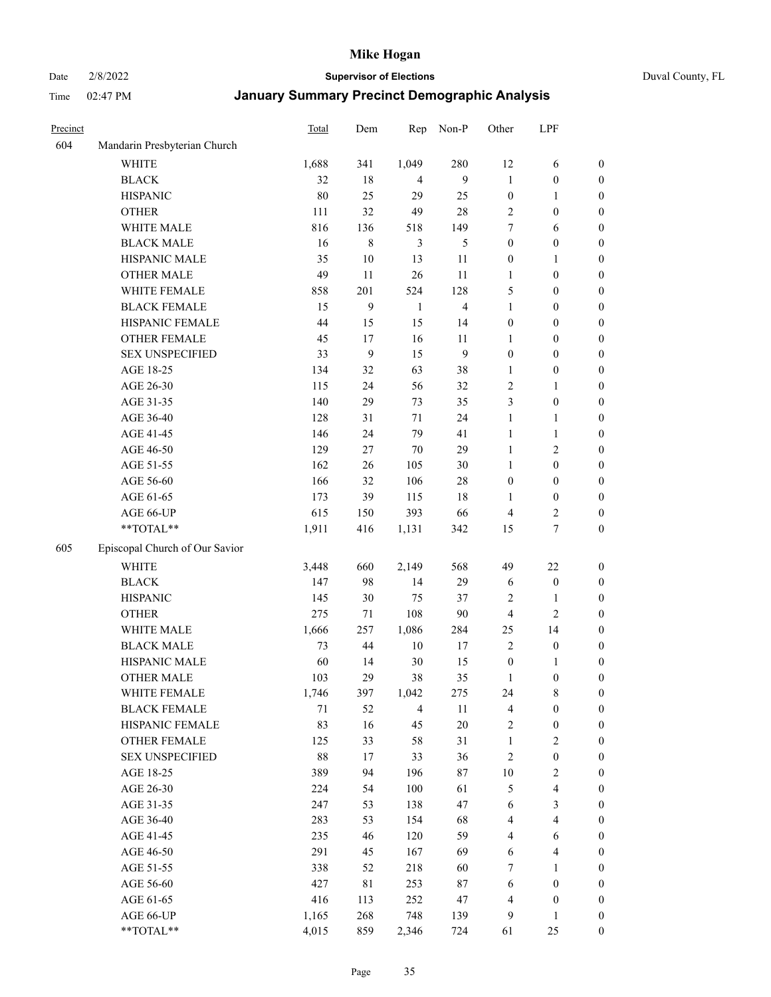Date 2/8/2022 **Supervisor of Elections** Duval County, FL

| Precinct |                                | Total | Dem    | Rep            | Non-P          | Other            | LPF                     |                  |
|----------|--------------------------------|-------|--------|----------------|----------------|------------------|-------------------------|------------------|
| 604      | Mandarin Presbyterian Church   |       |        |                |                |                  |                         |                  |
|          | <b>WHITE</b>                   | 1,688 | 341    | 1,049          | 280            | 12               | 6                       | 0                |
|          | <b>BLACK</b>                   | 32    | 18     | $\overline{4}$ | 9              | $\mathbf{1}$     | $\boldsymbol{0}$        | 0                |
|          | <b>HISPANIC</b>                | 80    | 25     | 29             | 25             | $\boldsymbol{0}$ | $\mathbf{1}$            | $\boldsymbol{0}$ |
|          | <b>OTHER</b>                   | 111   | 32     | 49             | 28             | 2                | $\boldsymbol{0}$        | $\boldsymbol{0}$ |
|          | WHITE MALE                     | 816   | 136    | 518            | 149            | 7                | 6                       | $\boldsymbol{0}$ |
|          | <b>BLACK MALE</b>              | 16    | 8      | 3              | 5              | $\boldsymbol{0}$ | $\boldsymbol{0}$        | $\boldsymbol{0}$ |
|          | HISPANIC MALE                  | 35    | $10\,$ | 13             | 11             | $\boldsymbol{0}$ | $\mathbf{1}$            | $\boldsymbol{0}$ |
|          | <b>OTHER MALE</b>              | 49    | 11     | 26             | 11             | $\mathbf{1}$     | $\boldsymbol{0}$        | $\boldsymbol{0}$ |
|          | WHITE FEMALE                   | 858   | 201    | 524            | 128            | 5                | $\boldsymbol{0}$        | $\boldsymbol{0}$ |
|          | <b>BLACK FEMALE</b>            | 15    | 9      | $\mathbf{1}$   | $\overline{4}$ | $\mathbf{1}$     | $\boldsymbol{0}$        | 0                |
|          | HISPANIC FEMALE                | 44    | 15     | 15             | 14             | $\boldsymbol{0}$ | $\boldsymbol{0}$        | 0                |
|          | OTHER FEMALE                   | 45    | 17     | 16             | 11             | 1                | $\boldsymbol{0}$        | 0                |
|          | <b>SEX UNSPECIFIED</b>         | 33    | 9      | 15             | 9              | $\boldsymbol{0}$ | $\boldsymbol{0}$        | $\boldsymbol{0}$ |
|          | AGE 18-25                      | 134   | 32     | 63             | 38             | 1                | $\boldsymbol{0}$        | $\boldsymbol{0}$ |
|          | AGE 26-30                      | 115   | 24     | 56             | 32             | $\overline{c}$   | $\mathbf{1}$            | $\boldsymbol{0}$ |
|          | AGE 31-35                      | 140   | 29     | 73             | 35             | 3                | $\boldsymbol{0}$        | $\boldsymbol{0}$ |
|          | AGE 36-40                      | 128   | 31     | $71\,$         | 24             | $\mathbf{1}$     | $\mathbf{1}$            | $\boldsymbol{0}$ |
|          | AGE 41-45                      | 146   | 24     | 79             | 41             | $\mathbf{1}$     | $\mathbf{1}$            | $\boldsymbol{0}$ |
|          | AGE 46-50                      | 129   | 27     | $70\,$         | 29             | $\mathbf{1}$     | $\mathbf{2}$            | $\boldsymbol{0}$ |
|          | AGE 51-55                      | 162   | 26     | 105            | 30             | $\mathbf{1}$     | $\boldsymbol{0}$        | $\boldsymbol{0}$ |
|          | AGE 56-60                      | 166   | 32     | 106            | $28\,$         | $\boldsymbol{0}$ | $\boldsymbol{0}$        | 0                |
|          | AGE 61-65                      | 173   | 39     | 115            | 18             | 1                | $\boldsymbol{0}$        | 0                |
|          | AGE 66-UP                      | 615   | 150    | 393            | 66             | $\overline{4}$   | $\overline{c}$          | 0                |
|          | **TOTAL**                      | 1,911 | 416    | 1,131          | 342            | 15               | $\boldsymbol{7}$        | $\boldsymbol{0}$ |
| 605      | Episcopal Church of Our Savior |       |        |                |                |                  |                         |                  |
|          | <b>WHITE</b>                   | 3,448 | 660    | 2,149          | 568            | 49               | $22\,$                  | $\boldsymbol{0}$ |
|          | <b>BLACK</b>                   | 147   | 98     | 14             | 29             | 6                | $\boldsymbol{0}$        | $\boldsymbol{0}$ |
|          | <b>HISPANIC</b>                | 145   | 30     | 75             | 37             | $\overline{c}$   | $\mathbf{1}$            | $\boldsymbol{0}$ |
|          | <b>OTHER</b>                   | 275   | 71     | 108            | 90             | 4                | $\mathbf{2}$            | $\boldsymbol{0}$ |
|          | WHITE MALE                     | 1,666 | 257    | 1,086          | 284            | 25               | 14                      | $\boldsymbol{0}$ |
|          | <b>BLACK MALE</b>              | 73    | 44     | $10\,$         | $17\,$         | $\overline{2}$   | $\boldsymbol{0}$        | $\boldsymbol{0}$ |
|          | HISPANIC MALE                  | 60    | 14     | $30\,$         | 15             | $\boldsymbol{0}$ | 1                       | 0                |
|          | <b>OTHER MALE</b>              | 103   | 29     | 38             | 35             | 1                | $\boldsymbol{0}$        | $\boldsymbol{0}$ |
|          | WHITE FEMALE                   | 1,746 | 397    | 1,042          | 275            | 24               | 8                       | 0                |
|          | <b>BLACK FEMALE</b>            | 71    | 52     | $\overline{4}$ | 11             | 4                | $\boldsymbol{0}$        | $\boldsymbol{0}$ |
|          | HISPANIC FEMALE                | 83    | 16     | 45             | $20\,$         | $\sqrt{2}$       | $\boldsymbol{0}$        | $\boldsymbol{0}$ |
|          | <b>OTHER FEMALE</b>            | 125   | 33     | 58             | 31             | $\mathbf{1}$     | $\sqrt{2}$              | $\overline{0}$   |
|          | <b>SEX UNSPECIFIED</b>         | 88    | 17     | 33             | 36             | $\sqrt{2}$       | $\boldsymbol{0}$        | 0                |
|          | AGE 18-25                      | 389   | 94     | 196            | 87             | $10\,$           | $\sqrt{2}$              | 0                |
|          | AGE 26-30                      | 224   | 54     | $100\,$        | 61             | 5                | $\overline{\mathbf{4}}$ | 0                |
|          | AGE 31-35                      | 247   | 53     | 138            | 47             | 6                | $\mathfrak{Z}$          | 0                |
|          | AGE 36-40                      | 283   | 53     | 154            | 68             | 4                | $\overline{\mathbf{4}}$ | 0                |
|          | AGE 41-45                      | 235   | 46     | 120            | 59             | $\overline{4}$   | 6                       | 0                |
|          | AGE 46-50                      | 291   | 45     | 167            | 69             | 6                | $\overline{\mathbf{4}}$ | 0                |
|          | AGE 51-55                      | 338   | 52     | 218            | 60             | 7                | $\mathbf{1}$            | $\boldsymbol{0}$ |
|          | AGE 56-60                      | 427   | 81     | 253            | $87\,$         | 6                | $\boldsymbol{0}$        | $\boldsymbol{0}$ |
|          | AGE 61-65                      | 416   | 113    | 252            | 47             | 4                | $\boldsymbol{0}$        | $\boldsymbol{0}$ |
|          | AGE 66-UP                      | 1,165 | 268    | 748            | 139            | 9                | $\mathbf{1}$            | $\boldsymbol{0}$ |
|          | **TOTAL**                      | 4,015 | 859    | 2,346          | 724            | 61               | 25                      | $\boldsymbol{0}$ |
|          |                                |       |        |                |                |                  |                         |                  |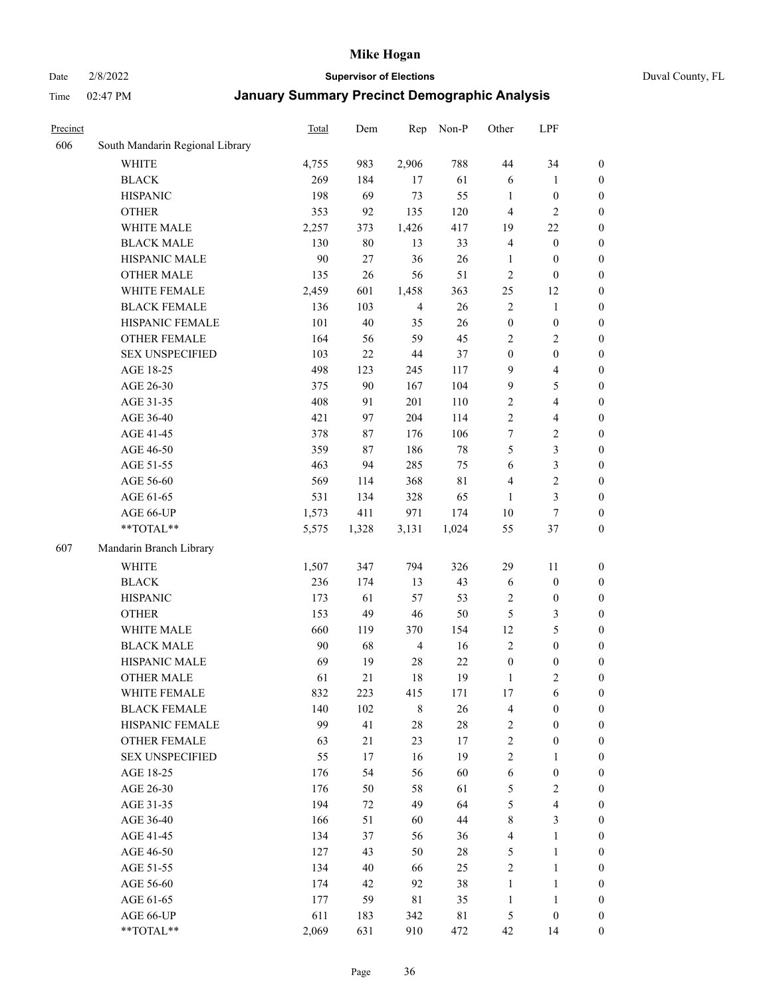#### Date 2/8/2022 **Supervisor of Elections** Duval County, FL

| Precinct |                                 | Total | Dem   | Rep            | Non-P  | Other            | LPF                     |                  |
|----------|---------------------------------|-------|-------|----------------|--------|------------------|-------------------------|------------------|
| 606      | South Mandarin Regional Library |       |       |                |        |                  |                         |                  |
|          | <b>WHITE</b>                    | 4,755 | 983   | 2,906          | 788    | 44               | 34                      | 0                |
|          | <b>BLACK</b>                    | 269   | 184   | 17             | 61     | 6                | $\mathbf{1}$            | $\boldsymbol{0}$ |
|          | <b>HISPANIC</b>                 | 198   | 69    | 73             | 55     | $\mathbf{1}$     | $\boldsymbol{0}$        | $\boldsymbol{0}$ |
|          | <b>OTHER</b>                    | 353   | 92    | 135            | 120    | 4                | $\mathfrak{2}$          | $\boldsymbol{0}$ |
|          | WHITE MALE                      | 2,257 | 373   | 1,426          | 417    | 19               | $22\,$                  | $\boldsymbol{0}$ |
|          | <b>BLACK MALE</b>               | 130   | 80    | 13             | 33     | 4                | $\boldsymbol{0}$        | $\boldsymbol{0}$ |
|          | HISPANIC MALE                   | 90    | 27    | 36             | 26     | $\mathbf{1}$     | $\boldsymbol{0}$        | $\boldsymbol{0}$ |
|          | <b>OTHER MALE</b>               | 135   | 26    | 56             | 51     | $\overline{c}$   | $\boldsymbol{0}$        | $\boldsymbol{0}$ |
|          | WHITE FEMALE                    | 2,459 | 601   | 1,458          | 363    | 25               | 12                      | $\boldsymbol{0}$ |
|          | <b>BLACK FEMALE</b>             | 136   | 103   | $\overline{4}$ | 26     | $\sqrt{2}$       | $\mathbf{1}$            | $\boldsymbol{0}$ |
|          | HISPANIC FEMALE                 | 101   | 40    | 35             | 26     | $\boldsymbol{0}$ | $\boldsymbol{0}$        | 0                |
|          | <b>OTHER FEMALE</b>             | 164   | 56    | 59             | 45     | $\mathfrak{2}$   | $\sqrt{2}$              | $\boldsymbol{0}$ |
|          | <b>SEX UNSPECIFIED</b>          | 103   | 22    | 44             | 37     | $\boldsymbol{0}$ | $\boldsymbol{0}$        | $\boldsymbol{0}$ |
|          | AGE 18-25                       | 498   | 123   | 245            | 117    | 9                | $\overline{\mathbf{4}}$ | $\boldsymbol{0}$ |
|          | AGE 26-30                       | 375   | 90    | 167            | 104    | 9                | $\mathfrak{S}$          | $\boldsymbol{0}$ |
|          | AGE 31-35                       | 408   | 91    | 201            | 110    | $\sqrt{2}$       | $\overline{\mathbf{4}}$ | $\boldsymbol{0}$ |
|          | AGE 36-40                       | 421   | 97    | 204            | 114    | $\overline{c}$   | $\overline{\mathbf{4}}$ | $\boldsymbol{0}$ |
|          | AGE 41-45                       | 378   | 87    | 176            | 106    | 7                | $\overline{2}$          | $\boldsymbol{0}$ |
|          | AGE 46-50                       | 359   | 87    | 186            | $78\,$ | 5                | $\mathfrak{Z}$          | $\boldsymbol{0}$ |
|          | AGE 51-55                       | 463   | 94    | 285            | 75     | 6                | $\mathfrak{Z}$          | $\boldsymbol{0}$ |
|          | AGE 56-60                       | 569   | 114   | 368            | 81     | $\overline{4}$   | $\sqrt{2}$              | 0                |
|          | AGE 61-65                       | 531   | 134   | 328            | 65     | 1                | $\mathfrak{Z}$          | 0                |
|          | AGE 66-UP                       | 1,573 | 411   | 971            | 174    | 10               | $\boldsymbol{7}$        | $\boldsymbol{0}$ |
|          | $**TOTAL**$                     | 5,575 | 1,328 | 3,131          | 1,024  | 55               | $37\,$                  | $\boldsymbol{0}$ |
| 607      | Mandarin Branch Library         |       |       |                |        |                  |                         |                  |
|          | <b>WHITE</b>                    | 1,507 | 347   | 794            | 326    | 29               | 11                      | $\boldsymbol{0}$ |
|          | <b>BLACK</b>                    | 236   | 174   | 13             | 43     | 6                | $\boldsymbol{0}$        | $\boldsymbol{0}$ |
|          | <b>HISPANIC</b>                 | 173   | 61    | 57             | 53     | 2                | $\boldsymbol{0}$        | $\boldsymbol{0}$ |
|          | <b>OTHER</b>                    | 153   | 49    | $46\,$         | 50     | 5                | $\mathfrak{Z}$          | $\boldsymbol{0}$ |
|          | WHITE MALE                      | 660   | 119   | 370            | 154    | 12               | $\mathfrak{S}$          | $\boldsymbol{0}$ |
|          | <b>BLACK MALE</b>               | 90    | 68    | $\overline{4}$ | 16     | $\mathbf{2}$     | $\boldsymbol{0}$        | $\boldsymbol{0}$ |
|          | HISPANIC MALE                   | 69    | 19    | $28\,$         | 22     | $\boldsymbol{0}$ | $\boldsymbol{0}$        | $\boldsymbol{0}$ |
|          | <b>OTHER MALE</b>               | 61    | 21    | 18             | 19     | $\mathbf{1}$     | $\mathbf{2}$            | $\boldsymbol{0}$ |
|          | WHITE FEMALE                    | 832   | 223   | 415            | 171    | 17               | 6                       | 0                |
|          | <b>BLACK FEMALE</b>             | 140   | 102   | $\,$ 8 $\,$    | 26     | 4                | $\boldsymbol{0}$        | $\overline{0}$   |
|          | HISPANIC FEMALE                 | 99    | 41    | $28\,$         | $28\,$ | $\sqrt{2}$       | $\boldsymbol{0}$        | $\overline{0}$   |
|          | <b>OTHER FEMALE</b>             | 63    | 21    | 23             | 17     | 2                | $\boldsymbol{0}$        | $\overline{0}$   |
|          | <b>SEX UNSPECIFIED</b>          | 55    | 17    | 16             | 19     | 2                | $\mathbf{1}$            | 0                |
|          | AGE 18-25                       | 176   | 54    | 56             | 60     | 6                | $\boldsymbol{0}$        | 0                |
|          | AGE 26-30                       | 176   | 50    | 58             | 61     | 5                | $\overline{2}$          | 0                |
|          | AGE 31-35                       | 194   | 72    | 49             | 64     | 5                | $\overline{4}$          | 0                |
|          | AGE 36-40                       | 166   | 51    | 60             | 44     | 8                | $\mathfrak{Z}$          | 0                |
|          | AGE 41-45                       | 134   | 37    | 56             | 36     | $\overline{4}$   | $\mathbf{1}$            | 0                |
|          | AGE 46-50                       | 127   | 43    | 50             | $28\,$ | 5                | $\mathbf{1}$            | 0                |
|          | AGE 51-55                       | 134   | 40    | 66             | 25     | $\sqrt{2}$       | $\mathbf{1}$            | 0                |
|          | AGE 56-60                       | 174   | 42    | 92             | 38     | 1                | $\mathbf{1}$            | 0                |
|          | AGE 61-65                       | 177   | 59    | 81             | 35     | $\mathbf{1}$     | $\mathbf{1}$            | 0                |
|          | AGE 66-UP                       | 611   | 183   | 342            | 81     | 5                | $\boldsymbol{0}$        | 0                |
|          | **TOTAL**                       | 2,069 | 631   | 910            | 472    | 42               | 14                      | $\boldsymbol{0}$ |
|          |                                 |       |       |                |        |                  |                         |                  |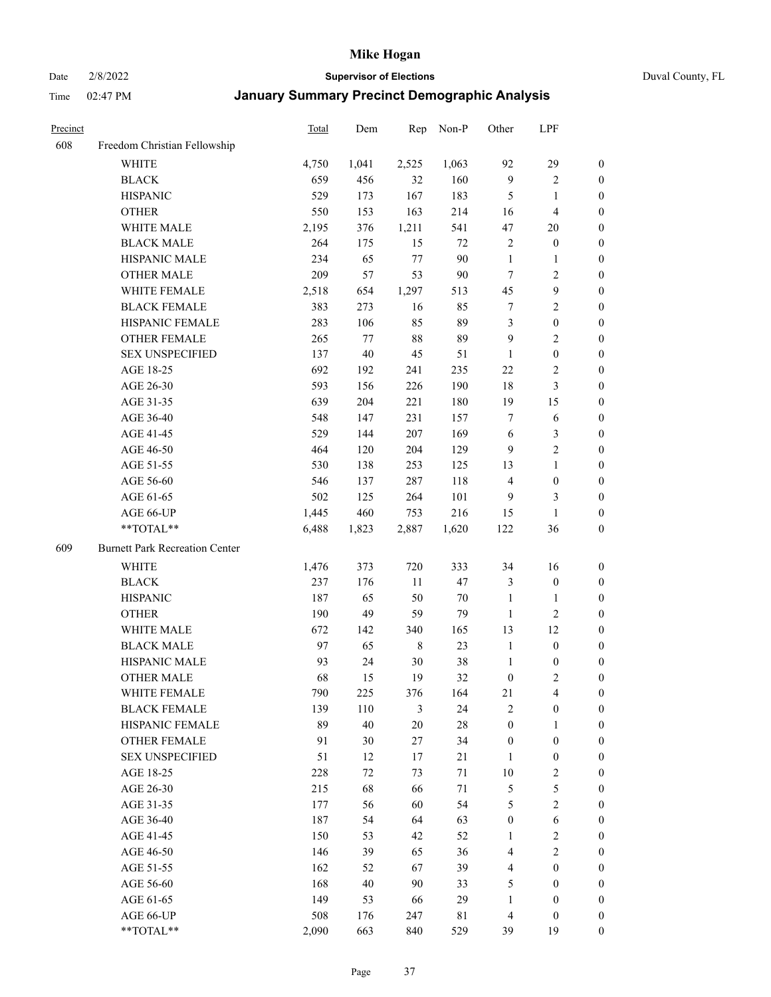Date 2/8/2022 **Supervisor of Elections** Duval County, FL

| Precinct |                                       | <b>Total</b> | Dem    | Rep         | Non-P  | Other            | LPF                     |                  |
|----------|---------------------------------------|--------------|--------|-------------|--------|------------------|-------------------------|------------------|
| 608      | Freedom Christian Fellowship          |              |        |             |        |                  |                         |                  |
|          | <b>WHITE</b>                          | 4,750        | 1,041  | 2,525       | 1,063  | 92               | 29                      | $\boldsymbol{0}$ |
|          | <b>BLACK</b>                          | 659          | 456    | 32          | 160    | 9                | $\sqrt{2}$              | $\boldsymbol{0}$ |
|          | <b>HISPANIC</b>                       | 529          | 173    | 167         | 183    | $\mathfrak{S}$   | $\mathbf{1}$            | $\boldsymbol{0}$ |
|          | <b>OTHER</b>                          | 550          | 153    | 163         | 214    | 16               | $\overline{\mathbf{4}}$ | $\boldsymbol{0}$ |
|          | WHITE MALE                            | 2,195        | 376    | 1,211       | 541    | 47               | 20                      | $\boldsymbol{0}$ |
|          | <b>BLACK MALE</b>                     | 264          | 175    | 15          | 72     | 2                | $\boldsymbol{0}$        | $\boldsymbol{0}$ |
|          | HISPANIC MALE                         | 234          | 65     | 77          | 90     | $\mathbf{1}$     | $\mathbf{1}$            | $\boldsymbol{0}$ |
|          | <b>OTHER MALE</b>                     | 209          | 57     | 53          | 90     | $\tau$           | $\overline{2}$          | $\boldsymbol{0}$ |
|          | WHITE FEMALE                          | 2,518        | 654    | 1,297       | 513    | 45               | $\boldsymbol{9}$        | $\boldsymbol{0}$ |
|          | <b>BLACK FEMALE</b>                   | 383          | 273    | 16          | 85     | 7                | $\sqrt{2}$              | 0                |
|          | HISPANIC FEMALE                       | 283          | 106    | 85          | 89     | 3                | $\boldsymbol{0}$        | 0                |
|          | OTHER FEMALE                          | 265          | 77     | $88\,$      | 89     | 9                | $\sqrt{2}$              | 0                |
|          | <b>SEX UNSPECIFIED</b>                | 137          | $40\,$ | 45          | 51     | $\mathbf{1}$     | $\boldsymbol{0}$        | $\boldsymbol{0}$ |
|          | AGE 18-25                             | 692          | 192    | 241         | 235    | 22               | $\sqrt{2}$              | $\boldsymbol{0}$ |
|          | AGE 26-30                             | 593          | 156    | 226         | 190    | 18               | $\mathfrak{Z}$          | $\boldsymbol{0}$ |
|          | AGE 31-35                             | 639          | 204    | 221         | 180    | 19               | 15                      | $\boldsymbol{0}$ |
|          | AGE 36-40                             | 548          | 147    | 231         | 157    | 7                | 6                       | $\boldsymbol{0}$ |
|          | AGE 41-45                             | 529          | 144    | 207         | 169    | 6                | $\mathfrak{Z}$          | $\boldsymbol{0}$ |
|          | AGE 46-50                             | 464          | 120    | 204         | 129    | $\overline{9}$   | $\overline{2}$          | $\boldsymbol{0}$ |
|          | AGE 51-55                             | 530          | 138    | 253         | 125    | 13               | $\mathbf{1}$            | $\boldsymbol{0}$ |
|          | AGE 56-60                             | 546          | 137    | 287         | 118    | $\overline{4}$   | $\boldsymbol{0}$        | 0                |
|          | AGE 61-65                             | 502          | 125    | 264         | 101    | 9                | 3                       | 0                |
|          | AGE 66-UP                             | 1,445        | 460    | 753         | 216    | 15               | $\mathbf{1}$            | $\boldsymbol{0}$ |
|          | **TOTAL**                             | 6,488        | 1,823  | 2,887       | 1,620  | 122              | 36                      | $\boldsymbol{0}$ |
| 609      | <b>Burnett Park Recreation Center</b> |              |        |             |        |                  |                         |                  |
|          | <b>WHITE</b>                          | 1,476        | 373    | 720         | 333    | 34               | 16                      | $\boldsymbol{0}$ |
|          | <b>BLACK</b>                          | 237          | 176    | $11\,$      | 47     | 3                | $\boldsymbol{0}$        | $\boldsymbol{0}$ |
|          | <b>HISPANIC</b>                       | 187          | 65     | 50          | 70     | $\mathbf{1}$     | $\mathbf{1}$            | $\boldsymbol{0}$ |
|          | <b>OTHER</b>                          | 190          | 49     | 59          | 79     | $\mathbf{1}$     | $\sqrt{2}$              | $\boldsymbol{0}$ |
|          | WHITE MALE                            | 672          | 142    | 340         | 165    | 13               | 12                      | $\boldsymbol{0}$ |
|          | <b>BLACK MALE</b>                     | 97           | 65     | $\,$ 8 $\,$ | 23     | $\mathbf{1}$     | $\boldsymbol{0}$        | $\boldsymbol{0}$ |
|          | HISPANIC MALE                         | 93           | 24     | $30\,$      | $38\,$ | $\mathbf{1}$     | $\boldsymbol{0}$        | 0                |
|          | <b>OTHER MALE</b>                     | 68           | 15     | 19          | 32     | $\boldsymbol{0}$ | $\mathfrak{2}$          | 0                |
|          | WHITE FEMALE                          | 790          | 225    | 376         | 164    | 21               | 4                       | 0                |
|          | <b>BLACK FEMALE</b>                   | 139          | 110    | 3           | 24     | $\mathfrak{2}$   | $\boldsymbol{0}$        | $\boldsymbol{0}$ |
|          | HISPANIC FEMALE                       | 89           | 40     | $20\,$      | $28\,$ | $\boldsymbol{0}$ | $\mathbf{1}$            | $\overline{0}$   |
|          | OTHER FEMALE                          | 91           | 30     | $27\,$      | 34     | $\boldsymbol{0}$ | $\boldsymbol{0}$        | $\overline{0}$   |
|          | <b>SEX UNSPECIFIED</b>                | 51           | 12     | 17          | 21     | $\mathbf{1}$     | $\boldsymbol{0}$        | 0                |
|          | AGE 18-25                             | 228          | 72     | 73          | 71     | 10               | $\sqrt{2}$              | 0                |
|          | AGE 26-30                             | 215          | 68     | 66          | $71\,$ | 5                | $\mathfrak{S}$          | 0                |
|          | AGE 31-35                             | 177          | 56     | 60          | 54     | 5                | $\overline{2}$          | 0                |
|          | AGE 36-40                             | 187          | 54     | 64          | 63     | $\boldsymbol{0}$ | $\sqrt{6}$              | 0                |
|          | AGE 41-45                             | 150          | 53     | 42          | 52     | 1                | $\sqrt{2}$              | 0                |
|          | AGE 46-50                             | 146          | 39     | 65          | 36     | 4                | $\sqrt{2}$              | 0                |
|          | AGE 51-55                             | 162          | 52     | 67          | 39     | 4                | $\boldsymbol{0}$        | 0                |
|          | AGE 56-60                             | 168          | 40     | 90          | 33     | 5                | $\boldsymbol{0}$        | 0                |
|          | AGE 61-65                             | 149          | 53     | 66          | 29     | $\mathbf{1}$     | $\boldsymbol{0}$        | $\overline{0}$   |
|          | AGE 66-UP                             | 508          | 176    | 247         | 81     | $\overline{4}$   | $\boldsymbol{0}$        | 0                |
|          | **TOTAL**                             | 2,090        | 663    | 840         | 529    | 39               | 19                      | $\boldsymbol{0}$ |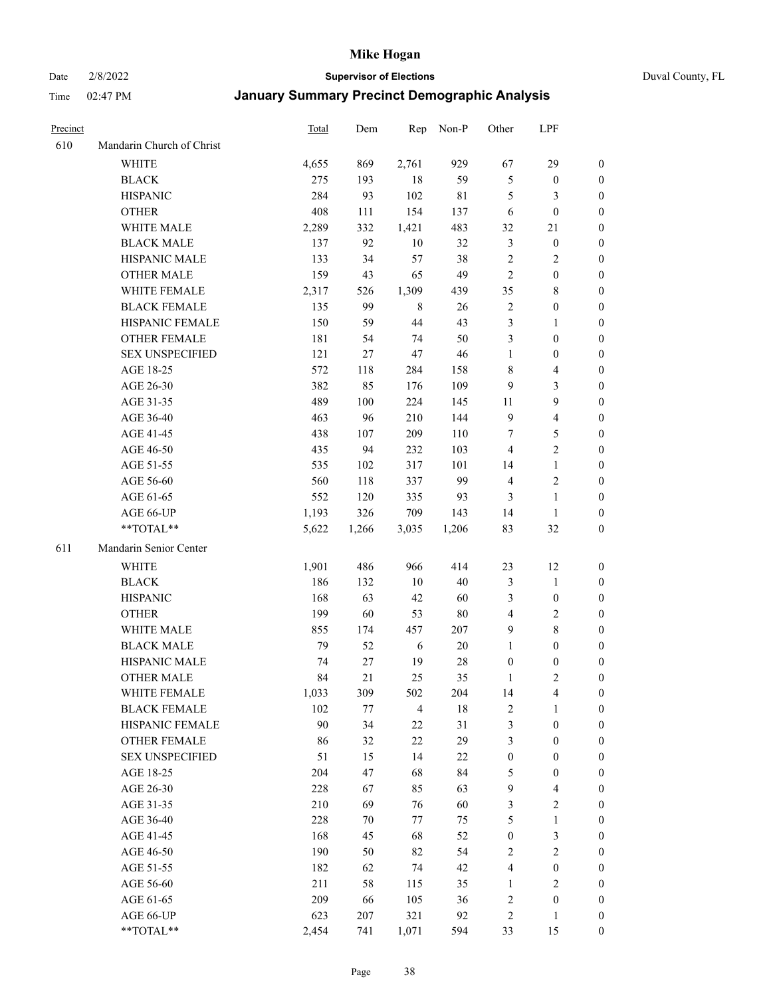Date 2/8/2022 **Supervisor of Elections** Duval County, FL

| Precinct |                           | Total | Dem   | Rep            | Non-P       | Other            | LPF                     |                  |
|----------|---------------------------|-------|-------|----------------|-------------|------------------|-------------------------|------------------|
| 610      | Mandarin Church of Christ |       |       |                |             |                  |                         |                  |
|          | <b>WHITE</b>              | 4,655 | 869   | 2,761          | 929         | 67               | 29                      | $\boldsymbol{0}$ |
|          | <b>BLACK</b>              | 275   | 193   | 18             | 59          | $\mathfrak{S}$   | $\boldsymbol{0}$        | 0                |
|          | <b>HISPANIC</b>           | 284   | 93    | 102            | $8\sqrt{1}$ | 5                | 3                       | $\boldsymbol{0}$ |
|          | <b>OTHER</b>              | 408   | 111   | 154            | 137         | 6                | $\boldsymbol{0}$        | $\boldsymbol{0}$ |
|          | WHITE MALE                | 2,289 | 332   | 1,421          | 483         | 32               | 21                      | $\boldsymbol{0}$ |
|          | <b>BLACK MALE</b>         | 137   | 92    | 10             | 32          | 3                | $\boldsymbol{0}$        | $\boldsymbol{0}$ |
|          | HISPANIC MALE             | 133   | 34    | 57             | 38          | 2                | $\sqrt{2}$              | $\boldsymbol{0}$ |
|          | <b>OTHER MALE</b>         | 159   | 43    | 65             | 49          | $\overline{2}$   | $\boldsymbol{0}$        | $\boldsymbol{0}$ |
|          | WHITE FEMALE              | 2,317 | 526   | 1,309          | 439         | 35               | $\,$ 8 $\,$             | $\boldsymbol{0}$ |
|          | <b>BLACK FEMALE</b>       | 135   | 99    | 8              | 26          | $\sqrt{2}$       | $\boldsymbol{0}$        | 0                |
|          | HISPANIC FEMALE           | 150   | 59    | 44             | 43          | 3                | $\mathbf{1}$            | 0                |
|          | OTHER FEMALE              | 181   | 54    | 74             | 50          | 3                | $\boldsymbol{0}$        | 0                |
|          | <b>SEX UNSPECIFIED</b>    | 121   | 27    | 47             | 46          | $\mathbf{1}$     | $\boldsymbol{0}$        | $\boldsymbol{0}$ |
|          | AGE 18-25                 | 572   | 118   | 284            | 158         | 8                | $\overline{4}$          | $\boldsymbol{0}$ |
|          | AGE 26-30                 | 382   | 85    | 176            | 109         | 9                | $\mathfrak{Z}$          | $\boldsymbol{0}$ |
|          | AGE 31-35                 | 489   | 100   | 224            | 145         | 11               | $\boldsymbol{9}$        | $\boldsymbol{0}$ |
|          | AGE 36-40                 | 463   | 96    | 210            | 144         | $\overline{9}$   | $\overline{\mathbf{4}}$ | $\boldsymbol{0}$ |
|          | AGE 41-45                 | 438   | 107   | 209            | 110         | 7                | 5                       | $\boldsymbol{0}$ |
|          | AGE 46-50                 | 435   | 94    | 232            | 103         | $\overline{4}$   | $\overline{2}$          | $\boldsymbol{0}$ |
|          | AGE 51-55                 | 535   | 102   | 317            | 101         | 14               | $\mathbf{1}$            | 0                |
|          | AGE 56-60                 | 560   | 118   | 337            | 99          | $\overline{4}$   | $\sqrt{2}$              | 0                |
|          | AGE 61-65                 | 552   | 120   | 335            | 93          | 3                | $\mathbf{1}$            | 0                |
|          | AGE 66-UP                 | 1,193 | 326   | 709            | 143         | 14               | $\mathbf{1}$            | 0                |
|          | **TOTAL**                 | 5,622 | 1,266 | 3,035          | 1,206       | 83               | 32                      | $\boldsymbol{0}$ |
| 611      | Mandarin Senior Center    |       |       |                |             |                  |                         |                  |
|          | <b>WHITE</b>              | 1,901 | 486   | 966            | 414         | 23               | 12                      | $\boldsymbol{0}$ |
|          | <b>BLACK</b>              | 186   | 132   | $10\,$         | 40          | 3                | $\mathbf{1}$            | $\boldsymbol{0}$ |
|          | <b>HISPANIC</b>           | 168   | 63    | 42             | 60          | 3                | $\boldsymbol{0}$        | $\boldsymbol{0}$ |
|          | <b>OTHER</b>              | 199   | 60    | 53             | $80\,$      | 4                | $\sqrt{2}$              | $\boldsymbol{0}$ |
|          | WHITE MALE                | 855   | 174   | 457            | 207         | 9                | $8\,$                   | $\boldsymbol{0}$ |
|          | <b>BLACK MALE</b>         | 79    | 52    | 6              | 20          | $\mathbf{1}$     | $\boldsymbol{0}$        | $\boldsymbol{0}$ |
|          | HISPANIC MALE             | 74    | 27    | 19             | 28          | $\boldsymbol{0}$ | $\boldsymbol{0}$        | 0                |
|          | <b>OTHER MALE</b>         | 84    | 21    | 25             | 35          | 1                | $\mathbf{2}$            | 0                |
|          | WHITE FEMALE              | 1,033 | 309   | 502            | 204         | 14               | 4                       | 0                |
|          | <b>BLACK FEMALE</b>       | 102   | 77    | $\overline{4}$ | 18          | $\sqrt{2}$       | $\mathbf{1}$            | $\boldsymbol{0}$ |
|          | HISPANIC FEMALE           | 90    | 34    | $22\,$         | 31          | 3                | $\boldsymbol{0}$        | $\overline{0}$   |
|          | OTHER FEMALE              | 86    | 32    | $22\,$         | 29          | 3                | $\boldsymbol{0}$        | $\overline{0}$   |
|          | <b>SEX UNSPECIFIED</b>    | 51    | 15    | 14             | 22          | $\boldsymbol{0}$ | $\boldsymbol{0}$        | 0                |
|          | AGE 18-25                 | 204   | 47    | 68             | 84          | 5                | $\boldsymbol{0}$        | 0                |
|          | AGE 26-30                 | 228   | 67    | 85             | 63          | 9                | $\overline{\mathbf{4}}$ | 0                |
|          | AGE 31-35                 | 210   | 69    | 76             | 60          | 3                | $\sqrt{2}$              | 0                |
|          | AGE 36-40                 | 228   | 70    | 77             | 75          | 5                | $\mathbf{1}$            | 0                |
|          | AGE 41-45                 | 168   | 45    | 68             | 52          | $\boldsymbol{0}$ | $\mathfrak{Z}$          | 0                |
|          | AGE 46-50                 | 190   | 50    | 82             | 54          | $\overline{c}$   | $\sqrt{2}$              | 0                |
|          | AGE 51-55                 | 182   | 62    | 74             | 42          | 4                | $\boldsymbol{0}$        | 0                |
|          | AGE 56-60                 | 211   | 58    | 115            | 35          | 1                | $\mathbf{2}$            | $\overline{0}$   |
|          | AGE 61-65                 | 209   | 66    | 105            | 36          | 2                | $\boldsymbol{0}$        | $\boldsymbol{0}$ |
|          | AGE 66-UP                 | 623   | 207   | 321            | 92          | 2                | $\mathbf{1}$            | $\boldsymbol{0}$ |
|          | **TOTAL**                 | 2,454 | 741   | 1,071          | 594         | 33               | 15                      | $\boldsymbol{0}$ |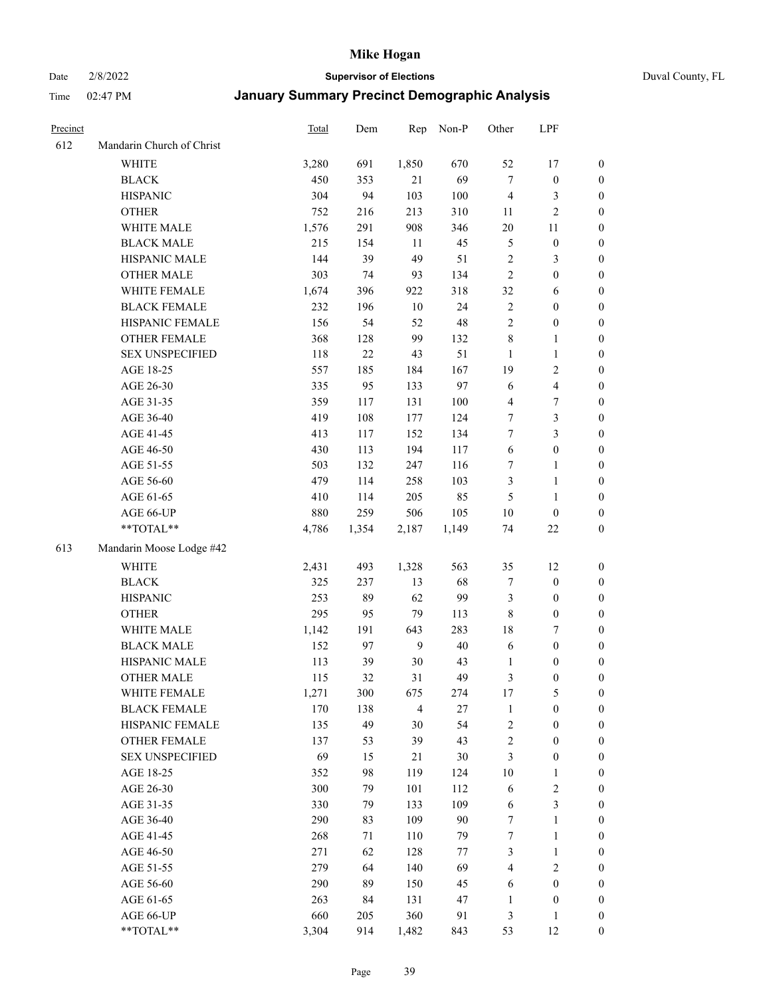Date 2/8/2022 **Supervisor of Elections** Duval County, FL

| Precinct |                           | Total | Dem   | Rep            | Non-P  | Other          | LPF                     |                  |
|----------|---------------------------|-------|-------|----------------|--------|----------------|-------------------------|------------------|
| 612      | Mandarin Church of Christ |       |       |                |        |                |                         |                  |
|          | <b>WHITE</b>              | 3,280 | 691   | 1,850          | 670    | 52             | 17                      | 0                |
|          | <b>BLACK</b>              | 450   | 353   | 21             | 69     | $\tau$         | $\boldsymbol{0}$        | $\boldsymbol{0}$ |
|          | <b>HISPANIC</b>           | 304   | 94    | 103            | 100    | $\overline{4}$ | 3                       | $\boldsymbol{0}$ |
|          | <b>OTHER</b>              | 752   | 216   | 213            | 310    | 11             | $\overline{c}$          | $\boldsymbol{0}$ |
|          | WHITE MALE                | 1,576 | 291   | 908            | 346    | 20             | 11                      | $\boldsymbol{0}$ |
|          | <b>BLACK MALE</b>         | 215   | 154   | 11             | 45     | 5              | $\boldsymbol{0}$        | $\boldsymbol{0}$ |
|          | HISPANIC MALE             | 144   | 39    | 49             | 51     | 2              | $\mathfrak{Z}$          | $\boldsymbol{0}$ |
|          | <b>OTHER MALE</b>         | 303   | 74    | 93             | 134    | $\overline{2}$ | $\boldsymbol{0}$        | $\boldsymbol{0}$ |
|          | WHITE FEMALE              | 1,674 | 396   | 922            | 318    | 32             | 6                       | $\boldsymbol{0}$ |
|          | <b>BLACK FEMALE</b>       | 232   | 196   | $10\,$         | 24     | $\sqrt{2}$     | $\boldsymbol{0}$        | 0                |
|          | HISPANIC FEMALE           | 156   | 54    | 52             | 48     | $\sqrt{2}$     | $\boldsymbol{0}$        | 0                |
|          | OTHER FEMALE              | 368   | 128   | 99             | 132    | $\,$ 8 $\,$    | $\mathbf{1}$            | 0                |
|          | <b>SEX UNSPECIFIED</b>    | 118   | 22    | 43             | 51     | $\mathbf{1}$   | $\mathbf{1}$            | $\boldsymbol{0}$ |
|          | AGE 18-25                 | 557   | 185   | 184            | 167    | 19             | $\sqrt{2}$              | $\boldsymbol{0}$ |
|          | AGE 26-30                 | 335   | 95    | 133            | 97     | 6              | $\overline{\mathbf{4}}$ | $\boldsymbol{0}$ |
|          | AGE 31-35                 | 359   | 117   | 131            | 100    | 4              | $\boldsymbol{7}$        | $\boldsymbol{0}$ |
|          | AGE 36-40                 | 419   | 108   | 177            | 124    | $\tau$         | $\mathfrak{Z}$          | $\boldsymbol{0}$ |
|          | AGE 41-45                 | 413   | 117   | 152            | 134    | $\tau$         | $\mathfrak{Z}$          | $\boldsymbol{0}$ |
|          | AGE 46-50                 | 430   | 113   | 194            | 117    | $\sqrt{6}$     | $\boldsymbol{0}$        | $\boldsymbol{0}$ |
|          | AGE 51-55                 | 503   | 132   | 247            | 116    | 7              | $\mathbf{1}$            | $\boldsymbol{0}$ |
|          | AGE 56-60                 | 479   | 114   | 258            | 103    | 3              | $\mathbf{1}$            | 0                |
|          | AGE 61-65                 | 410   | 114   | 205            | 85     | 5              | $\mathbf{1}$            | 0                |
|          | AGE 66-UP                 | 880   | 259   | 506            | 105    | $10\,$         | $\boldsymbol{0}$        | $\boldsymbol{0}$ |
|          | $**TOTAL**$               | 4,786 | 1,354 | 2,187          | 1,149  | 74             | $22\,$                  | $\boldsymbol{0}$ |
| 613      | Mandarin Moose Lodge #42  |       |       |                |        |                |                         |                  |
|          | <b>WHITE</b>              | 2,431 | 493   | 1,328          | 563    | 35             | 12                      | $\boldsymbol{0}$ |
|          | <b>BLACK</b>              | 325   | 237   | 13             | 68     | 7              | $\boldsymbol{0}$        | $\boldsymbol{0}$ |
|          | <b>HISPANIC</b>           | 253   | 89    | 62             | 99     | 3              | $\boldsymbol{0}$        | $\boldsymbol{0}$ |
|          | <b>OTHER</b>              | 295   | 95    | 79             | 113    | $\,$ 8 $\,$    | $\boldsymbol{0}$        | $\boldsymbol{0}$ |
|          | WHITE MALE                | 1,142 | 191   | 643            | 283    | 18             | $\boldsymbol{7}$        | $\boldsymbol{0}$ |
|          | <b>BLACK MALE</b>         | 152   | 97    | 9              | $40\,$ | 6              | $\boldsymbol{0}$        | $\boldsymbol{0}$ |
|          | HISPANIC MALE             | 113   | 39    | $30\,$         | 43     | 1              | $\boldsymbol{0}$        | $\boldsymbol{0}$ |
|          | <b>OTHER MALE</b>         | 115   | 32    | 31             | 49     | 3              | $\boldsymbol{0}$        | $\boldsymbol{0}$ |
|          | WHITE FEMALE              | 1,271 | 300   | 675            | 274    | 17             | 5                       | 0                |
|          | <b>BLACK FEMALE</b>       | 170   | 138   | $\overline{4}$ | 27     | $\mathbf{1}$   | $\boldsymbol{0}$        | $\boldsymbol{0}$ |
|          | HISPANIC FEMALE           | 135   | 49    | 30             | 54     | $\sqrt{2}$     | $\boldsymbol{0}$        | $\overline{0}$   |
|          | <b>OTHER FEMALE</b>       | 137   | 53    | 39             | 43     | $\sqrt{2}$     | $\boldsymbol{0}$        | $\overline{0}$   |
|          | <b>SEX UNSPECIFIED</b>    | 69    | 15    | 21             | 30     | 3              | $\boldsymbol{0}$        | 0                |
|          | AGE 18-25                 | 352   | 98    | 119            | 124    | 10             | $\mathbf{1}$            | 0                |
|          | AGE 26-30                 | 300   | 79    | 101            | 112    | 6              | $\sqrt{2}$              | 0                |
|          | AGE 31-35                 | 330   | 79    | 133            | 109    | 6              | $\mathfrak{Z}$          | 0                |
|          | AGE 36-40                 | 290   | 83    | 109            | 90     | 7              | $\mathbf{1}$            | 0                |
|          | AGE 41-45                 | 268   | 71    | 110            | 79     | 7              | $\mathbf{1}$            | 0                |
|          | AGE 46-50                 | 271   | 62    | 128            | $77\,$ | 3              | $\mathbf{1}$            | 0                |
|          | AGE 51-55                 | 279   | 64    | 140            | 69     | 4              | $\sqrt{2}$              | 0                |
|          | AGE 56-60                 | 290   | 89    | 150            | 45     | 6              | $\boldsymbol{0}$        | $\overline{0}$   |
|          | AGE 61-65                 | 263   | 84    | 131            | 47     | 1              | $\boldsymbol{0}$        | $\boldsymbol{0}$ |
|          | AGE 66-UP                 | 660   | 205   | 360            | 91     | 3              | $\mathbf{1}$            | 0                |
|          | **TOTAL**                 | 3,304 | 914   | 1,482          | 843    | 53             | 12                      | $\boldsymbol{0}$ |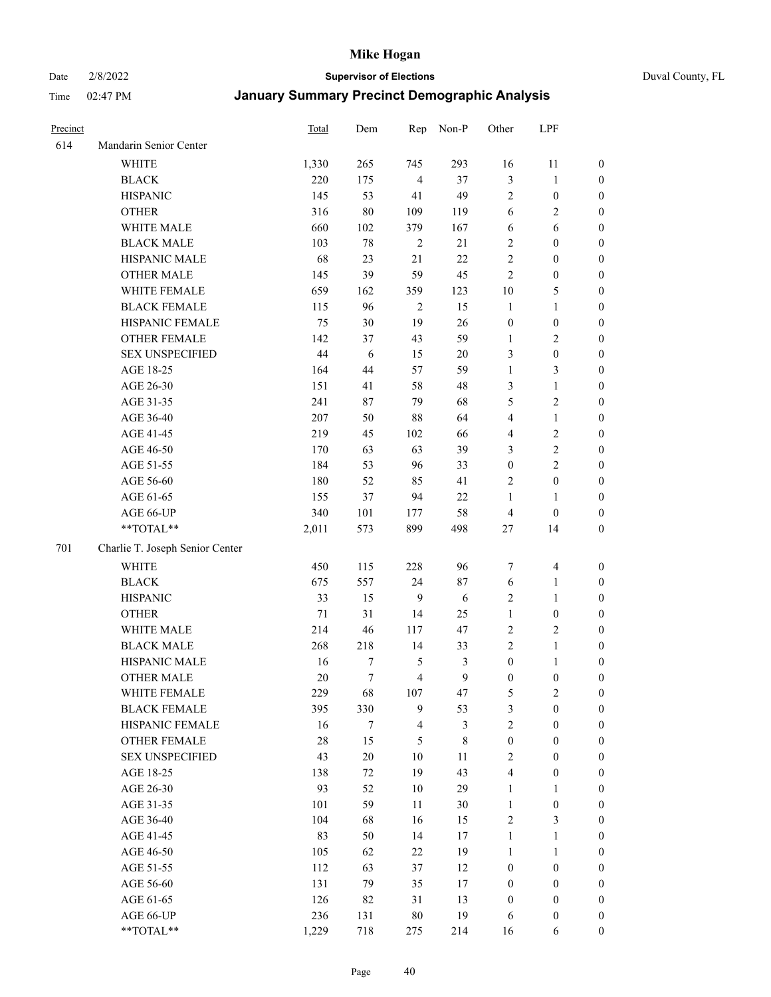Date 2/8/2022 **Supervisor of Elections** Duval County, FL

| Precinct |                                 | Total  | Dem    | Rep            | Non-P       | Other            | LPF                     |                  |
|----------|---------------------------------|--------|--------|----------------|-------------|------------------|-------------------------|------------------|
| 614      | Mandarin Senior Center          |        |        |                |             |                  |                         |                  |
|          | <b>WHITE</b>                    | 1,330  | 265    | 745            | 293         | 16               | 11                      | 0                |
|          | <b>BLACK</b>                    | 220    | 175    | $\overline{4}$ | 37          | 3                | $\mathbf{1}$            | $\boldsymbol{0}$ |
|          | <b>HISPANIC</b>                 | 145    | 53     | 41             | 49          | $\mathbf{2}$     | $\boldsymbol{0}$        | $\boldsymbol{0}$ |
|          | <b>OTHER</b>                    | 316    | $80\,$ | 109            | 119         | 6                | $\sqrt{2}$              | $\boldsymbol{0}$ |
|          | WHITE MALE                      | 660    | 102    | 379            | 167         | 6                | 6                       | $\boldsymbol{0}$ |
|          | <b>BLACK MALE</b>               | 103    | 78     | $\sqrt{2}$     | 21          | 2                | $\boldsymbol{0}$        | $\boldsymbol{0}$ |
|          | HISPANIC MALE                   | 68     | 23     | 21             | 22          | $\mathfrak{2}$   | $\boldsymbol{0}$        | $\boldsymbol{0}$ |
|          | <b>OTHER MALE</b>               | 145    | 39     | 59             | 45          | $\mathbf{2}$     | $\boldsymbol{0}$        | $\boldsymbol{0}$ |
|          | WHITE FEMALE                    | 659    | 162    | 359            | 123         | $10\,$           | $\mathfrak{S}$          | $\boldsymbol{0}$ |
|          | <b>BLACK FEMALE</b>             | 115    | 96     | $\overline{2}$ | 15          | $\mathbf{1}$     | $\mathbf{1}$            | $\boldsymbol{0}$ |
|          | HISPANIC FEMALE                 | 75     | 30     | 19             | 26          | $\boldsymbol{0}$ | $\boldsymbol{0}$        | 0                |
|          | <b>OTHER FEMALE</b>             | 142    | 37     | 43             | 59          | $\mathbf{1}$     | $\sqrt{2}$              | 0                |
|          | <b>SEX UNSPECIFIED</b>          | 44     | 6      | 15             | $20\,$      | 3                | $\boldsymbol{0}$        | $\boldsymbol{0}$ |
|          | AGE 18-25                       | 164    | 44     | 57             | 59          | $\mathbf{1}$     | $\mathfrak{Z}$          | $\boldsymbol{0}$ |
|          | AGE 26-30                       | 151    | 41     | 58             | 48          | 3                | $\mathbf{1}$            | $\boldsymbol{0}$ |
|          | AGE 31-35                       | 241    | 87     | 79             | 68          | 5                | $\sqrt{2}$              | $\boldsymbol{0}$ |
|          | AGE 36-40                       | 207    | 50     | $88\,$         | 64          | 4                | $\mathbf{1}$            | $\boldsymbol{0}$ |
|          | AGE 41-45                       | 219    | 45     | 102            | 66          | 4                | $\sqrt{2}$              | $\boldsymbol{0}$ |
|          | AGE 46-50                       | 170    | 63     | 63             | 39          | 3                | $\sqrt{2}$              | $\boldsymbol{0}$ |
|          | AGE 51-55                       | 184    | 53     | 96             | 33          | $\boldsymbol{0}$ | $\sqrt{2}$              | $\boldsymbol{0}$ |
|          | AGE 56-60                       | 180    | 52     | 85             | 41          | $\overline{c}$   | $\boldsymbol{0}$        | 0                |
|          | AGE 61-65                       | 155    | 37     | 94             | 22          | 1                | $\mathbf{1}$            | 0                |
|          | AGE 66-UP                       | 340    | 101    | 177            | 58          | $\overline{4}$   | $\boldsymbol{0}$        | $\boldsymbol{0}$ |
|          | $**TOTAL**$                     | 2,011  | 573    | 899            | 498         | $27\,$           | 14                      | $\boldsymbol{0}$ |
| 701      | Charlie T. Joseph Senior Center |        |        |                |             |                  |                         |                  |
|          | <b>WHITE</b>                    | 450    | 115    | 228            | 96          | 7                | $\overline{\mathbf{4}}$ | $\boldsymbol{0}$ |
|          | <b>BLACK</b>                    | 675    | 557    | 24             | 87          | 6                | $\mathbf{1}$            | $\boldsymbol{0}$ |
|          | <b>HISPANIC</b>                 | 33     | 15     | 9              | 6           | 2                | $\mathbf{1}$            | $\boldsymbol{0}$ |
|          | <b>OTHER</b>                    | $71\,$ | 31     | 14             | 25          | $\mathbf{1}$     | $\boldsymbol{0}$        | $\boldsymbol{0}$ |
|          | WHITE MALE                      | 214    | 46     | 117            | 47          | $\sqrt{2}$       | $\overline{2}$          | $\boldsymbol{0}$ |
|          | <b>BLACK MALE</b>               | 268    | 218    | 14             | 33          | $\mathfrak{2}$   | $\mathbf{1}$            | $\boldsymbol{0}$ |
|          | HISPANIC MALE                   | 16     | 7      | 5              | 3           | $\boldsymbol{0}$ | 1                       | 0                |
|          | <b>OTHER MALE</b>               | 20     | $\tau$ | $\overline{4}$ | 9           | $\boldsymbol{0}$ | $\boldsymbol{0}$        | 0                |
|          | WHITE FEMALE                    | 229    | 68     | 107            | 47          | 5                | 2                       | 0                |
|          | <b>BLACK FEMALE</b>             | 395    | 330    | 9              | 53          | 3                | $\boldsymbol{0}$        | $\boldsymbol{0}$ |
|          | HISPANIC FEMALE                 | 16     | 7      | $\overline{4}$ | 3           | $\overline{c}$   | $\boldsymbol{0}$        | $\overline{0}$   |
|          | OTHER FEMALE                    | 28     | 15     | $\mathfrak{S}$ | $\,$ 8 $\,$ | $\boldsymbol{0}$ | $\boldsymbol{0}$        | $\overline{0}$   |
|          | <b>SEX UNSPECIFIED</b>          | 43     | $20\,$ | 10             | 11          | $\overline{c}$   | $\boldsymbol{0}$        | 0                |
|          | AGE 18-25                       | 138    | 72     | 19             | 43          | 4                | $\boldsymbol{0}$        | $\theta$         |
|          | AGE 26-30                       | 93     | 52     | 10             | 29          | $\mathbf{1}$     | $\mathbf{1}$            | 0                |
|          | AGE 31-35                       | 101    | 59     | 11             | 30          | $\mathbf{1}$     | $\boldsymbol{0}$        | 0                |
|          | AGE 36-40                       | 104    | 68     | 16             | 15          | 2                | $\mathfrak{Z}$          | 0                |
|          | AGE 41-45                       | 83     | 50     | 14             | 17          | $\mathbf{1}$     | $\mathbf{1}$            | 0                |
|          | AGE 46-50                       | 105    | 62     | 22             | 19          | 1                | $\mathbf{1}$            | 0                |
|          | AGE 51-55                       | 112    | 63     | 37             | 12          | $\boldsymbol{0}$ | $\boldsymbol{0}$        | 0                |
|          | AGE 56-60                       | 131    | 79     | 35             | $17\,$      | $\boldsymbol{0}$ | $\boldsymbol{0}$        | $\overline{0}$   |
|          | AGE 61-65                       | 126    | 82     | 31             | 13          | $\boldsymbol{0}$ | $\boldsymbol{0}$        | $\overline{0}$   |
|          | AGE 66-UP                       | 236    | 131    | $80\,$         | 19          | 6                | $\boldsymbol{0}$        | 0                |
|          | **TOTAL**                       | 1,229  | 718    | 275            | 214         | 16               | 6                       | $\boldsymbol{0}$ |
|          |                                 |        |        |                |             |                  |                         |                  |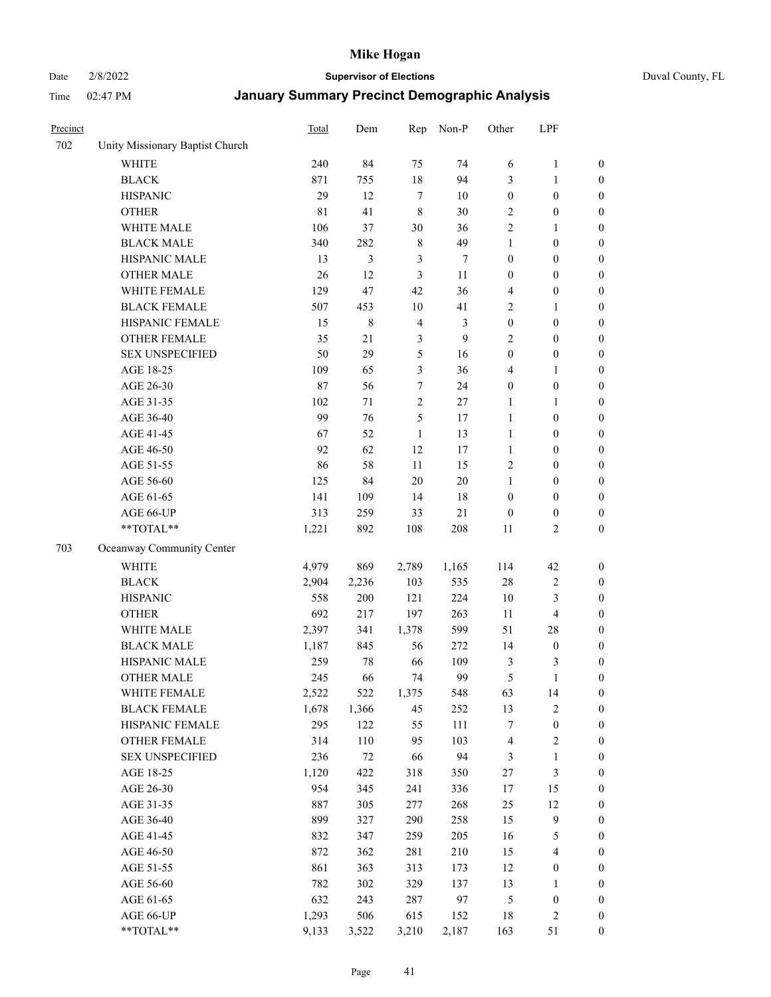# Date 2/8/2022 **Supervisor of Elections** Duval County, FL

| Precinct |                                 | <b>Total</b> | Dem    | Rep            | Non-P  | Other            | LPF                     |                  |
|----------|---------------------------------|--------------|--------|----------------|--------|------------------|-------------------------|------------------|
| 702      | Unity Missionary Baptist Church |              |        |                |        |                  |                         |                  |
|          | <b>WHITE</b>                    | 240          | 84     | 75             | 74     | 6                | $\mathbf{1}$            | 0                |
|          | <b>BLACK</b>                    | 871          | 755    | $18\,$         | 94     | 3                | $\mathbf{1}$            | $\boldsymbol{0}$ |
|          | <b>HISPANIC</b>                 | 29           | 12     | $\tau$         | 10     | $\boldsymbol{0}$ | $\boldsymbol{0}$        | $\boldsymbol{0}$ |
|          | <b>OTHER</b>                    | 81           | 41     | $\,8\,$        | 30     | 2                | $\boldsymbol{0}$        | $\boldsymbol{0}$ |
|          | WHITE MALE                      | 106          | 37     | 30             | 36     | 2                | $\mathbf{1}$            | $\boldsymbol{0}$ |
|          | <b>BLACK MALE</b>               | 340          | 282    | $\,$ 8 $\,$    | 49     | 1                | $\boldsymbol{0}$        | $\boldsymbol{0}$ |
|          | HISPANIC MALE                   | 13           | 3      | 3              | $\tau$ | $\boldsymbol{0}$ | $\boldsymbol{0}$        | $\boldsymbol{0}$ |
|          | <b>OTHER MALE</b>               | 26           | 12     | 3              | 11     | $\boldsymbol{0}$ | $\boldsymbol{0}$        | $\boldsymbol{0}$ |
|          | WHITE FEMALE                    | 129          | 47     | 42             | 36     | 4                | $\boldsymbol{0}$        | $\boldsymbol{0}$ |
|          | <b>BLACK FEMALE</b>             | 507          | 453    | $10\,$         | 41     | $\sqrt{2}$       | $\mathbf{1}$            | $\boldsymbol{0}$ |
|          | HISPANIC FEMALE                 | 15           | 8      | $\overline{4}$ | 3      | $\boldsymbol{0}$ | $\boldsymbol{0}$        | $\boldsymbol{0}$ |
|          | <b>OTHER FEMALE</b>             | 35           | 21     | $\mathfrak{Z}$ | 9      | $\mathbf{2}$     | $\boldsymbol{0}$        | $\boldsymbol{0}$ |
|          | <b>SEX UNSPECIFIED</b>          | 50           | 29     | $\mathfrak{S}$ | 16     | $\boldsymbol{0}$ | $\boldsymbol{0}$        | $\boldsymbol{0}$ |
|          | AGE 18-25                       | 109          | 65     | $\mathfrak{Z}$ | 36     | 4                | $\mathbf{1}$            | $\boldsymbol{0}$ |
|          | AGE 26-30                       | 87           | 56     | 7              | 24     | $\boldsymbol{0}$ | $\boldsymbol{0}$        | $\boldsymbol{0}$ |
|          | AGE 31-35                       | 102          | 71     | $\sqrt{2}$     | 27     | $\mathbf{1}$     | $\mathbf{1}$            | $\boldsymbol{0}$ |
|          | AGE 36-40                       | 99           | 76     | 5              | 17     | $\mathbf{1}$     | $\boldsymbol{0}$        | $\boldsymbol{0}$ |
|          | AGE 41-45                       | 67           | 52     | $\mathbf{1}$   | 13     | $\mathbf{1}$     | $\boldsymbol{0}$        | $\boldsymbol{0}$ |
|          | AGE 46-50                       | 92           | 62     | 12             | 17     | $\mathbf{1}$     | $\boldsymbol{0}$        | $\boldsymbol{0}$ |
|          | AGE 51-55                       | 86           | 58     | 11             | 15     | $\overline{c}$   | $\boldsymbol{0}$        | $\boldsymbol{0}$ |
|          | AGE 56-60                       | 125          | 84     | 20             | 20     | 1                | $\boldsymbol{0}$        | 0                |
|          | AGE 61-65                       | 141          | 109    | 14             | $18\,$ | $\boldsymbol{0}$ | $\boldsymbol{0}$        | 0                |
|          | AGE 66-UP                       | 313          | 259    | 33             | $21\,$ | $\boldsymbol{0}$ | $\boldsymbol{0}$        | $\boldsymbol{0}$ |
|          | **TOTAL**                       | 1,221        | 892    | 108            | 208    | 11               | $\mathbf{2}$            | $\boldsymbol{0}$ |
| 703      | Oceanway Community Center       |              |        |                |        |                  |                         |                  |
|          | <b>WHITE</b>                    | 4,979        | 869    | 2,789          | 1,165  | 114              | 42                      | $\boldsymbol{0}$ |
|          | <b>BLACK</b>                    | 2,904        | 2,236  | 103            | 535    | 28               | $\sqrt{2}$              | $\boldsymbol{0}$ |
|          | <b>HISPANIC</b>                 | 558          | 200    | 121            | 224    | 10               | 3                       | $\boldsymbol{0}$ |
|          | <b>OTHER</b>                    | 692          | 217    | 197            | 263    | 11               | $\overline{\mathbf{4}}$ | $\boldsymbol{0}$ |
|          | WHITE MALE                      | 2,397        | 341    | 1,378          | 599    | 51               | $28\,$                  | $\boldsymbol{0}$ |
|          | <b>BLACK MALE</b>               | 1,187        | 845    | 56             | 272    | 14               | $\boldsymbol{0}$        | $\boldsymbol{0}$ |
|          | HISPANIC MALE                   | 259          | 78     | 66             | 109    | 3                | 3                       | $\boldsymbol{0}$ |
|          | <b>OTHER MALE</b>               | 245          | 66     | 74             | 99     | 5                | $\mathbf{1}$            | $\boldsymbol{0}$ |
|          | WHITE FEMALE                    | 2,522        | 522    | 1,375          | 548    | 63               | 14                      | 0                |
|          | <b>BLACK FEMALE</b>             | 1,678        | 1,366  | 45             | 252    | 13               | $\sqrt{2}$              | 0                |
|          | HISPANIC FEMALE                 | 295          | 122    | 55             | 111    | 7                | $\boldsymbol{0}$        | 0                |
|          | OTHER FEMALE                    | 314          | 110    | 95             | 103    | $\overline{4}$   | $\sqrt{2}$              | 0                |
|          | <b>SEX UNSPECIFIED</b>          | 236          | $72\,$ | 66             | 94     | 3                | $\mathbf{1}$            | 0                |
|          | AGE 18-25                       | 1,120        | 422    | 318            | 350    | $27\,$           | $\mathfrak{Z}$          | 0                |
|          | AGE 26-30                       | 954          | 345    | 241            | 336    | 17               | 15                      | 0                |
|          | AGE 31-35                       | 887          | 305    | 277            | 268    | $25\,$           | 12                      | 0                |
|          | AGE 36-40                       | 899          | 327    | 290            | 258    | 15               | $\mathbf{9}$            | 0                |
|          | AGE 41-45                       | 832          | 347    | 259            | 205    | 16               | $\mathfrak{S}$          | 0                |
|          | AGE 46-50                       | 872          | 362    | 281            | 210    | 15               | $\overline{\mathbf{4}}$ | 0                |
|          | AGE 51-55                       | 861          | 363    | 313            | 173    | 12               | $\boldsymbol{0}$        | 0                |
|          | AGE 56-60                       | 782          | 302    | 329            | 137    | 13               | $\mathbf{1}$            | 0                |
|          | AGE 61-65                       | 632          | 243    | 287            | 97     | 5                | $\boldsymbol{0}$        | 0                |
|          | AGE 66-UP                       | 1,293        | 506    | 615            | 152    | 18               | $\sqrt{2}$              | 0                |
|          | **TOTAL**                       | 9,133        | 3,522  | 3,210          | 2,187  | 163              | 51                      | $\boldsymbol{0}$ |
|          |                                 |              |        |                |        |                  |                         |                  |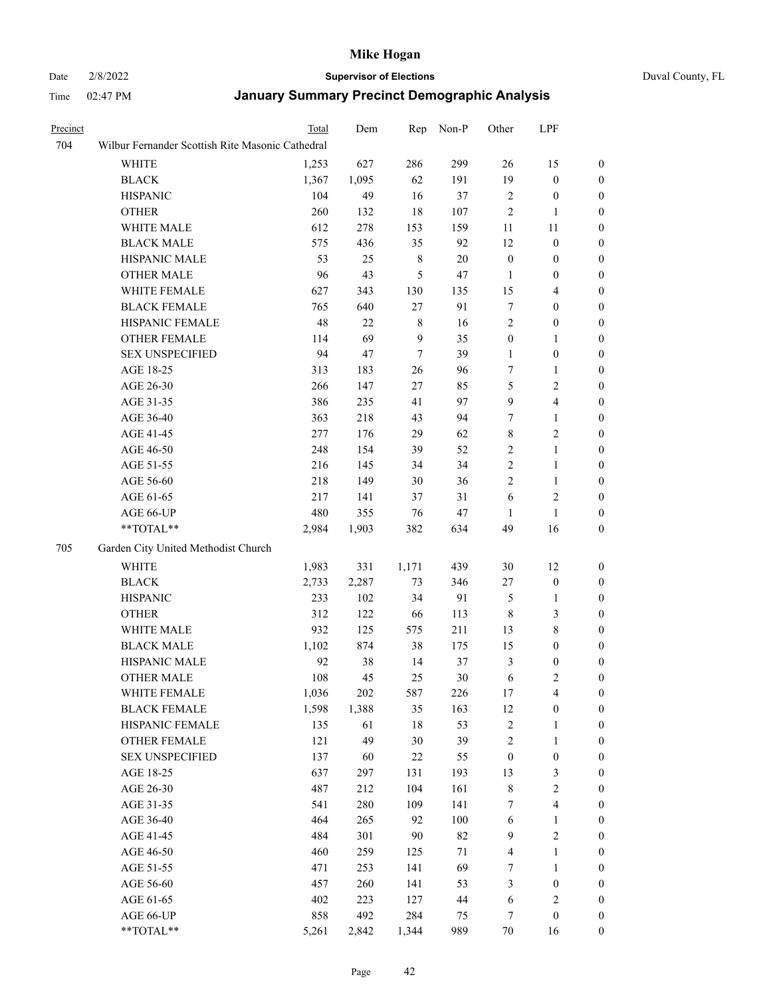# Date 2/8/2022 **Supervisor of Elections** Duval County, FL

| Precinct |                                                  | Total | Dem   | Rep              | Non-P | Other                   | LPF              |                  |
|----------|--------------------------------------------------|-------|-------|------------------|-------|-------------------------|------------------|------------------|
| 704      | Wilbur Fernander Scottish Rite Masonic Cathedral |       |       |                  |       |                         |                  |                  |
|          | WHITE                                            | 1,253 | 627   | 286              | 299   | 26                      | 15               | $\boldsymbol{0}$ |
|          | <b>BLACK</b>                                     | 1,367 | 1,095 | 62               | 191   | 19                      | $\boldsymbol{0}$ | $\boldsymbol{0}$ |
|          | <b>HISPANIC</b>                                  | 104   | 49    | 16               | 37    | $\mathbf{2}$            | $\boldsymbol{0}$ | 0                |
|          | <b>OTHER</b>                                     | 260   | 132   | 18               | 107   | 2                       | 1                | 0                |
|          | WHITE MALE                                       | 612   | 278   | 153              | 159   | 11                      | 11               | 0                |
|          | <b>BLACK MALE</b>                                | 575   | 436   | 35               | 92    | 12                      | $\boldsymbol{0}$ | $\boldsymbol{0}$ |
|          | HISPANIC MALE                                    | 53    | 25    | $\,$ $\,$        | 20    | $\boldsymbol{0}$        | $\boldsymbol{0}$ | $\boldsymbol{0}$ |
|          | <b>OTHER MALE</b>                                | 96    | 43    | 5                | 47    | $\mathbf{1}$            | $\boldsymbol{0}$ | $\boldsymbol{0}$ |
|          | WHITE FEMALE                                     | 627   | 343   | 130              | 135   | 15                      | $\overline{4}$   | $\boldsymbol{0}$ |
|          | <b>BLACK FEMALE</b>                              | 765   | 640   | 27               | 91    | $\boldsymbol{7}$        | $\boldsymbol{0}$ | $\boldsymbol{0}$ |
|          | HISPANIC FEMALE                                  | 48    | 22    | $\,$ $\,$        | 16    | $\mathbf{2}$            | $\boldsymbol{0}$ | $\boldsymbol{0}$ |
|          | OTHER FEMALE                                     | 114   | 69    | 9                | 35    | $\boldsymbol{0}$        | $\mathbf{1}$     | $\boldsymbol{0}$ |
|          | <b>SEX UNSPECIFIED</b>                           | 94    | 47    | $\boldsymbol{7}$ | 39    | 1                       | $\boldsymbol{0}$ | 0                |
|          | AGE 18-25                                        | 313   | 183   | 26               | 96    | 7                       | 1                | 0                |
|          | AGE 26-30                                        | 266   | 147   | 27               | 85    | 5                       | $\sqrt{2}$       | 0                |
|          | AGE 31-35                                        | 386   | 235   | 41               | 97    | 9                       | $\overline{4}$   | 0                |
|          | AGE 36-40                                        | 363   | 218   | 43               | 94    | 7                       | $\mathbf{1}$     | $\boldsymbol{0}$ |
|          | AGE 41-45                                        | 277   | 176   | 29               | 62    | 8                       | $\sqrt{2}$       | $\boldsymbol{0}$ |
|          | AGE 46-50                                        | 248   | 154   | 39               | 52    | 2                       | $\mathbf{1}$     | $\boldsymbol{0}$ |
|          | AGE 51-55                                        | 216   | 145   | 34               | 34    | $\overline{c}$          | $\mathbf{1}$     | $\boldsymbol{0}$ |
|          | AGE 56-60                                        | 218   | 149   | 30               | 36    | $\overline{c}$          | $\mathbf{1}$     | $\boldsymbol{0}$ |
|          | AGE 61-65                                        | 217   | 141   | 37               | 31    | 6                       | $\mathbf{2}$     | $\boldsymbol{0}$ |
|          | AGE 66-UP                                        | 480   | 355   | 76               | 47    | 1                       | $\mathbf{1}$     | 0                |
|          | $**TOTAL**$                                      | 2,984 | 1,903 | 382              | 634   | 49                      | 16               | 0                |
| 705      | Garden City United Methodist Church              |       |       |                  |       |                         |                  |                  |
|          | WHITE                                            | 1,983 | 331   | 1,171            | 439   | 30                      | 12               | 0                |
|          | <b>BLACK</b>                                     | 2,733 | 2,287 | 73               | 346   | 27                      | $\boldsymbol{0}$ | 0                |
|          | <b>HISPANIC</b>                                  | 233   | 102   | 34               | 91    | 5                       | $\mathbf{1}$     | 0                |
|          | <b>OTHER</b>                                     | 312   | 122   | 66               | 113   | 8                       | 3                | $\boldsymbol{0}$ |
|          | WHITE MALE                                       | 932   | 125   | 575              | 211   | 13                      | $\,$ 8 $\,$      | $\boldsymbol{0}$ |
|          | <b>BLACK MALE</b>                                | 1,102 | 874   | 38               | 175   | 15                      | $\boldsymbol{0}$ | $\boldsymbol{0}$ |
|          | HISPANIC MALE                                    | 92    | 38    | 14               | 37    | 3                       | $\boldsymbol{0}$ | 0                |
|          | <b>OTHER MALE</b>                                | 108   | 45    | 25               | 30    | 6                       | $\mathfrak{2}$   | $\boldsymbol{0}$ |
|          | WHITE FEMALE                                     | 1,036 | 202   | 587              | 226   | 17                      | $\overline{4}$   | 0                |
|          | <b>BLACK FEMALE</b>                              | 1,598 | 1,388 | 35               | 163   | 12                      | $\boldsymbol{0}$ | 0                |
|          | HISPANIC FEMALE                                  | 135   | 61    | 18               | 53    | $\overline{\mathbf{c}}$ | $\mathbf{1}$     | 0                |
|          | <b>OTHER FEMALE</b>                              | 121   | 49    | 30               | 39    | 2                       | $\mathbf{1}$     | 0                |
|          | <b>SEX UNSPECIFIED</b>                           | 137   | 60    | 22               | 55    | $\boldsymbol{0}$        | $\boldsymbol{0}$ | 0                |
|          | AGE 18-25                                        | 637   | 297   | 131              | 193   | 13                      | $\mathfrak{Z}$   | 0                |
|          | AGE 26-30                                        | 487   | 212   | 104              | 161   | 8                       | $\sqrt{2}$       | $\boldsymbol{0}$ |
|          | AGE 31-35                                        | 541   | 280   | 109              | 141   | 7                       | $\overline{4}$   | 0                |
|          | AGE 36-40                                        | 464   | 265   | 92               | 100   | 6                       | $\mathbf{1}$     | 0                |
|          | AGE 41-45                                        | 484   | 301   | 90               | 82    | 9                       | $\sqrt{2}$       | 0                |
|          | AGE 46-50                                        | 460   | 259   | 125              | 71    | 4                       | $\mathbf{1}$     | 0                |
|          | AGE 51-55                                        | 471   | 253   | 141              | 69    | 7                       | $\mathbf{1}$     | 0                |
|          | AGE 56-60                                        | 457   | 260   | 141              | 53    | 3                       | $\boldsymbol{0}$ | 0                |
|          | AGE 61-65                                        | 402   | 223   | 127              | 44    | 6                       | $\sqrt{2}$       | 0                |
|          | AGE 66-UP                                        | 858   | 492   | 284              | 75    | 7                       | $\boldsymbol{0}$ | 0                |
|          | $**TOTAL**$                                      | 5,261 | 2,842 | 1,344            | 989   | $70\,$                  | 16               | $\boldsymbol{0}$ |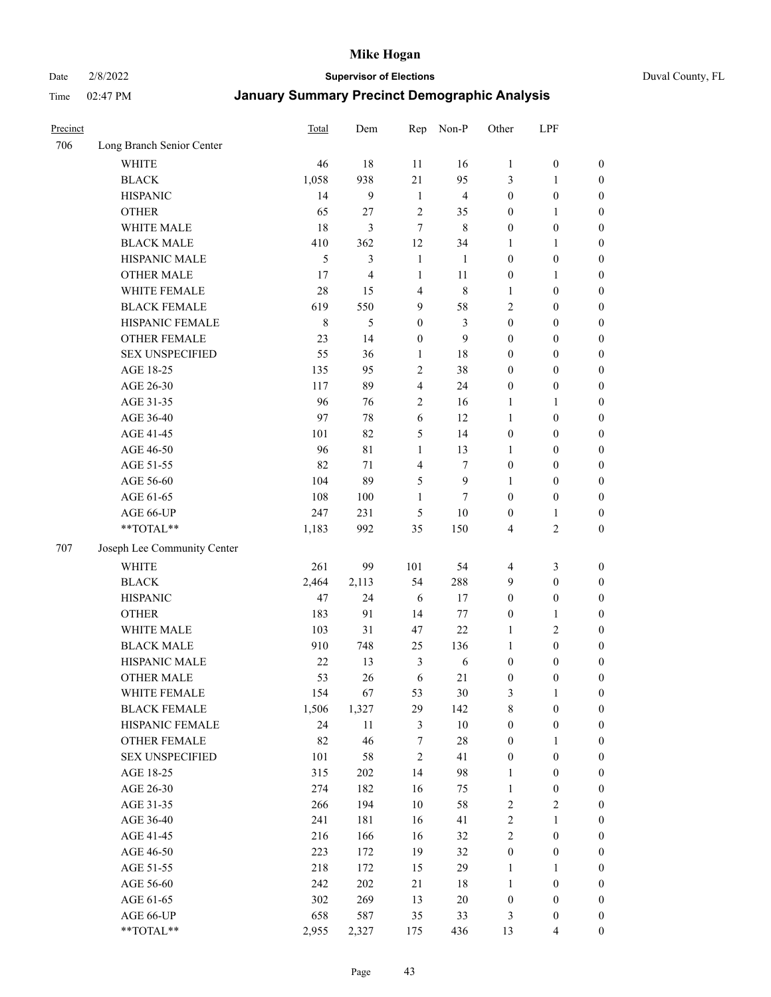Date 2/8/2022 **Supervisor of Elections** Duval County, FL

| Precinct |                             | <b>Total</b> | Dem    | Rep              | Non-P          | Other            | LPF              |                  |
|----------|-----------------------------|--------------|--------|------------------|----------------|------------------|------------------|------------------|
| 706      | Long Branch Senior Center   |              |        |                  |                |                  |                  |                  |
|          | <b>WHITE</b>                | 46           | 18     | 11               | 16             | $\mathbf{1}$     | $\boldsymbol{0}$ | $\boldsymbol{0}$ |
|          | <b>BLACK</b>                | 1,058        | 938    | 21               | 95             | 3                | $\mathbf{1}$     | $\boldsymbol{0}$ |
|          | <b>HISPANIC</b>             | 14           | 9      | $\mathbf{1}$     | $\overline{4}$ | $\boldsymbol{0}$ | $\boldsymbol{0}$ | $\boldsymbol{0}$ |
|          | <b>OTHER</b>                | 65           | 27     | $\overline{2}$   | 35             | $\boldsymbol{0}$ | $\mathbf{1}$     | $\boldsymbol{0}$ |
|          | WHITE MALE                  | 18           | 3      | $\tau$           | $\,$ 8 $\,$    | $\boldsymbol{0}$ | $\boldsymbol{0}$ | $\boldsymbol{0}$ |
|          | <b>BLACK MALE</b>           | 410          | 362    | 12               | 34             | 1                | $\mathbf{1}$     | $\boldsymbol{0}$ |
|          | HISPANIC MALE               | 5            | 3      | $\mathbf{1}$     | 1              | $\boldsymbol{0}$ | $\boldsymbol{0}$ | $\boldsymbol{0}$ |
|          | <b>OTHER MALE</b>           | 17           | 4      | $\mathbf{1}$     | 11             | $\boldsymbol{0}$ | $\mathbf{1}$     | $\boldsymbol{0}$ |
|          | WHITE FEMALE                | 28           | 15     | $\overline{4}$   | $\,$ 8 $\,$    | 1                | $\boldsymbol{0}$ | $\boldsymbol{0}$ |
|          | <b>BLACK FEMALE</b>         | 619          | 550    | 9                | 58             | $\overline{c}$   | $\boldsymbol{0}$ | $\boldsymbol{0}$ |
|          | HISPANIC FEMALE             | $\,$ 8 $\,$  | 5      | $\boldsymbol{0}$ | 3              | $\boldsymbol{0}$ | $\boldsymbol{0}$ | 0                |
|          | <b>OTHER FEMALE</b>         | 23           | 14     | $\boldsymbol{0}$ | 9              | $\boldsymbol{0}$ | $\boldsymbol{0}$ | $\boldsymbol{0}$ |
|          | <b>SEX UNSPECIFIED</b>      | 55           | 36     | $\mathbf{1}$     | 18             | $\boldsymbol{0}$ | $\boldsymbol{0}$ | $\boldsymbol{0}$ |
|          | AGE 18-25                   | 135          | 95     | $\sqrt{2}$       | 38             | $\boldsymbol{0}$ | $\boldsymbol{0}$ | $\boldsymbol{0}$ |
|          | AGE 26-30                   | 117          | 89     | $\overline{4}$   | 24             | $\boldsymbol{0}$ | $\boldsymbol{0}$ | $\boldsymbol{0}$ |
|          | AGE 31-35                   | 96           | 76     | $\sqrt{2}$       | 16             | $\mathbf{1}$     | $\mathbf{1}$     | $\boldsymbol{0}$ |
|          | AGE 36-40                   | 97           | 78     | 6                | 12             | $\mathbf{1}$     | $\boldsymbol{0}$ | $\boldsymbol{0}$ |
|          | AGE 41-45                   | 101          | 82     | 5                | 14             | $\boldsymbol{0}$ | $\boldsymbol{0}$ | $\boldsymbol{0}$ |
|          | AGE 46-50                   | 96           | 81     | $\mathbf{1}$     | 13             | $\mathbf{1}$     | $\boldsymbol{0}$ | $\boldsymbol{0}$ |
|          | AGE 51-55                   | 82           | 71     | $\overline{4}$   | $\tau$         | $\boldsymbol{0}$ | $\boldsymbol{0}$ | $\boldsymbol{0}$ |
|          | AGE 56-60                   | 104          | 89     | 5                | $\mathbf{9}$   | 1                | $\boldsymbol{0}$ | 0                |
|          | AGE 61-65                   | 108          | 100    | 1                | $\tau$         | $\boldsymbol{0}$ | $\boldsymbol{0}$ | 0                |
|          | AGE 66-UP                   | 247          | 231    | 5                | $10\,$         | $\boldsymbol{0}$ | $\mathbf{1}$     | $\boldsymbol{0}$ |
|          | $**TOTAL**$                 | 1,183        | 992    | 35               | 150            | 4                | $\sqrt{2}$       | $\boldsymbol{0}$ |
| 707      | Joseph Lee Community Center |              |        |                  |                |                  |                  |                  |
|          | <b>WHITE</b>                | 261          | 99     | 101              | 54             | $\overline{4}$   | $\mathfrak{Z}$   | $\boldsymbol{0}$ |
|          | <b>BLACK</b>                | 2,464        | 2,113  | 54               | 288            | 9                | $\boldsymbol{0}$ | $\boldsymbol{0}$ |
|          | <b>HISPANIC</b>             | 47           | 24     | 6                | 17             | $\boldsymbol{0}$ | $\boldsymbol{0}$ | $\boldsymbol{0}$ |
|          | <b>OTHER</b>                | 183          | 91     | 14               | 77             | $\boldsymbol{0}$ | $\mathbf{1}$     | $\boldsymbol{0}$ |
|          | WHITE MALE                  | 103          | 31     | 47               | 22             | $\mathbf{1}$     | $\mathbf{2}$     | $\boldsymbol{0}$ |
|          | <b>BLACK MALE</b>           | 910          | 748    | 25               | 136            | $\mathbf{1}$     | $\boldsymbol{0}$ | $\boldsymbol{0}$ |
|          | HISPANIC MALE               | 22           | 13     | $\mathfrak{Z}$   | 6              | $\boldsymbol{0}$ | $\boldsymbol{0}$ | $\boldsymbol{0}$ |
|          | <b>OTHER MALE</b>           | 53           | 26     | 6                | 21             | $\boldsymbol{0}$ | $\boldsymbol{0}$ | $\boldsymbol{0}$ |
|          | WHITE FEMALE                | 154          | 67     | 53               | 30             | 3                | 1                | 0                |
|          | <b>BLACK FEMALE</b>         | 1,506        | 1,327  | 29               | 142            | 8                | $\boldsymbol{0}$ | $\boldsymbol{0}$ |
|          | HISPANIC FEMALE             | 24           | $11\,$ | $\mathfrak{Z}$   | $10\,$         | $\boldsymbol{0}$ | $\boldsymbol{0}$ | $\boldsymbol{0}$ |
|          | OTHER FEMALE                | 82           | 46     | 7                | $28\,$         | $\boldsymbol{0}$ | $\mathbf{1}$     | $\overline{0}$   |
|          | <b>SEX UNSPECIFIED</b>      | 101          | 58     | $\sqrt{2}$       | 41             | $\boldsymbol{0}$ | $\boldsymbol{0}$ | 0                |
|          | AGE 18-25                   | 315          | 202    | 14               | 98             | $\mathbf{1}$     | $\boldsymbol{0}$ | $\overline{0}$   |
|          | AGE 26-30                   | 274          | 182    | 16               | 75             | $\mathbf{1}$     | $\boldsymbol{0}$ | 0                |
|          | AGE 31-35                   | 266          | 194    | $10\,$           | 58             | $\sqrt{2}$       | $\sqrt{2}$       | 0                |
|          | AGE 36-40                   | 241          | 181    | 16               | 41             | $\sqrt{2}$       | $\mathbf{1}$     | 0                |
|          | AGE 41-45                   | 216          | 166    | 16               | 32             | $\sqrt{2}$       | $\boldsymbol{0}$ | 0                |
|          | AGE 46-50                   | 223          | 172    | 19               | 32             | $\boldsymbol{0}$ | $\boldsymbol{0}$ | 0                |
|          | AGE 51-55                   | 218          | 172    | 15               | 29             | $\mathbf{1}$     | $\mathbf{1}$     | $\boldsymbol{0}$ |
|          | AGE 56-60                   | 242          | 202    | 21               | 18             | $\mathbf{1}$     | $\boldsymbol{0}$ | $\boldsymbol{0}$ |
|          | AGE 61-65                   | 302          | 269    | 13               | $20\,$         | $\boldsymbol{0}$ | $\boldsymbol{0}$ | $\boldsymbol{0}$ |
|          | AGE 66-UP                   | 658          | 587    | 35               | 33             | 3                | $\boldsymbol{0}$ | 0                |
|          | **TOTAL**                   | 2,955        | 2,327  | 175              | 436            | 13               | $\overline{4}$   | $\boldsymbol{0}$ |
|          |                             |              |        |                  |                |                  |                  |                  |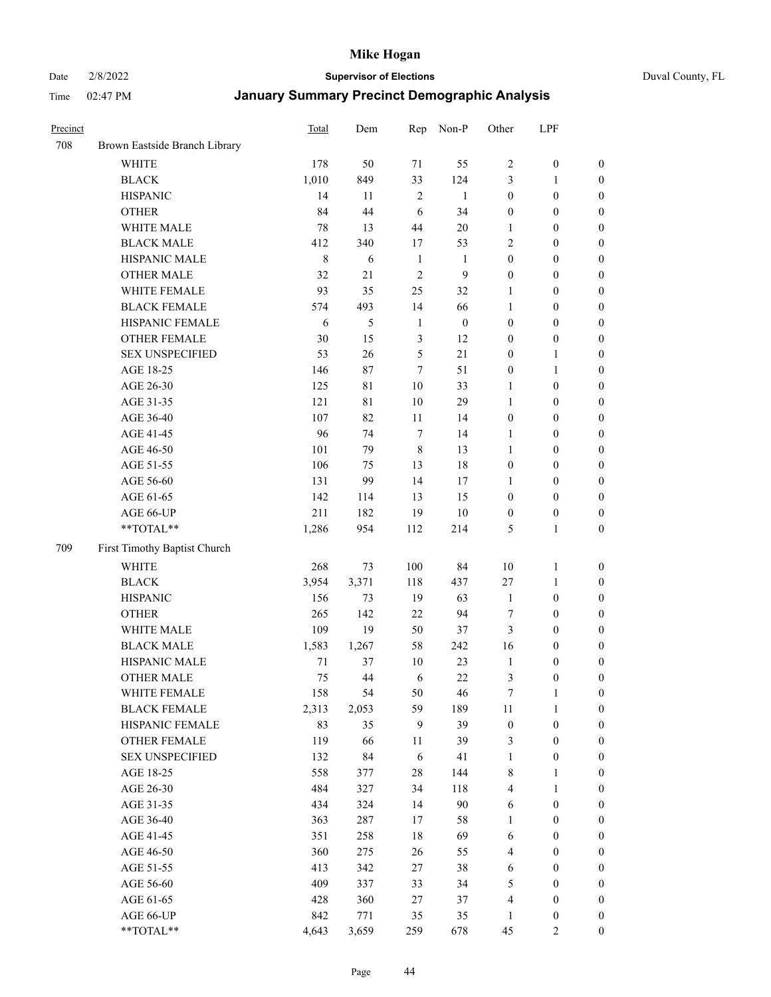Date 2/8/2022 **Supervisor of Elections** Duval County, FL

| Precinct |                               | Total   | Dem         | Rep            | Non-P            | Other            | LPF              |                  |
|----------|-------------------------------|---------|-------------|----------------|------------------|------------------|------------------|------------------|
| 708      | Brown Eastside Branch Library |         |             |                |                  |                  |                  |                  |
|          | <b>WHITE</b>                  | 178     | 50          | 71             | 55               | $\mathfrak{2}$   | $\boldsymbol{0}$ | 0                |
|          | <b>BLACK</b>                  | 1,010   | 849         | 33             | 124              | 3                | $\mathbf{1}$     | $\boldsymbol{0}$ |
|          | <b>HISPANIC</b>               | 14      | 11          | $\overline{2}$ | $\mathbf{1}$     | $\boldsymbol{0}$ | $\boldsymbol{0}$ | $\boldsymbol{0}$ |
|          | <b>OTHER</b>                  | 84      | 44          | 6              | 34               | $\boldsymbol{0}$ | $\boldsymbol{0}$ | $\boldsymbol{0}$ |
|          | WHITE MALE                    | 78      | 13          | 44             | $20\,$           | 1                | $\boldsymbol{0}$ | $\boldsymbol{0}$ |
|          | <b>BLACK MALE</b>             | 412     | 340         | 17             | 53               | 2                | $\boldsymbol{0}$ | $\boldsymbol{0}$ |
|          | HISPANIC MALE                 | $\,8\,$ | 6           | $\mathbf{1}$   | 1                | $\boldsymbol{0}$ | $\boldsymbol{0}$ | $\boldsymbol{0}$ |
|          | <b>OTHER MALE</b>             | 32      | 21          | $\mathfrak{2}$ | $\overline{9}$   | $\boldsymbol{0}$ | $\boldsymbol{0}$ | $\boldsymbol{0}$ |
|          | WHITE FEMALE                  | 93      | 35          | 25             | 32               | 1                | $\boldsymbol{0}$ | $\boldsymbol{0}$ |
|          | <b>BLACK FEMALE</b>           | 574     | 493         | 14             | 66               | $\mathbf{1}$     | $\boldsymbol{0}$ | $\boldsymbol{0}$ |
|          | HISPANIC FEMALE               | 6       | 5           | $\mathbf{1}$   | $\boldsymbol{0}$ | $\boldsymbol{0}$ | $\boldsymbol{0}$ | 0                |
|          | OTHER FEMALE                  | 30      | 15          | $\mathfrak{Z}$ | 12               | $\boldsymbol{0}$ | $\boldsymbol{0}$ | $\boldsymbol{0}$ |
|          | <b>SEX UNSPECIFIED</b>        | 53      | 26          | $\mathfrak s$  | 21               | $\boldsymbol{0}$ | $\mathbf{1}$     | $\boldsymbol{0}$ |
|          | AGE 18-25                     | 146     | $87\,$      | 7              | 51               | $\boldsymbol{0}$ | $\mathbf{1}$     | $\boldsymbol{0}$ |
|          | AGE 26-30                     | 125     | $8\sqrt{1}$ | 10             | 33               | $\mathbf{1}$     | $\boldsymbol{0}$ | $\boldsymbol{0}$ |
|          | AGE 31-35                     | 121     | 81          | 10             | 29               | 1                | $\boldsymbol{0}$ | $\boldsymbol{0}$ |
|          | AGE 36-40                     | 107     | 82          | 11             | 14               | $\boldsymbol{0}$ | $\boldsymbol{0}$ | $\boldsymbol{0}$ |
|          | AGE 41-45                     | 96      | 74          | $\tau$         | 14               | $\mathbf{1}$     | $\boldsymbol{0}$ | $\boldsymbol{0}$ |
|          | AGE 46-50                     | 101     | 79          | $\,8\,$        | 13               | $\mathbf{1}$     | $\boldsymbol{0}$ | $\boldsymbol{0}$ |
|          | AGE 51-55                     | 106     | 75          | 13             | $18\,$           | $\boldsymbol{0}$ | $\boldsymbol{0}$ | $\boldsymbol{0}$ |
|          | AGE 56-60                     | 131     | 99          | 14             | 17               | 1                | $\boldsymbol{0}$ | 0                |
|          | AGE 61-65                     | 142     | 114         | 13             | 15               | $\boldsymbol{0}$ | $\boldsymbol{0}$ | 0                |
|          | AGE 66-UP                     | 211     | 182         | 19             | $10\,$           | $\boldsymbol{0}$ | $\boldsymbol{0}$ | $\boldsymbol{0}$ |
|          | **TOTAL**                     | 1,286   | 954         | 112            | 214              | 5                | $\mathbf{1}$     | $\boldsymbol{0}$ |
| 709      | First Timothy Baptist Church  |         |             |                |                  |                  |                  |                  |
|          | WHITE                         | 268     | 73          | 100            | 84               | $10\,$           | $\mathbf{1}$     | $\boldsymbol{0}$ |
|          | <b>BLACK</b>                  | 3,954   | 3,371       | 118            | 437              | 27               | $\mathbf{1}$     | $\boldsymbol{0}$ |
|          | <b>HISPANIC</b>               | 156     | 73          | 19             | 63               | $\mathbf{1}$     | $\boldsymbol{0}$ | $\boldsymbol{0}$ |
|          | <b>OTHER</b>                  | 265     | 142         | 22             | 94               | 7                | $\boldsymbol{0}$ | $\boldsymbol{0}$ |
|          | WHITE MALE                    | 109     | 19          | 50             | 37               | 3                | $\boldsymbol{0}$ | $\boldsymbol{0}$ |
|          | <b>BLACK MALE</b>             | 1,583   | 1,267       | 58             | 242              | 16               | $\boldsymbol{0}$ | $\boldsymbol{0}$ |
|          | HISPANIC MALE                 | $71\,$  | 37          | 10             | 23               | $\mathbf{1}$     | $\boldsymbol{0}$ | $\boldsymbol{0}$ |
|          | <b>OTHER MALE</b>             | 75      | 44          | 6              | 22               | 3                | $\boldsymbol{0}$ | $\boldsymbol{0}$ |
|          | WHITE FEMALE                  | 158     | 54          | 50             | 46               | 7                | 1                | 0                |
|          | <b>BLACK FEMALE</b>           | 2,313   | 2,053       | 59             | 189              | 11               | $\mathbf{1}$     | $\boldsymbol{0}$ |
|          | HISPANIC FEMALE               | 83      | 35          | 9              | 39               | $\boldsymbol{0}$ | $\boldsymbol{0}$ | $\overline{0}$   |
|          | OTHER FEMALE                  | 119     | 66          | 11             | 39               | 3                | $\boldsymbol{0}$ | $\overline{0}$   |
|          | <b>SEX UNSPECIFIED</b>        | 132     | 84          | 6              | 41               | $\mathbf{1}$     | $\boldsymbol{0}$ | 0                |
|          | AGE 18-25                     | 558     | 377         | 28             | 144              | 8                | $\mathbf{1}$     | $\overline{0}$   |
|          | AGE 26-30                     | 484     | 327         | 34             | 118              | $\overline{4}$   | $\mathbf{1}$     | $\overline{0}$   |
|          | AGE 31-35                     | 434     | 324         | 14             | 90               | 6                | $\boldsymbol{0}$ | 0                |
|          | AGE 36-40                     | 363     | 287         | 17             | 58               | 1                | $\boldsymbol{0}$ | 0                |
|          | AGE 41-45                     | 351     | 258         | 18             | 69               | 6                | $\boldsymbol{0}$ | 0                |
|          | AGE 46-50                     | 360     | 275         | 26             | 55               | 4                | $\boldsymbol{0}$ | 0                |
|          | AGE 51-55                     | 413     | 342         | 27             | 38               | 6                | $\boldsymbol{0}$ | $\boldsymbol{0}$ |
|          | AGE 56-60                     | 409     | 337         | 33             | 34               | 5                | $\boldsymbol{0}$ | $\boldsymbol{0}$ |
|          | AGE 61-65                     | 428     | 360         | 27             | 37               | 4                | $\boldsymbol{0}$ | $\boldsymbol{0}$ |
|          | AGE 66-UP                     | 842     | 771         | 35             | 35               | $\mathbf{1}$     | $\boldsymbol{0}$ | 0                |
|          | **TOTAL**                     | 4,643   | 3,659       | 259            | 678              | 45               | $\mathfrak{2}$   | $\boldsymbol{0}$ |
|          |                               |         |             |                |                  |                  |                  |                  |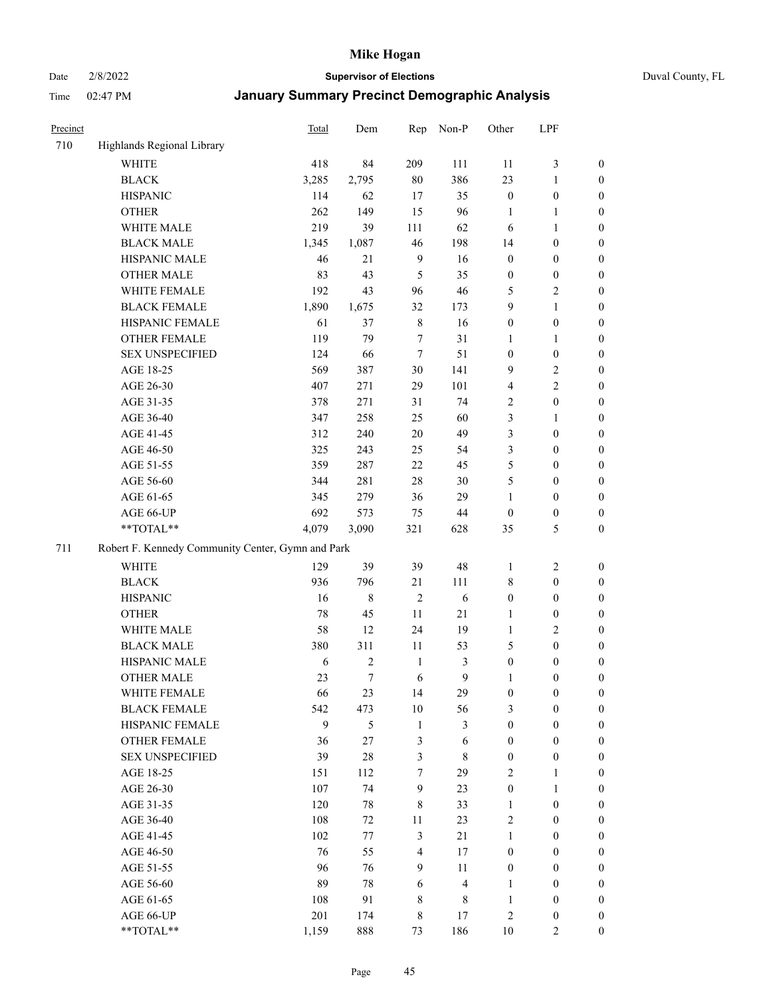Date 2/8/2022 **Supervisor of Elections** Duval County, FL

| Precinct |                                                   | <b>Total</b> | Dem            | Rep            | Non-P          | Other            | LPF              |                  |
|----------|---------------------------------------------------|--------------|----------------|----------------|----------------|------------------|------------------|------------------|
| 710      | Highlands Regional Library                        |              |                |                |                |                  |                  |                  |
|          | <b>WHITE</b>                                      | 418          | 84             | 209            | 111            | 11               | $\mathfrak{Z}$   | 0                |
|          | <b>BLACK</b>                                      | 3,285        | 2,795          | 80             | 386            | 23               | $\mathbf{1}$     | 0                |
|          | <b>HISPANIC</b>                                   | 114          | 62             | 17             | 35             | $\boldsymbol{0}$ | $\boldsymbol{0}$ | $\boldsymbol{0}$ |
|          | <b>OTHER</b>                                      | 262          | 149            | 15             | 96             | 1                | $\mathbf{1}$     | $\boldsymbol{0}$ |
|          | WHITE MALE                                        | 219          | 39             | 111            | 62             | 6                | $\mathbf{1}$     | $\boldsymbol{0}$ |
|          | <b>BLACK MALE</b>                                 | 1,345        | 1,087          | 46             | 198            | 14               | $\boldsymbol{0}$ | $\boldsymbol{0}$ |
|          | HISPANIC MALE                                     | 46           | 21             | $\overline{9}$ | 16             | $\boldsymbol{0}$ | $\boldsymbol{0}$ | $\boldsymbol{0}$ |
|          | <b>OTHER MALE</b>                                 | 83           | 43             | 5              | 35             | $\boldsymbol{0}$ | $\boldsymbol{0}$ | $\boldsymbol{0}$ |
|          | WHITE FEMALE                                      | 192          | 43             | 96             | 46             | 5                | $\mathfrak{2}$   | $\boldsymbol{0}$ |
|          | <b>BLACK FEMALE</b>                               | 1,890        | 1,675          | 32             | 173            | 9                | $\mathbf{1}$     | $\boldsymbol{0}$ |
|          | HISPANIC FEMALE                                   | 61           | 37             | $\,$ 8 $\,$    | 16             | $\boldsymbol{0}$ | $\boldsymbol{0}$ | 0                |
|          | <b>OTHER FEMALE</b>                               | 119          | 79             | $\tau$         | 31             | 1                | $\mathbf{1}$     | 0                |
|          | <b>SEX UNSPECIFIED</b>                            | 124          | 66             | $\tau$         | 51             | $\boldsymbol{0}$ | $\boldsymbol{0}$ | $\boldsymbol{0}$ |
|          | AGE 18-25                                         | 569          | 387            | $30\,$         | 141            | 9                | $\sqrt{2}$       | $\boldsymbol{0}$ |
|          | AGE 26-30                                         | 407          | 271            | 29             | 101            | 4                | $\sqrt{2}$       | $\boldsymbol{0}$ |
|          | AGE 31-35                                         | 378          | 271            | 31             | 74             | 2                | $\boldsymbol{0}$ | $\boldsymbol{0}$ |
|          | AGE 36-40                                         | 347          | 258            | 25             | 60             | 3                | $\mathbf{1}$     | $\boldsymbol{0}$ |
|          | AGE 41-45                                         | 312          | 240            | $20\,$         | 49             | 3                | $\boldsymbol{0}$ | $\boldsymbol{0}$ |
|          | AGE 46-50                                         | 325          | 243            | 25             | 54             | 3                | $\boldsymbol{0}$ | $\boldsymbol{0}$ |
|          | AGE 51-55                                         | 359          | 287            | 22             | 45             | 5                | $\boldsymbol{0}$ | $\boldsymbol{0}$ |
|          | AGE 56-60                                         | 344          | 281            | 28             | 30             | 5                | $\boldsymbol{0}$ | 0                |
|          | AGE 61-65                                         | 345          | 279            | 36             | 29             | 1                | $\boldsymbol{0}$ | 0                |
|          | AGE 66-UP                                         | 692          | 573            | 75             | 44             | $\boldsymbol{0}$ | $\boldsymbol{0}$ | $\boldsymbol{0}$ |
|          | $**TOTAL**$                                       | 4,079        | 3,090          | 321            | 628            | 35               | $\mathfrak{S}$   | $\boldsymbol{0}$ |
| 711      | Robert F. Kennedy Community Center, Gymn and Park |              |                |                |                |                  |                  |                  |
|          | WHITE                                             | 129          | 39             | 39             | 48             | 1                | $\sqrt{2}$       | $\boldsymbol{0}$ |
|          | <b>BLACK</b>                                      | 936          | 796            | 21             | 111            | 8                | $\boldsymbol{0}$ | $\boldsymbol{0}$ |
|          | <b>HISPANIC</b>                                   | 16           | 8              | $\overline{2}$ | 6              | $\boldsymbol{0}$ | $\boldsymbol{0}$ | $\boldsymbol{0}$ |
|          | <b>OTHER</b>                                      | 78           | 45             | 11             | 21             | $\mathbf{1}$     | $\boldsymbol{0}$ | $\boldsymbol{0}$ |
|          | WHITE MALE                                        | 58           | 12             | 24             | 19             | $\mathbf{1}$     | $\overline{2}$   | $\boldsymbol{0}$ |
|          | <b>BLACK MALE</b>                                 | 380          | 311            | 11             | 53             | 5                | $\boldsymbol{0}$ | $\boldsymbol{0}$ |
|          | HISPANIC MALE                                     | 6            | $\overline{c}$ | $\mathbf{1}$   | 3              | $\boldsymbol{0}$ | $\boldsymbol{0}$ | $\boldsymbol{0}$ |
|          | <b>OTHER MALE</b>                                 | 23           | $\tau$         | 6              | 9              | $\mathbf{1}$     | $\boldsymbol{0}$ | $\boldsymbol{0}$ |
|          | WHITE FEMALE                                      | 66           | 23             | 14             | 29             | $\boldsymbol{0}$ | $\boldsymbol{0}$ | 0                |
|          | <b>BLACK FEMALE</b>                               | 542          | 473            | $10\,$         | 56             | 3                | $\boldsymbol{0}$ | $\overline{0}$   |
|          | HISPANIC FEMALE                                   | 9            | 5              | $\mathbf{1}$   | 3              | $\boldsymbol{0}$ | $\boldsymbol{0}$ | $\overline{0}$   |
|          | OTHER FEMALE                                      | 36           | 27             | $\mathfrak{Z}$ | 6              | $\boldsymbol{0}$ | $\boldsymbol{0}$ | $\overline{0}$   |
|          | <b>SEX UNSPECIFIED</b>                            | 39           | 28             | 3              | $\,$ 8 $\,$    | $\boldsymbol{0}$ | $\boldsymbol{0}$ | $\overline{0}$   |
|          | AGE 18-25                                         | 151          | 112            | 7              | 29             | $\overline{c}$   | $\mathbf{1}$     | $\overline{0}$   |
|          | AGE 26-30                                         | 107          | 74             | 9              | 23             | $\boldsymbol{0}$ | $\mathbf{1}$     | $\overline{0}$   |
|          | AGE 31-35                                         | 120          | 78             | $\,$ 8 $\,$    | 33             | $\mathbf{1}$     | $\boldsymbol{0}$ | 0                |
|          | AGE 36-40                                         | 108          | 72             | 11             | 23             | $\overline{c}$   | $\boldsymbol{0}$ | 0                |
|          | AGE 41-45                                         | 102          | 77             | $\mathfrak{Z}$ | 21             | 1                | $\boldsymbol{0}$ | 0                |
|          | AGE 46-50                                         | 76           | 55             | $\overline{4}$ | 17             | $\boldsymbol{0}$ | $\boldsymbol{0}$ | 0                |
|          | AGE 51-55                                         | 96           | 76             | 9              | 11             | $\boldsymbol{0}$ | $\boldsymbol{0}$ | $\boldsymbol{0}$ |
|          | AGE 56-60                                         | 89           | 78             | 6              | $\overline{4}$ | 1                | $\boldsymbol{0}$ | $\boldsymbol{0}$ |
|          | AGE 61-65                                         | 108          | 91             | 8              | 8              | $\mathbf{1}$     | $\boldsymbol{0}$ | $\boldsymbol{0}$ |
|          | AGE 66-UP                                         | 201          | 174            | 8              | 17             | 2                | $\boldsymbol{0}$ | $\boldsymbol{0}$ |
|          | **TOTAL**                                         | 1,159        | 888            | 73             | 186            | 10               | $\mathbf{2}$     | $\overline{0}$   |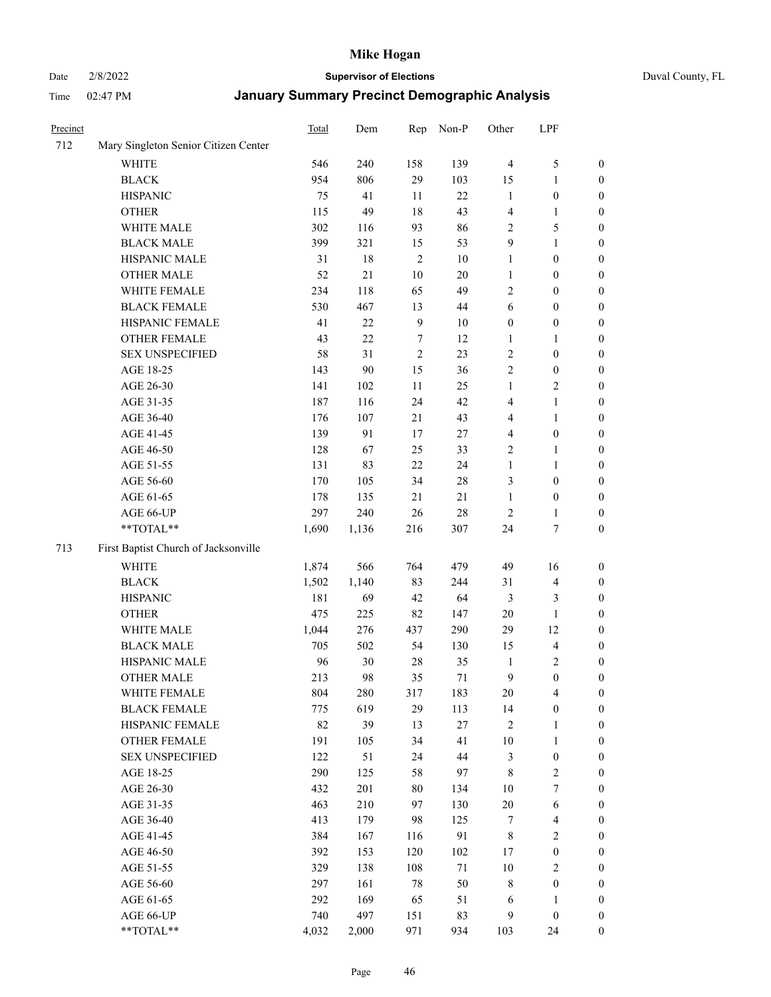# Date 2/8/2022 **Supervisor of Elections** Duval County, FL

| Precinct |                                      | <b>Total</b> | Dem   | Rep            | Non-P  | Other            | LPF                     |                  |
|----------|--------------------------------------|--------------|-------|----------------|--------|------------------|-------------------------|------------------|
| 712      | Mary Singleton Senior Citizen Center |              |       |                |        |                  |                         |                  |
|          | <b>WHITE</b>                         | 546          | 240   | 158            | 139    | $\overline{4}$   | $\mathfrak{S}$          | 0                |
|          | <b>BLACK</b>                         | 954          | 806   | 29             | 103    | 15               | $\mathbf{1}$            | 0                |
|          | <b>HISPANIC</b>                      | 75           | 41    | 11             | 22     | $\mathbf{1}$     | $\boldsymbol{0}$        | $\boldsymbol{0}$ |
|          | <b>OTHER</b>                         | 115          | 49    | 18             | 43     | 4                | $\mathbf{1}$            | $\boldsymbol{0}$ |
|          | WHITE MALE                           | 302          | 116   | 93             | 86     | 2                | $\mathfrak{S}$          | $\boldsymbol{0}$ |
|          | <b>BLACK MALE</b>                    | 399          | 321   | 15             | 53     | 9                | $\mathbf{1}$            | $\boldsymbol{0}$ |
|          | HISPANIC MALE                        | 31           | 18    | $\overline{2}$ | $10\,$ | $\mathbf{1}$     | $\boldsymbol{0}$        | $\boldsymbol{0}$ |
|          | <b>OTHER MALE</b>                    | 52           | 21    | $10\,$         | $20\,$ | $\mathbf{1}$     | $\boldsymbol{0}$        | $\boldsymbol{0}$ |
|          | WHITE FEMALE                         | 234          | 118   | 65             | 49     | 2                | $\boldsymbol{0}$        | $\boldsymbol{0}$ |
|          | <b>BLACK FEMALE</b>                  | 530          | 467   | 13             | 44     | 6                | $\boldsymbol{0}$        | 0                |
|          | HISPANIC FEMALE                      | 41           | 22    | $\overline{9}$ | 10     | $\boldsymbol{0}$ | $\boldsymbol{0}$        | 0                |
|          | OTHER FEMALE                         | 43           | 22    | 7              | 12     | $\mathbf{1}$     | $\mathbf{1}$            | 0                |
|          | <b>SEX UNSPECIFIED</b>               | 58           | 31    | $\sqrt{2}$     | 23     | $\sqrt{2}$       | $\boldsymbol{0}$        | $\boldsymbol{0}$ |
|          | AGE 18-25                            | 143          | 90    | 15             | 36     | $\sqrt{2}$       | $\boldsymbol{0}$        | $\boldsymbol{0}$ |
|          | AGE 26-30                            | 141          | 102   | 11             | 25     | $\mathbf{1}$     | $\sqrt{2}$              | $\boldsymbol{0}$ |
|          | AGE 31-35                            | 187          | 116   | 24             | 42     | 4                | $\mathbf{1}$            | $\boldsymbol{0}$ |
|          | AGE 36-40                            | 176          | 107   | 21             | 43     | 4                | $\mathbf{1}$            | $\boldsymbol{0}$ |
|          | AGE 41-45                            | 139          | 91    | 17             | 27     | 4                | $\boldsymbol{0}$        | $\boldsymbol{0}$ |
|          | AGE 46-50                            | 128          | 67    | 25             | 33     | $\mathbf{2}$     | $\mathbf{1}$            | $\boldsymbol{0}$ |
|          | AGE 51-55                            | 131          | 83    | $22\,$         | 24     | $\mathbf{1}$     | $\mathbf{1}$            | 0                |
|          | AGE 56-60                            | 170          | 105   | 34             | $28\,$ | 3                | $\boldsymbol{0}$        | 0                |
|          | AGE 61-65                            | 178          | 135   | 21             | 21     | $\mathbf{1}$     | $\boldsymbol{0}$        | 0                |
|          | AGE 66-UP                            | 297          | 240   | 26             | $28\,$ | $\overline{2}$   | $\mathbf{1}$            | 0                |
|          | **TOTAL**                            | 1,690        | 1,136 | 216            | 307    | 24               | $\boldsymbol{7}$        | $\boldsymbol{0}$ |
| 713      | First Baptist Church of Jacksonville |              |       |                |        |                  |                         |                  |
|          | <b>WHITE</b>                         | 1,874        | 566   | 764            | 479    | 49               | 16                      | $\boldsymbol{0}$ |
|          | <b>BLACK</b>                         | 1,502        | 1,140 | 83             | 244    | 31               | $\overline{\mathbf{4}}$ | $\boldsymbol{0}$ |
|          | <b>HISPANIC</b>                      | 181          | 69    | 42             | 64     | 3                | $\mathfrak{Z}$          | $\boldsymbol{0}$ |
|          | <b>OTHER</b>                         | 475          | 225   | 82             | 147    | 20               | $\mathbf{1}$            | $\boldsymbol{0}$ |
|          | WHITE MALE                           | 1,044        | 276   | 437            | 290    | 29               | 12                      | $\boldsymbol{0}$ |
|          | <b>BLACK MALE</b>                    | 705          | 502   | 54             | 130    | 15               | $\overline{\mathbf{4}}$ | $\boldsymbol{0}$ |
|          | HISPANIC MALE                        | 96           | 30    | 28             | 35     | $\mathbf{1}$     | $\overline{c}$          | 0                |
|          | <b>OTHER MALE</b>                    | 213          | 98    | 35             | 71     | $\overline{9}$   | $\boldsymbol{0}$        | 0                |
|          | WHITE FEMALE                         | 804          | 280   | 317            | 183    | 20               | 4                       | 0                |
|          | <b>BLACK FEMALE</b>                  | 775          | 619   | 29             | 113    | 14               | $\boldsymbol{0}$        | $\boldsymbol{0}$ |
|          | HISPANIC FEMALE                      | 82           | 39    | 13             | 27     | 2                | $\mathbf{1}$            | $\overline{0}$   |
|          | OTHER FEMALE                         | 191          | 105   | 34             | 41     | $10\,$           | $\mathbf{1}$            | $\overline{0}$   |
|          | <b>SEX UNSPECIFIED</b>               | 122          | 51    | 24             | 44     | 3                | $\boldsymbol{0}$        | 0                |
|          | AGE 18-25                            | 290          | 125   | 58             | 97     | $\,$ 8 $\,$      | $\sqrt{2}$              | 0                |
|          | AGE 26-30                            | 432          | 201   | 80             | 134    | 10               | $\boldsymbol{7}$        | 0                |
|          | AGE 31-35                            | 463          | 210   | 97             | 130    | $20\,$           | 6                       | 0                |
|          | AGE 36-40                            | 413          | 179   | 98             | 125    | 7                | $\overline{\mathbf{4}}$ | 0                |
|          | AGE 41-45                            | 384          | 167   | 116            | 91     | 8                | $\overline{2}$          | 0                |
|          | AGE 46-50                            | 392          | 153   | 120            | 102    | 17               | $\boldsymbol{0}$        | 0                |
|          | AGE 51-55                            | 329          | 138   | 108            | $71\,$ | 10               | $\sqrt{2}$              | 0                |
|          | AGE 56-60                            | 297          | 161   | $78\,$         | 50     | 8                | $\boldsymbol{0}$        | $\overline{0}$   |
|          | AGE 61-65                            | 292          | 169   | 65             | 51     | 6                | $\mathbf{1}$            | $\boldsymbol{0}$ |
|          | AGE 66-UP                            | 740          | 497   | 151            | 83     | 9                | $\boldsymbol{0}$        | $\boldsymbol{0}$ |
|          | **TOTAL**                            | 4,032        | 2,000 | 971            | 934    | 103              | 24                      | $\boldsymbol{0}$ |
|          |                                      |              |       |                |        |                  |                         |                  |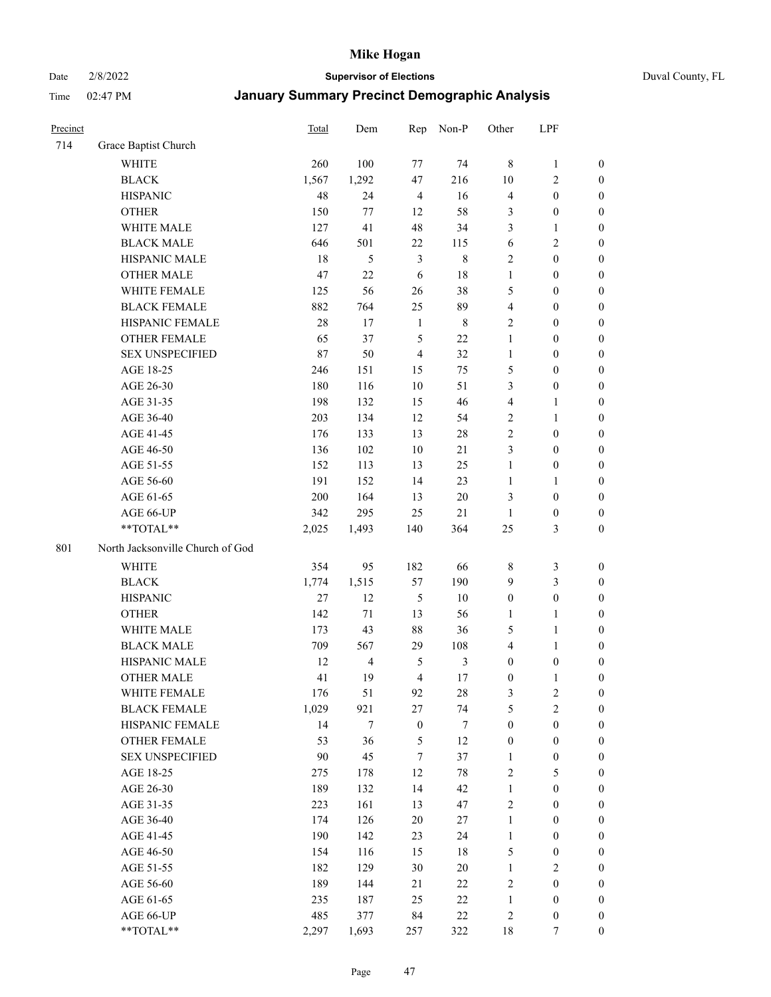Date 2/8/2022 **Supervisor of Elections** Duval County, FL

| Precinct |                                  | <b>Total</b> | Dem                     | Rep              | Non-P          | Other                        | LPF                                  |                  |
|----------|----------------------------------|--------------|-------------------------|------------------|----------------|------------------------------|--------------------------------------|------------------|
| 714      | Grace Baptist Church             |              |                         |                  |                |                              |                                      |                  |
|          | <b>WHITE</b>                     | 260          | 100                     | 77               | 74             | 8                            | $\mathbf{1}$                         | 0                |
|          | <b>BLACK</b>                     | 1,567        | 1,292                   | 47               | 216            | 10                           | $\sqrt{2}$                           | $\boldsymbol{0}$ |
|          | <b>HISPANIC</b>                  | 48           | 24                      | $\overline{4}$   | 16             | $\overline{4}$               | $\boldsymbol{0}$                     | $\boldsymbol{0}$ |
|          | <b>OTHER</b>                     | 150          | 77                      | 12               | 58             | 3                            | $\boldsymbol{0}$                     | $\boldsymbol{0}$ |
|          | WHITE MALE                       | 127          | 41                      | 48               | 34             | 3                            | $\mathbf{1}$                         | $\boldsymbol{0}$ |
|          | <b>BLACK MALE</b>                | 646          | 501                     | $22\,$           | 115            | 6                            | $\sqrt{2}$                           | $\boldsymbol{0}$ |
|          | HISPANIC MALE                    | 18           | 5                       | $\mathfrak{Z}$   | $8\,$          | $\overline{c}$               | $\boldsymbol{0}$                     | $\boldsymbol{0}$ |
|          | <b>OTHER MALE</b>                | 47           | 22                      | $\sqrt{6}$       | 18             | $\mathbf{1}$                 | $\boldsymbol{0}$                     | $\boldsymbol{0}$ |
|          | WHITE FEMALE                     | 125          | 56                      | 26               | 38             | 5                            | $\boldsymbol{0}$                     | $\boldsymbol{0}$ |
|          | <b>BLACK FEMALE</b>              | 882          | 764                     | 25               | 89             | $\overline{4}$               | $\boldsymbol{0}$                     | $\boldsymbol{0}$ |
|          | HISPANIC FEMALE                  | 28           | 17                      | $\mathbf{1}$     | $\,$ 8 $\,$    | $\mathbf{2}$                 | $\boldsymbol{0}$                     | 0                |
|          | <b>OTHER FEMALE</b>              | 65           | 37                      | $\mathfrak{H}$   | 22             | $\mathbf{1}$                 | $\boldsymbol{0}$                     | $\boldsymbol{0}$ |
|          | <b>SEX UNSPECIFIED</b>           | 87           | 50                      | $\overline{4}$   | 32             | $\mathbf{1}$                 | $\boldsymbol{0}$                     | $\boldsymbol{0}$ |
|          | AGE 18-25                        | 246          | 151                     | 15               | 75             | 5                            | $\boldsymbol{0}$                     | $\boldsymbol{0}$ |
|          | AGE 26-30                        | 180          | 116                     | $10\,$           | 51             | 3                            | $\boldsymbol{0}$                     | $\boldsymbol{0}$ |
|          | AGE 31-35                        | 198          | 132                     | 15               | 46             | $\overline{4}$               | $\mathbf{1}$                         | $\boldsymbol{0}$ |
|          | AGE 36-40                        | 203          | 134                     | 12               | 54             | $\overline{c}$               | $\mathbf{1}$                         | $\boldsymbol{0}$ |
|          | AGE 41-45                        | 176          | 133                     | 13               | $28\,$         | $\mathbf{2}$                 | $\boldsymbol{0}$                     | $\boldsymbol{0}$ |
|          | AGE 46-50                        | 136          | 102                     | $10\,$           | 21             | 3                            | $\boldsymbol{0}$                     | $\boldsymbol{0}$ |
|          | AGE 51-55                        | 152          | 113                     | 13               | 25             | $\mathbf{1}$                 | $\boldsymbol{0}$                     | $\boldsymbol{0}$ |
|          | AGE 56-60                        | 191          | 152                     | 14               | 23             | $\mathbf{1}$                 | $\mathbf{1}$                         | 0                |
|          | AGE 61-65                        | 200          | 164                     | 13               | $20\,$         | 3                            | $\boldsymbol{0}$                     | 0                |
|          | AGE 66-UP                        | 342          | 295                     | 25               | $21\,$         | $\mathbf{1}$                 | $\boldsymbol{0}$                     | $\boldsymbol{0}$ |
|          | $**TOTAL**$                      | 2,025        | 1,493                   | 140              | 364            | 25                           | $\mathfrak{Z}$                       | $\boldsymbol{0}$ |
| 801      | North Jacksonville Church of God |              |                         |                  |                |                              |                                      |                  |
|          |                                  |              |                         |                  |                |                              |                                      |                  |
|          | <b>WHITE</b>                     | 354          | 95                      | 182              | 66             | $\,8\,$                      | $\mathfrak{Z}$                       | $\boldsymbol{0}$ |
|          | <b>BLACK</b>                     | 1,774        | 1,515                   | 57               | 190            | 9                            | $\mathfrak{Z}$                       | $\boldsymbol{0}$ |
|          | <b>HISPANIC</b>                  | 27           | 12                      | $\mathfrak{H}$   | $10\,$         | $\boldsymbol{0}$             | $\boldsymbol{0}$                     | $\boldsymbol{0}$ |
|          | <b>OTHER</b>                     | 142          | 71                      | 13               | 56             | $\mathbf{1}$                 | $\mathbf{1}$                         | $\boldsymbol{0}$ |
|          | WHITE MALE                       | 173          | 43                      | 88               | 36             | 5                            | $\mathbf{1}$                         | $\boldsymbol{0}$ |
|          | <b>BLACK MALE</b>                | 709          | 567                     | 29               | 108            | $\overline{4}$               | $\mathbf{1}$                         | $\boldsymbol{0}$ |
|          | HISPANIC MALE                    | 12           | $\overline{\mathbf{4}}$ | 5                | $\mathfrak{Z}$ | $\boldsymbol{0}$             | $\boldsymbol{0}$                     | 0                |
|          | <b>OTHER MALE</b>                | 41           | 19                      | $\overline{4}$   | 17             | $\boldsymbol{0}$             | $\mathbf{1}$                         | 0                |
|          | WHITE FEMALE                     | 176          | 51                      | 92               | 28             | 3                            | 2                                    | 0                |
|          | <b>BLACK FEMALE</b>              | 1,029        | 921                     | $27\,$           | 74             | 5                            | $\sqrt{2}$                           | $\boldsymbol{0}$ |
|          | HISPANIC FEMALE                  | 14           | $\tau$                  | $\boldsymbol{0}$ | $\tau$         | $\boldsymbol{0}$             | $\boldsymbol{0}$                     | $\overline{0}$   |
|          | OTHER FEMALE                     | 53           | 36                      | $\mathfrak{S}$   | 12             | $\boldsymbol{0}$             | $\boldsymbol{0}$                     | $\overline{0}$   |
|          | <b>SEX UNSPECIFIED</b>           | 90           | 45                      | $\boldsymbol{7}$ | 37             | $\mathbf{1}$                 | $\boldsymbol{0}$                     | 0<br>$\theta$    |
|          | AGE 18-25                        | 275          | 178                     | 12               | $78\,$         | $\overline{c}$               | $\mathfrak{S}$                       |                  |
|          | AGE 26-30                        | 189<br>223   | 132<br>161              | 14<br>13         | 42<br>47       | $\mathbf{1}$<br>$\sqrt{2}$   | $\boldsymbol{0}$                     | 0                |
|          | AGE 31-35                        |              |                         |                  |                |                              | $\boldsymbol{0}$                     | 0                |
|          | AGE 36-40                        | 174<br>190   | 126<br>142              | $20\,$<br>23     | $27\,$         | $\mathbf{1}$<br>$\mathbf{1}$ | $\boldsymbol{0}$<br>$\boldsymbol{0}$ | 0                |
|          | AGE 41-45                        |              |                         |                  | 24             |                              |                                      | 0                |
|          | AGE 46-50                        | 154          | 116                     | 15               | 18             | 5                            | $\boldsymbol{0}$                     | 0                |
|          | AGE 51-55                        | 182          | 129                     | 30               | $20\,$         | $\mathbf{1}$                 | $\overline{2}$                       | $\boldsymbol{0}$ |
|          | AGE 56-60                        | 189          | 144                     | 21               | 22             | $\overline{c}$               | $\boldsymbol{0}$                     | $\boldsymbol{0}$ |
|          | AGE 61-65                        | 235          | 187                     | 25               | 22             | $\mathbf{1}$                 | $\boldsymbol{0}$                     | $\boldsymbol{0}$ |
|          | AGE 66-UP                        | 485          | 377                     | 84               | $22\,$         | $\overline{c}$               | $\boldsymbol{0}$                     | $\boldsymbol{0}$ |
|          | **TOTAL**                        | 2,297        | 1,693                   | 257              | 322            | 18                           | $\tau$                               | $\boldsymbol{0}$ |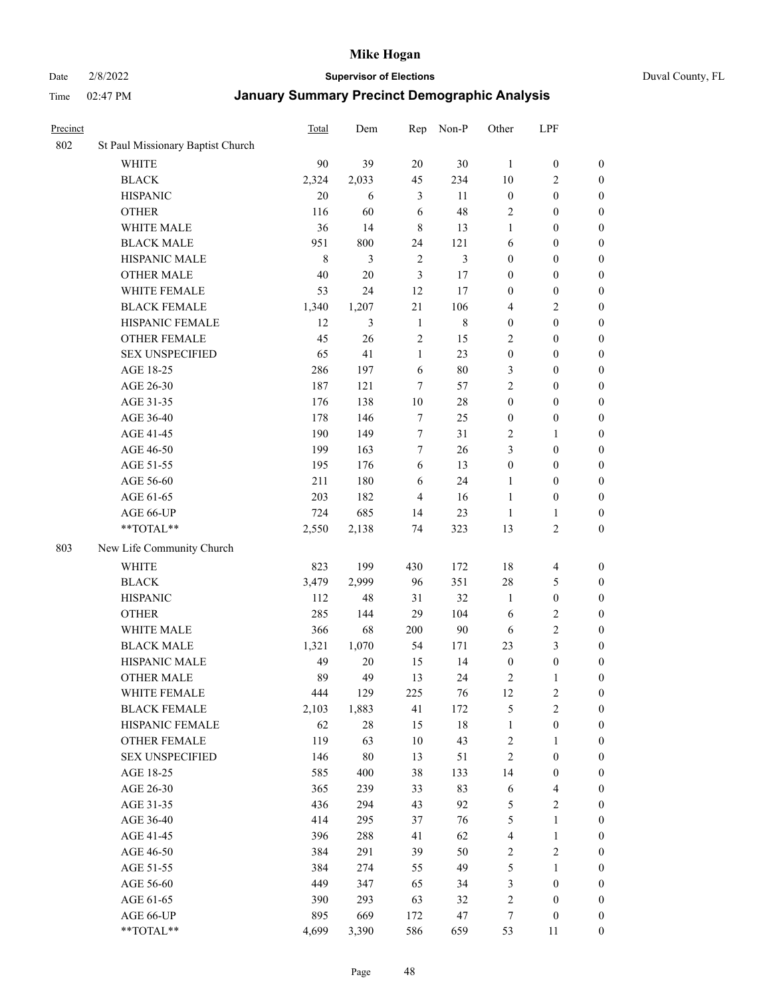#### Date 2/8/2022 **Supervisor of Elections** Duval County, FL

| Precinct |                                   | <b>Total</b> | Dem    | Rep            | Non-P       | Other            | LPF                     |                  |
|----------|-----------------------------------|--------------|--------|----------------|-------------|------------------|-------------------------|------------------|
| 802      | St Paul Missionary Baptist Church |              |        |                |             |                  |                         |                  |
|          | <b>WHITE</b>                      | 90           | 39     | 20             | 30          | 1                | $\boldsymbol{0}$        | $\boldsymbol{0}$ |
|          | $\operatorname{BLACK}$            | 2,324        | 2,033  | 45             | 234         | 10               | $\overline{c}$          | $\boldsymbol{0}$ |
|          | <b>HISPANIC</b>                   | 20           | 6      | 3              | 11          | $\boldsymbol{0}$ | $\boldsymbol{0}$        | $\boldsymbol{0}$ |
|          | <b>OTHER</b>                      | 116          | 60     | 6              | 48          | 2                | $\boldsymbol{0}$        | $\boldsymbol{0}$ |
|          | WHITE MALE                        | 36           | 14     | $\,8\,$        | 13          | $\mathbf{1}$     | $\boldsymbol{0}$        | $\boldsymbol{0}$ |
|          | <b>BLACK MALE</b>                 | 951          | 800    | 24             | 121         | 6                | $\boldsymbol{0}$        | $\boldsymbol{0}$ |
|          | HISPANIC MALE                     | $\,$ 8 $\,$  | 3      | $\overline{2}$ | 3           | $\boldsymbol{0}$ | $\boldsymbol{0}$        | $\boldsymbol{0}$ |
|          | <b>OTHER MALE</b>                 | 40           | 20     | 3              | 17          | $\boldsymbol{0}$ | $\boldsymbol{0}$        | $\boldsymbol{0}$ |
|          | WHITE FEMALE                      | 53           | 24     | 12             | 17          | $\boldsymbol{0}$ | $\boldsymbol{0}$        | $\boldsymbol{0}$ |
|          | <b>BLACK FEMALE</b>               | 1,340        | 1,207  | $21\,$         | 106         | 4                | $\sqrt{2}$              | $\boldsymbol{0}$ |
|          | HISPANIC FEMALE                   | 12           | 3      | $\mathbf{1}$   | $\,$ 8 $\,$ | $\boldsymbol{0}$ | $\boldsymbol{0}$        | $\boldsymbol{0}$ |
|          | <b>OTHER FEMALE</b>               | 45           | 26     | $\overline{2}$ | 15          | $\overline{2}$   | $\boldsymbol{0}$        | $\boldsymbol{0}$ |
|          | <b>SEX UNSPECIFIED</b>            | 65           | 41     | $\mathbf{1}$   | 23          | $\boldsymbol{0}$ | $\boldsymbol{0}$        | $\boldsymbol{0}$ |
|          | AGE 18-25                         | 286          | 197    | 6              | 80          | 3                | $\boldsymbol{0}$        | $\boldsymbol{0}$ |
|          | AGE 26-30                         | 187          | 121    | $\tau$         | 57          | $\overline{c}$   | $\boldsymbol{0}$        | $\boldsymbol{0}$ |
|          | AGE 31-35                         | 176          | 138    | 10             | 28          | $\boldsymbol{0}$ | $\boldsymbol{0}$        | $\boldsymbol{0}$ |
|          | AGE 36-40                         | 178          | 146    | 7              | 25          | $\boldsymbol{0}$ | $\boldsymbol{0}$        | $\boldsymbol{0}$ |
|          | AGE 41-45                         | 190          | 149    | $\tau$         | 31          | $\mathbf{2}$     | $\mathbf{1}$            | $\boldsymbol{0}$ |
|          | AGE 46-50                         | 199          | 163    | $\tau$         | 26          | 3                | $\boldsymbol{0}$        | $\boldsymbol{0}$ |
|          | AGE 51-55                         | 195          | 176    | 6              | 13          | $\boldsymbol{0}$ | $\boldsymbol{0}$        | $\boldsymbol{0}$ |
|          | AGE 56-60                         | 211          | 180    | 6              | 24          | $\mathbf{1}$     | $\boldsymbol{0}$        | 0                |
|          | AGE 61-65                         | 203          | 182    | $\overline{4}$ | 16          | $\mathbf{1}$     | $\boldsymbol{0}$        | 0                |
|          | AGE 66-UP                         | 724          | 685    | 14             | 23          | $\mathbf{1}$     | $\mathbf{1}$            | $\boldsymbol{0}$ |
|          | **TOTAL**                         | 2,550        | 2,138  | 74             | 323         | 13               | $\sqrt{2}$              | $\boldsymbol{0}$ |
|          |                                   |              |        |                |             |                  |                         |                  |
| 803      | New Life Community Church         |              |        |                |             |                  |                         |                  |
|          | <b>WHITE</b>                      | 823          | 199    | 430            | 172         | 18               | $\overline{\mathbf{4}}$ | $\boldsymbol{0}$ |
|          | <b>BLACK</b>                      | 3,479        | 2,999  | 96             | 351         | 28               | $\mathfrak{S}$          | $\boldsymbol{0}$ |
|          | <b>HISPANIC</b>                   | 112          | 48     | 31             | 32          | $\mathbf{1}$     | $\boldsymbol{0}$        | $\boldsymbol{0}$ |
|          | <b>OTHER</b>                      | 285          | 144    | 29             | 104         | 6                | $\sqrt{2}$              | $\boldsymbol{0}$ |
|          | WHITE MALE                        | 366          | 68     | 200            | 90          | 6                | $\mathfrak{2}$          | $\boldsymbol{0}$ |
|          | <b>BLACK MALE</b>                 | 1,321        | 1,070  | 54             | 171         | 23               | $\mathfrak{Z}$          | $\boldsymbol{0}$ |
|          | HISPANIC MALE                     | 49           | $20\,$ | 15             | 14          | $\boldsymbol{0}$ | $\boldsymbol{0}$        | $\boldsymbol{0}$ |
|          | <b>OTHER MALE</b>                 | 89           | 49     | 13             | 24          | 2                | $\mathbf{1}$            | $\boldsymbol{0}$ |
|          | WHITE FEMALE                      | 444          | 129    | 225            | 76          | 12               | 2                       | 0                |
|          | <b>BLACK FEMALE</b>               | 2,103        | 1,883  | 41             | 172         | 5                | $\sqrt{2}$              | $\boldsymbol{0}$ |
|          | HISPANIC FEMALE                   | 62           | $28\,$ | 15             | $18\,$      | $\mathbf{1}$     | $\boldsymbol{0}$        | $\overline{0}$   |
|          | <b>OTHER FEMALE</b>               | 119          | 63     | $10\,$         | 43          | 2                | $\mathbf{1}$            | $\overline{0}$   |
|          | <b>SEX UNSPECIFIED</b>            | 146          | $80\,$ | 13             | 51          | $\sqrt{2}$       | $\boldsymbol{0}$        | 0                |
|          | AGE 18-25                         | 585          | 400    | 38             | 133         | 14               | $\boldsymbol{0}$        | 0                |
|          | AGE 26-30                         | 365          | 239    | 33             | 83          | 6                | $\overline{\mathbf{4}}$ | 0                |
|          | AGE 31-35                         | 436          | 294    | 43             | 92          | 5                | $\sqrt{2}$              | 0                |
|          | AGE 36-40                         | 414          | 295    | 37             | 76          | 5                | $\mathbf{1}$            | 0                |
|          | AGE 41-45                         | 396          | 288    | 41             | 62          | $\overline{4}$   | $\mathbf{1}$            | 0                |
|          | AGE 46-50                         | 384          | 291    | 39             | 50          | 2                | $\sqrt{2}$              | 0                |
|          | AGE 51-55                         | 384          | 274    | 55             | 49          | 5                | $\mathbf{1}$            | 0                |
|          | AGE 56-60                         | 449          | 347    | 65             | 34          | 3                | $\boldsymbol{0}$        | $\overline{0}$   |
|          | AGE 61-65                         | 390          | 293    | 63             | 32          | 2                | $\boldsymbol{0}$        | $\overline{0}$   |
|          | AGE 66-UP                         | 895          | 669    | 172            | 47          | 7                | $\boldsymbol{0}$        | 0                |
|          | **TOTAL**                         | 4,699        | 3,390  | 586            | 659         | 53               | 11                      | $\boldsymbol{0}$ |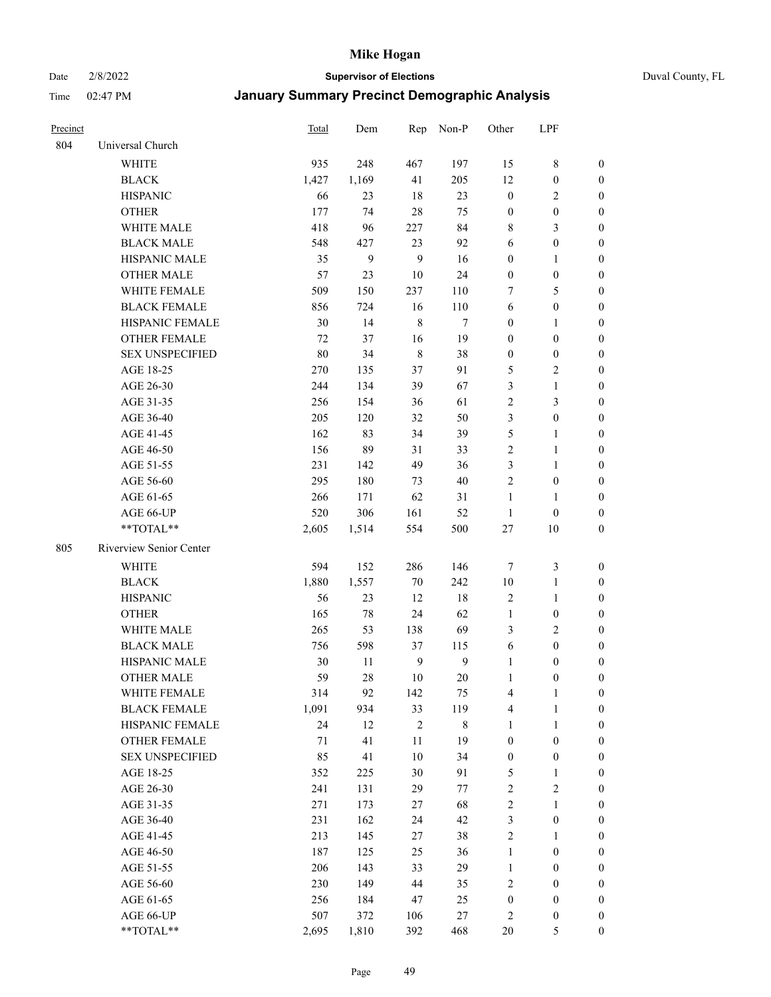#### Date 2/8/2022 **Supervisor of Elections** Duval County, FL

| Precinct |                         | <b>Total</b> | Dem   | Rep            | Non-P          | Other            | LPF              |                  |
|----------|-------------------------|--------------|-------|----------------|----------------|------------------|------------------|------------------|
| 804      | Universal Church        |              |       |                |                |                  |                  |                  |
|          | <b>WHITE</b>            | 935          | 248   | 467            | 197            | 15               | $\,$ 8 $\,$      | 0                |
|          | <b>BLACK</b>            | 1,427        | 1,169 | 41             | 205            | 12               | $\boldsymbol{0}$ | $\boldsymbol{0}$ |
|          | <b>HISPANIC</b>         | 66           | 23    | 18             | 23             | $\boldsymbol{0}$ | $\overline{2}$   | 0                |
|          | <b>OTHER</b>            | 177          | 74    | 28             | 75             | $\boldsymbol{0}$ | $\boldsymbol{0}$ | $\boldsymbol{0}$ |
|          | WHITE MALE              | 418          | 96    | 227            | 84             | 8                | $\mathfrak{Z}$   | $\boldsymbol{0}$ |
|          | <b>BLACK MALE</b>       | 548          | 427   | 23             | 92             | 6                | $\boldsymbol{0}$ | $\boldsymbol{0}$ |
|          | HISPANIC MALE           | 35           | 9     | 9              | 16             | $\boldsymbol{0}$ | $\mathbf{1}$     | $\boldsymbol{0}$ |
|          | <b>OTHER MALE</b>       | 57           | 23    | 10             | 24             | $\boldsymbol{0}$ | $\boldsymbol{0}$ | $\boldsymbol{0}$ |
|          | WHITE FEMALE            | 509          | 150   | 237            | 110            | 7                | 5                | $\boldsymbol{0}$ |
|          | <b>BLACK FEMALE</b>     | 856          | 724   | 16             | 110            | 6                | $\boldsymbol{0}$ | 0                |
|          | HISPANIC FEMALE         | 30           | 14    | $\,$ 8 $\,$    | 7              | $\boldsymbol{0}$ | $\mathbf{1}$     | 0                |
|          | <b>OTHER FEMALE</b>     | 72           | 37    | 16             | 19             | $\boldsymbol{0}$ | $\boldsymbol{0}$ | 0                |
|          | <b>SEX UNSPECIFIED</b>  | $80\,$       | 34    | $\,$ 8 $\,$    | 38             | $\boldsymbol{0}$ | $\boldsymbol{0}$ | $\boldsymbol{0}$ |
|          | AGE 18-25               | 270          | 135   | 37             | 91             | 5                | $\sqrt{2}$       | $\boldsymbol{0}$ |
|          | AGE 26-30               | 244          | 134   | 39             | 67             | 3                | $\mathbf{1}$     | $\boldsymbol{0}$ |
|          | AGE 31-35               | 256          | 154   | 36             | 61             | $\sqrt{2}$       | $\mathfrak{Z}$   | $\boldsymbol{0}$ |
|          | AGE 36-40               | 205          | 120   | 32             | 50             | 3                | $\boldsymbol{0}$ | $\boldsymbol{0}$ |
|          | AGE 41-45               | 162          | 83    | 34             | 39             | 5                | $\mathbf{1}$     | $\boldsymbol{0}$ |
|          | AGE 46-50               | 156          | 89    | 31             | 33             | $\overline{c}$   | $\mathbf{1}$     | $\boldsymbol{0}$ |
|          | AGE 51-55               | 231          | 142   | 49             | 36             | 3                | $\mathbf{1}$     | 0                |
|          | AGE 56-60               | 295          | 180   | 73             | 40             | $\overline{c}$   | $\boldsymbol{0}$ | 0                |
|          | AGE 61-65               | 266          | 171   | 62             | 31             | $\mathbf{1}$     | $\mathbf{1}$     | 0                |
|          | AGE 66-UP               | 520          | 306   | 161            | 52             | $\mathbf{1}$     | $\boldsymbol{0}$ | 0                |
|          | **TOTAL**               | 2,605        | 1,514 | 554            | 500            | $27\,$           | 10               | $\boldsymbol{0}$ |
| 805      | Riverview Senior Center |              |       |                |                |                  |                  |                  |
|          | <b>WHITE</b>            | 594          | 152   | 286            | 146            | 7                | $\mathfrak{Z}$   | $\boldsymbol{0}$ |
|          | <b>BLACK</b>            | 1,880        | 1,557 | $70\,$         | 242            | $10\,$           | $\mathbf{1}$     | $\boldsymbol{0}$ |
|          | <b>HISPANIC</b>         | 56           | 23    | 12             | $18\,$         | $\sqrt{2}$       | $\mathbf{1}$     | $\boldsymbol{0}$ |
|          | <b>OTHER</b>            | 165          | 78    | 24             | 62             | $\mathbf{1}$     | $\boldsymbol{0}$ | $\boldsymbol{0}$ |
|          | WHITE MALE              | 265          | 53    | 138            | 69             | 3                | $\overline{2}$   | $\boldsymbol{0}$ |
|          | <b>BLACK MALE</b>       | 756          | 598   | 37             | 115            | 6                | $\boldsymbol{0}$ | $\boldsymbol{0}$ |
|          | HISPANIC MALE           | 30           | 11    | $\overline{9}$ | $\overline{9}$ | $\mathbf{1}$     | $\boldsymbol{0}$ | 0                |
|          | <b>OTHER MALE</b>       | 59           | 28    | 10             | 20             | $\mathbf{1}$     | $\boldsymbol{0}$ | 0                |
|          | WHITE FEMALE            | 314          | 92    | 142            | 75             | 4                | 1                | 0                |
|          | <b>BLACK FEMALE</b>     | 1,091        | 934   | 33             | 119            | 4                | $\mathbf{1}$     | $\boldsymbol{0}$ |
|          | HISPANIC FEMALE         | 24           | 12    | $\sqrt{2}$     | $8\,$          | 1                | $\mathbf{1}$     | $\overline{0}$   |
|          | OTHER FEMALE            | 71           | 41    | $11\,$         | 19             | $\boldsymbol{0}$ | $\boldsymbol{0}$ | $\overline{0}$   |
|          | <b>SEX UNSPECIFIED</b>  | 85           | 41    | 10             | 34             | $\boldsymbol{0}$ | $\boldsymbol{0}$ | 0                |
|          | AGE 18-25               | 352          | 225   | 30             | 91             | 5                | $\mathbf{1}$     | 0                |
|          | AGE 26-30               | 241          | 131   | 29             | 77             | 2                | $\mathbf{2}$     | 0                |
|          | AGE 31-35               | 271          | 173   | 27             | 68             | $\overline{c}$   | $\mathbf{1}$     | 0                |
|          | AGE 36-40               | 231          | 162   | 24             | 42             | 3                | $\boldsymbol{0}$ | 0                |
|          | AGE 41-45               | 213          | 145   | 27             | 38             | 2                | $\mathbf{1}$     | 0                |
|          | AGE 46-50               | 187          | 125   | 25             | 36             | $\mathbf{1}$     | $\boldsymbol{0}$ | 0                |
|          | AGE 51-55               | 206          | 143   | 33             | 29             | $\mathbf{1}$     | $\boldsymbol{0}$ | 0                |
|          | AGE 56-60               | 230          | 149   | 44             | 35             | $\mathbf{2}$     | $\boldsymbol{0}$ | $\overline{0}$   |
|          | AGE 61-65               | 256          | 184   | 47             | 25             | $\boldsymbol{0}$ | $\boldsymbol{0}$ | $\boldsymbol{0}$ |
|          | AGE 66-UP               | 507          | 372   | 106            | 27             | 2                | $\boldsymbol{0}$ | 0                |
|          | **TOTAL**               | 2,695        | 1,810 | 392            | 468            | $20\,$           | $\mathfrak{S}$   | $\boldsymbol{0}$ |
|          |                         |              |       |                |                |                  |                  |                  |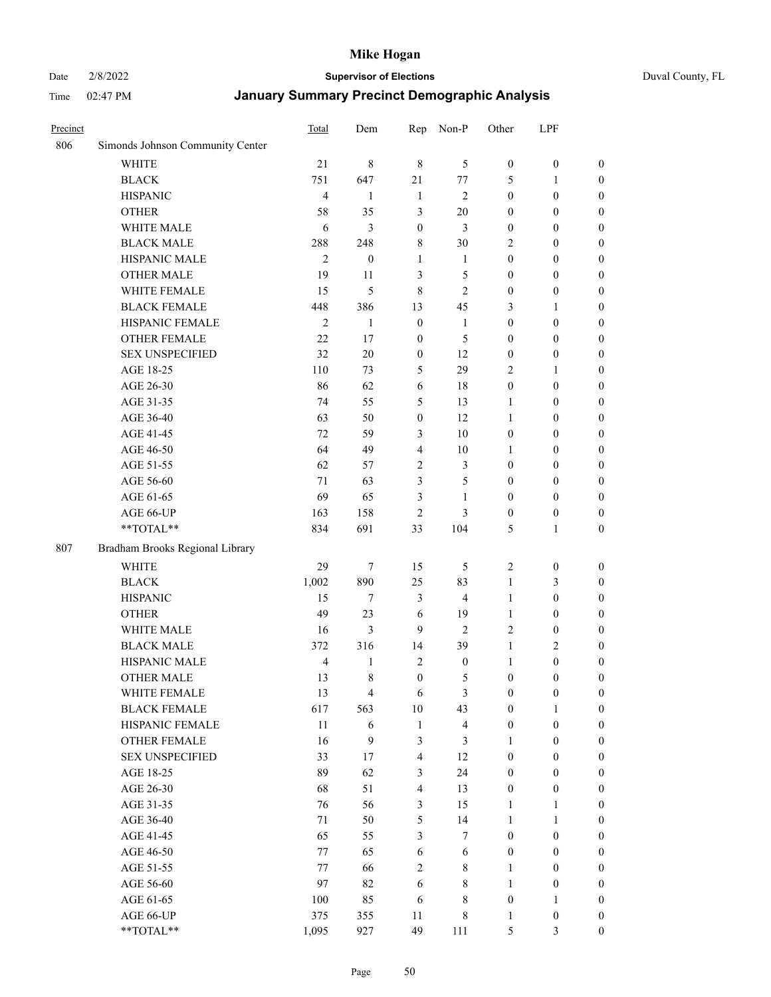#### Date 2/8/2022 **Supervisor of Elections** Duval County, FL

| Precinct |                                  | Total          | Dem                     | Rep              | Non-P                   | Other            | LPF              |                  |
|----------|----------------------------------|----------------|-------------------------|------------------|-------------------------|------------------|------------------|------------------|
| 806      | Simonds Johnson Community Center |                |                         |                  |                         |                  |                  |                  |
|          | <b>WHITE</b>                     | 21             | $\,$ 8 $\,$             | $\,$ 8 $\,$      | 5                       | $\boldsymbol{0}$ | $\boldsymbol{0}$ | $\boldsymbol{0}$ |
|          | <b>BLACK</b>                     | 751            | 647                     | 21               | 77                      | 5                | $\mathbf{1}$     | $\boldsymbol{0}$ |
|          | <b>HISPANIC</b>                  | $\overline{4}$ | 1                       | $\mathbf{1}$     | $\mathfrak{2}$          | $\boldsymbol{0}$ | $\boldsymbol{0}$ | $\boldsymbol{0}$ |
|          | <b>OTHER</b>                     | 58             | 35                      | 3                | $20\,$                  | $\boldsymbol{0}$ | $\boldsymbol{0}$ | $\boldsymbol{0}$ |
|          | WHITE MALE                       | 6              | 3                       | $\boldsymbol{0}$ | 3                       | $\boldsymbol{0}$ | $\boldsymbol{0}$ | $\boldsymbol{0}$ |
|          | <b>BLACK MALE</b>                | 288            | 248                     | 8                | $30\,$                  | 2                | $\boldsymbol{0}$ | $\boldsymbol{0}$ |
|          | HISPANIC MALE                    | $\overline{2}$ | $\boldsymbol{0}$        | $\mathbf{1}$     | $\mathbf{1}$            | $\boldsymbol{0}$ | $\boldsymbol{0}$ | $\boldsymbol{0}$ |
|          | OTHER MALE                       | 19             | 11                      | 3                | $\mathfrak s$           | $\boldsymbol{0}$ | $\boldsymbol{0}$ | $\boldsymbol{0}$ |
|          | WHITE FEMALE                     | 15             | 5                       | 8                | $\sqrt{2}$              | $\boldsymbol{0}$ | $\boldsymbol{0}$ | $\boldsymbol{0}$ |
|          | <b>BLACK FEMALE</b>              | 448            | 386                     | 13               | 45                      | 3                | $\mathbf{1}$     | 0                |
|          | HISPANIC FEMALE                  | $\mathfrak{2}$ | $\mathbf{1}$            | $\boldsymbol{0}$ | $\mathbf{1}$            | $\boldsymbol{0}$ | $\boldsymbol{0}$ | $\boldsymbol{0}$ |
|          | <b>OTHER FEMALE</b>              | 22             | 17                      | $\boldsymbol{0}$ | 5                       | $\boldsymbol{0}$ | $\boldsymbol{0}$ | $\boldsymbol{0}$ |
|          | <b>SEX UNSPECIFIED</b>           | 32             | $20\,$                  | $\boldsymbol{0}$ | 12                      | $\boldsymbol{0}$ | $\boldsymbol{0}$ | $\boldsymbol{0}$ |
|          | AGE 18-25                        | 110            | 73                      | 5                | 29                      | 2                | $\mathbf{1}$     | $\boldsymbol{0}$ |
|          | AGE 26-30                        | 86             | 62                      | 6                | 18                      | $\boldsymbol{0}$ | $\boldsymbol{0}$ | $\boldsymbol{0}$ |
|          | AGE 31-35                        | 74             | 55                      | 5                | 13                      | $\mathbf{1}$     | $\boldsymbol{0}$ | $\boldsymbol{0}$ |
|          | AGE 36-40                        | 63             | 50                      | $\boldsymbol{0}$ | 12                      | $\mathbf{1}$     | $\boldsymbol{0}$ | $\boldsymbol{0}$ |
|          | AGE 41-45                        | 72             | 59                      | $\mathfrak{Z}$   | 10                      | $\boldsymbol{0}$ | $\boldsymbol{0}$ | $\boldsymbol{0}$ |
|          | AGE 46-50                        | 64             | 49                      | $\overline{4}$   | $10\,$                  | 1                | $\boldsymbol{0}$ | $\boldsymbol{0}$ |
|          | AGE 51-55                        | 62             | 57                      | $\sqrt{2}$       | $\mathfrak{Z}$          | $\boldsymbol{0}$ | $\boldsymbol{0}$ | 0                |
|          | AGE 56-60                        | 71             | 63                      | 3                | $\mathfrak{S}$          | $\boldsymbol{0}$ | $\boldsymbol{0}$ | $\boldsymbol{0}$ |
|          | AGE 61-65                        | 69             | 65                      | 3                | $\mathbf{1}$            | $\boldsymbol{0}$ | $\boldsymbol{0}$ | $\boldsymbol{0}$ |
|          | AGE 66-UP                        | 163            | 158                     | $\overline{2}$   | 3                       | $\boldsymbol{0}$ | $\boldsymbol{0}$ | $\boldsymbol{0}$ |
|          | **TOTAL**                        | 834            | 691                     | 33               | 104                     | 5                | $\mathbf{1}$     | $\boldsymbol{0}$ |
| 807      | Bradham Brooks Regional Library  |                |                         |                  |                         |                  |                  |                  |
|          | <b>WHITE</b>                     | 29             | $\tau$                  | 15               | 5                       | $\sqrt{2}$       | $\boldsymbol{0}$ | $\boldsymbol{0}$ |
|          | <b>BLACK</b>                     | 1,002          | 890                     | 25               | 83                      | $\mathbf{1}$     | $\mathfrak{Z}$   | $\boldsymbol{0}$ |
|          | <b>HISPANIC</b>                  | 15             | $\tau$                  | $\mathfrak{Z}$   | $\overline{4}$          | $\mathbf{1}$     | $\boldsymbol{0}$ | $\boldsymbol{0}$ |
|          | <b>OTHER</b>                     | 49             | 23                      | 6                | 19                      | $\mathbf{1}$     | $\boldsymbol{0}$ | $\boldsymbol{0}$ |
|          | WHITE MALE                       | 16             | 3                       | 9                | $\overline{2}$          | 2                | $\boldsymbol{0}$ | $\boldsymbol{0}$ |
|          | <b>BLACK MALE</b>                | 372            | 316                     | 14               | 39                      | $\mathbf{1}$     | $\sqrt{2}$       | $\boldsymbol{0}$ |
|          | HISPANIC MALE                    | $\overline{4}$ | $\mathbf{1}$            | $\sqrt{2}$       | $\boldsymbol{0}$        | $\mathbf{1}$     | $\boldsymbol{0}$ | 0                |
|          | OTHER MALE                       | 13             | 8                       | $\boldsymbol{0}$ | 5                       | $\boldsymbol{0}$ | $\boldsymbol{0}$ | $\boldsymbol{0}$ |
|          | WHITE FEMALE                     | 13             | $\overline{\mathbf{4}}$ | 6                | 3                       | $\boldsymbol{0}$ | $\boldsymbol{0}$ | $\boldsymbol{0}$ |
|          | <b>BLACK FEMALE</b>              | 617            | 563                     | 10               | 43                      | $\boldsymbol{0}$ | $\mathbf{1}$     | $\overline{0}$   |
|          | HISPANIC FEMALE                  | 11             | 6                       | $\mathbf{1}$     | $\overline{\mathbf{4}}$ | $\boldsymbol{0}$ | $\boldsymbol{0}$ | $\overline{0}$   |
|          | <b>OTHER FEMALE</b>              | 16             | 9                       | $\mathfrak{Z}$   | $\mathfrak{Z}$          | $\mathbf{1}$     | $\boldsymbol{0}$ | $\overline{0}$   |
|          | <b>SEX UNSPECIFIED</b>           | 33             | 17                      | $\overline{4}$   | 12                      | $\boldsymbol{0}$ | $\boldsymbol{0}$ | $\overline{0}$   |
|          | AGE 18-25                        | 89             | 62                      | $\mathfrak{Z}$   | 24                      | $\boldsymbol{0}$ | $\boldsymbol{0}$ | $\overline{0}$   |
|          | AGE 26-30                        | 68             | 51                      | $\overline{4}$   | 13                      | $\boldsymbol{0}$ | $\boldsymbol{0}$ | 0                |
|          | AGE 31-35                        | 76             | 56                      | 3                | 15                      | $\mathbf{1}$     | $\mathbf{1}$     | 0                |
|          | AGE 36-40                        | 71             | 50                      | $\mathfrak s$    | 14                      | $\mathbf{1}$     | $\mathbf{1}$     | 0                |
|          | AGE 41-45                        | 65             | 55                      | 3                | $\boldsymbol{7}$        | $\boldsymbol{0}$ | $\boldsymbol{0}$ | 0                |
|          | AGE 46-50                        | 77             | 65                      | $\sqrt{6}$       | 6                       | $\boldsymbol{0}$ | $\boldsymbol{0}$ | $\boldsymbol{0}$ |
|          | AGE 51-55                        | 77             | 66                      | $\sqrt{2}$       | $\,$ 8 $\,$             | $\mathbf{1}$     | $\boldsymbol{0}$ | $\boldsymbol{0}$ |
|          | AGE 56-60                        | 97             | 82                      | 6                | $\,$ 8 $\,$             | $\mathbf{1}$     | $\boldsymbol{0}$ | $\overline{0}$   |
|          | AGE 61-65                        | 100            | 85                      | 6                | $8\,$                   | $\boldsymbol{0}$ | $\mathbf{1}$     | $\boldsymbol{0}$ |
|          | AGE 66-UP                        | 375            | 355                     | 11               | $8\,$                   | $\mathbf{1}$     | $\boldsymbol{0}$ | $\boldsymbol{0}$ |
|          | **TOTAL**                        | 1,095          | 927                     | 49               | 111                     | 5                | 3                | $\boldsymbol{0}$ |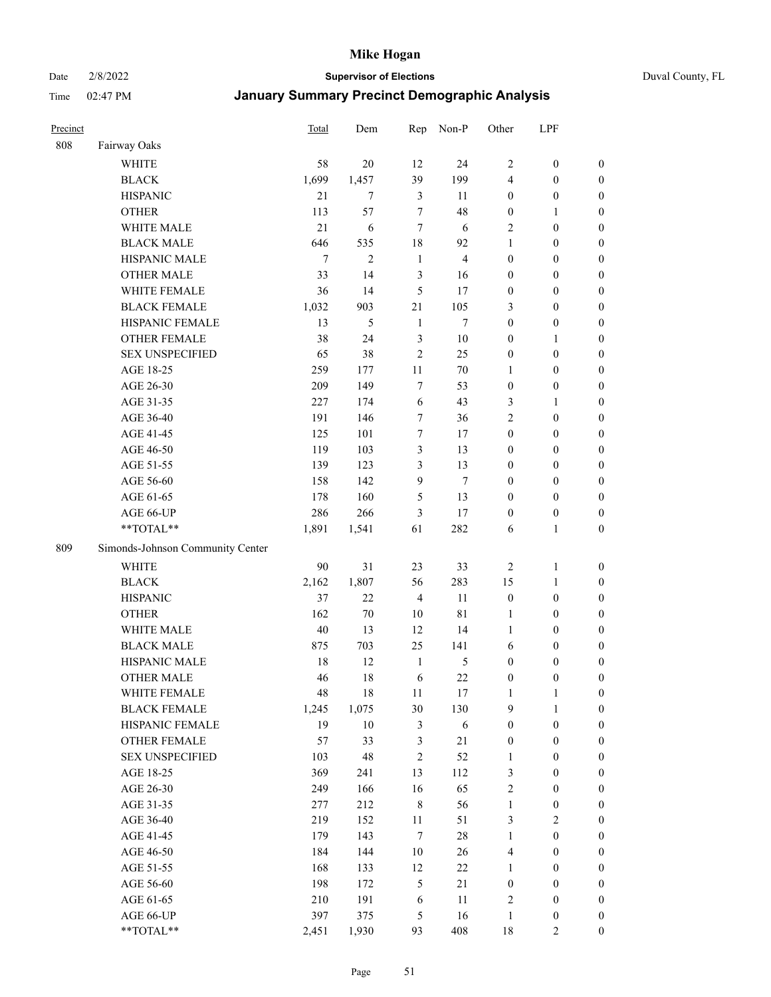#### Date 2/8/2022 **Supervisor of Elections** Duval County, FL

| Precinct |                                  | Total  | Dem            | Rep            | Non-P          | Other            | LPF              |                  |
|----------|----------------------------------|--------|----------------|----------------|----------------|------------------|------------------|------------------|
| 808      | Fairway Oaks                     |        |                |                |                |                  |                  |                  |
|          | <b>WHITE</b>                     | 58     | 20             | 12             | 24             | $\overline{2}$   | $\boldsymbol{0}$ | $\boldsymbol{0}$ |
|          | <b>BLACK</b>                     | 1,699  | 1,457          | 39             | 199            | 4                | $\boldsymbol{0}$ | $\boldsymbol{0}$ |
|          | <b>HISPANIC</b>                  | 21     | 7              | 3              | 11             | $\boldsymbol{0}$ | $\boldsymbol{0}$ | $\boldsymbol{0}$ |
|          | <b>OTHER</b>                     | 113    | 57             | $\tau$         | 48             | $\boldsymbol{0}$ | $\mathbf{1}$     | $\boldsymbol{0}$ |
|          | WHITE MALE                       | 21     | 6              | $\tau$         | 6              | $\overline{c}$   | $\boldsymbol{0}$ | $\boldsymbol{0}$ |
|          | <b>BLACK MALE</b>                | 646    | 535            | 18             | 92             | $\mathbf{1}$     | $\boldsymbol{0}$ | $\boldsymbol{0}$ |
|          | HISPANIC MALE                    | $\tau$ | $\overline{2}$ | $\mathbf{1}$   | $\overline{4}$ | $\boldsymbol{0}$ | $\boldsymbol{0}$ | $\boldsymbol{0}$ |
|          | <b>OTHER MALE</b>                | 33     | 14             | 3              | 16             | $\boldsymbol{0}$ | $\boldsymbol{0}$ | $\boldsymbol{0}$ |
|          | WHITE FEMALE                     | 36     | 14             | 5              | 17             | $\boldsymbol{0}$ | $\boldsymbol{0}$ | $\boldsymbol{0}$ |
|          | <b>BLACK FEMALE</b>              | 1,032  | 903            | $21\,$         | 105            | 3                | $\boldsymbol{0}$ | $\boldsymbol{0}$ |
|          | HISPANIC FEMALE                  | 13     | 5              | $\mathbf{1}$   | $\tau$         | $\boldsymbol{0}$ | $\boldsymbol{0}$ | $\boldsymbol{0}$ |
|          | <b>OTHER FEMALE</b>              | 38     | 24             | $\mathfrak{Z}$ | $10\,$         | $\boldsymbol{0}$ | $\mathbf{1}$     | $\boldsymbol{0}$ |
|          | <b>SEX UNSPECIFIED</b>           | 65     | 38             | $\overline{2}$ | 25             | $\boldsymbol{0}$ | $\boldsymbol{0}$ | $\boldsymbol{0}$ |
|          | AGE 18-25                        | 259    | 177            | $11\,$         | $70\,$         | 1                | $\boldsymbol{0}$ | $\boldsymbol{0}$ |
|          | AGE 26-30                        | 209    | 149            | 7              | 53             | $\boldsymbol{0}$ | $\boldsymbol{0}$ | $\boldsymbol{0}$ |
|          | AGE 31-35                        | 227    | 174            | 6              | 43             | 3                | $\mathbf{1}$     | $\boldsymbol{0}$ |
|          | AGE 36-40                        | 191    | 146            | $\tau$         | 36             | $\overline{c}$   | $\boldsymbol{0}$ | $\boldsymbol{0}$ |
|          | AGE 41-45                        | 125    | 101            | $\tau$         | 17             | $\boldsymbol{0}$ | $\boldsymbol{0}$ | $\boldsymbol{0}$ |
|          | AGE 46-50                        | 119    | 103            | $\mathfrak{Z}$ | 13             | $\boldsymbol{0}$ | $\boldsymbol{0}$ | $\boldsymbol{0}$ |
|          | AGE 51-55                        | 139    | 123            | $\mathfrak{Z}$ | 13             | $\boldsymbol{0}$ | $\boldsymbol{0}$ | $\boldsymbol{0}$ |
|          | AGE 56-60                        | 158    | 142            | 9              | $\tau$         | $\boldsymbol{0}$ | $\boldsymbol{0}$ | 0                |
|          | AGE 61-65                        | 178    | 160            | 5              | 13             | $\boldsymbol{0}$ | $\boldsymbol{0}$ | $\boldsymbol{0}$ |
|          | AGE 66-UP                        | 286    | 266            | 3              | 17             | $\boldsymbol{0}$ | $\boldsymbol{0}$ | $\boldsymbol{0}$ |
|          | **TOTAL**                        | 1,891  | 1,541          | 61             | 282            | 6                | $\mathbf{1}$     | $\boldsymbol{0}$ |
| 809      | Simonds-Johnson Community Center |        |                |                |                |                  |                  |                  |
|          |                                  |        |                |                |                |                  |                  |                  |
|          | <b>WHITE</b>                     | 90     | 31             | 23             | 33             | $\overline{2}$   | $\mathbf{1}$     | $\boldsymbol{0}$ |
|          | <b>BLACK</b>                     | 2,162  | 1,807          | 56             | 283            | 15               | $\mathbf{1}$     | $\boldsymbol{0}$ |
|          | <b>HISPANIC</b>                  | 37     | 22             | $\overline{4}$ | 11             | $\boldsymbol{0}$ | $\boldsymbol{0}$ | $\boldsymbol{0}$ |
|          | <b>OTHER</b>                     | 162    | $70\,$         | 10             | 81             | $\mathbf{1}$     | $\boldsymbol{0}$ | $\boldsymbol{0}$ |
|          | WHITE MALE                       | 40     | 13             | 12             | 14             | $\mathbf{1}$     | $\boldsymbol{0}$ | $\boldsymbol{0}$ |
|          | <b>BLACK MALE</b>                | 875    | 703            | 25             | 141            | 6                | $\boldsymbol{0}$ | $\boldsymbol{0}$ |
|          | HISPANIC MALE                    | 18     | 12             | $\mathbf{1}$   | 5              | $\boldsymbol{0}$ | $\boldsymbol{0}$ | $\boldsymbol{0}$ |
|          | <b>OTHER MALE</b>                | 46     | 18             | 6              | 22             | $\boldsymbol{0}$ | $\boldsymbol{0}$ | $\boldsymbol{0}$ |
|          | WHITE FEMALE                     | 48     | 18             | 11             | 17             | 1                | 1                | 0                |
|          | <b>BLACK FEMALE</b>              | 1,245  | 1,075          | 30             | 130            | 9                | $\mathbf{1}$     | $\boldsymbol{0}$ |
|          | HISPANIC FEMALE                  | 19     | $10\,$         | $\mathfrak{Z}$ | $\sqrt{6}$     | $\boldsymbol{0}$ | $\boldsymbol{0}$ | $\overline{0}$   |
|          | OTHER FEMALE                     | 57     | 33             | $\mathfrak{Z}$ | 21             | $\boldsymbol{0}$ | $\boldsymbol{0}$ | $\overline{0}$   |
|          | <b>SEX UNSPECIFIED</b>           | 103    | 48             | $\sqrt{2}$     | 52             | $\mathbf{1}$     | $\boldsymbol{0}$ | $\overline{0}$   |
|          | AGE 18-25                        | 369    | 241            | 13             | 112            | 3                | $\boldsymbol{0}$ | $\overline{0}$   |
|          | AGE 26-30                        | 249    | 166            | 16             | 65             | $\sqrt{2}$       | $\boldsymbol{0}$ | $\overline{0}$   |
|          | AGE 31-35                        | 277    | 212            | $\,8\,$        | 56             | $\mathbf{1}$     | $\boldsymbol{0}$ | 0                |
|          | AGE 36-40                        | 219    | 152            | 11             | 51             | 3                | $\sqrt{2}$       | 0                |
|          | AGE 41-45                        | 179    | 143            | $\tau$         | 28             | $\mathbf{1}$     | $\boldsymbol{0}$ | 0                |
|          | AGE 46-50                        | 184    | 144            | 10             | 26             | $\overline{4}$   | $\boldsymbol{0}$ | $\boldsymbol{0}$ |
|          | AGE 51-55                        | 168    | 133            | 12             | 22             | $\mathbf{1}$     | $\boldsymbol{0}$ | $\boldsymbol{0}$ |
|          | AGE 56-60                        | 198    | 172            | 5              | 21             | $\boldsymbol{0}$ | $\boldsymbol{0}$ | $\boldsymbol{0}$ |
|          | AGE 61-65                        | 210    | 191            | 6              | 11             | 2                | $\boldsymbol{0}$ | $\boldsymbol{0}$ |
|          | AGE 66-UP                        | 397    | 375            | $\mathfrak{S}$ | 16             | $\mathbf{1}$     | $\boldsymbol{0}$ | $\boldsymbol{0}$ |
|          | **TOTAL**                        | 2,451  | 1,930          | 93             | 408            | $18\,$           | $\overline{2}$   | $\boldsymbol{0}$ |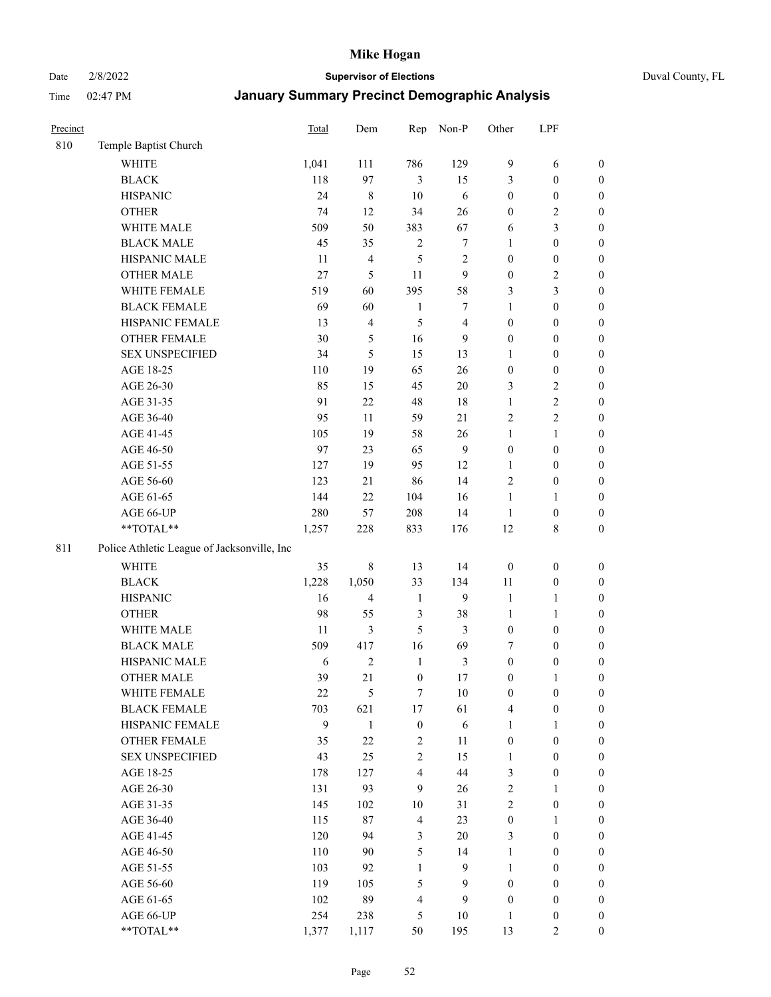Date 2/8/2022 **Supervisor of Elections** Duval County, FL

| Precinct |                                             | <b>Total</b> | Dem            | Rep                     | Non-P          | Other            | LPF              |                  |
|----------|---------------------------------------------|--------------|----------------|-------------------------|----------------|------------------|------------------|------------------|
| 810      | Temple Baptist Church                       |              |                |                         |                |                  |                  |                  |
|          | <b>WHITE</b>                                | 1,041        | 111            | 786                     | 129            | 9                | 6                | $\boldsymbol{0}$ |
|          | <b>BLACK</b>                                | 118          | 97             | $\mathfrak{Z}$          | 15             | 3                | $\boldsymbol{0}$ | $\boldsymbol{0}$ |
|          | <b>HISPANIC</b>                             | 24           | 8              | 10                      | 6              | $\boldsymbol{0}$ | $\boldsymbol{0}$ | $\boldsymbol{0}$ |
|          | <b>OTHER</b>                                | 74           | 12             | 34                      | 26             | $\boldsymbol{0}$ | $\sqrt{2}$       | $\boldsymbol{0}$ |
|          | WHITE MALE                                  | 509          | 50             | 383                     | 67             | 6                | $\mathfrak{Z}$   | $\boldsymbol{0}$ |
|          | <b>BLACK MALE</b>                           | 45           | 35             | $\sqrt{2}$              | 7              | $\mathbf{1}$     | $\boldsymbol{0}$ | $\boldsymbol{0}$ |
|          | HISPANIC MALE                               | 11           | 4              | 5                       | 2              | $\boldsymbol{0}$ | $\boldsymbol{0}$ | $\boldsymbol{0}$ |
|          | <b>OTHER MALE</b>                           | 27           | 5              | 11                      | 9              | $\boldsymbol{0}$ | $\mathfrak{2}$   | $\boldsymbol{0}$ |
|          | WHITE FEMALE                                | 519          | 60             | 395                     | 58             | 3                | $\mathfrak{Z}$   | $\boldsymbol{0}$ |
|          | <b>BLACK FEMALE</b>                         | 69           | 60             | $\mathbf{1}$            | 7              | $\mathbf{1}$     | $\boldsymbol{0}$ | $\boldsymbol{0}$ |
|          | HISPANIC FEMALE                             | 13           | 4              | 5                       | $\overline{4}$ | $\boldsymbol{0}$ | $\boldsymbol{0}$ | 0                |
|          | <b>OTHER FEMALE</b>                         | 30           | 5              | 16                      | 9              | $\boldsymbol{0}$ | $\boldsymbol{0}$ | $\boldsymbol{0}$ |
|          | <b>SEX UNSPECIFIED</b>                      | 34           | 5              | 15                      | 13             | $\mathbf{1}$     | $\boldsymbol{0}$ | $\boldsymbol{0}$ |
|          | AGE 18-25                                   | 110          | 19             | 65                      | 26             | $\boldsymbol{0}$ | $\boldsymbol{0}$ | $\boldsymbol{0}$ |
|          | AGE 26-30                                   | 85           | 15             | 45                      | $20\,$         | 3                | $\sqrt{2}$       | $\boldsymbol{0}$ |
|          | AGE 31-35                                   | 91           | $22\,$         | $48\,$                  | 18             | $\mathbf{1}$     | $\sqrt{2}$       | $\boldsymbol{0}$ |
|          | AGE 36-40                                   | 95           | 11             | 59                      | 21             | $\overline{c}$   | $\sqrt{2}$       | $\boldsymbol{0}$ |
|          | AGE 41-45                                   | 105          | 19             | 58                      | 26             | $\mathbf{1}$     | $\mathbf{1}$     | $\boldsymbol{0}$ |
|          | AGE 46-50                                   | 97           | 23             | 65                      | $\mathbf{9}$   | $\boldsymbol{0}$ | $\boldsymbol{0}$ | $\boldsymbol{0}$ |
|          | AGE 51-55                                   | 127          | 19             | 95                      | 12             | 1                | $\boldsymbol{0}$ | $\boldsymbol{0}$ |
|          | AGE 56-60                                   | 123          | 21             | 86                      | 14             | $\overline{c}$   | $\boldsymbol{0}$ | 0                |
|          | AGE 61-65                                   | 144          | 22             | 104                     | 16             | $\mathbf{1}$     | $\mathbf{1}$     | 0                |
|          | AGE 66-UP                                   | 280          | 57             | 208                     | 14             | $\mathbf{1}$     | $\boldsymbol{0}$ | $\boldsymbol{0}$ |
|          | $**TOTAL**$                                 | 1,257        | 228            | 833                     | 176            | 12               | $\,$ 8 $\,$      | $\boldsymbol{0}$ |
| 811      | Police Athletic League of Jacksonville, Inc |              |                |                         |                |                  |                  |                  |
|          | WHITE                                       | 35           | 8              | 13                      | 14             | $\boldsymbol{0}$ | $\boldsymbol{0}$ | $\boldsymbol{0}$ |
|          | <b>BLACK</b>                                | 1,228        | 1,050          | 33                      | 134            | 11               | $\boldsymbol{0}$ | $\boldsymbol{0}$ |
|          | <b>HISPANIC</b>                             | 16           | 4              | $\mathbf{1}$            | 9              | $\mathbf{1}$     | $\mathbf{1}$     | $\boldsymbol{0}$ |
|          | <b>OTHER</b>                                | 98           | 55             | $\mathfrak{Z}$          | 38             | $\mathbf{1}$     | $\mathbf{1}$     | $\boldsymbol{0}$ |
|          | WHITE MALE                                  | 11           | 3              | 5                       | 3              | $\boldsymbol{0}$ | $\boldsymbol{0}$ | $\boldsymbol{0}$ |
|          | <b>BLACK MALE</b>                           | 509          | 417            | 16                      | 69             | 7                | $\boldsymbol{0}$ | $\boldsymbol{0}$ |
|          | HISPANIC MALE                               | 6            | $\overline{c}$ | $\mathbf{1}$            | 3              | $\boldsymbol{0}$ | $\boldsymbol{0}$ | $\boldsymbol{0}$ |
|          | <b>OTHER MALE</b>                           | 39           | 21             | $\boldsymbol{0}$        | 17             | $\boldsymbol{0}$ | $\mathbf{1}$     | $\boldsymbol{0}$ |
|          | WHITE FEMALE                                | 22           | 5              | 7                       | 10             | $\boldsymbol{0}$ | $\boldsymbol{0}$ | 0                |
|          | <b>BLACK FEMALE</b>                         | 703          | 621            | $17\,$                  | 61             | 4                | $\boldsymbol{0}$ | $\boldsymbol{0}$ |
|          | HISPANIC FEMALE                             | 9            | $\mathbf{1}$   | $\boldsymbol{0}$        | 6              | $\mathbf{1}$     | $\mathbf{1}$     | $\boldsymbol{0}$ |
|          | <b>OTHER FEMALE</b>                         | 35           | 22             | $\sqrt{2}$              | 11             | $\boldsymbol{0}$ | $\boldsymbol{0}$ | $\overline{0}$   |
|          | <b>SEX UNSPECIFIED</b>                      | 43           | 25             | $\mathfrak{2}$          | 15             | $\mathbf{1}$     | $\boldsymbol{0}$ | $\overline{0}$   |
|          | AGE 18-25                                   | 178          | 127            | $\overline{\mathbf{4}}$ | 44             | 3                | $\boldsymbol{0}$ | $\overline{0}$   |
|          | AGE 26-30                                   | 131          | 93             | 9                       | 26             | $\sqrt{2}$       | $\mathbf{1}$     | $\overline{0}$   |
|          | AGE 31-35                                   | 145          | 102            | $10\,$                  | 31             | $\overline{c}$   | $\boldsymbol{0}$ | 0                |
|          | AGE 36-40                                   | 115          | 87             | $\overline{4}$          | 23             | $\boldsymbol{0}$ | $\mathbf{1}$     | 0                |
|          | AGE 41-45                                   | 120          | 94             | 3                       | 20             | 3                | $\boldsymbol{0}$ | 0                |
|          | AGE 46-50                                   | 110          | 90             | 5                       | 14             | $\mathbf{1}$     | $\boldsymbol{0}$ | 0                |
|          | AGE 51-55                                   | 103          | 92             | $\mathbf{1}$            | 9              | $\mathbf{1}$     | $\boldsymbol{0}$ | $\boldsymbol{0}$ |
|          | AGE 56-60                                   | 119          | 105            | 5                       | 9              | $\boldsymbol{0}$ | $\boldsymbol{0}$ | $\boldsymbol{0}$ |
|          | AGE 61-65                                   | 102          | 89             | $\overline{4}$          | 9              | $\boldsymbol{0}$ | $\boldsymbol{0}$ | $\boldsymbol{0}$ |
|          | AGE 66-UP                                   | 254          | 238            | 5                       | 10             | $\mathbf{1}$     | $\boldsymbol{0}$ | $\boldsymbol{0}$ |
|          | $**TOTAL**$                                 | 1,377        | 1,117          | 50                      | 195            | 13               | $\mathbf{2}$     | $\boldsymbol{0}$ |
|          |                                             |              |                |                         |                |                  |                  |                  |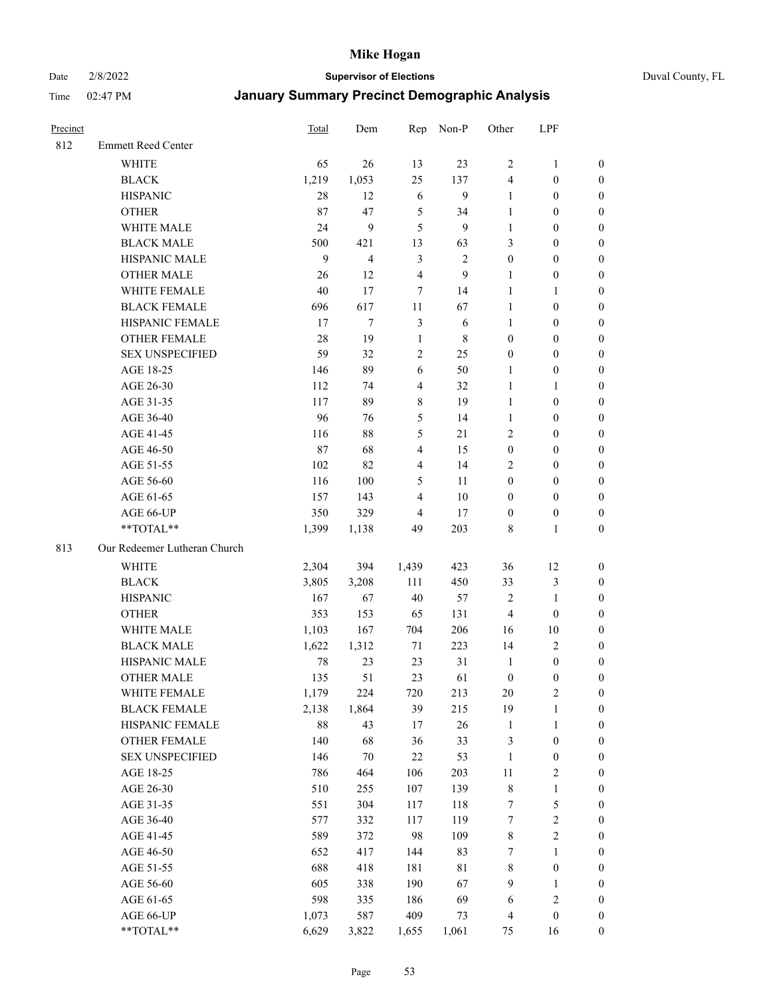Date 2/8/2022 **Supervisor of Elections** Duval County, FL

| Precinct |                              | <b>Total</b> | Dem                     | Rep                     | Non-P        | Other            | LPF              |                  |
|----------|------------------------------|--------------|-------------------------|-------------------------|--------------|------------------|------------------|------------------|
| 812      | <b>Emmett Reed Center</b>    |              |                         |                         |              |                  |                  |                  |
|          | <b>WHITE</b>                 | 65           | 26                      | 13                      | 23           | $\overline{2}$   | $\mathbf{1}$     | 0                |
|          | <b>BLACK</b>                 | 1,219        | 1,053                   | 25                      | 137          | 4                | $\boldsymbol{0}$ | 0                |
|          | <b>HISPANIC</b>              | 28           | 12                      | 6                       | $\mathbf{9}$ | $\mathbf{1}$     | $\boldsymbol{0}$ | $\boldsymbol{0}$ |
|          | <b>OTHER</b>                 | 87           | 47                      | $\mathfrak s$           | 34           | 1                | $\boldsymbol{0}$ | $\boldsymbol{0}$ |
|          | WHITE MALE                   | 24           | 9                       | 5                       | 9            | 1                | $\boldsymbol{0}$ | $\boldsymbol{0}$ |
|          | <b>BLACK MALE</b>            | 500          | 421                     | 13                      | 63           | 3                | $\boldsymbol{0}$ | $\boldsymbol{0}$ |
|          | HISPANIC MALE                | 9            | $\overline{\mathbf{4}}$ | $\mathfrak{Z}$          | $\sqrt{2}$   | $\boldsymbol{0}$ | $\boldsymbol{0}$ | $\boldsymbol{0}$ |
|          | <b>OTHER MALE</b>            | 26           | 12                      | $\overline{4}$          | 9            | $\mathbf{1}$     | $\boldsymbol{0}$ | $\boldsymbol{0}$ |
|          | WHITE FEMALE                 | 40           | 17                      | 7                       | 14           | $\mathbf{1}$     | $\mathbf{1}$     | $\boldsymbol{0}$ |
|          | <b>BLACK FEMALE</b>          | 696          | 617                     | 11                      | 67           | $\mathbf{1}$     | $\boldsymbol{0}$ | 0                |
|          | HISPANIC FEMALE              | 17           | $\tau$                  | $\mathfrak{Z}$          | 6            | 1                | $\boldsymbol{0}$ | 0                |
|          | <b>OTHER FEMALE</b>          | 28           | 19                      | $\mathbf{1}$            | 8            | $\boldsymbol{0}$ | $\boldsymbol{0}$ | 0                |
|          | <b>SEX UNSPECIFIED</b>       | 59           | 32                      | $\sqrt{2}$              | 25           | $\boldsymbol{0}$ | $\boldsymbol{0}$ | $\boldsymbol{0}$ |
|          | AGE 18-25                    | 146          | 89                      | 6                       | 50           | 1                | $\boldsymbol{0}$ | $\boldsymbol{0}$ |
|          | AGE 26-30                    | 112          | 74                      | $\overline{4}$          | 32           | $\mathbf{1}$     | $\mathbf{1}$     | $\boldsymbol{0}$ |
|          | AGE 31-35                    | 117          | 89                      | $\,$ $\,$               | 19           | $\mathbf{1}$     | $\boldsymbol{0}$ | $\boldsymbol{0}$ |
|          | AGE 36-40                    | 96           | 76                      | $\mathfrak s$           | 14           | $\mathbf{1}$     | $\boldsymbol{0}$ | $\boldsymbol{0}$ |
|          | AGE 41-45                    | 116          | 88                      | $\mathfrak s$           | 21           | $\mathfrak{2}$   | $\boldsymbol{0}$ | $\boldsymbol{0}$ |
|          | AGE 46-50                    | 87           | 68                      | $\overline{\mathbf{4}}$ | 15           | $\boldsymbol{0}$ | $\boldsymbol{0}$ | $\boldsymbol{0}$ |
|          | AGE 51-55                    | 102          | 82                      | $\overline{4}$          | 14           | 2                | $\boldsymbol{0}$ | $\boldsymbol{0}$ |
|          | AGE 56-60                    | 116          | 100                     | 5                       | 11           | $\boldsymbol{0}$ | $\boldsymbol{0}$ | 0                |
|          | AGE 61-65                    | 157          | 143                     | $\overline{4}$          | 10           | $\boldsymbol{0}$ | $\boldsymbol{0}$ | 0                |
|          | AGE 66-UP                    | 350          | 329                     | 4                       | 17           | $\boldsymbol{0}$ | $\boldsymbol{0}$ | $\boldsymbol{0}$ |
|          | **TOTAL**                    | 1,399        | 1,138                   | 49                      | 203          | 8                | $\mathbf{1}$     | $\boldsymbol{0}$ |
| 813      | Our Redeemer Lutheran Church |              |                         |                         |              |                  |                  |                  |
|          | <b>WHITE</b>                 | 2,304        | 394                     | 1,439                   | 423          | 36               | 12               | $\boldsymbol{0}$ |
|          | <b>BLACK</b>                 | 3,805        | 3,208                   | 111                     | 450          | 33               | $\mathfrak{Z}$   | $\boldsymbol{0}$ |
|          | <b>HISPANIC</b>              | 167          | 67                      | 40                      | 57           | 2                | $\mathbf{1}$     | $\boldsymbol{0}$ |
|          | <b>OTHER</b>                 | 353          | 153                     | 65                      | 131          | $\overline{4}$   | $\boldsymbol{0}$ | $\boldsymbol{0}$ |
|          | WHITE MALE                   | 1,103        | 167                     | 704                     | 206          | 16               | $10\,$           | $\boldsymbol{0}$ |
|          | <b>BLACK MALE</b>            | 1,622        | 1,312                   | 71                      | 223          | 14               | $\mathfrak{2}$   | $\boldsymbol{0}$ |
|          | HISPANIC MALE                | 78           | 23                      | 23                      | 31           | $\mathbf{1}$     | $\boldsymbol{0}$ | 0                |
|          | <b>OTHER MALE</b>            | 135          | 51                      | 23                      | 61           | $\boldsymbol{0}$ | $\boldsymbol{0}$ | 0                |
|          | WHITE FEMALE                 | 1,179        | 224                     | 720                     | 213          | 20               | 2                | 0                |
|          | <b>BLACK FEMALE</b>          | 2,138        | 1,864                   | 39                      | 215          | 19               | $\mathbf{1}$     | $\boldsymbol{0}$ |
|          | HISPANIC FEMALE              | $88\,$       | 43                      | 17                      | 26           | $\mathbf{1}$     | $\mathbf{1}$     | 0                |
|          | OTHER FEMALE                 | 140          | 68                      | 36                      | 33           | 3                | $\boldsymbol{0}$ | 0                |
|          | <b>SEX UNSPECIFIED</b>       | 146          | $70\,$                  | $22\,$                  | 53           | $\mathbf{1}$     | $\boldsymbol{0}$ | 0                |
|          | AGE 18-25                    | 786          | 464                     | 106                     | 203          | $11\,$           | $\sqrt{2}$       | 0                |
|          | AGE 26-30                    | 510          | 255                     | 107                     | 139          | $\,$ 8 $\,$      | $\mathbf{1}$     | 0                |
|          | AGE 31-35                    | 551          | 304                     | 117                     | 118          | 7                | $\mathfrak s$    | 0                |
|          | AGE 36-40                    | 577          | 332                     | 117                     | 119          | 7                | $\sqrt{2}$       | 0                |
|          | AGE 41-45                    | 589          | 372                     | 98                      | 109          | 8                | $\sqrt{2}$       | 0                |
|          | AGE 46-50                    | 652          | 417                     | 144                     | 83           | 7                | $\mathbf{1}$     | 0                |
|          | AGE 51-55                    | 688          | 418                     | 181                     | 81           | 8                | $\boldsymbol{0}$ | 0                |
|          | AGE 56-60                    | 605          | 338                     | 190                     | 67           | 9                | $\mathbf{1}$     | 0                |
|          | AGE 61-65                    | 598          | 335                     | 186                     | 69           | 6                | $\sqrt{2}$       | 0                |
|          | AGE 66-UP                    | 1,073        | 587                     | 409                     | 73           | $\overline{4}$   | $\boldsymbol{0}$ | 0                |
|          | **TOTAL**                    | 6,629        | 3,822                   | 1,655                   | 1,061        | 75               | 16               | $\boldsymbol{0}$ |
|          |                              |              |                         |                         |              |                  |                  |                  |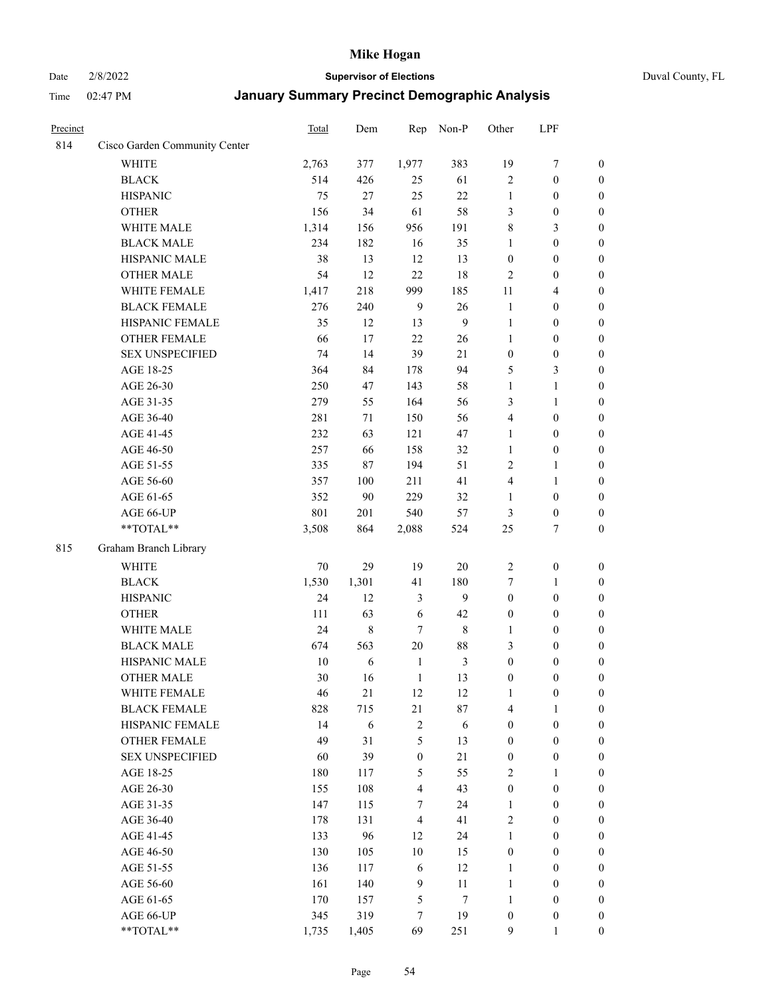### Date 2/8/2022 **Supervisor of Elections** Duval County, FL

| Precinct |                               | Total  | Dem   | Rep              | Non-P          | Other            | LPF              |                  |
|----------|-------------------------------|--------|-------|------------------|----------------|------------------|------------------|------------------|
| 814      | Cisco Garden Community Center |        |       |                  |                |                  |                  |                  |
|          | <b>WHITE</b>                  | 2,763  | 377   | 1,977            | 383            | 19               | $\boldsymbol{7}$ | $\boldsymbol{0}$ |
|          | <b>BLACK</b>                  | 514    | 426   | 25               | 61             | $\mathbf{2}$     | $\boldsymbol{0}$ | $\boldsymbol{0}$ |
|          | <b>HISPANIC</b>               | 75     | 27    | 25               | 22             | $\mathbf{1}$     | $\boldsymbol{0}$ | $\boldsymbol{0}$ |
|          | <b>OTHER</b>                  | 156    | 34    | 61               | 58             | 3                | $\boldsymbol{0}$ | $\boldsymbol{0}$ |
|          | WHITE MALE                    | 1,314  | 156   | 956              | 191            | 8                | 3                | $\boldsymbol{0}$ |
|          | <b>BLACK MALE</b>             | 234    | 182   | 16               | 35             | $\mathbf{1}$     | $\boldsymbol{0}$ | $\boldsymbol{0}$ |
|          | HISPANIC MALE                 | 38     | 13    | 12               | 13             | $\boldsymbol{0}$ | $\boldsymbol{0}$ | $\boldsymbol{0}$ |
|          | <b>OTHER MALE</b>             | 54     | 12    | 22               | 18             | $\overline{c}$   | $\boldsymbol{0}$ | $\boldsymbol{0}$ |
|          | WHITE FEMALE                  | 1,417  | 218   | 999              | 185            | $11\,$           | $\overline{4}$   | $\boldsymbol{0}$ |
|          | <b>BLACK FEMALE</b>           | 276    | 240   | 9                | 26             | $\mathbf{1}$     | $\boldsymbol{0}$ | $\boldsymbol{0}$ |
|          | HISPANIC FEMALE               | 35     | 12    | 13               | $\mathbf{9}$   | $\mathbf{1}$     | $\boldsymbol{0}$ | 0                |
|          | <b>OTHER FEMALE</b>           | 66     | 17    | 22               | 26             | 1                | $\boldsymbol{0}$ | $\boldsymbol{0}$ |
|          | <b>SEX UNSPECIFIED</b>        | 74     | 14    | 39               | 21             | $\boldsymbol{0}$ | $\boldsymbol{0}$ | $\boldsymbol{0}$ |
|          | AGE 18-25                     | 364    | 84    | 178              | 94             | 5                | $\mathfrak{Z}$   | $\boldsymbol{0}$ |
|          | AGE 26-30                     | 250    | 47    | 143              | 58             | $\mathbf{1}$     | $\mathbf{1}$     | $\boldsymbol{0}$ |
|          | AGE 31-35                     | 279    | 55    | 164              | 56             | 3                | $\mathbf{1}$     | $\boldsymbol{0}$ |
|          | AGE 36-40                     | 281    | 71    | 150              | 56             | 4                | $\boldsymbol{0}$ | $\boldsymbol{0}$ |
|          | AGE 41-45                     | 232    | 63    | 121              | 47             | $\mathbf{1}$     | $\boldsymbol{0}$ | $\boldsymbol{0}$ |
|          | AGE 46-50                     | 257    | 66    | 158              | 32             | $\mathbf{1}$     | $\boldsymbol{0}$ | $\boldsymbol{0}$ |
|          | AGE 51-55                     | 335    | 87    | 194              | 51             | 2                | $\mathbf{1}$     | $\boldsymbol{0}$ |
|          | AGE 56-60                     | 357    | 100   | 211              | 41             | $\overline{4}$   | $\mathbf{1}$     | 0                |
|          | AGE 61-65                     | 352    | 90    | 229              | 32             | 1                | $\boldsymbol{0}$ | 0                |
|          | AGE 66-UP                     | 801    | 201   | 540              | 57             | 3                | $\boldsymbol{0}$ | $\boldsymbol{0}$ |
|          | $**TOTAL**$                   | 3,508  | 864   | 2,088            | 524            | 25               | $\tau$           | $\boldsymbol{0}$ |
| 815      | Graham Branch Library         |        |       |                  |                |                  |                  |                  |
|          | WHITE                         | $70\,$ | 29    | 19               | $20\,$         | $\sqrt{2}$       | $\boldsymbol{0}$ | $\boldsymbol{0}$ |
|          | <b>BLACK</b>                  | 1,530  | 1,301 | 41               | 180            | 7                | $\mathbf{1}$     | $\boldsymbol{0}$ |
|          | <b>HISPANIC</b>               | 24     | 12    | 3                | 9              | $\boldsymbol{0}$ | $\boldsymbol{0}$ | $\boldsymbol{0}$ |
|          | <b>OTHER</b>                  | 111    | 63    | 6                | 42             | $\boldsymbol{0}$ | $\boldsymbol{0}$ | $\boldsymbol{0}$ |
|          | WHITE MALE                    | 24     | 8     | 7                | $\,$ 8 $\,$    | $\mathbf{1}$     | $\boldsymbol{0}$ | $\boldsymbol{0}$ |
|          | <b>BLACK MALE</b>             | 674    | 563   | $20\,$           | 88             | 3                | $\boldsymbol{0}$ | $\boldsymbol{0}$ |
|          | HISPANIC MALE                 | 10     | 6     | $\mathbf{1}$     | $\mathfrak{Z}$ | $\boldsymbol{0}$ | $\boldsymbol{0}$ | $\boldsymbol{0}$ |
|          | <b>OTHER MALE</b>             | 30     | 16    | $\mathbf{1}$     | 13             | $\boldsymbol{0}$ | $\boldsymbol{0}$ | $\boldsymbol{0}$ |
|          | WHITE FEMALE                  | 46     | 21    | 12               | 12             | 1                | $\boldsymbol{0}$ | 0                |
|          | <b>BLACK FEMALE</b>           | 828    | 715   | 21               | 87             | 4                | $\mathbf{1}$     | $\boldsymbol{0}$ |
|          | HISPANIC FEMALE               | 14     | 6     | $\sqrt{2}$       | 6              | $\boldsymbol{0}$ | $\boldsymbol{0}$ | $\overline{0}$   |
|          | <b>OTHER FEMALE</b>           | 49     | 31    | 5                | 13             | $\boldsymbol{0}$ | $\boldsymbol{0}$ | $\overline{0}$   |
|          | <b>SEX UNSPECIFIED</b>        | 60     | 39    | $\boldsymbol{0}$ | 21             | $\boldsymbol{0}$ | $\boldsymbol{0}$ | $\overline{0}$   |
|          | AGE 18-25                     | 180    | 117   | $\mathfrak{S}$   | 55             | $\mathbf{2}$     | $\mathbf{1}$     | $\overline{0}$   |
|          | AGE 26-30                     | 155    | 108   | $\overline{4}$   | 43             | $\boldsymbol{0}$ | $\boldsymbol{0}$ | $\overline{0}$   |
|          | AGE 31-35                     | 147    | 115   | $\tau$           | 24             | $\mathbf{1}$     | $\boldsymbol{0}$ | 0                |
|          | AGE 36-40                     | 178    | 131   | $\overline{4}$   | 41             | 2                | $\boldsymbol{0}$ | 0                |
|          | AGE 41-45                     | 133    | 96    | 12               | 24             | $\mathbf{1}$     | $\boldsymbol{0}$ | 0                |
|          | AGE 46-50                     | 130    | 105   | 10               | 15             | $\boldsymbol{0}$ | $\boldsymbol{0}$ | $\boldsymbol{0}$ |
|          | AGE 51-55                     | 136    | 117   | $\sqrt{6}$       | 12             | $\mathbf{1}$     | $\boldsymbol{0}$ | $\boldsymbol{0}$ |
|          | AGE 56-60                     | 161    | 140   | 9                | $11\,$         | $\mathbf{1}$     | $\boldsymbol{0}$ | $\overline{0}$   |
|          | AGE 61-65                     | 170    | 157   | 5                | 7              | 1                | $\boldsymbol{0}$ | $\overline{0}$   |
|          | AGE 66-UP                     | 345    | 319   | 7                | 19             | $\boldsymbol{0}$ | $\boldsymbol{0}$ | $\boldsymbol{0}$ |
|          | **TOTAL**                     | 1,735  | 1,405 | 69               | 251            | 9                | $\mathbf{1}$     | $\boldsymbol{0}$ |
|          |                               |        |       |                  |                |                  |                  |                  |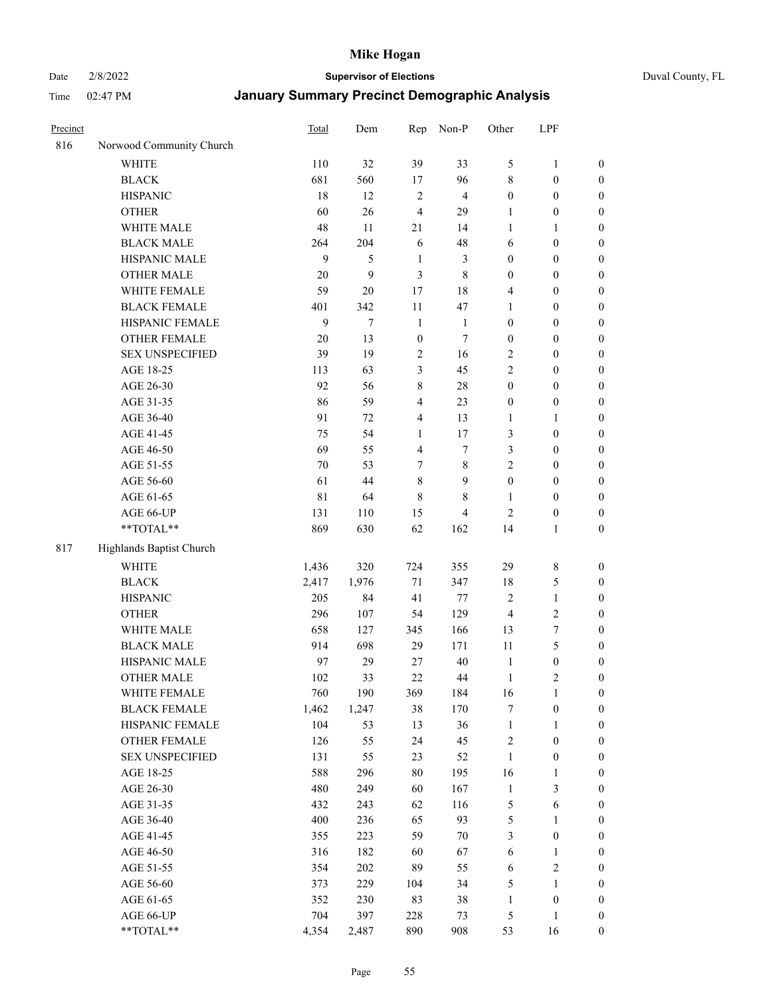Date 2/8/2022 **Supervisor of Elections** Duval County, FL

| Precinct |                          | <b>Total</b> | Dem    | Rep              | Non-P                    | Other            | LPF              |                  |
|----------|--------------------------|--------------|--------|------------------|--------------------------|------------------|------------------|------------------|
| 816      | Norwood Community Church |              |        |                  |                          |                  |                  |                  |
|          | <b>WHITE</b>             | 110          | 32     | 39               | 33                       | 5                | $\mathbf{1}$     | 0                |
|          | <b>BLACK</b>             | 681          | 560    | 17               | 96                       | 8                | $\boldsymbol{0}$ | $\boldsymbol{0}$ |
|          | <b>HISPANIC</b>          | 18           | 12     | $\overline{2}$   | $\overline{\mathbf{4}}$  | $\boldsymbol{0}$ | $\boldsymbol{0}$ | $\boldsymbol{0}$ |
|          | <b>OTHER</b>             | 60           | 26     | $\overline{4}$   | 29                       | 1                | $\boldsymbol{0}$ | $\boldsymbol{0}$ |
|          | WHITE MALE               | 48           | 11     | 21               | 14                       | $\mathbf{1}$     | $\mathbf{1}$     | $\boldsymbol{0}$ |
|          | <b>BLACK MALE</b>        | 264          | 204    | 6                | 48                       | 6                | $\boldsymbol{0}$ | $\boldsymbol{0}$ |
|          | HISPANIC MALE            | 9            | 5      | $\mathbf{1}$     | 3                        | $\boldsymbol{0}$ | $\boldsymbol{0}$ | $\boldsymbol{0}$ |
|          | <b>OTHER MALE</b>        | 20           | 9      | 3                | $\,$ 8 $\,$              | $\boldsymbol{0}$ | $\boldsymbol{0}$ | $\boldsymbol{0}$ |
|          | WHITE FEMALE             | 59           | $20\,$ | 17               | 18                       | 4                | $\boldsymbol{0}$ | $\boldsymbol{0}$ |
|          | <b>BLACK FEMALE</b>      | 401          | 342    | 11               | 47                       | $\mathbf{1}$     | $\boldsymbol{0}$ | $\boldsymbol{0}$ |
|          | HISPANIC FEMALE          | 9            | $\tau$ | $\mathbf{1}$     | $\mathbf{1}$             | $\boldsymbol{0}$ | $\boldsymbol{0}$ | 0                |
|          | <b>OTHER FEMALE</b>      | 20           | 13     | $\boldsymbol{0}$ | $\tau$                   | $\boldsymbol{0}$ | $\boldsymbol{0}$ | $\boldsymbol{0}$ |
|          | <b>SEX UNSPECIFIED</b>   | 39           | 19     | $\sqrt{2}$       | 16                       | $\mathbf{2}$     | $\boldsymbol{0}$ | $\boldsymbol{0}$ |
|          | AGE 18-25                | 113          | 63     | $\mathfrak{Z}$   | 45                       | $\mathbf{2}$     | $\boldsymbol{0}$ | $\boldsymbol{0}$ |
|          | AGE 26-30                | 92           | 56     | 8                | $28\,$                   | $\boldsymbol{0}$ | $\boldsymbol{0}$ | $\boldsymbol{0}$ |
|          | AGE 31-35                | 86           | 59     | $\overline{4}$   | 23                       | $\boldsymbol{0}$ | $\boldsymbol{0}$ | $\boldsymbol{0}$ |
|          | AGE 36-40                | 91           | 72     | $\overline{4}$   | 13                       | $\mathbf{1}$     | $\mathbf{1}$     | $\boldsymbol{0}$ |
|          | AGE 41-45                | 75           | 54     | $\mathbf{1}$     | 17                       | 3                | $\boldsymbol{0}$ | $\boldsymbol{0}$ |
|          | AGE 46-50                | 69           | 55     | $\overline{4}$   | $\tau$                   | 3                | $\boldsymbol{0}$ | $\boldsymbol{0}$ |
|          | AGE 51-55                | 70           | 53     | 7                | $\,$ 8 $\,$              | $\overline{c}$   | $\boldsymbol{0}$ | $\boldsymbol{0}$ |
|          | AGE 56-60                | 61           | 44     | $\,8\,$          | 9                        | $\boldsymbol{0}$ | $\boldsymbol{0}$ | 0                |
|          | AGE 61-65                | $8\sqrt{1}$  | 64     | $\,8\,$          | 8                        | 1                | $\boldsymbol{0}$ | 0                |
|          | AGE 66-UP                | 131          | 110    | 15               | $\overline{\mathcal{L}}$ | $\overline{c}$   | $\boldsymbol{0}$ | $\boldsymbol{0}$ |
|          | $**TOTAL**$              | 869          | 630    | 62               | 162                      | 14               | $\mathbf{1}$     | $\boldsymbol{0}$ |
| 817      | Highlands Baptist Church |              |        |                  |                          |                  |                  |                  |
|          | <b>WHITE</b>             | 1,436        | 320    | 724              | 355                      | 29               | $\,$ 8 $\,$      | $\boldsymbol{0}$ |
|          | <b>BLACK</b>             | 2,417        | 1,976  | $71\,$           | 347                      | 18               | $\mathfrak{S}$   | $\boldsymbol{0}$ |
|          | <b>HISPANIC</b>          | 205          | 84     | 41               | 77                       | $\overline{c}$   | $\mathbf{1}$     | $\boldsymbol{0}$ |
|          | <b>OTHER</b>             | 296          | 107    | 54               | 129                      | $\overline{4}$   | $\sqrt{2}$       | $\boldsymbol{0}$ |
|          | WHITE MALE               | 658          | 127    | 345              | 166                      | 13               | $\boldsymbol{7}$ | $\boldsymbol{0}$ |
|          | <b>BLACK MALE</b>        | 914          | 698    | 29               | 171                      | 11               | 5                | $\boldsymbol{0}$ |
|          | HISPANIC MALE            | 97           | 29     | 27               | $40\,$                   | $\mathbf{1}$     | $\boldsymbol{0}$ | $\boldsymbol{0}$ |
|          | <b>OTHER MALE</b>        | 102          | 33     | 22               | 44                       | $\mathbf{1}$     | $\mathbf{2}$     | $\boldsymbol{0}$ |
|          | WHITE FEMALE             | 760          | 190    | 369              | 184                      | 16               | 1                | 0                |
|          | <b>BLACK FEMALE</b>      | 1,462        | 1,247  | 38               | 170                      | 7                | $\boldsymbol{0}$ | $\boldsymbol{0}$ |
|          | HISPANIC FEMALE          | 104          | 53     | 13               | 36                       | $\mathbf{1}$     | $\mathbf{1}$     | $\boldsymbol{0}$ |
|          | OTHER FEMALE             | 126          | 55     | 24               | 45                       | $\overline{c}$   | $\boldsymbol{0}$ | $\overline{0}$   |
|          | <b>SEX UNSPECIFIED</b>   | 131          | 55     | 23               | 52                       | $\mathbf{1}$     | $\boldsymbol{0}$ | 0                |
|          | AGE 18-25                | 588          | 296    | 80               | 195                      | 16               | $\mathbf{1}$     | $\theta$         |
|          | AGE 26-30                | 480          | 249    | 60               | 167                      | $\mathbf{1}$     | $\mathfrak{Z}$   | 0                |
|          | AGE 31-35                | 432          | 243    | 62               | 116                      | 5                | $\sqrt{6}$       | 0                |
|          | AGE 36-40                | 400          | 236    | 65               | 93                       | 5                | $\mathbf{1}$     | 0                |
|          | AGE 41-45                | 355          | 223    | 59               | $70\,$                   | 3                | $\boldsymbol{0}$ | 0                |
|          | AGE 46-50                | 316          | 182    | 60               | 67                       | 6                | $\mathbf{1}$     | 0                |
|          | AGE 51-55                | 354          | 202    | 89               | 55                       | 6                | $\sqrt{2}$       | 0                |
|          | AGE 56-60                | 373          | 229    | 104              | 34                       | 5                | 1                | $\boldsymbol{0}$ |
|          | AGE 61-65                | 352          | 230    | 83               | 38                       | $\mathbf{1}$     | $\boldsymbol{0}$ | $\boldsymbol{0}$ |
|          | AGE 66-UP                | 704          | 397    | 228              | 73                       | 5                | $\mathbf{1}$     | $\boldsymbol{0}$ |
|          | **TOTAL**                | 4,354        | 2,487  | 890              | 908                      | 53               | 16               | $\boldsymbol{0}$ |
|          |                          |              |        |                  |                          |                  |                  |                  |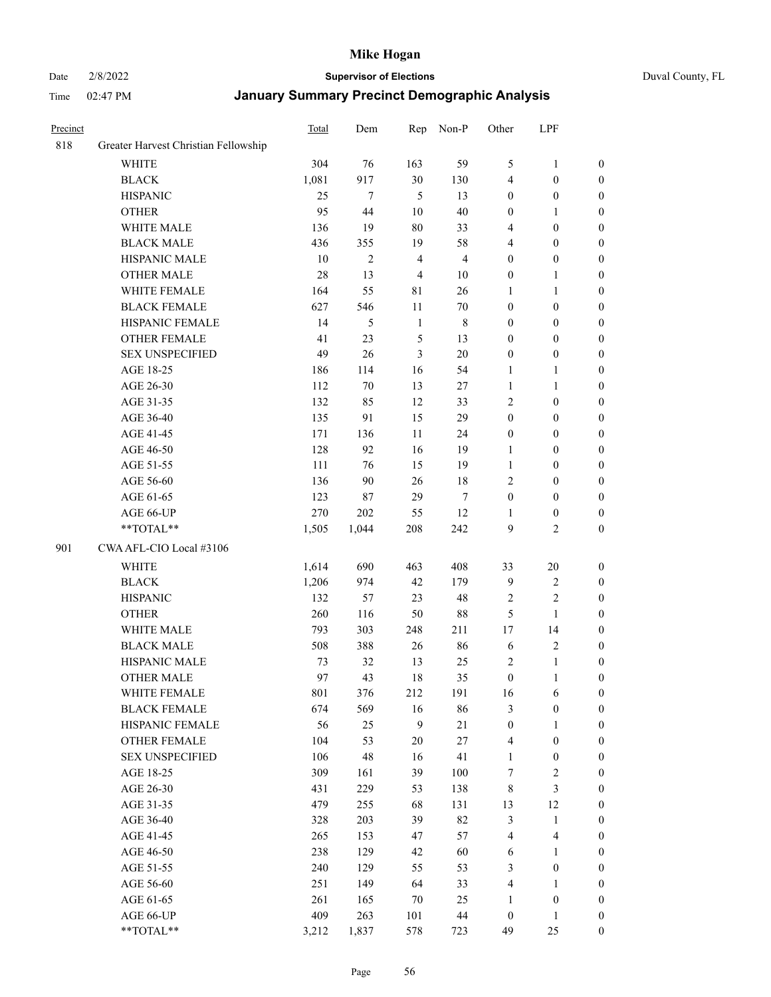#### Date 2/8/2022 **Supervisor of Elections** Duval County, FL

| Precinct |                                      | Total | Dem            | Rep            | Non-P                   | Other            | LPF                     |                  |
|----------|--------------------------------------|-------|----------------|----------------|-------------------------|------------------|-------------------------|------------------|
| 818      | Greater Harvest Christian Fellowship |       |                |                |                         |                  |                         |                  |
|          | <b>WHITE</b>                         | 304   | 76             | 163            | 59                      | 5                | $\mathbf{1}$            | 0                |
|          | <b>BLACK</b>                         | 1,081 | 917            | 30             | 130                     | 4                | $\boldsymbol{0}$        | 0                |
|          | <b>HISPANIC</b>                      | 25    | $\tau$         | $\mathfrak{H}$ | 13                      | $\boldsymbol{0}$ | $\boldsymbol{0}$        | $\boldsymbol{0}$ |
|          | <b>OTHER</b>                         | 95    | 44             | $10\,$         | 40                      | $\boldsymbol{0}$ | $\mathbf{1}$            | $\boldsymbol{0}$ |
|          | WHITE MALE                           | 136   | 19             | 80             | 33                      | 4                | $\boldsymbol{0}$        | $\boldsymbol{0}$ |
|          | <b>BLACK MALE</b>                    | 436   | 355            | 19             | 58                      | 4                | $\boldsymbol{0}$        | $\boldsymbol{0}$ |
|          | HISPANIC MALE                        | 10    | $\overline{c}$ | $\overline{4}$ | $\overline{\mathbf{4}}$ | $\boldsymbol{0}$ | $\boldsymbol{0}$        | $\boldsymbol{0}$ |
|          | <b>OTHER MALE</b>                    | 28    | 13             | $\overline{4}$ | 10                      | $\boldsymbol{0}$ | $\mathbf{1}$            | $\boldsymbol{0}$ |
|          | WHITE FEMALE                         | 164   | 55             | $8\sqrt{1}$    | 26                      | $\mathbf{1}$     | $\mathbf{1}$            | $\boldsymbol{0}$ |
|          | <b>BLACK FEMALE</b>                  | 627   | 546            | 11             | $70\,$                  | $\boldsymbol{0}$ | $\boldsymbol{0}$        | 0                |
|          | HISPANIC FEMALE                      | 14    | 5              | $\mathbf{1}$   | $\,$ 8 $\,$             | $\boldsymbol{0}$ | $\boldsymbol{0}$        | 0                |
|          | <b>OTHER FEMALE</b>                  | 41    | 23             | $\sqrt{5}$     | 13                      | $\boldsymbol{0}$ | $\boldsymbol{0}$        | $\boldsymbol{0}$ |
|          | <b>SEX UNSPECIFIED</b>               | 49    | 26             | 3              | $20\,$                  | $\boldsymbol{0}$ | $\boldsymbol{0}$        | $\boldsymbol{0}$ |
|          | AGE 18-25                            | 186   | 114            | 16             | 54                      | 1                | $\mathbf{1}$            | $\boldsymbol{0}$ |
|          | AGE 26-30                            | 112   | $70\,$         | 13             | $27\,$                  | $\mathbf{1}$     | $\mathbf{1}$            | $\boldsymbol{0}$ |
|          | AGE 31-35                            | 132   | 85             | 12             | 33                      | $\sqrt{2}$       | $\boldsymbol{0}$        | $\boldsymbol{0}$ |
|          | AGE 36-40                            | 135   | 91             | 15             | 29                      | $\boldsymbol{0}$ | $\boldsymbol{0}$        | $\boldsymbol{0}$ |
|          | AGE 41-45                            | 171   | 136            | 11             | 24                      | $\boldsymbol{0}$ | $\boldsymbol{0}$        | $\boldsymbol{0}$ |
|          | AGE 46-50                            | 128   | 92             | 16             | 19                      | $\mathbf{1}$     | $\boldsymbol{0}$        | $\boldsymbol{0}$ |
|          | AGE 51-55                            | 111   | 76             | 15             | 19                      | $\mathbf{1}$     | $\boldsymbol{0}$        | $\boldsymbol{0}$ |
|          | AGE 56-60                            | 136   | 90             | 26             | $18\,$                  | $\overline{c}$   | $\boldsymbol{0}$        | 0                |
|          | AGE 61-65                            | 123   | 87             | 29             | 7                       | $\boldsymbol{0}$ | $\boldsymbol{0}$        | 0                |
|          | AGE 66-UP                            | 270   | 202            | 55             | 12                      | 1                | $\boldsymbol{0}$        | $\boldsymbol{0}$ |
|          | $**TOTAL**$                          | 1,505 | 1,044          | 208            | 242                     | 9                | $\mathfrak{2}$          | $\boldsymbol{0}$ |
| 901      | CWA AFL-CIO Local #3106              |       |                |                |                         |                  |                         |                  |
|          | <b>WHITE</b>                         | 1,614 | 690            | 463            | 408                     | 33               | $20\,$                  | $\boldsymbol{0}$ |
|          | <b>BLACK</b>                         | 1,206 | 974            | 42             | 179                     | $\mathbf{9}$     | $\sqrt{2}$              | $\boldsymbol{0}$ |
|          | <b>HISPANIC</b>                      | 132   | 57             | 23             | 48                      | $\overline{c}$   | $\mathfrak{2}$          | $\boldsymbol{0}$ |
|          | <b>OTHER</b>                         | 260   | 116            | 50             | $88\,$                  | 5                | $\mathbf{1}$            | $\boldsymbol{0}$ |
|          | WHITE MALE                           | 793   | 303            | 248            | 211                     | 17               | 14                      | $\boldsymbol{0}$ |
|          | <b>BLACK MALE</b>                    | 508   | 388            | 26             | 86                      | 6                | $\sqrt{2}$              | $\boldsymbol{0}$ |
|          | HISPANIC MALE                        | 73    | 32             | 13             | 25                      | 2                | $\mathbf{1}$            | 0                |
|          | <b>OTHER MALE</b>                    | 97    | 43             | 18             | 35                      | $\boldsymbol{0}$ | $\mathbf{1}$            | $\boldsymbol{0}$ |
|          | WHITE FEMALE                         | 801   | 376            | 212            | 191                     | 16               | 6                       | 0                |
|          | <b>BLACK FEMALE</b>                  | 674   | 569            | 16             | 86                      | 3                | $\boldsymbol{0}$        | $\boldsymbol{0}$ |
|          | HISPANIC FEMALE                      | 56    | 25             | 9              | $21\,$                  | $\boldsymbol{0}$ | $\mathbf{1}$            | $\overline{0}$   |
|          | <b>OTHER FEMALE</b>                  | 104   | 53             | $20\,$         | 27                      | 4                | $\boldsymbol{0}$        | $\overline{0}$   |
|          | <b>SEX UNSPECIFIED</b>               | 106   | 48             | 16             | 41                      | $\mathbf{1}$     | $\boldsymbol{0}$        | 0                |
|          | AGE 18-25                            | 309   | 161            | 39             | 100                     | 7                | $\sqrt{2}$              | 0                |
|          | AGE 26-30                            | 431   | 229            | 53             | 138                     | 8                | $\mathfrak{Z}$          | 0                |
|          | AGE 31-35                            | 479   | 255            | 68             | 131                     | 13               | 12                      | 0                |
|          | AGE 36-40                            | 328   | 203            | 39             | 82                      | $\mathfrak{Z}$   | $\mathbf{1}$            | 0                |
|          | AGE 41-45                            | 265   | 153            | 47             | 57                      | $\overline{4}$   | $\overline{\mathbf{4}}$ | 0                |
|          | AGE 46-50                            | 238   | 129            | 42             | 60                      | 6                | $\mathbf{1}$            | 0                |
|          | AGE 51-55                            | 240   | 129            | 55             | 53                      | 3                | $\boldsymbol{0}$        | $\overline{0}$   |
|          | AGE 56-60                            | 251   | 149            | 64             | 33                      | 4                | $\mathbf{1}$            | $\overline{0}$   |
|          | AGE 61-65                            | 261   | 165            | 70             | 25                      | $\mathbf{1}$     | $\boldsymbol{0}$        | $\overline{0}$   |
|          | AGE 66-UP                            | 409   | 263            | 101            | 44                      | $\boldsymbol{0}$ | $\mathbf{1}$            | $\boldsymbol{0}$ |
|          | **TOTAL**                            | 3,212 | 1,837          | 578            | 723                     | 49               | 25                      | $\boldsymbol{0}$ |
|          |                                      |       |                |                |                         |                  |                         |                  |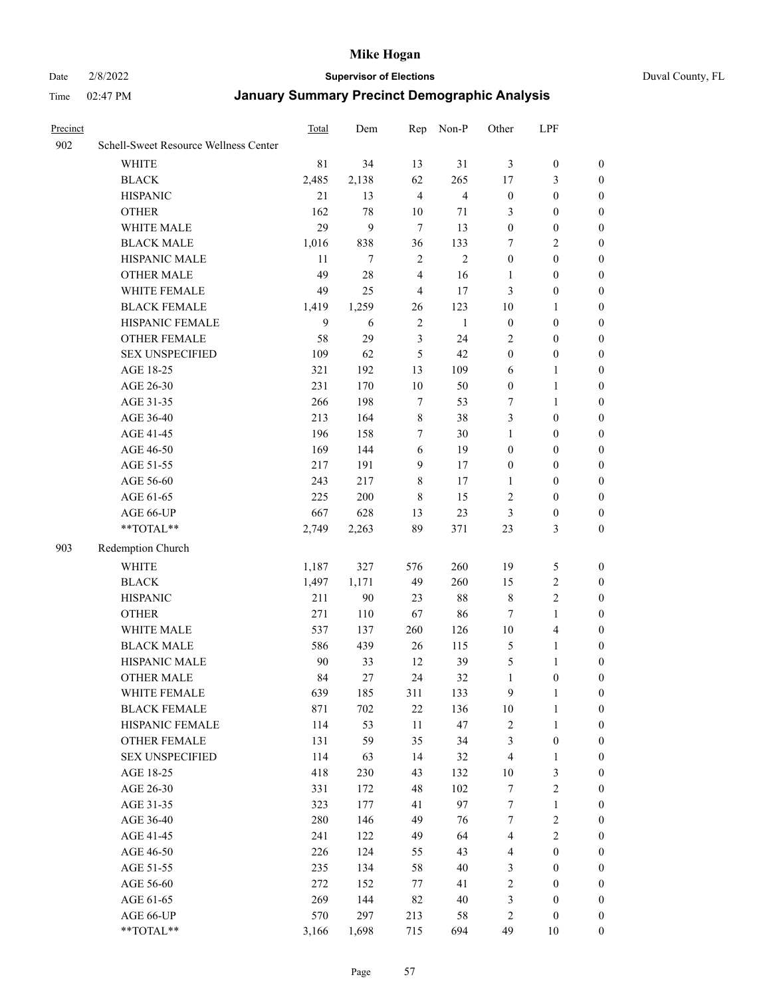#### Date 2/8/2022 **Supervisor of Elections** Duval County, FL

| Precinct |                                       | Total | Dem    | Rep            | Non-P          | Other            | LPF                     |                  |
|----------|---------------------------------------|-------|--------|----------------|----------------|------------------|-------------------------|------------------|
| 902      | Schell-Sweet Resource Wellness Center |       |        |                |                |                  |                         |                  |
|          | <b>WHITE</b>                          | 81    | 34     | 13             | 31             | 3                | $\boldsymbol{0}$        | $\boldsymbol{0}$ |
|          | <b>BLACK</b>                          | 2,485 | 2,138  | 62             | 265            | 17               | 3                       | $\boldsymbol{0}$ |
|          | <b>HISPANIC</b>                       | 21    | 13     | $\overline{4}$ | $\overline{4}$ | $\boldsymbol{0}$ | $\boldsymbol{0}$        | $\boldsymbol{0}$ |
|          | <b>OTHER</b>                          | 162   | 78     | 10             | 71             | 3                | $\boldsymbol{0}$        | $\boldsymbol{0}$ |
|          | WHITE MALE                            | 29    | 9      | $\tau$         | 13             | $\boldsymbol{0}$ | $\boldsymbol{0}$        | $\boldsymbol{0}$ |
|          | <b>BLACK MALE</b>                     | 1,016 | 838    | 36             | 133            | 7                | $\mathbf{2}$            | $\boldsymbol{0}$ |
|          | HISPANIC MALE                         | 11    | 7      | $\sqrt{2}$     | $\mathbf{2}$   | $\boldsymbol{0}$ | $\boldsymbol{0}$        | $\boldsymbol{0}$ |
|          | <b>OTHER MALE</b>                     | 49    | 28     | $\overline{4}$ | 16             | 1                | $\boldsymbol{0}$        | 0                |
|          | WHITE FEMALE                          | 49    | 25     | $\overline{4}$ | 17             | 3                | $\boldsymbol{0}$        | 0                |
|          | <b>BLACK FEMALE</b>                   | 1,419 | 1,259  | 26             | 123            | 10               | $\mathbf{1}$            | 0                |
|          | HISPANIC FEMALE                       | 9     | 6      | $\overline{2}$ | $\mathbf{1}$   | $\boldsymbol{0}$ | $\boldsymbol{0}$        | $\boldsymbol{0}$ |
|          | OTHER FEMALE                          | 58    | 29     | $\mathfrak{Z}$ | 24             | $\overline{c}$   | $\boldsymbol{0}$        | $\boldsymbol{0}$ |
|          | <b>SEX UNSPECIFIED</b>                | 109   | 62     | 5              | 42             | $\boldsymbol{0}$ | $\boldsymbol{0}$        | $\boldsymbol{0}$ |
|          | AGE 18-25                             | 321   | 192    | 13             | 109            | 6                | $\mathbf{1}$            | $\boldsymbol{0}$ |
|          | AGE 26-30                             | 231   | 170    | $10\,$         | 50             | $\boldsymbol{0}$ | $\mathbf{1}$            | $\boldsymbol{0}$ |
|          | AGE 31-35                             | 266   | 198    | $\tau$         | 53             | $\tau$           | $\mathbf{1}$            | $\boldsymbol{0}$ |
|          | AGE 36-40                             | 213   | 164    | $\,$ 8 $\,$    | 38             | 3                | $\boldsymbol{0}$        | $\boldsymbol{0}$ |
|          | AGE 41-45                             | 196   | 158    | 7              | 30             | $\mathbf{1}$     | $\boldsymbol{0}$        | $\boldsymbol{0}$ |
|          | AGE 46-50                             | 169   | 144    | 6              | 19             | $\boldsymbol{0}$ | $\boldsymbol{0}$        | 0                |
|          | AGE 51-55                             | 217   | 191    | 9              | 17             | $\boldsymbol{0}$ | $\boldsymbol{0}$        | 0                |
|          | AGE 56-60                             | 243   | 217    | 8              | 17             | 1                | $\boldsymbol{0}$        | $\boldsymbol{0}$ |
|          | AGE 61-65                             | 225   | 200    | $\,8\,$        | 15             | $\overline{c}$   | $\boldsymbol{0}$        | $\boldsymbol{0}$ |
|          | AGE 66-UP                             | 667   | 628    | 13             | 23             | 3                | $\boldsymbol{0}$        | $\boldsymbol{0}$ |
|          | $**TOTAL**$                           | 2,749 | 2,263  | 89             | 371            | 23               | 3                       | $\boldsymbol{0}$ |
| 903      | Redemption Church                     |       |        |                |                |                  |                         |                  |
|          | <b>WHITE</b>                          | 1,187 | 327    | 576            | 260            | 19               | 5                       | $\boldsymbol{0}$ |
|          | <b>BLACK</b>                          | 1,497 | 1,171  | 49             | 260            | 15               | $\sqrt{2}$              | $\boldsymbol{0}$ |
|          | <b>HISPANIC</b>                       | 211   | $90\,$ | 23             | $88\,$         | $\,$ 8 $\,$      | $\sqrt{2}$              | $\boldsymbol{0}$ |
|          | <b>OTHER</b>                          | 271   | 110    | 67             | 86             | $\tau$           | $\mathbf{1}$            | $\boldsymbol{0}$ |
|          | WHITE MALE                            | 537   | 137    | 260            | 126            | $10\,$           | $\overline{\mathbf{4}}$ | 0                |
|          | <b>BLACK MALE</b>                     | 586   | 439    | 26             | 115            | 5                | $\mathbf{1}$            | 0                |
|          | HISPANIC MALE                         | 90    | 33     | 12             | 39             | 5                | $\mathbf{1}$            | 0                |
|          | <b>OTHER MALE</b>                     | 84    | 27     | 24             | 32             | $\mathbf{1}$     | $\boldsymbol{0}$        | $\boldsymbol{0}$ |
|          | WHITE FEMALE                          | 639   | 185    | 311            | 133            | 9                | 1                       | $\boldsymbol{0}$ |
|          | <b>BLACK FEMALE</b>                   | 871   | 702    | $22\,$         | 136            | $10\,$           | $\mathbf{1}$            | $\boldsymbol{0}$ |
|          | HISPANIC FEMALE                       | 114   | 53     | 11             | 47             | $\overline{c}$   | $\mathbf{1}$            | $\overline{0}$   |
|          | <b>OTHER FEMALE</b>                   | 131   | 59     | 35             | 34             | $\mathfrak{Z}$   | $\boldsymbol{0}$        | $\overline{0}$   |
|          | <b>SEX UNSPECIFIED</b>                | 114   | 63     | 14             | 32             | $\overline{4}$   | $\mathbf{1}$            | $\overline{0}$   |
|          | AGE 18-25                             | 418   | 230    | 43             | 132            | $10\,$           | $\mathfrak{Z}$          | 0                |
|          | AGE 26-30                             | 331   | 172    | 48             | 102            | 7                | $\sqrt{2}$              | 0                |
|          | AGE 31-35                             | 323   | 177    | 41             | 97             | $\boldsymbol{7}$ | $\mathbf{1}$            | 0                |
|          | AGE 36-40                             | 280   | 146    | 49             | 76             | 7                | $\sqrt{2}$              | 0                |
|          | AGE 41-45                             | 241   | 122    | 49             | 64             | 4                | $\sqrt{2}$              | $\overline{0}$   |
|          | AGE 46-50                             | 226   | 124    | 55             | 43             | 4                | $\boldsymbol{0}$        | $\boldsymbol{0}$ |
|          | AGE 51-55                             | 235   | 134    | 58             | 40             | 3                | $\boldsymbol{0}$        | $\boldsymbol{0}$ |
|          | AGE 56-60                             | 272   | 152    | 77             | 41             | $\overline{c}$   | $\boldsymbol{0}$        | $\boldsymbol{0}$ |
|          | AGE 61-65                             | 269   | 144    | 82             | 40             | 3                | $\boldsymbol{0}$        | $\overline{0}$   |
|          | AGE 66-UP                             | 570   | 297    | 213            | 58             | $\sqrt{2}$       | $\boldsymbol{0}$        | $\overline{0}$   |
|          | **TOTAL**                             | 3,166 | 1,698  | 715            | 694            | 49               | 10                      | $\boldsymbol{0}$ |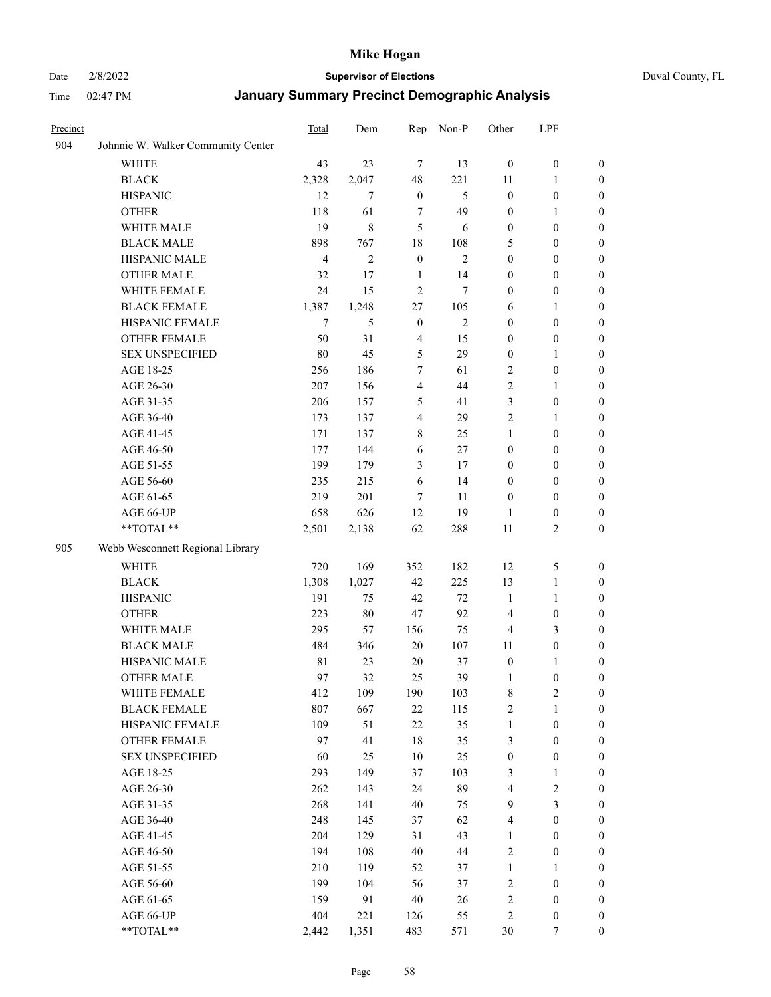#### Date 2/8/2022 **Supervisor of Elections** Duval County, FL

| Precinct |                                    | Total          | Dem            | Rep              | Non-P          | Other                   | LPF              |                  |
|----------|------------------------------------|----------------|----------------|------------------|----------------|-------------------------|------------------|------------------|
| 904      | Johnnie W. Walker Community Center |                |                |                  |                |                         |                  |                  |
|          | <b>WHITE</b>                       | 43             | 23             | 7                | 13             | $\mathbf{0}$            | $\boldsymbol{0}$ | $\boldsymbol{0}$ |
|          | <b>BLACK</b>                       | 2,328          | 2,047          | 48               | 221            | 11                      | $\mathbf{1}$     | $\boldsymbol{0}$ |
|          | <b>HISPANIC</b>                    | 12             | $\overline{7}$ | $\boldsymbol{0}$ | 5              | $\boldsymbol{0}$        | $\boldsymbol{0}$ | $\boldsymbol{0}$ |
|          | <b>OTHER</b>                       | 118            | 61             | 7                | 49             | $\boldsymbol{0}$        | 1                | $\boldsymbol{0}$ |
|          | WHITE MALE                         | 19             | 8              | 5                | 6              | $\boldsymbol{0}$        | $\boldsymbol{0}$ | $\boldsymbol{0}$ |
|          | <b>BLACK MALE</b>                  | 898            | 767            | 18               | 108            | 5                       | $\boldsymbol{0}$ | $\boldsymbol{0}$ |
|          | HISPANIC MALE                      | $\overline{4}$ | $\mathbf{2}$   | $\boldsymbol{0}$ | $\mathbf{2}$   | $\boldsymbol{0}$        | $\boldsymbol{0}$ | $\boldsymbol{0}$ |
|          | <b>OTHER MALE</b>                  | 32             | 17             | $\mathbf{1}$     | 14             | $\boldsymbol{0}$        | $\boldsymbol{0}$ | $\boldsymbol{0}$ |
|          | WHITE FEMALE                       | 24             | 15             | $\mathfrak{2}$   | 7              | $\boldsymbol{0}$        | $\boldsymbol{0}$ | 0                |
|          | <b>BLACK FEMALE</b>                | 1,387          | 1,248          | 27               | 105            | 6                       | $\mathbf{1}$     | 0                |
|          | HISPANIC FEMALE                    | 7              | 5              | $\boldsymbol{0}$ | $\mathfrak{2}$ | $\boldsymbol{0}$        | $\boldsymbol{0}$ | $\boldsymbol{0}$ |
|          | OTHER FEMALE                       | 50             | 31             | $\overline{4}$   | 15             | $\boldsymbol{0}$        | $\boldsymbol{0}$ | $\boldsymbol{0}$ |
|          | <b>SEX UNSPECIFIED</b>             | $80\,$         | 45             | $\mathfrak s$    | 29             | $\boldsymbol{0}$        | $\mathbf{1}$     | $\boldsymbol{0}$ |
|          | AGE 18-25                          | 256            | 186            | 7                | 61             | 2                       | $\boldsymbol{0}$ | $\boldsymbol{0}$ |
|          | AGE 26-30                          | 207            | 156            | $\overline{4}$   | 44             | 2                       | $\mathbf{1}$     | $\boldsymbol{0}$ |
|          | AGE 31-35                          | 206            | 157            | 5                | 41             | 3                       | $\boldsymbol{0}$ | $\boldsymbol{0}$ |
|          | AGE 36-40                          | 173            | 137            | $\overline{4}$   | 29             | $\mathfrak{2}$          | $\mathbf{1}$     | $\boldsymbol{0}$ |
|          | AGE 41-45                          | 171            | 137            | $\,$ 8 $\,$      | 25             | $\mathbf{1}$            | $\boldsymbol{0}$ | $\boldsymbol{0}$ |
|          | AGE 46-50                          | 177            | 144            | 6                | 27             | $\boldsymbol{0}$        | $\boldsymbol{0}$ | $\boldsymbol{0}$ |
|          | AGE 51-55                          | 199            | 179            | 3                | 17             | $\boldsymbol{0}$        | $\boldsymbol{0}$ | 0                |
|          | AGE 56-60                          | 235            | 215            | 6                | 14             | $\boldsymbol{0}$        | $\boldsymbol{0}$ | 0                |
|          | AGE 61-65                          | 219            | 201            | 7                | 11             | $\boldsymbol{0}$        | $\boldsymbol{0}$ | $\boldsymbol{0}$ |
|          | AGE 66-UP                          | 658            | 626            | 12               | 19             | 1                       | $\boldsymbol{0}$ | $\boldsymbol{0}$ |
|          | **TOTAL**                          | 2,501          | 2,138          | 62               | 288            | 11                      | $\sqrt{2}$       | $\boldsymbol{0}$ |
| 905      | Webb Wesconnett Regional Library   |                |                |                  |                |                         |                  |                  |
|          | <b>WHITE</b>                       | 720            | 169            | 352              | 182            | 12                      | $\mathfrak{S}$   | $\boldsymbol{0}$ |
|          | <b>BLACK</b>                       | 1,308          | 1,027          | 42               | 225            | 13                      | $\mathbf{1}$     | $\boldsymbol{0}$ |
|          | <b>HISPANIC</b>                    | 191            | 75             | 42               | 72             | $\mathbf{1}$            | $\mathbf{1}$     | $\boldsymbol{0}$ |
|          | <b>OTHER</b>                       | 223            | $80\,$         | 47               | 92             | 4                       | $\boldsymbol{0}$ | $\boldsymbol{0}$ |
|          | WHITE MALE                         | 295            | 57             | 156              | 75             | 4                       | $\mathfrak{Z}$   | $\boldsymbol{0}$ |
|          | <b>BLACK MALE</b>                  | 484            | 346            | $20\,$           | 107            | 11                      | $\boldsymbol{0}$ | $\boldsymbol{0}$ |
|          | HISPANIC MALE                      | $8\sqrt{1}$    | 23             | 20               | 37             | $\boldsymbol{0}$        | 1                | 0                |
|          | <b>OTHER MALE</b>                  | 97             | 32             | 25               | 39             | $\mathbf{1}$            | $\boldsymbol{0}$ | $\boldsymbol{0}$ |
|          | WHITE FEMALE                       | 412            | 109            | 190              | 103            | 8                       | $\overline{c}$   | $\boldsymbol{0}$ |
|          | <b>BLACK FEMALE</b>                | 807            | 667            | $22\,$           | 115            | $\sqrt{2}$              | $\mathbf{1}$     | $\boldsymbol{0}$ |
|          | HISPANIC FEMALE                    | 109            | 51             | 22               | 35             | $\mathbf{1}$            | $\boldsymbol{0}$ | $\overline{0}$   |
|          | <b>OTHER FEMALE</b>                | 97             | 41             | 18               | 35             | 3                       | $\boldsymbol{0}$ | $\overline{0}$   |
|          | <b>SEX UNSPECIFIED</b>             | 60             | 25             | 10               | 25             | $\boldsymbol{0}$        | $\boldsymbol{0}$ | $\overline{0}$   |
|          | AGE 18-25                          | 293            | 149            | 37               | 103            | 3                       | $\mathbf{1}$     | $\overline{0}$   |
|          | AGE 26-30                          | 262            | 143            | 24               | 89             | 4                       | $\sqrt{2}$       | 0                |
|          | AGE 31-35                          | 268            | 141            | 40               | 75             | $\mathbf{9}$            | $\mathfrak{Z}$   | 0                |
|          | AGE 36-40                          | 248            | 145            | 37               | 62             | $\overline{\mathbf{4}}$ | $\boldsymbol{0}$ | 0                |
|          | AGE 41-45                          | 204            | 129            | 31               | 43             | $\mathbf{1}$            | $\boldsymbol{0}$ | 0                |
|          | AGE 46-50                          | 194            | 108            | 40               | 44             | $\sqrt{2}$              | $\boldsymbol{0}$ | $\boldsymbol{0}$ |
|          | AGE 51-55                          | 210            | 119            | 52               | 37             | $\mathbf{1}$            | $\mathbf{1}$     | $\boldsymbol{0}$ |
|          | AGE 56-60                          | 199            | 104            | 56               | 37             | $\sqrt{2}$              | $\boldsymbol{0}$ | $\boldsymbol{0}$ |
|          | AGE 61-65                          | 159            | 91             | 40               | 26             | 2                       | $\boldsymbol{0}$ | $\boldsymbol{0}$ |
|          | AGE 66-UP                          | 404            | 221            | 126              | 55             | $\sqrt{2}$              | $\boldsymbol{0}$ | $\boldsymbol{0}$ |
|          | **TOTAL**                          | 2,442          | 1,351          | 483              | 571            | 30                      | 7                | $\overline{0}$   |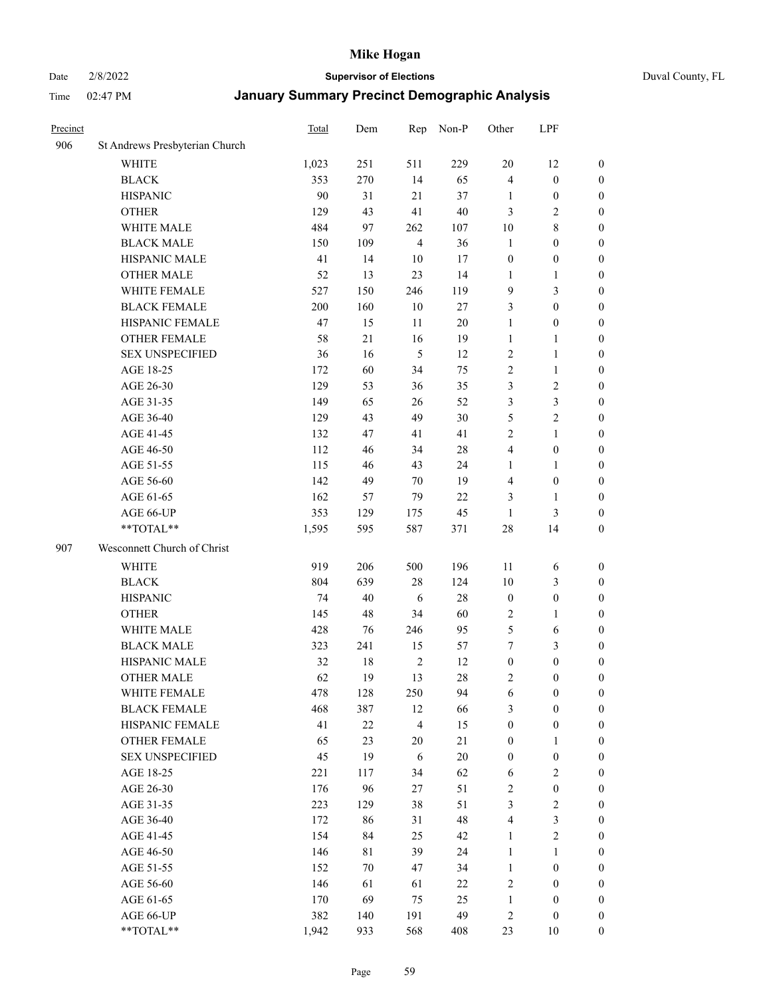### Date 2/8/2022 **Supervisor of Elections** Duval County, FL

| Precinct |                                | Total | Dem | Rep            | Non-P  | Other            | LPF              |                  |
|----------|--------------------------------|-------|-----|----------------|--------|------------------|------------------|------------------|
| 906      | St Andrews Presbyterian Church |       |     |                |        |                  |                  |                  |
|          | <b>WHITE</b>                   | 1,023 | 251 | 511            | 229    | 20               | 12               | 0                |
|          | <b>BLACK</b>                   | 353   | 270 | 14             | 65     | $\overline{4}$   | $\boldsymbol{0}$ | 0                |
|          | <b>HISPANIC</b>                | 90    | 31  | 21             | 37     | 1                | $\boldsymbol{0}$ | $\boldsymbol{0}$ |
|          | <b>OTHER</b>                   | 129   | 43  | 41             | 40     | 3                | $\mathbf{2}$     | $\boldsymbol{0}$ |
|          | WHITE MALE                     | 484   | 97  | 262            | 107    | 10               | $8\,$            | $\boldsymbol{0}$ |
|          | <b>BLACK MALE</b>              | 150   | 109 | $\overline{4}$ | 36     | $\mathbf{1}$     | $\boldsymbol{0}$ | $\boldsymbol{0}$ |
|          | HISPANIC MALE                  | 41    | 14  | 10             | 17     | $\boldsymbol{0}$ | $\boldsymbol{0}$ | $\boldsymbol{0}$ |
|          | <b>OTHER MALE</b>              | 52    | 13  | 23             | 14     | $\mathbf{1}$     | $\mathbf{1}$     | $\boldsymbol{0}$ |
|          | WHITE FEMALE                   | 527   | 150 | 246            | 119    | 9                | $\mathfrak{Z}$   | $\boldsymbol{0}$ |
|          | <b>BLACK FEMALE</b>            | 200   | 160 | $10\,$         | $27\,$ | 3                | $\boldsymbol{0}$ | 0                |
|          | HISPANIC FEMALE                | 47    | 15  | 11             | 20     | $\mathbf{1}$     | $\boldsymbol{0}$ | 0                |
|          | <b>OTHER FEMALE</b>            | 58    | 21  | 16             | 19     | $\mathbf{1}$     | $\mathbf{1}$     | 0                |
|          | <b>SEX UNSPECIFIED</b>         | 36    | 16  | 5              | 12     | $\sqrt{2}$       | $\mathbf{1}$     | $\boldsymbol{0}$ |
|          | AGE 18-25                      | 172   | 60  | 34             | 75     | $\sqrt{2}$       | $\mathbf{1}$     | $\boldsymbol{0}$ |
|          | AGE 26-30                      | 129   | 53  | 36             | 35     | 3                | $\sqrt{2}$       | $\boldsymbol{0}$ |
|          | AGE 31-35                      | 149   | 65  | 26             | 52     | 3                | $\mathfrak{Z}$   | $\boldsymbol{0}$ |
|          | AGE 36-40                      | 129   | 43  | 49             | 30     | 5                | $\sqrt{2}$       | $\boldsymbol{0}$ |
|          | AGE 41-45                      | 132   | 47  | 41             | 41     | $\mathbf{2}$     | $\mathbf{1}$     | $\boldsymbol{0}$ |
|          | AGE 46-50                      | 112   | 46  | 34             | $28\,$ | 4                | $\boldsymbol{0}$ | $\boldsymbol{0}$ |
|          | AGE 51-55                      | 115   | 46  | 43             | 24     | 1                | $\mathbf{1}$     | $\boldsymbol{0}$ |
|          | AGE 56-60                      | 142   | 49  | 70             | 19     | $\overline{4}$   | $\boldsymbol{0}$ | 0                |
|          | AGE 61-65                      | 162   | 57  | 79             | 22     | 3                | $\mathbf{1}$     | 0                |
|          | AGE 66-UP                      | 353   | 129 | 175            | 45     | $\mathbf{1}$     | $\mathfrak{Z}$   | $\boldsymbol{0}$ |
|          | $**TOTAL**$                    | 1,595 | 595 | 587            | 371    | 28               | 14               | $\boldsymbol{0}$ |
| 907      | Wesconnett Church of Christ    |       |     |                |        |                  |                  |                  |
|          | <b>WHITE</b>                   | 919   | 206 | 500            | 196    | 11               | 6                | $\boldsymbol{0}$ |
|          | <b>BLACK</b>                   | 804   | 639 | $28\,$         | 124    | 10               | $\mathfrak{Z}$   | $\boldsymbol{0}$ |
|          | <b>HISPANIC</b>                | 74    | 40  | 6              | 28     | $\boldsymbol{0}$ | $\boldsymbol{0}$ | $\boldsymbol{0}$ |
|          | <b>OTHER</b>                   | 145   | 48  | 34             | 60     | 2                | $\mathbf{1}$     | $\boldsymbol{0}$ |
|          | WHITE MALE                     | 428   | 76  | 246            | 95     | $\mathfrak{S}$   | 6                | $\boldsymbol{0}$ |
|          | <b>BLACK MALE</b>              | 323   | 241 | 15             | 57     | 7                | $\mathfrak{Z}$   | $\boldsymbol{0}$ |
|          | HISPANIC MALE                  | 32    | 18  | $\sqrt{2}$     | 12     | $\boldsymbol{0}$ | $\boldsymbol{0}$ | 0                |
|          | <b>OTHER MALE</b>              | 62    | 19  | 13             | 28     | 2                | $\boldsymbol{0}$ | $\boldsymbol{0}$ |
|          | WHITE FEMALE                   | 478   | 128 | 250            | 94     | 6                | $\boldsymbol{0}$ | 0                |
|          | <b>BLACK FEMALE</b>            | 468   | 387 | 12             | 66     | 3                | $\boldsymbol{0}$ | $\boldsymbol{0}$ |
|          | HISPANIC FEMALE                | 41    | 22  | $\overline{4}$ | 15     | $\boldsymbol{0}$ | $\boldsymbol{0}$ | $\overline{0}$   |
|          | <b>OTHER FEMALE</b>            | 65    | 23  | $20\,$         | 21     | $\boldsymbol{0}$ | $\mathbf{1}$     | $\overline{0}$   |
|          | <b>SEX UNSPECIFIED</b>         | 45    | 19  | 6              | $20\,$ | $\boldsymbol{0}$ | $\boldsymbol{0}$ | $\overline{0}$   |
|          | AGE 18-25                      | 221   | 117 | 34             | 62     | 6                | $\sqrt{2}$       | $\theta$         |
|          | AGE 26-30                      | 176   | 96  | $27\,$         | 51     | $\sqrt{2}$       | $\boldsymbol{0}$ | 0                |
|          | AGE 31-35                      | 223   | 129 | 38             | 51     | 3                | $\sqrt{2}$       | 0                |
|          | AGE 36-40                      | 172   | 86  | 31             | 48     | 4                | $\mathfrak{Z}$   | 0                |
|          | AGE 41-45                      | 154   | 84  | 25             | 42     | $\mathbf{1}$     | $\sqrt{2}$       | 0                |
|          | AGE 46-50                      | 146   | 81  | 39             | 24     | 1                | $\mathbf{1}$     | 0                |
|          | AGE 51-55                      | 152   | 70  | 47             | 34     | $\mathbf{1}$     | $\boldsymbol{0}$ | $\overline{0}$   |
|          | AGE 56-60                      | 146   | 61  | 61             | 22     | $\overline{c}$   | $\boldsymbol{0}$ | $\overline{0}$   |
|          | AGE 61-65                      | 170   | 69  | 75             | 25     | $\mathbf{1}$     | $\boldsymbol{0}$ | $\overline{0}$   |
|          | AGE 66-UP                      | 382   | 140 | 191            | 49     | 2                | $\boldsymbol{0}$ | $\boldsymbol{0}$ |
|          | **TOTAL**                      | 1,942 | 933 | 568            | 408    | 23               | 10               | $\boldsymbol{0}$ |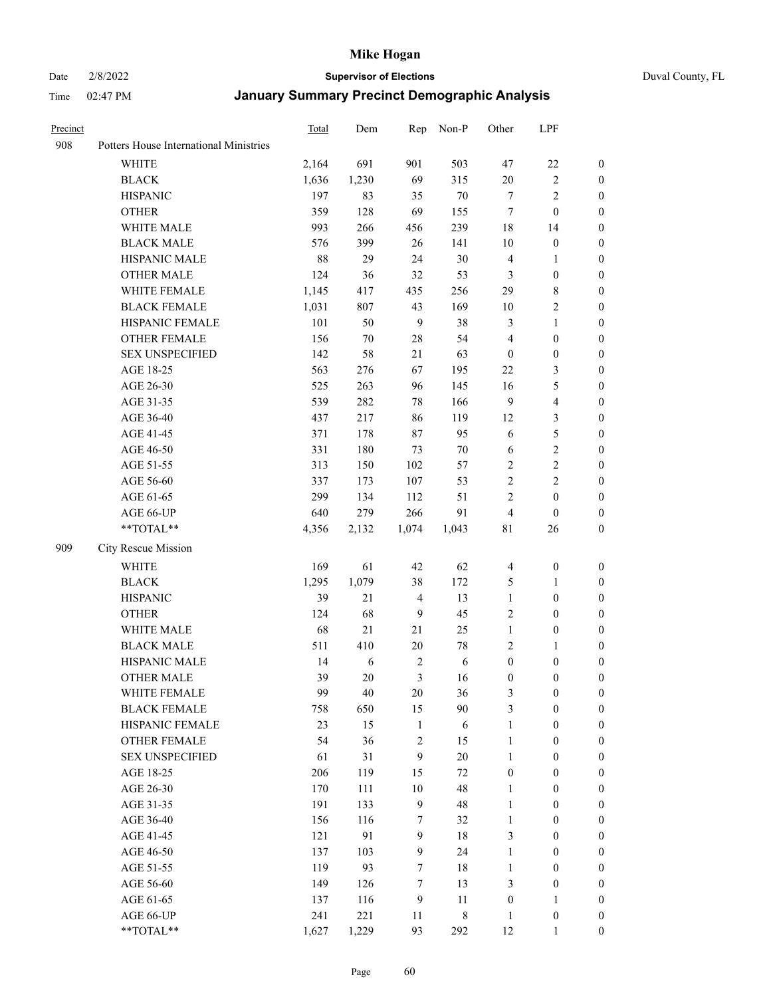#### Date 2/8/2022 **Supervisor of Elections** Duval County, FL

| Precinct |                                        | Total | Dem    | Rep              | Non-P       | Other            | LPF                     |                  |
|----------|----------------------------------------|-------|--------|------------------|-------------|------------------|-------------------------|------------------|
| 908      | Potters House International Ministries |       |        |                  |             |                  |                         |                  |
|          | <b>WHITE</b>                           | 2,164 | 691    | 901              | 503         | 47               | $22\,$                  | $\boldsymbol{0}$ |
|          | <b>BLACK</b>                           | 1,636 | 1,230  | 69               | 315         | $20\,$           | $\sqrt{2}$              | $\boldsymbol{0}$ |
|          | <b>HISPANIC</b>                        | 197   | 83     | 35               | $70\,$      | 7                | $\sqrt{2}$              | $\boldsymbol{0}$ |
|          | <b>OTHER</b>                           | 359   | 128    | 69               | 155         | 7                | $\boldsymbol{0}$        | $\boldsymbol{0}$ |
|          | WHITE MALE                             | 993   | 266    | 456              | 239         | 18               | 14                      | 0                |
|          | <b>BLACK MALE</b>                      | 576   | 399    | 26               | 141         | 10               | $\boldsymbol{0}$        | $\boldsymbol{0}$ |
|          | HISPANIC MALE                          | 88    | 29     | 24               | $30\,$      | $\overline{4}$   | $\mathbf{1}$            | $\boldsymbol{0}$ |
|          | <b>OTHER MALE</b>                      | 124   | 36     | 32               | 53          | 3                | $\boldsymbol{0}$        | $\boldsymbol{0}$ |
|          | WHITE FEMALE                           | 1,145 | 417    | 435              | 256         | 29               | $\,$ 8 $\,$             | 0                |
|          | <b>BLACK FEMALE</b>                    | 1,031 | 807    | 43               | 169         | 10               | $\sqrt{2}$              | 0                |
|          | HISPANIC FEMALE                        | 101   | 50     | 9                | 38          | 3                | $\mathbf{1}$            | 0                |
|          | OTHER FEMALE                           | 156   | $70\,$ | $28\,$           | 54          | 4                | $\boldsymbol{0}$        | $\boldsymbol{0}$ |
|          | <b>SEX UNSPECIFIED</b>                 | 142   | 58     | 21               | 63          | $\boldsymbol{0}$ | $\boldsymbol{0}$        | $\boldsymbol{0}$ |
|          | AGE 18-25                              | 563   | 276    | 67               | 195         | $22\,$           | $\mathfrak{Z}$          | $\boldsymbol{0}$ |
|          | AGE 26-30                              | 525   | 263    | 96               | 145         | 16               | $\mathfrak{S}$          | $\boldsymbol{0}$ |
|          | AGE 31-35                              | 539   | 282    | 78               | 166         | $\overline{9}$   | $\overline{\mathbf{4}}$ | $\boldsymbol{0}$ |
|          | AGE 36-40                              | 437   | 217    | 86               | 119         | 12               | $\mathfrak{Z}$          | $\boldsymbol{0}$ |
|          | AGE 41-45                              | 371   | 178    | $87\,$           | 95          | 6                | $\mathfrak s$           | $\boldsymbol{0}$ |
|          | AGE 46-50                              | 331   | 180    | 73               | $70\,$      | 6                | $\sqrt{2}$              | 0                |
|          | AGE 51-55                              | 313   | 150    | 102              | 57          | $\overline{c}$   | $\sqrt{2}$              | 0                |
|          | AGE 56-60                              | 337   | 173    | 107              | 53          | $\sqrt{2}$       | $\sqrt{2}$              | 0                |
|          | AGE 61-65                              | 299   | 134    | 112              | 51          | $\overline{c}$   | $\boldsymbol{0}$        | 0                |
|          | AGE 66-UP                              | 640   | 279    | 266              | 91          | $\overline{4}$   | $\boldsymbol{0}$        | $\boldsymbol{0}$ |
|          | **TOTAL**                              | 4,356 | 2,132  | 1,074            | 1,043       | 81               | 26                      | $\boldsymbol{0}$ |
| 909      | City Rescue Mission                    |       |        |                  |             |                  |                         |                  |
|          | WHITE                                  | 169   | 61     | 42               | 62          | $\overline{4}$   | $\boldsymbol{0}$        | $\boldsymbol{0}$ |
|          | <b>BLACK</b>                           | 1,295 | 1,079  | 38               | 172         | 5                | $\mathbf{1}$            | $\boldsymbol{0}$ |
|          | <b>HISPANIC</b>                        | 39    | 21     | $\overline{4}$   | 13          | $\mathbf{1}$     | $\boldsymbol{0}$        | $\boldsymbol{0}$ |
|          | <b>OTHER</b>                           | 124   | 68     | 9                | 45          | 2                | $\boldsymbol{0}$        | $\boldsymbol{0}$ |
|          | WHITE MALE                             | 68    | 21     | 21               | 25          | $\mathbf{1}$     | $\boldsymbol{0}$        | 0                |
|          | <b>BLACK MALE</b>                      | 511   | 410    | 20               | $78\,$      | $\mathbf{2}$     | $\mathbf{1}$            | 0                |
|          | HISPANIC MALE                          | 14    | 6      | $\overline{2}$   | 6           | $\boldsymbol{0}$ | $\boldsymbol{0}$        | 0                |
|          | <b>OTHER MALE</b>                      | 39    | 20     | 3                | 16          | $\boldsymbol{0}$ | $\boldsymbol{0}$        | $\boldsymbol{0}$ |
|          | WHITE FEMALE                           | 99    | 40     | $20\,$           | 36          | 3                | $\boldsymbol{0}$        | $\boldsymbol{0}$ |
|          | <b>BLACK FEMALE</b>                    | 758   | 650    | 15               | 90          | 3                | $\boldsymbol{0}$        | $\overline{0}$   |
|          | HISPANIC FEMALE                        | 23    | 15     | $\mathbf{1}$     | 6           | $\mathbf{1}$     | $\boldsymbol{0}$        | $\overline{0}$   |
|          | <b>OTHER FEMALE</b>                    | 54    | 36     | $\sqrt{2}$       | 15          | $\mathbf{1}$     | $\boldsymbol{0}$        | $\overline{0}$   |
|          | <b>SEX UNSPECIFIED</b>                 | 61    | 31     | $\boldsymbol{9}$ | $20\,$      | $\mathbf{1}$     | $\boldsymbol{0}$        | $\overline{0}$   |
|          | AGE 18-25                              | 206   | 119    | 15               | $72\,$      | $\boldsymbol{0}$ | $\boldsymbol{0}$        | $\overline{0}$   |
|          | AGE 26-30                              | 170   | 111    | $10\,$           | 48          | $\mathbf{1}$     | $\boldsymbol{0}$        | 0                |
|          | AGE 31-35                              | 191   | 133    | 9                | 48          | $\mathbf{1}$     | $\boldsymbol{0}$        | 0                |
|          | AGE 36-40                              | 156   | 116    | 7                | 32          | $\mathbf{1}$     | $\boldsymbol{0}$        | 0                |
|          | AGE 41-45                              | 121   | 91     | $\overline{9}$   | 18          | 3                | $\boldsymbol{0}$        | 0                |
|          | AGE 46-50                              | 137   | 103    | 9                | 24          | $\mathbf{1}$     | $\boldsymbol{0}$        | $\boldsymbol{0}$ |
|          | AGE 51-55                              | 119   | 93     | $\tau$           | $18\,$      | $\mathbf{1}$     | $\boldsymbol{0}$        | $\boldsymbol{0}$ |
|          | AGE 56-60                              | 149   | 126    | 7                | 13          | 3                | $\boldsymbol{0}$        | $\boldsymbol{0}$ |
|          | AGE 61-65                              | 137   | 116    | $\overline{9}$   | 11          | $\boldsymbol{0}$ | $\mathbf{1}$            | $\boldsymbol{0}$ |
|          | AGE 66-UP                              | 241   | 221    | 11               | $\,$ 8 $\,$ | $\mathbf{1}$     | $\boldsymbol{0}$        | 0                |
|          | **TOTAL**                              | 1,627 | 1,229  | 93               | 292         | 12               | $\mathbf{1}$            | $\boldsymbol{0}$ |
|          |                                        |       |        |                  |             |                  |                         |                  |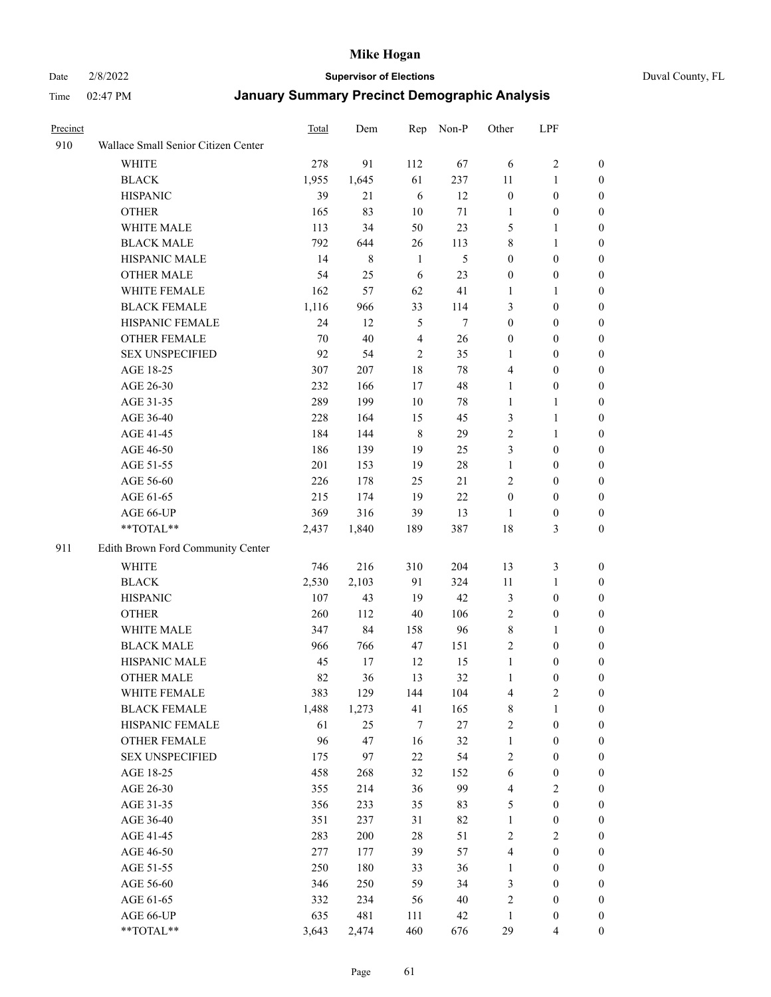Date 2/8/2022 **Supervisor of Elections** Duval County, FL

| Precinct |                                     | <b>Total</b> | Dem     | Rep            | Non-P  | Other                   | LPF              |                  |
|----------|-------------------------------------|--------------|---------|----------------|--------|-------------------------|------------------|------------------|
| 910      | Wallace Small Senior Citizen Center |              |         |                |        |                         |                  |                  |
|          | <b>WHITE</b>                        | 278          | 91      | 112            | 67     | 6                       | $\sqrt{2}$       | 0                |
|          | <b>BLACK</b>                        | 1,955        | 1,645   | 61             | 237    | 11                      | $\mathbf{1}$     | 0                |
|          | <b>HISPANIC</b>                     | 39           | 21      | 6              | 12     | $\boldsymbol{0}$        | $\boldsymbol{0}$ | 0                |
|          | <b>OTHER</b>                        | 165          | 83      | 10             | 71     | 1                       | $\boldsymbol{0}$ | $\boldsymbol{0}$ |
|          | WHITE MALE                          | 113          | 34      | 50             | 23     | 5                       | $\mathbf{1}$     | $\boldsymbol{0}$ |
|          | <b>BLACK MALE</b>                   | 792          | 644     | 26             | 113    | 8                       | $\mathbf{1}$     | $\boldsymbol{0}$ |
|          | HISPANIC MALE                       | 14           | $\,8\,$ | $\mathbf{1}$   | 5      | $\boldsymbol{0}$        | $\boldsymbol{0}$ | $\boldsymbol{0}$ |
|          | <b>OTHER MALE</b>                   | 54           | 25      | 6              | 23     | $\boldsymbol{0}$        | $\boldsymbol{0}$ | $\boldsymbol{0}$ |
|          | WHITE FEMALE                        | 162          | 57      | 62             | 41     | 1                       | $\mathbf{1}$     | $\boldsymbol{0}$ |
|          | <b>BLACK FEMALE</b>                 | 1,116        | 966     | 33             | 114    | 3                       | $\boldsymbol{0}$ | 0                |
|          | HISPANIC FEMALE                     | 24           | 12      | 5              | 7      | $\boldsymbol{0}$        | $\boldsymbol{0}$ | 0                |
|          | OTHER FEMALE                        | 70           | 40      | $\overline{4}$ | 26     | $\boldsymbol{0}$        | $\boldsymbol{0}$ | 0                |
|          | <b>SEX UNSPECIFIED</b>              | 92           | 54      | $\mathfrak{2}$ | 35     | $\mathbf{1}$            | $\boldsymbol{0}$ | $\boldsymbol{0}$ |
|          | AGE 18-25                           | 307          | 207     | 18             | 78     | 4                       | $\boldsymbol{0}$ | $\boldsymbol{0}$ |
|          | AGE 26-30                           | 232          | 166     | 17             | 48     | $\mathbf{1}$            | $\boldsymbol{0}$ | $\boldsymbol{0}$ |
|          | AGE 31-35                           | 289          | 199     | 10             | 78     | $\mathbf{1}$            | $\mathbf{1}$     | $\boldsymbol{0}$ |
|          | AGE 36-40                           | 228          | 164     | 15             | 45     | 3                       | $\mathbf{1}$     | $\boldsymbol{0}$ |
|          | AGE 41-45                           | 184          | 144     | $\,$ 8 $\,$    | 29     | $\mathfrak{2}$          | $\mathbf{1}$     | $\boldsymbol{0}$ |
|          | AGE 46-50                           | 186          | 139     | 19             | 25     | 3                       | $\boldsymbol{0}$ | $\boldsymbol{0}$ |
|          | AGE 51-55                           | 201          | 153     | 19             | $28\,$ | $\mathbf{1}$            | $\boldsymbol{0}$ | 0                |
|          | AGE 56-60                           | 226          | 178     | 25             | 21     | $\mathfrak{2}$          | $\boldsymbol{0}$ | 0                |
|          | AGE 61-65                           | 215          | 174     | 19             | 22     | $\boldsymbol{0}$        | $\boldsymbol{0}$ | 0                |
|          | AGE 66-UP                           | 369          | 316     | 39             | 13     | $\mathbf{1}$            | $\boldsymbol{0}$ | $\boldsymbol{0}$ |
|          | **TOTAL**                           | 2,437        | 1,840   | 189            | 387    | 18                      | $\mathfrak{Z}$   | $\boldsymbol{0}$ |
| 911      | Edith Brown Ford Community Center   |              |         |                |        |                         |                  |                  |
|          | <b>WHITE</b>                        | 746          | 216     | 310            | 204    | 13                      | $\mathfrak{Z}$   | $\boldsymbol{0}$ |
|          | <b>BLACK</b>                        | 2,530        | 2,103   | 91             | 324    | 11                      | $\mathbf{1}$     | $\boldsymbol{0}$ |
|          | <b>HISPANIC</b>                     | 107          | 43      | 19             | 42     | 3                       | $\boldsymbol{0}$ | $\boldsymbol{0}$ |
|          | <b>OTHER</b>                        | 260          | 112     | 40             | 106    | $\overline{c}$          | $\boldsymbol{0}$ | $\boldsymbol{0}$ |
|          | WHITE MALE                          | 347          | 84      | 158            | 96     | 8                       | $\mathbf{1}$     | $\boldsymbol{0}$ |
|          | <b>BLACK MALE</b>                   | 966          | 766     | 47             | 151    | $\overline{c}$          | $\boldsymbol{0}$ | $\boldsymbol{0}$ |
|          | HISPANIC MALE                       | 45           | 17      | 12             | 15     | $\mathbf{1}$            | $\boldsymbol{0}$ | 0                |
|          | <b>OTHER MALE</b>                   | 82           | 36      | 13             | 32     | $\mathbf{1}$            | $\boldsymbol{0}$ | 0                |
|          | WHITE FEMALE                        | 383          | 129     | 144            | 104    | 4                       | 2                | 0                |
|          | <b>BLACK FEMALE</b>                 | 1,488        | 1,273   | 41             | 165    | 8                       | $\mathbf{1}$     | $\boldsymbol{0}$ |
|          | HISPANIC FEMALE                     | 61           | 25      | $\tau$         | 27     | $\overline{c}$          | $\boldsymbol{0}$ | $\overline{0}$   |
|          | OTHER FEMALE                        | 96           | 47      | 16             | 32     | $\mathbf{1}$            | $\boldsymbol{0}$ | $\overline{0}$   |
|          | <b>SEX UNSPECIFIED</b>              | 175          | 97      | 22             | 54     | 2                       | $\boldsymbol{0}$ | 0                |
|          | AGE 18-25                           | 458          | 268     | 32             | 152    | 6                       | $\boldsymbol{0}$ | $\theta$         |
|          | AGE 26-30                           | 355          | 214     | 36             | 99     | $\overline{\mathbf{4}}$ | $\overline{2}$   | 0                |
|          | AGE 31-35                           | 356          | 233     | 35             | 83     | 5                       | $\boldsymbol{0}$ | 0                |
|          | AGE 36-40                           | 351          | 237     | 31             | 82     | $\mathbf{1}$            | $\boldsymbol{0}$ | 0                |
|          | AGE 41-45                           | 283          | 200     | 28             | 51     | 2                       | $\overline{2}$   | 0                |
|          | AGE 46-50                           | 277          | 177     | 39             | 57     | 4                       | $\boldsymbol{0}$ | 0                |
|          | AGE 51-55                           | 250          | 180     | 33             | 36     | $\mathbf{1}$            | $\boldsymbol{0}$ | 0                |
|          | AGE 56-60                           | 346          | 250     | 59             | 34     | 3                       | $\boldsymbol{0}$ | $\overline{0}$   |
|          | AGE 61-65                           | 332          | 234     | 56             | 40     | 2                       | $\boldsymbol{0}$ | $\overline{0}$   |
|          | AGE 66-UP                           | 635          | 481     | 111            | 42     | $\mathbf{1}$            | $\boldsymbol{0}$ | 0                |
|          | **TOTAL**                           | 3,643        | 2,474   | 460            | 676    | 29                      | $\overline{4}$   | $\boldsymbol{0}$ |
|          |                                     |              |         |                |        |                         |                  |                  |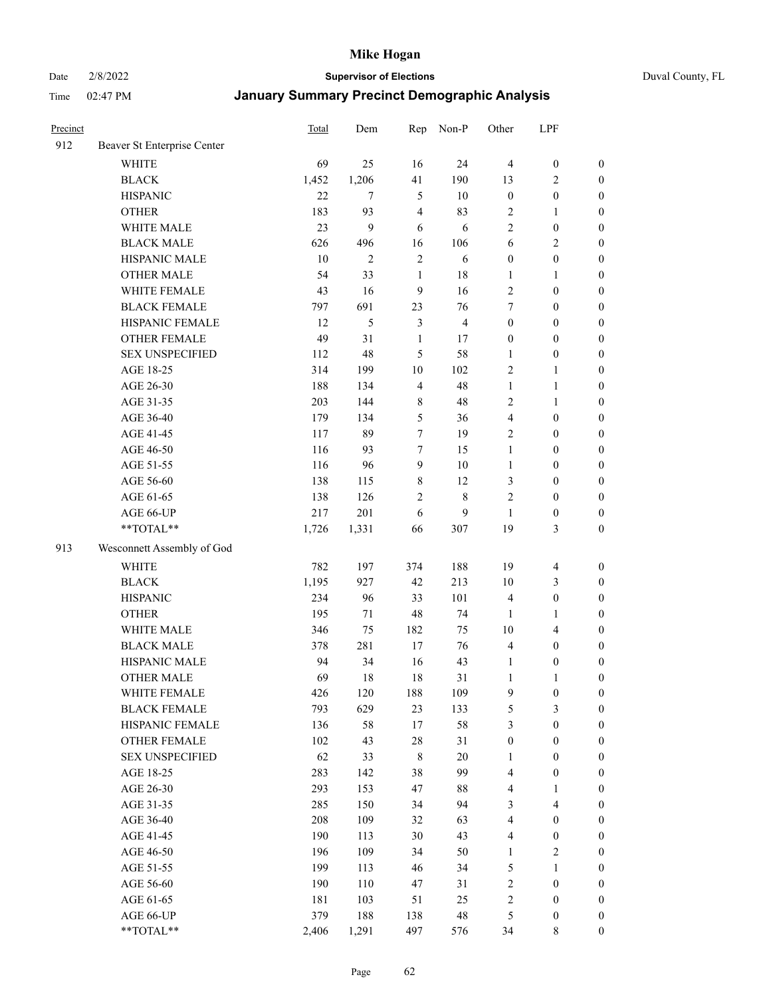Date 2/8/2022 **Supervisor of Elections** Duval County, FL

| Precinct |                             | Total | Dem            | Rep              | Non-P          | Other                   | LPF                     |                  |
|----------|-----------------------------|-------|----------------|------------------|----------------|-------------------------|-------------------------|------------------|
| 912      | Beaver St Enterprise Center |       |                |                  |                |                         |                         |                  |
|          | <b>WHITE</b>                | 69    | 25             | 16               | 24             | $\overline{4}$          | $\boldsymbol{0}$        | $\boldsymbol{0}$ |
|          | <b>BLACK</b>                | 1,452 | 1,206          | 41               | 190            | 13                      | $\overline{c}$          | $\boldsymbol{0}$ |
|          | <b>HISPANIC</b>             | 22    | $\tau$         | 5                | 10             | $\boldsymbol{0}$        | $\boldsymbol{0}$        | $\boldsymbol{0}$ |
|          | <b>OTHER</b>                | 183   | 93             | $\overline{4}$   | 83             | 2                       | $\mathbf{1}$            | $\boldsymbol{0}$ |
|          | WHITE MALE                  | 23    | 9              | 6                | 6              | $\overline{c}$          | $\boldsymbol{0}$        | $\boldsymbol{0}$ |
|          | <b>BLACK MALE</b>           | 626   | 496            | 16               | 106            | 6                       | $\sqrt{2}$              | $\boldsymbol{0}$ |
|          | HISPANIC MALE               | 10    | $\overline{2}$ | $\sqrt{2}$       | 6              | $\boldsymbol{0}$        | $\boldsymbol{0}$        | $\boldsymbol{0}$ |
|          | <b>OTHER MALE</b>           | 54    | 33             | $\mathbf{1}$     | $18\,$         | $\mathbf{1}$            | $\mathbf{1}$            | $\boldsymbol{0}$ |
|          | WHITE FEMALE                | 43    | 16             | $\boldsymbol{9}$ | 16             | 2                       | $\boldsymbol{0}$        | $\boldsymbol{0}$ |
|          | <b>BLACK FEMALE</b>         | 797   | 691            | 23               | 76             | 7                       | $\boldsymbol{0}$        | $\boldsymbol{0}$ |
|          | HISPANIC FEMALE             | 12    | 5              | $\mathfrak{Z}$   | $\overline{4}$ | $\boldsymbol{0}$        | $\boldsymbol{0}$        | $\boldsymbol{0}$ |
|          | <b>OTHER FEMALE</b>         | 49    | 31             | $\mathbf{1}$     | 17             | $\boldsymbol{0}$        | $\boldsymbol{0}$        | $\boldsymbol{0}$ |
|          | <b>SEX UNSPECIFIED</b>      | 112   | 48             | 5                | 58             | $\mathbf{1}$            | $\boldsymbol{0}$        | $\boldsymbol{0}$ |
|          | AGE 18-25                   | 314   | 199            | 10               | 102            | $\sqrt{2}$              | $\mathbf{1}$            | $\boldsymbol{0}$ |
|          | AGE 26-30                   | 188   | 134            | $\overline{4}$   | 48             | $\mathbf{1}$            | $\mathbf{1}$            | $\boldsymbol{0}$ |
|          | AGE 31-35                   | 203   | 144            | $\,$ 8 $\,$      | 48             | $\sqrt{2}$              | $\mathbf{1}$            | $\boldsymbol{0}$ |
|          | AGE 36-40                   | 179   | 134            | 5                | 36             | 4                       | $\boldsymbol{0}$        | $\boldsymbol{0}$ |
|          | AGE 41-45                   | 117   | 89             | $\tau$           | 19             | $\mathbf{2}$            | $\boldsymbol{0}$        | $\boldsymbol{0}$ |
|          | AGE 46-50                   | 116   | 93             | $\tau$           | 15             | $\mathbf{1}$            | $\boldsymbol{0}$        | $\boldsymbol{0}$ |
|          | AGE 51-55                   | 116   | 96             | $\overline{9}$   | $10\,$         | $\mathbf{1}$            | $\boldsymbol{0}$        | $\boldsymbol{0}$ |
|          | AGE 56-60                   | 138   | 115            | $\,$ 8 $\,$      | 12             | 3                       | $\boldsymbol{0}$        | 0                |
|          | AGE 61-65                   | 138   | 126            | $\mathfrak{2}$   | $\,$ 8 $\,$    | $\mathbf{2}$            | $\boldsymbol{0}$        | $\boldsymbol{0}$ |
|          | AGE 66-UP                   | 217   | 201            | 6                | 9              | $\mathbf{1}$            | $\boldsymbol{0}$        | $\boldsymbol{0}$ |
|          | **TOTAL**                   | 1,726 | 1,331          | 66               | 307            | 19                      | $\mathfrak{Z}$          | $\boldsymbol{0}$ |
| 913      | Wesconnett Assembly of God  |       |                |                  |                |                         |                         |                  |
|          | WHITE                       | 782   | 197            | 374              | 188            | 19                      | $\overline{\mathbf{4}}$ | $\boldsymbol{0}$ |
|          | <b>BLACK</b>                | 1,195 | 927            | 42               | 213            | 10                      | $\mathfrak{Z}$          | $\boldsymbol{0}$ |
|          | <b>HISPANIC</b>             | 234   | 96             | 33               | 101            | 4                       | $\boldsymbol{0}$        | $\boldsymbol{0}$ |
|          | <b>OTHER</b>                | 195   | 71             | 48               | 74             | 1                       | $\mathbf{1}$            | $\boldsymbol{0}$ |
|          | WHITE MALE                  | 346   | 75             | 182              | 75             | $10\,$                  | $\overline{4}$          | $\boldsymbol{0}$ |
|          | <b>BLACK MALE</b>           | 378   | 281            | 17               | 76             | $\overline{4}$          | $\boldsymbol{0}$        | $\boldsymbol{0}$ |
|          | HISPANIC MALE               | 94    | 34             | 16               | 43             | $\mathbf{1}$            | $\boldsymbol{0}$        | $\boldsymbol{0}$ |
|          | <b>OTHER MALE</b>           | 69    | 18             | 18               | 31             | $\mathbf{1}$            | $\mathbf{1}$            | $\boldsymbol{0}$ |
|          | WHITE FEMALE                | 426   | 120            | 188              | 109            | 9                       | $\boldsymbol{0}$        | 0                |
|          | <b>BLACK FEMALE</b>         | 793   | 629            | 23               | 133            | 5                       | 3                       | $\boldsymbol{0}$ |
|          | HISPANIC FEMALE             | 136   | 58             | 17               | 58             | 3                       | $\boldsymbol{0}$        | $\overline{0}$   |
|          | OTHER FEMALE                | 102   | 43             | 28               | 31             | $\boldsymbol{0}$        | $\boldsymbol{0}$        | $\overline{0}$   |
|          | <b>SEX UNSPECIFIED</b>      | 62    | 33             | $\,$ 8 $\,$      | $20\,$         | $\mathbf{1}$            | $\boldsymbol{0}$        | 0                |
|          | AGE 18-25                   | 283   | 142            | 38               | 99             | 4                       | $\boldsymbol{0}$        | $\theta$         |
|          | AGE 26-30                   | 293   | 153            | 47               | $88\,$         | 4                       | $\mathbf{1}$            | 0                |
|          | AGE 31-35                   | 285   | 150            | 34               | 94             | 3                       | $\overline{\mathbf{4}}$ | 0                |
|          | AGE 36-40                   | 208   | 109            | 32               | 63             | 4                       | $\boldsymbol{0}$        | 0                |
|          | AGE 41-45                   | 190   | 113            | 30               | 43             | $\overline{\mathbf{4}}$ | $\boldsymbol{0}$        | 0                |
|          | AGE 46-50                   | 196   | 109            | 34               | 50             | $\mathbf{1}$            | $\sqrt{2}$              | 0                |
|          | AGE 51-55                   | 199   | 113            | 46               | 34             | 5                       | $\mathbf{1}$            | $\boldsymbol{0}$ |
|          | AGE 56-60                   | 190   | 110            | 47               | 31             | $\sqrt{2}$              | $\boldsymbol{0}$        | $\overline{0}$   |
|          | AGE 61-65                   | 181   | 103            | 51               | 25             | $\overline{c}$          | $\boldsymbol{0}$        | $\overline{0}$   |
|          | AGE 66-UP                   | 379   | 188            | 138              | 48             | 5                       | $\boldsymbol{0}$        | 0                |
|          | **TOTAL**                   | 2,406 | 1,291          | 497              | 576            | 34                      | 8                       | $\boldsymbol{0}$ |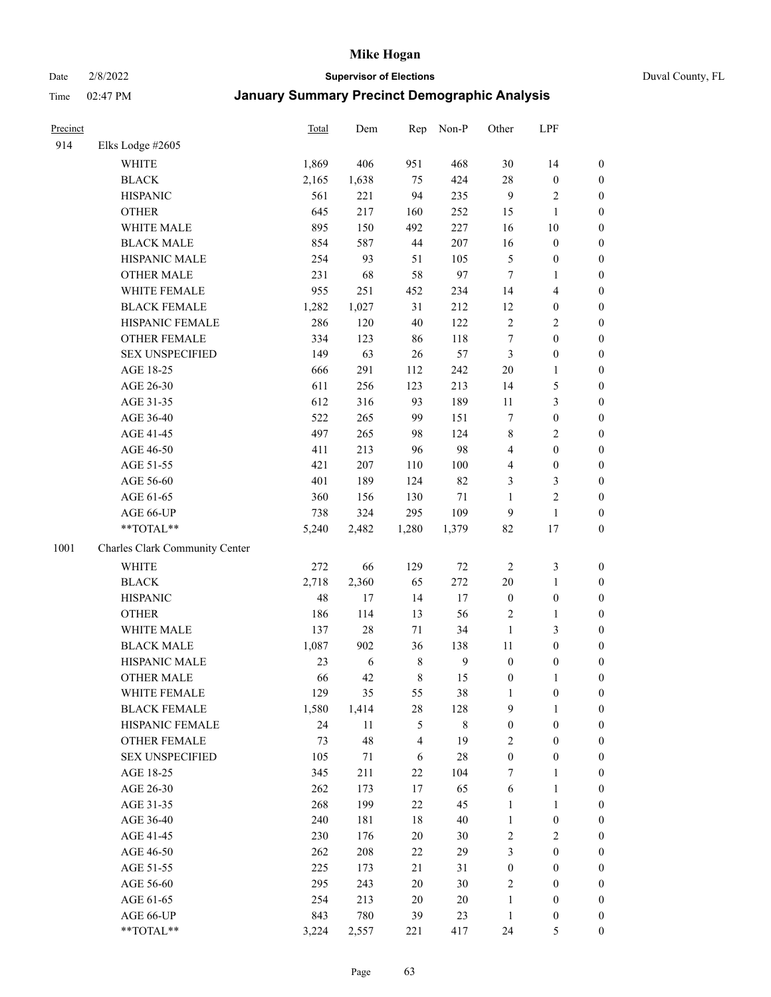#### Date 2/8/2022 **Supervisor of Elections** Duval County, FL

| Precinct |                                | <b>Total</b> | Dem        | Rep         | Non-P        | Other                   | LPF                     |                  |
|----------|--------------------------------|--------------|------------|-------------|--------------|-------------------------|-------------------------|------------------|
| 914      | Elks Lodge #2605               |              |            |             |              |                         |                         |                  |
|          | <b>WHITE</b>                   | 1,869        | 406        | 951         | 468          | 30                      | 14                      | 0                |
|          | <b>BLACK</b>                   | 2,165        | 1,638      | 75          | 424          | 28                      | $\boldsymbol{0}$        | 0                |
|          | <b>HISPANIC</b>                | 561          | 221        | 94          | 235          | 9                       | $\sqrt{2}$              | $\boldsymbol{0}$ |
|          | <b>OTHER</b>                   | 645          | 217        | 160         | 252          | 15                      | 1                       | $\boldsymbol{0}$ |
|          | WHITE MALE                     | 895          | 150        | 492         | 227          | 16                      | $10\,$                  | $\boldsymbol{0}$ |
|          | <b>BLACK MALE</b>              | 854          | 587        | 44          | 207          | 16                      | $\boldsymbol{0}$        | $\boldsymbol{0}$ |
|          | HISPANIC MALE                  | 254          | 93         | 51          | 105          | 5                       | $\boldsymbol{0}$        | $\boldsymbol{0}$ |
|          | <b>OTHER MALE</b>              | 231          | 68         | 58          | 97           | $\tau$                  | $\mathbf{1}$            | $\boldsymbol{0}$ |
|          | WHITE FEMALE                   | 955          | 251        | 452         | 234          | 14                      | $\overline{\mathbf{4}}$ | $\boldsymbol{0}$ |
|          | <b>BLACK FEMALE</b>            | 1,282        | 1,027      | 31          | 212          | 12                      | $\boldsymbol{0}$        | 0                |
|          | HISPANIC FEMALE                | 286          | 120        | 40          | 122          | $\sqrt{2}$              | $\sqrt{2}$              | $\boldsymbol{0}$ |
|          | OTHER FEMALE                   | 334          | 123        | 86          | 118          | $\boldsymbol{7}$        | $\boldsymbol{0}$        | $\boldsymbol{0}$ |
|          | <b>SEX UNSPECIFIED</b>         | 149          | 63         | 26          | 57           | 3                       | $\boldsymbol{0}$        | $\boldsymbol{0}$ |
|          | AGE 18-25                      | 666          | 291        | 112         | 242          | $20\,$                  | $\mathbf{1}$            | $\boldsymbol{0}$ |
|          | AGE 26-30                      | 611          | 256        | 123         | 213          | 14                      | $\mathfrak{S}$          | $\boldsymbol{0}$ |
|          | AGE 31-35                      | 612          | 316        | 93          | 189          | 11                      | $\mathfrak{Z}$          | $\boldsymbol{0}$ |
|          | AGE 36-40                      | 522          | 265        | 99          | 151          | 7                       | $\boldsymbol{0}$        | $\boldsymbol{0}$ |
|          | AGE 41-45                      | 497          | 265        | 98          | 124          | 8                       | $\overline{2}$          | $\boldsymbol{0}$ |
|          | AGE 46-50                      | 411          | 213        | 96          | 98           | $\overline{\mathbf{4}}$ | $\boldsymbol{0}$        | $\boldsymbol{0}$ |
|          | AGE 51-55                      | 421          | 207        | 110         | 100          | 4                       | $\boldsymbol{0}$        | $\boldsymbol{0}$ |
|          | AGE 56-60                      | 401          | 189        | 124         | 82           | 3                       | $\mathfrak{Z}$          | 0                |
|          | AGE 61-65                      | 360          | 156        | 130         | $71\,$       | $\mathbf{1}$            | $\sqrt{2}$              | $\boldsymbol{0}$ |
|          | AGE 66-UP                      | 738          | 324        | 295         | 109          | 9                       | $\mathbf{1}$            | $\boldsymbol{0}$ |
|          | **TOTAL**                      | 5,240        | 2,482      | 1,280       | 1,379        | 82                      | 17                      | $\boldsymbol{0}$ |
| 1001     | Charles Clark Community Center |              |            |             |              |                         |                         |                  |
|          | <b>WHITE</b>                   | 272          | 66         | 129         | $72\,$       | $\sqrt{2}$              | $\mathfrak{Z}$          | $\boldsymbol{0}$ |
|          | <b>BLACK</b>                   | 2,718        | 2,360      | 65          | 272          | 20                      | $\mathbf{1}$            | $\boldsymbol{0}$ |
|          | <b>HISPANIC</b>                | 48           | 17         | 14          | 17           | $\boldsymbol{0}$        | $\boldsymbol{0}$        | $\boldsymbol{0}$ |
|          | <b>OTHER</b>                   | 186          | 114        | 13          | 56           | 2                       | $\mathbf{1}$            | $\boldsymbol{0}$ |
|          | WHITE MALE                     | 137          | $28\,$     | 71          | 34           | $\mathbf{1}$            | 3                       | $\boldsymbol{0}$ |
|          | <b>BLACK MALE</b>              | 1,087        | 902        | 36          | 138          | 11                      | $\boldsymbol{0}$        | $\boldsymbol{0}$ |
|          | HISPANIC MALE                  | 23           | $\sqrt{6}$ | $\,$ 8 $\,$ | $\mathbf{9}$ | $\boldsymbol{0}$        | $\boldsymbol{0}$        | $\boldsymbol{0}$ |
|          | OTHER MALE                     | 66           | 42         | 8           | 15           | $\boldsymbol{0}$        | $\mathbf{1}$            | $\boldsymbol{0}$ |
|          | WHITE FEMALE                   | 129          | 35         | 55          | 38           | $\mathbf{1}$            | $\boldsymbol{0}$        | 0                |
|          | <b>BLACK FEMALE</b>            | 1,580        | 1,414      | 28          | 128          | 9                       | $\mathbf{1}$            | $\boldsymbol{0}$ |
|          | HISPANIC FEMALE                | 24           | 11         | 5           | $8\,$        | $\boldsymbol{0}$        | $\boldsymbol{0}$        | $\overline{0}$   |
|          | OTHER FEMALE                   | 73           | 48         | 4           | 19           | 2                       | $\boldsymbol{0}$        | $\overline{0}$   |
|          | <b>SEX UNSPECIFIED</b>         | 105          | 71         | 6           | $28\,$       | $\boldsymbol{0}$        | $\boldsymbol{0}$        | 0                |
|          | AGE 18-25                      | 345          | 211        | 22          | 104          | 7                       | $\mathbf{1}$            | 0                |
|          | AGE 26-30                      | 262          | 173        | 17          | 65           | 6                       | $\mathbf{1}$            | 0                |
|          | AGE 31-35                      | 268          | 199        | 22          | 45           | $\mathbf{1}$            | $\mathbf{1}$            | 0                |
|          | AGE 36-40                      | 240          | 181        | 18          | $40\,$       | $\mathbf{1}$            | $\boldsymbol{0}$        | 0                |
|          | AGE 41-45                      | 230          | 176        | 20          | $30\,$       | 2                       | $\mathbf{2}$            | 0                |
|          | AGE 46-50                      | 262          | 208        | 22          | 29           | 3                       | $\boldsymbol{0}$        | 0                |
|          | AGE 51-55                      | 225          | 173        | 21          | 31           | $\boldsymbol{0}$        | $\boldsymbol{0}$        | $\boldsymbol{0}$ |
|          | AGE 56-60                      | 295          | 243        | 20          | $30\,$       | 2                       | $\boldsymbol{0}$        | $\boldsymbol{0}$ |
|          | AGE 61-65                      | 254          | 213        | 20          | 20           | $\mathbf{1}$            | $\boldsymbol{0}$        | $\boldsymbol{0}$ |
|          | AGE 66-UP                      | 843          | 780        | 39          | 23           | $\mathbf{1}$            | $\boldsymbol{0}$        | 0                |
|          | **TOTAL**                      | 3,224        | 2,557      | 221         | 417          | 24                      | $\mathfrak{S}$          | $\boldsymbol{0}$ |
|          |                                |              |            |             |              |                         |                         |                  |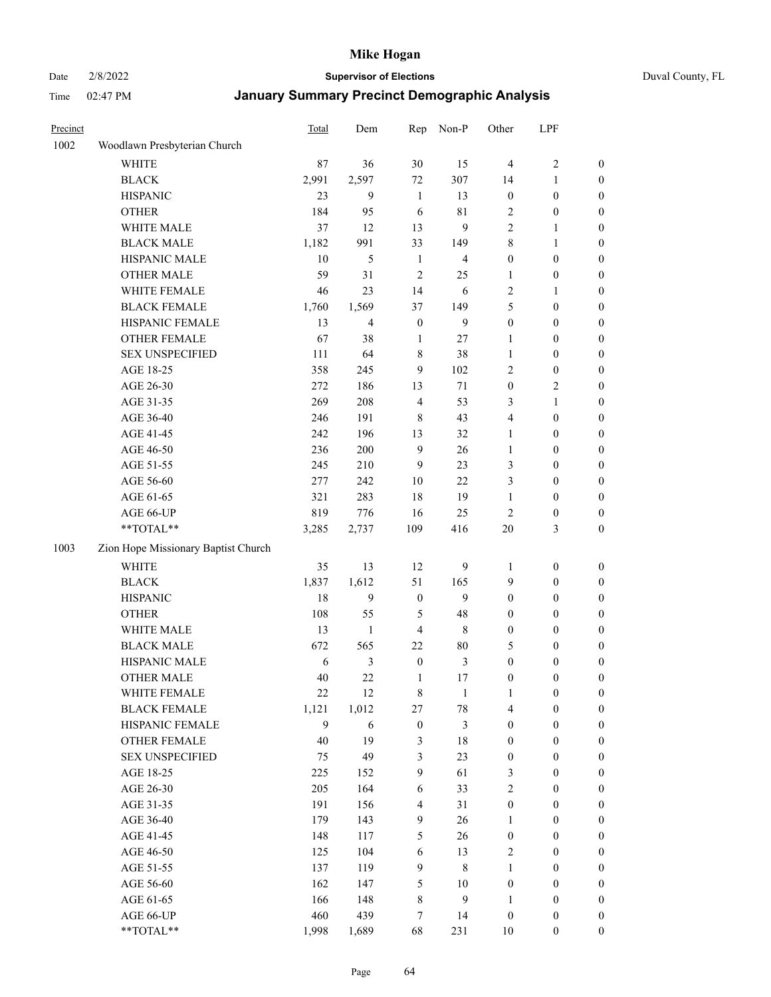Date 2/8/2022 **Supervisor of Elections** Duval County, FL

| Precinct |                                     | <b>Total</b> | Dem            | Rep              | Non-P          | Other            | LPF              |                  |
|----------|-------------------------------------|--------------|----------------|------------------|----------------|------------------|------------------|------------------|
| 1002     | Woodlawn Presbyterian Church        |              |                |                  |                |                  |                  |                  |
|          | <b>WHITE</b>                        | 87           | 36             | 30               | 15             | $\overline{4}$   | $\sqrt{2}$       | 0                |
|          | <b>BLACK</b>                        | 2,991        | 2,597          | 72               | 307            | 14               | $\mathbf{1}$     | 0                |
|          | <b>HISPANIC</b>                     | 23           | 9              | $\mathbf{1}$     | 13             | $\boldsymbol{0}$ | $\boldsymbol{0}$ | 0                |
|          | <b>OTHER</b>                        | 184          | 95             | 6                | $8\sqrt{1}$    | $\overline{c}$   | $\boldsymbol{0}$ | $\boldsymbol{0}$ |
|          | WHITE MALE                          | 37           | 12             | 13               | 9              | 2                | 1                | $\boldsymbol{0}$ |
|          | <b>BLACK MALE</b>                   | 1,182        | 991            | 33               | 149            | 8                | 1                | $\boldsymbol{0}$ |
|          | HISPANIC MALE                       | 10           | 5              | $\mathbf{1}$     | $\overline{4}$ | $\boldsymbol{0}$ | $\boldsymbol{0}$ | $\boldsymbol{0}$ |
|          | <b>OTHER MALE</b>                   | 59           | 31             | $\overline{2}$   | 25             | $\mathbf{1}$     | $\boldsymbol{0}$ | $\boldsymbol{0}$ |
|          | WHITE FEMALE                        | 46           | 23             | 14               | 6              | 2                | 1                | $\boldsymbol{0}$ |
|          | <b>BLACK FEMALE</b>                 | 1,760        | 1,569          | 37               | 149            | 5                | $\boldsymbol{0}$ | $\boldsymbol{0}$ |
|          | HISPANIC FEMALE                     | 13           | $\overline{4}$ | $\boldsymbol{0}$ | 9              | $\boldsymbol{0}$ | $\boldsymbol{0}$ | 0                |
|          | OTHER FEMALE                        | 67           | 38             | $\mathbf{1}$     | 27             | $\mathbf{1}$     | $\boldsymbol{0}$ | 0                |
|          | <b>SEX UNSPECIFIED</b>              | 111          | 64             | 8                | 38             | $\mathbf{1}$     | $\boldsymbol{0}$ | $\boldsymbol{0}$ |
|          | AGE 18-25                           | 358          | 245            | 9                | 102            | 2                | $\boldsymbol{0}$ | $\boldsymbol{0}$ |
|          | AGE 26-30                           | 272          | 186            | 13               | 71             | $\boldsymbol{0}$ | $\sqrt{2}$       | $\boldsymbol{0}$ |
|          | AGE 31-35                           | 269          | 208            | $\overline{4}$   | 53             | 3                | $\mathbf{1}$     | $\boldsymbol{0}$ |
|          | AGE 36-40                           | 246          | 191            | $\,8\,$          | 43             | 4                | $\boldsymbol{0}$ | $\boldsymbol{0}$ |
|          | AGE 41-45                           | 242          | 196            | 13               | 32             | $\mathbf{1}$     | $\boldsymbol{0}$ | $\boldsymbol{0}$ |
|          | AGE 46-50                           | 236          | $200\,$        | $\overline{9}$   | 26             | 1                | $\boldsymbol{0}$ | $\boldsymbol{0}$ |
|          | AGE 51-55                           | 245          | 210            | 9                | 23             | 3                | $\boldsymbol{0}$ | $\boldsymbol{0}$ |
|          | AGE 56-60                           | 277          | 242            | 10               | 22             | 3                | $\boldsymbol{0}$ | 0                |
|          | AGE 61-65                           | 321          | 283            | 18               | 19             | $\mathbf{1}$     | $\boldsymbol{0}$ | 0                |
|          | AGE 66-UP                           | 819          | 776            | 16               | 25             | $\mathfrak{2}$   | $\boldsymbol{0}$ | $\boldsymbol{0}$ |
|          | **TOTAL**                           | 3,285        | 2,737          | 109              | 416            | $20\,$           | $\mathfrak{Z}$   | $\boldsymbol{0}$ |
| 1003     | Zion Hope Missionary Baptist Church |              |                |                  |                |                  |                  |                  |
|          | <b>WHITE</b>                        | 35           | 13             | 12               | 9              | 1                | $\boldsymbol{0}$ | $\boldsymbol{0}$ |
|          | <b>BLACK</b>                        | 1,837        | 1,612          | 51               | 165            | 9                | $\boldsymbol{0}$ | $\boldsymbol{0}$ |
|          | <b>HISPANIC</b>                     | 18           | 9              | $\boldsymbol{0}$ | 9              | $\boldsymbol{0}$ | $\boldsymbol{0}$ | $\boldsymbol{0}$ |
|          | <b>OTHER</b>                        | 108          | 55             | 5                | 48             | $\boldsymbol{0}$ | $\boldsymbol{0}$ | $\boldsymbol{0}$ |
|          | WHITE MALE                          | 13           | $\mathbf{1}$   | $\overline{4}$   | $\,$ 8 $\,$    | $\boldsymbol{0}$ | $\boldsymbol{0}$ | $\boldsymbol{0}$ |
|          | <b>BLACK MALE</b>                   | 672          | 565            | 22               | $80\,$         | 5                | $\boldsymbol{0}$ | $\boldsymbol{0}$ |
|          | HISPANIC MALE                       | 6            | $\mathfrak{Z}$ | $\boldsymbol{0}$ | $\mathfrak{Z}$ | $\boldsymbol{0}$ | $\boldsymbol{0}$ | $\boldsymbol{0}$ |
|          | OTHER MALE                          | 40           | 22             | $\mathbf{1}$     | 17             | $\boldsymbol{0}$ | $\boldsymbol{0}$ | $\boldsymbol{0}$ |
|          | WHITE FEMALE                        | 22           | 12             | 8                | 1              | 1                | $\boldsymbol{0}$ | 0                |
|          | <b>BLACK FEMALE</b>                 | 1,121        | 1,012          | 27               | $78\,$         | 4                | $\boldsymbol{0}$ | $\boldsymbol{0}$ |
|          | HISPANIC FEMALE                     | 9            | 6              | $\boldsymbol{0}$ | $\mathfrak{Z}$ | $\boldsymbol{0}$ | $\boldsymbol{0}$ | $\overline{0}$   |
|          | OTHER FEMALE                        | 40           | 19             | 3                | 18             | $\boldsymbol{0}$ | $\boldsymbol{0}$ | $\overline{0}$   |
|          | <b>SEX UNSPECIFIED</b>              | 75           | 49             | 3                | 23             | $\boldsymbol{0}$ | $\boldsymbol{0}$ | $\overline{0}$   |
|          | AGE 18-25                           | 225          | 152            | 9                | 61             | 3                | $\boldsymbol{0}$ | $\overline{0}$   |
|          | AGE 26-30                           | 205          | 164            | $\sqrt{6}$       | 33             | 2                | $\boldsymbol{0}$ | $\overline{0}$   |
|          | AGE 31-35                           | 191          | 156            | $\overline{4}$   | 31             | $\boldsymbol{0}$ | $\boldsymbol{0}$ | 0                |
|          | AGE 36-40                           | 179          | 143            | 9                | 26             | $\mathbf{1}$     | $\boldsymbol{0}$ | 0                |
|          | AGE 41-45                           | 148          | 117            | 5                | 26             | $\boldsymbol{0}$ | $\boldsymbol{0}$ | 0                |
|          | AGE 46-50                           | 125          | 104            | 6                | 13             | 2                | $\boldsymbol{0}$ | 0                |
|          | AGE 51-55                           | 137          | 119            | 9                | $\,$ 8 $\,$    | $\mathbf{1}$     | $\boldsymbol{0}$ | $\boldsymbol{0}$ |
|          | AGE 56-60                           | 162          | 147            | 5                | 10             | $\boldsymbol{0}$ | $\boldsymbol{0}$ | $\boldsymbol{0}$ |
|          | AGE 61-65                           | 166          | 148            | 8                | 9              | 1                | $\boldsymbol{0}$ | $\boldsymbol{0}$ |
|          | AGE 66-UP                           | 460          | 439            | 7                | 14             | $\boldsymbol{0}$ | $\boldsymbol{0}$ | $\boldsymbol{0}$ |
|          | **TOTAL**                           | 1,998        | 1,689          | 68               | 231            | $10\,$           | $\boldsymbol{0}$ | $\boldsymbol{0}$ |
|          |                                     |              |                |                  |                |                  |                  |                  |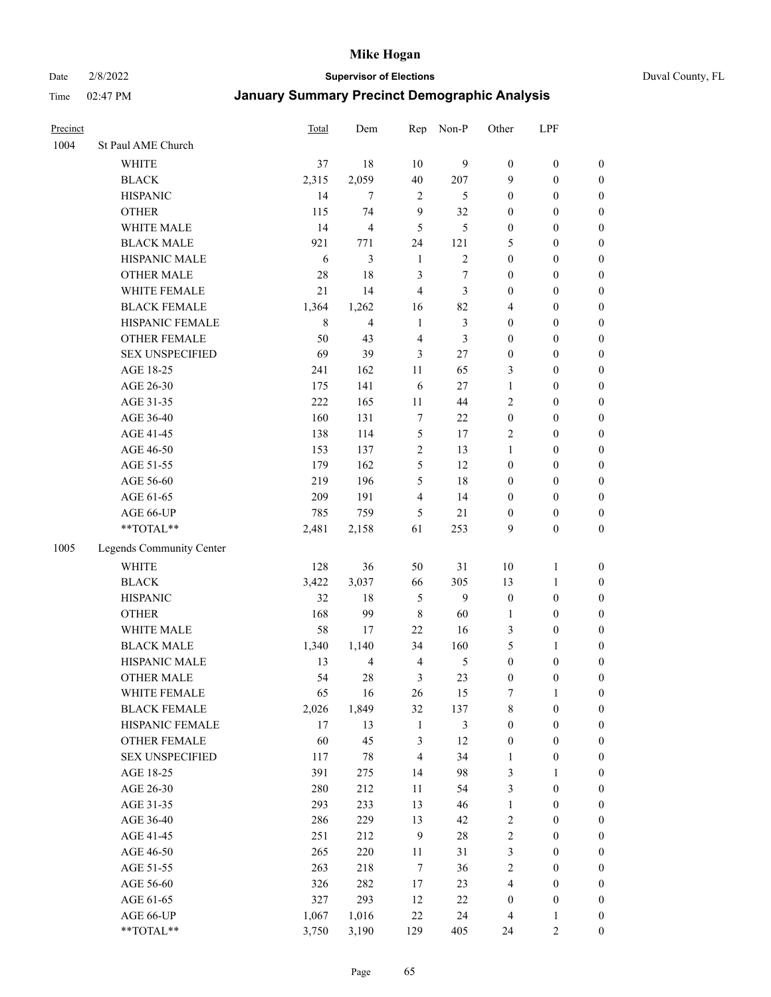Date 2/8/2022 **Supervisor of Elections** Duval County, FL

| Precinct |                          | <b>Total</b> | Dem                     | Rep            | Non-P                 | Other                                | LPF                                  |                                      |
|----------|--------------------------|--------------|-------------------------|----------------|-----------------------|--------------------------------------|--------------------------------------|--------------------------------------|
| 1004     | St Paul AME Church       |              |                         |                |                       |                                      |                                      |                                      |
|          | <b>WHITE</b>             | 37           | 18                      | 10             | 9                     | $\boldsymbol{0}$                     | $\boldsymbol{0}$                     | $\boldsymbol{0}$                     |
|          | <b>BLACK</b>             | 2,315        | 2,059                   | 40             | 207                   | 9                                    | $\boldsymbol{0}$                     | $\boldsymbol{0}$                     |
|          | <b>HISPANIC</b>          | 14           | $\tau$                  | $\overline{2}$ | 5                     | $\boldsymbol{0}$                     | $\boldsymbol{0}$                     | $\boldsymbol{0}$                     |
|          | <b>OTHER</b>             | 115          | 74                      | 9              | 32                    | $\boldsymbol{0}$                     | $\boldsymbol{0}$                     | $\boldsymbol{0}$                     |
|          | WHITE MALE               | 14           | $\overline{\mathbf{4}}$ | 5              | 5                     | $\boldsymbol{0}$                     | $\boldsymbol{0}$                     | $\boldsymbol{0}$                     |
|          | <b>BLACK MALE</b>        | 921          | 771                     | 24             | 121                   | 5                                    | $\boldsymbol{0}$                     | $\boldsymbol{0}$                     |
|          | HISPANIC MALE            | 6            | 3                       | $\mathbf{1}$   | $\overline{c}$        | $\boldsymbol{0}$                     | $\boldsymbol{0}$                     | $\boldsymbol{0}$                     |
|          | <b>OTHER MALE</b>        | 28           | 18                      | 3              | 7                     | $\boldsymbol{0}$                     | $\boldsymbol{0}$                     | $\boldsymbol{0}$                     |
|          | WHITE FEMALE             | 21           | 14                      | $\overline{4}$ | 3                     | $\boldsymbol{0}$                     | $\boldsymbol{0}$                     | $\boldsymbol{0}$                     |
|          | <b>BLACK FEMALE</b>      | 1,364        | 1,262                   | 16             | 82                    | 4                                    | $\boldsymbol{0}$                     | $\boldsymbol{0}$                     |
|          | HISPANIC FEMALE          | 8            | $\overline{4}$          | $\mathbf{1}$   | $\mathfrak{Z}$        | $\boldsymbol{0}$                     | $\boldsymbol{0}$                     | $\boldsymbol{0}$                     |
|          | <b>OTHER FEMALE</b>      | 50           | 43                      | $\overline{4}$ | 3                     | $\boldsymbol{0}$                     | $\boldsymbol{0}$                     | $\boldsymbol{0}$                     |
|          | <b>SEX UNSPECIFIED</b>   | 69           | 39                      | 3              | 27                    | $\boldsymbol{0}$                     | $\boldsymbol{0}$                     | $\boldsymbol{0}$                     |
|          | AGE 18-25                | 241          | 162                     | $11\,$         | 65                    | 3                                    | $\boldsymbol{0}$                     | $\boldsymbol{0}$                     |
|          | AGE 26-30                | 175          | 141                     | 6              | 27                    | $\mathbf{1}$                         | $\boldsymbol{0}$                     | $\boldsymbol{0}$                     |
|          | AGE 31-35                | 222          | 165                     | 11             | 44                    | $\overline{c}$                       | $\boldsymbol{0}$                     | $\boldsymbol{0}$                     |
|          | AGE 36-40                | 160          | 131                     | 7              | 22                    | $\boldsymbol{0}$                     | $\boldsymbol{0}$                     | $\boldsymbol{0}$                     |
|          | AGE 41-45                | 138          | 114                     | $\mathfrak{S}$ | 17                    | 2                                    | $\boldsymbol{0}$                     | $\boldsymbol{0}$                     |
|          | AGE 46-50                | 153          | 137                     | $\sqrt{2}$     | 13                    | $\mathbf{1}$                         | $\boldsymbol{0}$                     | $\boldsymbol{0}$                     |
|          | AGE 51-55                | 179          | 162                     | 5              | 12                    | $\boldsymbol{0}$                     | $\boldsymbol{0}$                     | $\boldsymbol{0}$                     |
|          | AGE 56-60                | 219          | 196                     | 5              | 18                    | $\boldsymbol{0}$                     | $\boldsymbol{0}$                     | 0                                    |
|          | AGE 61-65                | 209          | 191                     | $\overline{4}$ | 14                    | $\boldsymbol{0}$                     | $\boldsymbol{0}$                     | $\boldsymbol{0}$                     |
|          | AGE 66-UP                | 785          | 759                     | 5              | 21                    | $\boldsymbol{0}$                     | $\boldsymbol{0}$                     | $\boldsymbol{0}$                     |
|          | **TOTAL**                | 2,481        | 2,158                   | 61             | 253                   | 9                                    | $\boldsymbol{0}$                     | $\boldsymbol{0}$                     |
| 1005     | Legends Community Center |              |                         |                |                       |                                      |                                      |                                      |
|          | <b>WHITE</b>             | 128          | 36                      | 50             | 31                    | $10\,$                               | $\mathbf{1}$                         | $\boldsymbol{0}$                     |
|          | <b>BLACK</b>             | 3,422        | 3,037                   | 66             | 305                   | 13                                   | $\mathbf{1}$                         |                                      |
|          | <b>HISPANIC</b>          | 32           | 18                      | 5              | 9                     | $\boldsymbol{0}$                     | $\boldsymbol{0}$                     | $\boldsymbol{0}$<br>$\boldsymbol{0}$ |
|          | <b>OTHER</b>             | 168          | 99                      | $\,$ 8 $\,$    | 60                    |                                      | $\boldsymbol{0}$                     |                                      |
|          | WHITE MALE               | 58           | 17                      | 22             | 16                    | $\mathbf{1}$                         |                                      | $\boldsymbol{0}$                     |
|          | <b>BLACK MALE</b>        | 1,340        | 1,140                   | 34             | 160                   | 3<br>5                               | $\boldsymbol{0}$                     | $\boldsymbol{0}$<br>$\boldsymbol{0}$ |
|          | HISPANIC MALE            | 13           | $\overline{4}$          | $\overline{4}$ |                       |                                      | 1                                    |                                      |
|          | <b>OTHER MALE</b>        | 54           | $28\,$                  | 3              | 5<br>23               | $\boldsymbol{0}$<br>$\boldsymbol{0}$ | $\boldsymbol{0}$<br>$\boldsymbol{0}$ | $\boldsymbol{0}$<br>$\boldsymbol{0}$ |
|          | WHITE FEMALE             |              | 16                      |                |                       |                                      | 1                                    | 0                                    |
|          | <b>BLACK FEMALE</b>      | 65<br>2,026  | 1,849                   | 26<br>32       | 15                    | 7                                    |                                      | $\boldsymbol{0}$                     |
|          | HISPANIC FEMALE          | 17           | 13                      | $\mathbf{1}$   | 137<br>$\mathfrak{Z}$ | 8<br>$\boldsymbol{0}$                | $\boldsymbol{0}$<br>$\boldsymbol{0}$ | $\overline{0}$                       |
|          | OTHER FEMALE             | 60           | 45                      | 3              | 12                    | $\boldsymbol{0}$                     | $\boldsymbol{0}$                     | $\overline{0}$                       |
|          | <b>SEX UNSPECIFIED</b>   | 117          | $78\,$                  | $\overline{4}$ | 34                    | $\mathbf{1}$                         | $\boldsymbol{0}$                     | 0                                    |
|          | AGE 18-25                | 391          | 275                     | 14             | 98                    | 3                                    | $\mathbf{1}$                         | $\overline{0}$                       |
|          | AGE 26-30                | 280          | 212                     | 11             | 54                    | 3                                    | $\boldsymbol{0}$                     | 0                                    |
|          | AGE 31-35                | 293          | 233                     | 13             | 46                    | $\mathbf{1}$                         | $\boldsymbol{0}$                     | 0                                    |
|          | AGE 36-40                | 286          | 229                     | 13             | 42                    | 2                                    | $\boldsymbol{0}$                     | 0                                    |
|          | AGE 41-45                | 251          | 212                     | $\mathbf{9}$   | $28\,$                | $\overline{c}$                       | $\boldsymbol{0}$                     | 0                                    |
|          |                          | 265          | 220                     |                | 31                    | 3                                    |                                      |                                      |
|          | AGE 46-50                |              |                         | 11             |                       |                                      | $\boldsymbol{0}$                     | 0                                    |
|          | AGE 51-55                | 263<br>326   | 218<br>282              | $\tau$         | 36                    | 2<br>4                               | $\boldsymbol{0}$                     | $\boldsymbol{0}$<br>$\boldsymbol{0}$ |
|          | AGE 56-60<br>AGE 61-65   | 327          | 293                     | 17             | 23<br>$22\,$          |                                      | $\boldsymbol{0}$<br>$\boldsymbol{0}$ | $\overline{0}$                       |
|          |                          |              |                         | 12<br>22       | 24                    | $\boldsymbol{0}$                     | $\mathbf{1}$                         |                                      |
|          | AGE 66-UP<br>**TOTAL**   | 1,067        | 1,016                   |                |                       | 4                                    | $\sqrt{2}$                           | 0                                    |
|          |                          | 3,750        | 3,190                   | 129            | 405                   | 24                                   |                                      | $\boldsymbol{0}$                     |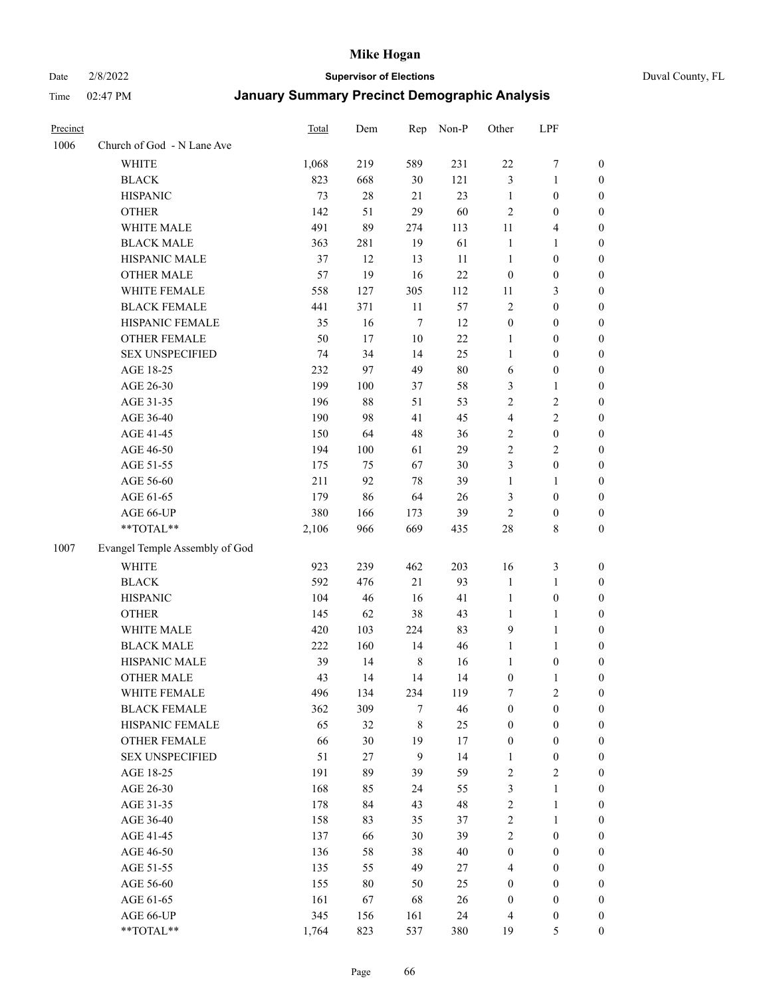# Date 2/8/2022 **Supervisor of Elections** Duval County, FL

| Precinct |                                | Total | Dem    | Rep         | Non-P  | Other            | LPF                     |                  |
|----------|--------------------------------|-------|--------|-------------|--------|------------------|-------------------------|------------------|
| 1006     | Church of God - N Lane Ave     |       |        |             |        |                  |                         |                  |
|          | <b>WHITE</b>                   | 1,068 | 219    | 589         | 231    | $22\,$           | $\boldsymbol{7}$        | 0                |
|          | <b>BLACK</b>                   | 823   | 668    | 30          | 121    | 3                | $\mathbf{1}$            | $\boldsymbol{0}$ |
|          | <b>HISPANIC</b>                | 73    | $28\,$ | 21          | 23     | $\mathbf{1}$     | $\boldsymbol{0}$        | $\boldsymbol{0}$ |
|          | <b>OTHER</b>                   | 142   | 51     | 29          | 60     | $\mathfrak{2}$   | $\boldsymbol{0}$        | $\boldsymbol{0}$ |
|          | WHITE MALE                     | 491   | 89     | 274         | 113    | 11               | $\overline{\mathbf{4}}$ | $\boldsymbol{0}$ |
|          | <b>BLACK MALE</b>              | 363   | 281    | 19          | 61     | $\mathbf{1}$     | 1                       | $\boldsymbol{0}$ |
|          | HISPANIC MALE                  | 37    | 12     | 13          | 11     | $\mathbf{1}$     | $\boldsymbol{0}$        | $\boldsymbol{0}$ |
|          | <b>OTHER MALE</b>              | 57    | 19     | 16          | $22\,$ | $\boldsymbol{0}$ | $\boldsymbol{0}$        | $\boldsymbol{0}$ |
|          | WHITE FEMALE                   | 558   | 127    | 305         | 112    | 11               | $\mathfrak{Z}$          | $\boldsymbol{0}$ |
|          | <b>BLACK FEMALE</b>            | 441   | 371    | $11\,$      | 57     | $\sqrt{2}$       | $\boldsymbol{0}$        | 0                |
|          | HISPANIC FEMALE                | 35    | 16     | $\tau$      | 12     | $\boldsymbol{0}$ | $\boldsymbol{0}$        | 0                |
|          | OTHER FEMALE                   | 50    | 17     | 10          | 22     | $\mathbf{1}$     | $\boldsymbol{0}$        | 0                |
|          | <b>SEX UNSPECIFIED</b>         | 74    | 34     | 14          | 25     | $\mathbf{1}$     | $\boldsymbol{0}$        | $\boldsymbol{0}$ |
|          | AGE 18-25                      | 232   | 97     | 49          | $80\,$ | 6                | $\boldsymbol{0}$        | $\boldsymbol{0}$ |
|          | AGE 26-30                      | 199   | 100    | 37          | 58     | 3                | $\mathbf{1}$            | $\boldsymbol{0}$ |
|          | AGE 31-35                      | 196   | 88     | 51          | 53     | $\overline{c}$   | $\sqrt{2}$              | $\boldsymbol{0}$ |
|          | AGE 36-40                      | 190   | 98     | 41          | 45     | 4                | $\sqrt{2}$              | $\boldsymbol{0}$ |
|          | AGE 41-45                      | 150   | 64     | 48          | 36     | $\overline{c}$   | $\boldsymbol{0}$        | $\boldsymbol{0}$ |
|          | AGE 46-50                      | 194   | 100    | 61          | 29     | $\overline{c}$   | $\overline{2}$          | $\boldsymbol{0}$ |
|          | AGE 51-55                      | 175   |        | 67          | $30\,$ | 3                | $\boldsymbol{0}$        |                  |
|          |                                |       | 75     |             |        |                  |                         | 0                |
|          | AGE 56-60                      | 211   | 92     | 78          | 39     | $\mathbf{1}$     | 1                       | 0                |
|          | AGE 61-65                      | 179   | 86     | 64          | 26     | 3                | $\boldsymbol{0}$        | 0                |
|          | AGE 66-UP<br>**TOTAL**         | 380   | 166    | 173         | 39     | $\mathbf{2}$     | $\boldsymbol{0}$        | 0                |
|          |                                | 2,106 | 966    | 669         | 435    | $28\,$           | $8\,$                   | $\boldsymbol{0}$ |
| 1007     | Evangel Temple Assembly of God |       |        |             |        |                  |                         |                  |
|          | <b>WHITE</b>                   | 923   | 239    | 462         | 203    | 16               | $\mathfrak{Z}$          | $\boldsymbol{0}$ |
|          | <b>BLACK</b>                   | 592   | 476    | 21          | 93     | $\mathbf{1}$     | $\mathbf{1}$            | $\boldsymbol{0}$ |
|          | <b>HISPANIC</b>                | 104   | 46     | 16          | 41     | $\mathbf{1}$     | $\boldsymbol{0}$        | $\boldsymbol{0}$ |
|          | <b>OTHER</b>                   | 145   | 62     | 38          | 43     | $\mathbf{1}$     | $\mathbf{1}$            | $\boldsymbol{0}$ |
|          | WHITE MALE                     | 420   | 103    | 224         | 83     | 9                | $\mathbf{1}$            | $\boldsymbol{0}$ |
|          | <b>BLACK MALE</b>              | 222   | 160    | 14          | 46     | $\mathbf{1}$     | 1                       | $\boldsymbol{0}$ |
|          | HISPANIC MALE                  | 39    | 14     | 8           | 16     | 1                | $\boldsymbol{0}$        | 0                |
|          | <b>OTHER MALE</b>              | 43    | 14     | 14          | 14     | $\boldsymbol{0}$ | $\mathbf{1}$            | 0                |
|          | WHITE FEMALE                   | 496   | 134    | 234         | 119    | 7                | 2                       | 0                |
|          | <b>BLACK FEMALE</b>            | 362   | 309    | 7           | 46     | $\boldsymbol{0}$ | $\boldsymbol{0}$        | $\boldsymbol{0}$ |
|          | HISPANIC FEMALE                | 65    | 32     | $\,$ 8 $\,$ | 25     | $\boldsymbol{0}$ | $\boldsymbol{0}$        | $\overline{0}$   |
|          | OTHER FEMALE                   | 66    | 30     | 19          | 17     | $\boldsymbol{0}$ | $\boldsymbol{0}$        | $\overline{0}$   |
|          | <b>SEX UNSPECIFIED</b>         | 51    | 27     | 9           | 14     | $\mathbf{1}$     | $\boldsymbol{0}$        | 0                |
|          | AGE 18-25                      | 191   | 89     | 39          | 59     | 2                | $\mathfrak{2}$          | 0                |
|          | AGE 26-30                      | 168   | 85     | 24          | 55     | 3                | $\mathbf{1}$            | 0                |
|          | AGE 31-35                      | 178   | 84     | 43          | 48     | $\overline{c}$   | $\mathbf{1}$            | 0                |
|          | AGE 36-40                      | 158   | 83     | 35          | 37     | 2                | $\mathbf{1}$            | 0                |
|          | AGE 41-45                      | 137   | 66     | 30          | 39     | $\overline{2}$   | $\boldsymbol{0}$        | 0                |
|          | AGE 46-50                      | 136   | 58     | 38          | $40\,$ | $\boldsymbol{0}$ | $\boldsymbol{0}$        | 0                |
|          | AGE 51-55                      | 135   | 55     | 49          | 27     | $\overline{4}$   | $\boldsymbol{0}$        | 0                |
|          | AGE 56-60                      | 155   | $80\,$ | 50          | 25     | $\boldsymbol{0}$ | $\boldsymbol{0}$        | $\overline{0}$   |
|          | AGE 61-65                      | 161   | 67     | 68          | 26     | $\boldsymbol{0}$ | $\boldsymbol{0}$        | $\overline{0}$   |
|          | AGE 66-UP                      | 345   | 156    | 161         | 24     | 4                | $\boldsymbol{0}$        | 0                |
|          | **TOTAL**                      | 1,764 | 823    | 537         | 380    | 19               | 5                       | $\boldsymbol{0}$ |
|          |                                |       |        |             |        |                  |                         |                  |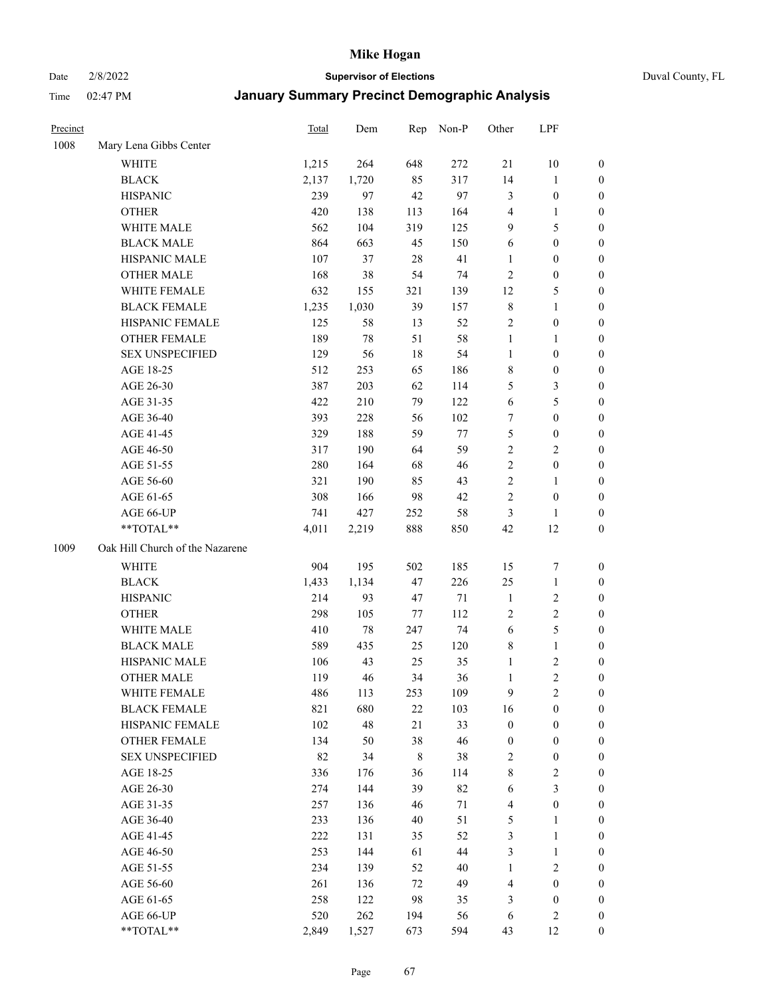Date 2/8/2022 **Supervisor of Elections** Duval County, FL

| Precinct |                                 | <b>Total</b> | Dem   | Rep | Non-P  | Other            | LPF              |                  |
|----------|---------------------------------|--------------|-------|-----|--------|------------------|------------------|------------------|
| 1008     | Mary Lena Gibbs Center          |              |       |     |        |                  |                  |                  |
|          | <b>WHITE</b>                    | 1,215        | 264   | 648 | 272    | 21               | $10\,$           | 0                |
|          | <b>BLACK</b>                    | 2,137        | 1,720 | 85  | 317    | 14               | $\mathbf{1}$     | 0                |
|          | <b>HISPANIC</b>                 | 239          | 97    | 42  | 97     | 3                | $\boldsymbol{0}$ | $\boldsymbol{0}$ |
|          | <b>OTHER</b>                    | 420          | 138   | 113 | 164    | 4                | 1                | $\boldsymbol{0}$ |
|          | WHITE MALE                      | 562          | 104   | 319 | 125    | 9                | 5                | $\boldsymbol{0}$ |
|          | <b>BLACK MALE</b>               | 864          | 663   | 45  | 150    | 6                | $\boldsymbol{0}$ | $\boldsymbol{0}$ |
|          | HISPANIC MALE                   | 107          | 37    | 28  | 41     | $\mathbf{1}$     | $\boldsymbol{0}$ | $\boldsymbol{0}$ |
|          | <b>OTHER MALE</b>               | 168          | 38    | 54  | 74     | $\mathfrak{2}$   | $\boldsymbol{0}$ | $\boldsymbol{0}$ |
|          | WHITE FEMALE                    | 632          | 155   | 321 | 139    | 12               | $\mathfrak{S}$   | $\boldsymbol{0}$ |
|          | <b>BLACK FEMALE</b>             | 1,235        | 1,030 | 39  | 157    | 8                | $\mathbf{1}$     | 0                |
|          | HISPANIC FEMALE                 | 125          | 58    | 13  | 52     | $\sqrt{2}$       | $\boldsymbol{0}$ | 0                |
|          | <b>OTHER FEMALE</b>             | 189          | 78    | 51  | 58     | $\mathbf{1}$     | $\mathbf{1}$     | 0                |
|          | <b>SEX UNSPECIFIED</b>          | 129          | 56    | 18  | 54     | $\mathbf{1}$     | $\boldsymbol{0}$ | $\boldsymbol{0}$ |
|          | AGE 18-25                       | 512          | 253   | 65  | 186    | 8                | $\boldsymbol{0}$ | $\boldsymbol{0}$ |
|          | AGE 26-30                       | 387          | 203   | 62  | 114    | 5                | $\mathfrak{Z}$   | $\boldsymbol{0}$ |
|          | AGE 31-35                       | 422          | 210   | 79  | 122    | 6                | $\mathfrak{S}$   | $\boldsymbol{0}$ |
|          | AGE 36-40                       | 393          | 228   | 56  | 102    | 7                | $\boldsymbol{0}$ | $\boldsymbol{0}$ |
|          | AGE 41-45                       | 329          | 188   | 59  | $77\,$ | 5                | $\boldsymbol{0}$ | $\boldsymbol{0}$ |
|          | AGE 46-50                       | 317          | 190   | 64  | 59     | $\overline{2}$   | $\overline{2}$   | $\boldsymbol{0}$ |
|          | AGE 51-55                       | 280          | 164   | 68  | 46     | $\overline{c}$   | $\boldsymbol{0}$ | 0                |
|          | AGE 56-60                       | 321          | 190   | 85  | 43     | $\overline{c}$   | 1                | 0                |
|          | AGE 61-65                       | 308          | 166   | 98  | 42     | 2                | $\boldsymbol{0}$ | 0                |
|          | AGE 66-UP                       | 741          | 427   | 252 | 58     | 3                | 1                | $\boldsymbol{0}$ |
|          | **TOTAL**                       | 4,011        | 2,219 | 888 | 850    | 42               | 12               | $\boldsymbol{0}$ |
| 1009     | Oak Hill Church of the Nazarene |              |       |     |        |                  |                  |                  |
|          | <b>WHITE</b>                    | 904          | 195   | 502 | 185    | 15               | $\boldsymbol{7}$ | $\boldsymbol{0}$ |
|          | <b>BLACK</b>                    | 1,433        | 1,134 | 47  | 226    | $25\,$           | $\mathbf{1}$     | $\boldsymbol{0}$ |
|          | <b>HISPANIC</b>                 | 214          | 93    | 47  | $71\,$ | $\mathbf{1}$     | $\sqrt{2}$       | $\boldsymbol{0}$ |
|          | <b>OTHER</b>                    | 298          | 105   | 77  | 112    | 2                | $\sqrt{2}$       | $\boldsymbol{0}$ |
|          | WHITE MALE                      | 410          | 78    | 247 | 74     | $\sqrt{6}$       | $\mathfrak{S}$   | $\boldsymbol{0}$ |
|          | <b>BLACK MALE</b>               | 589          | 435   | 25  | 120    | 8                | $\mathbf{1}$     | $\boldsymbol{0}$ |
|          | HISPANIC MALE                   | 106          | 43    | 25  | 35     | $\mathbf{1}$     | $\sqrt{2}$       | 0                |
|          | <b>OTHER MALE</b>               | 119          | 46    | 34  | 36     | $\mathbf{1}$     | $\overline{c}$   | 0                |
|          | WHITE FEMALE                    | 486          | 113   | 253 | 109    | 9                | 2                | 0                |
|          | <b>BLACK FEMALE</b>             | 821          | 680   | 22  | 103    | 16               | $\boldsymbol{0}$ | $\boldsymbol{0}$ |
|          | HISPANIC FEMALE                 | 102          | 48    | 21  | 33     | $\boldsymbol{0}$ | $\boldsymbol{0}$ | $\overline{0}$   |
|          | OTHER FEMALE                    | 134          | 50    | 38  | 46     | $\boldsymbol{0}$ | $\boldsymbol{0}$ | $\overline{0}$   |
|          | <b>SEX UNSPECIFIED</b>          | 82           | 34    | 8   | 38     | 2                | $\boldsymbol{0}$ | 0                |
|          | AGE 18-25                       | 336          | 176   | 36  | 114    | 8                | $\sqrt{2}$       | 0                |
|          | AGE 26-30                       | 274          | 144   | 39  | 82     | 6                | $\mathfrak{Z}$   | 0                |
|          | AGE 31-35                       | 257          | 136   | 46  | $71\,$ | 4                | $\boldsymbol{0}$ | 0                |
|          | AGE 36-40                       | 233          | 136   | 40  | 51     | 5                | 1                | 0                |
|          | AGE 41-45                       | 222          | 131   | 35  | 52     | 3                | $\mathbf{1}$     | 0                |
|          | AGE 46-50                       | 253          | 144   | 61  | 44     | 3                | $\mathbf{1}$     | 0                |
|          | AGE 51-55                       | 234          | 139   | 52  | 40     | $\mathbf{1}$     | $\sqrt{2}$       | 0                |
|          | AGE 56-60                       | 261          | 136   | 72  | 49     | 4                | $\boldsymbol{0}$ | $\overline{0}$   |
|          | AGE 61-65                       | 258          | 122   | 98  | 35     | 3                | $\boldsymbol{0}$ | $\overline{0}$   |
|          | AGE 66-UP                       | 520          | 262   | 194 | 56     | 6                | $\sqrt{2}$       | 0                |
|          | **TOTAL**                       | 2,849        | 1,527 | 673 | 594    | 43               | 12               | $\boldsymbol{0}$ |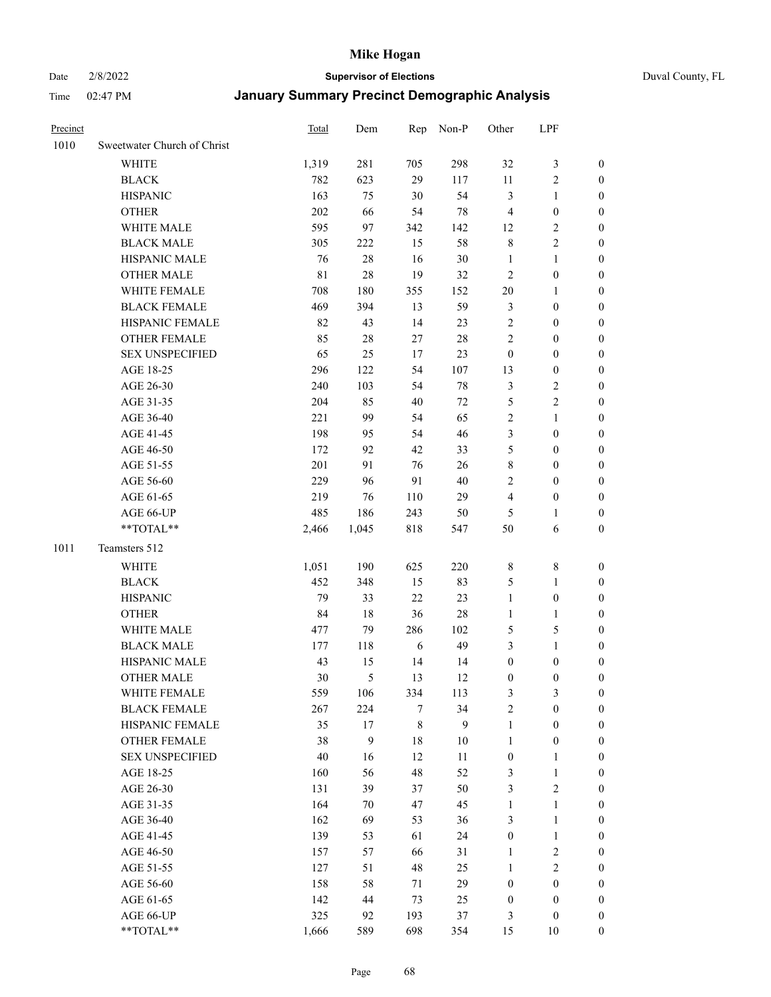Date 2/8/2022 **Supervisor of Elections** Duval County, FL

| Precinct |                             | <b>Total</b> | Dem    |             | Rep Non-P | Other            | LPF              |                  |
|----------|-----------------------------|--------------|--------|-------------|-----------|------------------|------------------|------------------|
| 1010     | Sweetwater Church of Christ |              |        |             |           |                  |                  |                  |
|          | <b>WHITE</b>                | 1,319        | 281    | 705         | 298       | 32               | $\mathfrak z$    | 0                |
|          | <b>BLACK</b>                | 782          | 623    | 29          | 117       | 11               | $\sqrt{2}$       | 0                |
|          | <b>HISPANIC</b>             | 163          | 75     | 30          | 54        | 3                | $\mathbf{1}$     | $\boldsymbol{0}$ |
|          | <b>OTHER</b>                | 202          | 66     | 54          | $78\,$    | 4                | $\boldsymbol{0}$ | $\boldsymbol{0}$ |
|          | WHITE MALE                  | 595          | 97     | 342         | 142       | 12               | $\sqrt{2}$       | $\boldsymbol{0}$ |
|          | <b>BLACK MALE</b>           | 305          | 222    | 15          | 58        | $\,$ $\,$        | $\sqrt{2}$       | $\boldsymbol{0}$ |
|          | HISPANIC MALE               | 76           | 28     | 16          | 30        | $\mathbf{1}$     | $\mathbf{1}$     | $\boldsymbol{0}$ |
|          | <b>OTHER MALE</b>           | 81           | $28\,$ | 19          | 32        | $\mathbf{2}$     | $\boldsymbol{0}$ | $\boldsymbol{0}$ |
|          | WHITE FEMALE                | 708          | 180    | 355         | 152       | $20\,$           | $\mathbf{1}$     | $\boldsymbol{0}$ |
|          | <b>BLACK FEMALE</b>         | 469          | 394    | 13          | 59        | 3                | $\boldsymbol{0}$ | 0                |
|          | HISPANIC FEMALE             | 82           | 43     | 14          | 23        | $\overline{c}$   | $\boldsymbol{0}$ | 0                |
|          | <b>OTHER FEMALE</b>         | 85           | 28     | 27          | $28\,$    | $\overline{c}$   | $\boldsymbol{0}$ | $\boldsymbol{0}$ |
|          | <b>SEX UNSPECIFIED</b>      | 65           | 25     | 17          | 23        | $\boldsymbol{0}$ | $\boldsymbol{0}$ | $\boldsymbol{0}$ |
|          | AGE 18-25                   | 296          | 122    | 54          | 107       | 13               | $\boldsymbol{0}$ | $\boldsymbol{0}$ |
|          | AGE 26-30                   | 240          | 103    | 54          | $78\,$    | 3                | $\sqrt{2}$       | $\boldsymbol{0}$ |
|          | AGE 31-35                   | 204          | 85     | 40          | $72\,$    | 5                | $\sqrt{2}$       | $\boldsymbol{0}$ |
|          | AGE 36-40                   | 221          | 99     | 54          | 65        | $\overline{c}$   | $\mathbf{1}$     | $\boldsymbol{0}$ |
|          | AGE 41-45                   | 198          | 95     | 54          | 46        | 3                | $\boldsymbol{0}$ | $\boldsymbol{0}$ |
|          | AGE 46-50                   | 172          | 92     | 42          | 33        | 5                | $\boldsymbol{0}$ | $\boldsymbol{0}$ |
|          | AGE 51-55                   | 201          | 91     | 76          | 26        | 8                | $\boldsymbol{0}$ | $\boldsymbol{0}$ |
|          | AGE 56-60                   | 229          | 96     | 91          | 40        | 2                | $\boldsymbol{0}$ | 0                |
|          | AGE 61-65                   | 219          | 76     | 110         | 29        | 4                | $\boldsymbol{0}$ | 0                |
|          | AGE 66-UP                   | 485          | 186    | 243         | 50        | 5                | 1                | $\boldsymbol{0}$ |
|          | **TOTAL**                   | 2,466        | 1,045  | 818         | 547       | 50               | 6                | $\boldsymbol{0}$ |
| 1011     | Teamsters 512               |              |        |             |           |                  |                  |                  |
|          | <b>WHITE</b>                | 1,051        | 190    | 625         | 220       | 8                | $\,$ $\,$        | $\boldsymbol{0}$ |
|          | <b>BLACK</b>                | 452          | 348    | 15          | 83        | 5                | $\mathbf{1}$     | $\boldsymbol{0}$ |
|          | <b>HISPANIC</b>             | 79           | 33     | 22          | 23        | $\mathbf{1}$     | $\boldsymbol{0}$ | $\boldsymbol{0}$ |
|          | <b>OTHER</b>                | 84           | 18     | 36          | $28\,$    | $\mathbf{1}$     | $\mathbf{1}$     | $\boldsymbol{0}$ |
|          | WHITE MALE                  | 477          | 79     | 286         | 102       | 5                | $\mathfrak s$    | $\boldsymbol{0}$ |
|          | <b>BLACK MALE</b>           | 177          | 118    | 6           | 49        | 3                | $\mathbf{1}$     | $\boldsymbol{0}$ |
|          | HISPANIC MALE               | 43           | 15     | 14          | 14        | $\boldsymbol{0}$ | $\boldsymbol{0}$ | 0                |
|          | <b>OTHER MALE</b>           | 30           | 5      | 13          | 12        | $\boldsymbol{0}$ | $\boldsymbol{0}$ | 0                |
|          | WHITE FEMALE                | 559          | 106    | 334         | 113       | 3                | 3                | 0                |
|          | <b>BLACK FEMALE</b>         | 267          | 224    | 7           | 34        | 2                | $\boldsymbol{0}$ | $\overline{0}$   |
|          | HISPANIC FEMALE             | 35           | 17     | $\,$ 8 $\,$ | 9         | $\mathbf{1}$     | $\boldsymbol{0}$ | 0                |
|          | <b>OTHER FEMALE</b>         | 38           | 9      | 18          | $10\,$    | $\mathbf{1}$     | $\boldsymbol{0}$ | 0                |
|          | <b>SEX UNSPECIFIED</b>      | $40\,$       | 16     | 12          | 11        | $\boldsymbol{0}$ | $\mathbf{1}$     | 0                |
|          | AGE 18-25                   | 160          | 56     | 48          | 52        | 3                | $\mathbf{1}$     | 0                |
|          | AGE 26-30                   | 131          | 39     | 37          | 50        | 3                | $\mathbf{2}$     | 0                |
|          | AGE 31-35                   | 164          | 70     | 47          | 45        | $\mathbf{1}$     | $\mathbf{1}$     | 0                |
|          | AGE 36-40                   | 162          | 69     | 53          | 36        | 3                | $\mathbf{1}$     | 0                |
|          | AGE 41-45                   | 139          | 53     | 61          | 24        | $\boldsymbol{0}$ | $\mathbf{1}$     | 0                |
|          | AGE 46-50                   | 157          | 57     | 66          | 31        | $\mathbf{1}$     | $\sqrt{2}$       | 0                |
|          | AGE 51-55                   | 127          | 51     | 48          | 25        | $\mathbf{1}$     | $\sqrt{2}$       | 0                |
|          | AGE 56-60                   | 158          | 58     | 71          | 29        | $\boldsymbol{0}$ | $\boldsymbol{0}$ | 0                |
|          | AGE 61-65                   | 142          | $44\,$ | 73          | 25        | $\boldsymbol{0}$ | $\boldsymbol{0}$ | 0                |
|          | AGE 66-UP                   | 325          | 92     | 193         | 37        | 3                | $\boldsymbol{0}$ | 0                |
|          | **TOTAL**                   | 1,666        | 589    | 698         | 354       | 15               | 10               | $\boldsymbol{0}$ |
|          |                             |              |        |             |           |                  |                  |                  |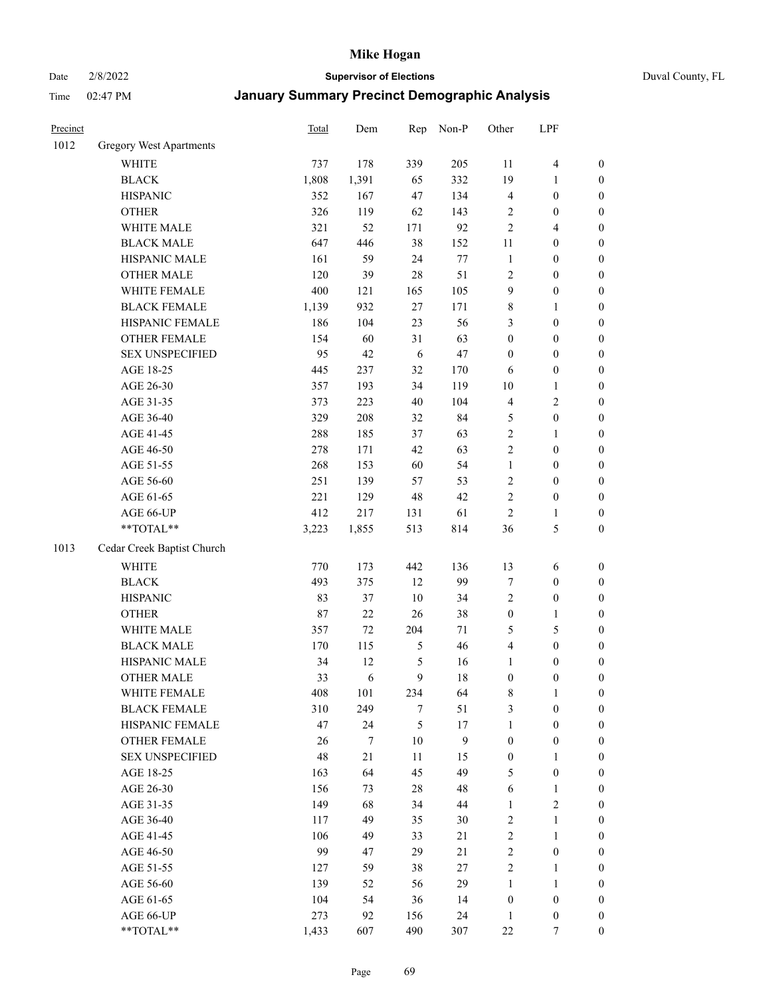Date 2/8/2022 **Supervisor of Elections** Duval County, FL

| Precinct |                                | Total  | Dem    | Rep           | Non-P | Other            | LPF                     |                  |
|----------|--------------------------------|--------|--------|---------------|-------|------------------|-------------------------|------------------|
| 1012     | <b>Gregory West Apartments</b> |        |        |               |       |                  |                         |                  |
|          | <b>WHITE</b>                   | 737    | 178    | 339           | 205   | 11               | $\overline{\mathbf{4}}$ | 0                |
|          | <b>BLACK</b>                   | 1,808  | 1,391  | 65            | 332   | 19               | $\mathbf{1}$            | $\boldsymbol{0}$ |
|          | <b>HISPANIC</b>                | 352    | 167    | 47            | 134   | 4                | $\boldsymbol{0}$        | $\boldsymbol{0}$ |
|          | <b>OTHER</b>                   | 326    | 119    | 62            | 143   | 2                | $\boldsymbol{0}$        | $\boldsymbol{0}$ |
|          | WHITE MALE                     | 321    | 52     | 171           | 92    | $\overline{c}$   | $\overline{4}$          | $\boldsymbol{0}$ |
|          | <b>BLACK MALE</b>              | 647    | 446    | 38            | 152   | 11               | $\boldsymbol{0}$        | $\boldsymbol{0}$ |
|          | HISPANIC MALE                  | 161    | 59     | 24            | 77    | $\mathbf{1}$     | $\boldsymbol{0}$        | $\boldsymbol{0}$ |
|          | <b>OTHER MALE</b>              | 120    | 39     | 28            | 51    | $\mathbf{2}$     | $\boldsymbol{0}$        | $\boldsymbol{0}$ |
|          | WHITE FEMALE                   | 400    | 121    | 165           | 105   | 9                | $\boldsymbol{0}$        | $\boldsymbol{0}$ |
|          | <b>BLACK FEMALE</b>            | 1,139  | 932    | $27\,$        | 171   | 8                | $\mathbf{1}$            | $\boldsymbol{0}$ |
|          | HISPANIC FEMALE                | 186    | 104    | 23            | 56    | 3                | $\boldsymbol{0}$        | $\boldsymbol{0}$ |
|          | OTHER FEMALE                   | 154    | 60     | 31            | 63    | $\boldsymbol{0}$ | $\boldsymbol{0}$        | $\boldsymbol{0}$ |
|          | <b>SEX UNSPECIFIED</b>         | 95     | 42     | 6             | 47    | $\boldsymbol{0}$ | $\boldsymbol{0}$        | $\boldsymbol{0}$ |
|          | AGE 18-25                      | 445    | 237    | 32            | 170   | 6                | $\boldsymbol{0}$        | $\boldsymbol{0}$ |
|          | AGE 26-30                      | 357    | 193    | 34            | 119   | 10               | $\mathbf{1}$            | $\boldsymbol{0}$ |
|          | AGE 31-35                      | 373    | 223    | 40            | 104   | 4                | $\sqrt{2}$              | $\boldsymbol{0}$ |
|          | AGE 36-40                      | 329    | 208    | 32            | 84    | 5                | $\boldsymbol{0}$        | $\boldsymbol{0}$ |
|          | AGE 41-45                      | 288    | 185    | 37            | 63    | $\overline{c}$   | $\mathbf{1}$            | $\boldsymbol{0}$ |
|          | AGE 46-50                      | 278    | 171    | 42            | 63    | $\overline{c}$   | $\boldsymbol{0}$        | $\boldsymbol{0}$ |
|          | AGE 51-55                      | 268    | 153    | 60            | 54    | $\mathbf{1}$     | $\boldsymbol{0}$        | $\boldsymbol{0}$ |
|          | AGE 56-60                      | 251    | 139    | 57            | 53    | $\sqrt{2}$       | $\boldsymbol{0}$        | 0                |
|          | AGE 61-65                      | 221    | 129    | 48            | 42    | $\mathbf{2}$     | $\boldsymbol{0}$        | $\boldsymbol{0}$ |
|          | AGE 66-UP                      | 412    | 217    | 131           | 61    | $\sqrt{2}$       | $\mathbf{1}$            | $\boldsymbol{0}$ |
|          | **TOTAL**                      | 3,223  | 1,855  | 513           | 814   | 36               | $\mathfrak{S}$          | $\boldsymbol{0}$ |
| 1013     | Cedar Creek Baptist Church     |        |        |               |       |                  |                         |                  |
|          | <b>WHITE</b>                   | 770    | 173    | 442           | 136   | 13               | 6                       | $\boldsymbol{0}$ |
|          | <b>BLACK</b>                   | 493    | 375    | 12            | 99    | 7                | $\boldsymbol{0}$        | $\boldsymbol{0}$ |
|          | <b>HISPANIC</b>                | 83     | 37     | 10            | 34    | 2                | $\boldsymbol{0}$        | $\boldsymbol{0}$ |
|          | <b>OTHER</b>                   | $87\,$ | 22     | 26            | 38    | $\boldsymbol{0}$ | $\mathbf{1}$            | $\boldsymbol{0}$ |
|          | WHITE MALE                     | 357    | $72\,$ | 204           | 71    | 5                | $\mathfrak{S}$          | $\boldsymbol{0}$ |
|          | <b>BLACK MALE</b>              | 170    | 115    | $\mathfrak s$ | 46    | 4                | $\boldsymbol{0}$        | $\boldsymbol{0}$ |
|          | HISPANIC MALE                  | 34     | 12     | 5             | 16    | $\mathbf{1}$     | $\boldsymbol{0}$        | $\boldsymbol{0}$ |
|          | <b>OTHER MALE</b>              | 33     | 6      | 9             | 18    | $\boldsymbol{0}$ | $\boldsymbol{0}$        | $\boldsymbol{0}$ |
|          | WHITE FEMALE                   | 408    | 101    | 234           | 64    | 8                | 1                       | 0                |
|          | <b>BLACK FEMALE</b>            | 310    | 249    | 7             | 51    | 3                | $\boldsymbol{0}$        | $\overline{0}$   |
|          | HISPANIC FEMALE                | 47     | 24     | 5             | 17    | $\mathbf{1}$     | $\boldsymbol{0}$        | $\overline{0}$   |
|          | OTHER FEMALE                   | 26     | 7      | 10            | 9     | $\boldsymbol{0}$ | $\boldsymbol{0}$        | $\overline{0}$   |
|          | <b>SEX UNSPECIFIED</b>         | 48     | 21     | 11            | 15    | $\boldsymbol{0}$ | $\mathbf{1}$            | 0                |
|          | AGE 18-25                      | 163    | 64     | 45            | 49    | 5                | $\boldsymbol{0}$        | 0                |
|          | AGE 26-30                      | 156    | 73     | 28            | 48    | 6                | $\mathbf{1}$            | 0                |
|          | AGE 31-35                      | 149    | 68     | 34            | 44    | $\mathbf{1}$     | $\overline{c}$          | 0                |
|          | AGE 36-40                      | 117    | 49     | 35            | 30    | 2                | $\mathbf{1}$            | 0                |
|          | AGE 41-45                      | 106    | 49     | 33            | 21    | $\overline{c}$   | $\mathbf{1}$            | 0                |
|          | AGE 46-50                      | 99     | 47     | 29            | 21    | $\sqrt{2}$       | $\boldsymbol{0}$        | 0                |
|          | AGE 51-55                      | 127    | 59     | 38            | 27    | $\overline{2}$   | $\mathbf{1}$            | 0                |
|          | AGE 56-60                      | 139    | 52     | 56            | 29    | 1                | 1                       | 0                |
|          | AGE 61-65                      | 104    | 54     | 36            | 14    | $\boldsymbol{0}$ | $\boldsymbol{0}$        | 0                |
|          | AGE 66-UP                      | 273    | 92     | 156           | 24    | $\mathbf{1}$     | $\boldsymbol{0}$        | 0                |
|          | **TOTAL**                      | 1,433  | 607    | 490           | 307   | $22\,$           | 7                       | $\boldsymbol{0}$ |
|          |                                |        |        |               |       |                  |                         |                  |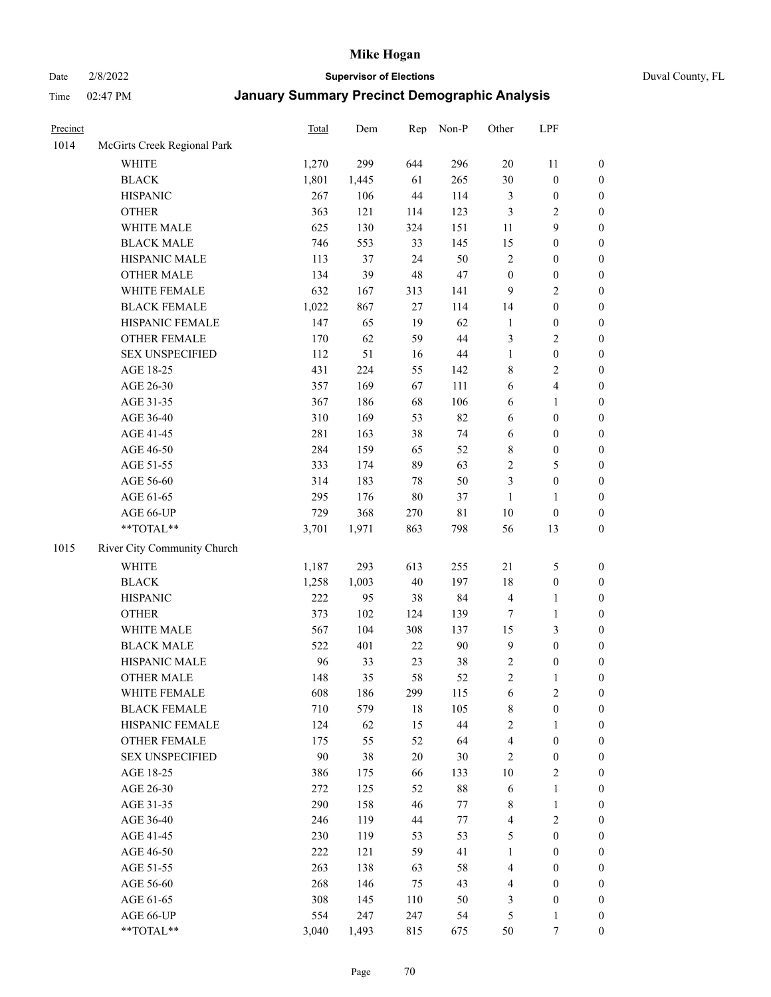# Date 2/8/2022 **Supervisor of Elections** Duval County, FL

| Precinct |                             | <b>Total</b> | Dem   | Rep    | Non-P       | Other            | LPF              |                  |
|----------|-----------------------------|--------------|-------|--------|-------------|------------------|------------------|------------------|
| 1014     | McGirts Creek Regional Park |              |       |        |             |                  |                  |                  |
|          | <b>WHITE</b>                | 1,270        | 299   | 644    | 296         | $20\,$           | 11               | 0                |
|          | <b>BLACK</b>                | 1,801        | 1,445 | 61     | 265         | 30               | $\boldsymbol{0}$ | $\boldsymbol{0}$ |
|          | <b>HISPANIC</b>             | 267          | 106   | 44     | 114         | 3                | $\boldsymbol{0}$ | $\boldsymbol{0}$ |
|          | <b>OTHER</b>                | 363          | 121   | 114    | 123         | 3                | $\sqrt{2}$       | $\boldsymbol{0}$ |
|          | WHITE MALE                  | 625          | 130   | 324    | 151         | 11               | 9                | $\boldsymbol{0}$ |
|          | <b>BLACK MALE</b>           | 746          | 553   | 33     | 145         | 15               | $\boldsymbol{0}$ | $\boldsymbol{0}$ |
|          | HISPANIC MALE               | 113          | 37    | 24     | 50          | 2                | $\boldsymbol{0}$ | $\boldsymbol{0}$ |
|          | <b>OTHER MALE</b>           | 134          | 39    | 48     | 47          | $\boldsymbol{0}$ | $\boldsymbol{0}$ | $\boldsymbol{0}$ |
|          | WHITE FEMALE                | 632          | 167   | 313    | 141         | $\mathbf{9}$     | $\mathbf{2}$     | $\boldsymbol{0}$ |
|          | <b>BLACK FEMALE</b>         | 1,022        | 867   | 27     | 114         | 14               | $\boldsymbol{0}$ | $\boldsymbol{0}$ |
|          | HISPANIC FEMALE             | 147          | 65    | 19     | 62          | $\mathbf{1}$     | $\boldsymbol{0}$ | $\boldsymbol{0}$ |
|          | <b>OTHER FEMALE</b>         | 170          | 62    | 59     | 44          | 3                | $\sqrt{2}$       | $\boldsymbol{0}$ |
|          | <b>SEX UNSPECIFIED</b>      | 112          | 51    | 16     | $44\,$      | $\mathbf{1}$     | $\boldsymbol{0}$ | $\boldsymbol{0}$ |
|          | AGE 18-25                   | 431          | 224   | 55     | 142         | 8                | $\sqrt{2}$       | $\boldsymbol{0}$ |
|          | AGE 26-30                   | 357          | 169   | 67     | 111         | 6                | $\overline{4}$   | $\boldsymbol{0}$ |
|          | AGE 31-35                   | 367          | 186   | 68     | 106         | 6                | $\mathbf{1}$     | $\boldsymbol{0}$ |
|          | AGE 36-40                   | 310          | 169   | 53     | 82          | 6                | $\boldsymbol{0}$ | $\boldsymbol{0}$ |
|          | AGE 41-45                   | 281          | 163   | 38     | 74          | $\sqrt{6}$       | $\boldsymbol{0}$ | $\boldsymbol{0}$ |
|          | AGE 46-50                   | 284          | 159   | 65     | 52          | 8                | $\boldsymbol{0}$ | $\boldsymbol{0}$ |
|          | AGE 51-55                   | 333          | 174   | 89     | 63          | $\overline{c}$   | $\mathfrak s$    | $\boldsymbol{0}$ |
|          | AGE 56-60                   | 314          | 183   | 78     | 50          | 3                | $\boldsymbol{0}$ | $\boldsymbol{0}$ |
|          | AGE 61-65                   | 295          | 176   | $80\,$ | 37          | $\mathbf{1}$     | $\mathbf{1}$     | $\boldsymbol{0}$ |
|          | AGE 66-UP                   | 729          | 368   | 270    | $8\sqrt{1}$ | $10\,$           | $\boldsymbol{0}$ | $\boldsymbol{0}$ |
|          | $**TOTAL**$                 | 3,701        | 1,971 | 863    | 798         | 56               | 13               | $\boldsymbol{0}$ |
| 1015     | River City Community Church |              |       |        |             |                  |                  |                  |
|          | <b>WHITE</b>                | 1,187        | 293   | 613    | 255         | 21               | $\mathfrak s$    | $\boldsymbol{0}$ |
|          | <b>BLACK</b>                | 1,258        | 1,003 | 40     | 197         | 18               | $\boldsymbol{0}$ | $\boldsymbol{0}$ |
|          | <b>HISPANIC</b>             | 222          | 95    | 38     | 84          | 4                | $\mathbf{1}$     | $\boldsymbol{0}$ |
|          | <b>OTHER</b>                | 373          | 102   | 124    | 139         | 7                | $\mathbf{1}$     | $\boldsymbol{0}$ |
|          | WHITE MALE                  | 567          | 104   | 308    | 137         | 15               | 3                | $\boldsymbol{0}$ |
|          | <b>BLACK MALE</b>           | 522          | 401   | 22     | $90\,$      | $\mathbf{9}$     | $\boldsymbol{0}$ | $\boldsymbol{0}$ |
|          | HISPANIC MALE               | 96           | 33    | 23     | $38\,$      | 2                | $\boldsymbol{0}$ | $\boldsymbol{0}$ |
|          | <b>OTHER MALE</b>           | 148          | 35    | 58     | 52          | $\overline{c}$   | $\mathbf{1}$     | $\boldsymbol{0}$ |
|          | WHITE FEMALE                | 608          | 186   | 299    | 115         | 6                | 2                | 0                |
|          | <b>BLACK FEMALE</b>         | 710          | 579   | 18     | 105         | 8                | $\boldsymbol{0}$ | $\overline{0}$   |
|          | HISPANIC FEMALE             | 124          | 62    | 15     | 44          | $\overline{c}$   | 1                | $\overline{0}$   |
|          | <b>OTHER FEMALE</b>         | 175          | 55    | 52     | 64          | 4                | $\boldsymbol{0}$ | $\overline{0}$   |
|          | <b>SEX UNSPECIFIED</b>      | $90\,$       | 38    | 20     | $30\,$      | 2                | $\boldsymbol{0}$ | 0                |
|          | AGE 18-25                   | 386          | 175   | 66     | 133         | 10               | $\sqrt{2}$       | 0                |
|          | AGE 26-30                   | 272          | 125   | 52     | $88\,$      | 6                | $\mathbf{1}$     | 0                |
|          | AGE 31-35                   | 290          | 158   | 46     | $77\,$      | 8                | $\mathbf{1}$     | 0                |
|          | AGE 36-40                   | 246          | 119   | 44     | 77          | 4                | $\sqrt{2}$       | 0                |
|          | AGE 41-45                   | 230          | 119   | 53     | 53          | 5                | $\boldsymbol{0}$ | 0                |
|          | AGE 46-50                   | 222          | 121   | 59     | 41          | $\mathbf{1}$     | $\boldsymbol{0}$ | 0                |
|          | AGE 51-55                   | 263          | 138   | 63     | 58          | 4                | $\boldsymbol{0}$ | 0                |
|          | AGE 56-60                   | 268          | 146   | 75     | 43          | 4                | $\boldsymbol{0}$ | $\overline{0}$   |
|          | AGE 61-65                   | 308          | 145   | 110    | 50          | 3                | $\boldsymbol{0}$ | $\overline{0}$   |
|          | AGE 66-UP                   | 554          | 247   | 247    | 54          | 5                | $\mathbf{1}$     | 0                |
|          | **TOTAL**                   | 3,040        | 1,493 | 815    | 675         | 50               | 7                | $\boldsymbol{0}$ |
|          |                             |              |       |        |             |                  |                  |                  |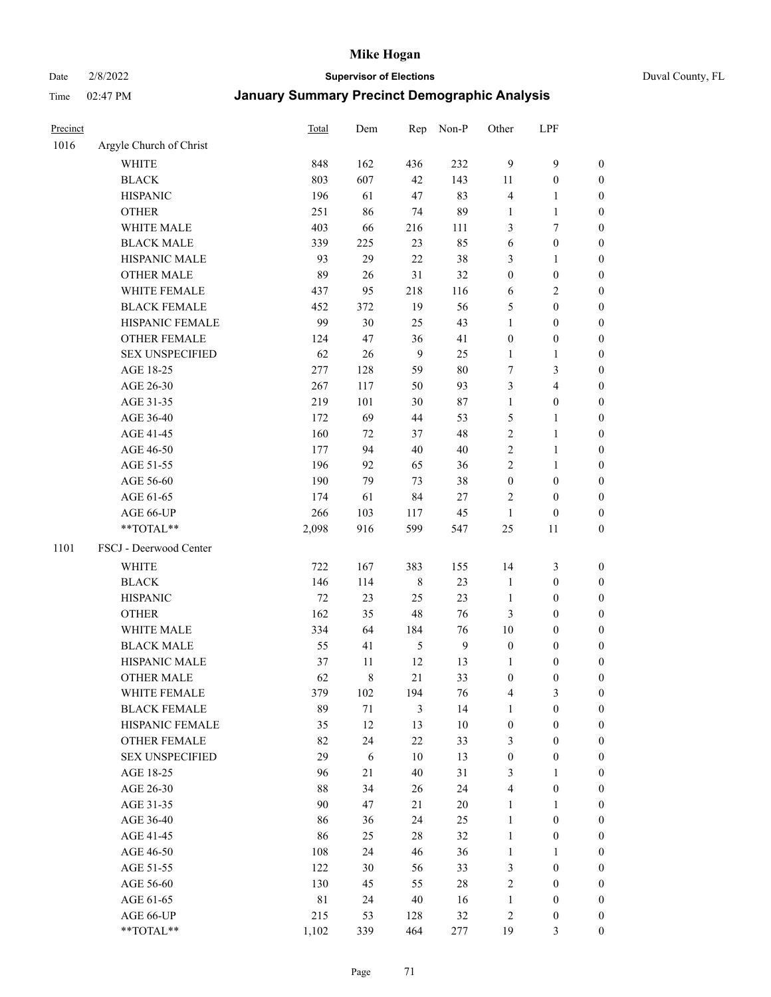Date 2/8/2022 **Supervisor of Elections** Duval County, FL

| Precinct |                                    | Total    | Dem         | Rep           | Non-P        | Other             | LPF                                  |                  |
|----------|------------------------------------|----------|-------------|---------------|--------------|-------------------|--------------------------------------|------------------|
| 1016     | Argyle Church of Christ            |          |             |               |              |                   |                                      |                  |
|          | <b>WHITE</b>                       | 848      | 162         | 436           | 232          | 9                 | $\mathbf{9}$                         | 0                |
|          | <b>BLACK</b>                       | 803      | 607         | 42            | 143          | 11                | $\boldsymbol{0}$                     | 0                |
|          | <b>HISPANIC</b>                    | 196      | 61          | 47            | 83           | $\overline{4}$    | $\mathbf{1}$                         | $\boldsymbol{0}$ |
|          | <b>OTHER</b>                       | 251      | 86          | 74            | 89           | 1                 | $\mathbf{1}$                         | $\boldsymbol{0}$ |
|          | WHITE MALE                         | 403      | 66          | 216           | 111          | 3                 | 7                                    | $\boldsymbol{0}$ |
|          | <b>BLACK MALE</b>                  | 339      | 225         | 23            | 85           | 6                 | $\boldsymbol{0}$                     | $\boldsymbol{0}$ |
|          | HISPANIC MALE                      | 93       | 29          | 22            | 38           | 3                 | $\mathbf{1}$                         | $\boldsymbol{0}$ |
|          | <b>OTHER MALE</b>                  | 89       | 26          | 31            | 32           | $\boldsymbol{0}$  | $\boldsymbol{0}$                     | $\boldsymbol{0}$ |
|          | WHITE FEMALE                       | 437      | 95          | 218           | 116          | 6                 | $\sqrt{2}$                           | $\boldsymbol{0}$ |
|          | <b>BLACK FEMALE</b>                | 452      | 372         | 19            | 56           | 5                 | $\boldsymbol{0}$                     | $\boldsymbol{0}$ |
|          | HISPANIC FEMALE                    | 99       | 30          | 25            | 43           | $\mathbf{1}$      | $\boldsymbol{0}$                     | 0                |
|          | OTHER FEMALE                       | 124      | 47          | 36            | 41           | $\boldsymbol{0}$  | $\boldsymbol{0}$                     | $\boldsymbol{0}$ |
|          | <b>SEX UNSPECIFIED</b>             | 62       | 26          | 9             | 25           | $\mathbf{1}$      | $\mathbf{1}$                         | $\boldsymbol{0}$ |
|          | AGE 18-25                          | 277      | 128         | 59            | 80           | $\sqrt{ }$        | $\mathfrak{Z}$                       | $\boldsymbol{0}$ |
|          | AGE 26-30                          | 267      | 117         | 50            | 93           | 3                 | $\overline{4}$                       | $\boldsymbol{0}$ |
|          | AGE 31-35                          | 219      | 101         | 30            | 87           | $\mathbf{1}$      | $\boldsymbol{0}$                     | $\boldsymbol{0}$ |
|          | AGE 36-40                          | 172      | 69          | 44            | 53           | 5                 | $\mathbf{1}$                         | $\boldsymbol{0}$ |
|          | AGE 41-45                          | 160      | 72          | 37            | 48           | $\overline{c}$    | $\mathbf{1}$                         | $\boldsymbol{0}$ |
|          | AGE 46-50                          | 177      | 94          | 40            | 40           | $\overline{c}$    | $\mathbf{1}$                         | $\boldsymbol{0}$ |
|          | AGE 51-55                          | 196      | 92          | 65            | 36           | 2                 | $\mathbf{1}$                         | 0                |
|          | AGE 56-60                          | 190      | 79          | 73            | 38           | $\boldsymbol{0}$  | $\boldsymbol{0}$                     | 0                |
|          | AGE 61-65                          | 174      | 61          | 84            | $27\,$       | 2                 | $\boldsymbol{0}$                     | 0                |
|          | AGE 66-UP                          | 266      | 103         | 117           | 45           | $\mathbf{1}$      | $\boldsymbol{0}$                     | $\boldsymbol{0}$ |
|          | $**TOTAL**$                        | 2,098    | 916         | 599           | 547          | 25                | 11                                   | $\boldsymbol{0}$ |
| 1101     | FSCJ - Deerwood Center             |          |             |               |              |                   |                                      |                  |
|          |                                    |          |             |               |              |                   |                                      |                  |
|          | <b>WHITE</b>                       | 722      | 167         | 383           | 155          | 14                | $\mathfrak{Z}$                       | $\boldsymbol{0}$ |
|          | <b>BLACK</b>                       | 146      | 114         | $\,$ 8 $\,$   | 23           | $\mathbf{1}$      | $\boldsymbol{0}$                     | $\boldsymbol{0}$ |
|          | <b>HISPANIC</b>                    | 72       | 23          | 25            | 23           | $\mathbf{1}$      | $\boldsymbol{0}$                     | $\boldsymbol{0}$ |
|          | <b>OTHER</b>                       | 162      | 35          | 48            | 76           | 3                 | $\boldsymbol{0}$                     | $\boldsymbol{0}$ |
|          | WHITE MALE                         | 334      | 64          | 184           | 76           | 10                | $\boldsymbol{0}$                     | $\boldsymbol{0}$ |
|          | <b>BLACK MALE</b>                  | 55       | 41          | $\mathfrak s$ | $\mathbf{9}$ | $\boldsymbol{0}$  | $\boldsymbol{0}$                     | $\boldsymbol{0}$ |
|          | HISPANIC MALE<br><b>OTHER MALE</b> | 37       | 11          | 12            | 13           | 1                 | $\boldsymbol{0}$                     | 0                |
|          |                                    | 62       | $\,$ 8 $\,$ | 21            | 33           | $\boldsymbol{0}$  | $\boldsymbol{0}$                     | $\boldsymbol{0}$ |
|          | WHITE FEMALE                       | 379      | 102         | 194           | 76           | 4                 | 3                                    | 0                |
|          | <b>BLACK FEMALE</b>                | 89       | 71          | 3             | 14           | 1                 | $\boldsymbol{0}$                     | $\overline{0}$   |
|          | HISPANIC FEMALE                    | 35       | 12          | 13            | 10           | $\boldsymbol{0}$  | $\boldsymbol{0}$                     | $\overline{0}$   |
|          | OTHER FEMALE                       | 82       | 24          | 22            | 33           | 3                 | $\boldsymbol{0}$                     | $\theta$         |
|          | <b>SEX UNSPECIFIED</b>             | 29       | 6           | 10            | 13           | $\boldsymbol{0}$  | $\boldsymbol{0}$                     | 0                |
|          | AGE 18-25                          | 96       | 21          | 40            | 31           | 3                 | $\mathbf{1}$                         | 0                |
|          | AGE 26-30                          | 88<br>90 | 34<br>47    | 26<br>21      | 24<br>20     | 4                 | $\boldsymbol{0}$                     | 0                |
|          | AGE 31-35                          |          |             |               |              | 1                 | 1                                    | 0                |
|          | AGE 36-40                          | 86<br>86 | 36<br>25    | 24<br>28      | 25<br>32     | 1<br>$\mathbf{1}$ | $\boldsymbol{0}$<br>$\boldsymbol{0}$ | 0                |
|          | AGE 41-45                          |          |             |               |              |                   |                                      | 0                |
|          | AGE 46-50                          | 108      | 24          | 46            | 36           | $\mathbf{1}$      | 1                                    | 0                |
|          | AGE 51-55                          | 122      | 30          | 56            | 33           | 3                 | $\boldsymbol{0}$                     | 0                |
|          | AGE 56-60                          | 130      | 45          | 55            | 28           | $\overline{c}$    | $\boldsymbol{0}$                     | 0                |
|          | AGE 61-65                          | 81       | 24          | 40            | 16           | 1                 | $\boldsymbol{0}$                     | 0                |
|          | AGE 66-UP                          | 215      | 53          | 128           | $32\,$       | 2                 | $\boldsymbol{0}$                     | 0                |
|          | **TOTAL**                          | 1,102    | 339         | 464           | 277          | 19                | 3                                    | $\boldsymbol{0}$ |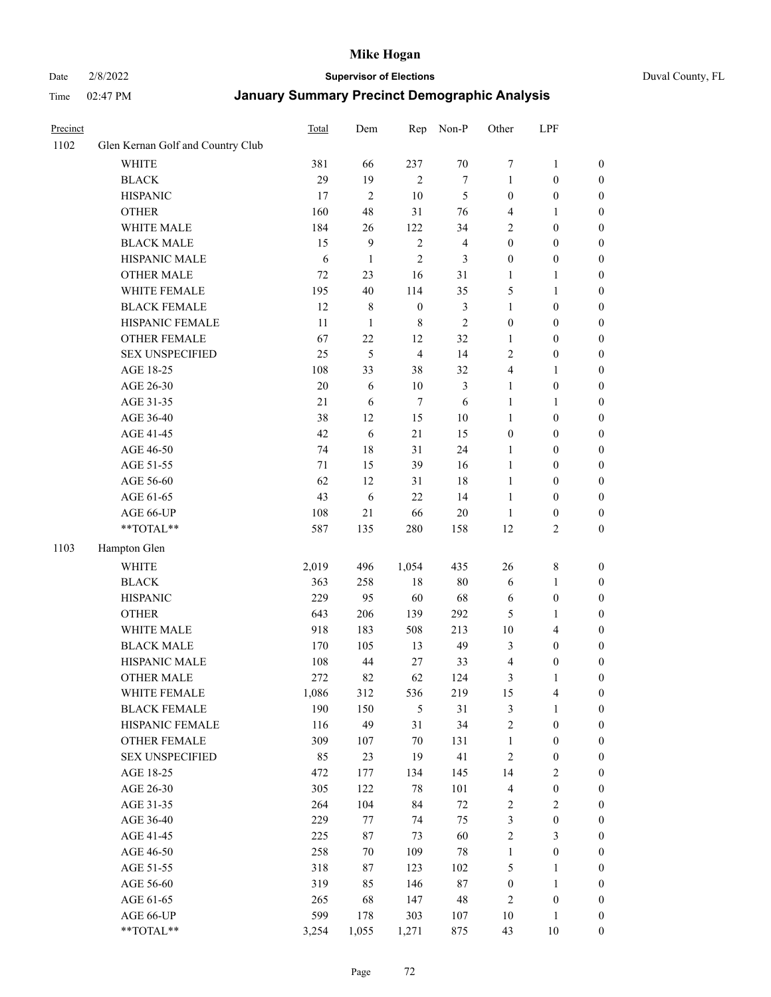#### Date 2/8/2022 **Supervisor of Elections** Duval County, FL

| Precinct |                                   | Total | Dem            | Rep              | Non-P                   | Other                   | LPF              |                  |
|----------|-----------------------------------|-------|----------------|------------------|-------------------------|-------------------------|------------------|------------------|
| 1102     | Glen Kernan Golf and Country Club |       |                |                  |                         |                         |                  |                  |
|          | <b>WHITE</b>                      | 381   | 66             | 237              | $70\,$                  | 7                       | $\mathbf{1}$     | 0                |
|          | <b>BLACK</b>                      | 29    | 19             | $\overline{2}$   | $\tau$                  | $\mathbf{1}$            | $\boldsymbol{0}$ | 0                |
|          | <b>HISPANIC</b>                   | 17    | $\overline{c}$ | 10               | $\mathfrak{S}$          | $\boldsymbol{0}$        | $\boldsymbol{0}$ | $\boldsymbol{0}$ |
|          | <b>OTHER</b>                      | 160   | 48             | 31               | 76                      | 4                       | 1                | $\boldsymbol{0}$ |
|          | WHITE MALE                        | 184   | 26             | 122              | 34                      | 2                       | $\boldsymbol{0}$ | $\boldsymbol{0}$ |
|          | <b>BLACK MALE</b>                 | 15    | 9              | $\sqrt{2}$       | $\overline{\mathbf{4}}$ | $\boldsymbol{0}$        | $\boldsymbol{0}$ | $\boldsymbol{0}$ |
|          | HISPANIC MALE                     | 6     | $\mathbf{1}$   | $\mathfrak{2}$   | 3                       | $\boldsymbol{0}$        | $\boldsymbol{0}$ | $\boldsymbol{0}$ |
|          | <b>OTHER MALE</b>                 | 72    | 23             | 16               | 31                      | $\mathbf{1}$            | $\mathbf{1}$     | $\boldsymbol{0}$ |
|          | WHITE FEMALE                      | 195   | 40             | 114              | 35                      | 5                       | 1                | $\boldsymbol{0}$ |
|          | <b>BLACK FEMALE</b>               | 12    | $\,$ 8 $\,$    | $\boldsymbol{0}$ | $\mathfrak{Z}$          | $\mathbf{1}$            | $\boldsymbol{0}$ | 0                |
|          | HISPANIC FEMALE                   | 11    | $\mathbf{1}$   | $\,8\,$          | $\mathbf{2}$            | $\boldsymbol{0}$        | $\boldsymbol{0}$ | 0                |
|          | OTHER FEMALE                      | 67    | 22             | 12               | 32                      | $\mathbf{1}$            | $\boldsymbol{0}$ | $\boldsymbol{0}$ |
|          | <b>SEX UNSPECIFIED</b>            | 25    | 5              | $\overline{4}$   | 14                      | $\mathbf{2}$            | $\boldsymbol{0}$ | $\boldsymbol{0}$ |
|          | AGE 18-25                         | 108   | 33             | 38               | 32                      | 4                       | 1                | $\boldsymbol{0}$ |
|          | AGE 26-30                         | 20    | 6              | 10               | 3                       | $\mathbf{1}$            | $\boldsymbol{0}$ | $\boldsymbol{0}$ |
|          | AGE 31-35                         | 21    | 6              | $\tau$           | 6                       | $\mathbf{1}$            | $\mathbf{1}$     | $\boldsymbol{0}$ |
|          | AGE 36-40                         | 38    | 12             | 15               | $10\,$                  | $\mathbf{1}$            | $\boldsymbol{0}$ | $\boldsymbol{0}$ |
|          | AGE 41-45                         | 42    | $\sqrt{6}$     | 21               | 15                      | $\boldsymbol{0}$        | $\boldsymbol{0}$ | $\boldsymbol{0}$ |
|          | AGE 46-50                         | 74    | 18             | 31               | 24                      | $\mathbf{1}$            | $\boldsymbol{0}$ | $\boldsymbol{0}$ |
|          | AGE 51-55                         | 71    | 15             | 39               | 16                      | $\mathbf{1}$            | $\boldsymbol{0}$ | $\boldsymbol{0}$ |
|          | AGE 56-60                         | 62    | 12             | 31               | 18                      | $\mathbf{1}$            | $\boldsymbol{0}$ | 0                |
|          | AGE 61-65                         | 43    | 6              | 22               | 14                      | $\mathbf{1}$            | $\boldsymbol{0}$ | 0                |
|          | AGE 66-UP                         | 108   | 21             | 66               | $20\,$                  | $\mathbf{1}$            | $\boldsymbol{0}$ | $\boldsymbol{0}$ |
|          | **TOTAL**                         | 587   | 135            | 280              | 158                     | 12                      | $\sqrt{2}$       | $\boldsymbol{0}$ |
| 1103     | Hampton Glen                      |       |                |                  |                         |                         |                  |                  |
|          | <b>WHITE</b>                      | 2,019 | 496            | 1,054            | 435                     | 26                      | $\,$ 8 $\,$      | $\boldsymbol{0}$ |
|          | <b>BLACK</b>                      | 363   | 258            | $18\,$           | $80\,$                  | 6                       | $\mathbf{1}$     | $\boldsymbol{0}$ |
|          | <b>HISPANIC</b>                   | 229   | 95             | 60               | 68                      | 6                       | $\boldsymbol{0}$ | $\boldsymbol{0}$ |
|          | <b>OTHER</b>                      | 643   | 206            | 139              | 292                     | 5                       | $\mathbf{1}$     | $\boldsymbol{0}$ |
|          | WHITE MALE                        | 918   | 183            | 508              | 213                     | $10\,$                  | $\overline{4}$   | $\boldsymbol{0}$ |
|          | <b>BLACK MALE</b>                 | 170   | 105            | 13               | 49                      | 3                       | $\boldsymbol{0}$ | $\boldsymbol{0}$ |
|          | HISPANIC MALE                     | 108   | 44             | 27               | 33                      | 4                       | $\boldsymbol{0}$ | $\boldsymbol{0}$ |
|          | OTHER MALE                        | 272   | 82             | 62               | 124                     | 3                       | $\mathbf{1}$     | $\boldsymbol{0}$ |
|          | WHITE FEMALE                      | 1,086 | 312            | 536              | 219                     | 15                      | 4                | 0                |
|          | <b>BLACK FEMALE</b>               | 190   | 150            | 5                | 31                      | 3                       | $\mathbf{1}$     | $\boldsymbol{0}$ |
|          | HISPANIC FEMALE                   | 116   | 49             | 31               | 34                      | $\sqrt{2}$              | $\boldsymbol{0}$ | $\overline{0}$   |
|          | OTHER FEMALE                      | 309   | 107            | $70\,$           | 131                     | $\mathbf{1}$            | $\boldsymbol{0}$ | $\overline{0}$   |
|          | <b>SEX UNSPECIFIED</b>            | 85    | 23             | 19               | 41                      | $\sqrt{2}$              | $\boldsymbol{0}$ | 0                |
|          | AGE 18-25                         | 472   | 177            | 134              | 145                     | 14                      | $\sqrt{2}$       | 0                |
|          | AGE 26-30                         | 305   | 122            | 78               | 101                     | $\overline{\mathbf{4}}$ | $\boldsymbol{0}$ | 0                |
|          | AGE 31-35                         | 264   | 104            | 84               | $72\,$                  | 2                       | $\sqrt{2}$       | 0                |
|          | AGE 36-40                         | 229   | 77             | 74               | 75                      | 3                       | $\boldsymbol{0}$ | 0                |
|          | AGE 41-45                         | 225   | 87             | 73               | 60                      | $\overline{c}$          | $\mathfrak{Z}$   | 0                |
|          | AGE 46-50                         | 258   | 70             | 109              | $78\,$                  | $\mathbf{1}$            | $\boldsymbol{0}$ | 0                |
|          | AGE 51-55                         | 318   | 87             | 123              | 102                     | 5                       | $\mathbf{1}$     | 0                |
|          | AGE 56-60                         | 319   | 85             | 146              | $87\,$                  | $\boldsymbol{0}$        | $\mathbf{1}$     | $\overline{0}$   |
|          | AGE 61-65                         | 265   | 68             | 147              | 48                      | 2                       | $\boldsymbol{0}$ | $\overline{0}$   |
|          | AGE 66-UP                         | 599   | 178            | 303              | 107                     | 10                      | $\mathbf{1}$     | $\boldsymbol{0}$ |
|          | **TOTAL**                         | 3,254 | 1,055          | 1,271            | 875                     | 43                      | 10               | $\boldsymbol{0}$ |
|          |                                   |       |                |                  |                         |                         |                  |                  |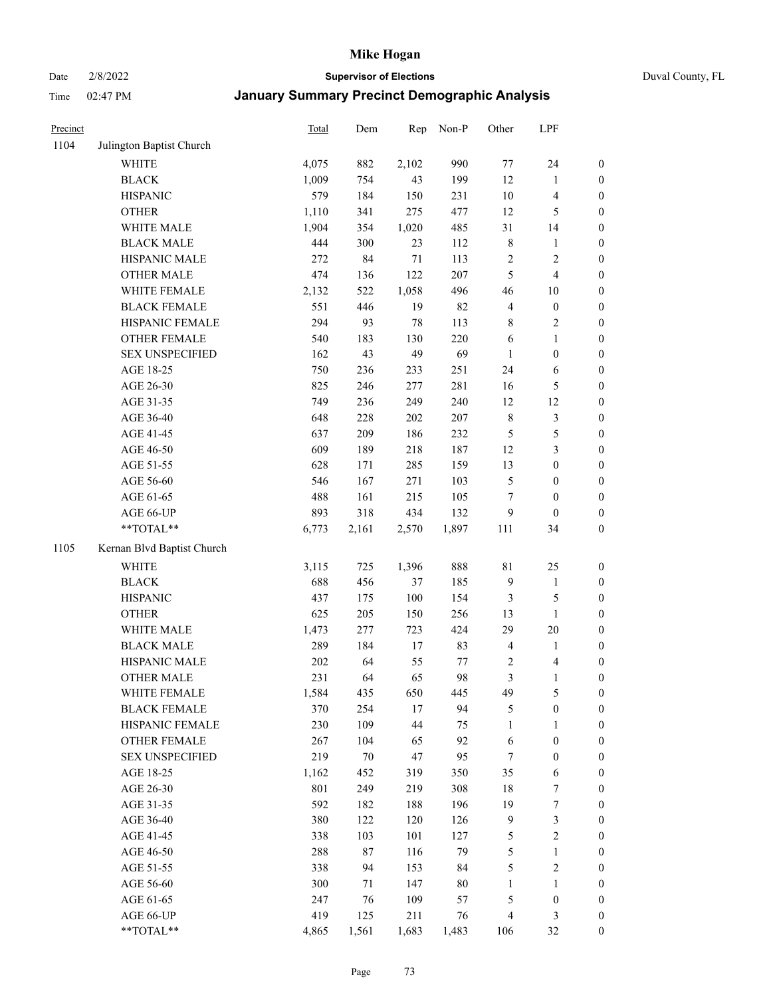Date 2/8/2022 **Supervisor of Elections** Duval County, FL

| Precinct |                                 | <b>Total</b> | Dem        | Rep         | Non-P     | Other                | LPF                           |                  |
|----------|---------------------------------|--------------|------------|-------------|-----------|----------------------|-------------------------------|------------------|
| 1104     | Julington Baptist Church        |              |            |             |           |                      |                               |                  |
|          | <b>WHITE</b>                    | 4,075        | 882        | 2,102       | 990       | 77                   | 24                            | 0                |
|          | <b>BLACK</b>                    | 1,009        | 754        | 43          | 199       | 12                   | $\mathbf{1}$                  | $\boldsymbol{0}$ |
|          | <b>HISPANIC</b>                 | 579          | 184        | 150         | 231       | $10\,$               | $\overline{4}$                | $\boldsymbol{0}$ |
|          | <b>OTHER</b>                    | 1,110        | 341        | 275         | 477       | 12                   | 5                             | $\boldsymbol{0}$ |
|          | WHITE MALE                      | 1,904        | 354        | 1,020       | 485       | 31                   | 14                            | $\boldsymbol{0}$ |
|          | <b>BLACK MALE</b>               | 444          | 300        | 23          | 112       | 8                    | 1                             | $\boldsymbol{0}$ |
|          | HISPANIC MALE                   | 272          | 84         | $71\,$      | 113       | 2                    | $\sqrt{2}$                    | $\boldsymbol{0}$ |
|          | <b>OTHER MALE</b>               | 474          | 136        | 122         | 207       | 5                    | $\overline{4}$                | $\boldsymbol{0}$ |
|          | WHITE FEMALE                    | 2,132        | 522        | 1,058       | 496       | 46                   | $10\,$                        | $\boldsymbol{0}$ |
|          | <b>BLACK FEMALE</b>             | 551          | 446        | 19          | 82        | 4                    | $\boldsymbol{0}$              | $\boldsymbol{0}$ |
|          | HISPANIC FEMALE                 | 294          | 93         | 78          | 113       | 8                    | $\sqrt{2}$                    | $\boldsymbol{0}$ |
|          | <b>OTHER FEMALE</b>             | 540          | 183        | 130         | 220       | 6                    | $\mathbf{1}$                  | $\boldsymbol{0}$ |
|          | <b>SEX UNSPECIFIED</b>          | 162          | 43         | 49          | 69        | $\mathbf{1}$         | $\boldsymbol{0}$              | $\boldsymbol{0}$ |
|          | AGE 18-25                       | 750          | 236        | 233         | 251       | 24                   | 6                             | $\boldsymbol{0}$ |
|          | AGE 26-30                       | 825          | 246        | 277         | 281       | 16                   | $\mathfrak s$                 | $\boldsymbol{0}$ |
|          | AGE 31-35                       | 749          | 236        | 249         | 240       | 12                   | 12                            | $\boldsymbol{0}$ |
|          | AGE 36-40                       | 648          | 228        | 202         | 207       | $\,$ $\,$            | $\sqrt{3}$                    | $\boldsymbol{0}$ |
|          | AGE 41-45                       | 637          | 209        | 186         | 232       | 5                    | 5                             | $\boldsymbol{0}$ |
|          | AGE 46-50                       | 609          | 189        | 218         | 187       | 12                   | $\mathfrak{Z}$                | $\boldsymbol{0}$ |
|          | AGE 51-55                       | 628          | 171        | 285         | 159       | 13                   | $\boldsymbol{0}$              | $\boldsymbol{0}$ |
|          | AGE 56-60                       | 546          | 167        | 271         | 103       | 5                    | $\boldsymbol{0}$              | 0                |
|          | AGE 61-65                       | 488          | 161        | 215         | 105       | $\tau$               | $\boldsymbol{0}$              | $\boldsymbol{0}$ |
|          | AGE 66-UP                       | 893          | 318        | 434         | 132       | 9                    | $\boldsymbol{0}$              | $\boldsymbol{0}$ |
|          | $**TOTAL**$                     | 6,773        | 2,161      | 2,570       | 1,897     | 111                  | 34                            | $\boldsymbol{0}$ |
| 1105     | Kernan Blvd Baptist Church      |              |            |             |           |                      |                               |                  |
|          | <b>WHITE</b>                    |              | 725        |             | 888       | $8\sqrt{1}$          |                               |                  |
|          | <b>BLACK</b>                    | 3,115<br>688 | 456        | 1,396<br>37 | 185       | 9                    | 25                            | $\boldsymbol{0}$ |
|          | <b>HISPANIC</b>                 | 437          |            | 100         | 154       |                      | $\mathbf{1}$<br>$\mathfrak s$ | $\boldsymbol{0}$ |
|          |                                 |              | 175        |             |           | 3                    |                               | $\boldsymbol{0}$ |
|          | <b>OTHER</b>                    | 625          | 205        | 150         | 256       | 13                   | $\mathbf{1}$                  | $\boldsymbol{0}$ |
|          | WHITE MALE<br><b>BLACK MALE</b> | 1,473<br>289 | 277<br>184 | 723         | 424<br>83 | 29<br>$\overline{4}$ | 20                            | $\boldsymbol{0}$ |
|          | HISPANIC MALE                   |              |            | 17          |           |                      | $\mathbf{1}$                  | $\boldsymbol{0}$ |
|          |                                 | $202\,$      | 64         | 55          | 77        | 2                    | 4                             | 0                |
|          | <b>OTHER MALE</b>               | 231          | 64         | 65          | 98        | 3                    | $\mathbf{1}$                  | $\boldsymbol{0}$ |
|          | WHITE FEMALE                    | 1,584        | 435        | 650         | 445       | 49                   | 5                             | 0                |
|          | <b>BLACK FEMALE</b>             | 370          | 254        | 17          | 94        | 5                    | $\boldsymbol{0}$              | $\overline{0}$   |
|          | HISPANIC FEMALE                 | 230          | 109        | 44          | 75        | $\mathbf{1}$         | 1                             | $\overline{0}$   |
|          | <b>OTHER FEMALE</b>             | 267          | 104        | 65          | 92        | 6                    | $\boldsymbol{0}$              | 0                |
|          | <b>SEX UNSPECIFIED</b>          | 219          | $70\,$     | 47          | 95        | 7                    | $\boldsymbol{0}$              | 0                |
|          | AGE 18-25                       | 1,162        | 452        | 319         | 350       | 35                   | 6                             | 0                |
|          | AGE 26-30                       | 801          | 249        | 219         | 308       | 18                   | $\boldsymbol{7}$              | 0                |
|          | AGE 31-35                       | 592          | 182        | 188         | 196       | 19                   | $\boldsymbol{7}$              | 0                |
|          | AGE 36-40                       | 380          | 122        | 120         | 126       | 9                    | $\mathfrak z$                 | 0                |
|          | AGE 41-45                       | 338          | 103        | 101         | 127       | 5                    | $\sqrt{2}$                    | 0                |
|          | AGE 46-50                       | 288          | 87         | 116         | 79        | 5                    | $\mathbf{1}$                  | 0                |
|          | AGE 51-55                       | 338          | 94         | 153         | 84        | 5                    | $\sqrt{2}$                    | 0                |
|          | AGE 56-60                       | 300          | 71         | 147         | $80\,$    | 1                    | 1                             | 0                |
|          | AGE 61-65                       | 247          | 76         | 109         | 57        | 5                    | $\boldsymbol{0}$              | 0                |
|          | AGE 66-UP                       | 419          | 125        | 211         | 76        | 4                    | $\mathfrak{Z}$                | 0                |
|          | **TOTAL**                       | 4,865        | 1,561      | 1,683       | 1,483     | 106                  | 32                            | $\boldsymbol{0}$ |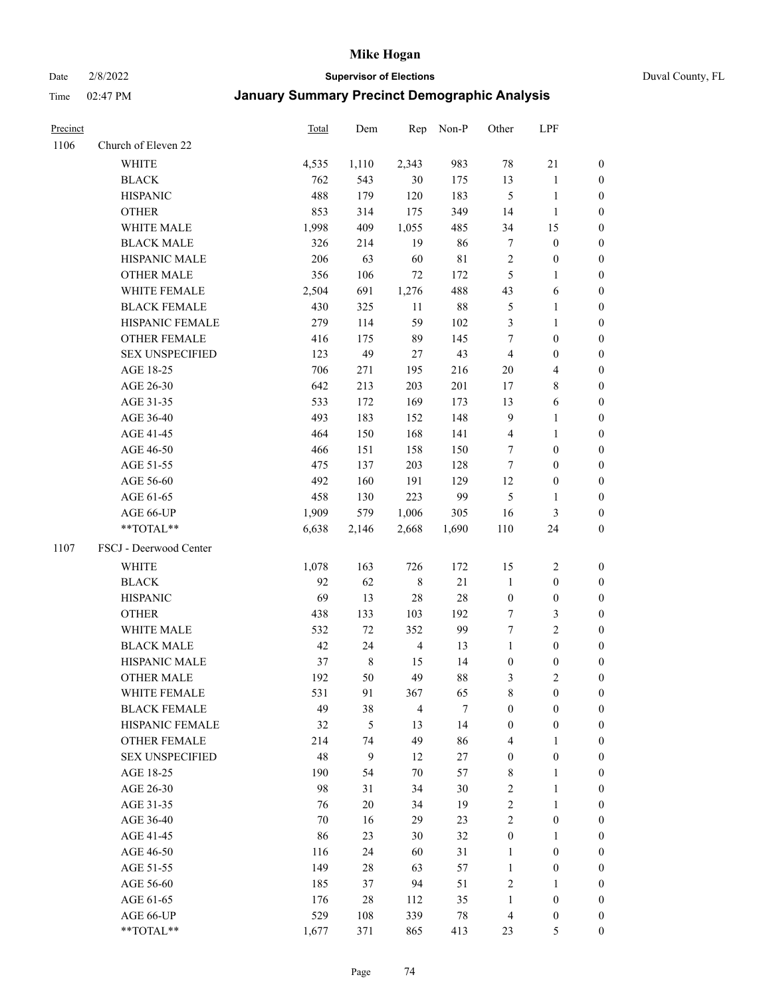## Date 2/8/2022 **Supervisor of Elections** Duval County, FL

| Precinct |                        | Total  | Dem         | Rep            | Non-P       | Other            | LPF                     |                  |
|----------|------------------------|--------|-------------|----------------|-------------|------------------|-------------------------|------------------|
| 1106     | Church of Eleven 22    |        |             |                |             |                  |                         |                  |
|          | <b>WHITE</b>           | 4,535  | 1,110       | 2,343          | 983         | 78               | $21\,$                  | 0                |
|          | <b>BLACK</b>           | 762    | 543         | 30             | 175         | 13               | $\mathbf{1}$            | 0                |
|          | <b>HISPANIC</b>        | 488    | 179         | 120            | 183         | $\mathfrak{S}$   | $\mathbf{1}$            | 0                |
|          | <b>OTHER</b>           | 853    | 314         | 175            | 349         | 14               | $\mathbf{1}$            | $\boldsymbol{0}$ |
|          | WHITE MALE             | 1,998  | 409         | 1,055          | 485         | 34               | 15                      | $\boldsymbol{0}$ |
|          | <b>BLACK MALE</b>      | 326    | 214         | 19             | 86          | $\boldsymbol{7}$ | $\boldsymbol{0}$        | $\boldsymbol{0}$ |
|          | HISPANIC MALE          | 206    | 63          | 60             | $8\sqrt{1}$ | $\sqrt{2}$       | $\boldsymbol{0}$        | $\boldsymbol{0}$ |
|          | <b>OTHER MALE</b>      | 356    | 106         | 72             | 172         | $\mathfrak{S}$   | $\mathbf{1}$            | $\boldsymbol{0}$ |
|          | WHITE FEMALE           | 2,504  | 691         | 1,276          | 488         | 43               | 6                       | 0                |
|          | <b>BLACK FEMALE</b>    | 430    | 325         | 11             | $88\,$      | 5                | $\mathbf{1}$            | 0                |
|          | HISPANIC FEMALE        | 279    | 114         | 59             | 102         | 3                | $\mathbf{1}$            | 0                |
|          | OTHER FEMALE           | 416    | 175         | 89             | 145         | 7                | $\boldsymbol{0}$        | 0                |
|          | <b>SEX UNSPECIFIED</b> | 123    | 49          | 27             | 43          | $\overline{4}$   | $\boldsymbol{0}$        | $\boldsymbol{0}$ |
|          | AGE 18-25              | 706    | 271         | 195            | 216         | $20\,$           | $\overline{\mathbf{4}}$ | $\boldsymbol{0}$ |
|          | AGE 26-30              | 642    | 213         | 203            | 201         | 17               | $8\,$                   | $\boldsymbol{0}$ |
|          | AGE 31-35              | 533    | 172         | 169            | 173         | 13               | 6                       | $\boldsymbol{0}$ |
|          | AGE 36-40              | 493    | 183         | 152            | 148         | 9                | $\mathbf{1}$            | $\boldsymbol{0}$ |
|          | AGE 41-45              | 464    | 150         | 168            | 141         | $\overline{4}$   | $\mathbf{1}$            | $\boldsymbol{0}$ |
|          | AGE 46-50              | 466    | 151         | 158            | 150         | 7                | $\boldsymbol{0}$        | $\boldsymbol{0}$ |
|          | AGE 51-55              | 475    | 137         | 203            | 128         | 7                | $\boldsymbol{0}$        | $\boldsymbol{0}$ |
|          | AGE 56-60              | 492    | 160         | 191            | 129         | 12               | $\boldsymbol{0}$        | 0                |
|          | AGE 61-65              | 458    | 130         | 223            | 99          | $\mathfrak s$    | $\mathbf{1}$            | 0                |
|          | AGE 66-UP              | 1,909  | 579         | 1,006          | 305         | 16               | 3                       | 0                |
|          | **TOTAL**              | 6,638  | 2,146       | 2,668          | 1,690       | 110              | 24                      | $\boldsymbol{0}$ |
| 1107     | FSCJ - Deerwood Center |        |             |                |             |                  |                         |                  |
|          | <b>WHITE</b>           | 1,078  | 163         | 726            | 172         | 15               | $\sqrt{2}$              | $\boldsymbol{0}$ |
|          | <b>BLACK</b>           | 92     | 62          | $\,$ 8 $\,$    | 21          | $\mathbf{1}$     | $\boldsymbol{0}$        | $\boldsymbol{0}$ |
|          | <b>HISPANIC</b>        | 69     | 13          | 28             | 28          | $\boldsymbol{0}$ | $\boldsymbol{0}$        | $\boldsymbol{0}$ |
|          | <b>OTHER</b>           | 438    | 133         | 103            | 192         | 7                | $\mathfrak{Z}$          | $\boldsymbol{0}$ |
|          | WHITE MALE             | 532    | 72          | 352            | 99          | $\tau$           | $\overline{2}$          | $\boldsymbol{0}$ |
|          | <b>BLACK MALE</b>      | 42     | 24          | $\overline{4}$ | 13          | $\mathbf{1}$     | $\boldsymbol{0}$        | $\boldsymbol{0}$ |
|          | HISPANIC MALE          | 37     | $\,$ 8 $\,$ | 15             | 14          | $\boldsymbol{0}$ | $\boldsymbol{0}$        | 0                |
|          | <b>OTHER MALE</b>      | 192    | 50          | 49             | 88          | 3                | $\mathfrak{2}$          | 0                |
|          | WHITE FEMALE           | 531    | 91          | 367            | 65          | 8                | $\boldsymbol{0}$        | 0                |
|          | <b>BLACK FEMALE</b>    | 49     | 38          | $\overline{4}$ | $\tau$      | $\boldsymbol{0}$ | $\boldsymbol{0}$        | $\overline{0}$   |
|          | HISPANIC FEMALE        | 32     | 5           | 13             | 14          | $\boldsymbol{0}$ | $\boldsymbol{0}$        | $\overline{0}$   |
|          | OTHER FEMALE           | 214    | 74          | 49             | 86          | 4                | $\mathbf{1}$            | $\overline{0}$   |
|          | <b>SEX UNSPECIFIED</b> | 48     | 9           | 12             | 27          | $\boldsymbol{0}$ | $\boldsymbol{0}$        | 0                |
|          | AGE 18-25              | 190    | 54          | 70             | 57          | 8                | $\mathbf{1}$            | 0                |
|          | AGE 26-30              | 98     | 31          | 34             | 30          | 2                | $\mathbf{1}$            | 0                |
|          | AGE 31-35              | 76     | $20\,$      | 34             | 19          | 2                | $\mathbf{1}$            | 0                |
|          | AGE 36-40              | $70\,$ | 16          | 29             | 23          | $\mathfrak{2}$   | $\boldsymbol{0}$        | 0                |
|          | AGE 41-45              | 86     | 23          | 30             | 32          | $\boldsymbol{0}$ | $\mathbf{1}$            | 0                |
|          | AGE 46-50              | 116    | 24          | 60             | 31          | 1                | $\boldsymbol{0}$        | 0                |
|          | AGE 51-55              | 149    | 28          | 63             | 57          | $\mathbf{1}$     | $\boldsymbol{0}$        | 0                |
|          | AGE 56-60              | 185    | 37          | 94             | 51          | $\overline{c}$   | 1                       | 0                |
|          | AGE 61-65              | 176    | 28          | 112            | 35          | $\mathbf{1}$     | $\boldsymbol{0}$        | 0                |
|          | AGE 66-UP              | 529    | 108         | 339            | 78          | $\overline{4}$   | $\boldsymbol{0}$        | 0                |
|          | **TOTAL**              | 1,677  | 371         | 865            | 413         | 23               | 5                       | $\boldsymbol{0}$ |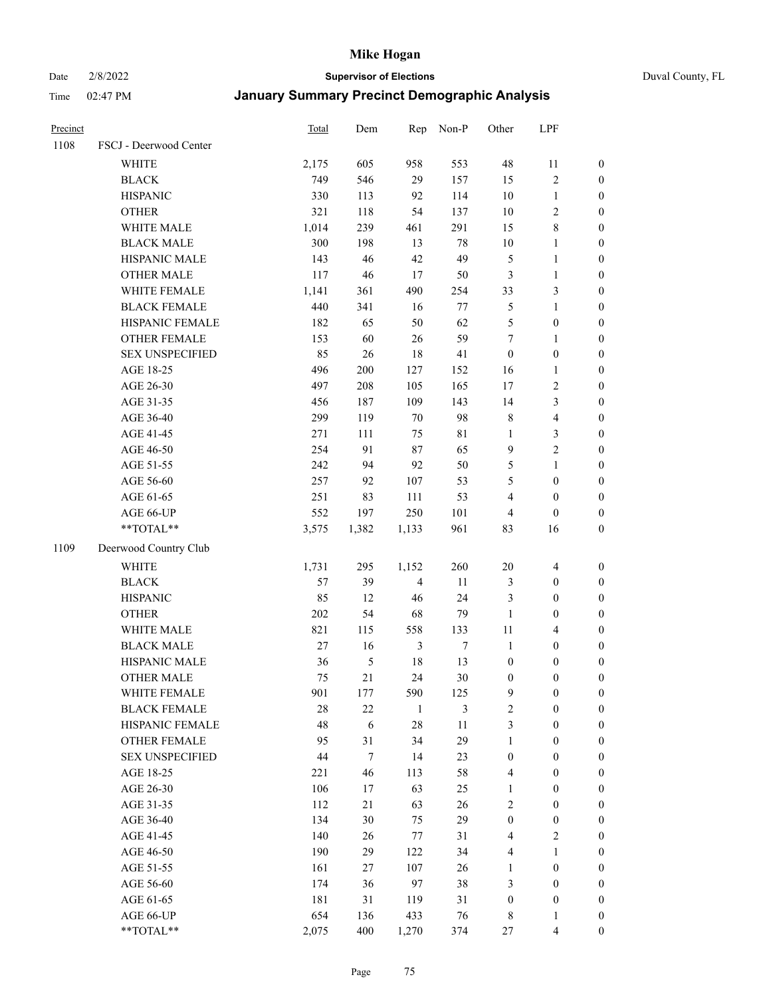# Date 2/8/2022 **Supervisor of Elections** Duval County, FL

| Precinct |                                    | <b>Total</b> | Dem      | Rep                  | Non-P       | Other            | LPF                                  |                  |
|----------|------------------------------------|--------------|----------|----------------------|-------------|------------------|--------------------------------------|------------------|
| 1108     | FSCJ - Deerwood Center             |              |          |                      |             |                  |                                      |                  |
|          | <b>WHITE</b>                       | 2,175        | 605      | 958                  | 553         | $48\,$           | 11                                   | 0                |
|          | <b>BLACK</b>                       | 749          | 546      | 29                   | 157         | 15               | $\sqrt{2}$                           | $\boldsymbol{0}$ |
|          | <b>HISPANIC</b>                    | 330          | 113      | 92                   | 114         | $10\,$           | $\mathbf{1}$                         | $\boldsymbol{0}$ |
|          | <b>OTHER</b>                       | 321          | 118      | 54                   | 137         | $10\,$           | $\sqrt{2}$                           | $\boldsymbol{0}$ |
|          | WHITE MALE                         | 1,014        | 239      | 461                  | 291         | 15               | $\,$ 8 $\,$                          | $\boldsymbol{0}$ |
|          | <b>BLACK MALE</b>                  | 300          | 198      | 13                   | 78          | $10\,$           | $\mathbf{1}$                         | $\boldsymbol{0}$ |
|          | HISPANIC MALE                      | 143          | 46       | 42                   | 49          | 5                | $\mathbf{1}$                         | $\boldsymbol{0}$ |
|          | <b>OTHER MALE</b>                  | 117          | 46       | $17\,$               | 50          | 3                | $\mathbf{1}$                         | $\boldsymbol{0}$ |
|          | WHITE FEMALE                       | 1,141        | 361      | 490                  | 254         | 33               | $\mathfrak{Z}$                       | $\boldsymbol{0}$ |
|          | <b>BLACK FEMALE</b>                | 440          | 341      | 16                   | 77          | $\mathfrak{S}$   | $\mathbf{1}$                         | 0                |
|          | HISPANIC FEMALE                    | 182          | 65       | 50                   | 62          | 5                | $\boldsymbol{0}$                     | 0                |
|          | <b>OTHER FEMALE</b>                | 153          | 60       | 26                   | 59          | $\tau$           | $\mathbf{1}$                         | $\boldsymbol{0}$ |
|          | <b>SEX UNSPECIFIED</b>             | 85           | 26       | $18\,$               | 41          | $\boldsymbol{0}$ | $\boldsymbol{0}$                     | $\boldsymbol{0}$ |
|          | AGE 18-25                          | 496          | 200      | 127                  | 152         | 16               | $\mathbf{1}$                         | $\boldsymbol{0}$ |
|          | AGE 26-30                          | 497          | 208      | 105                  | 165         | 17               | $\sqrt{2}$                           | $\boldsymbol{0}$ |
|          | AGE 31-35                          | 456          | 187      | 109                  | 143         | 14               | $\mathfrak{Z}$                       | $\boldsymbol{0}$ |
|          | AGE 36-40                          | 299          | 119      | $70\,$               | 98          | 8                | $\overline{\mathbf{4}}$              | $\boldsymbol{0}$ |
|          | AGE 41-45                          | 271          | 111      | 75                   | $8\sqrt{1}$ | $\mathbf{1}$     | $\mathfrak{Z}$                       | $\boldsymbol{0}$ |
|          | AGE 46-50                          | 254          | 91       | 87                   | 65          | $\mathbf{9}$     | $\overline{2}$                       | $\boldsymbol{0}$ |
|          | AGE 51-55                          | 242          | 94       | 92                   | 50          | 5                | $\mathbf{1}$                         | $\boldsymbol{0}$ |
|          | AGE 56-60                          | 257          | 92       | 107                  | 53          | 5                | $\boldsymbol{0}$                     | 0                |
|          | AGE 61-65                          | 251          | 83       | 111                  | 53          | 4                | $\boldsymbol{0}$                     | $\boldsymbol{0}$ |
|          | AGE 66-UP                          | 552          | 197      | 250                  | 101         | 4                | $\boldsymbol{0}$                     | $\boldsymbol{0}$ |
|          | **TOTAL**                          | 3,575        | 1,382    | 1,133                | 961         | 83               | 16                                   | $\boldsymbol{0}$ |
| 1109     | Deerwood Country Club              |              |          |                      |             |                  |                                      |                  |
|          | <b>WHITE</b>                       |              | 295      |                      | 260         | $20\,$           |                                      |                  |
|          |                                    | 1,731        |          | 1,152                |             |                  | $\overline{\mathbf{4}}$              | $\boldsymbol{0}$ |
|          | <b>BLACK</b><br><b>HISPANIC</b>    | 57<br>85     | 39<br>12 | $\overline{4}$<br>46 | 11<br>24    | 3                | $\boldsymbol{0}$<br>$\boldsymbol{0}$ | $\boldsymbol{0}$ |
|          |                                    |              |          |                      |             | 3                |                                      | $\boldsymbol{0}$ |
|          | <b>OTHER</b>                       | 202          | 54       | 68                   | 79          | $\mathbf{1}$     | $\boldsymbol{0}$                     | $\boldsymbol{0}$ |
|          | WHITE MALE                         | 821          | 115      | 558                  | 133         | $11\,$           | $\overline{4}$                       | $\boldsymbol{0}$ |
|          | <b>BLACK MALE</b>                  | 27           | 16       | $\mathfrak{Z}$       | $\tau$      | $\mathbf{1}$     | $\boldsymbol{0}$                     | $\boldsymbol{0}$ |
|          | HISPANIC MALE<br><b>OTHER MALE</b> | 36           | 5        | 18                   | 13          | $\boldsymbol{0}$ | $\boldsymbol{0}$                     | $\boldsymbol{0}$ |
|          |                                    | 75           | 21       | 24                   | $30\,$      | $\boldsymbol{0}$ | $\boldsymbol{0}$                     | $\boldsymbol{0}$ |
|          | WHITE FEMALE                       | 901          | 177      | 590                  | 125         | 9                | $\boldsymbol{0}$                     | 0                |
|          | <b>BLACK FEMALE</b>                | 28           | 22       | $\mathbf{1}$         | 3           | $\overline{c}$   | $\boldsymbol{0}$                     | $\overline{0}$   |
|          | HISPANIC FEMALE                    | 48           | 6        | 28                   | $11\,$      | 3                | $\boldsymbol{0}$                     | $\overline{0}$   |
|          | <b>OTHER FEMALE</b>                | 95           | 31       | 34                   | 29          | $\mathbf{1}$     | $\boldsymbol{0}$                     | $\overline{0}$   |
|          | <b>SEX UNSPECIFIED</b>             | 44           | $\tau$   | 14                   | 23          | $\boldsymbol{0}$ | $\boldsymbol{0}$                     | 0                |
|          | AGE 18-25                          | 221          | 46       | 113                  | 58          | 4                | $\boldsymbol{0}$                     | $\theta$         |
|          | AGE 26-30                          | 106          | 17       | 63                   | 25          | $\mathbf{1}$     | $\boldsymbol{0}$                     | 0                |
|          | AGE 31-35                          | 112          | 21       | 63                   | 26          | 2                | $\boldsymbol{0}$                     | 0                |
|          | AGE 36-40                          | 134          | 30       | 75                   | 29          | $\boldsymbol{0}$ | $\boldsymbol{0}$                     | 0                |
|          | AGE 41-45                          | 140          | 26       | 77                   | 31          | $\overline{4}$   | $\mathbf{2}$                         | 0                |
|          | AGE 46-50                          | 190          | 29       | 122                  | 34          | 4                | $\mathbf{1}$                         | 0                |
|          | AGE 51-55                          | 161          | 27       | 107                  | 26          | $\mathbf{1}$     | $\boldsymbol{0}$                     | 0                |
|          | AGE 56-60                          | 174          | 36       | 97                   | 38          | 3                | $\boldsymbol{0}$                     | $\overline{0}$   |
|          | AGE 61-65                          | 181          | 31       | 119                  | 31          | $\boldsymbol{0}$ | $\boldsymbol{0}$                     | 0                |
|          | AGE 66-UP                          | 654          | 136      | 433                  | 76          | 8                | $\mathbf{1}$                         | 0                |
|          | **TOTAL**                          | 2,075        | 400      | 1,270                | 374         | 27               | $\overline{4}$                       | $\boldsymbol{0}$ |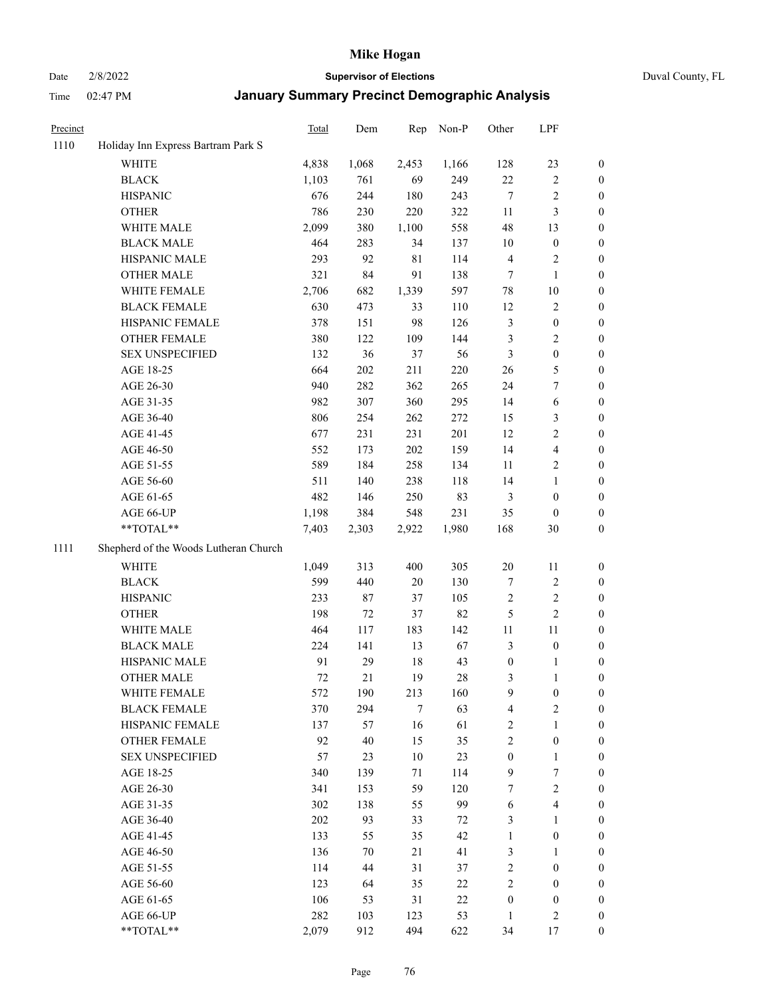## Date 2/8/2022 **Supervisor of Elections** Duval County, FL

| Precinct |                                       | Total | Dem   | Rep         | Non-P  | Other            | LPF                     |                  |
|----------|---------------------------------------|-------|-------|-------------|--------|------------------|-------------------------|------------------|
| 1110     | Holiday Inn Express Bartram Park S    |       |       |             |        |                  |                         |                  |
|          | <b>WHITE</b>                          | 4,838 | 1,068 | 2,453       | 1,166  | 128              | 23                      | 0                |
|          | <b>BLACK</b>                          | 1,103 | 761   | 69          | 249    | $22\,$           | $\sqrt{2}$              | 0                |
|          | <b>HISPANIC</b>                       | 676   | 244   | 180         | 243    | $\tau$           | $\sqrt{2}$              | 0                |
|          | <b>OTHER</b>                          | 786   | 230   | 220         | 322    | 11               | $\mathfrak{Z}$          | $\boldsymbol{0}$ |
|          | WHITE MALE                            | 2,099 | 380   | 1,100       | 558    | 48               | 13                      | $\boldsymbol{0}$ |
|          | <b>BLACK MALE</b>                     | 464   | 283   | 34          | 137    | 10               | $\boldsymbol{0}$        | $\boldsymbol{0}$ |
|          | HISPANIC MALE                         | 293   | 92    | $8\sqrt{1}$ | 114    | 4                | $\sqrt{2}$              | $\boldsymbol{0}$ |
|          | <b>OTHER MALE</b>                     | 321   | 84    | 91          | 138    | $\tau$           | $\mathbf{1}$            | $\boldsymbol{0}$ |
|          | WHITE FEMALE                          | 2,706 | 682   | 1,339       | 597    | $78\,$           | $10\,$                  | 0                |
|          | <b>BLACK FEMALE</b>                   | 630   | 473   | 33          | 110    | 12               | $\sqrt{2}$              | 0                |
|          | HISPANIC FEMALE                       | 378   | 151   | 98          | 126    | 3                | $\boldsymbol{0}$        | 0                |
|          | OTHER FEMALE                          | 380   | 122   | 109         | 144    | 3                | $\sqrt{2}$              | 0                |
|          | <b>SEX UNSPECIFIED</b>                | 132   | 36    | 37          | 56     | 3                | $\boldsymbol{0}$        | $\boldsymbol{0}$ |
|          | AGE 18-25                             | 664   | 202   | 211         | 220    | 26               | $\mathfrak{S}$          | $\boldsymbol{0}$ |
|          | AGE 26-30                             | 940   | 282   | 362         | 265    | 24               | $\boldsymbol{7}$        | $\boldsymbol{0}$ |
|          | AGE 31-35                             | 982   | 307   | 360         | 295    | 14               | 6                       | $\boldsymbol{0}$ |
|          | AGE 36-40                             | 806   | 254   | 262         | 272    | 15               | $\mathfrak{Z}$          | $\boldsymbol{0}$ |
|          | AGE 41-45                             | 677   | 231   | 231         | 201    | 12               | $\sqrt{2}$              | $\boldsymbol{0}$ |
|          | AGE 46-50                             | 552   | 173   | $202\,$     | 159    | 14               | $\overline{4}$          | $\boldsymbol{0}$ |
|          | AGE 51-55                             | 589   | 184   | 258         | 134    | 11               | $\sqrt{2}$              | 0                |
|          | AGE 56-60                             | 511   | 140   | 238         | 118    | 14               | $\mathbf{1}$            | 0                |
|          | AGE 61-65                             | 482   | 146   | 250         | 83     | 3                | $\boldsymbol{0}$        | 0                |
|          | AGE 66-UP                             | 1,198 | 384   | 548         | 231    | 35               | $\boldsymbol{0}$        | $\boldsymbol{0}$ |
|          | **TOTAL**                             | 7,403 | 2,303 | 2,922       | 1,980  | 168              | $30\,$                  | $\boldsymbol{0}$ |
| 1111     | Shepherd of the Woods Lutheran Church |       |       |             |        |                  |                         |                  |
|          | <b>WHITE</b>                          | 1,049 | 313   | 400         | 305    | $20\,$           | 11                      | $\boldsymbol{0}$ |
|          | <b>BLACK</b>                          | 599   | 440   | 20          | 130    | 7                | $\sqrt{2}$              | $\boldsymbol{0}$ |
|          | <b>HISPANIC</b>                       | 233   | 87    | 37          | 105    | $\sqrt{2}$       | $\sqrt{2}$              | $\boldsymbol{0}$ |
|          | <b>OTHER</b>                          | 198   | 72    | 37          | 82     | 5                | $\sqrt{2}$              | $\boldsymbol{0}$ |
|          | WHITE MALE                            | 464   | 117   | 183         | 142    | 11               | $11\,$                  | $\boldsymbol{0}$ |
|          | <b>BLACK MALE</b>                     | 224   | 141   | 13          | 67     | 3                | $\boldsymbol{0}$        | 0                |
|          | HISPANIC MALE                         | 91    | 29    | 18          | 43     | $\boldsymbol{0}$ | 1                       | 0                |
|          | <b>OTHER MALE</b>                     | 72    | 21    | 19          | $28\,$ | 3                | $\mathbf{1}$            | 0                |
|          | WHITE FEMALE                          | 572   | 190   | 213         | 160    | 9                | $\boldsymbol{0}$        | 0                |
|          | <b>BLACK FEMALE</b>                   | 370   | 294   | 7           | 63     | $\overline{4}$   | $\sqrt{2}$              | $\overline{0}$   |
|          | HISPANIC FEMALE                       | 137   | 57    | 16          | 61     | $\sqrt{2}$       | $\mathbf{1}$            | $\overline{0}$   |
|          | OTHER FEMALE                          | 92    | 40    | 15          | 35     | 2                | $\boldsymbol{0}$        | $\overline{0}$   |
|          | <b>SEX UNSPECIFIED</b>                | 57    | 23    | 10          | 23     | $\boldsymbol{0}$ | $\mathbf{1}$            | 0                |
|          | AGE 18-25                             | 340   | 139   | 71          | 114    | 9                | 7                       | 0                |
|          | AGE 26-30                             | 341   | 153   | 59          | 120    | 7                | $\overline{2}$          | 0                |
|          | AGE 31-35                             | 302   | 138   | 55          | 99     | 6                | $\overline{\mathbf{4}}$ | 0                |
|          | AGE 36-40                             | 202   | 93    | 33          | 72     | 3                | $\mathbf{1}$            | 0                |
|          | AGE 41-45                             | 133   | 55    | 35          | 42     | $\mathbf{1}$     | $\boldsymbol{0}$        | 0                |
|          | AGE 46-50                             | 136   | 70    | 21          | 41     | 3                | $\mathbf{1}$            | 0                |
|          | AGE 51-55                             | 114   | 44    | 31          | 37     | 2                | $\boldsymbol{0}$        | 0                |
|          | AGE 56-60                             | 123   | 64    | 35          | 22     | 2                | $\boldsymbol{0}$        | 0                |
|          | AGE 61-65                             | 106   | 53    | 31          | $22\,$ | $\boldsymbol{0}$ | $\boldsymbol{0}$        | 0                |
|          | AGE 66-UP                             | 282   | 103   | 123         | 53     | $\mathbf{1}$     | $\sqrt{2}$              | 0                |
|          | **TOTAL**                             | 2,079 | 912   | 494         | 622    | 34               | 17                      | $\boldsymbol{0}$ |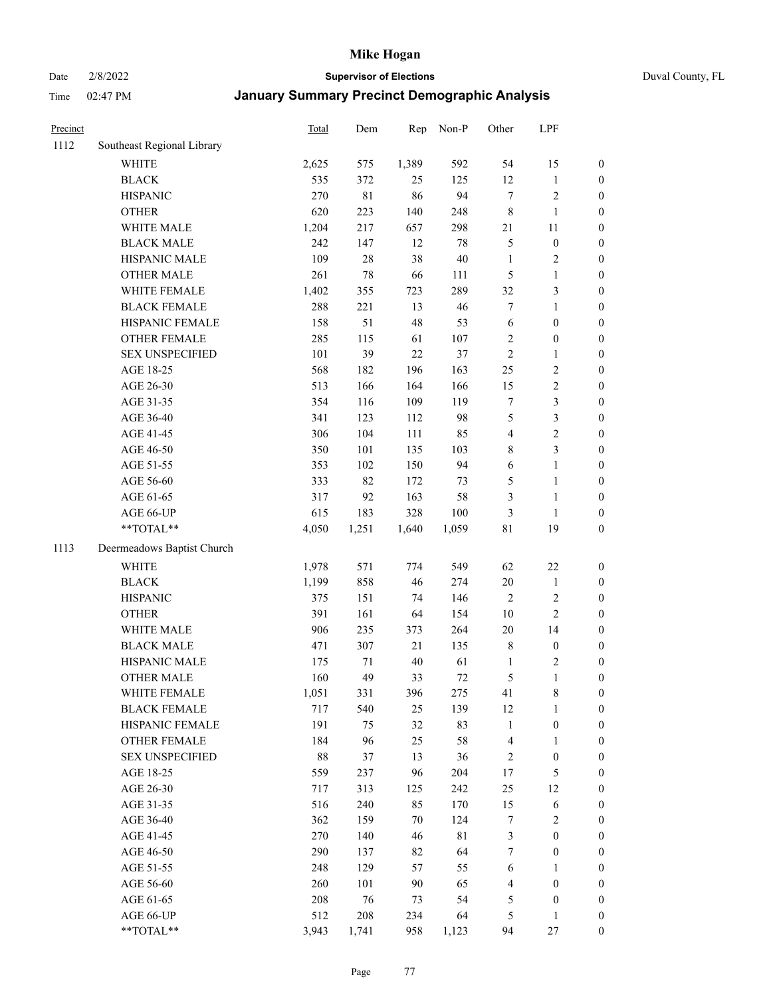Date 2/8/2022 **Supervisor of Elections** Duval County, FL

| Precinct |                            | Total | Dem         | Rep   | Non-P       | Other            | LPF              |                  |
|----------|----------------------------|-------|-------------|-------|-------------|------------------|------------------|------------------|
| 1112     | Southeast Regional Library |       |             |       |             |                  |                  |                  |
|          | <b>WHITE</b>               | 2,625 | 575         | 1,389 | 592         | 54               | 15               | 0                |
|          | <b>BLACK</b>               | 535   | 372         | 25    | 125         | 12               | $\mathbf{1}$     | 0                |
|          | <b>HISPANIC</b>            | 270   | $8\sqrt{1}$ | 86    | 94          | $\tau$           | $\sqrt{2}$       | $\boldsymbol{0}$ |
|          | <b>OTHER</b>               | 620   | 223         | 140   | 248         | $\,$ $\,$        | $\mathbf{1}$     | $\boldsymbol{0}$ |
|          | WHITE MALE                 | 1,204 | 217         | 657   | 298         | 21               | 11               | $\boldsymbol{0}$ |
|          | <b>BLACK MALE</b>          | 242   | 147         | 12    | 78          | 5                | $\boldsymbol{0}$ | $\boldsymbol{0}$ |
|          | HISPANIC MALE              | 109   | 28          | 38    | 40          | $\mathbf{1}$     | $\sqrt{2}$       | $\boldsymbol{0}$ |
|          | <b>OTHER MALE</b>          | 261   | 78          | 66    | 111         | 5                | $\mathbf{1}$     | $\boldsymbol{0}$ |
|          | WHITE FEMALE               | 1,402 | 355         | 723   | 289         | 32               | $\mathfrak{Z}$   | $\boldsymbol{0}$ |
|          | <b>BLACK FEMALE</b>        | 288   | 221         | 13    | 46          | 7                | $\mathbf{1}$     | $\boldsymbol{0}$ |
|          | HISPANIC FEMALE            | 158   | 51          | 48    | 53          | 6                | $\boldsymbol{0}$ | $\boldsymbol{0}$ |
|          | OTHER FEMALE               | 285   | 115         | 61    | 107         | $\mathbf{2}$     | $\boldsymbol{0}$ | $\boldsymbol{0}$ |
|          | <b>SEX UNSPECIFIED</b>     | 101   | 39          | 22    | 37          | $\sqrt{2}$       | $\mathbf{1}$     | $\boldsymbol{0}$ |
|          | AGE 18-25                  | 568   | 182         | 196   | 163         | $25\,$           | $\sqrt{2}$       | $\boldsymbol{0}$ |
|          | AGE 26-30                  | 513   | 166         | 164   | 166         | 15               | $\sqrt{2}$       | $\boldsymbol{0}$ |
|          | AGE 31-35                  | 354   | 116         | 109   | 119         | $\boldsymbol{7}$ | 3                | $\boldsymbol{0}$ |
|          | AGE 36-40                  | 341   | 123         | 112   | 98          | 5                | 3                | $\boldsymbol{0}$ |
|          | AGE 41-45                  | 306   | 104         | 111   | 85          | 4                | $\sqrt{2}$       | $\boldsymbol{0}$ |
|          | AGE 46-50                  | 350   | 101         | 135   | 103         | 8                | 3                | $\boldsymbol{0}$ |
|          | AGE 51-55                  | 353   | 102         | 150   | 94          | 6                | $\mathbf{1}$     | $\boldsymbol{0}$ |
|          | AGE 56-60                  | 333   | 82          | 172   | 73          | 5                | $\mathbf{1}$     | 0                |
|          | AGE 61-65                  | 317   | 92          | 163   | 58          | 3                | $\mathbf{1}$     | $\boldsymbol{0}$ |
|          | AGE 66-UP                  | 615   | 183         | 328   | 100         | 3                | $\mathbf{1}$     | $\boldsymbol{0}$ |
|          | $**TOTAL**$                | 4,050 | 1,251       | 1,640 | 1,059       | $8\sqrt{1}$      | 19               | $\boldsymbol{0}$ |
| 1113     | Deermeadows Baptist Church |       |             |       |             |                  |                  |                  |
|          | <b>WHITE</b>               | 1,978 | 571         | 774   | 549         | 62               | $22\,$           | $\boldsymbol{0}$ |
|          | <b>BLACK</b>               | 1,199 | 858         | 46    | 274         | $20\,$           | $\mathbf{1}$     | $\boldsymbol{0}$ |
|          | <b>HISPANIC</b>            | 375   | 151         | 74    | 146         | 2                | $\sqrt{2}$       | $\boldsymbol{0}$ |
|          | <b>OTHER</b>               | 391   | 161         | 64    | 154         | 10               | $\overline{2}$   | $\boldsymbol{0}$ |
|          | WHITE MALE                 | 906   | 235         | 373   | 264         | 20               | 14               | $\boldsymbol{0}$ |
|          | <b>BLACK MALE</b>          | 471   | 307         | 21    | 135         | 8                | $\boldsymbol{0}$ | $\boldsymbol{0}$ |
|          | HISPANIC MALE              | 175   | 71          | 40    | 61          | 1                | $\sqrt{2}$       | $\boldsymbol{0}$ |
|          | <b>OTHER MALE</b>          | 160   | 49          | 33    | $72\,$      | 5                | $\mathbf{1}$     | $\boldsymbol{0}$ |
|          | WHITE FEMALE               | 1,051 | 331         | 396   | 275         | 41               | 8                | 0                |
|          | <b>BLACK FEMALE</b>        | 717   | 540         | 25    | 139         | 12               | $\mathbf{1}$     | $\boldsymbol{0}$ |
|          | HISPANIC FEMALE            | 191   | 75          | 32    | 83          | $\mathbf{1}$     | $\boldsymbol{0}$ | $\overline{0}$   |
|          | <b>OTHER FEMALE</b>        | 184   | 96          | 25    | 58          | 4                | $\mathbf{1}$     | $\overline{0}$   |
|          | <b>SEX UNSPECIFIED</b>     | 88    | 37          | 13    | 36          | 2                | $\boldsymbol{0}$ | 0                |
|          | AGE 18-25                  | 559   | 237         | 96    | 204         | 17               | $\mathfrak s$    | 0                |
|          | AGE 26-30                  | 717   | 313         | 125   | 242         | 25               | 12               | 0                |
|          | AGE 31-35                  | 516   | 240         | 85    | 170         | 15               | 6                | 0                |
|          | AGE 36-40                  | 362   | 159         | 70    | 124         | 7                | $\sqrt{2}$       | 0                |
|          | AGE 41-45                  | 270   | 140         | 46    | $8\sqrt{1}$ | 3                | $\boldsymbol{0}$ | 0                |
|          | AGE 46-50                  | 290   | 137         | 82    | 64          | $\tau$           | $\boldsymbol{0}$ | 0                |
|          | AGE 51-55                  | 248   | 129         | 57    | 55          | 6                | 1                | $\overline{0}$   |
|          | AGE 56-60                  | 260   | 101         | 90    | 65          | 4                | $\boldsymbol{0}$ | $\overline{0}$   |
|          | AGE 61-65                  | 208   | 76          | 73    | 54          | 5                | $\boldsymbol{0}$ | $\overline{0}$   |
|          | AGE 66-UP                  | 512   | 208         | 234   | 64          | 5                | $\mathbf{1}$     | 0                |
|          | **TOTAL**                  | 3,943 | 1,741       | 958   | 1,123       | 94               | 27               | $\boldsymbol{0}$ |
|          |                            |       |             |       |             |                  |                  |                  |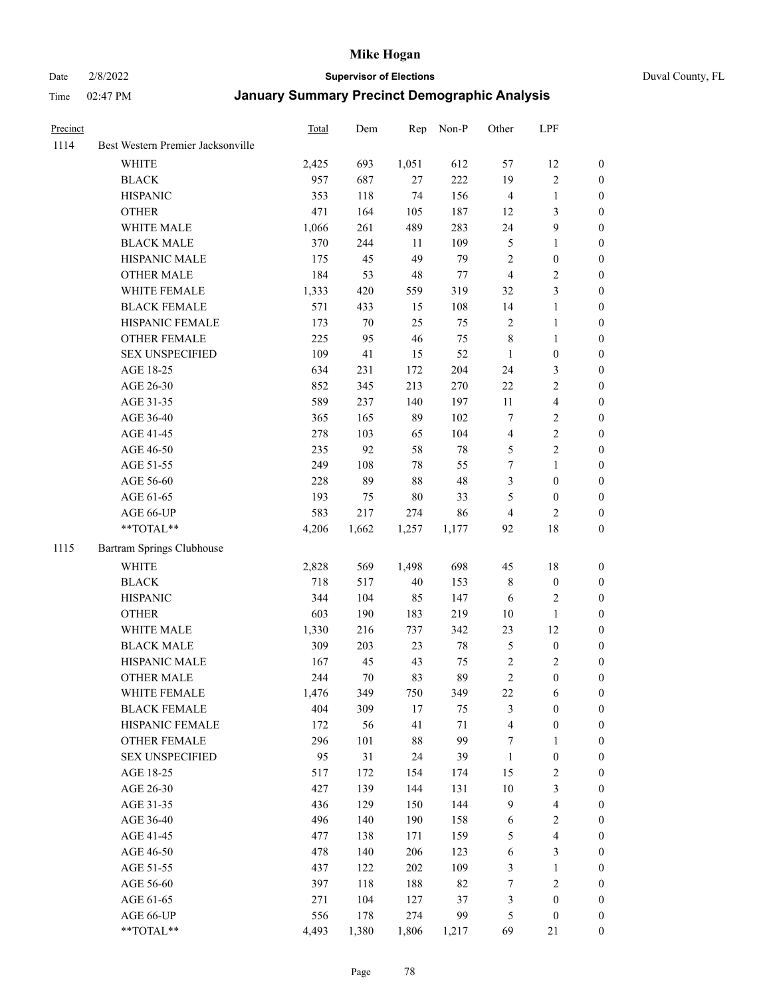Date 2/8/2022 **Supervisor of Elections** Duval County, FL

| Precinct |                                   | <b>Total</b> | Dem    | Rep    | Non-P  | Other          | LPF                     |                  |
|----------|-----------------------------------|--------------|--------|--------|--------|----------------|-------------------------|------------------|
| 1114     | Best Western Premier Jacksonville |              |        |        |        |                |                         |                  |
|          | <b>WHITE</b>                      | 2,425        | 693    | 1,051  | 612    | 57             | 12                      | 0                |
|          | <b>BLACK</b>                      | 957          | 687    | 27     | 222    | 19             | $\sqrt{2}$              | 0                |
|          | <b>HISPANIC</b>                   | 353          | 118    | 74     | 156    | $\overline{4}$ | $\mathbf{1}$            | $\boldsymbol{0}$ |
|          | <b>OTHER</b>                      | 471          | 164    | 105    | 187    | 12             | $\mathfrak{Z}$          | $\boldsymbol{0}$ |
|          | WHITE MALE                        | 1,066        | 261    | 489    | 283    | 24             | $\mathbf{9}$            | $\boldsymbol{0}$ |
|          | <b>BLACK MALE</b>                 | 370          | 244    | 11     | 109    | 5              | 1                       | $\boldsymbol{0}$ |
|          | HISPANIC MALE                     | 175          | 45     | 49     | 79     | $\mathbf{2}$   | $\boldsymbol{0}$        | $\boldsymbol{0}$ |
|          | <b>OTHER MALE</b>                 | 184          | 53     | 48     | 77     | $\overline{4}$ | $\overline{2}$          | $\boldsymbol{0}$ |
|          | WHITE FEMALE                      | 1,333        | 420    | 559    | 319    | 32             | $\mathfrak{Z}$          | $\boldsymbol{0}$ |
|          | <b>BLACK FEMALE</b>               | 571          | 433    | 15     | 108    | 14             | $\mathbf{1}$            | 0                |
|          | HISPANIC FEMALE                   | 173          | 70     | 25     | 75     | $\sqrt{2}$     | $\mathbf{1}$            | 0                |
|          | OTHER FEMALE                      | 225          | 95     | 46     | 75     | $\,$ 8 $\,$    | $\mathbf{1}$            | 0                |
|          | <b>SEX UNSPECIFIED</b>            | 109          | 41     | 15     | 52     | $\mathbf{1}$   | $\boldsymbol{0}$        | $\boldsymbol{0}$ |
|          | AGE 18-25                         | 634          | 231    | 172    | 204    | 24             | $\mathfrak{Z}$          | $\boldsymbol{0}$ |
|          | AGE 26-30                         | 852          | 345    | 213    | 270    | $22\,$         | $\sqrt{2}$              | $\boldsymbol{0}$ |
|          | AGE 31-35                         | 589          | 237    | 140    | 197    | 11             | $\overline{\mathbf{4}}$ | $\boldsymbol{0}$ |
|          | AGE 36-40                         | 365          | 165    | 89     | 102    | 7              | $\sqrt{2}$              | $\boldsymbol{0}$ |
|          | AGE 41-45                         | 278          | 103    | 65     | 104    | $\overline{4}$ | $\sqrt{2}$              | $\boldsymbol{0}$ |
|          | AGE 46-50                         | 235          | 92     | 58     | $78\,$ | 5              | $\overline{2}$          | $\boldsymbol{0}$ |
|          | AGE 51-55                         | 249          | 108    | 78     | 55     | 7              | $\mathbf{1}$            | $\boldsymbol{0}$ |
|          | AGE 56-60                         | 228          | 89     | $88\,$ | 48     | 3              | $\boldsymbol{0}$        | 0                |
|          | AGE 61-65                         | 193          | 75     | $80\,$ | 33     | 5              | $\boldsymbol{0}$        | 0                |
|          | AGE 66-UP                         | 583          | 217    | 274    | 86     | 4              | 2                       | $\boldsymbol{0}$ |
|          | **TOTAL**                         | 4,206        | 1,662  | 1,257  | 1,177  | 92             | $18\,$                  | $\boldsymbol{0}$ |
| 1115     | Bartram Springs Clubhouse         |              |        |        |        |                |                         |                  |
|          | <b>WHITE</b>                      | 2,828        | 569    | 1,498  | 698    | 45             | $18\,$                  | $\boldsymbol{0}$ |
|          | <b>BLACK</b>                      | 718          | 517    | $40\,$ | 153    | 8              | $\boldsymbol{0}$        | $\boldsymbol{0}$ |
|          | <b>HISPANIC</b>                   | 344          | 104    | 85     | 147    | 6              | $\mathbf{2}$            | $\boldsymbol{0}$ |
|          | <b>OTHER</b>                      | 603          | 190    | 183    | 219    | $10\,$         | $\mathbf{1}$            | $\boldsymbol{0}$ |
|          | WHITE MALE                        | 1,330        | 216    | 737    | 342    | 23             | 12                      | $\boldsymbol{0}$ |
|          | <b>BLACK MALE</b>                 | 309          | 203    | 23     | $78\,$ | 5              | $\boldsymbol{0}$        | $\boldsymbol{0}$ |
|          | HISPANIC MALE                     | 167          | 45     | 43     | 75     | $\sqrt{2}$     | $\overline{c}$          | 0                |
|          | <b>OTHER MALE</b>                 | 244          | $70\,$ | 83     | 89     | $\overline{c}$ | $\boldsymbol{0}$        | 0                |
|          | WHITE FEMALE                      | 1,476        | 349    | 750    | 349    | 22             | 6                       | 0                |
|          | <b>BLACK FEMALE</b>               | 404          | 309    | 17     | 75     | 3              | $\boldsymbol{0}$        | $\boldsymbol{0}$ |
|          | HISPANIC FEMALE                   | 172          | 56     | 41     | $71\,$ | 4              | $\boldsymbol{0}$        | $\overline{0}$   |
|          | <b>OTHER FEMALE</b>               | 296          | 101    | 88     | 99     | 7              | $\mathbf{1}$            | $\overline{0}$   |
|          | <b>SEX UNSPECIFIED</b>            | 95           | 31     | 24     | 39     | $\mathbf{1}$   | $\boldsymbol{0}$        | 0                |
|          | AGE 18-25                         | 517          | 172    | 154    | 174    | 15             | $\sqrt{2}$              | 0                |
|          | AGE 26-30                         | 427          | 139    | 144    | 131    | $10\,$         | $\mathfrak{Z}$          | 0                |
|          | AGE 31-35                         | 436          | 129    | 150    | 144    | 9              | $\overline{\mathbf{4}}$ | 0                |
|          | AGE 36-40                         | 496          | 140    | 190    | 158    | 6              | $\sqrt{2}$              | 0                |
|          | AGE 41-45                         | 477          | 138    | 171    | 159    | 5              | $\overline{\mathbf{4}}$ | 0                |
|          | AGE 46-50                         | 478          | 140    | 206    | 123    | 6              | $\mathfrak{Z}$          | 0                |
|          | AGE 51-55                         | 437          | 122    | 202    | 109    | 3              | $\mathbf{1}$            | $\boldsymbol{0}$ |
|          | AGE 56-60                         | 397          | 118    | 188    | 82     | 7              | $\sqrt{2}$              | $\boldsymbol{0}$ |
|          | AGE 61-65                         | 271          | 104    | 127    | 37     | 3              | $\boldsymbol{0}$        | $\boldsymbol{0}$ |
|          | AGE 66-UP                         | 556          | 178    | 274    | 99     | 5              | $\boldsymbol{0}$        | $\boldsymbol{0}$ |
|          | **TOTAL**                         | 4,493        | 1,380  | 1,806  | 1,217  | 69             | 21                      | $\boldsymbol{0}$ |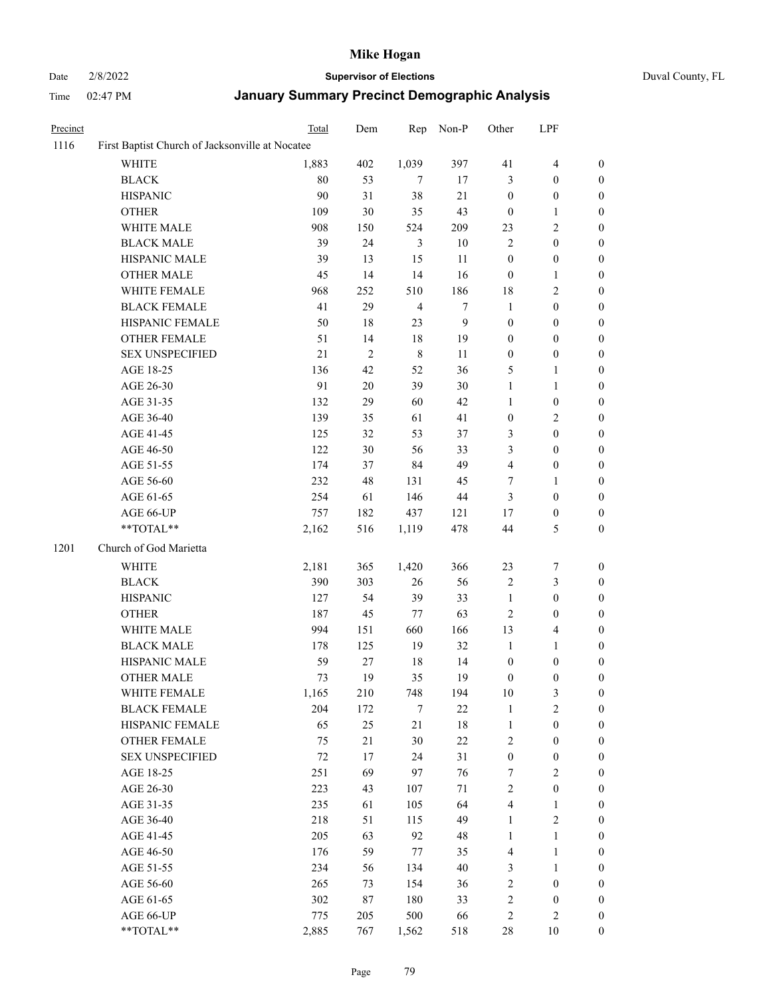# Date 2/8/2022 **Supervisor of Elections** Duval County, FL

| Precinct |                                                 | Total  | Dem        | Rep                     | Non-P            | Other            | LPF              |                  |
|----------|-------------------------------------------------|--------|------------|-------------------------|------------------|------------------|------------------|------------------|
| 1116     | First Baptist Church of Jacksonville at Nocatee |        |            |                         |                  |                  |                  |                  |
|          | <b>WHITE</b>                                    | 1,883  | 402        | 1,039                   | 397              | 41               | $\overline{4}$   | $\boldsymbol{0}$ |
|          | <b>BLACK</b>                                    | 80     | 53         | 7                       | 17               | 3                | $\boldsymbol{0}$ | $\boldsymbol{0}$ |
|          | <b>HISPANIC</b>                                 | 90     | 31         | 38                      | 21               | $\boldsymbol{0}$ | $\boldsymbol{0}$ | $\boldsymbol{0}$ |
|          | <b>OTHER</b>                                    | 109    | 30         | 35                      | 43               | $\boldsymbol{0}$ | $\mathbf{1}$     | $\boldsymbol{0}$ |
|          | WHITE MALE                                      | 908    | 150        | 524                     | 209              | 23               | $\sqrt{2}$       | $\boldsymbol{0}$ |
|          | <b>BLACK MALE</b>                               | 39     | 24         | 3                       | $10\,$           | $\overline{2}$   | $\boldsymbol{0}$ | 0                |
|          | HISPANIC MALE                                   | 39     | 13         | 15                      | 11               | $\boldsymbol{0}$ | $\boldsymbol{0}$ | 0                |
|          | <b>OTHER MALE</b>                               | 45     | 14         | 14                      | 16               | $\boldsymbol{0}$ | $\mathbf{1}$     | $\boldsymbol{0}$ |
|          | WHITE FEMALE                                    | 968    | 252        | 510                     | 186              | $18\,$           | $\sqrt{2}$       | $\boldsymbol{0}$ |
|          | <b>BLACK FEMALE</b>                             | 41     | 29         | $\overline{\mathbf{4}}$ | 7                | $\mathbf{1}$     | $\boldsymbol{0}$ | $\boldsymbol{0}$ |
|          | HISPANIC FEMALE                                 | 50     | $18\,$     | 23                      | $\boldsymbol{9}$ | $\boldsymbol{0}$ | $\boldsymbol{0}$ | $\boldsymbol{0}$ |
|          | <b>OTHER FEMALE</b>                             | 51     | 14         | $18\,$                  | 19               | $\boldsymbol{0}$ | $\boldsymbol{0}$ | $\boldsymbol{0}$ |
|          | <b>SEX UNSPECIFIED</b>                          | 21     | $\sqrt{2}$ | $\,8\,$                 | 11               | $\boldsymbol{0}$ | $\boldsymbol{0}$ | $\boldsymbol{0}$ |
|          | AGE 18-25                                       | 136    | 42         | 52                      | 36               | 5                | $\mathbf{1}$     | $\boldsymbol{0}$ |
|          | AGE 26-30                                       | 91     | 20         | 39                      | $30\,$           | $\mathbf{1}$     | $\mathbf{1}$     | $\boldsymbol{0}$ |
|          | AGE 31-35                                       | 132    | 29         | 60                      | 42               | $\mathbf{1}$     | $\boldsymbol{0}$ | 0                |
|          | AGE 36-40                                       | 139    | 35         | 61                      | 41               | $\boldsymbol{0}$ | $\sqrt{2}$       | 0                |
|          | AGE 41-45                                       | 125    | 32         | 53                      | 37               | 3                | $\boldsymbol{0}$ | $\boldsymbol{0}$ |
|          | AGE 46-50                                       | 122    | 30         | 56                      | 33               | 3                | $\boldsymbol{0}$ | $\boldsymbol{0}$ |
|          | AGE 51-55                                       | 174    | 37         | 84                      | 49               | 4                | $\boldsymbol{0}$ | $\boldsymbol{0}$ |
|          | AGE 56-60                                       | 232    | 48         | 131                     | 45               | 7                | $\mathbf{1}$     | $\boldsymbol{0}$ |
|          | AGE 61-65                                       | 254    | 61         | 146                     | $44\,$           | 3                | $\boldsymbol{0}$ | $\boldsymbol{0}$ |
|          | AGE 66-UP                                       | 757    | 182        | 437                     | 121              | 17               | $\boldsymbol{0}$ | $\boldsymbol{0}$ |
|          | **TOTAL**                                       | 2,162  | 516        | 1,119                   | 478              | 44               | $\mathfrak{S}$   | $\boldsymbol{0}$ |
|          |                                                 |        |            |                         |                  |                  |                  |                  |
| 1201     | Church of God Marietta                          |        |            |                         |                  |                  |                  |                  |
|          | WHITE                                           | 2,181  | 365        | 1,420                   | 366              | 23               | $\boldsymbol{7}$ | $\boldsymbol{0}$ |
|          | <b>BLACK</b>                                    | 390    | 303        | 26                      | 56               | $\sqrt{2}$       | $\mathfrak{Z}$   | $\boldsymbol{0}$ |
|          | <b>HISPANIC</b>                                 | 127    | 54         | 39                      | 33               | $\mathbf{1}$     | $\boldsymbol{0}$ | 0                |
|          | <b>OTHER</b>                                    | 187    | 45         | $77\,$                  | 63               | $\sqrt{2}$       | $\boldsymbol{0}$ | 0                |
|          | WHITE MALE                                      | 994    | 151        | 660                     | 166              | 13               | $\overline{4}$   | 0                |
|          | <b>BLACK MALE</b>                               | 178    | 125        | 19                      | 32               | $\mathbf{1}$     | $\mathbf{1}$     | $\boldsymbol{0}$ |
|          | HISPANIC MALE                                   | 59     | 27         | $18\,$                  | 14               | $\boldsymbol{0}$ | $\boldsymbol{0}$ | $\boldsymbol{0}$ |
|          | <b>OTHER MALE</b>                               | 73     | 19         | 35                      | 19               | $\boldsymbol{0}$ | $\boldsymbol{0}$ | $\boldsymbol{0}$ |
|          | WHITE FEMALE                                    | 1,165  | 210        | 748                     | 194              | $10\,$           | $\mathfrak{Z}$   | 0                |
|          | <b>BLACK FEMALE</b>                             | 204    | 172        | 7                       | $22\,$           | $\mathbf{1}$     | $\sqrt{2}$       | 0                |
|          | HISPANIC FEMALE                                 | 65     | $25\,$     | 21                      | $18\,$           | $\mathbf{1}$     | $\boldsymbol{0}$ | 0                |
|          | <b>OTHER FEMALE</b>                             | 75     | 21         | 30                      | $22\,$           | 2                | $\boldsymbol{0}$ | 0                |
|          | <b>SEX UNSPECIFIED</b>                          | $72\,$ | 17         | 24                      | 31               | $\boldsymbol{0}$ | $\boldsymbol{0}$ | 0                |
|          | AGE 18-25                                       | 251    | 69         | 97                      | 76               | 7                | $\sqrt{2}$       | 0                |
|          | AGE 26-30                                       | 223    | 43         | 107                     | 71               | 2                | $\boldsymbol{0}$ | 0                |
|          | AGE 31-35                                       | 235    | 61         | 105                     | 64               | $\overline{4}$   | $\mathbf{1}$     | 0                |
|          | AGE 36-40                                       | 218    | 51         | 115                     | 49               | $\mathbf{1}$     | $\sqrt{2}$       | $\boldsymbol{0}$ |
|          | AGE 41-45                                       | 205    | 63         | 92                      | 48               | $\mathbf{1}$     | $\mathbf{1}$     | 0                |
|          | AGE 46-50                                       | 176    | 59         | 77                      | 35               | 4                | $\mathbf{1}$     | 0                |
|          | AGE 51-55                                       | 234    | 56         | 134                     | $40\,$           | 3                | $\mathbf{1}$     | 0                |
|          | AGE 56-60                                       | 265    | 73         | 154                     | 36               | 2                | $\boldsymbol{0}$ | 0                |
|          | AGE 61-65                                       | 302    | 87         | 180                     | 33               | 2                | $\boldsymbol{0}$ | 0                |
|          | AGE 66-UP                                       | 775    | 205        | 500                     | 66               | $\sqrt{2}$       | $\sqrt{2}$       | 0                |
|          | **TOTAL**                                       | 2,885  | 767        | 1,562                   | 518              | $28\,$           | 10               | $\boldsymbol{0}$ |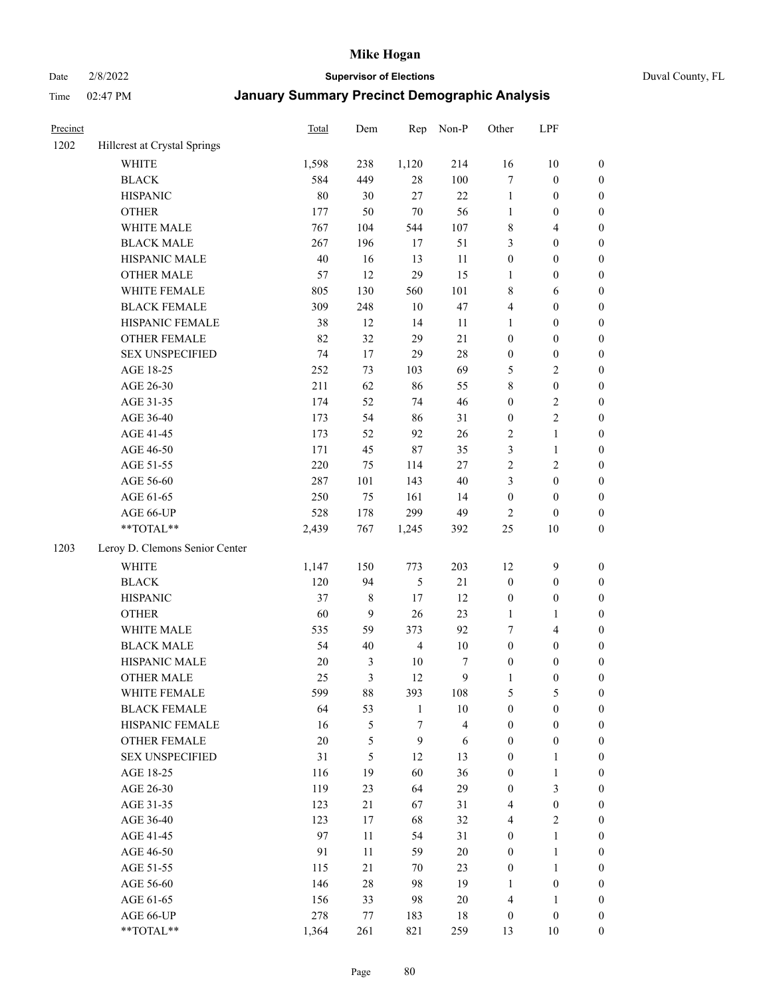Date 2/8/2022 **Supervisor of Elections** Duval County, FL

| Precinct |                                        | Total        | Dem            | Rep                   | Non-P                   | Other                 | LPF                                |                  |
|----------|----------------------------------------|--------------|----------------|-----------------------|-------------------------|-----------------------|------------------------------------|------------------|
| 1202     | Hillcrest at Crystal Springs           |              |                |                       |                         |                       |                                    |                  |
|          | <b>WHITE</b>                           | 1,598        | 238            | 1,120                 | 214                     | 16                    | $10\,$                             | 0                |
|          | <b>BLACK</b>                           | 584          | 449            | $28\,$                | 100                     | 7                     | $\boldsymbol{0}$                   | $\boldsymbol{0}$ |
|          | <b>HISPANIC</b>                        | 80           | 30             | 27                    | 22                      | $\mathbf{1}$          | $\boldsymbol{0}$                   | $\boldsymbol{0}$ |
|          | <b>OTHER</b>                           | 177          | 50             | $70\,$                | 56                      | 1                     | $\boldsymbol{0}$                   | $\boldsymbol{0}$ |
|          | WHITE MALE                             | 767          | 104            | 544                   | 107                     | 8                     | $\overline{4}$                     | $\boldsymbol{0}$ |
|          | <b>BLACK MALE</b>                      | 267          | 196            | 17                    | 51                      | 3                     | $\boldsymbol{0}$                   | $\boldsymbol{0}$ |
|          | HISPANIC MALE                          | 40           | 16             | 13                    | 11                      | $\boldsymbol{0}$      | $\boldsymbol{0}$                   | $\boldsymbol{0}$ |
|          | <b>OTHER MALE</b>                      | 57           | 12             | 29                    | 15                      | $\mathbf{1}$          | $\boldsymbol{0}$                   | $\boldsymbol{0}$ |
|          | WHITE FEMALE                           | 805          | 130            | 560                   | 101                     | 8                     | 6                                  | $\boldsymbol{0}$ |
|          | <b>BLACK FEMALE</b>                    | 309          | 248            | $10\,$                | 47                      | 4                     | $\boldsymbol{0}$                   | $\boldsymbol{0}$ |
|          | HISPANIC FEMALE                        | 38           | 12             | 14                    | 11                      | $\mathbf{1}$          | $\boldsymbol{0}$                   | 0                |
|          | OTHER FEMALE                           | 82           | 32             | 29                    | 21                      | $\boldsymbol{0}$      | $\boldsymbol{0}$                   | $\boldsymbol{0}$ |
|          | <b>SEX UNSPECIFIED</b>                 | 74           | 17             | 29                    | $28\,$                  | $\boldsymbol{0}$      | $\boldsymbol{0}$                   | $\boldsymbol{0}$ |
|          | AGE 18-25                              | 252          | 73             | 103                   | 69                      | 5                     | $\sqrt{2}$                         | $\boldsymbol{0}$ |
|          | AGE 26-30                              | 211          | 62             | 86                    | 55                      | 8                     | $\boldsymbol{0}$                   | $\boldsymbol{0}$ |
|          | AGE 31-35                              | 174          | 52             | 74                    | 46                      | $\boldsymbol{0}$      | $\sqrt{2}$                         | $\boldsymbol{0}$ |
|          | AGE 36-40                              | 173          | 54             | 86                    | 31                      | $\boldsymbol{0}$      | $\sqrt{2}$                         | $\boldsymbol{0}$ |
|          | AGE 41-45                              | 173          | 52             | 92                    | 26                      | 2                     | $\mathbf{1}$                       | $\boldsymbol{0}$ |
|          | AGE 46-50                              | 171          | 45             | 87                    | 35                      | 3                     | $\mathbf{1}$                       | $\boldsymbol{0}$ |
|          | AGE 51-55                              | 220          | 75             | 114                   | $27\,$                  | 2                     | $\sqrt{2}$                         | $\boldsymbol{0}$ |
|          | AGE 56-60                              | 287          | 101            | 143                   | 40                      | 3                     | $\boldsymbol{0}$                   | 0                |
|          | AGE 61-65                              | 250          | 75             | 161                   | 14                      | $\boldsymbol{0}$      | $\boldsymbol{0}$                   | 0                |
|          | AGE 66-UP                              | 528          | 178            | 299                   | 49                      | $\overline{2}$        | $\boldsymbol{0}$                   | $\boldsymbol{0}$ |
|          | **TOTAL**                              | 2,439        | 767            | 1,245                 | 392                     | $25\,$                | $10\,$                             | $\boldsymbol{0}$ |
| 1203     | Leroy D. Clemons Senior Center         |              |                |                       |                         |                       |                                    |                  |
|          | <b>WHITE</b>                           |              | 150            | 773                   | 203                     | 12                    | $\mathbf{9}$                       |                  |
|          | <b>BLACK</b>                           | 1,147<br>120 | 94             |                       | $21\,$                  |                       | $\boldsymbol{0}$                   | $\boldsymbol{0}$ |
|          | <b>HISPANIC</b>                        | 37           | $\,$ 8 $\,$    | 5<br>$17$             | 12                      | $\boldsymbol{0}$      | $\boldsymbol{0}$                   | $\boldsymbol{0}$ |
|          |                                        |              | 9              |                       |                         | $\boldsymbol{0}$      |                                    | $\boldsymbol{0}$ |
|          | <b>OTHER</b><br>WHITE MALE             | 60           |                | 26                    | 23                      | $\mathbf{1}$          | $\mathbf{1}$                       | $\boldsymbol{0}$ |
|          | <b>BLACK MALE</b>                      | 535<br>54    | 59<br>40       | 373<br>$\overline{4}$ | 92                      | 7<br>$\boldsymbol{0}$ | $\overline{\mathbf{4}}$            | $\boldsymbol{0}$ |
|          | HISPANIC MALE                          |              |                |                       | $10\,$                  |                       | $\boldsymbol{0}$                   | $\boldsymbol{0}$ |
|          |                                        | 20           | $\mathfrak{Z}$ | $10\,$                | 7                       | $\boldsymbol{0}$      | $\boldsymbol{0}$                   | $\boldsymbol{0}$ |
|          | OTHER MALE                             | 25           | 3              | 12                    | 9                       | $\mathbf{1}$          | $\boldsymbol{0}$                   | $\boldsymbol{0}$ |
|          | WHITE FEMALE                           | 599          | 88             | 393                   | 108                     | 5                     | 5                                  | 0                |
|          | <b>BLACK FEMALE</b>                    | 64           | 53             | $\mathbf{1}$          | $10\,$                  | $\boldsymbol{0}$      | $\boldsymbol{0}$                   | $\overline{0}$   |
|          | HISPANIC FEMALE                        | 16           | 5              | 7                     | $\overline{\mathbf{4}}$ | $\boldsymbol{0}$      | $\boldsymbol{0}$                   | $\overline{0}$   |
|          | OTHER FEMALE<br><b>SEX UNSPECIFIED</b> | 20           | 5              | $\boldsymbol{9}$      | 6                       | $\boldsymbol{0}$      | $\boldsymbol{0}$                   | $\overline{0}$   |
|          |                                        | 31           | 5              | 12                    | 13                      | $\boldsymbol{0}$      | $\mathbf{1}$                       | 0                |
|          | AGE 18-25<br>AGE 26-30                 | 116          | 19             | 60                    | 36                      | $\boldsymbol{0}$      | $\mathbf{1}$                       | 0                |
|          |                                        | 119<br>123   | 23             | 64                    | 29                      | $\boldsymbol{0}$      | $\mathfrak{Z}$<br>$\boldsymbol{0}$ | 0<br>0           |
|          | AGE 31-35                              |              | 21             | 67                    | 31                      | 4                     |                                    |                  |
|          | AGE 36-40<br>AGE 41-45                 | 123<br>97    | 17<br>11       | 68<br>54              | 32<br>31                | 4<br>$\boldsymbol{0}$ | $\sqrt{2}$<br>$\mathbf{1}$         | 0                |
|          |                                        |              |                |                       |                         |                       |                                    | 0                |
|          | AGE 46-50                              | 91           | 11             | 59                    | $20\,$                  | $\boldsymbol{0}$      | $\mathbf{1}$                       | 0                |
|          | AGE 51-55                              | 115          | 21             | 70                    | 23                      | $\boldsymbol{0}$      | $\mathbf{1}$                       | 0                |
|          | AGE 56-60                              | 146          | $28\,$         | 98                    | 19                      | 1                     | $\boldsymbol{0}$                   | 0                |
|          | AGE 61-65                              | 156          | 33             | 98                    | $20\,$                  | 4                     | 1                                  | $\overline{0}$   |
|          | AGE 66-UP                              | 278          | 77             | 183                   | 18                      | $\boldsymbol{0}$      | $\boldsymbol{0}$                   | 0                |
|          | **TOTAL**                              | 1,364        | 261            | 821                   | 259                     | 13                    | 10                                 | $\boldsymbol{0}$ |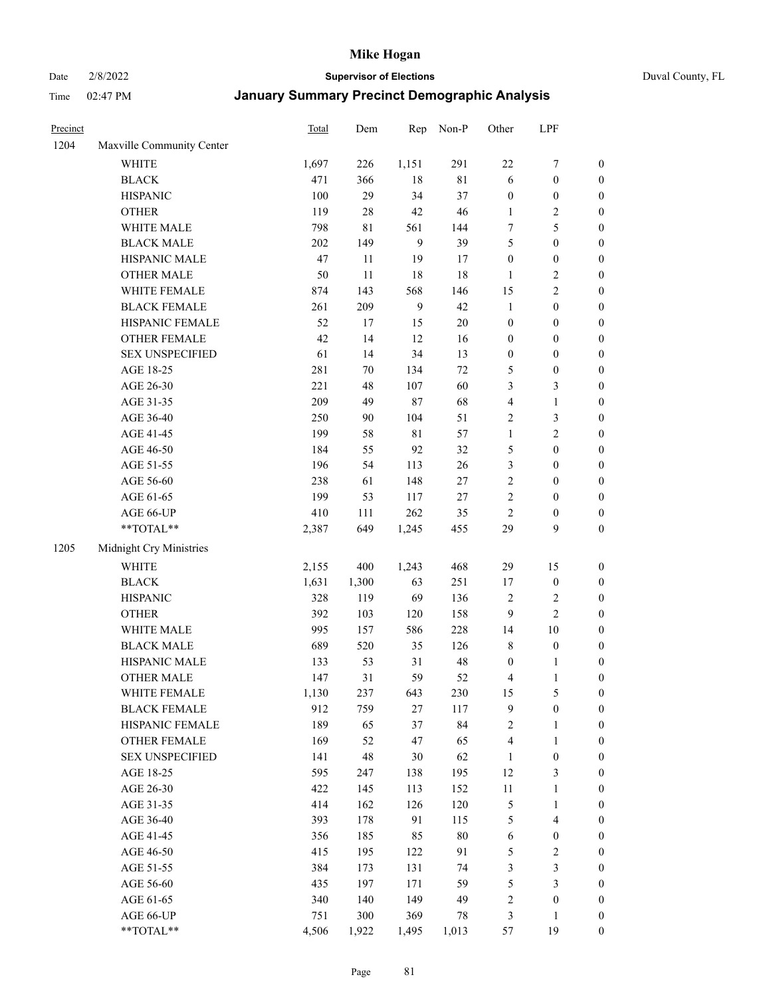# Date 2/8/2022 **Supervisor of Elections** Duval County, FL

| Precinct |                                                           | Total        | Dem         | Rep            | Non-P             | Other                 | LPF                              |                                      |
|----------|-----------------------------------------------------------|--------------|-------------|----------------|-------------------|-----------------------|----------------------------------|--------------------------------------|
| 1204     | Maxville Community Center                                 |              |             |                |                   |                       |                                  |                                      |
|          | <b>WHITE</b>                                              | 1,697        | 226         | 1,151          | 291               | $22\,$                | $\boldsymbol{7}$                 | 0                                    |
|          | <b>BLACK</b>                                              | 471          | 366         | $18\,$         | $81\,$            | 6                     | $\boldsymbol{0}$                 | $\boldsymbol{0}$                     |
|          | <b>HISPANIC</b>                                           | 100          | 29          | 34             | 37                | $\boldsymbol{0}$      | $\boldsymbol{0}$                 | $\boldsymbol{0}$                     |
|          | <b>OTHER</b>                                              | 119          | $28\,$      | 42             | 46                | 1                     | $\sqrt{2}$                       | $\boldsymbol{0}$                     |
|          | WHITE MALE                                                | 798          | $8\sqrt{1}$ | 561            | 144               | 7                     | $\mathfrak{S}$                   | $\boldsymbol{0}$                     |
|          | <b>BLACK MALE</b>                                         | 202          | 149         | $\mathbf{9}$   | 39                | 5                     | $\boldsymbol{0}$                 | $\boldsymbol{0}$                     |
|          | HISPANIC MALE                                             | 47           | 11          | 19             | 17                | $\boldsymbol{0}$      | $\boldsymbol{0}$                 | $\boldsymbol{0}$                     |
|          | <b>OTHER MALE</b>                                         | 50           | 11          | 18             | 18                | $\mathbf{1}$          | $\sqrt{2}$                       | $\boldsymbol{0}$                     |
|          | WHITE FEMALE                                              | 874          | 143         | 568            | 146               | 15                    | $\overline{2}$                   | $\boldsymbol{0}$                     |
|          | <b>BLACK FEMALE</b>                                       | 261          | 209         | $\overline{9}$ | 42                | $\mathbf{1}$          | $\boldsymbol{0}$                 | $\boldsymbol{0}$                     |
|          | HISPANIC FEMALE                                           | 52           | 17          | 15             | $20\,$            | $\boldsymbol{0}$      | $\boldsymbol{0}$                 | $\boldsymbol{0}$                     |
|          | OTHER FEMALE                                              | 42           | 14          | 12             | 16                | $\boldsymbol{0}$      | $\boldsymbol{0}$                 | $\boldsymbol{0}$                     |
|          | <b>SEX UNSPECIFIED</b>                                    | 61           | 14          | 34             | 13                | $\boldsymbol{0}$      | $\boldsymbol{0}$                 | $\boldsymbol{0}$                     |
|          | AGE 18-25                                                 | 281          | $70\,$      | 134            | $72\,$            | 5                     | $\boldsymbol{0}$                 | $\boldsymbol{0}$                     |
|          | AGE 26-30                                                 | 221          | 48          | 107            | 60                | 3                     | $\mathfrak{Z}$                   | $\boldsymbol{0}$                     |
|          | AGE 31-35                                                 | 209          | 49          | 87             | 68                | 4                     | $\mathbf{1}$                     | $\boldsymbol{0}$                     |
|          | AGE 36-40                                                 | 250          | 90          | 104            | 51                | 2                     | 3                                | $\boldsymbol{0}$                     |
|          | AGE 41-45                                                 | 199          | 58          | 81             | 57                | $\mathbf{1}$          | $\overline{2}$                   | $\boldsymbol{0}$                     |
|          | AGE 46-50                                                 | 184          | 55          | 92             | 32                | 5                     | $\boldsymbol{0}$                 | $\boldsymbol{0}$                     |
|          | AGE 51-55                                                 | 196          | 54          | 113            | 26                | 3                     | $\boldsymbol{0}$                 | $\boldsymbol{0}$                     |
|          | AGE 56-60                                                 | 238          | 61          | 148            | 27                | $\overline{c}$        | $\boldsymbol{0}$                 | 0                                    |
|          | AGE 61-65                                                 | 199          | 53          | 117            | $27\,$            | 2                     | $\boldsymbol{0}$                 | $\boldsymbol{0}$                     |
|          | AGE 66-UP                                                 | 410          | 111         | 262            | 35                | $\sqrt{2}$            | $\boldsymbol{0}$                 | $\boldsymbol{0}$                     |
|          | $\mathrm{*}\mathrm{*}\mathrm{TOTAL} \mathrm{*}\mathrm{*}$ | 2,387        | 649         | 1,245          | 455               | 29                    | 9                                | $\boldsymbol{0}$                     |
| 1205     | Midnight Cry Ministries                                   |              |             |                |                   |                       |                                  |                                      |
|          | <b>WHITE</b>                                              | 2,155        | 400         | 1,243          | 468               | 29                    | 15                               | $\boldsymbol{0}$                     |
|          | <b>BLACK</b>                                              | 1,631        | 1,300       | 63             | 251               | 17                    | $\boldsymbol{0}$                 | $\boldsymbol{0}$                     |
|          | <b>HISPANIC</b>                                           | 328          | 119         | 69             | 136               | 2                     | $\sqrt{2}$                       | $\boldsymbol{0}$                     |
|          |                                                           | 392          | 103         | 120            | 158               |                       | $\overline{c}$                   | $\boldsymbol{0}$                     |
|          | <b>OTHER</b><br>WHITE MALE                                | 995          |             | 586            | 228               | 9                     | $10\,$                           |                                      |
|          | <b>BLACK MALE</b>                                         | 689          | 157<br>520  | 35             | 126               | 14                    | $\boldsymbol{0}$                 | $\boldsymbol{0}$<br>$\boldsymbol{0}$ |
|          | HISPANIC MALE                                             |              | 53          | 31             |                   | 8                     |                                  |                                      |
|          | OTHER MALE                                                | 133<br>147   | 31          | 59             | $\sqrt{48}$<br>52 | $\boldsymbol{0}$<br>4 | 1<br>$\mathbf{1}$                | 0<br>$\boldsymbol{0}$                |
|          |                                                           |              |             |                |                   |                       |                                  | 0                                    |
|          | WHITE FEMALE<br><b>BLACK FEMALE</b>                       | 1,130<br>912 | 237         | 643<br>27      | 230<br>117        | 15<br>9               | 5                                | $\boldsymbol{0}$                     |
|          | HISPANIC FEMALE                                           | 189          | 759<br>65   | 37             | 84                |                       | $\boldsymbol{0}$<br>$\mathbf{1}$ | $\overline{0}$                       |
|          |                                                           | 169          | 52          | 47             | 65                | 2                     |                                  | $\overline{0}$                       |
|          | <b>OTHER FEMALE</b><br><b>SEX UNSPECIFIED</b>             |              | 48          | 30             | 62                | 4<br>$\mathbf{1}$     | $\mathbf{1}$<br>$\boldsymbol{0}$ | 0                                    |
|          |                                                           | 141          |             |                |                   | 12                    | $\mathfrak{Z}$                   | 0                                    |
|          | AGE 18-25                                                 | 595          | 247         | 138            | 195               |                       |                                  |                                      |
|          | AGE 26-30                                                 | 422          | 145         | 113            | 152               | $11\,$                | $\mathbf{1}$                     | 0                                    |
|          | AGE 31-35                                                 | 414          | 162         | 126            | 120               | 5                     | $\mathbf{1}$                     | 0                                    |
|          | AGE 36-40                                                 | 393          | 178         | 91             | 115               | 5                     | $\overline{\mathbf{4}}$          | 0                                    |
|          | AGE 41-45                                                 | 356          | 185         | 85             | $80\,$            | 6                     | $\boldsymbol{0}$                 | 0                                    |
|          | AGE 46-50                                                 | 415          | 195         | 122            | 91                | 5                     | $\overline{c}$                   | 0                                    |
|          | AGE 51-55                                                 | 384          | 173         | 131            | 74                | 3                     | $\mathfrak{Z}$                   | $\overline{0}$                       |
|          | AGE 56-60                                                 | 435          | 197         | 171            | 59                | 5                     | $\mathfrak{Z}$                   | $\overline{0}$                       |
|          | AGE 61-65                                                 | 340          | 140         | 149            | 49                | 2                     | $\boldsymbol{0}$                 | $\boldsymbol{0}$                     |
|          | AGE 66-UP                                                 | 751          | 300         | 369            | 78                | 3                     | $\mathbf{1}$                     | 0                                    |
|          | **TOTAL**                                                 | 4,506        | 1,922       | 1,495          | 1,013             | 57                    | 19                               | $\boldsymbol{0}$                     |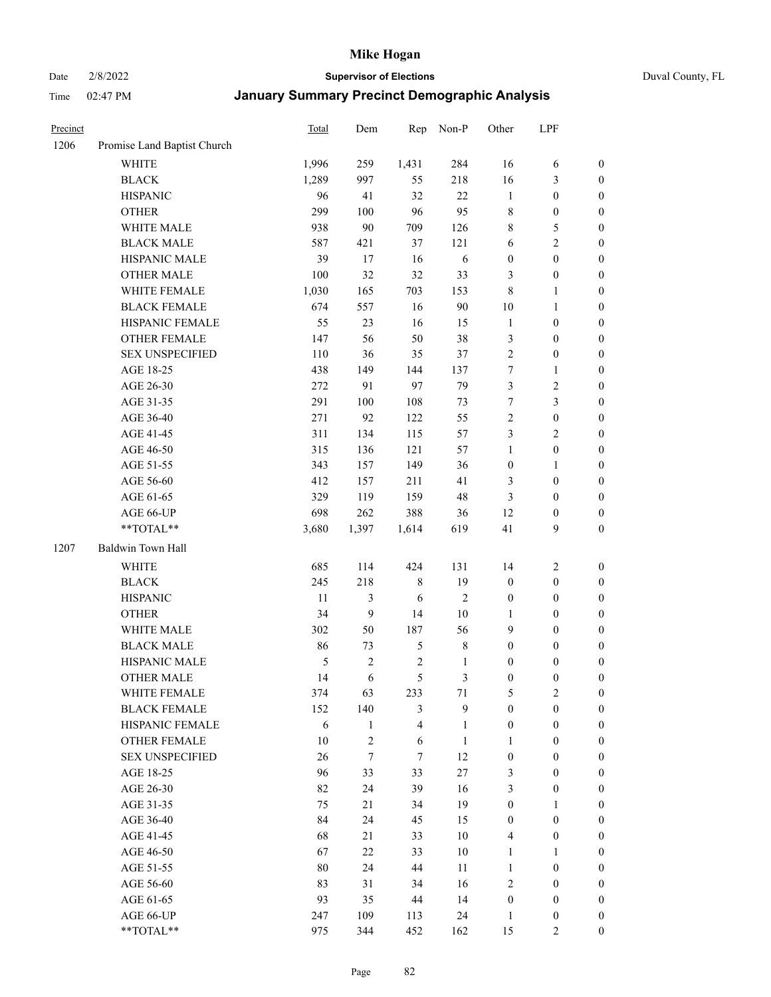# Date 2/8/2022 **Supervisor of Elections** Duval County, FL

| Precinct |                             | Total | Dem            | Rep                     | Non-P          | Other            | LPF              |                  |
|----------|-----------------------------|-------|----------------|-------------------------|----------------|------------------|------------------|------------------|
| 1206     | Promise Land Baptist Church |       |                |                         |                |                  |                  |                  |
|          | <b>WHITE</b>                | 1,996 | 259            | 1,431                   | 284            | 16               | 6                | 0                |
|          | <b>BLACK</b>                | 1,289 | 997            | 55                      | 218            | 16               | $\mathfrak{Z}$   | $\boldsymbol{0}$ |
|          | <b>HISPANIC</b>             | 96    | 41             | 32                      | 22             | $\mathbf{1}$     | $\boldsymbol{0}$ | $\boldsymbol{0}$ |
|          | <b>OTHER</b>                | 299   | 100            | 96                      | 95             | 8                | $\boldsymbol{0}$ | $\boldsymbol{0}$ |
|          | WHITE MALE                  | 938   | 90             | 709                     | 126            | 8                | 5                | $\boldsymbol{0}$ |
|          | <b>BLACK MALE</b>           | 587   | 421            | 37                      | 121            | 6                | $\sqrt{2}$       | $\boldsymbol{0}$ |
|          | HISPANIC MALE               | 39    | 17             | 16                      | 6              | $\boldsymbol{0}$ | $\boldsymbol{0}$ | $\boldsymbol{0}$ |
|          | <b>OTHER MALE</b>           | 100   | 32             | 32                      | 33             | 3                | $\boldsymbol{0}$ | $\boldsymbol{0}$ |
|          | WHITE FEMALE                | 1,030 | 165            | 703                     | 153            | $\,$ 8 $\,$      | $\mathbf{1}$     | $\boldsymbol{0}$ |
|          | <b>BLACK FEMALE</b>         | 674   | 557            | 16                      | 90             | 10               | $\mathbf{1}$     | 0                |
|          | HISPANIC FEMALE             | 55    | 23             | 16                      | 15             | $\mathbf{1}$     | $\boldsymbol{0}$ | 0                |
|          | <b>OTHER FEMALE</b>         | 147   | 56             | 50                      | 38             | 3                | $\boldsymbol{0}$ | $\boldsymbol{0}$ |
|          | <b>SEX UNSPECIFIED</b>      | 110   | 36             | 35                      | 37             | $\sqrt{2}$       | $\boldsymbol{0}$ | $\boldsymbol{0}$ |
|          | AGE 18-25                   | 438   | 149            | 144                     | 137            | 7                | $\mathbf{1}$     | $\boldsymbol{0}$ |
|          | AGE 26-30                   | 272   | 91             | 97                      | 79             | 3                | $\sqrt{2}$       | $\boldsymbol{0}$ |
|          | AGE 31-35                   | 291   | 100            | 108                     | 73             | $\boldsymbol{7}$ | $\mathfrak{Z}$   | $\boldsymbol{0}$ |
|          | AGE 36-40                   | 271   | 92             | 122                     | 55             | $\overline{c}$   | $\boldsymbol{0}$ | $\boldsymbol{0}$ |
|          | AGE 41-45                   | 311   | 134            | 115                     | 57             | 3                | $\overline{2}$   | $\boldsymbol{0}$ |
|          | AGE 46-50                   | 315   | 136            | 121                     | 57             | $\mathbf{1}$     | $\boldsymbol{0}$ | $\boldsymbol{0}$ |
|          | AGE 51-55                   | 343   | 157            | 149                     | 36             | $\boldsymbol{0}$ | $\mathbf{1}$     | $\boldsymbol{0}$ |
|          | AGE 56-60                   | 412   | 157            | 211                     | 41             | 3                | $\boldsymbol{0}$ | 0                |
|          | AGE 61-65                   | 329   | 119            | 159                     | 48             | 3                | $\boldsymbol{0}$ | 0                |
|          | AGE 66-UP                   | 698   | 262            | 388                     | 36             | 12               | $\boldsymbol{0}$ | $\boldsymbol{0}$ |
|          | **TOTAL**                   | 3,680 | 1,397          | 1,614                   | 619            | 41               | $\boldsymbol{9}$ | $\boldsymbol{0}$ |
| 1207     | Baldwin Town Hall           |       |                |                         |                |                  |                  |                  |
|          | <b>WHITE</b>                | 685   | 114            | 424                     | 131            | 14               | $\sqrt{2}$       | $\boldsymbol{0}$ |
|          | <b>BLACK</b>                | 245   | 218            | 8                       | 19             | $\boldsymbol{0}$ | $\boldsymbol{0}$ | $\boldsymbol{0}$ |
|          | <b>HISPANIC</b>             | 11    | 3              | 6                       | $\sqrt{2}$     | $\boldsymbol{0}$ | $\boldsymbol{0}$ | $\boldsymbol{0}$ |
|          | <b>OTHER</b>                | 34    | 9              | 14                      | $10\,$         | 1                | $\boldsymbol{0}$ | $\boldsymbol{0}$ |
|          | WHITE MALE                  | 302   | 50             | 187                     | 56             | 9                | $\boldsymbol{0}$ | $\boldsymbol{0}$ |
|          | <b>BLACK MALE</b>           | 86    | 73             | $\mathfrak{S}$          | $\,8\,$        | $\boldsymbol{0}$ | $\boldsymbol{0}$ | $\boldsymbol{0}$ |
|          | HISPANIC MALE               | 5     | $\sqrt{2}$     | $\sqrt{2}$              | $\mathbf{1}$   | $\boldsymbol{0}$ | $\boldsymbol{0}$ | $\boldsymbol{0}$ |
|          | OTHER MALE                  | 14    | 6              | 5                       | $\mathfrak{Z}$ | $\boldsymbol{0}$ | $\boldsymbol{0}$ | $\boldsymbol{0}$ |
|          | WHITE FEMALE                | 374   | 63             | 233                     | 71             | 5                | 2                | 0                |
|          | <b>BLACK FEMALE</b>         | 152   | 140            | 3                       | 9              | $\boldsymbol{0}$ | $\boldsymbol{0}$ | $\overline{0}$   |
|          | HISPANIC FEMALE             | 6     | $\mathbf{1}$   | $\overline{\mathbf{4}}$ | $\mathbf{1}$   | $\boldsymbol{0}$ | $\boldsymbol{0}$ | $\overline{0}$   |
|          | OTHER FEMALE                | 10    | $\overline{c}$ | 6                       | $\mathbf{1}$   | 1                | $\boldsymbol{0}$ | $\overline{0}$   |
|          | <b>SEX UNSPECIFIED</b>      | 26    | $\tau$         | 7                       | 12             | $\boldsymbol{0}$ | $\boldsymbol{0}$ | 0                |
|          | AGE 18-25                   | 96    | 33             | 33                      | $27\,$         | 3                | $\boldsymbol{0}$ | $\theta$         |
|          | AGE 26-30                   | 82    | 24             | 39                      | 16             | 3                | $\boldsymbol{0}$ | 0                |
|          | AGE 31-35                   | 75    | 21             | 34                      | 19             | $\boldsymbol{0}$ | $\mathbf{1}$     | 0                |
|          | AGE 36-40                   | 84    | 24             | 45                      | 15             | $\boldsymbol{0}$ | $\boldsymbol{0}$ | 0                |
|          | AGE 41-45                   | 68    | 21             | 33                      | $10\,$         | 4                | $\boldsymbol{0}$ | 0                |
|          | AGE 46-50                   | 67    | 22             | 33                      | $10\,$         | 1                | 1                | 0                |
|          | AGE 51-55                   | 80    | 24             | 44                      | 11             | $\mathbf{1}$     | $\boldsymbol{0}$ | 0                |
|          | AGE 56-60                   | 83    | 31             | 34                      | 16             | 2                | $\boldsymbol{0}$ | $\overline{0}$   |
|          | AGE 61-65                   | 93    | 35             | 44                      | 14             | $\boldsymbol{0}$ | $\boldsymbol{0}$ | $\overline{0}$   |
|          | AGE 66-UP                   | 247   | 109            | 113                     | 24             | $\mathbf{1}$     | $\boldsymbol{0}$ | 0                |
|          | **TOTAL**                   | 975   | 344            | 452                     | 162            | 15               | $\overline{2}$   | $\boldsymbol{0}$ |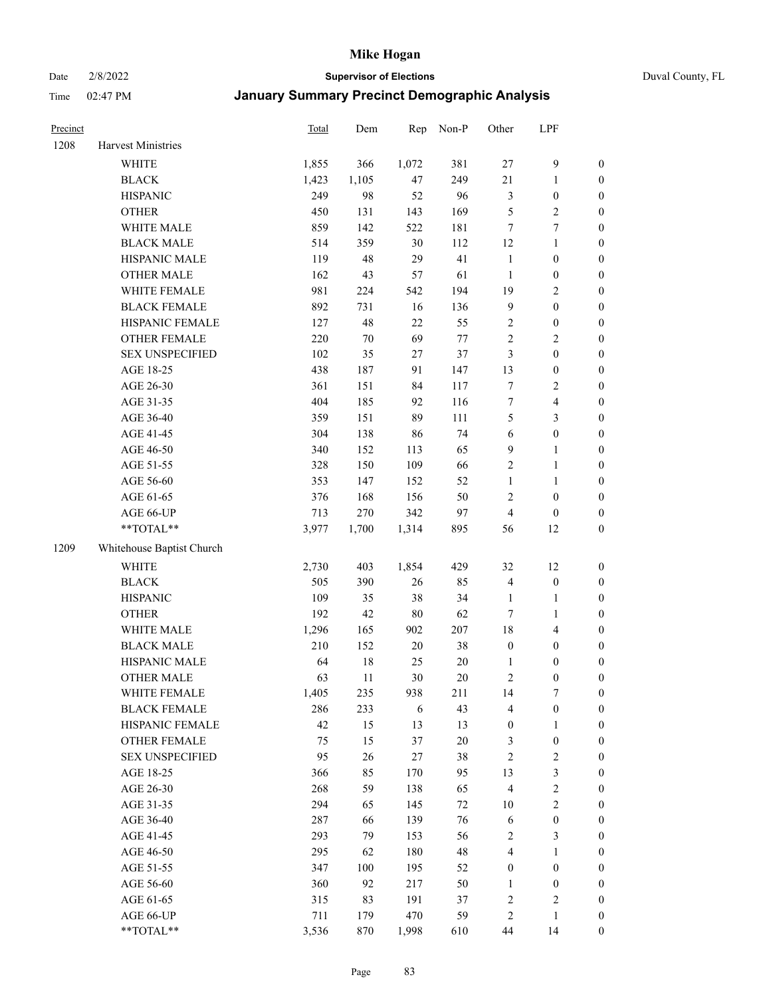Date 2/8/2022 **Supervisor of Elections** Duval County, FL

| Precinct |                           | Total | Dem    | Rep    | Non-P  | Other            | LPF                     |                  |
|----------|---------------------------|-------|--------|--------|--------|------------------|-------------------------|------------------|
| 1208     | Harvest Ministries        |       |        |        |        |                  |                         |                  |
|          | WHITE                     | 1,855 | 366    | 1,072  | 381    | $27\,$           | $\mathbf{9}$            | 0                |
|          | <b>BLACK</b>              | 1,423 | 1,105  | 47     | 249    | 21               | $\mathbf{1}$            | $\boldsymbol{0}$ |
|          | <b>HISPANIC</b>           | 249   | 98     | 52     | 96     | 3                | $\boldsymbol{0}$        | $\boldsymbol{0}$ |
|          | <b>OTHER</b>              | 450   | 131    | 143    | 169    | 5                | $\sqrt{2}$              | $\boldsymbol{0}$ |
|          | WHITE MALE                | 859   | 142    | 522    | 181    | 7                | $\tau$                  | $\boldsymbol{0}$ |
|          | <b>BLACK MALE</b>         | 514   | 359    | 30     | 112    | 12               | $\mathbf{1}$            | $\boldsymbol{0}$ |
|          | HISPANIC MALE             | 119   | 48     | 29     | 41     | $\mathbf{1}$     | $\boldsymbol{0}$        | $\boldsymbol{0}$ |
|          | <b>OTHER MALE</b>         | 162   | 43     | 57     | 61     | $\mathbf{1}$     | $\boldsymbol{0}$        | $\boldsymbol{0}$ |
|          | WHITE FEMALE              | 981   | 224    | 542    | 194    | 19               | $\overline{2}$          | $\boldsymbol{0}$ |
|          | <b>BLACK FEMALE</b>       | 892   | 731    | 16     | 136    | $\overline{9}$   | $\boldsymbol{0}$        | $\boldsymbol{0}$ |
|          | HISPANIC FEMALE           | 127   | 48     | 22     | 55     | $\sqrt{2}$       | $\boldsymbol{0}$        | 0                |
|          | OTHER FEMALE              | 220   | $70\,$ | 69     | $77\,$ | $\sqrt{2}$       | $\sqrt{2}$              | $\boldsymbol{0}$ |
|          | <b>SEX UNSPECIFIED</b>    | 102   | 35     | 27     | 37     | 3                | $\boldsymbol{0}$        | $\boldsymbol{0}$ |
|          | AGE 18-25                 | 438   | 187    | 91     | 147    | 13               | $\boldsymbol{0}$        | $\boldsymbol{0}$ |
|          | AGE 26-30                 | 361   | 151    | 84     | 117    | 7                | $\sqrt{2}$              | $\boldsymbol{0}$ |
|          | AGE 31-35                 | 404   | 185    | 92     | 116    | $\boldsymbol{7}$ | $\overline{\mathbf{4}}$ | $\boldsymbol{0}$ |
|          | AGE 36-40                 | 359   | 151    | 89     | 111    | 5                | $\mathfrak{Z}$          | $\boldsymbol{0}$ |
|          | AGE 41-45                 | 304   | 138    | 86     | 74     | $\sqrt{6}$       | $\boldsymbol{0}$        | $\boldsymbol{0}$ |
|          | AGE 46-50                 | 340   | 152    | 113    | 65     | 9                | $\mathbf{1}$            | $\boldsymbol{0}$ |
|          | AGE 51-55                 | 328   | 150    | 109    | 66     | $\sqrt{2}$       | $\mathbf{1}$            | 0                |
|          | AGE 56-60                 | 353   | 147    | 152    | 52     | $\mathbf{1}$     | $\mathbf{1}$            | 0                |
|          | AGE 61-65                 | 376   | 168    | 156    | 50     | $\mathfrak{2}$   | $\boldsymbol{0}$        | 0                |
|          | AGE 66-UP                 | 713   | 270    | 342    | 97     | $\overline{4}$   | $\boldsymbol{0}$        | $\boldsymbol{0}$ |
|          | **TOTAL**                 | 3,977 | 1,700  | 1,314  | 895    | 56               | 12                      | $\boldsymbol{0}$ |
| 1209     | Whitehouse Baptist Church |       |        |        |        |                  |                         |                  |
|          | <b>WHITE</b>              | 2,730 | 403    | 1,854  | 429    | 32               | 12                      | $\boldsymbol{0}$ |
|          | <b>BLACK</b>              | 505   | 390    | 26     | 85     | 4                | $\boldsymbol{0}$        | $\boldsymbol{0}$ |
|          | <b>HISPANIC</b>           | 109   | 35     | 38     | 34     | $\mathbf{1}$     | $\mathbf{1}$            | $\boldsymbol{0}$ |
|          | <b>OTHER</b>              | 192   | 42     | 80     | 62     | $\tau$           | $\mathbf{1}$            | $\boldsymbol{0}$ |
|          | WHITE MALE                | 1,296 | 165    | 902    | 207    | 18               | $\overline{\mathbf{4}}$ | $\boldsymbol{0}$ |
|          | <b>BLACK MALE</b>         | 210   | 152    | $20\,$ | 38     | $\boldsymbol{0}$ | $\boldsymbol{0}$        | $\boldsymbol{0}$ |
|          | HISPANIC MALE             | 64    | $18\,$ | 25     | $20\,$ | 1                | $\boldsymbol{0}$        | $\boldsymbol{0}$ |
|          | <b>OTHER MALE</b>         | 63    | 11     | 30     | $20\,$ | $\sqrt{2}$       | $\boldsymbol{0}$        | $\boldsymbol{0}$ |
|          | WHITE FEMALE              | 1,405 | 235    | 938    | 211    | 14               | 7                       | 0                |
|          | <b>BLACK FEMALE</b>       | 286   | 233    | 6      | 43     | 4                | $\boldsymbol{0}$        | $\boldsymbol{0}$ |
|          | HISPANIC FEMALE           | 42    | 15     | 13     | 13     | $\boldsymbol{0}$ | $\mathbf{1}$            | $\overline{0}$   |
|          | OTHER FEMALE              | 75    | 15     | 37     | $20\,$ | 3                | $\boldsymbol{0}$        | $\overline{0}$   |
|          | <b>SEX UNSPECIFIED</b>    | 95    | 26     | $27\,$ | 38     | 2                | $\sqrt{2}$              | 0                |
|          | AGE 18-25                 | 366   | 85     | 170    | 95     | 13               | $\mathfrak{Z}$          | 0                |
|          | AGE 26-30                 | 268   | 59     | 138    | 65     | $\overline{4}$   | $\sqrt{2}$              | 0                |
|          | AGE 31-35                 | 294   | 65     | 145    | $72\,$ | $10\,$           | $\sqrt{2}$              | 0                |
|          | AGE 36-40                 | 287   | 66     | 139    | 76     | 6                | $\boldsymbol{0}$        | 0                |
|          | AGE 41-45                 | 293   | 79     | 153    | 56     | 2                | 3                       | 0                |
|          | AGE 46-50                 | 295   | 62     | 180    | 48     | 4                | $\mathbf{1}$            | 0                |
|          | AGE 51-55                 | 347   | 100    | 195    | 52     | $\boldsymbol{0}$ | $\boldsymbol{0}$        | 0                |
|          | AGE 56-60                 | 360   | 92     | 217    | 50     | 1                | $\boldsymbol{0}$        | 0                |
|          | AGE 61-65                 | 315   | 83     | 191    | 37     | 2                | $\mathfrak{2}$          | 0                |
|          | AGE 66-UP                 | 711   | 179    | 470    | 59     | 2                | $\mathbf{1}$            | $\boldsymbol{0}$ |
|          | **TOTAL**                 | 3,536 | 870    | 1,998  | 610    | 44               | 14                      | $\boldsymbol{0}$ |
|          |                           |       |        |        |        |                  |                         |                  |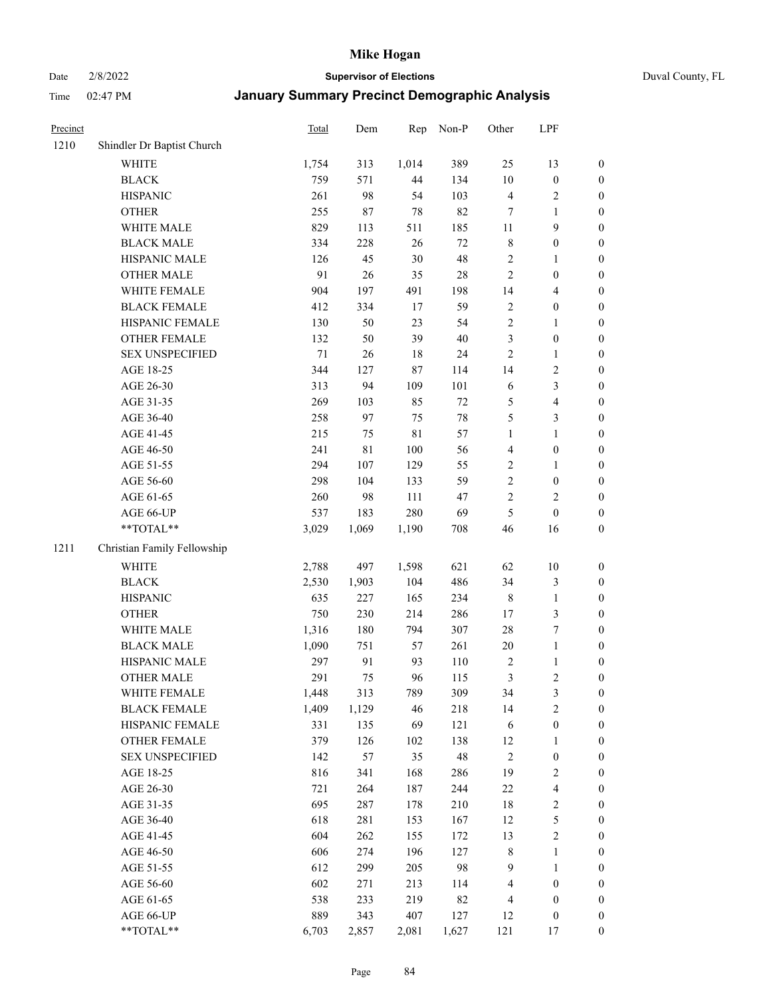Date 2/8/2022 **Supervisor of Elections** Duval County, FL

| Precinct |                             | Total | Dem         | Rep         | Non-P  | Other          | LPF                     |                  |
|----------|-----------------------------|-------|-------------|-------------|--------|----------------|-------------------------|------------------|
| 1210     | Shindler Dr Baptist Church  |       |             |             |        |                |                         |                  |
|          | WHITE                       | 1,754 | 313         | 1,014       | 389    | 25             | 13                      | 0                |
|          | <b>BLACK</b>                | 759   | 571         | 44          | 134    | $10\,$         | $\boldsymbol{0}$        | 0                |
|          | <b>HISPANIC</b>             | 261   | 98          | 54          | 103    | 4              | $\sqrt{2}$              | $\boldsymbol{0}$ |
|          | <b>OTHER</b>                | 255   | $87\,$      | 78          | 82     | 7              | 1                       | $\boldsymbol{0}$ |
|          | WHITE MALE                  | 829   | 113         | 511         | 185    | 11             | 9                       | $\boldsymbol{0}$ |
|          | <b>BLACK MALE</b>           | 334   | 228         | 26          | $72\,$ | 8              | $\boldsymbol{0}$        | $\boldsymbol{0}$ |
|          | HISPANIC MALE               | 126   | 45          | 30          | 48     | 2              | $\mathbf{1}$            | $\boldsymbol{0}$ |
|          | <b>OTHER MALE</b>           | 91    | $26\,$      | 35          | $28\,$ | $\mathbf{2}$   | $\boldsymbol{0}$        | $\boldsymbol{0}$ |
|          | WHITE FEMALE                | 904   | 197         | 491         | 198    | 14             | $\overline{\mathbf{4}}$ | $\boldsymbol{0}$ |
|          | <b>BLACK FEMALE</b>         | 412   | 334         | 17          | 59     | $\sqrt{2}$     | $\boldsymbol{0}$        | $\boldsymbol{0}$ |
|          | HISPANIC FEMALE             | 130   | 50          | 23          | 54     | $\sqrt{2}$     | $\mathbf{1}$            | 0                |
|          | OTHER FEMALE                | 132   | 50          | 39          | $40\,$ | $\mathfrak{Z}$ | $\boldsymbol{0}$        | $\boldsymbol{0}$ |
|          | <b>SEX UNSPECIFIED</b>      | 71    | $26\,$      | 18          | 24     | $\mathbf{2}$   | $\mathbf{1}$            | $\boldsymbol{0}$ |
|          | AGE 18-25                   | 344   | 127         | 87          | 114    | 14             | $\sqrt{2}$              | $\boldsymbol{0}$ |
|          | AGE 26-30                   | 313   | 94          | 109         | 101    | 6              | $\mathfrak{Z}$          | $\boldsymbol{0}$ |
|          | AGE 31-35                   | 269   | 103         | 85          | 72     | 5              | $\overline{\mathbf{4}}$ | $\boldsymbol{0}$ |
|          | AGE 36-40                   | 258   | 97          | 75          | $78\,$ | 5              | $\mathfrak{Z}$          | $\boldsymbol{0}$ |
|          | AGE 41-45                   | 215   | 75          | $8\sqrt{1}$ | 57     | $\mathbf{1}$   | $\mathbf{1}$            | $\boldsymbol{0}$ |
|          | AGE 46-50                   | 241   | $8\sqrt{1}$ | 100         | 56     | $\overline{4}$ | $\boldsymbol{0}$        | $\boldsymbol{0}$ |
|          | AGE 51-55                   | 294   | 107         | 129         | 55     | $\sqrt{2}$     | $\mathbf{1}$            | $\boldsymbol{0}$ |
|          | AGE 56-60                   | 298   | 104         | 133         | 59     | $\sqrt{2}$     | $\boldsymbol{0}$        | 0                |
|          | AGE 61-65                   | 260   | 98          | 111         | 47     | $\overline{c}$ | $\overline{2}$          | $\boldsymbol{0}$ |
|          | AGE 66-UP                   | 537   | 183         | 280         | 69     | $\mathfrak{S}$ | $\boldsymbol{0}$        | $\boldsymbol{0}$ |
|          | **TOTAL**                   | 3,029 | 1,069       | 1,190       | 708    | 46             | 16                      | $\boldsymbol{0}$ |
| 1211     | Christian Family Fellowship |       |             |             |        |                |                         |                  |
|          | WHITE                       | 2,788 | 497         | 1,598       | 621    | 62             | $10\,$                  | $\boldsymbol{0}$ |
|          | <b>BLACK</b>                | 2,530 | 1,903       | 104         | 486    | 34             | $\mathfrak{Z}$          | $\boldsymbol{0}$ |
|          | <b>HISPANIC</b>             | 635   | 227         | 165         | 234    | 8              | $\mathbf{1}$            | $\boldsymbol{0}$ |
|          | <b>OTHER</b>                | 750   | 230         | 214         | 286    | 17             | $\mathfrak{Z}$          | $\boldsymbol{0}$ |
|          | WHITE MALE                  | 1,316 | 180         | 794         | 307    | 28             | $\boldsymbol{7}$        | $\boldsymbol{0}$ |
|          | <b>BLACK MALE</b>           | 1,090 | 751         | 57          | 261    | $20\,$         | $\mathbf{1}$            | $\boldsymbol{0}$ |
|          | HISPANIC MALE               | 297   | 91          | 93          | 110    | $\sqrt{2}$     | $\mathbf{1}$            | 0                |
|          | <b>OTHER MALE</b>           | 291   | 75          | 96          | 115    | 3              | $\overline{c}$          | $\boldsymbol{0}$ |
|          | WHITE FEMALE                | 1,448 | 313         | 789         | 309    | 34             | 3                       | 0                |
|          | <b>BLACK FEMALE</b>         | 1,409 | 1,129       | 46          | 218    | 14             | $\sqrt{2}$              | $\boldsymbol{0}$ |
|          | HISPANIC FEMALE             | 331   | 135         | 69          | 121    | 6              | $\boldsymbol{0}$        | $\overline{0}$   |
|          | OTHER FEMALE                | 379   | 126         | 102         | 138    | 12             | $\mathbf{1}$            | $\overline{0}$   |
|          | <b>SEX UNSPECIFIED</b>      | 142   | 57          | 35          | 48     | $\sqrt{2}$     | $\boldsymbol{0}$        | 0                |
|          | AGE 18-25                   | 816   | 341         | 168         | 286    | 19             | $\sqrt{2}$              | 0                |
|          | AGE 26-30                   | 721   | 264         | 187         | 244    | $22\,$         | $\overline{\mathbf{4}}$ | 0                |
|          | AGE 31-35                   | 695   | 287         | 178         | 210    | 18             | $\mathbf{2}$            | 0                |
|          | AGE 36-40                   | 618   | 281         | 153         | 167    | 12             | $\mathfrak s$           | 0                |
|          | AGE 41-45                   | 604   | 262         | 155         | 172    | 13             | $\sqrt{2}$              | 0                |
|          | AGE 46-50                   | 606   | 274         | 196         | 127    | 8              | $\mathbf{1}$            | 0                |
|          | AGE 51-55                   | 612   | 299         | 205         | 98     | 9              | $\mathbf{1}$            | 0                |
|          | AGE 56-60                   | 602   | 271         | 213         | 114    | 4              | $\boldsymbol{0}$        | $\boldsymbol{0}$ |
|          | AGE 61-65                   | 538   | 233         | 219         | 82     | 4              | $\boldsymbol{0}$        | $\boldsymbol{0}$ |
|          | AGE 66-UP                   | 889   | 343         | 407         | 127    | 12             | $\boldsymbol{0}$        | 0                |
|          | **TOTAL**                   | 6,703 | 2,857       | 2,081       | 1,627  | 121            | 17                      | $\boldsymbol{0}$ |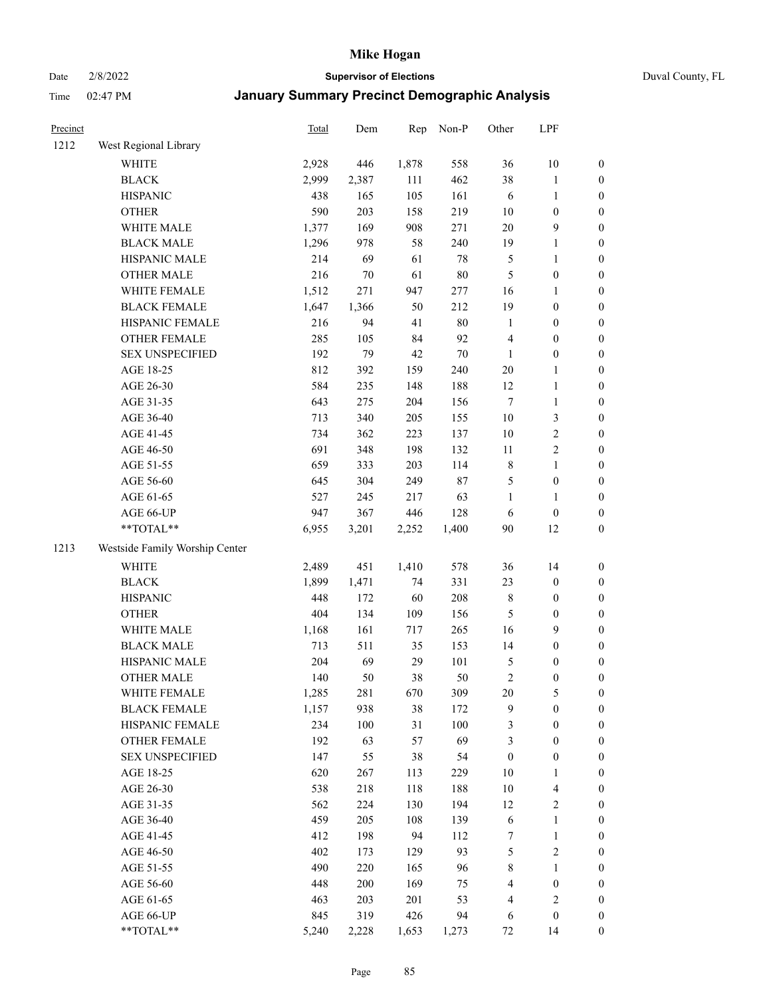Date 2/8/2022 **Supervisor of Elections** Duval County, FL

| Precinct |                                | <b>Total</b> | Dem   | Rep   | Non-P  | Other            | LPF                     |                  |
|----------|--------------------------------|--------------|-------|-------|--------|------------------|-------------------------|------------------|
| 1212     | West Regional Library          |              |       |       |        |                  |                         |                  |
|          | <b>WHITE</b>                   | 2,928        | 446   | 1,878 | 558    | 36               | $10\,$                  | 0                |
|          | <b>BLACK</b>                   | 2,999        | 2,387 | 111   | 462    | 38               | $\mathbf{1}$            | $\boldsymbol{0}$ |
|          | <b>HISPANIC</b>                | 438          | 165   | 105   | 161    | 6                | $\mathbf{1}$            | $\boldsymbol{0}$ |
|          | <b>OTHER</b>                   | 590          | 203   | 158   | 219    | 10               | $\boldsymbol{0}$        | $\boldsymbol{0}$ |
|          | WHITE MALE                     | 1,377        | 169   | 908   | 271    | 20               | $\mathbf{9}$            | $\boldsymbol{0}$ |
|          | <b>BLACK MALE</b>              | 1,296        | 978   | 58    | 240    | 19               | $\mathbf{1}$            | $\boldsymbol{0}$ |
|          | HISPANIC MALE                  | 214          | 69    | 61    | 78     | 5                | $\mathbf{1}$            | $\boldsymbol{0}$ |
|          | <b>OTHER MALE</b>              | 216          | 70    | 61    | $80\,$ | $\mathfrak{S}$   | $\boldsymbol{0}$        | $\boldsymbol{0}$ |
|          | WHITE FEMALE                   | 1,512        | 271   | 947   | 277    | 16               | $\mathbf{1}$            | $\boldsymbol{0}$ |
|          | <b>BLACK FEMALE</b>            | 1,647        | 1,366 | 50    | 212    | 19               | $\boldsymbol{0}$        | 0                |
|          | HISPANIC FEMALE                | 216          | 94    | 41    | 80     | $\mathbf{1}$     | $\boldsymbol{0}$        | 0                |
|          | OTHER FEMALE                   | 285          | 105   | 84    | 92     | $\overline{4}$   | $\boldsymbol{0}$        | $\boldsymbol{0}$ |
|          | <b>SEX UNSPECIFIED</b>         | 192          | 79    | 42    | $70\,$ | $\mathbf{1}$     | $\boldsymbol{0}$        | $\boldsymbol{0}$ |
|          | AGE 18-25                      | 812          | 392   | 159   | 240    | $20\,$           | $\mathbf{1}$            | $\boldsymbol{0}$ |
|          | AGE 26-30                      | 584          | 235   | 148   | 188    | 12               | $\mathbf{1}$            | $\boldsymbol{0}$ |
|          | AGE 31-35                      | 643          | 275   | 204   | 156    | $\tau$           | $\mathbf{1}$            | $\boldsymbol{0}$ |
|          | AGE 36-40                      | 713          | 340   | 205   | 155    | 10               | $\mathfrak{Z}$          | $\boldsymbol{0}$ |
|          | AGE 41-45                      | 734          | 362   | 223   | 137    | 10               | $\sqrt{2}$              | $\boldsymbol{0}$ |
|          | AGE 46-50                      | 691          | 348   | 198   | 132    | 11               | $\overline{c}$          | $\boldsymbol{0}$ |
|          | AGE 51-55                      | 659          | 333   | 203   | 114    | $\,$ 8 $\,$      | $\mathbf{1}$            | $\boldsymbol{0}$ |
|          | AGE 56-60                      | 645          | 304   | 249   | 87     | 5                | $\boldsymbol{0}$        | 0                |
|          | AGE 61-65                      | 527          | 245   | 217   | 63     | 1                | $\mathbf{1}$            | 0                |
|          | AGE 66-UP                      | 947          | 367   | 446   | 128    | 6                | $\boldsymbol{0}$        | $\boldsymbol{0}$ |
|          | $**TOTAL**$                    | 6,955        | 3,201 | 2,252 | 1,400  | 90               | 12                      | $\boldsymbol{0}$ |
| 1213     | Westside Family Worship Center |              |       |       |        |                  |                         |                  |
|          | <b>WHITE</b>                   | 2,489        | 451   | 1,410 | 578    | 36               | 14                      | $\boldsymbol{0}$ |
|          | <b>BLACK</b>                   | 1,899        | 1,471 | 74    | 331    | 23               | $\boldsymbol{0}$        | $\boldsymbol{0}$ |
|          | <b>HISPANIC</b>                | 448          | 172   | 60    | 208    | 8                | $\boldsymbol{0}$        | $\boldsymbol{0}$ |
|          | <b>OTHER</b>                   | 404          | 134   | 109   | 156    | 5                | $\boldsymbol{0}$        | $\boldsymbol{0}$ |
|          | WHITE MALE                     | 1,168        | 161   | 717   | 265    | 16               | 9                       | $\boldsymbol{0}$ |
|          | <b>BLACK MALE</b>              | 713          | 511   | 35    | 153    | 14               | $\boldsymbol{0}$        | $\boldsymbol{0}$ |
|          | HISPANIC MALE                  | 204          | 69    | 29    | 101    | 5                | $\boldsymbol{0}$        | $\boldsymbol{0}$ |
|          | <b>OTHER MALE</b>              | 140          | 50    | 38    | 50     | $\sqrt{2}$       | $\boldsymbol{0}$        | $\boldsymbol{0}$ |
|          | WHITE FEMALE                   | 1,285        | 281   | 670   | 309    | 20               | 5                       | 0                |
|          | <b>BLACK FEMALE</b>            | 1,157        | 938   | 38    | 172    | 9                | $\boldsymbol{0}$        | $\boldsymbol{0}$ |
|          | HISPANIC FEMALE                | 234          | 100   | 31    | 100    | 3                | $\boldsymbol{0}$        | $\overline{0}$   |
|          | <b>OTHER FEMALE</b>            | 192          | 63    | 57    | 69     | 3                | $\boldsymbol{0}$        | $\overline{0}$   |
|          | <b>SEX UNSPECIFIED</b>         | 147          | 55    | 38    | 54     | $\boldsymbol{0}$ | $\boldsymbol{0}$        | 0                |
|          | AGE 18-25                      | 620          | 267   | 113   | 229    | 10               | $\mathbf{1}$            | 0                |
|          | AGE 26-30                      | 538          | 218   | 118   | 188    | $10\,$           | $\overline{\mathbf{4}}$ | 0                |
|          | AGE 31-35                      | 562          | 224   | 130   | 194    | 12               | $\sqrt{2}$              | 0                |
|          | AGE 36-40                      | 459          | 205   | 108   | 139    | 6                | $\mathbf{1}$            | 0                |
|          | AGE 41-45                      | 412          | 198   | 94    | 112    | 7                | $\mathbf{1}$            | 0                |
|          | AGE 46-50                      | 402          | 173   | 129   | 93     | 5                | $\sqrt{2}$              | 0                |
|          | AGE 51-55                      | 490          | 220   | 165   | 96     | 8                | $\mathbf{1}$            | 0                |
|          | AGE 56-60                      | 448          | 200   | 169   | 75     | 4                | $\boldsymbol{0}$        | $\boldsymbol{0}$ |
|          | AGE 61-65                      | 463          | 203   | 201   | 53     | 4                | $\sqrt{2}$              | $\overline{0}$   |
|          | AGE 66-UP                      | 845          | 319   | 426   | 94     | 6                | $\boldsymbol{0}$        | $\boldsymbol{0}$ |
|          | **TOTAL**                      | 5,240        | 2,228 | 1,653 | 1,273  | 72               | 14                      | $\boldsymbol{0}$ |
|          |                                |              |       |       |        |                  |                         |                  |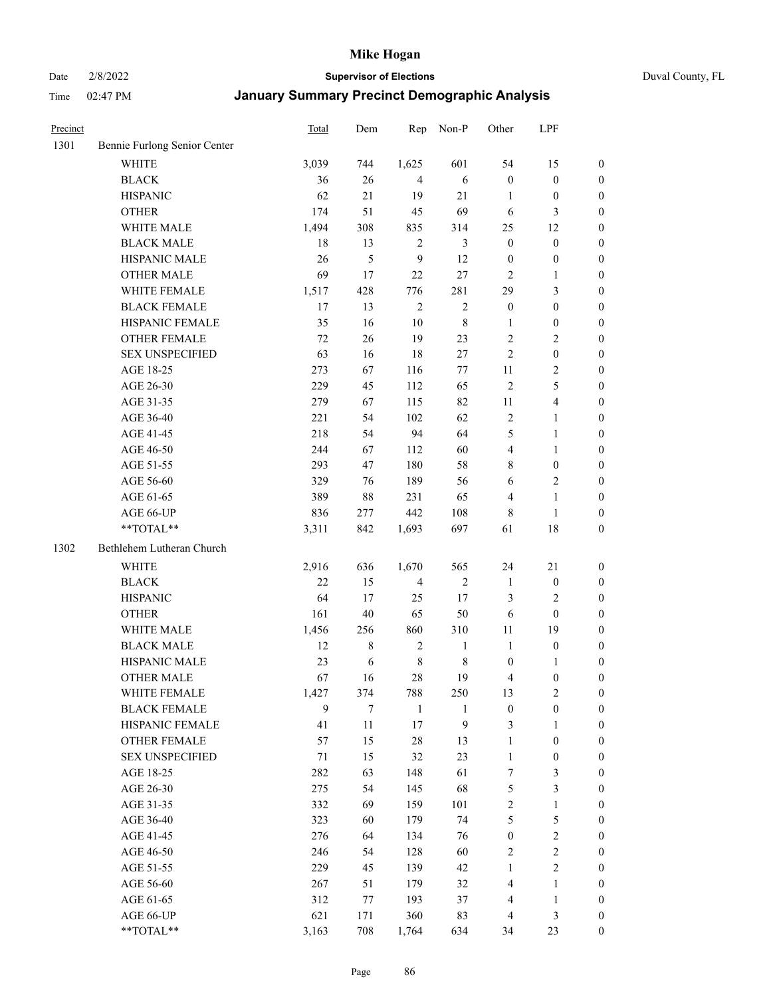Date 2/8/2022 **Supervisor of Elections** Duval County, FL

| Precinct |                              | <b>Total</b> | Dem    | Rep            | Non-P        | Other            | LPF                     |                  |
|----------|------------------------------|--------------|--------|----------------|--------------|------------------|-------------------------|------------------|
| 1301     | Bennie Furlong Senior Center |              |        |                |              |                  |                         |                  |
|          | <b>WHITE</b>                 | 3,039        | 744    | 1,625          | 601          | 54               | 15                      | 0                |
|          | <b>BLACK</b>                 | 36           | 26     | $\overline{4}$ | 6            | $\boldsymbol{0}$ | $\boldsymbol{0}$        | 0                |
|          | <b>HISPANIC</b>              | 62           | 21     | 19             | 21           | 1                | $\boldsymbol{0}$        | $\boldsymbol{0}$ |
|          | <b>OTHER</b>                 | 174          | 51     | 45             | 69           | 6                | 3                       | $\boldsymbol{0}$ |
|          | WHITE MALE                   | 1,494        | 308    | 835            | 314          | 25               | 12                      | $\boldsymbol{0}$ |
|          | <b>BLACK MALE</b>            | 18           | 13     | $\sqrt{2}$     | 3            | $\boldsymbol{0}$ | $\boldsymbol{0}$        | $\boldsymbol{0}$ |
|          | HISPANIC MALE                | 26           | 5      | 9              | 12           | $\boldsymbol{0}$ | $\boldsymbol{0}$        | $\boldsymbol{0}$ |
|          | <b>OTHER MALE</b>            | 69           | 17     | 22             | 27           | $\mathbf{2}$     | $\mathbf{1}$            | $\boldsymbol{0}$ |
|          | WHITE FEMALE                 | 1,517        | 428    | 776            | 281          | 29               | $\mathfrak{Z}$          | $\boldsymbol{0}$ |
|          | <b>BLACK FEMALE</b>          | 17           | 13     | $\overline{2}$ | $\sqrt{2}$   | $\boldsymbol{0}$ | $\boldsymbol{0}$        | 0                |
|          | HISPANIC FEMALE              | 35           | 16     | 10             | $\,$ 8 $\,$  | 1                | $\boldsymbol{0}$        | 0                |
|          | <b>OTHER FEMALE</b>          | 72           | 26     | 19             | 23           | $\mathbf{2}$     | $\sqrt{2}$              | $\boldsymbol{0}$ |
|          | <b>SEX UNSPECIFIED</b>       | 63           | 16     | 18             | 27           | $\overline{2}$   | $\boldsymbol{0}$        | $\boldsymbol{0}$ |
|          | AGE 18-25                    | 273          | 67     | 116            | $77\,$       | 11               | $\sqrt{2}$              | $\boldsymbol{0}$ |
|          | AGE 26-30                    | 229          | 45     | 112            | 65           | $\overline{c}$   | $\mathfrak{S}$          | $\boldsymbol{0}$ |
|          | AGE 31-35                    | 279          | 67     | 115            | 82           | 11               | $\overline{\mathbf{4}}$ | $\boldsymbol{0}$ |
|          | AGE 36-40                    | 221          | 54     | 102            | 62           | $\mathbf{2}$     | $\mathbf{1}$            | $\boldsymbol{0}$ |
|          | AGE 41-45                    | 218          | 54     | 94             | 64           | 5                | $\mathbf{1}$            | $\boldsymbol{0}$ |
|          | AGE 46-50                    | 244          | 67     | 112            | 60           | $\overline{4}$   | $\mathbf{1}$            | $\boldsymbol{0}$ |
|          | AGE 51-55                    | 293          | 47     | 180            | 58           | 8                | $\boldsymbol{0}$        | 0                |
|          | AGE 56-60                    | 329          | 76     | 189            | 56           | 6                | $\sqrt{2}$              | 0                |
|          | AGE 61-65                    | 389          | 88     | 231            | 65           | 4                | $\mathbf{1}$            | 0                |
|          | AGE 66-UP                    | 836          | 277    | 442            | 108          | 8                | $\mathbf{1}$            | $\boldsymbol{0}$ |
|          | **TOTAL**                    | 3,311        | 842    | 1,693          | 697          | 61               | $18\,$                  | $\boldsymbol{0}$ |
| 1302     | Bethlehem Lutheran Church    |              |        |                |              |                  |                         |                  |
|          | <b>WHITE</b>                 | 2,916        | 636    | 1,670          | 565          | 24               | $21\,$                  | $\boldsymbol{0}$ |
|          | <b>BLACK</b>                 | $22\,$       | 15     | $\overline{4}$ | $\sqrt{2}$   | $\mathbf{1}$     | $\boldsymbol{0}$        | $\boldsymbol{0}$ |
|          | <b>HISPANIC</b>              | 64           | 17     | 25             | 17           | 3                | $\mathbf{2}$            | $\boldsymbol{0}$ |
|          | <b>OTHER</b>                 | 161          | $40\,$ | 65             | 50           | 6                | $\boldsymbol{0}$        | $\boldsymbol{0}$ |
|          | WHITE MALE                   | 1,456        | 256    | 860            | 310          | 11               | 19                      | $\boldsymbol{0}$ |
|          | <b>BLACK MALE</b>            | 12           | $8\,$  | $\sqrt{2}$     | $\mathbf{1}$ | $\mathbf{1}$     | $\boldsymbol{0}$        | $\boldsymbol{0}$ |
|          | HISPANIC MALE                | 23           | 6      | $\,$ 8 $\,$    | $8\,$        | $\boldsymbol{0}$ | 1                       | 0                |
|          | OTHER MALE                   | 67           | 16     | 28             | 19           | 4                | $\boldsymbol{0}$        | $\boldsymbol{0}$ |
|          | WHITE FEMALE                 | 1,427        | 374    | 788            | 250          | 13               | 2                       | 0                |
|          | <b>BLACK FEMALE</b>          | 9            | 7      | $\mathbf{1}$   | $\mathbf{1}$ | $\boldsymbol{0}$ | $\boldsymbol{0}$        | $\overline{0}$   |
|          | HISPANIC FEMALE              | 41           | $11\,$ | $17$           | 9            | 3                | 1                       | $\overline{0}$   |
|          | OTHER FEMALE                 | 57           | 15     | 28             | 13           | $\mathbf{1}$     | $\boldsymbol{0}$        | 0                |
|          | <b>SEX UNSPECIFIED</b>       | 71           | 15     | 32             | 23           | $\mathbf{1}$     | $\boldsymbol{0}$        | 0                |
|          | AGE 18-25                    | 282          | 63     | 148            | 61           | 7                | $\mathfrak{Z}$          | 0                |
|          | AGE 26-30                    | 275          | 54     | 145            | 68           | 5                | $\mathfrak{Z}$          | 0                |
|          | AGE 31-35                    | 332          | 69     | 159            | 101          | $\overline{c}$   | $\mathbf{1}$            | 0                |
|          | AGE 36-40                    | 323          | 60     | 179            | 74           | 5                | $\mathfrak{S}$          | 0                |
|          | AGE 41-45                    | 276          | 64     | 134            | 76           | $\boldsymbol{0}$ | $\sqrt{2}$              | 0                |
|          | AGE 46-50                    | 246          | 54     | 128            | 60           | 2                | $\sqrt{2}$              | 0                |
|          | AGE 51-55                    | 229          | 45     | 139            | 42           | $\mathbf{1}$     | $\overline{2}$          | 0                |
|          | AGE 56-60                    | 267          | 51     | 179            | 32           | 4                | 1                       | $\boldsymbol{0}$ |
|          | AGE 61-65                    | 312          | 77     | 193            | 37           | 4                | $\mathbf{1}$            | $\boldsymbol{0}$ |
|          | AGE 66-UP                    | 621          | 171    | 360            | 83           | 4                | $\mathfrak{Z}$          | 0                |
|          | **TOTAL**                    | 3,163        | 708    | 1,764          | 634          | 34               | 23                      | $\boldsymbol{0}$ |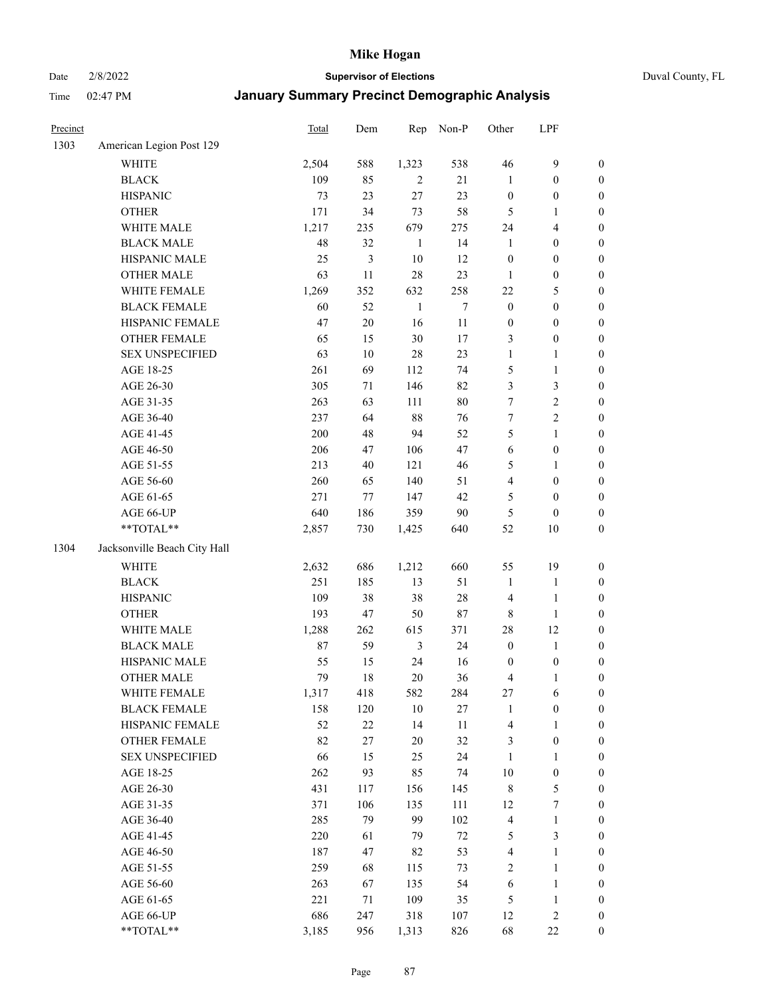Date 2/8/2022 **Supervisor of Elections** Duval County, FL

| Precinct |                              | Total  | Dem    | Rep            | Non-P  | Other                   | LPF              |                  |
|----------|------------------------------|--------|--------|----------------|--------|-------------------------|------------------|------------------|
| 1303     | American Legion Post 129     |        |        |                |        |                         |                  |                  |
|          | <b>WHITE</b>                 | 2,504  | 588    | 1,323          | 538    | 46                      | $\mathbf{9}$     | 0                |
|          | <b>BLACK</b>                 | 109    | 85     | 2              | 21     | $\mathbf{1}$            | $\boldsymbol{0}$ | $\boldsymbol{0}$ |
|          | <b>HISPANIC</b>              | 73     | 23     | 27             | 23     | $\boldsymbol{0}$        | $\boldsymbol{0}$ | $\boldsymbol{0}$ |
|          | <b>OTHER</b>                 | 171    | 34     | 73             | 58     | 5                       | 1                | $\boldsymbol{0}$ |
|          | WHITE MALE                   | 1,217  | 235    | 679            | 275    | 24                      | $\overline{4}$   | $\boldsymbol{0}$ |
|          | <b>BLACK MALE</b>            | 48     | 32     | $\mathbf{1}$   | 14     | $\mathbf{1}$            | $\boldsymbol{0}$ | $\boldsymbol{0}$ |
|          | HISPANIC MALE                | 25     | 3      | 10             | 12     | $\boldsymbol{0}$        | $\boldsymbol{0}$ | $\boldsymbol{0}$ |
|          | <b>OTHER MALE</b>            | 63     | 11     | 28             | 23     | $\mathbf{1}$            | $\boldsymbol{0}$ | $\boldsymbol{0}$ |
|          | WHITE FEMALE                 | 1,269  | 352    | 632            | 258    | $22\,$                  | $\mathfrak{S}$   | $\boldsymbol{0}$ |
|          | <b>BLACK FEMALE</b>          | 60     | 52     | $\mathbf{1}$   | $\tau$ | $\boldsymbol{0}$        | $\boldsymbol{0}$ | $\boldsymbol{0}$ |
|          | HISPANIC FEMALE              | 47     | $20\,$ | 16             | $11\,$ | $\boldsymbol{0}$        | $\boldsymbol{0}$ | $\boldsymbol{0}$ |
|          | OTHER FEMALE                 | 65     | 15     | 30             | 17     | 3                       | $\boldsymbol{0}$ | $\boldsymbol{0}$ |
|          | <b>SEX UNSPECIFIED</b>       | 63     | $10\,$ | 28             | 23     | $\mathbf{1}$            | $\mathbf{1}$     | $\boldsymbol{0}$ |
|          | AGE 18-25                    | 261    | 69     | 112            | 74     | 5                       | $\mathbf{1}$     | $\boldsymbol{0}$ |
|          | AGE 26-30                    | 305    | 71     | 146            | 82     | 3                       | $\mathfrak{Z}$   | $\boldsymbol{0}$ |
|          | AGE 31-35                    | 263    | 63     | 111            | 80     | 7                       | $\sqrt{2}$       | $\boldsymbol{0}$ |
|          | AGE 36-40                    | 237    | 64     | $88\,$         | 76     | $\boldsymbol{7}$        | $\sqrt{2}$       | $\boldsymbol{0}$ |
|          | AGE 41-45                    | 200    | 48     | 94             | 52     | 5                       | $\mathbf{1}$     | $\boldsymbol{0}$ |
|          | AGE 46-50                    | 206    | 47     | 106            | 47     | $\sqrt{6}$              | $\boldsymbol{0}$ | $\boldsymbol{0}$ |
|          | AGE 51-55                    | 213    | 40     | 121            | 46     | 5                       | 1                | $\boldsymbol{0}$ |
|          | AGE 56-60                    | 260    | 65     | 140            | 51     | $\overline{\mathbf{4}}$ | $\boldsymbol{0}$ | 0                |
|          | AGE 61-65                    | 271    | 77     | 147            | 42     | 5                       | $\boldsymbol{0}$ | 0                |
|          | AGE 66-UP                    | 640    | 186    | 359            | 90     | 5                       | $\boldsymbol{0}$ | $\boldsymbol{0}$ |
|          | **TOTAL**                    | 2,857  | 730    | 1,425          | 640    | 52                      | $10\,$           | $\boldsymbol{0}$ |
| 1304     | Jacksonville Beach City Hall |        |        |                |        |                         |                  |                  |
|          | WHITE                        | 2,632  | 686    | 1,212          | 660    | 55                      | 19               | $\boldsymbol{0}$ |
|          | <b>BLACK</b>                 | 251    | 185    | 13             | 51     | $\mathbf{1}$            | $\mathbf{1}$     | $\boldsymbol{0}$ |
|          | <b>HISPANIC</b>              | 109    | 38     | 38             | $28\,$ | 4                       | $\mathbf{1}$     | $\boldsymbol{0}$ |
|          | <b>OTHER</b>                 | 193    | 47     | 50             | $87\,$ | $\,$ 8 $\,$             | $\mathbf{1}$     | $\boldsymbol{0}$ |
|          | WHITE MALE                   | 1,288  | 262    | 615            | 371    | 28                      | 12               | $\boldsymbol{0}$ |
|          | <b>BLACK MALE</b>            | $87\,$ | 59     | $\mathfrak{Z}$ | 24     | $\boldsymbol{0}$        | $\mathbf{1}$     | $\boldsymbol{0}$ |
|          | HISPANIC MALE                | 55     | 15     | 24             | 16     | $\boldsymbol{0}$        | $\boldsymbol{0}$ | 0                |
|          | OTHER MALE                   | 79     | 18     | 20             | 36     | 4                       | $\mathbf{1}$     | $\boldsymbol{0}$ |
|          | WHITE FEMALE                 | 1,317  | 418    | 582            | 284    | 27                      | 6                | 0                |
|          | <b>BLACK FEMALE</b>          | 158    | 120    | $10\,$         | 27     | $\mathbf{1}$            | $\boldsymbol{0}$ | $\overline{0}$   |
|          | HISPANIC FEMALE              | 52     | $22\,$ | 14             | $11\,$ | 4                       | $\mathbf{1}$     | 0                |
|          | <b>OTHER FEMALE</b>          | 82     | 27     | $20\,$         | 32     | 3                       | $\boldsymbol{0}$ | 0                |
|          | <b>SEX UNSPECIFIED</b>       | 66     | 15     | 25             | 24     | $\mathbf{1}$            | $\mathbf{1}$     | 0                |
|          | AGE 18-25                    | 262    | 93     | 85             | 74     | $10\,$                  | $\boldsymbol{0}$ | 0                |
|          | AGE 26-30                    | 431    | 117    | 156            | 145    | 8                       | $\mathfrak{S}$   | 0                |
|          | AGE 31-35                    | 371    | 106    | 135            | 111    | 12                      | $\boldsymbol{7}$ | 0                |
|          | AGE 36-40                    | 285    | 79     | 99             | 102    | $\overline{\mathbf{4}}$ | $\mathbf{1}$     | 0                |
|          | AGE 41-45                    | 220    | 61     | 79             | $72\,$ | 5                       | $\mathfrak{Z}$   | 0                |
|          | AGE 46-50                    | 187    | 47     | 82             | 53     | 4                       | $\mathbf{1}$     | 0                |
|          | AGE 51-55                    | 259    | 68     | 115            | 73     | 2                       | $\mathbf{1}$     | 0                |
|          | AGE 56-60                    | 263    | 67     | 135            | 54     | 6                       | $\mathbf{1}$     | 0                |
|          | AGE 61-65                    | 221    | 71     | 109            | 35     | 5                       | $\mathbf{1}$     | 0                |
|          | AGE 66-UP                    | 686    | 247    | 318            | 107    | 12                      | $\sqrt{2}$       | 0                |
|          | $**TOTAL**$                  | 3,185  | 956    | 1,313          | 826    | 68                      | $22\,$           | $\boldsymbol{0}$ |
|          |                              |        |        |                |        |                         |                  |                  |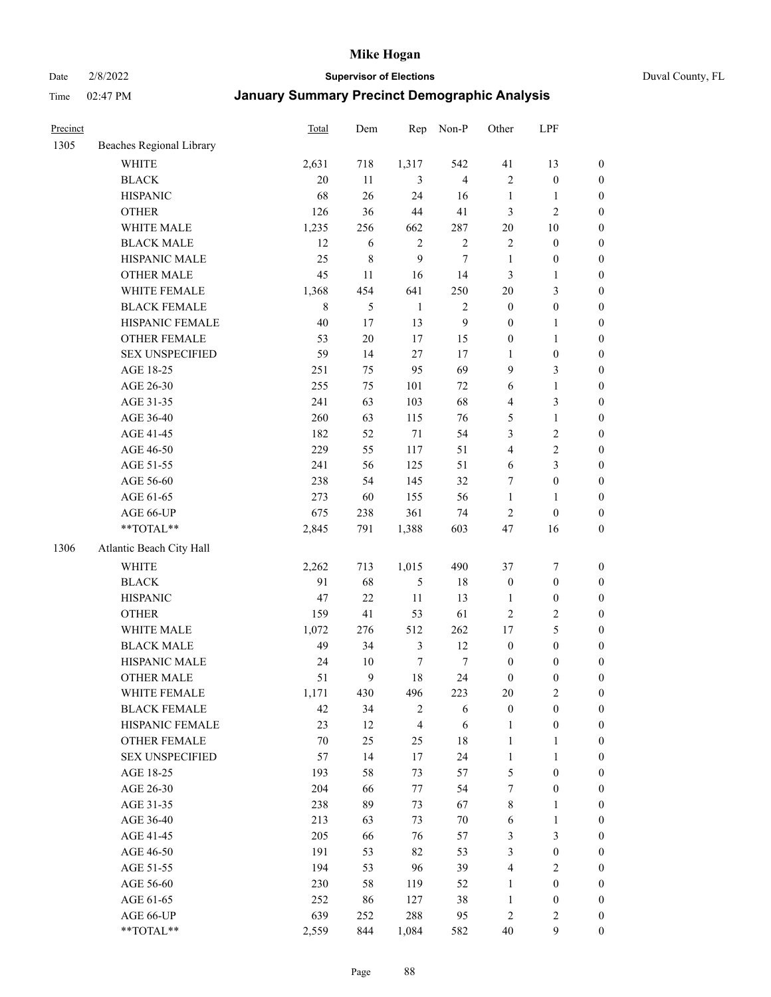Date 2/8/2022 **Supervisor of Elections** Duval County, FL

| Precinct |                          | <b>Total</b> | Dem            | Rep              | Non-P          | Other            | LPF              |                  |
|----------|--------------------------|--------------|----------------|------------------|----------------|------------------|------------------|------------------|
| 1305     | Beaches Regional Library |              |                |                  |                |                  |                  |                  |
|          | <b>WHITE</b>             | 2,631        | 718            | 1,317            | 542            | 41               | 13               | 0                |
|          | <b>BLACK</b>             | 20           | 11             | 3                | $\overline{4}$ | $\mathbf{2}$     | $\boldsymbol{0}$ | $\boldsymbol{0}$ |
|          | <b>HISPANIC</b>          | 68           | 26             | 24               | 16             | $\mathbf{1}$     | $\mathbf{1}$     | $\boldsymbol{0}$ |
|          | <b>OTHER</b>             | 126          | 36             | 44               | 41             | 3                | $\mathfrak{2}$   | $\boldsymbol{0}$ |
|          | WHITE MALE               | 1,235        | 256            | 662              | 287            | $20\,$           | 10               | $\boldsymbol{0}$ |
|          | <b>BLACK MALE</b>        | 12           | 6              | $\sqrt{2}$       | $\sqrt{2}$     | 2                | $\boldsymbol{0}$ | $\boldsymbol{0}$ |
|          | HISPANIC MALE            | 25           | $\,$ $\,$      | 9                | 7              | $\mathbf{1}$     | $\boldsymbol{0}$ | $\boldsymbol{0}$ |
|          | <b>OTHER MALE</b>        | 45           | 11             | 16               | 14             | 3                | $\mathbf{1}$     | $\boldsymbol{0}$ |
|          | WHITE FEMALE             | 1,368        | 454            | 641              | 250            | $20\,$           | $\mathfrak{Z}$   | $\boldsymbol{0}$ |
|          | <b>BLACK FEMALE</b>      | 8            | $\mathfrak{S}$ | $\mathbf{1}$     | $\sqrt{2}$     | $\boldsymbol{0}$ | $\boldsymbol{0}$ | 0                |
|          | HISPANIC FEMALE          | $40\,$       | 17             | 13               | $\mathbf{9}$   | $\boldsymbol{0}$ | $\mathbf{1}$     | 0                |
|          | <b>OTHER FEMALE</b>      | 53           | $20\,$         | 17               | 15             | $\boldsymbol{0}$ | $\mathbf{1}$     | $\boldsymbol{0}$ |
|          | <b>SEX UNSPECIFIED</b>   | 59           | 14             | 27               | 17             | $\mathbf{1}$     | $\boldsymbol{0}$ | $\boldsymbol{0}$ |
|          | AGE 18-25                | 251          | 75             | 95               | 69             | 9                | $\mathfrak{Z}$   | $\boldsymbol{0}$ |
|          | AGE 26-30                | 255          | 75             | 101              | $72\,$         | 6                | $\mathbf{1}$     | $\boldsymbol{0}$ |
|          | AGE 31-35                | 241          | 63             | 103              | 68             | 4                | $\mathfrak{Z}$   | $\boldsymbol{0}$ |
|          | AGE 36-40                | 260          | 63             | 115              | 76             | 5                | $\mathbf{1}$     | $\boldsymbol{0}$ |
|          | AGE 41-45                | 182          | 52             | $71\,$           | 54             | 3                | $\sqrt{2}$       | $\boldsymbol{0}$ |
|          | AGE 46-50                | 229          | 55             | 117              | 51             | 4                | $\sqrt{2}$       | $\boldsymbol{0}$ |
|          | AGE 51-55                | 241          | 56             | 125              | 51             | 6                | $\mathfrak{Z}$   | $\boldsymbol{0}$ |
|          | AGE 56-60                | 238          | 54             | 145              | 32             | 7                | $\boldsymbol{0}$ | 0                |
|          | AGE 61-65                | 273          | 60             | 155              | 56             | $\mathbf{1}$     | $\mathbf{1}$     | 0                |
|          | AGE 66-UP                | 675          | 238            | 361              | 74             | 2                | $\boldsymbol{0}$ | $\boldsymbol{0}$ |
|          | $**TOTAL**$              | 2,845        | 791            | 1,388            | 603            | 47               | 16               | $\boldsymbol{0}$ |
| 1306     | Atlantic Beach City Hall |              |                |                  |                |                  |                  |                  |
|          | <b>WHITE</b>             | 2,262        | 713            | 1,015            | 490            | 37               | $\boldsymbol{7}$ | $\boldsymbol{0}$ |
|          | <b>BLACK</b>             | 91           | 68             | 5                | 18             | $\boldsymbol{0}$ | $\boldsymbol{0}$ | $\boldsymbol{0}$ |
|          | <b>HISPANIC</b>          | 47           | 22             | $11\,$           | 13             | $\mathbf{1}$     | $\boldsymbol{0}$ | $\boldsymbol{0}$ |
|          | <b>OTHER</b>             | 159          | 41             | 53               | 61             | $\overline{c}$   | $\sqrt{2}$       | $\boldsymbol{0}$ |
|          | WHITE MALE               | 1,072        | 276            | 512              | 262            | 17               | $\mathfrak s$    | $\boldsymbol{0}$ |
|          | <b>BLACK MALE</b>        | 49           | 34             | $\mathfrak{Z}$   | 12             | $\boldsymbol{0}$ | $\boldsymbol{0}$ | $\boldsymbol{0}$ |
|          | HISPANIC MALE            | 24           | $10\,$         | $\boldsymbol{7}$ | $\tau$         | $\boldsymbol{0}$ | $\boldsymbol{0}$ | $\boldsymbol{0}$ |
|          | <b>OTHER MALE</b>        | 51           | 9              | 18               | 24             | $\boldsymbol{0}$ | $\boldsymbol{0}$ | $\boldsymbol{0}$ |
|          | WHITE FEMALE             | 1,171        | 430            | 496              | 223            | 20               | $\overline{c}$   | 0                |
|          | <b>BLACK FEMALE</b>      | 42           | 34             | $\overline{c}$   | 6              | $\boldsymbol{0}$ | $\boldsymbol{0}$ | $\overline{0}$   |
|          | HISPANIC FEMALE          | 23           | 12             | 4                | 6              | $\mathbf{1}$     | $\boldsymbol{0}$ | $\overline{0}$   |
|          | <b>OTHER FEMALE</b>      | $70\,$       | 25             | 25               | 18             | 1                | $\mathbf{1}$     | $\overline{0}$   |
|          | <b>SEX UNSPECIFIED</b>   | 57           | 14             | 17               | 24             | $\mathbf{1}$     | $\mathbf{1}$     | 0                |
|          | AGE 18-25                | 193          | 58             | 73               | 57             | 5                | $\boldsymbol{0}$ | 0                |
|          | AGE 26-30                | 204          | 66             | $77\,$           | 54             | 7                | $\boldsymbol{0}$ | 0                |
|          | AGE 31-35                | 238          | 89             | 73               | 67             | 8                | $\mathbf{1}$     | 0                |
|          | AGE 36-40                | 213          | 63             | 73               | $70\,$         | 6                | $\mathbf{1}$     | 0                |
|          | AGE 41-45                | 205          | 66             | 76               | 57             | 3                | $\mathfrak{Z}$   | 0                |
|          | AGE 46-50                | 191          | 53             | 82               | 53             | 3                | $\boldsymbol{0}$ | 0                |
|          | AGE 51-55                | 194          | 53             | 96               | 39             | 4                | $\mathbf{2}$     | 0                |
|          | AGE 56-60                | 230          | 58             | 119              | 52             | 1                | $\boldsymbol{0}$ | $\overline{0}$   |
|          | AGE 61-65                | 252          | 86             | 127              | 38             | $\mathbf{1}$     | $\boldsymbol{0}$ | $\overline{0}$   |
|          | AGE 66-UP                | 639          | 252            | 288              | 95             | 2                | $\mathfrak{2}$   | 0                |
|          | **TOTAL**                | 2,559        | 844            | 1,084            | 582            | 40               | $\mathbf{9}$     | $\boldsymbol{0}$ |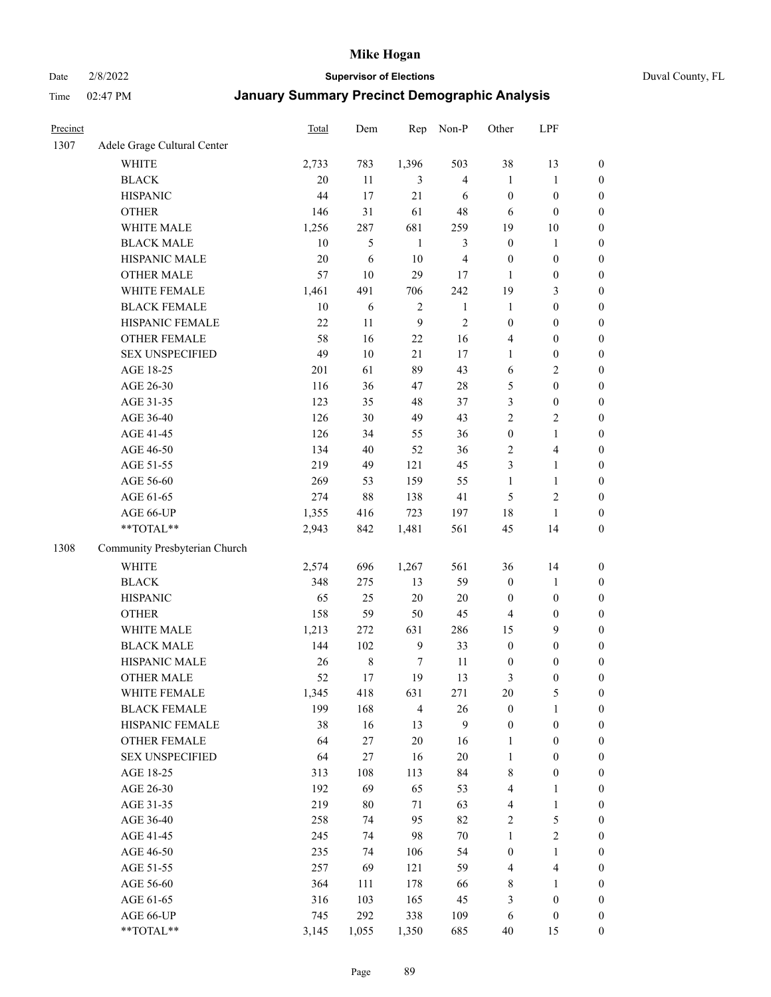Date 2/8/2022 **Supervisor of Elections** Duval County, FL

| Precinct |                               | <b>Total</b> | Dem        | Rep              | Non-P                   | Other            | LPF              |                  |
|----------|-------------------------------|--------------|------------|------------------|-------------------------|------------------|------------------|------------------|
| 1307     | Adele Grage Cultural Center   |              |            |                  |                         |                  |                  |                  |
|          | <b>WHITE</b>                  | 2,733        | 783        | 1,396            | 503                     | 38               | 13               | 0                |
|          | <b>BLACK</b>                  | 20           | 11         | 3                | $\overline{4}$          | $\mathbf{1}$     | $\mathbf{1}$     | $\boldsymbol{0}$ |
|          | <b>HISPANIC</b>               | 44           | 17         | 21               | 6                       | $\boldsymbol{0}$ | $\boldsymbol{0}$ | $\boldsymbol{0}$ |
|          | <b>OTHER</b>                  | 146          | 31         | 61               | 48                      | 6                | $\boldsymbol{0}$ | $\boldsymbol{0}$ |
|          | WHITE MALE                    | 1,256        | 287        | 681              | 259                     | 19               | 10               | $\boldsymbol{0}$ |
|          | <b>BLACK MALE</b>             | 10           | 5          | $\mathbf{1}$     | 3                       | $\boldsymbol{0}$ | 1                | $\boldsymbol{0}$ |
|          | HISPANIC MALE                 | 20           | 6          | 10               | $\overline{\mathbf{4}}$ | $\boldsymbol{0}$ | $\boldsymbol{0}$ | $\boldsymbol{0}$ |
|          | <b>OTHER MALE</b>             | 57           | 10         | 29               | 17                      | $\mathbf{1}$     | $\boldsymbol{0}$ | $\boldsymbol{0}$ |
|          | WHITE FEMALE                  | 1,461        | 491        | 706              | 242                     | 19               | $\mathfrak{Z}$   | $\boldsymbol{0}$ |
|          | <b>BLACK FEMALE</b>           | $10\,$       | $\sqrt{6}$ | $\overline{c}$   | $\mathbf{1}$            | $\mathbf{1}$     | $\boldsymbol{0}$ | $\boldsymbol{0}$ |
|          | HISPANIC FEMALE               | 22           | 11         | $\boldsymbol{9}$ | $\sqrt{2}$              | $\boldsymbol{0}$ | $\boldsymbol{0}$ | 0                |
|          | <b>OTHER FEMALE</b>           | 58           | 16         | 22               | 16                      | 4                | $\boldsymbol{0}$ | $\boldsymbol{0}$ |
|          | <b>SEX UNSPECIFIED</b>        | 49           | 10         | 21               | 17                      | $\mathbf{1}$     | $\boldsymbol{0}$ | $\boldsymbol{0}$ |
|          | AGE 18-25                     | 201          | 61         | 89               | 43                      | 6                | $\sqrt{2}$       | $\boldsymbol{0}$ |
|          | AGE 26-30                     | 116          | 36         | 47               | $28\,$                  | 5                | $\boldsymbol{0}$ | $\boldsymbol{0}$ |
|          | AGE 31-35                     | 123          | 35         | 48               | 37                      | 3                | $\boldsymbol{0}$ | $\boldsymbol{0}$ |
|          | AGE 36-40                     | 126          | 30         | 49               | 43                      | 2                | $\sqrt{2}$       | $\boldsymbol{0}$ |
|          | AGE 41-45                     | 126          | 34         | 55               | 36                      | $\boldsymbol{0}$ | $\mathbf{1}$     | $\boldsymbol{0}$ |
|          | AGE 46-50                     | 134          | $40\,$     | 52               | 36                      | 2                | $\overline{4}$   | $\boldsymbol{0}$ |
|          | AGE 51-55                     | 219          | 49         | 121              | 45                      | 3                | $\mathbf{1}$     | $\boldsymbol{0}$ |
|          | AGE 56-60                     | 269          | 53         | 159              | 55                      | $\mathbf{1}$     | $\mathbf{1}$     | 0                |
|          | AGE 61-65                     | 274          | $88\,$     | 138              | 41                      | 5                | $\sqrt{2}$       | 0                |
|          | AGE 66-UP                     | 1,355        | 416        | 723              | 197                     | 18               | $\mathbf{1}$     | $\boldsymbol{0}$ |
|          | $**TOTAL**$                   | 2,943        | 842        | 1,481            | 561                     | 45               | 14               | $\boldsymbol{0}$ |
| 1308     | Community Presbyterian Church |              |            |                  |                         |                  |                  |                  |
|          | <b>WHITE</b>                  | 2,574        | 696        | 1,267            | 561                     | 36               | 14               | $\boldsymbol{0}$ |
|          | <b>BLACK</b>                  | 348          | 275        | 13               | 59                      | $\boldsymbol{0}$ | $\mathbf{1}$     | $\boldsymbol{0}$ |
|          | <b>HISPANIC</b>               | 65           | 25         | 20               | $20\,$                  | $\boldsymbol{0}$ | $\boldsymbol{0}$ | $\boldsymbol{0}$ |
|          | <b>OTHER</b>                  | 158          | 59         | 50               | 45                      | 4                | $\boldsymbol{0}$ | $\boldsymbol{0}$ |
|          | WHITE MALE                    | 1,213        | 272        | 631              | 286                     | 15               | 9                | $\boldsymbol{0}$ |
|          | <b>BLACK MALE</b>             | 144          | 102        | $\overline{9}$   | 33                      | $\boldsymbol{0}$ | $\boldsymbol{0}$ | $\boldsymbol{0}$ |
|          | HISPANIC MALE                 | 26           | $\,8\,$    | 7                | 11                      | 0                | $\boldsymbol{0}$ | $\boldsymbol{0}$ |
|          | <b>OTHER MALE</b>             | 52           | 17         | 19               | 13                      | 3                | $\boldsymbol{0}$ | $\boldsymbol{0}$ |
|          | WHITE FEMALE                  | 1,345        | 418        | 631              | 271                     | 20               | 5                | 0                |
|          | <b>BLACK FEMALE</b>           | 199          | 168        | $\overline{4}$   | 26                      | $\boldsymbol{0}$ | $\mathbf{1}$     | $\boldsymbol{0}$ |
|          | HISPANIC FEMALE               | 38           | 16         | 13               | 9                       | $\boldsymbol{0}$ | $\boldsymbol{0}$ | $\overline{0}$   |
|          | <b>OTHER FEMALE</b>           | 64           | $27\,$     | $20\,$           | 16                      | $\mathbf{1}$     | $\boldsymbol{0}$ | $\overline{0}$   |
|          | <b>SEX UNSPECIFIED</b>        | 64           | 27         | 16               | $20\,$                  | $\mathbf{1}$     | $\boldsymbol{0}$ | 0                |
|          | AGE 18-25                     | 313          | 108        | 113              | 84                      | 8                | $\boldsymbol{0}$ | 0                |
|          | AGE 26-30                     | 192          | 69         | 65               | 53                      | 4                | $\mathbf{1}$     | 0                |
|          | AGE 31-35                     | 219          | $80\,$     | 71               | 63                      | 4                | $\mathbf{1}$     | 0                |
|          | AGE 36-40                     | 258          | 74         | 95               | 82                      | 2                | $\mathfrak s$    | 0                |
|          | AGE 41-45                     | 245          | 74         | 98               | $70\,$                  | $\mathbf{1}$     | $\sqrt{2}$       | 0                |
|          | AGE 46-50                     | 235          | 74         | 106              | 54                      | $\boldsymbol{0}$ | $\mathbf{1}$     | 0                |
|          | AGE 51-55                     | 257          | 69         | 121              | 59                      | 4                | $\overline{4}$   | 0                |
|          | AGE 56-60                     | 364          | 111        | 178              | 66                      | 8                | 1                | $\boldsymbol{0}$ |
|          | AGE 61-65                     | 316          | 103        | 165              | 45                      | 3                | $\boldsymbol{0}$ | $\boldsymbol{0}$ |
|          | AGE 66-UP                     | 745          | 292        | 338              | 109                     | 6                | $\boldsymbol{0}$ | 0                |
|          | **TOTAL**                     | 3,145        | 1,055      | 1,350            | 685                     | 40               | 15               | $\boldsymbol{0}$ |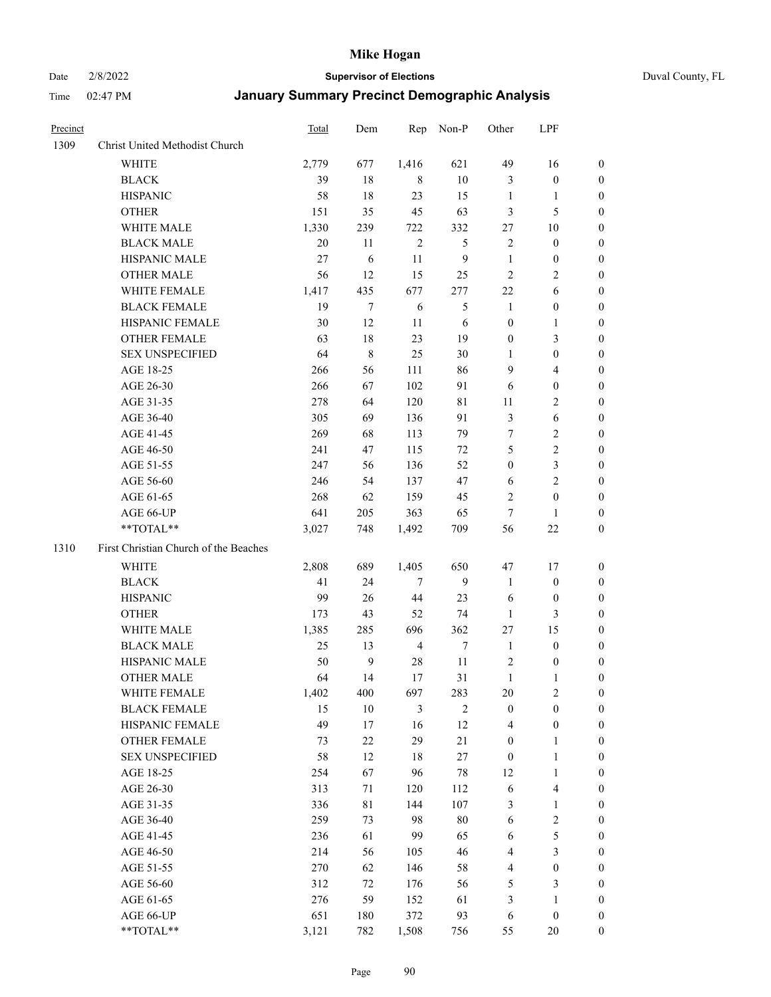Date 2/8/2022 **Supervisor of Elections** Duval County, FL

| Precinct |                                       | <b>Total</b> | Dem          | Rep            | Non-P          | Other            | LPF                     |                  |
|----------|---------------------------------------|--------------|--------------|----------------|----------------|------------------|-------------------------|------------------|
| 1309     | Christ United Methodist Church        |              |              |                |                |                  |                         |                  |
|          | <b>WHITE</b>                          | 2,779        | 677          | 1,416          | 621            | 49               | 16                      | 0                |
|          | <b>BLACK</b>                          | 39           | 18           | 8              | $10\,$         | 3                | $\boldsymbol{0}$        | 0                |
|          | <b>HISPANIC</b>                       | 58           | 18           | 23             | 15             | $\mathbf{1}$     | $\mathbf{1}$            | 0                |
|          | <b>OTHER</b>                          | 151          | 35           | 45             | 63             | 3                | $\mathfrak{S}$          | $\boldsymbol{0}$ |
|          | WHITE MALE                            | 1,330        | 239          | 722            | 332            | 27               | 10                      | $\boldsymbol{0}$ |
|          | <b>BLACK MALE</b>                     | 20           | 11           | $\overline{2}$ | 5              | $\overline{c}$   | $\boldsymbol{0}$        | 0                |
|          | HISPANIC MALE                         | $27\,$       | 6            | 11             | $\overline{9}$ | $\mathbf{1}$     | $\boldsymbol{0}$        | 0                |
|          | <b>OTHER MALE</b>                     | 56           | 12           | 15             | 25             | $\mathfrak{2}$   | $\overline{2}$          | $\boldsymbol{0}$ |
|          | WHITE FEMALE                          | 1,417        | 435          | 677            | 277            | $22\,$           | 6                       | 0                |
|          | <b>BLACK FEMALE</b>                   | 19           | 7            | 6              | $\mathfrak{S}$ | $\mathbf{1}$     | $\boldsymbol{0}$        | 0                |
|          | HISPANIC FEMALE                       | 30           | 12           | 11             | $\sqrt{6}$     | $\boldsymbol{0}$ | $\mathbf{1}$            | 0                |
|          | OTHER FEMALE                          | 63           | 18           | 23             | 19             | $\boldsymbol{0}$ | $\mathfrak{Z}$          | 0                |
|          | <b>SEX UNSPECIFIED</b>                | 64           | $\,8\,$      | 25             | 30             | $\mathbf{1}$     | $\boldsymbol{0}$        | $\boldsymbol{0}$ |
|          | AGE 18-25                             | 266          | 56           | 111            | 86             | 9                | $\overline{\mathbf{4}}$ | $\boldsymbol{0}$ |
|          | AGE 26-30                             | 266          | 67           | 102            | 91             | 6                | $\boldsymbol{0}$        | $\boldsymbol{0}$ |
|          | AGE 31-35                             | 278          | 64           | 120            | $8\sqrt{1}$    | 11               | $\sqrt{2}$              | 0                |
|          | AGE 36-40                             | 305          | 69           | 136            | 91             | $\mathfrak{Z}$   | $\sqrt{6}$              | $\boldsymbol{0}$ |
|          | AGE 41-45                             | 269          | 68           | 113            | 79             | 7                | $\sqrt{2}$              | $\boldsymbol{0}$ |
|          | AGE 46-50                             | 241          | 47           | 115            | 72             | 5                | $\sqrt{2}$              | $\boldsymbol{0}$ |
|          | AGE 51-55                             | 247          | 56           | 136            | 52             | $\boldsymbol{0}$ | $\mathfrak{Z}$          | 0                |
|          | AGE 56-60                             | 246          | 54           | 137            | 47             | 6                | $\overline{2}$          | 0                |
|          | AGE 61-65                             | 268          | 62           | 159            | 45             | $\overline{2}$   | $\boldsymbol{0}$        | 0                |
|          | AGE 66-UP                             | 641          | 205          | 363            | 65             | $\tau$           | $\mathbf{1}$            | 0                |
|          | **TOTAL**                             | 3,027        | 748          | 1,492          | 709            | 56               | $22\,$                  | $\boldsymbol{0}$ |
| 1310     | First Christian Church of the Beaches |              |              |                |                |                  |                         |                  |
|          | <b>WHITE</b>                          | 2,808        | 689          | 1,405          | 650            | 47               | 17                      | $\boldsymbol{0}$ |
|          | <b>BLACK</b>                          | 41           | 24           | $\tau$         | 9              | $\mathbf{1}$     | $\boldsymbol{0}$        | $\boldsymbol{0}$ |
|          | <b>HISPANIC</b>                       | 99           | 26           | 44             | 23             | 6                | $\boldsymbol{0}$        | 0                |
|          | <b>OTHER</b>                          | 173          | 43           | 52             | 74             | $\mathbf{1}$     | $\mathfrak{Z}$          | $\boldsymbol{0}$ |
|          | WHITE MALE                            | 1,385        | 285          | 696            | 362            | 27               | 15                      | $\boldsymbol{0}$ |
|          | <b>BLACK MALE</b>                     | 25           | 13           | $\overline{4}$ | $\tau$         | $\mathbf{1}$     | $\boldsymbol{0}$        | 0                |
|          | HISPANIC MALE                         | 50           | $\mathbf{9}$ | 28             | 11             | $\overline{c}$   | $\boldsymbol{0}$        | 0                |
|          | <b>OTHER MALE</b>                     | 64           | 14           | 17             | 31             | $\mathbf{1}$     | 1                       | 0                |
|          | WHITE FEMALE                          | 1,402        | 400          | 697            | 283            | 20               | 2                       | 0                |
|          | <b>BLACK FEMALE</b>                   | 15           | 10           | 3              | $\mathfrak{2}$ | $\boldsymbol{0}$ | $\boldsymbol{0}$        | $\boldsymbol{0}$ |
|          | HISPANIC FEMALE                       | 49           | 17           | 16             | 12             | 4                | $\boldsymbol{0}$        | $\overline{0}$   |
|          | OTHER FEMALE                          | 73           | $22\,$       | 29             | 21             | $\boldsymbol{0}$ | $\mathbf{1}$            | $\overline{0}$   |
|          | <b>SEX UNSPECIFIED</b>                | 58           | 12           | 18             | 27             | $\boldsymbol{0}$ | $\mathbf{1}$            | 0                |
|          | AGE 18-25                             | 254          | 67           | 96             | 78             | 12               | $\mathbf{1}$            | $\theta$         |
|          | AGE 26-30                             | 313          | 71           | 120            | 112            | 6                | $\overline{\mathbf{4}}$ | 0                |
|          | AGE 31-35                             | 336          | 81           | 144            | 107            | 3                | $\mathbf{1}$            | 0                |
|          | AGE 36-40                             | 259          | 73           | 98             | $80\,$         | 6                | $\sqrt{2}$              | 0                |
|          | AGE 41-45                             | 236          | 61           | 99             | 65             | 6                | 5                       | 0                |
|          | AGE 46-50                             | 214          | 56           | 105            | 46             | 4                | $\mathfrak{Z}$          | 0                |
|          | AGE 51-55                             | 270          | 62           | 146            | 58             | $\overline{4}$   | $\boldsymbol{0}$        | $\overline{0}$   |
|          | AGE 56-60                             | 312          | 72           | 176            | 56             | 5                | $\mathfrak{Z}$          | $\overline{0}$   |
|          | AGE 61-65                             | 276          | 59           | 152            | 61             | 3                | $\mathbf{1}$            | $\overline{0}$   |
|          | AGE 66-UP                             | 651          | 180          | 372            | 93             | 6                | $\boldsymbol{0}$        | $\boldsymbol{0}$ |
|          | **TOTAL**                             | 3,121        | 782          | 1,508          | 756            | 55               | 20                      | $\boldsymbol{0}$ |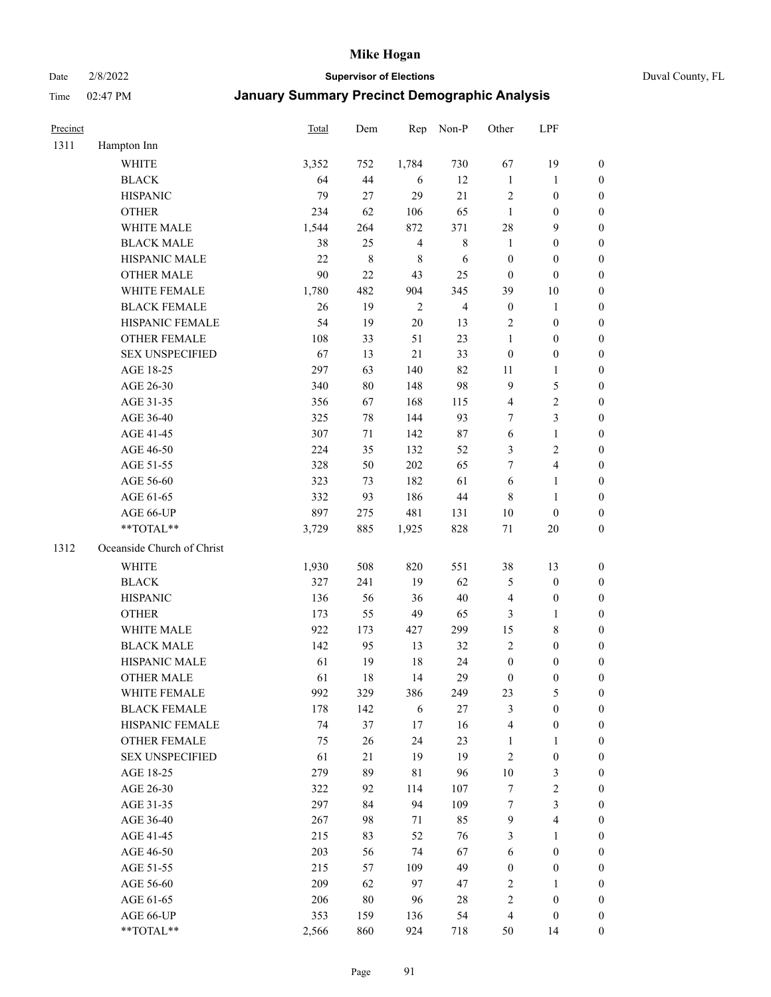Date 2/8/2022 **Supervisor of Elections** Duval County, FL

| Precinct |                            | <b>Total</b> | Dem       | Rep            | Non-P          | Other                   | LPF                     |                  |
|----------|----------------------------|--------------|-----------|----------------|----------------|-------------------------|-------------------------|------------------|
| 1311     | Hampton Inn                |              |           |                |                |                         |                         |                  |
|          | <b>WHITE</b>               | 3,352        | 752       | 1,784          | 730            | 67                      | 19                      | 0                |
|          | <b>BLACK</b>               | 64           | 44        | 6              | 12             | $\mathbf{1}$            | $\mathbf{1}$            | 0                |
|          | <b>HISPANIC</b>            | 79           | 27        | 29             | 21             | $\mathfrak{2}$          | $\boldsymbol{0}$        | $\boldsymbol{0}$ |
|          | <b>OTHER</b>               | 234          | 62        | 106            | 65             | $\mathbf{1}$            | $\boldsymbol{0}$        | $\boldsymbol{0}$ |
|          | WHITE MALE                 | 1,544        | 264       | 872            | 371            | 28                      | 9                       | $\boldsymbol{0}$ |
|          | <b>BLACK MALE</b>          | 38           | 25        | $\overline{4}$ | $\,$ 8 $\,$    | $\mathbf{1}$            | $\boldsymbol{0}$        | $\boldsymbol{0}$ |
|          | HISPANIC MALE              | 22           | $\,$ $\,$ | $\,$ 8 $\,$    | 6              | $\boldsymbol{0}$        | $\boldsymbol{0}$        | $\boldsymbol{0}$ |
|          | <b>OTHER MALE</b>          | 90           | 22        | 43             | 25             | $\boldsymbol{0}$        | $\boldsymbol{0}$        | $\boldsymbol{0}$ |
|          | WHITE FEMALE               | 1,780        | 482       | 904            | 345            | 39                      | $10\,$                  | $\boldsymbol{0}$ |
|          | <b>BLACK FEMALE</b>        | 26           | 19        | $\sqrt{2}$     | $\overline{4}$ | $\boldsymbol{0}$        | $\mathbf{1}$            | 0                |
|          | HISPANIC FEMALE            | 54           | 19        | 20             | 13             | $\mathbf{2}$            | $\boldsymbol{0}$        | 0                |
|          | <b>OTHER FEMALE</b>        | 108          | 33        | 51             | 23             | 1                       | $\boldsymbol{0}$        | $\boldsymbol{0}$ |
|          | <b>SEX UNSPECIFIED</b>     | 67           | 13        | 21             | 33             | $\boldsymbol{0}$        | $\boldsymbol{0}$        | $\boldsymbol{0}$ |
|          | AGE 18-25                  | 297          | 63        | 140            | 82             | 11                      | $\mathbf{1}$            | $\boldsymbol{0}$ |
|          | AGE 26-30                  | 340          | 80        | 148            | 98             | 9                       | $\mathfrak{S}$          | $\boldsymbol{0}$ |
|          | AGE 31-35                  | 356          | 67        | 168            | 115            | $\overline{\mathbf{4}}$ | $\sqrt{2}$              | $\boldsymbol{0}$ |
|          | AGE 36-40                  | 325          | $78\,$    | 144            | 93             | $\tau$                  | $\mathfrak{Z}$          | $\boldsymbol{0}$ |
|          | AGE 41-45                  | 307          | 71        | 142            | $87\,$         | $\sqrt{6}$              | $\mathbf{1}$            | $\boldsymbol{0}$ |
|          | AGE 46-50                  | 224          | 35        | 132            | 52             | 3                       | $\sqrt{2}$              | $\boldsymbol{0}$ |
|          | AGE 51-55                  | 328          | 50        | 202            | 65             | 7                       | $\overline{4}$          | 0                |
|          | AGE 56-60                  | 323          | 73        | 182            | 61             | 6                       | $\mathbf{1}$            | 0                |
|          | AGE 61-65                  | 332          | 93        | 186            | 44             | 8                       | $\mathbf{1}$            | 0                |
|          | AGE 66-UP                  | 897          | 275       | 481            | 131            | $10\,$                  | $\boldsymbol{0}$        | $\boldsymbol{0}$ |
|          | **TOTAL**                  | 3,729        | 885       | 1,925          | 828            | $71\,$                  | $20\,$                  | $\boldsymbol{0}$ |
| 1312     | Oceanside Church of Christ |              |           |                |                |                         |                         |                  |
|          | <b>WHITE</b>               | 1,930        | 508       | 820            | 551            | 38                      | 13                      | $\boldsymbol{0}$ |
|          | <b>BLACK</b>               | 327          | 241       | 19             | 62             | 5                       | $\boldsymbol{0}$        | $\boldsymbol{0}$ |
|          | <b>HISPANIC</b>            | 136          | 56        | 36             | $40\,$         | 4                       | $\boldsymbol{0}$        | $\boldsymbol{0}$ |
|          | <b>OTHER</b>               | 173          | 55        | 49             | 65             | 3                       | $\mathbf{1}$            | $\boldsymbol{0}$ |
|          | WHITE MALE                 | 922          | 173       | 427            | 299            | 15                      | $8\,$                   | $\boldsymbol{0}$ |
|          | <b>BLACK MALE</b>          | 142          | 95        | 13             | 32             | $\overline{2}$          | $\boldsymbol{0}$        | $\boldsymbol{0}$ |
|          | HISPANIC MALE              | 61           | 19        | 18             | 24             | $\boldsymbol{0}$        | $\boldsymbol{0}$        | $\boldsymbol{0}$ |
|          | <b>OTHER MALE</b>          | 61           | 18        | 14             | 29             | $\boldsymbol{0}$        | $\boldsymbol{0}$        | $\boldsymbol{0}$ |
|          | WHITE FEMALE               | 992          | 329       | 386            | 249            | 23                      | 5                       | 0                |
|          | <b>BLACK FEMALE</b>        | 178          | 142       | 6              | 27             | 3                       | $\boldsymbol{0}$        | $\overline{0}$   |
|          | HISPANIC FEMALE            | 74           | 37        | $17$           | 16             | 4                       | $\boldsymbol{0}$        | $\overline{0}$   |
|          | <b>OTHER FEMALE</b>        | 75           | 26        | 24             | 23             | $\mathbf{1}$            | $\mathbf{1}$            | 0                |
|          | <b>SEX UNSPECIFIED</b>     | 61           | 21        | 19             | 19             | 2                       | $\boldsymbol{0}$        | 0                |
|          | AGE 18-25                  | 279          | 89        | 81             | 96             | $10\,$                  | $\mathfrak{Z}$          | 0                |
|          | AGE 26-30                  | 322          | 92        | 114            | 107            | 7                       | $\sqrt{2}$              | 0                |
|          | AGE 31-35                  | 297          | 84        | 94             | 109            | 7                       | $\mathfrak{Z}$          | 0                |
|          | AGE 36-40                  | 267          | 98        | 71             | 85             | $\mathbf{9}$            | $\overline{\mathbf{4}}$ | 0                |
|          | AGE 41-45                  | 215          | 83        | 52             | 76             | 3                       | $\mathbf{1}$            | 0                |
|          | AGE 46-50                  | 203          | 56        | 74             | 67             | 6                       | $\boldsymbol{0}$        | 0                |
|          | AGE 51-55                  | 215          | 57        | 109            | 49             | $\boldsymbol{0}$        | $\boldsymbol{0}$        | 0                |
|          | AGE 56-60                  | 209          | 62        | 97             | 47             | 2                       | 1                       | 0                |
|          | AGE 61-65                  | 206          | $80\,$    | 96             | 28             | 2                       | $\boldsymbol{0}$        | 0                |
|          | AGE 66-UP                  | 353          | 159       | 136            | 54             | 4                       | $\boldsymbol{0}$        | 0                |
|          | **TOTAL**                  | 2,566        | 860       | 924            | 718            | 50                      | 14                      | $\boldsymbol{0}$ |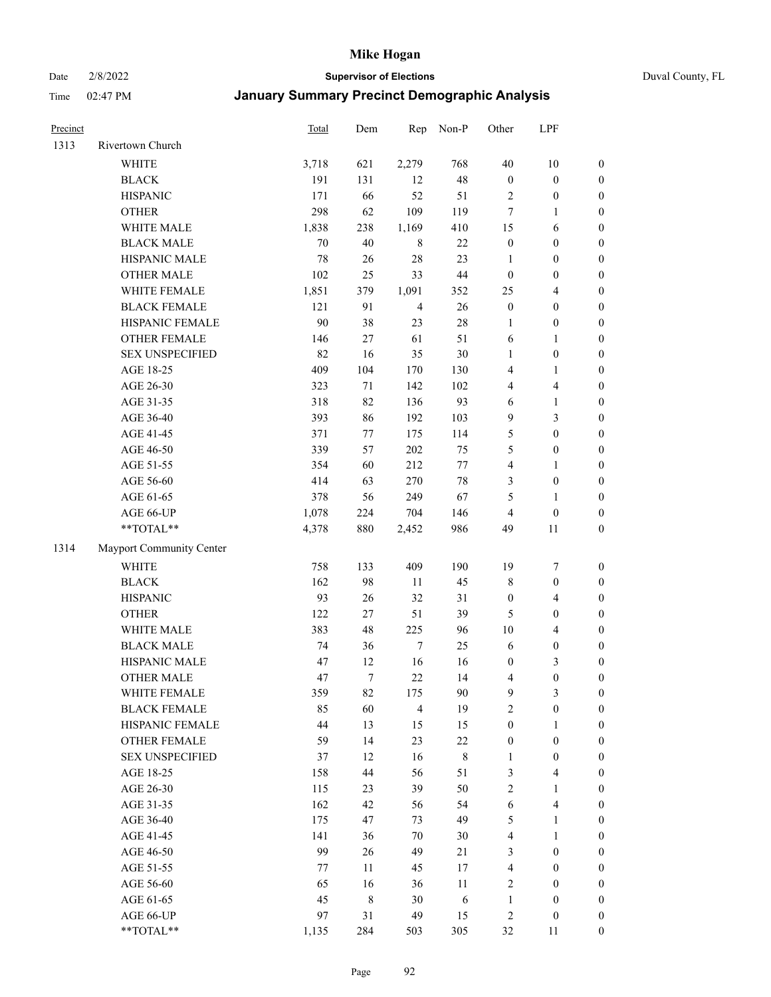#### Date 2/8/2022 **Supervisor of Elections** Duval County, FL

| Precinct |                          | Total | Dem    | Rep            | Non-P  | Other                   | LPF                     |                  |
|----------|--------------------------|-------|--------|----------------|--------|-------------------------|-------------------------|------------------|
| 1313     | Rivertown Church         |       |        |                |        |                         |                         |                  |
|          | <b>WHITE</b>             | 3,718 | 621    | 2,279          | 768    | 40                      | $10\,$                  | $\boldsymbol{0}$ |
|          | <b>BLACK</b>             | 191   | 131    | 12             | 48     | $\boldsymbol{0}$        | $\boldsymbol{0}$        | $\boldsymbol{0}$ |
|          | <b>HISPANIC</b>          | 171   | 66     | 52             | 51     | $\overline{c}$          | $\boldsymbol{0}$        | $\boldsymbol{0}$ |
|          | <b>OTHER</b>             | 298   | 62     | 109            | 119    | 7                       | 1                       | $\boldsymbol{0}$ |
|          | WHITE MALE               | 1,838 | 238    | 1,169          | 410    | 15                      | 6                       | $\boldsymbol{0}$ |
|          | <b>BLACK MALE</b>        | 70    | 40     | $\,8\,$        | 22     | $\boldsymbol{0}$        | $\boldsymbol{0}$        | $\boldsymbol{0}$ |
|          | HISPANIC MALE            | 78    | 26     | 28             | 23     | $\mathbf{1}$            | $\boldsymbol{0}$        | $\boldsymbol{0}$ |
|          | <b>OTHER MALE</b>        | 102   | 25     | 33             | $44\,$ | $\boldsymbol{0}$        | $\boldsymbol{0}$        | $\boldsymbol{0}$ |
|          | WHITE FEMALE             | 1,851 | 379    | 1,091          | 352    | 25                      | $\overline{4}$          | $\boldsymbol{0}$ |
|          | <b>BLACK FEMALE</b>      | 121   | 91     | $\overline{4}$ | 26     | $\boldsymbol{0}$        | $\boldsymbol{0}$        | $\boldsymbol{0}$ |
|          | HISPANIC FEMALE          | 90    | 38     | 23             | $28\,$ | 1                       | $\boldsymbol{0}$        | 0                |
|          | <b>OTHER FEMALE</b>      | 146   | 27     | 61             | 51     | 6                       | $\mathbf{1}$            | $\boldsymbol{0}$ |
|          | <b>SEX UNSPECIFIED</b>   | 82    | 16     | 35             | 30     | $\mathbf{1}$            | $\boldsymbol{0}$        | $\boldsymbol{0}$ |
|          | AGE 18-25                | 409   | 104    | 170            | 130    | 4                       | 1                       | $\boldsymbol{0}$ |
|          | AGE 26-30                | 323   | 71     | 142            | 102    | 4                       | $\overline{\mathbf{4}}$ | $\boldsymbol{0}$ |
|          | AGE 31-35                | 318   | 82     | 136            | 93     | 6                       | $\mathbf{1}$            | $\boldsymbol{0}$ |
|          | AGE 36-40                | 393   | 86     | 192            | 103    | 9                       | $\mathfrak{Z}$          | $\boldsymbol{0}$ |
|          | AGE 41-45                | 371   | 77     | 175            | 114    | 5                       | $\boldsymbol{0}$        | $\boldsymbol{0}$ |
|          | AGE 46-50                | 339   | 57     | 202            | 75     | 5                       | $\boldsymbol{0}$        | $\boldsymbol{0}$ |
|          | AGE 51-55                | 354   | 60     | 212            | $77\,$ | $\overline{4}$          | 1                       | $\boldsymbol{0}$ |
|          | AGE 56-60                | 414   | 63     | 270            | $78\,$ | 3                       | $\boldsymbol{0}$        | 0                |
|          | AGE 61-65                | 378   | 56     | 249            | 67     | 5                       | $\mathbf{1}$            | 0                |
|          | AGE 66-UP                | 1,078 | 224    | 704            | 146    | $\overline{4}$          | $\boldsymbol{0}$        | $\boldsymbol{0}$ |
|          | **TOTAL**                | 4,378 | 880    | 2,452          | 986    | 49                      | 11                      | $\boldsymbol{0}$ |
| 1314     | Mayport Community Center |       |        |                |        |                         |                         |                  |
|          | <b>WHITE</b>             | 758   | 133    | 409            | 190    | 19                      | $\boldsymbol{7}$        | $\boldsymbol{0}$ |
|          | <b>BLACK</b>             | 162   | 98     | $11\,$         | 45     | 8                       | $\boldsymbol{0}$        | $\boldsymbol{0}$ |
|          | <b>HISPANIC</b>          | 93    | 26     | 32             | 31     | $\boldsymbol{0}$        | $\overline{4}$          | $\boldsymbol{0}$ |
|          | <b>OTHER</b>             | 122   | 27     | 51             | 39     | 5                       | $\boldsymbol{0}$        | $\boldsymbol{0}$ |
|          | WHITE MALE               | 383   | 48     | 225            | 96     | $10\,$                  | $\overline{4}$          | $\boldsymbol{0}$ |
|          | <b>BLACK MALE</b>        | 74    | 36     | $\tau$         | 25     | 6                       | $\boldsymbol{0}$        | $\boldsymbol{0}$ |
|          | HISPANIC MALE            | 47    | 12     | 16             | 16     | $\boldsymbol{0}$        | $\mathfrak{Z}$          | $\boldsymbol{0}$ |
|          | OTHER MALE               | 47    | $\tau$ | 22             | 14     | 4                       | $\boldsymbol{0}$        | $\boldsymbol{0}$ |
|          | WHITE FEMALE             | 359   | 82     | 175            | 90     | 9                       | 3                       | 0                |
|          | <b>BLACK FEMALE</b>      | 85    | 60     | $\overline{4}$ | 19     | 2                       | $\boldsymbol{0}$        | $\boldsymbol{0}$ |
|          | HISPANIC FEMALE          | 44    | 13     | 15             | 15     | $\boldsymbol{0}$        | 1                       | $\overline{0}$   |
|          | OTHER FEMALE             | 59    | 14     | 23             | $22\,$ | $\boldsymbol{0}$        | $\boldsymbol{0}$        | $\overline{0}$   |
|          | <b>SEX UNSPECIFIED</b>   | 37    | 12     | 16             | 8      | $\mathbf{1}$            | $\boldsymbol{0}$        | 0                |
|          | AGE 18-25                | 158   | 44     | 56             | 51     | 3                       | $\overline{\mathbf{4}}$ | 0                |
|          | AGE 26-30                | 115   | 23     | 39             | 50     | 2                       | $\mathbf{1}$            | 0                |
|          | AGE 31-35                | 162   | 42     | 56             | 54     | 6                       | $\overline{\mathbf{4}}$ | 0                |
|          | AGE 36-40                | 175   | 47     | 73             | 49     | 5                       | $\mathbf{1}$            | 0                |
|          | AGE 41-45                | 141   | 36     | 70             | $30\,$ | $\overline{\mathbf{4}}$ | $\mathbf{1}$            | 0                |
|          | AGE 46-50                | 99    | 26     | 49             | 21     | 3                       | $\boldsymbol{0}$        | 0                |
|          | AGE 51-55                | 77    | 11     | 45             | 17     | $\overline{\mathbf{4}}$ | $\boldsymbol{0}$        | 0                |
|          | AGE 56-60                | 65    | 16     | 36             | 11     | 2                       | $\boldsymbol{0}$        | 0                |
|          | AGE 61-65                | 45    | 8      | 30             | 6      | $\mathbf{1}$            | $\boldsymbol{0}$        | 0                |
|          | AGE 66-UP                | 97    | 31     | 49             | 15     | $\overline{c}$          | $\boldsymbol{0}$        | 0                |
|          | **TOTAL**                | 1,135 | 284    | 503            | 305    | 32                      | 11                      | $\boldsymbol{0}$ |
|          |                          |       |        |                |        |                         |                         |                  |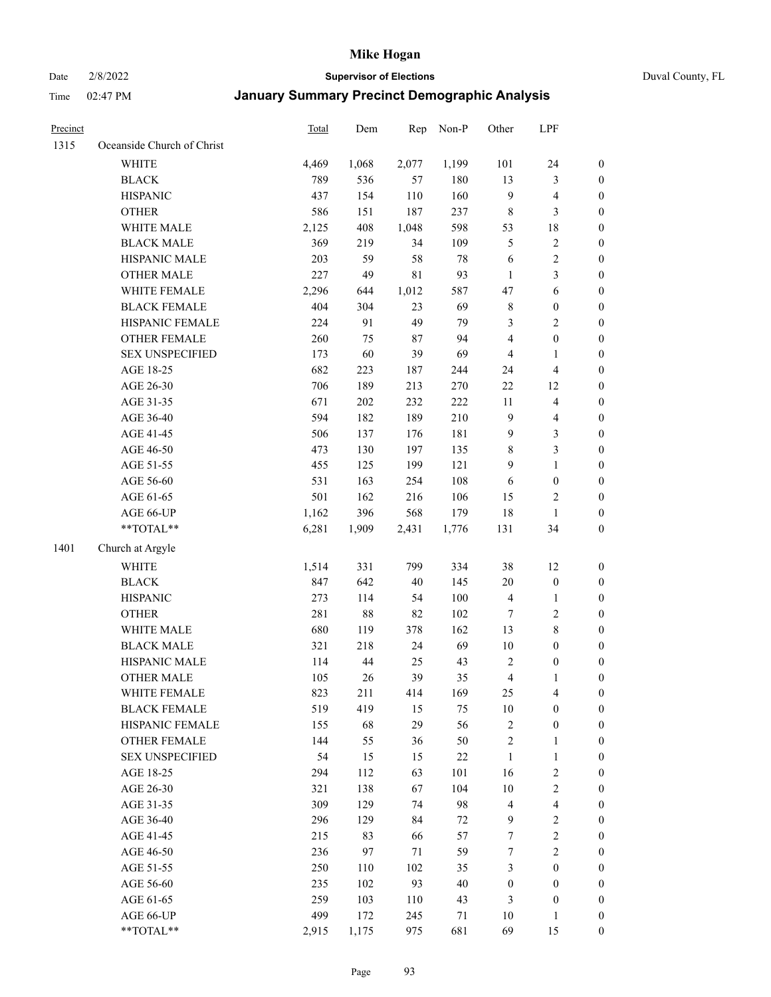Date 2/8/2022 **Supervisor of Elections** Duval County, FL

| Precinct |                            | Total | Dem    | Rep         | Non-P  | Other                   | LPF                     |                  |
|----------|----------------------------|-------|--------|-------------|--------|-------------------------|-------------------------|------------------|
| 1315     | Oceanside Church of Christ |       |        |             |        |                         |                         |                  |
|          | WHITE                      | 4,469 | 1,068  | 2,077       | 1,199  | 101                     | 24                      | 0                |
|          | <b>BLACK</b>               | 789   | 536    | 57          | 180    | 13                      | $\mathfrak{Z}$          | $\boldsymbol{0}$ |
|          | <b>HISPANIC</b>            | 437   | 154    | 110         | 160    | 9                       | $\overline{\mathbf{4}}$ | $\boldsymbol{0}$ |
|          | <b>OTHER</b>               | 586   | 151    | 187         | 237    | $\,$ 8 $\,$             | $\mathfrak{Z}$          | $\boldsymbol{0}$ |
|          | WHITE MALE                 | 2,125 | 408    | 1,048       | 598    | 53                      | $18\,$                  | $\boldsymbol{0}$ |
|          | <b>BLACK MALE</b>          | 369   | 219    | 34          | 109    | 5                       | $\sqrt{2}$              | $\boldsymbol{0}$ |
|          | HISPANIC MALE              | 203   | 59     | 58          | 78     | 6                       | $\sqrt{2}$              | $\boldsymbol{0}$ |
|          | <b>OTHER MALE</b>          | 227   | 49     | $8\sqrt{1}$ | 93     | $\mathbf{1}$            | $\mathfrak{Z}$          | $\boldsymbol{0}$ |
|          | WHITE FEMALE               | 2,296 | 644    | 1,012       | 587    | 47                      | $\sqrt{6}$              | $\boldsymbol{0}$ |
|          | <b>BLACK FEMALE</b>        | 404   | 304    | 23          | 69     | $\,$ 8 $\,$             | $\boldsymbol{0}$        | 0                |
|          | HISPANIC FEMALE            | 224   | 91     | 49          | 79     | 3                       | $\sqrt{2}$              | 0                |
|          | OTHER FEMALE               | 260   | 75     | 87          | 94     | 4                       | $\boldsymbol{0}$        | 0                |
|          | <b>SEX UNSPECIFIED</b>     | 173   | 60     | 39          | 69     | $\overline{4}$          | $\mathbf{1}$            | $\boldsymbol{0}$ |
|          | AGE 18-25                  | 682   | 223    | 187         | 244    | 24                      | $\overline{\mathbf{4}}$ | $\boldsymbol{0}$ |
|          | AGE 26-30                  | 706   | 189    | 213         | 270    | $22\,$                  | 12                      | $\boldsymbol{0}$ |
|          | AGE 31-35                  | 671   | 202    | 232         | 222    | 11                      | $\overline{\mathbf{4}}$ | $\boldsymbol{0}$ |
|          | AGE 36-40                  | 594   | 182    | 189         | 210    | $\mathbf{9}$            | $\overline{\mathbf{4}}$ | $\boldsymbol{0}$ |
|          | AGE 41-45                  | 506   | 137    | 176         | 181    | 9                       | $\mathfrak{Z}$          | $\boldsymbol{0}$ |
|          | AGE 46-50                  | 473   | 130    | 197         | 135    | 8                       | $\mathfrak{Z}$          | $\boldsymbol{0}$ |
|          | AGE 51-55                  | 455   | 125    | 199         | 121    | $\overline{9}$          | $\mathbf{1}$            | $\boldsymbol{0}$ |
|          | AGE 56-60                  | 531   | 163    | 254         | 108    | 6                       | $\boldsymbol{0}$        | 0                |
|          | AGE 61-65                  | 501   | 162    | 216         | 106    | 15                      | $\overline{c}$          | 0                |
|          | AGE 66-UP                  | 1,162 | 396    | 568         | 179    | 18                      | $\mathbf{1}$            | $\boldsymbol{0}$ |
|          | **TOTAL**                  | 6,281 | 1,909  | 2,431       | 1,776  | 131                     | 34                      | $\boldsymbol{0}$ |
| 1401     | Church at Argyle           |       |        |             |        |                         |                         |                  |
|          | <b>WHITE</b>               | 1,514 | 331    | 799         | 334    | 38                      | 12                      | $\boldsymbol{0}$ |
|          | <b>BLACK</b>               | 847   | 642    | 40          | 145    | $20\,$                  | $\boldsymbol{0}$        | $\boldsymbol{0}$ |
|          | <b>HISPANIC</b>            | 273   | 114    | 54          | 100    | 4                       | $\mathbf{1}$            | $\boldsymbol{0}$ |
|          | <b>OTHER</b>               | 281   | $88\,$ | 82          | 102    | 7                       | $\sqrt{2}$              | $\boldsymbol{0}$ |
|          | WHITE MALE                 | 680   | 119    | 378         | 162    | 13                      | $8\,$                   | $\boldsymbol{0}$ |
|          | <b>BLACK MALE</b>          | 321   | 218    | 24          | 69     | $10\,$                  | $\boldsymbol{0}$        | $\boldsymbol{0}$ |
|          | HISPANIC MALE              | 114   | 44     | 25          | 43     | $\overline{2}$          | $\boldsymbol{0}$        | 0                |
|          | <b>OTHER MALE</b>          | 105   | 26     | 39          | 35     | $\overline{\mathbf{4}}$ | 1                       | $\boldsymbol{0}$ |
|          | WHITE FEMALE               | 823   | 211    | 414         | 169    | 25                      | 4                       | 0                |
|          | <b>BLACK FEMALE</b>        | 519   | 419    | 15          | 75     | 10                      | $\boldsymbol{0}$        | $\overline{0}$   |
|          | HISPANIC FEMALE            | 155   | 68     | 29          | 56     | $\sqrt{2}$              | $\boldsymbol{0}$        | $\overline{0}$   |
|          | OTHER FEMALE               | 144   | 55     | 36          | 50     | $\overline{c}$          | $\mathbf{1}$            | $\overline{0}$   |
|          | <b>SEX UNSPECIFIED</b>     | 54    | 15     | 15          | $22\,$ | $\mathbf{1}$            | $\mathbf{1}$            | 0                |
|          | AGE 18-25                  | 294   | 112    | 63          | 101    | 16                      | $\sqrt{2}$              | 0                |
|          | AGE 26-30                  | 321   | 138    | 67          | 104    | $10\,$                  | $\overline{2}$          | 0                |
|          | AGE 31-35                  | 309   | 129    | 74          | 98     | 4                       | $\overline{\mathbf{4}}$ | 0                |
|          | AGE 36-40                  | 296   | 129    | 84          | 72     | 9                       | $\sqrt{2}$              | 0                |
|          | AGE 41-45                  | 215   | 83     | 66          | 57     | 7                       | $\sqrt{2}$              | 0                |
|          | AGE 46-50                  | 236   | 97     | $71\,$      | 59     | $\boldsymbol{7}$        | $\sqrt{2}$              | 0                |
|          | AGE 51-55                  | 250   | 110    | 102         | 35     | 3                       | $\boldsymbol{0}$        | 0                |
|          | AGE 56-60                  | 235   | 102    | 93          | 40     | $\boldsymbol{0}$        | $\boldsymbol{0}$        | $\overline{0}$   |
|          | AGE 61-65                  | 259   | 103    | 110         | 43     | 3                       | $\boldsymbol{0}$        | $\overline{0}$   |
|          | AGE 66-UP                  | 499   | 172    | 245         | 71     | 10                      | $\mathbf{1}$            | 0                |
|          | **TOTAL**                  | 2,915 | 1,175  | 975         | 681    | 69                      | 15                      | $\boldsymbol{0}$ |
|          |                            |       |        |             |        |                         |                         |                  |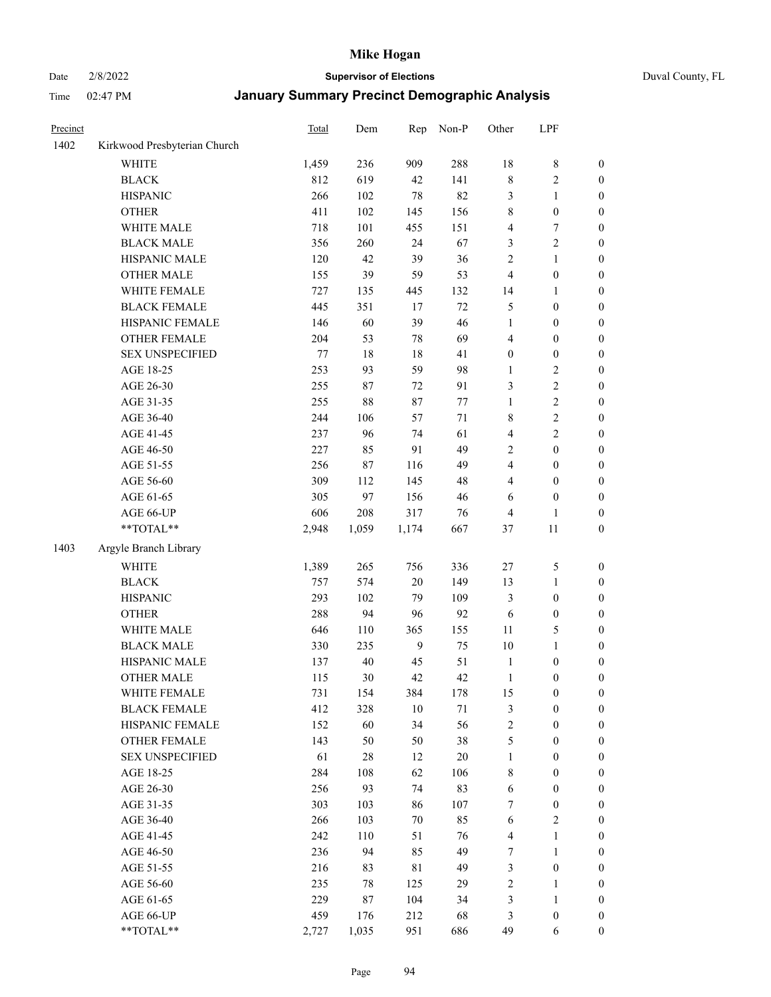# Date 2/8/2022 **Supervisor of Elections** Duval County, FL

| Precinct |                              | Total | Dem    | Rep         | Non-P   | Other                   | LPF              |                  |
|----------|------------------------------|-------|--------|-------------|---------|-------------------------|------------------|------------------|
| 1402     | Kirkwood Presbyterian Church |       |        |             |         |                         |                  |                  |
|          | <b>WHITE</b>                 | 1,459 | 236    | 909         | 288     | 18                      | $\,$ 8 $\,$      | 0                |
|          | <b>BLACK</b>                 | 812   | 619    | 42          | 141     | $\,$ $\,$               | $\sqrt{2}$       | 0                |
|          | <b>HISPANIC</b>              | 266   | 102    | $78\,$      | 82      | 3                       | $\mathbf{1}$     | $\boldsymbol{0}$ |
|          | <b>OTHER</b>                 | 411   | 102    | 145         | 156     | $\,$ $\,$               | $\boldsymbol{0}$ | $\boldsymbol{0}$ |
|          | WHITE MALE                   | 718   | 101    | 455         | 151     | 4                       | $\boldsymbol{7}$ | $\boldsymbol{0}$ |
|          | <b>BLACK MALE</b>            | 356   | 260    | 24          | 67      | 3                       | $\sqrt{2}$       | $\boldsymbol{0}$ |
|          | HISPANIC MALE                | 120   | 42     | 39          | 36      | $\overline{c}$          | $\mathbf{1}$     | $\boldsymbol{0}$ |
|          | <b>OTHER MALE</b>            | 155   | 39     | 59          | 53      | $\overline{\mathbf{4}}$ | $\boldsymbol{0}$ | $\boldsymbol{0}$ |
|          | WHITE FEMALE                 | 727   | 135    | 445         | 132     | 14                      | 1                | $\boldsymbol{0}$ |
|          | <b>BLACK FEMALE</b>          | 445   | 351    | 17          | $72\,$  | 5                       | $\boldsymbol{0}$ | $\boldsymbol{0}$ |
|          | HISPANIC FEMALE              | 146   | 60     | 39          | 46      | $\mathbf{1}$            | $\boldsymbol{0}$ | $\boldsymbol{0}$ |
|          | OTHER FEMALE                 | 204   | 53     | $78\,$      | 69      | 4                       | $\boldsymbol{0}$ | $\boldsymbol{0}$ |
|          | <b>SEX UNSPECIFIED</b>       | 77    | 18     | 18          | 41      | $\boldsymbol{0}$        | $\boldsymbol{0}$ | $\boldsymbol{0}$ |
|          | AGE 18-25                    | 253   | 93     | 59          | 98      | $\mathbf{1}$            | $\sqrt{2}$       | $\boldsymbol{0}$ |
|          | AGE 26-30                    | 255   | 87     | 72          | 91      | 3                       | $\sqrt{2}$       | $\boldsymbol{0}$ |
|          | AGE 31-35                    | 255   | 88     | $87\,$      | $77 \,$ | $\mathbf{1}$            | $\sqrt{2}$       | $\boldsymbol{0}$ |
|          | AGE 36-40                    | 244   | 106    | 57          | 71      | 8                       | $\overline{c}$   | $\boldsymbol{0}$ |
|          | AGE 41-45                    | 237   | 96     | 74          | 61      | $\overline{\mathbf{4}}$ | $\overline{c}$   | $\boldsymbol{0}$ |
|          | AGE 46-50                    | 227   | 85     | 91          | 49      | $\overline{c}$          | $\boldsymbol{0}$ | $\boldsymbol{0}$ |
|          | AGE 51-55                    | 256   | $87\,$ | 116         | 49      | 4                       | $\boldsymbol{0}$ | $\boldsymbol{0}$ |
|          | AGE 56-60                    | 309   | 112    | 145         | $48\,$  | $\overline{\mathbf{4}}$ | $\boldsymbol{0}$ | $\boldsymbol{0}$ |
|          | AGE 61-65                    | 305   | 97     | 156         | $46\,$  | 6                       | $\boldsymbol{0}$ | $\boldsymbol{0}$ |
|          | AGE 66-UP                    | 606   | 208    | 317         | 76      | 4                       | $\mathbf{1}$     | $\boldsymbol{0}$ |
|          | **TOTAL**                    | 2,948 | 1,059  | 1,174       | 667     | 37                      | $11\,$           | $\boldsymbol{0}$ |
| 1403     | Argyle Branch Library        |       |        |             |         |                         |                  |                  |
|          | <b>WHITE</b>                 | 1,389 | 265    | 756         | 336     | 27                      | $\mathfrak{S}$   | $\boldsymbol{0}$ |
|          | <b>BLACK</b>                 | 757   | 574    | $20\,$      | 149     | 13                      | $\mathbf{1}$     | $\boldsymbol{0}$ |
|          | <b>HISPANIC</b>              | 293   | 102    | 79          | 109     | 3                       | $\boldsymbol{0}$ | $\boldsymbol{0}$ |
|          | <b>OTHER</b>                 | 288   | 94     | 96          | 92      | 6                       | $\boldsymbol{0}$ | $\boldsymbol{0}$ |
|          | WHITE MALE                   | 646   | 110    | 365         | 155     | $11\,$                  | 5                | $\boldsymbol{0}$ |
|          | <b>BLACK MALE</b>            | 330   | 235    | 9           | $75\,$  | $10\,$                  | $\mathbf{1}$     | $\boldsymbol{0}$ |
|          | HISPANIC MALE                | 137   | $40\,$ | 45          | 51      | $\mathbf{1}$            | $\boldsymbol{0}$ | 0                |
|          | <b>OTHER MALE</b>            | 115   | 30     | 42          | 42      | $\mathbf{1}$            | $\boldsymbol{0}$ | $\boldsymbol{0}$ |
|          | WHITE FEMALE                 | 731   | 154    | 384         | 178     | 15                      | 0                | 0                |
|          | <b>BLACK FEMALE</b>          | 412   | 328    | $10\,$      | 71      | 3                       | $\boldsymbol{0}$ | $\overline{0}$   |
|          | HISPANIC FEMALE              | 152   | 60     | 34          | 56      | $\sqrt{2}$              | $\boldsymbol{0}$ | $\overline{0}$   |
|          | OTHER FEMALE                 | 143   | 50     | 50          | 38      | 5                       | $\boldsymbol{0}$ | $\overline{0}$   |
|          | <b>SEX UNSPECIFIED</b>       | 61    | $28\,$ | 12          | $20\,$  | $\mathbf{1}$            | $\boldsymbol{0}$ | 0                |
|          | AGE 18-25                    | 284   | 108    | 62          | 106     | $\,$ $\,$               | $\boldsymbol{0}$ | 0                |
|          | AGE 26-30                    | 256   | 93     | 74          | 83      | 6                       | $\boldsymbol{0}$ | 0                |
|          | AGE 31-35                    | 303   | 103    | 86          | 107     | 7                       | $\boldsymbol{0}$ | 0                |
|          | AGE 36-40                    | 266   | 103    | $70\,$      | 85      | 6                       | $\sqrt{2}$       | 0                |
|          | AGE 41-45                    | 242   | 110    | 51          | 76      | $\overline{4}$          | $\mathbf{1}$     | 0                |
|          | AGE 46-50                    | 236   | 94     | 85          | 49      | 7                       | $\mathbf{1}$     | 0                |
|          | AGE 51-55                    | 216   | 83     | $8\sqrt{1}$ | 49      | 3                       | $\boldsymbol{0}$ | 0                |
|          | AGE 56-60                    | 235   | 78     | 125         | 29      | 2                       | 1                | 0                |
|          | AGE 61-65                    | 229   | 87     | 104         | 34      | 3                       | $\mathbf{1}$     | 0                |
|          | AGE 66-UP                    | 459   | 176    | 212         | 68      | 3                       | $\boldsymbol{0}$ | 0                |
|          | **TOTAL**                    | 2,727 | 1,035  | 951         | 686     | 49                      | 6                | $\boldsymbol{0}$ |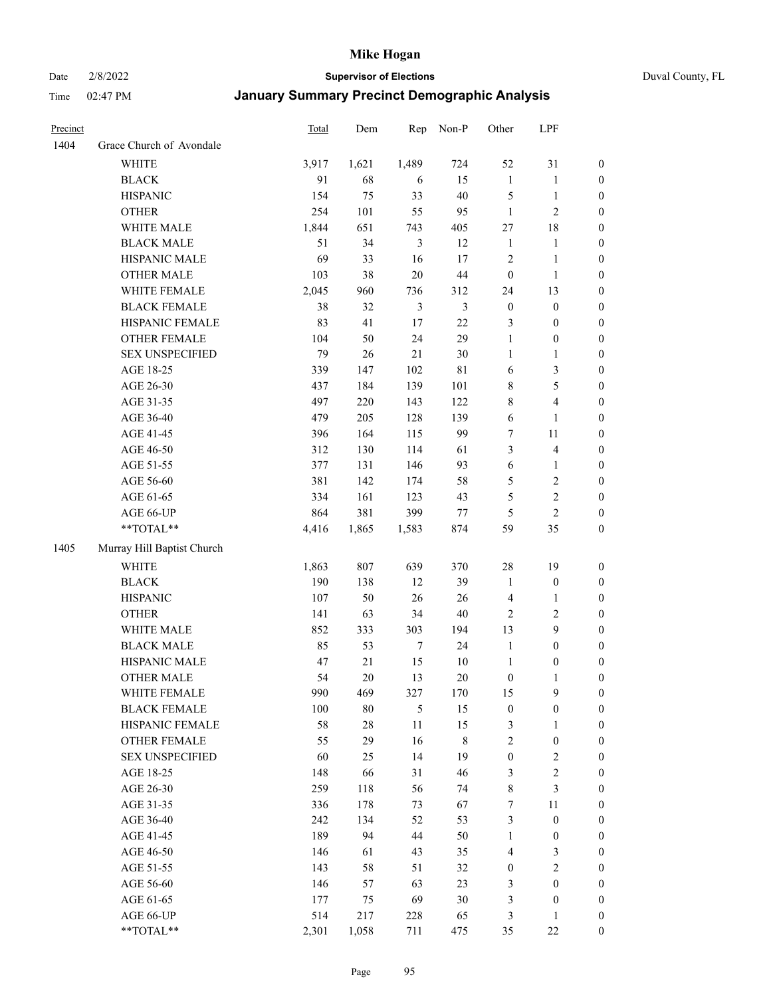Date 2/8/2022 **Supervisor of Elections** Duval County, FL

| Precinct |                            | <b>Total</b> | Dem    | Rep            | Non-P          | Other            | LPF                     |                  |
|----------|----------------------------|--------------|--------|----------------|----------------|------------------|-------------------------|------------------|
| 1404     | Grace Church of Avondale   |              |        |                |                |                  |                         |                  |
|          | <b>WHITE</b>               | 3,917        | 1,621  | 1,489          | 724            | 52               | 31                      | 0                |
|          | <b>BLACK</b>               | 91           | 68     | 6              | 15             | $\mathbf{1}$     | $\mathbf{1}$            | 0                |
|          | <b>HISPANIC</b>            | 154          | 75     | 33             | 40             | 5                | $\mathbf{1}$            | $\boldsymbol{0}$ |
|          | <b>OTHER</b>               | 254          | 101    | 55             | 95             | $\mathbf{1}$     | $\mathfrak{2}$          | $\boldsymbol{0}$ |
|          | WHITE MALE                 | 1,844        | 651    | 743            | 405            | 27               | $18\,$                  | $\boldsymbol{0}$ |
|          | <b>BLACK MALE</b>          | 51           | 34     | 3              | 12             | $\mathbf{1}$     | 1                       | $\boldsymbol{0}$ |
|          | HISPANIC MALE              | 69           | 33     | 16             | 17             | $\overline{c}$   | $\mathbf{1}$            | $\boldsymbol{0}$ |
|          | <b>OTHER MALE</b>          | 103          | 38     | $20\,$         | $44\,$         | $\boldsymbol{0}$ | $\mathbf{1}$            | $\boldsymbol{0}$ |
|          | WHITE FEMALE               | 2,045        | 960    | 736            | 312            | 24               | 13                      | $\boldsymbol{0}$ |
|          | <b>BLACK FEMALE</b>        | 38           | 32     | $\mathfrak{Z}$ | $\mathfrak{Z}$ | $\boldsymbol{0}$ | $\boldsymbol{0}$        | 0                |
|          | HISPANIC FEMALE            | 83           | 41     | 17             | $22\,$         | 3                | $\boldsymbol{0}$        | 0                |
|          | OTHER FEMALE               | 104          | 50     | 24             | 29             | $\mathbf{1}$     | $\boldsymbol{0}$        | $\boldsymbol{0}$ |
|          | <b>SEX UNSPECIFIED</b>     | 79           | 26     | $21\,$         | 30             | $\mathbf{1}$     | $\mathbf{1}$            | $\boldsymbol{0}$ |
|          | AGE 18-25                  | 339          | 147    | 102            | $8\sqrt{1}$    | 6                | $\mathfrak{Z}$          | $\boldsymbol{0}$ |
|          | AGE 26-30                  | 437          | 184    | 139            | 101            | 8                | $\mathfrak{S}$          | $\boldsymbol{0}$ |
|          | AGE 31-35                  | 497          | 220    | 143            | 122            | 8                | $\overline{\mathbf{4}}$ | $\boldsymbol{0}$ |
|          | AGE 36-40                  | 479          | 205    | 128            | 139            | 6                | $\mathbf{1}$            | $\boldsymbol{0}$ |
|          | AGE 41-45                  | 396          | 164    | 115            | 99             | 7                | $11\,$                  | $\boldsymbol{0}$ |
|          | AGE 46-50                  | 312          | 130    | 114            | 61             | 3                | $\overline{\mathbf{4}}$ | $\boldsymbol{0}$ |
|          | AGE 51-55                  | 377          | 131    | 146            | 93             | $\sqrt{6}$       | $\mathbf{1}$            | $\boldsymbol{0}$ |
|          | AGE 56-60                  | 381          | 142    | 174            | 58             | 5                | $\sqrt{2}$              | 0                |
|          | AGE 61-65                  | 334          | 161    | 123            | 43             | 5                | $\sqrt{2}$              | 0                |
|          | AGE 66-UP                  | 864          | 381    | 399            | 77             | $\mathfrak{S}$   | $\overline{2}$          | $\boldsymbol{0}$ |
|          | **TOTAL**                  | 4,416        | 1,865  | 1,583          | 874            | 59               | 35                      | $\boldsymbol{0}$ |
| 1405     | Murray Hill Baptist Church |              |        |                |                |                  |                         |                  |
|          | WHITE                      | 1,863        | 807    | 639            | 370            | $28\,$           | 19                      | $\boldsymbol{0}$ |
|          | <b>BLACK</b>               | 190          | 138    | 12             | 39             | $\mathbf{1}$     | $\boldsymbol{0}$        | $\boldsymbol{0}$ |
|          | <b>HISPANIC</b>            | 107          | 50     | 26             | 26             | 4                | $\mathbf{1}$            | $\boldsymbol{0}$ |
|          | <b>OTHER</b>               | 141          | 63     | 34             | $40\,$         | $\mathbf{2}$     | $\sqrt{2}$              | $\boldsymbol{0}$ |
|          | WHITE MALE                 | 852          | 333    | 303            | 194            | 13               | 9                       | $\boldsymbol{0}$ |
|          | <b>BLACK MALE</b>          | 85           | 53     | $\tau$         | 24             | $\mathbf{1}$     | $\boldsymbol{0}$        | $\boldsymbol{0}$ |
|          | HISPANIC MALE              | 47           | 21     | 15             | $10\,$         | $\mathbf{1}$     | $\boldsymbol{0}$        | $\boldsymbol{0}$ |
|          | OTHER MALE                 | 54           | 20     | 13             | $20\,$         | $\boldsymbol{0}$ | $\mathbf{1}$            | $\boldsymbol{0}$ |
|          | WHITE FEMALE               | 990          | 469    | 327            | 170            | 15               | 9                       | 0                |
|          | <b>BLACK FEMALE</b>        | 100          | $80\,$ | 5              | 15             | $\boldsymbol{0}$ | $\boldsymbol{0}$        | $\boldsymbol{0}$ |
|          | HISPANIC FEMALE            | 58           | $28\,$ | $11\,$         | 15             | 3                | $\mathbf{1}$            | $\overline{0}$   |
|          | OTHER FEMALE               | 55           | 29     | 16             | 8              | 2                | $\boldsymbol{0}$        | 0                |
|          | <b>SEX UNSPECIFIED</b>     | 60           | 25     | 14             | 19             | $\boldsymbol{0}$ | $\sqrt{2}$              | 0                |
|          | AGE 18-25                  | 148          | 66     | 31             | 46             | 3                | $\sqrt{2}$              | 0                |
|          | AGE 26-30                  | 259          | 118    | 56             | 74             | 8                | $\mathfrak{Z}$          | 0                |
|          | AGE 31-35                  | 336          | 178    | 73             | 67             | 7                | $11\,$                  | 0                |
|          | AGE 36-40                  | 242          | 134    | 52             | 53             | 3                | $\boldsymbol{0}$        | 0                |
|          | AGE 41-45                  | 189          | 94     | 44             | 50             | $\mathbf{1}$     | $\boldsymbol{0}$        | 0                |
|          | AGE 46-50                  | 146          | 61     | 43             | 35             | 4                | 3                       | 0                |
|          | AGE 51-55                  | 143          | 58     | 51             | 32             | $\boldsymbol{0}$ | $\sqrt{2}$              | 0                |
|          | AGE 56-60                  | 146          | 57     | 63             | 23             | 3                | $\boldsymbol{0}$        | $\overline{0}$   |
|          | AGE 61-65                  | 177          | 75     | 69             | $30\,$         | 3                | $\boldsymbol{0}$        | $\overline{0}$   |
|          | AGE 66-UP                  | 514          | 217    | 228            | 65             | 3                | $\mathbf{1}$            | 0                |
|          | **TOTAL**                  | 2,301        | 1,058  | 711            | 475            | 35               | $22\,$                  | $\boldsymbol{0}$ |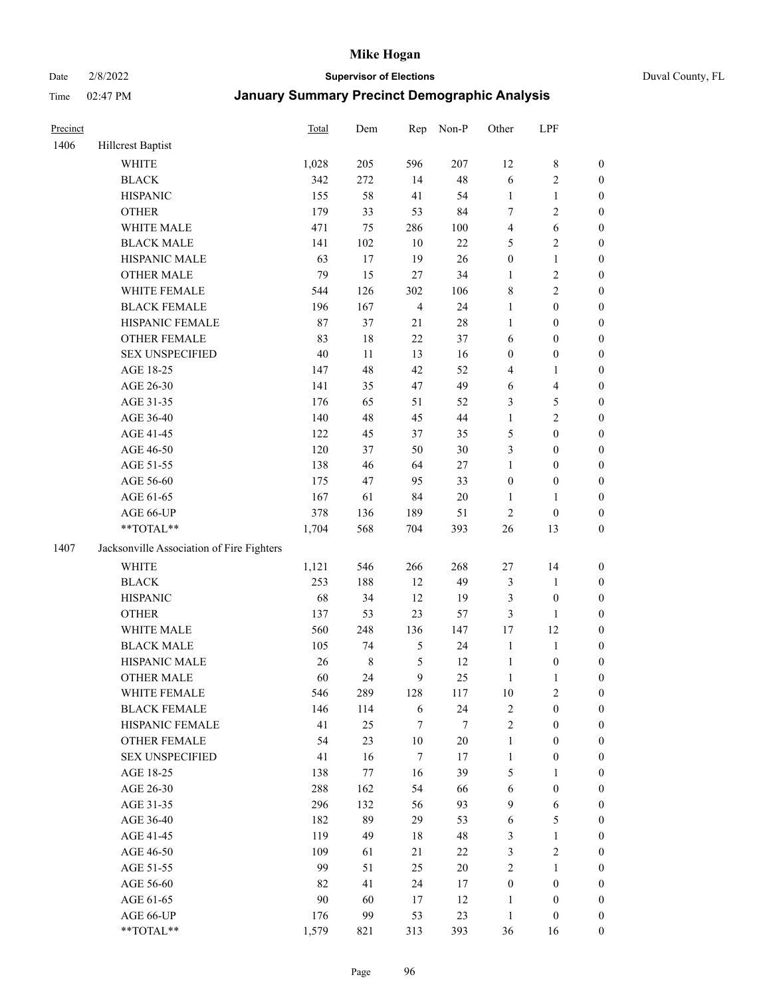#### Date 2/8/2022 **Supervisor of Elections** Duval County, FL

| Precinct |                                           | <b>Total</b> | Dem         | Rep            | Non-P  | Other            | LPF              |                  |
|----------|-------------------------------------------|--------------|-------------|----------------|--------|------------------|------------------|------------------|
| 1406     | Hillcrest Baptist                         |              |             |                |        |                  |                  |                  |
|          | <b>WHITE</b>                              | 1,028        | 205         | 596            | 207    | 12               | $\,$ 8 $\,$      | 0                |
|          | <b>BLACK</b>                              | 342          | 272         | 14             | 48     | 6                | $\sqrt{2}$       | $\boldsymbol{0}$ |
|          | <b>HISPANIC</b>                           | 155          | 58          | 41             | 54     | $\mathbf{1}$     | $\mathbf{1}$     | $\boldsymbol{0}$ |
|          | <b>OTHER</b>                              | 179          | 33          | 53             | 84     | 7                | $\sqrt{2}$       | $\boldsymbol{0}$ |
|          | WHITE MALE                                | 471          | 75          | 286            | 100    | 4                | 6                | $\boldsymbol{0}$ |
|          | <b>BLACK MALE</b>                         | 141          | 102         | 10             | $22\,$ | 5                | $\sqrt{2}$       | $\boldsymbol{0}$ |
|          | HISPANIC MALE                             | 63           | 17          | 19             | 26     | $\boldsymbol{0}$ | $\mathbf{1}$     | $\boldsymbol{0}$ |
|          | <b>OTHER MALE</b>                         | 79           | 15          | $27\,$         | 34     | $\mathbf{1}$     | $\sqrt{2}$       | $\boldsymbol{0}$ |
|          | WHITE FEMALE                              | 544          | 126         | 302            | 106    | 8                | $\sqrt{2}$       | $\boldsymbol{0}$ |
|          | <b>BLACK FEMALE</b>                       | 196          | 167         | $\overline{4}$ | 24     | $\mathbf{1}$     | $\boldsymbol{0}$ | $\boldsymbol{0}$ |
|          | HISPANIC FEMALE                           | 87           | 37          | 21             | $28\,$ | $\mathbf{1}$     | $\boldsymbol{0}$ | $\boldsymbol{0}$ |
|          | <b>OTHER FEMALE</b>                       | 83           | 18          | $22\,$         | 37     | 6                | $\boldsymbol{0}$ | $\boldsymbol{0}$ |
|          | <b>SEX UNSPECIFIED</b>                    | 40           | 11          | 13             | 16     | $\boldsymbol{0}$ | $\boldsymbol{0}$ | $\boldsymbol{0}$ |
|          | AGE 18-25                                 | 147          | 48          | 42             | 52     | 4                | 1                | $\boldsymbol{0}$ |
|          | AGE 26-30                                 | 141          | 35          | 47             | 49     | 6                | $\overline{4}$   | $\boldsymbol{0}$ |
|          | AGE 31-35                                 | 176          | 65          | 51             | 52     | 3                | $\mathfrak s$    | $\boldsymbol{0}$ |
|          | AGE 36-40                                 | 140          | 48          | 45             | 44     | $\mathbf{1}$     | $\sqrt{2}$       | $\boldsymbol{0}$ |
|          | AGE 41-45                                 | 122          | 45          | 37             | 35     | 5                | $\boldsymbol{0}$ | $\boldsymbol{0}$ |
|          | AGE 46-50                                 | 120          | 37          | 50             | 30     | 3                | $\boldsymbol{0}$ | $\boldsymbol{0}$ |
|          | AGE 51-55                                 | 138          | 46          | 64             | $27\,$ | $\mathbf{1}$     | $\boldsymbol{0}$ | $\boldsymbol{0}$ |
|          | AGE 56-60                                 | 175          | 47          | 95             | 33     | $\boldsymbol{0}$ | $\boldsymbol{0}$ | 0                |
|          | AGE 61-65                                 | 167          | 61          | 84             | $20\,$ | $\mathbf{1}$     | $\mathbf{1}$     | $\boldsymbol{0}$ |
|          | AGE 66-UP                                 | 378          | 136         | 189            | 51     | $\sqrt{2}$       | $\boldsymbol{0}$ | $\boldsymbol{0}$ |
|          | **TOTAL**                                 | 1,704        | 568         | 704            | 393    | $26\,$           | 13               | $\boldsymbol{0}$ |
| 1407     | Jacksonville Association of Fire Fighters |              |             |                |        |                  |                  |                  |
|          | <b>WHITE</b>                              | 1,121        | 546         | 266            | 268    | $27\,$           | 14               | $\boldsymbol{0}$ |
|          | <b>BLACK</b>                              | 253          | 188         | 12             | 49     | 3                | $\mathbf{1}$     | $\boldsymbol{0}$ |
|          | <b>HISPANIC</b>                           | 68           | 34          | 12             | 19     | 3                | $\boldsymbol{0}$ | $\boldsymbol{0}$ |
|          | <b>OTHER</b>                              | 137          | 53          | 23             | 57     | 3                | $\mathbf{1}$     | $\boldsymbol{0}$ |
|          | WHITE MALE                                | 560          | 248         | 136            | 147    | 17               | 12               | $\boldsymbol{0}$ |
|          | <b>BLACK MALE</b>                         | 105          | 74          | $\mathfrak{S}$ | 24     | $\mathbf{1}$     | $\mathbf{1}$     | $\boldsymbol{0}$ |
|          | HISPANIC MALE                             | 26           | $\,$ 8 $\,$ | 5              | 12     | $\mathbf{1}$     | $\boldsymbol{0}$ | 0                |
|          | <b>OTHER MALE</b>                         | 60           | 24          | 9              | 25     | $\mathbf{1}$     | $\mathbf{1}$     | $\boldsymbol{0}$ |
|          | WHITE FEMALE                              | 546          | 289         | 128            | 117    | 10               | $\overline{c}$   | 0                |
|          | <b>BLACK FEMALE</b>                       | 146          | 114         | 6              | 24     | 2                | $\boldsymbol{0}$ | $\overline{0}$   |
|          | HISPANIC FEMALE                           | 41           | 25          | 7              | 7      | $\overline{c}$   | $\boldsymbol{0}$ | $\overline{0}$   |
|          | OTHER FEMALE                              | 54           | 23          | $10\,$         | $20\,$ | $\mathbf{1}$     | $\boldsymbol{0}$ | $\overline{0}$   |
|          | <b>SEX UNSPECIFIED</b>                    | 41           | 16          | 7              | 17     | $\mathbf{1}$     | $\boldsymbol{0}$ | 0                |
|          | AGE 18-25                                 | 138          | 77          | 16             | 39     | 5                | $\mathbf{1}$     | 0                |
|          | AGE 26-30                                 | 288          | 162         | 54             | 66     | 6                | $\boldsymbol{0}$ | 0                |
|          | AGE 31-35                                 | 296          | 132         | 56             | 93     | 9                | 6                | 0                |
|          | AGE 36-40                                 | 182          | 89          | 29             | 53     | 6                | $\mathfrak s$    | 0                |
|          | AGE 41-45                                 | 119          | 49          | 18             | 48     | 3                | $\mathbf{1}$     | 0                |
|          | AGE 46-50                                 | 109          | 61          | 21             | 22     | 3                | $\sqrt{2}$       | 0                |
|          | AGE 51-55                                 | 99           | 51          | 25             | $20\,$ | 2                | $\mathbf{1}$     | 0                |
|          | AGE 56-60                                 | 82           | 41          | 24             | 17     | $\boldsymbol{0}$ | $\boldsymbol{0}$ | 0                |
|          | AGE 61-65                                 | 90           | 60          | 17             | 12     | 1                | $\boldsymbol{0}$ | 0                |
|          | AGE 66-UP                                 | 176          | 99          | 53             | 23     | $\mathbf{1}$     | $\boldsymbol{0}$ | 0                |
|          | **TOTAL**                                 | 1,579        | 821         | 313            | 393    | 36               | 16               | $\boldsymbol{0}$ |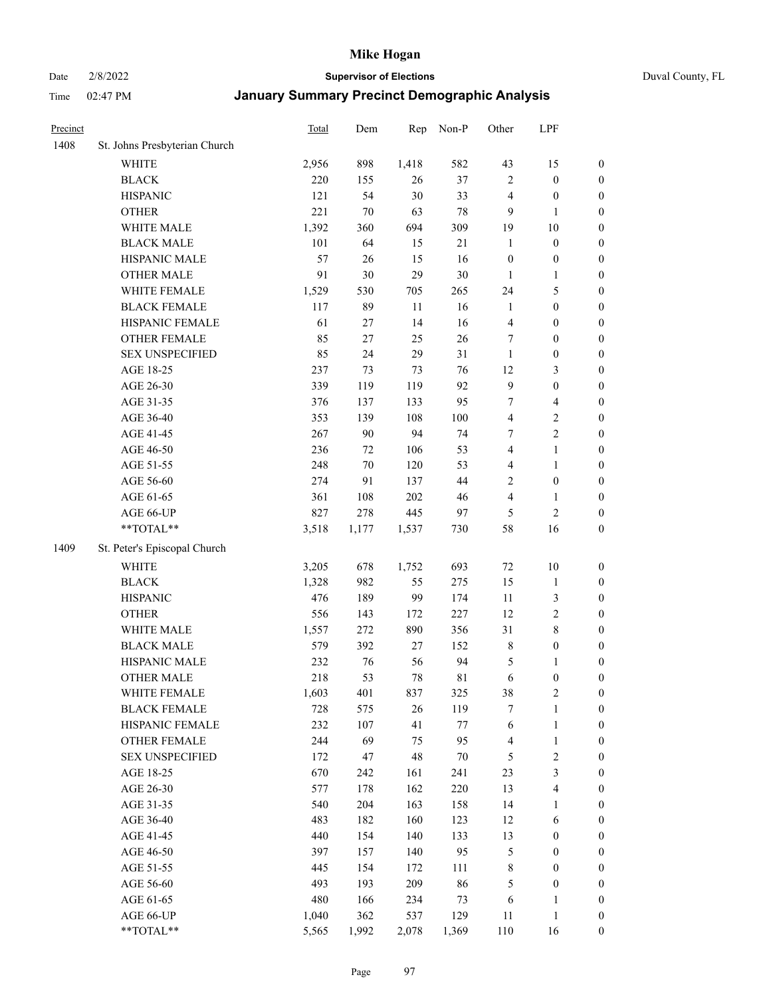# Date 2/8/2022 **Supervisor of Elections** Duval County, FL

| Precinct |                               | <b>Total</b> | Dem    | Rep    | Non-P       | Other                   | LPF                     |                  |
|----------|-------------------------------|--------------|--------|--------|-------------|-------------------------|-------------------------|------------------|
| 1408     | St. Johns Presbyterian Church |              |        |        |             |                         |                         |                  |
|          | <b>WHITE</b>                  | 2,956        | 898    | 1,418  | 582         | 43                      | 15                      | 0                |
|          | <b>BLACK</b>                  | 220          | 155    | 26     | 37          | $\sqrt{2}$              | $\boldsymbol{0}$        | 0                |
|          | <b>HISPANIC</b>               | 121          | 54     | 30     | 33          | 4                       | $\boldsymbol{0}$        | $\boldsymbol{0}$ |
|          | <b>OTHER</b>                  | 221          | 70     | 63     | $78\,$      | 9                       | 1                       | $\boldsymbol{0}$ |
|          | WHITE MALE                    | 1,392        | 360    | 694    | 309         | 19                      | $10\,$                  | $\boldsymbol{0}$ |
|          | <b>BLACK MALE</b>             | 101          | 64     | 15     | 21          | $\mathbf{1}$            | $\boldsymbol{0}$        | $\boldsymbol{0}$ |
|          | HISPANIC MALE                 | 57           | 26     | 15     | 16          | $\boldsymbol{0}$        | $\boldsymbol{0}$        | $\boldsymbol{0}$ |
|          | <b>OTHER MALE</b>             | 91           | 30     | 29     | $30\,$      | $\mathbf{1}$            | $\mathbf{1}$            | $\boldsymbol{0}$ |
|          | WHITE FEMALE                  | 1,529        | 530    | 705    | 265         | 24                      | $\mathfrak{S}$          | $\boldsymbol{0}$ |
|          | <b>BLACK FEMALE</b>           | 117          | 89     | $11\,$ | 16          | $\mathbf{1}$            | $\boldsymbol{0}$        | $\boldsymbol{0}$ |
|          | HISPANIC FEMALE               | 61           | 27     | 14     | 16          | $\overline{\mathbf{4}}$ | $\boldsymbol{0}$        | 0                |
|          | OTHER FEMALE                  | 85           | 27     | 25     | 26          | 7                       | $\boldsymbol{0}$        | $\boldsymbol{0}$ |
|          | <b>SEX UNSPECIFIED</b>        | 85           | 24     | 29     | 31          | $\mathbf{1}$            | $\boldsymbol{0}$        | $\boldsymbol{0}$ |
|          | AGE 18-25                     | 237          | 73     | 73     | 76          | 12                      | $\mathfrak{Z}$          | $\boldsymbol{0}$ |
|          | AGE 26-30                     | 339          | 119    | 119    | 92          | 9                       | $\boldsymbol{0}$        | $\boldsymbol{0}$ |
|          | AGE 31-35                     | 376          | 137    | 133    | 95          | 7                       | $\overline{\mathbf{4}}$ | $\boldsymbol{0}$ |
|          | AGE 36-40                     | 353          | 139    | 108    | 100         | $\overline{\mathbf{4}}$ | $\sqrt{2}$              | $\boldsymbol{0}$ |
|          | AGE 41-45                     | 267          | $90\,$ | 94     | 74          | $\tau$                  | $\overline{2}$          | $\boldsymbol{0}$ |
|          | AGE 46-50                     | 236          | 72     | 106    | 53          | $\overline{4}$          | $\mathbf{1}$            | $\boldsymbol{0}$ |
|          | AGE 51-55                     | 248          | $70\,$ | 120    | 53          | 4                       | $\mathbf{1}$            | $\boldsymbol{0}$ |
|          | AGE 56-60                     | 274          | 91     | 137    | 44          | $\overline{c}$          | $\boldsymbol{0}$        | 0                |
|          | AGE 61-65                     | 361          | 108    | 202    | 46          | 4                       | $\mathbf{1}$            | 0                |
|          | AGE 66-UP                     | 827          | 278    | 445    | 97          | $\mathfrak{S}$          | $\sqrt{2}$              | $\boldsymbol{0}$ |
|          | **TOTAL**                     | 3,518        | 1,177  | 1,537  | 730         | 58                      | 16                      | $\boldsymbol{0}$ |
| 1409     | St. Peter's Episcopal Church  |              |        |        |             |                         |                         |                  |
|          | <b>WHITE</b>                  | 3,205        | 678    | 1,752  | 693         | $72\,$                  | $10\,$                  | $\boldsymbol{0}$ |
|          | <b>BLACK</b>                  | 1,328        | 982    | 55     | 275         | 15                      | $\mathbf{1}$            | $\boldsymbol{0}$ |
|          | <b>HISPANIC</b>               | 476          | 189    | 99     | 174         | 11                      | $\mathfrak{Z}$          | $\boldsymbol{0}$ |
|          | <b>OTHER</b>                  | 556          | 143    | 172    | 227         | 12                      | $\sqrt{2}$              | $\boldsymbol{0}$ |
|          | WHITE MALE                    | 1,557        | 272    | 890    | 356         | 31                      | $8\,$                   | $\boldsymbol{0}$ |
|          | <b>BLACK MALE</b>             | 579          | 392    | 27     | 152         | 8                       | $\boldsymbol{0}$        | $\boldsymbol{0}$ |
|          | HISPANIC MALE                 | 232          | 76     | 56     | 94          | 5                       | 1                       | $\boldsymbol{0}$ |
|          | <b>OTHER MALE</b>             | 218          | 53     | 78     | $8\sqrt{1}$ | 6                       | $\boldsymbol{0}$        | $\boldsymbol{0}$ |
|          | WHITE FEMALE                  | 1,603        | 401    | 837    | 325         | 38                      | 2                       | 0                |
|          | <b>BLACK FEMALE</b>           | 728          | 575    | 26     | 119         | 7                       | $\mathbf{1}$            | $\boldsymbol{0}$ |
|          | HISPANIC FEMALE               | 232          | 107    | 41     | $77\,$      | 6                       | $\mathbf{1}$            | $\boldsymbol{0}$ |
|          | <b>OTHER FEMALE</b>           | 244          | 69     | 75     | 95          | 4                       | $\mathbf{1}$            | $\overline{0}$   |
|          | <b>SEX UNSPECIFIED</b>        | 172          | 47     | 48     | $70\,$      | 5                       | $\sqrt{2}$              | 0                |
|          | AGE 18-25                     | 670          | 242    | 161    | 241         | 23                      | $\mathfrak{Z}$          | 0                |
|          | AGE 26-30                     | 577          | 178    | 162    | 220         | 13                      | $\overline{\mathbf{4}}$ | 0                |
|          | AGE 31-35                     | 540          | 204    | 163    | 158         | 14                      | 1                       | 0                |
|          | AGE 36-40                     | 483          | 182    | 160    | 123         | 12                      | 6                       | 0                |
|          | AGE 41-45                     | 440          | 154    | 140    | 133         | 13                      | $\boldsymbol{0}$        | 0                |
|          | AGE 46-50                     | 397          | 157    | 140    | 95          | 5                       | $\boldsymbol{0}$        | 0                |
|          | AGE 51-55                     | 445          | 154    | 172    | 111         | 8                       | $\boldsymbol{0}$        | $\boldsymbol{0}$ |
|          | AGE 56-60                     | 493          | 193    | 209    | 86          | 5                       | $\boldsymbol{0}$        | $\boldsymbol{0}$ |
|          | AGE 61-65                     | 480          | 166    | 234    | 73          | 6                       | 1                       | $\boldsymbol{0}$ |
|          | AGE 66-UP                     | 1,040        | 362    | 537    | 129         | 11                      | $\,1$                   | $\boldsymbol{0}$ |
|          | **TOTAL**                     | 5,565        | 1,992  | 2,078  | 1,369       | 110                     | 16                      | $\boldsymbol{0}$ |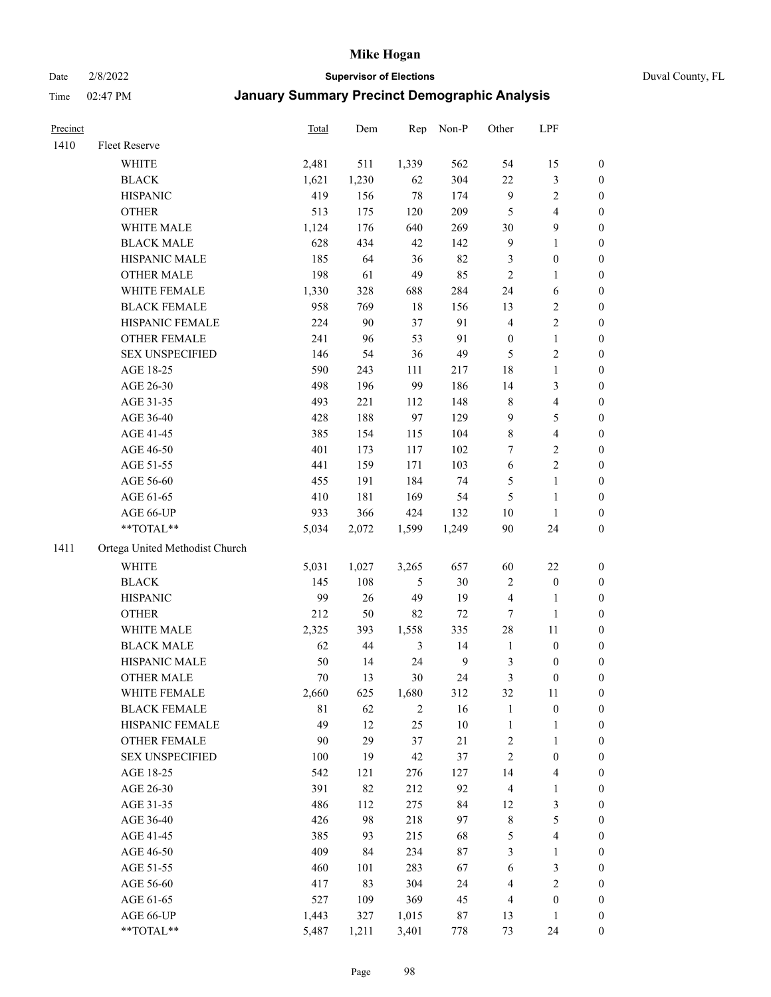Date 2/8/2022 **Supervisor of Elections** Duval County, FL

| Precinct |                                | Total | Dem   | Rep            | Non-P  | Other                   | LPF              |                  |
|----------|--------------------------------|-------|-------|----------------|--------|-------------------------|------------------|------------------|
| 1410     | Fleet Reserve                  |       |       |                |        |                         |                  |                  |
|          | WHITE                          | 2,481 | 511   | 1,339          | 562    | 54                      | 15               | 0                |
|          | <b>BLACK</b>                   | 1,621 | 1,230 | 62             | 304    | $22\,$                  | $\mathfrak{Z}$   | 0                |
|          | <b>HISPANIC</b>                | 419   | 156   | $78\,$         | 174    | 9                       | $\sqrt{2}$       | $\boldsymbol{0}$ |
|          | <b>OTHER</b>                   | 513   | 175   | 120            | 209    | 5                       | $\overline{4}$   | $\boldsymbol{0}$ |
|          | WHITE MALE                     | 1,124 | 176   | 640            | 269    | 30                      | $\boldsymbol{9}$ | $\boldsymbol{0}$ |
|          | <b>BLACK MALE</b>              | 628   | 434   | 42             | 142    | 9                       | $\mathbf{1}$     | $\boldsymbol{0}$ |
|          | HISPANIC MALE                  | 185   | 64    | 36             | 82     | 3                       | $\boldsymbol{0}$ | $\boldsymbol{0}$ |
|          | <b>OTHER MALE</b>              | 198   | 61    | 49             | 85     | $\mathbf{2}$            | $\mathbf{1}$     | $\boldsymbol{0}$ |
|          | WHITE FEMALE                   | 1,330 | 328   | 688            | 284    | 24                      | 6                | $\boldsymbol{0}$ |
|          | <b>BLACK FEMALE</b>            | 958   | 769   | $18\,$         | 156    | 13                      | $\sqrt{2}$       | 0                |
|          | HISPANIC FEMALE                | 224   | 90    | 37             | 91     | 4                       | $\sqrt{2}$       | 0                |
|          | OTHER FEMALE                   | 241   | 96    | 53             | 91     | $\boldsymbol{0}$        | $\mathbf{1}$     | 0                |
|          | <b>SEX UNSPECIFIED</b>         | 146   | 54    | 36             | 49     | 5                       | $\sqrt{2}$       | $\boldsymbol{0}$ |
|          | AGE 18-25                      | 590   | 243   | 111            | 217    | 18                      | $\mathbf{1}$     | $\boldsymbol{0}$ |
|          | AGE 26-30                      | 498   | 196   | 99             | 186    | 14                      | $\mathfrak{Z}$   | $\boldsymbol{0}$ |
|          | AGE 31-35                      | 493   | 221   | 112            | 148    | $\,$ $\,$               | $\overline{4}$   | $\boldsymbol{0}$ |
|          | AGE 36-40                      | 428   | 188   | 97             | 129    | 9                       | $\mathfrak s$    | $\boldsymbol{0}$ |
|          | AGE 41-45                      | 385   | 154   | 115            | 104    | 8                       | $\overline{4}$   | $\boldsymbol{0}$ |
|          | AGE 46-50                      | 401   | 173   | 117            | 102    | 7                       | $\sqrt{2}$       | $\boldsymbol{0}$ |
|          | AGE 51-55                      | 441   | 159   | 171            | 103    | $\sqrt{6}$              | $\sqrt{2}$       | 0                |
|          | AGE 56-60                      | 455   | 191   | 184            | 74     | 5                       | $\mathbf{1}$     | 0                |
|          | AGE 61-65                      | 410   | 181   | 169            | 54     | 5                       | $\mathbf{1}$     | 0                |
|          | AGE 66-UP                      | 933   | 366   | 424            | 132    | $10\,$                  | $\mathbf{1}$     | $\boldsymbol{0}$ |
|          | $**TOTAL**$                    | 5,034 | 2,072 | 1,599          | 1,249  | 90                      | 24               | $\boldsymbol{0}$ |
| 1411     | Ortega United Methodist Church |       |       |                |        |                         |                  |                  |
|          | <b>WHITE</b>                   | 5,031 | 1,027 | 3,265          | 657    | 60                      | $22\,$           | $\boldsymbol{0}$ |
|          | <b>BLACK</b>                   | 145   | 108   | $\mathfrak{S}$ | $30\,$ | 2                       | $\boldsymbol{0}$ | $\boldsymbol{0}$ |
|          | <b>HISPANIC</b>                | 99    | 26    | 49             | 19     | 4                       | $\mathbf{1}$     | $\boldsymbol{0}$ |
|          | <b>OTHER</b>                   | 212   | 50    | 82             | $72\,$ | 7                       | $\mathbf{1}$     | $\boldsymbol{0}$ |
|          | WHITE MALE                     | 2,325 | 393   | 1,558          | 335    | 28                      | $11\,$           | $\boldsymbol{0}$ |
|          | <b>BLACK MALE</b>              | 62    | 44    | 3              | 14     | $\mathbf{1}$            | $\boldsymbol{0}$ | $\boldsymbol{0}$ |
|          | HISPANIC MALE                  | 50    | 14    | 24             | 9      | 3                       | $\boldsymbol{0}$ | 0                |
|          | <b>OTHER MALE</b>              | 70    | 13    | 30             | 24     | 3                       | $\boldsymbol{0}$ | $\boldsymbol{0}$ |
|          | WHITE FEMALE                   | 2,660 | 625   | 1,680          | 312    | 32                      | 11               | 0                |
|          | <b>BLACK FEMALE</b>            | 81    | 62    | $\overline{c}$ | 16     | $\mathbf{1}$            | $\boldsymbol{0}$ | $\boldsymbol{0}$ |
|          | HISPANIC FEMALE                | 49    | 12    | 25             | $10\,$ | $\mathbf{1}$            | $\mathbf{1}$     | $\boldsymbol{0}$ |
|          | <b>OTHER FEMALE</b>            | 90    | 29    | 37             | $21\,$ | $\overline{\mathbf{c}}$ | $\mathbf{1}$     | $\overline{0}$   |
|          | <b>SEX UNSPECIFIED</b>         | 100   | 19    | 42             | 37     | $\overline{c}$          | $\boldsymbol{0}$ | 0                |
|          | AGE 18-25                      | 542   | 121   | 276            | 127    | 14                      | $\overline{4}$   | 0                |
|          | AGE 26-30                      | 391   | 82    | 212            | 92     | 4                       | $\mathbf{1}$     | 0                |
|          | AGE 31-35                      | 486   | 112   | 275            | 84     | 12                      | $\mathfrak z$    | 0                |
|          | AGE 36-40                      | 426   | 98    | 218            | 97     | $\,$ $\,$               | 5                | 0                |
|          | AGE 41-45                      | 385   | 93    | 215            | 68     | 5                       | $\overline{4}$   | 0                |
|          | AGE 46-50                      | 409   | 84    | 234            | $87\,$ | 3                       | $\mathbf{1}$     | 0                |
|          | AGE 51-55                      | 460   | 101   | 283            | 67     | 6                       | $\mathfrak z$    | 0                |
|          | AGE 56-60                      | 417   | 83    | 304            | 24     | 4                       | $\sqrt{2}$       | 0                |
|          | AGE 61-65                      | 527   | 109   | 369            | 45     | 4                       | $\boldsymbol{0}$ | 0                |
|          | AGE 66-UP                      | 1,443 | 327   | 1,015          | 87     | 13                      | 1                | 0                |
|          | **TOTAL**                      | 5,487 | 1,211 | 3,401          | 778    | 73                      | 24               | $\boldsymbol{0}$ |
|          |                                |       |       |                |        |                         |                  |                  |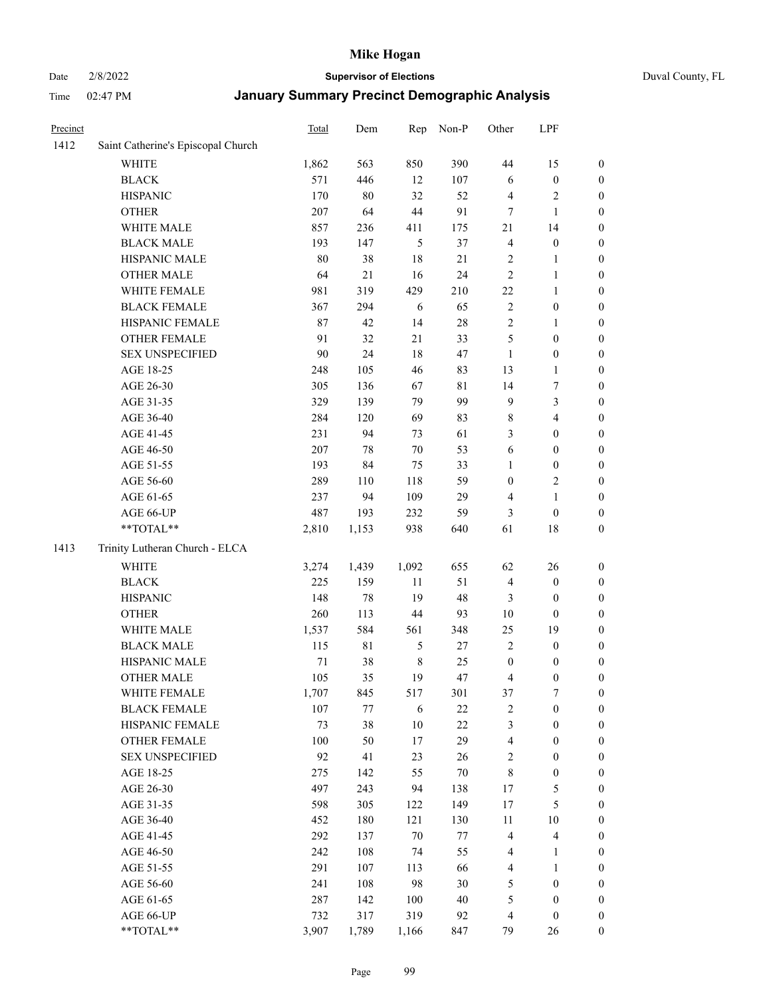## Date 2/8/2022 **Supervisor of Elections** Duval County, FL

| Precinct |                                    | Total  | Dem         | Rep           | Non-P  | Other            | LPF                     |                  |
|----------|------------------------------------|--------|-------------|---------------|--------|------------------|-------------------------|------------------|
| 1412     | Saint Catherine's Episcopal Church |        |             |               |        |                  |                         |                  |
|          | <b>WHITE</b>                       | 1,862  | 563         | 850           | 390    | 44               | 15                      | 0                |
|          | <b>BLACK</b>                       | 571    | 446         | 12            | 107    | 6                | $\boldsymbol{0}$        | 0                |
|          | <b>HISPANIC</b>                    | 170    | 80          | 32            | 52     | 4                | $\sqrt{2}$              | $\boldsymbol{0}$ |
|          | <b>OTHER</b>                       | 207    | 64          | 44            | 91     | 7                | $\mathbf{1}$            | $\boldsymbol{0}$ |
|          | WHITE MALE                         | 857    | 236         | 411           | 175    | 21               | 14                      | $\boldsymbol{0}$ |
|          | <b>BLACK MALE</b>                  | 193    | 147         | 5             | 37     | 4                | $\boldsymbol{0}$        | $\boldsymbol{0}$ |
|          | HISPANIC MALE                      | 80     | 38          | 18            | 21     | 2                | $\mathbf{1}$            | $\boldsymbol{0}$ |
|          | <b>OTHER MALE</b>                  | 64     | 21          | 16            | 24     | $\mathbf{2}$     | $\mathbf{1}$            | $\boldsymbol{0}$ |
|          | WHITE FEMALE                       | 981    | 319         | 429           | 210    | $22\,$           | 1                       | $\boldsymbol{0}$ |
|          | <b>BLACK FEMALE</b>                | 367    | 294         | 6             | 65     | $\sqrt{2}$       | $\boldsymbol{0}$        | 0                |
|          | HISPANIC FEMALE                    | 87     | 42          | 14            | $28\,$ | $\sqrt{2}$       | $\mathbf{1}$            | 0                |
|          | OTHER FEMALE                       | 91     | 32          | 21            | 33     | 5                | $\boldsymbol{0}$        | $\boldsymbol{0}$ |
|          | <b>SEX UNSPECIFIED</b>             | 90     | 24          | 18            | 47     | $\mathbf{1}$     | $\boldsymbol{0}$        | $\boldsymbol{0}$ |
|          | AGE 18-25                          | 248    | 105         | 46            | 83     | 13               | $\mathbf{1}$            | $\boldsymbol{0}$ |
|          | AGE 26-30                          | 305    | 136         | 67            | 81     | 14               | $\boldsymbol{7}$        | $\boldsymbol{0}$ |
|          | AGE 31-35                          | 329    | 139         | 79            | 99     | 9                | $\mathfrak{Z}$          | $\boldsymbol{0}$ |
|          | AGE 36-40                          | 284    | 120         | 69            | 83     | $\,$ 8 $\,$      | $\overline{\mathbf{4}}$ | $\boldsymbol{0}$ |
|          | AGE 41-45                          | 231    | 94          | 73            | 61     | 3                | $\boldsymbol{0}$        | $\boldsymbol{0}$ |
|          | AGE 46-50                          | 207    | $78\,$      | $70\,$        | 53     | 6                | $\boldsymbol{0}$        | $\boldsymbol{0}$ |
|          | AGE 51-55                          | 193    | 84          | 75            | 33     | 1                | $\boldsymbol{0}$        | 0                |
|          | AGE 56-60                          | 289    | 110         | 118           | 59     | $\boldsymbol{0}$ | $\sqrt{2}$              | 0                |
|          | AGE 61-65                          | 237    | 94          | 109           | 29     | 4                | $\mathbf{1}$            | 0                |
|          | AGE 66-UP                          | 487    | 193         | 232           | 59     | 3                | $\boldsymbol{0}$        | $\boldsymbol{0}$ |
|          | **TOTAL**                          | 2,810  | 1,153       | 938           | 640    | 61               | $18\,$                  | $\boldsymbol{0}$ |
| 1413     | Trinity Lutheran Church - ELCA     |        |             |               |        |                  |                         |                  |
|          | <b>WHITE</b>                       | 3,274  | 1,439       | 1,092         | 655    | 62               | 26                      | $\boldsymbol{0}$ |
|          | <b>BLACK</b>                       | 225    | 159         | 11            | 51     | 4                | $\boldsymbol{0}$        | $\boldsymbol{0}$ |
|          | <b>HISPANIC</b>                    | 148    | 78          | 19            | 48     | 3                | $\boldsymbol{0}$        | $\boldsymbol{0}$ |
|          | <b>OTHER</b>                       | 260    | 113         | 44            | 93     | 10               | $\boldsymbol{0}$        | $\boldsymbol{0}$ |
|          | WHITE MALE                         | 1,537  | 584         | 561           | 348    | 25               | 19                      | $\boldsymbol{0}$ |
|          | <b>BLACK MALE</b>                  | 115    | $8\sqrt{1}$ | $\mathfrak s$ | 27     | $\mathbf{2}$     | $\boldsymbol{0}$        | $\boldsymbol{0}$ |
|          | HISPANIC MALE                      | $71\,$ | 38          | $\,$ 8 $\,$   | 25     | $\boldsymbol{0}$ | $\boldsymbol{0}$        | 0                |
|          | <b>OTHER MALE</b>                  | 105    | 35          | 19            | 47     | 4                | $\boldsymbol{0}$        | $\boldsymbol{0}$ |
|          | WHITE FEMALE                       | 1,707  | 845         | 517           | 301    | 37               | 7                       | 0                |
|          | <b>BLACK FEMALE</b>                | 107    | 77          | 6             | 22     | 2                | $\boldsymbol{0}$        | $\boldsymbol{0}$ |
|          | HISPANIC FEMALE                    | 73     | 38          | 10            | $22\,$ | 3                | $\boldsymbol{0}$        | $\overline{0}$   |
|          | OTHER FEMALE                       | 100    | 50          | $17$          | 29     | 4                | $\boldsymbol{0}$        | $\overline{0}$   |
|          | <b>SEX UNSPECIFIED</b>             | 92     | 41          | 23            | 26     | 2                | $\boldsymbol{0}$        | 0                |
|          | AGE 18-25                          | 275    | 142         | 55            | $70\,$ | 8                | $\boldsymbol{0}$        | 0                |
|          | AGE 26-30                          | 497    | 243         | 94            | 138    | 17               | $\mathfrak{S}$          | 0                |
|          | AGE 31-35                          | 598    | 305         | 122           | 149    | 17               | 5                       | 0                |
|          | AGE 36-40                          | 452    | 180         | 121           | 130    | 11               | $10\,$                  | 0                |
|          | AGE 41-45                          | 292    | 137         | $70\,$        | $77\,$ | $\overline{4}$   | $\overline{\mathbf{4}}$ | 0                |
|          | AGE 46-50                          | 242    | 108         | 74            | 55     | 4                | $\mathbf{1}$            | 0                |
|          | AGE 51-55                          | 291    | 107         | 113           | 66     | $\overline{4}$   | $\mathbf{1}$            | 0                |
|          | AGE 56-60                          | 241    | 108         | 98            | 30     | 5                | $\boldsymbol{0}$        | 0                |
|          | AGE 61-65                          | 287    | 142         | 100           | 40     | 5                | $\boldsymbol{0}$        | $\overline{0}$   |
|          | AGE 66-UP                          | 732    | 317         | 319           | 92     | $\overline{4}$   | $\boldsymbol{0}$        | 0                |
|          | **TOTAL**                          | 3,907  | 1,789       | 1,166         | 847    | 79               | 26                      | $\boldsymbol{0}$ |
|          |                                    |        |             |               |        |                  |                         |                  |